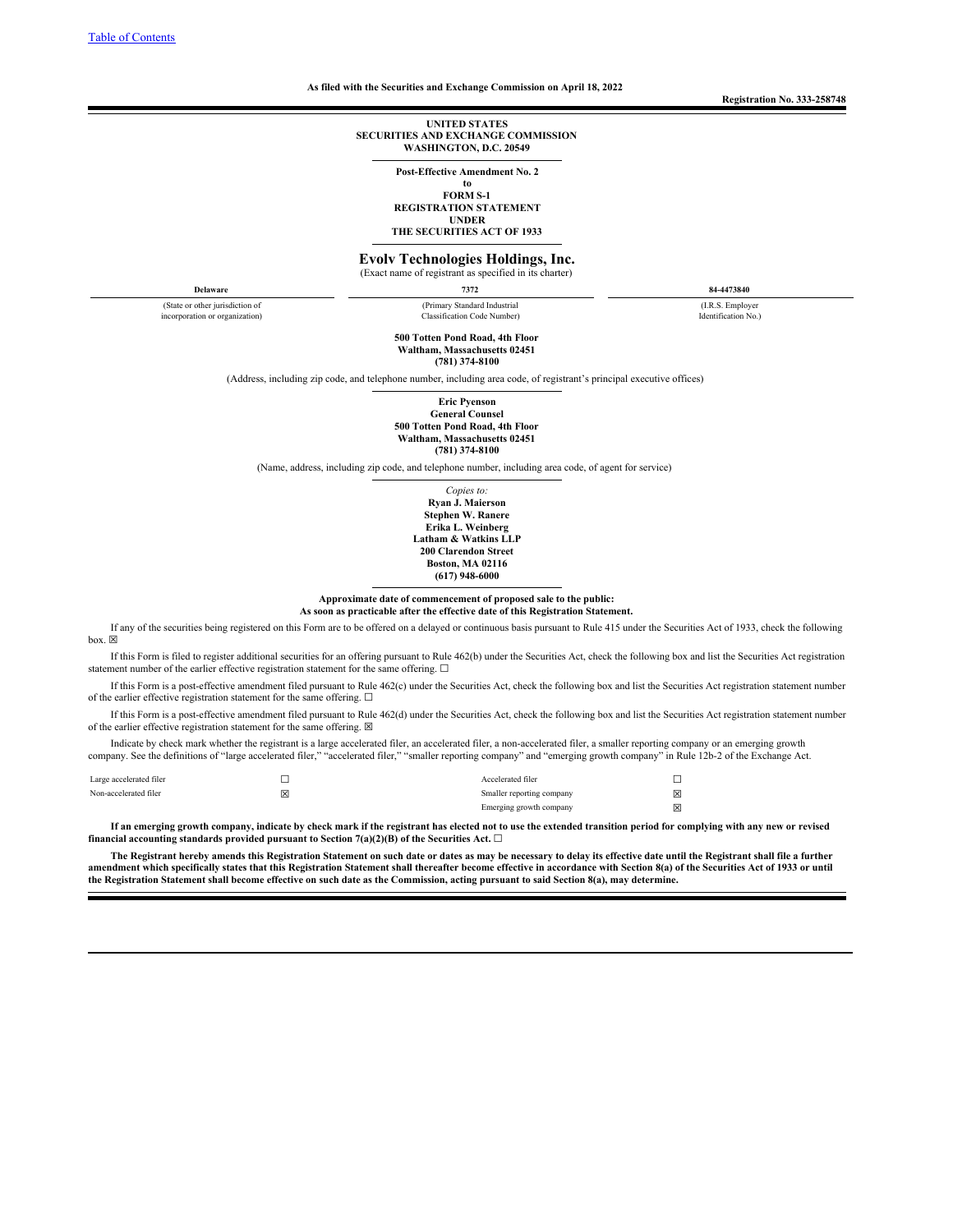#### <span id="page-0-0"></span>**As filed with the Securities and Exchange Commission on April 18, 2022**

**Registration No. 333-258748**

#### **UNITED STATES SECURITIES AND EXCHANGE COMMISSION WASHINGTON, D.C. 20549**

**Post-Effective Amendment No. 2**

**to**

**FORM S-1 REGISTRATION STATEMENT UNDER**

**THE SECURITIES ACT OF 1933**

**Evolv Technologies Holdings, Inc.**

(Exact name of registrant as specified in its charter)

**Delaware 7372 84-4473840**

(State or other jurisdiction of incorporation or organization) (Primary Standard Industrial Classification Code Number)

(I.R.S. Employer Identification No.)

**500 Totten Pond Road, 4th Floor Waltham, Massachusetts 02451 (781) 374-8100**

(Address, including zip code, and telephone number, including area code, of registrant's principal executive offices)

**Eric Pyenson General Counsel 500 Totten Pond Road, 4th Floor Waltham, Massachusetts 02451 (781) 374-8100**

(Name, address, including zip code, and telephone number, including area code, of agent for service)

*Copies to:* **Ryan J. Maierson Stephen W. Ranere Erika L. Weinberg Latham & Watkins LLP 200 Clarendon Street Boston, MA 02116 (617) 948-6000**

**Approximate date of commencement of proposed sale to the public: As soon as practicable after the effective date of this Registration Statement.**

If any of the securities being registered on this Form are to be offered on a delayed or continuous basis pursuant to Rule 415 under the Securities Act of 1933, check the following box.  $\boxtimes$ 

If this Form is filed to register additional securities for an offering pursuant to Rule 462(b) under the Securities Act, check the following box and list the Securities Act registration statement number of the earlier effective registration statement for the same offering.  $\Box$ 

If this Form is a post-effective amendment filed pursuant to Rule 462(c) under the Securities Act, check the following box and list the Securities Act registration statement number of the earlier effective registration statement for the same offering.  $\Box$ 

If this Form is a post-effective amendment filed pursuant to Rule 462(d) under the Securities Act, check the following box and list the Securities Act registration statement number of the earlier effective registration statement for the same offering.  $\boxtimes$ 

Indicate by check mark whether the registrant is a large accelerated filer, an accelerated filer, a non-accelerated filer, a smaller reporting company or an emerging growth company. See the definitions of "large accelerated filer," "accelerated filer," "smaller reporting company" and "emerging growth company" in Rule 12b-2 of the Exchange Act.

| Large accelerated filer |   | Accelerated filer         |   |
|-------------------------|---|---------------------------|---|
| Non-accelerated filer   | X | Smaller reporting company | ⊠ |
|                         |   | Emerging growth company   | ⊠ |

If an emerging growth company, indicate by check mark if the registrant has elected not to use the extended transition period for complying with any new or revised **financial** accounting standards provided pursuant to Section  $7(a)(2)(B)$  of the Securities Act.  $\Box$ 

The Registrant hereby amends this Registration Statement on such date or dates as may be necessary to delay its effective date until the Registrant shall file a further amendment which specifically states that this Registration Statement shall thereafter become effective in accordance with Section 8(a) of the Securities Act of 1933 or until the Registration Statement shall become effective on such date as the Commission, acting pursuant to said Section 8(a), may determine.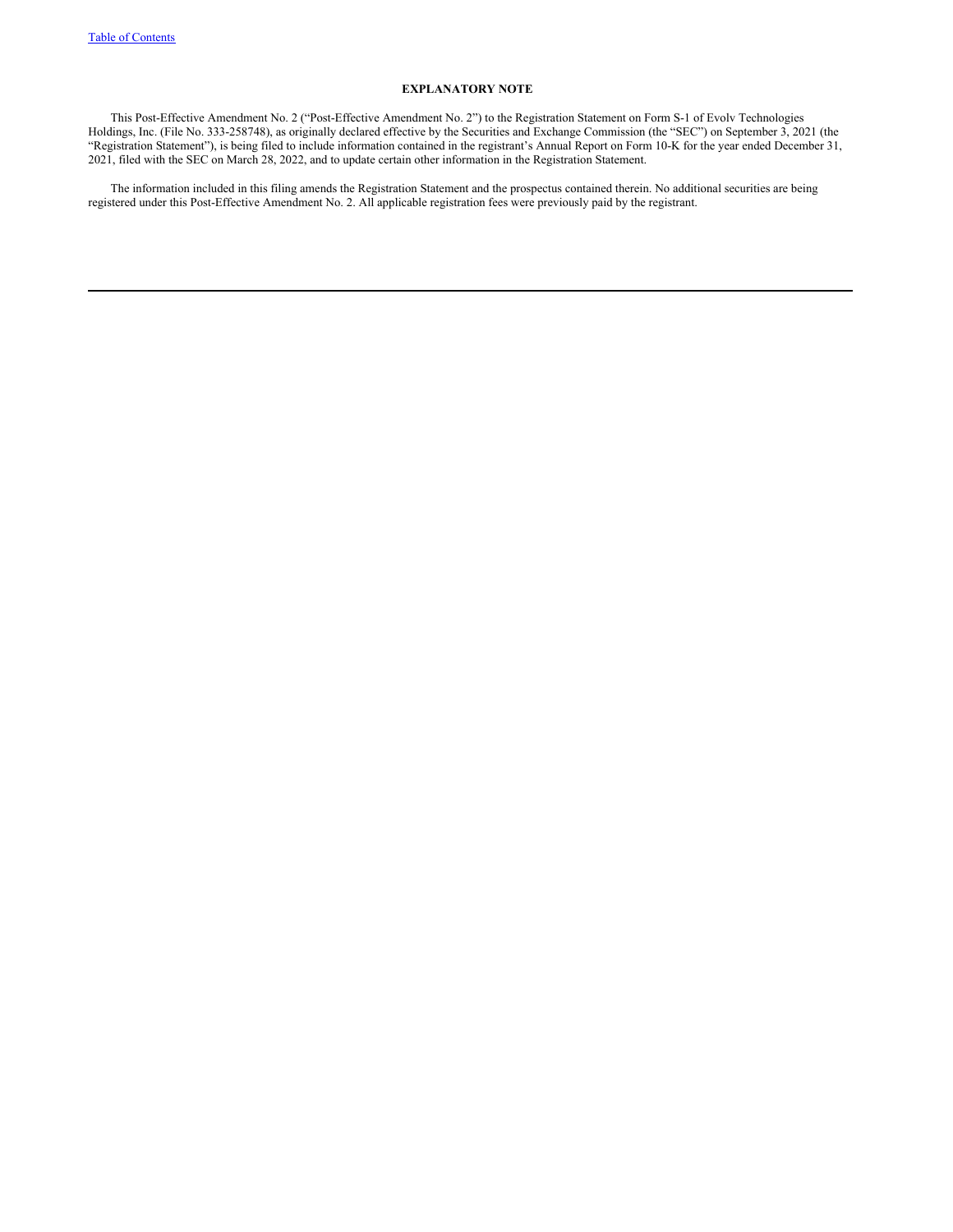# **EXPLANATORY NOTE**

This Post-Effective Amendment No. 2 ("Post-Effective Amendment No. 2") to the Registration Statement on Form S-1 of Evolv Technologies Holdings, Inc. (File No. 333-258748), as originally declared effective by the Securities and Exchange Commission (the "SEC") on September 3, 2021 (the "Registration Statement"), is being filed to include information contained in the registrant's Annual Report on Form 10-K for the year ended December 31, 2021, filed with the SEC on March 28, 2022, and to update certain other information in the Registration Statement.

The information included in this filing amends the Registration Statement and the prospectus contained therein. No additional securities are being registered under this Post-Effective Amendment No. 2. All applicable registration fees were previously paid by the registrant.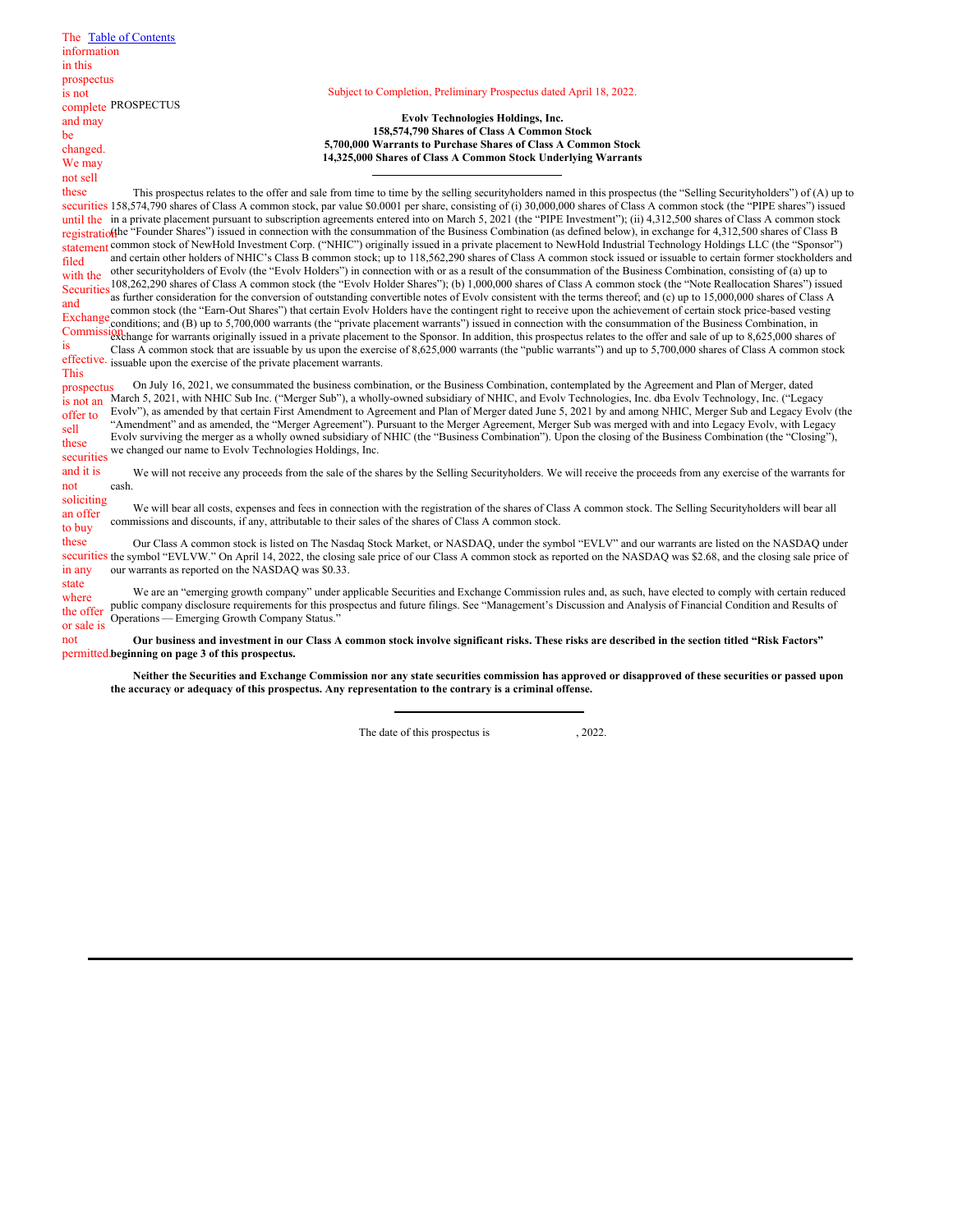|             | The Table of Contents                                                                                                                                                                                                                                                                                                                                 |
|-------------|-------------------------------------------------------------------------------------------------------------------------------------------------------------------------------------------------------------------------------------------------------------------------------------------------------------------------------------------------------|
| information |                                                                                                                                                                                                                                                                                                                                                       |
| in this     |                                                                                                                                                                                                                                                                                                                                                       |
| prospectus  |                                                                                                                                                                                                                                                                                                                                                       |
| is not      | Subject to Completion, Preliminary Prospectus dated April 18, 2022.                                                                                                                                                                                                                                                                                   |
|             | complete PROSPECTUS                                                                                                                                                                                                                                                                                                                                   |
| and may     | <b>Evolv Technologies Holdings, Inc.</b>                                                                                                                                                                                                                                                                                                              |
| be          | 158,574,790 Shares of Class A Common Stock                                                                                                                                                                                                                                                                                                            |
| changed.    | 5,700,000 Warrants to Purchase Shares of Class A Common Stock                                                                                                                                                                                                                                                                                         |
| We may      | 14,325,000 Shares of Class A Common Stock Underlying Warrants                                                                                                                                                                                                                                                                                         |
| not sell    |                                                                                                                                                                                                                                                                                                                                                       |
| these       | This prospectus relates to the offer and sale from time to time by the selling securityholders named in this prospectus (the "Selling Securityholders") of (A) up to                                                                                                                                                                                  |
|             | securities 158,574,790 shares of Class A common stock, par value \$0.0001 per share, consisting of (i) 30,000,000 shares of Class A common stock (the "PIPE shares") issued                                                                                                                                                                           |
|             | until the in a private placement pursuant to subscription agreements entered into on March 5, 2021 (the "PIPE Investment"); (ii) 4,312,500 shares of Class A common stock<br>registratio(the "Founder Shares") issued in connection with the consummation of the Business Combination (as defined below), in exchange for 4,312,500 shares of Class B |
|             | statement common stock of NewHold Investment Corp. ("NHIC") originally issued in a private placement to NewHold Industrial Technology Holdings LLC (the "Sponsor")                                                                                                                                                                                    |
| filed       | and certain other holders of NHIC's Class B common stock; up to 118,562,290 shares of Class A common stock issued or issuable to certain former stockholders and                                                                                                                                                                                      |
| with the    | other securityholders of Evolv (the "Evolv Holders") in connection with or as a result of the consummation of the Business Combination, consisting of (a) up to                                                                                                                                                                                       |
| Securities  | 108,262,290 shares of Class A common stock (the "Evolv Holder Shares"); (b) 1,000,000 shares of Class A common stock (the "Note Reallocation Shares") issued                                                                                                                                                                                          |
| and         | as further consideration for the conversion of outstanding convertible notes of Evolv consistent with the terms thereof; and (c) up to 15,000,000 shares of Class A                                                                                                                                                                                   |
| Exchange    | common stock (the "Earn-Out Shares") that certain Evolv Holders have the contingent right to receive upon the achievement of certain stock price-based vesting                                                                                                                                                                                        |
|             | conditions; and (B) up to 5,700,000 warrants (the "private placement warrants") issued in connection with the consummation of the Business Combination, in                                                                                                                                                                                            |
| is          | Commission and the contrasts originally issued in a private placement to the Sponsor. In addition, this prospectus relates to the offer and sale of up to 8,625,000 shares of<br>Class A common stock that are issuable by us upon the exercise of 8,625,000 warrants (the "public warrants") and up to 5,700,000 shares of Class A common stock      |
|             | effective. issuable upon the exercise of the private placement warrants.                                                                                                                                                                                                                                                                              |
| <b>This</b> |                                                                                                                                                                                                                                                                                                                                                       |
| prospectus  | On July 16, 2021, we consummated the business combination, or the Business Combination, contemplated by the Agreement and Plan of Merger, dated                                                                                                                                                                                                       |
| is not an   | March 5, 2021, with NHIC Sub Inc. ("Merger Sub"), a wholly-owned subsidiary of NHIC, and Evolv Technologies, Inc. dba Evolv Technology, Inc. ("Legacy                                                                                                                                                                                                 |
| offer to    | Evoly"), as amended by that certain First Amendment to Agreement and Plan of Merger dated June 5, 2021 by and among NHIC, Merger Sub and Legacy Evoly (the                                                                                                                                                                                            |
| sell        | "Amendment" and as amended, the "Merger Agreement"). Pursuant to the Merger Agreement, Merger Sub was merged with and into Legacy Evolv, with Legacy                                                                                                                                                                                                  |
| these       | Evolv surviving the merger as a wholly owned subsidiary of NHIC (the "Business Combination"). Upon the closing of the Business Combination (the "Closing"),                                                                                                                                                                                           |
| securities  | we changed our name to Evolv Technologies Holdings, Inc.                                                                                                                                                                                                                                                                                              |
| and it is   | We will not receive any proceeds from the sale of the shares by the Selling Securityholders. We will receive the proceeds from any exercise of the warrants for                                                                                                                                                                                       |
| not         | cash.                                                                                                                                                                                                                                                                                                                                                 |
| soliciting  |                                                                                                                                                                                                                                                                                                                                                       |
| an offer    | We will bear all costs, expenses and fees in connection with the registration of the shares of Class A common stock. The Selling Securityholders will bear all                                                                                                                                                                                        |
| to buy      | commissions and discounts, if any, attributable to their sales of the shares of Class A common stock.                                                                                                                                                                                                                                                 |
| these       | Our Class A common stock is listed on The Nasdaq Stock Market, or NASDAQ, under the symbol "EVLV" and our warrants are listed on the NASDAQ under                                                                                                                                                                                                     |
|             | securities the symbol "EVLVW." On April 14, 2022, the closing sale price of our Class A common stock as reported on the NASDAQ was \$2.68, and the closing sale price of                                                                                                                                                                              |
| in any      | our warrants as reported on the NASDAQ was \$0.33.                                                                                                                                                                                                                                                                                                    |
| state       |                                                                                                                                                                                                                                                                                                                                                       |
| where       | We are an "emerging growth company" under applicable Securities and Exchange Commission rules and, as such, have elected to comply with certain reduced<br>public company disclosure requirements for this prospectus and future filings. See "Management's Discussion and Analysis of Financial Condition and Results of                             |
| the offer   | Operations — Emerging Growth Company Status."                                                                                                                                                                                                                                                                                                         |
| or sale is  |                                                                                                                                                                                                                                                                                                                                                       |

Our business and investment in our Class A common stock involve significant risks. These risks are described in the section titled "Risk Factors" **beginning on page 3 of this prospectus.** permitted.not

Neither the Securities and Exchange Commission nor any state securities commission has approved or disapproved of these securities or passed upon **the accuracy or adequacy of this prospectus. Any representation to the contrary is a criminal offense.**

The date of this prospectus is , 2022.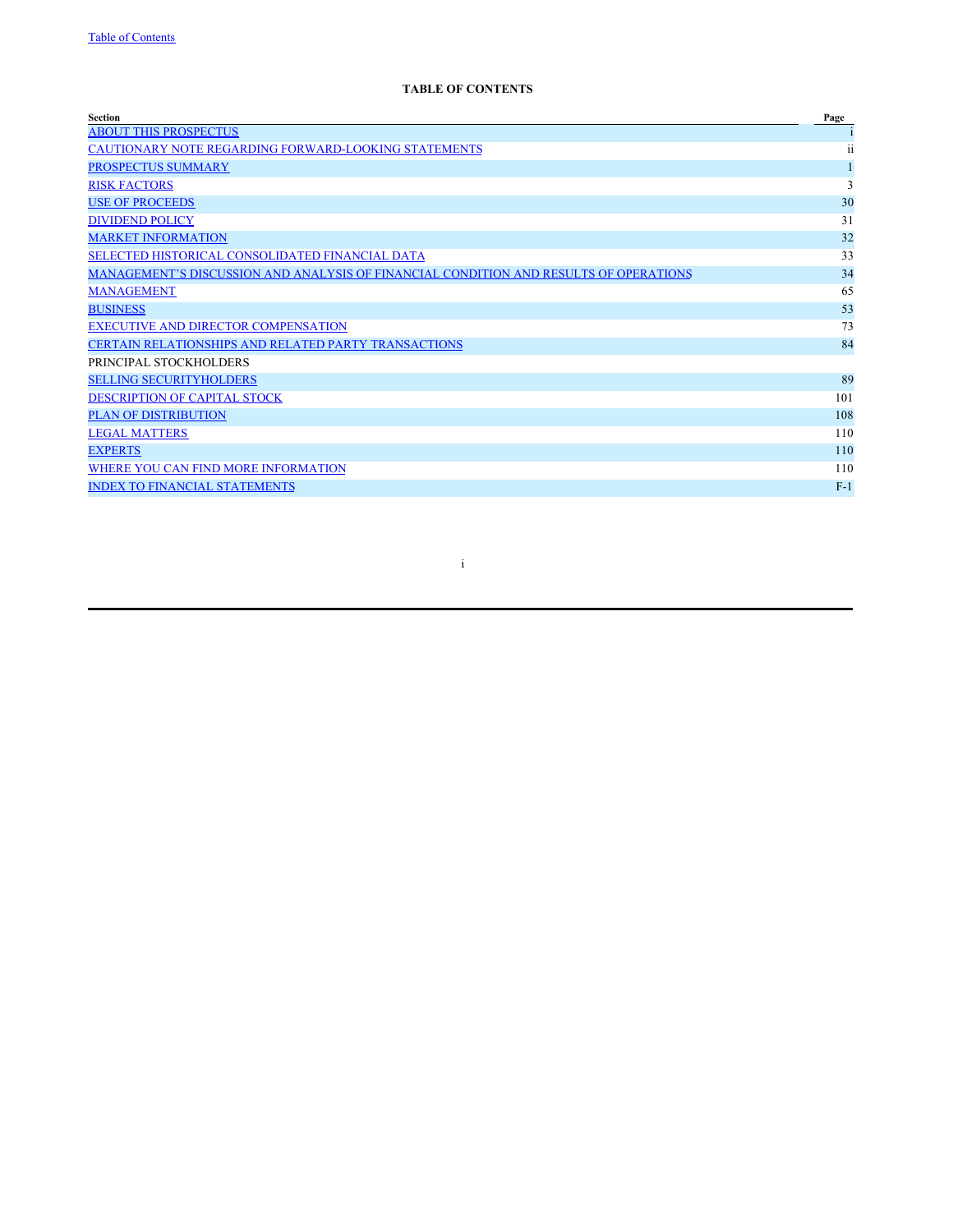# **TABLE OF CONTENTS**

| <b>Section</b>                                                                        | Page  |
|---------------------------------------------------------------------------------------|-------|
| <b>ABOUT THIS PROSPECTUS</b>                                                          |       |
| CAUTIONARY NOTE REGARDING FORWARD-LOOKING STATEMENTS                                  | ii    |
| <b>PROSPECTUS SUMMARY</b>                                                             |       |
| <b>RISK FACTORS</b>                                                                   | 3     |
| <b>USE OF PROCEEDS</b>                                                                | 30    |
| <b>DIVIDEND POLICY</b>                                                                | 31    |
| <b>MARKET INFORMATION</b>                                                             | 32    |
| SELECTED HISTORICAL CONSOLIDATED FINANCIAL DATA                                       | 33    |
| MANAGEMENT'S DISCUSSION AND ANALYSIS OF FINANCIAL CONDITION AND RESULTS OF OPERATIONS | 34    |
| <b>MANAGEMENT</b>                                                                     | 65    |
| <b>BUSINESS</b>                                                                       | 53    |
| <b>EXECUTIVE AND DIRECTOR COMPENSATION</b>                                            | 73    |
| <b>CERTAIN RELATIONSHIPS AND RELATED PARTY TRANSACTIONS</b>                           | 84    |
| PRINCIPAL STOCKHOLDERS                                                                |       |
| <b>SELLING SECURITYHOLDERS</b>                                                        | 89    |
| DESCRIPTION OF CAPITAL STOCK                                                          | 101   |
| <b>PLAN OF DISTRIBUTION</b>                                                           | 108   |
| <b>LEGAL MATTERS</b>                                                                  | 110   |
| <b>EXPERTS</b>                                                                        | 110   |
| WHERE YOU CAN FIND MORE INFORMATION                                                   | 110   |
| <b>INDEX TO FINANCIAL STATEMENTS</b>                                                  | $F-1$ |
|                                                                                       |       |

i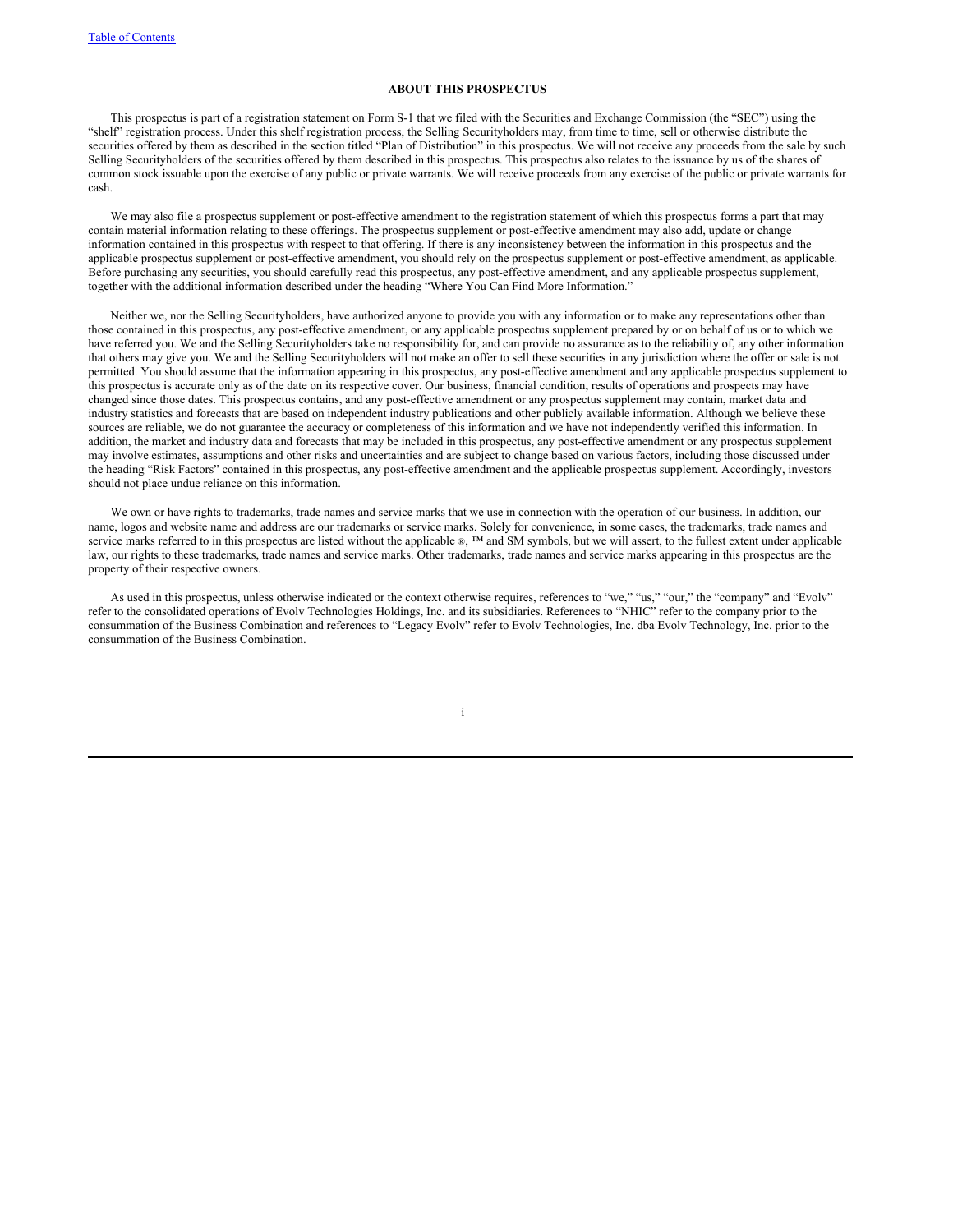## **ABOUT THIS PROSPECTUS**

This prospectus is part of a registration statement on Form S-1 that we filed with the Securities and Exchange Commission (the "SEC") using the "shelf" registration process. Under this shelf registration process, the Selling Securityholders may, from time to time, sell or otherwise distribute the securities offered by them as described in the section titled "Plan of Distribution" in this prospectus. We will not receive any proceeds from the sale by such Selling Securityholders of the securities offered by them described in this prospectus. This prospectus also relates to the issuance by us of the shares of common stock issuable upon the exercise of any public or private warrants. We will receive proceeds from any exercise of the public or private warrants for cash.

We may also file a prospectus supplement or post-effective amendment to the registration statement of which this prospectus forms a part that may contain material information relating to these offerings. The prospectus supplement or post-effective amendment may also add, update or change information contained in this prospectus with respect to that offering. If there is any inconsistency between the information in this prospectus and the applicable prospectus supplement or post-effective amendment, you should rely on the prospectus supplement or post-effective amendment, as applicable. Before purchasing any securities, you should carefully read this prospectus, any post-effective amendment, and any applicable prospectus supplement, together with the additional information described under the heading "Where You Can Find More Information."

Neither we, nor the Selling Securityholders, have authorized anyone to provide you with any information or to make any representations other than those contained in this prospectus, any post-effective amendment, or any applicable prospectus supplement prepared by or on behalf of us or to which we have referred you. We and the Selling Securityholders take no responsibility for, and can provide no assurance as to the reliability of, any other information that others may give you. We and the Selling Securityholders will not make an offer to sell these securities in any jurisdiction where the offer or sale is not permitted. You should assume that the information appearing in this prospectus, any post-effective amendment and any applicable prospectus supplement to this prospectus is accurate only as of the date on its respective cover. Our business, financial condition, results of operations and prospects may have changed since those dates. This prospectus contains, and any post-effective amendment or any prospectus supplement may contain, market data and industry statistics and forecasts that are based on independent industry publications and other publicly available information. Although we believe these sources are reliable, we do not guarantee the accuracy or completeness of this information and we have not independently verified this information. In addition, the market and industry data and forecasts that may be included in this prospectus, any post-effective amendment or any prospectus supplement may involve estimates, assumptions and other risks and uncertainties and are subject to change based on various factors, including those discussed under the heading "Risk Factors" contained in this prospectus, any post-effective amendment and the applicable prospectus supplement. Accordingly, investors should not place undue reliance on this information.

We own or have rights to trademarks, trade names and service marks that we use in connection with the operation of our business. In addition, our name, logos and website name and address are our trademarks or service marks. Solely for convenience, in some cases, the trademarks, trade names and service marks referred to in this prospectus are listed without the applicable ®, ™ and SM symbols, but we will assert, to the fullest extent under applicable law, our rights to these trademarks, trade names and service marks. Other trademarks, trade names and service marks appearing in this prospectus are the property of their respective owners.

As used in this prospectus, unless otherwise indicated or the context otherwise requires, references to "we," "us," "our," the "company" and "Evolv" refer to the consolidated operations of Evolv Technologies Holdings, Inc. and its subsidiaries. References to "NHIC" refer to the company prior to the consummation of the Business Combination and references to "Legacy Evolv" refer to Evolv Technologies, Inc. dba Evolv Technology, Inc. prior to the consummation of the Business Combination.

i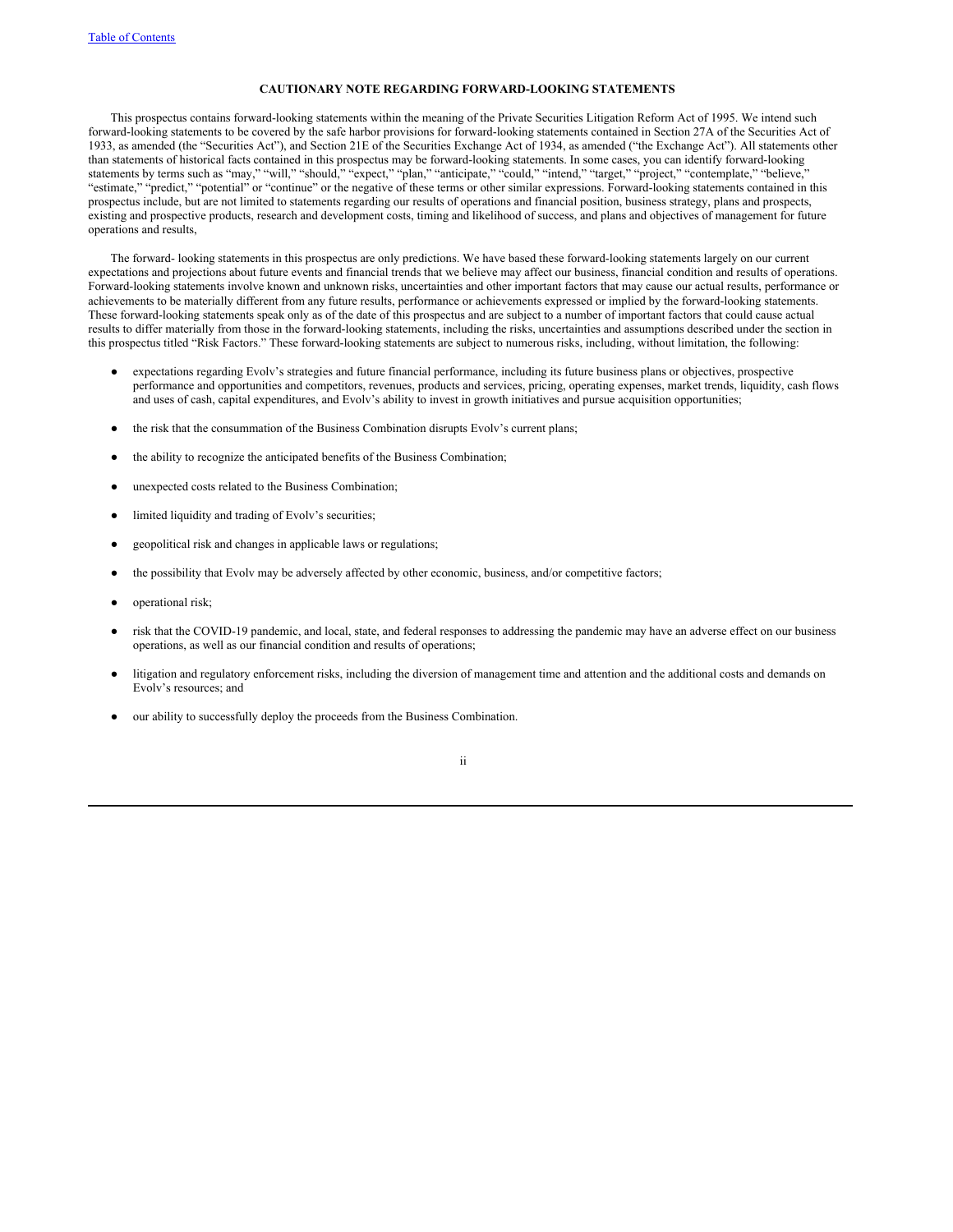# **CAUTIONARY NOTE REGARDING FORWARD-LOOKING STATEMENTS**

This prospectus contains forward-looking statements within the meaning of the Private Securities Litigation Reform Act of 1995. We intend such forward-looking statements to be covered by the safe harbor provisions for forward-looking statements contained in Section 27A of the Securities Act of 1933, as amended (the "Securities Act"), and Section 21E of the Securities Exchange Act of 1934, as amended ("the Exchange Act"). All statements other than statements of historical facts contained in this prospectus may be forward-looking statements. In some cases, you can identify forward-looking statements by terms such as "may," "will," "should," "expect," "plan," "anticipate," "could," "intend," "target," "project," "contemplate," "believe," "estimate," "predict," "potential" or "continue" or the negative of these terms or other similar expressions. Forward-looking statements contained in this prospectus include, but are not limited to statements regarding our results of operations and financial position, business strategy, plans and prospects, existing and prospective products, research and development costs, timing and likelihood of success, and plans and objectives of management for future operations and results,

The forward- looking statements in this prospectus are only predictions. We have based these forward-looking statements largely on our current expectations and projections about future events and financial trends that we believe may affect our business, financial condition and results of operations. Forward-looking statements involve known and unknown risks, uncertainties and other important factors that may cause our actual results, performance or achievements to be materially different from any future results, performance or achievements expressed or implied by the forward-looking statements. These forward-looking statements speak only as of the date of this prospectus and are subject to a number of important factors that could cause actual results to differ materially from those in the forward-looking statements, including the risks, uncertainties and assumptions described under the section in this prospectus titled "Risk Factors." These forward-looking statements are subject to numerous risks, including, without limitation, the following:

- expectations regarding Evolv's strategies and future financial performance, including its future business plans or objectives, prospective performance and opportunities and competitors, revenues, products and services, pricing, operating expenses, market trends, liquidity, cash flows and uses of cash, capital expenditures, and Evolv's ability to invest in growth initiatives and pursue acquisition opportunities;
- the risk that the consummation of the Business Combination disrupts Evolv's current plans;
- the ability to recognize the anticipated benefits of the Business Combination;
- unexpected costs related to the Business Combination;
- limited liquidity and trading of Evolv's securities;
- geopolitical risk and changes in applicable laws or regulations;
- the possibility that Evolv may be adversely affected by other economic, business, and/or competitive factors;
- operational risk;
- risk that the COVID-19 pandemic, and local, state, and federal responses to addressing the pandemic may have an adverse effect on our business operations, as well as our financial condition and results of operations;
- litigation and regulatory enforcement risks, including the diversion of management time and attention and the additional costs and demands on Evolv's resources; and
- our ability to successfully deploy the proceeds from the Business Combination.

# ii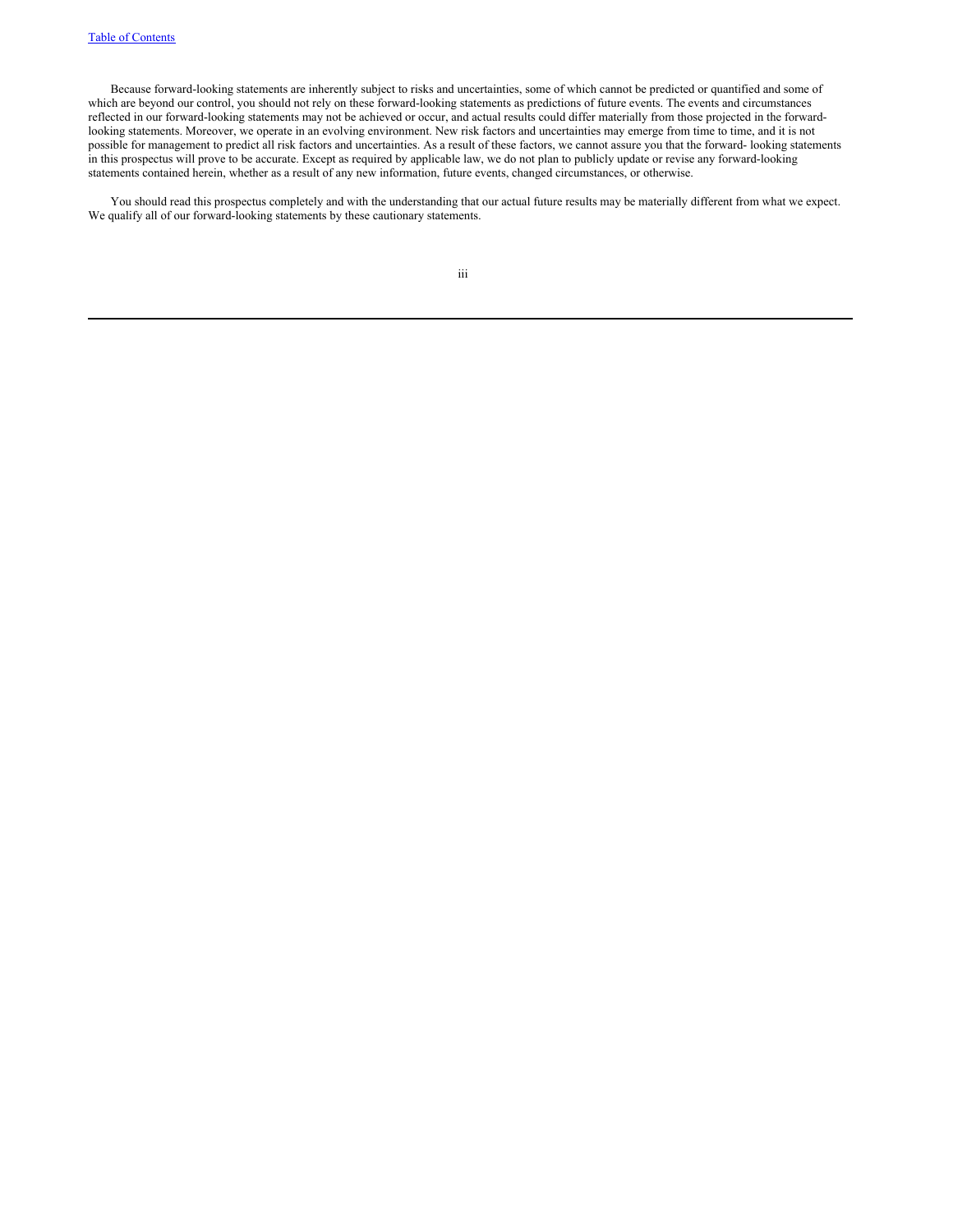Because forward-looking statements are inherently subject to risks and uncertainties, some of which cannot be predicted or quantified and some of which are beyond our control, you should not rely on these forward-looking statements as predictions of future events. The events and circumstances reflected in our forward-looking statements may not be achieved or occur, and actual results could differ materially from those projected in the forwardlooking statements. Moreover, we operate in an evolving environment. New risk factors and uncertainties may emerge from time to time, and it is not possible for management to predict all risk factors and uncertainties. As a result of these factors, we cannot assure you that the forward- looking statements in this prospectus will prove to be accurate. Except as required by applicable law, we do not plan to publicly update or revise any forward-looking statements contained herein, whether as a result of any new information, future events, changed circumstances, or otherwise.

You should read this prospectus completely and with the understanding that our actual future results may be materially different from what we expect. We qualify all of our forward-looking statements by these cautionary statements.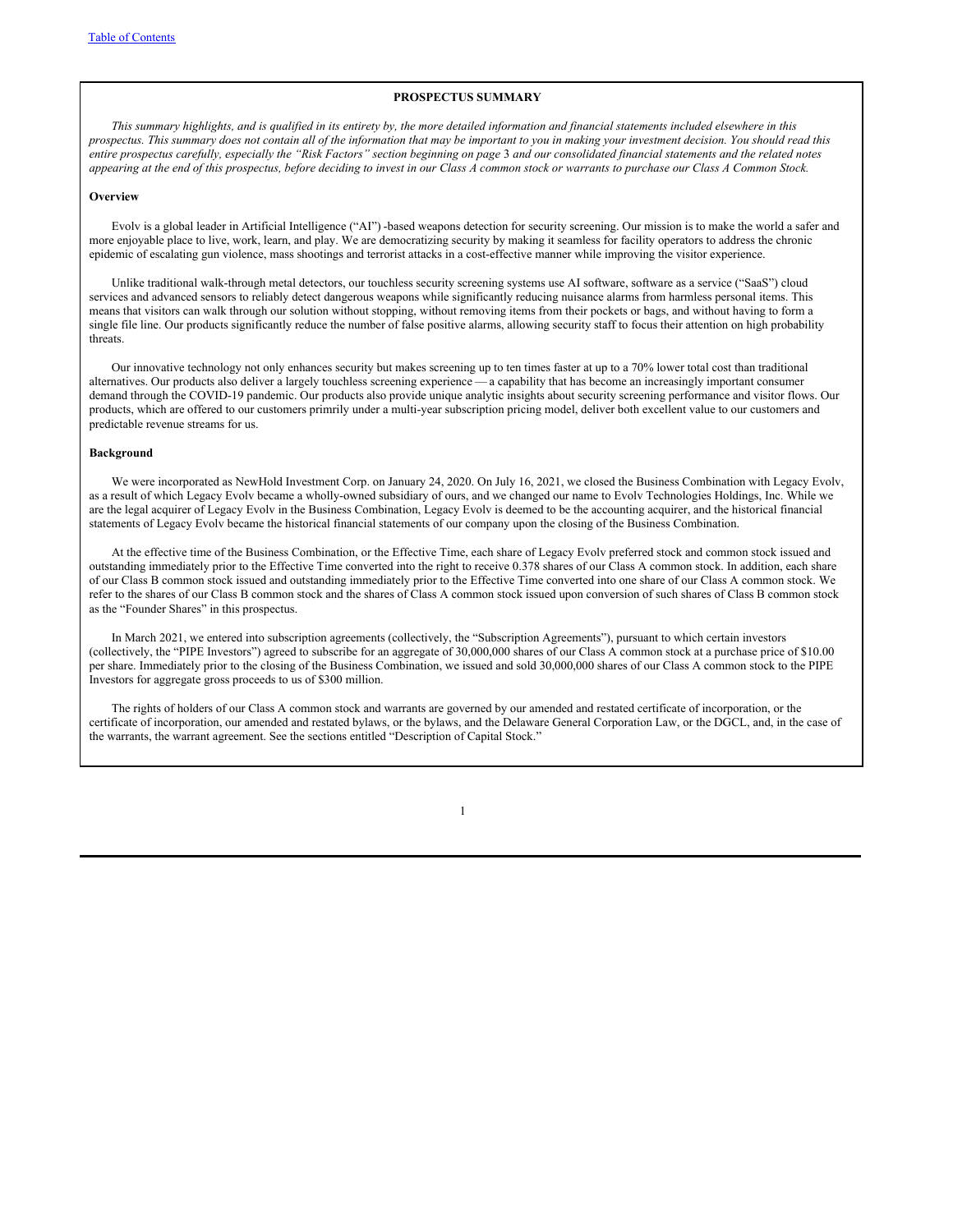### **PROSPECTUS SUMMARY**

This summary highlights, and is qualified in its entirety by, the more detailed information and financial statements included elsewhere in this prospectus. This summary does not contain all of the information that may be important to you in making your investment decision. You should read this entire prospectus carefully, especially the "Risk Factors" section beginning on page 3 and our consolidated financial statements and the related notes appearing at the end of this prospectus, before deciding to invest in our Class A common stock or warrants to purchase our Class A Common Stock.

#### **Overview**

Evolv is a global leader in Artificial Intelligence ("AI") -based weapons detection for security screening. Our mission is to make the world a safer and more enjoyable place to live, work, learn, and play. We are democratizing security by making it seamless for facility operators to address the chronic epidemic of escalating gun violence, mass shootings and terrorist attacks in a cost-effective manner while improving the visitor experience.

Unlike traditional walk-through metal detectors, our touchless security screening systems use AI software, software as a service ("SaaS") cloud services and advanced sensors to reliably detect dangerous weapons while significantly reducing nuisance alarms from harmless personal items. This means that visitors can walk through our solution without stopping, without removing items from their pockets or bags, and without having to form a single file line. Our products significantly reduce the number of false positive alarms, allowing security staff to focus their attention on high probability threats.

Our innovative technology not only enhances security but makes screening up to ten times faster at up to a 70% lower total cost than traditional alternatives. Our products also deliver a largely touchless screening experience — a capability that has become an increasingly important consumer demand through the COVID-19 pandemic. Our products also provide unique analytic insights about security screening performance and visitor flows. Our products, which are offered to our customers primrily under a multi-year subscription pricing model, deliver both excellent value to our customers and predictable revenue streams for us.

# **Background**

We were incorporated as NewHold Investment Corp. on January 24, 2020. On July 16, 2021, we closed the Business Combination with Legacy Evolv, as a result of which Legacy Evolv became a wholly-owned subsidiary of ours, and we changed our name to Evolv Technologies Holdings, Inc. While we are the legal acquirer of Legacy Evolv in the Business Combination, Legacy Evolv is deemed to be the accounting acquirer, and the historical financial statements of Legacy Evolv became the historical financial statements of our company upon the closing of the Business Combination.

At the effective time of the Business Combination, or the Effective Time, each share of Legacy Evolv preferred stock and common stock issued and outstanding immediately prior to the Effective Time converted into the right to receive 0.378 shares of our Class A common stock. In addition, each share of our Class B common stock issued and outstanding immediately prior to the Effective Time converted into one share of our Class A common stock. We refer to the shares of our Class B common stock and the shares of Class A common stock issued upon conversion of such shares of Class B common stock as the "Founder Shares" in this prospectus.

In March 2021, we entered into subscription agreements (collectively, the "Subscription Agreements"), pursuant to which certain investors (collectively, the "PIPE Investors") agreed to subscribe for an aggregate of 30,000,000 shares of our Class A common stock at a purchase price of \$10.00 per share. Immediately prior to the closing of the Business Combination, we issued and sold 30,000,000 shares of our Class A common stock to the PIPE Investors for aggregate gross proceeds to us of \$300 million.

The rights of holders of our Class A common stock and warrants are governed by our amended and restated certificate of incorporation, or the certificate of incorporation, our amended and restated bylaws, or the bylaws, and the Delaware General Corporation Law, or the DGCL, and, in the case of the warrants, the warrant agreement. See the sections entitled "Description of Capital Stock."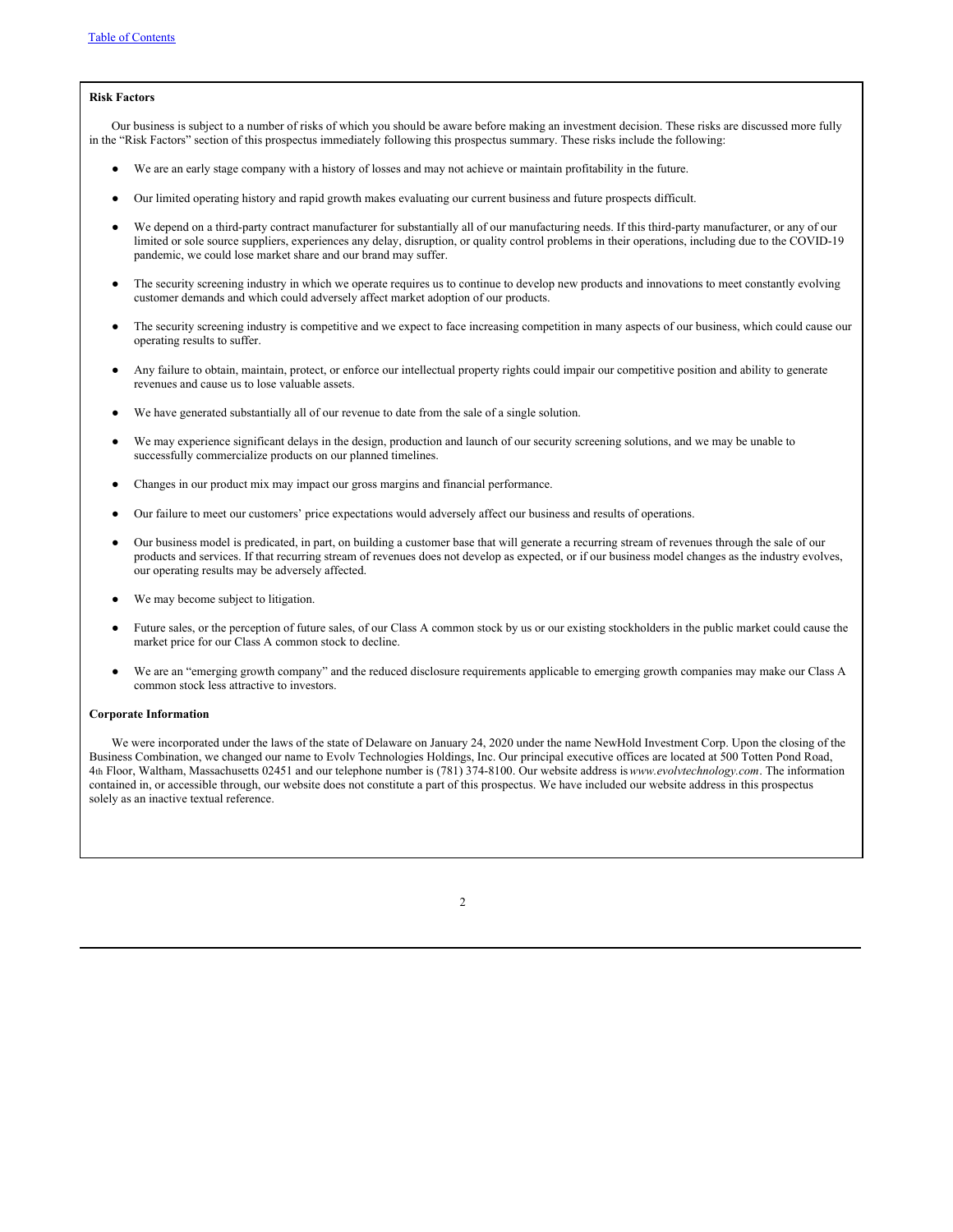# **Risk Factors**

Our business is subject to a number of risks of which you should be aware before making an investment decision. These risks are discussed more fully in the "Risk Factors" section of this prospectus immediately following this prospectus summary. These risks include the following:

- We are an early stage company with a history of losses and may not achieve or maintain profitability in the future.
- Our limited operating history and rapid growth makes evaluating our current business and future prospects difficult.
- We depend on a third-party contract manufacturer for substantially all of our manufacturing needs. If this third-party manufacturer, or any of our limited or sole source suppliers, experiences any delay, disruption, or quality control problems in their operations, including due to the COVID-19 pandemic, we could lose market share and our brand may suffer.
- The security screening industry in which we operate requires us to continue to develop new products and innovations to meet constantly evolving customer demands and which could adversely affect market adoption of our products.
- The security screening industry is competitive and we expect to face increasing competition in many aspects of our business, which could cause our operating results to suffer.
- Any failure to obtain, maintain, protect, or enforce our intellectual property rights could impair our competitive position and ability to generate revenues and cause us to lose valuable assets.
- We have generated substantially all of our revenue to date from the sale of a single solution.
- We may experience significant delays in the design, production and launch of our security screening solutions, and we may be unable to successfully commercialize products on our planned timelines.
- Changes in our product mix may impact our gross margins and financial performance.
- Our failure to meet our customers' price expectations would adversely affect our business and results of operations.
- Our business model is predicated, in part, on building a customer base that will generate a recurring stream of revenues through the sale of our products and services. If that recurring stream of revenues does not develop as expected, or if our business model changes as the industry evolves, our operating results may be adversely affected.
- We may become subject to litigation.
- Future sales, or the perception of future sales, of our Class A common stock by us or our existing stockholders in the public market could cause the market price for our Class A common stock to decline.
- We are an "emerging growth company" and the reduced disclosure requirements applicable to emerging growth companies may make our Class A common stock less attractive to investors.

#### **Corporate Information**

We were incorporated under the laws of the state of Delaware on January 24, 2020 under the name NewHold Investment Corp. Upon the closing of the Business Combination, we changed our name to Evolv Technologies Holdings, Inc. Our principal executive offices are located at 500 Totten Pond Road, 4th Floor, Waltham, Massachusetts 02451 and our telephone number is (781) 374-8100. Our website address is*www.evolvtechnology.com*. The information contained in, or accessible through, our website does not constitute a part of this prospectus. We have included our website address in this prospectus solely as an inactive textual reference.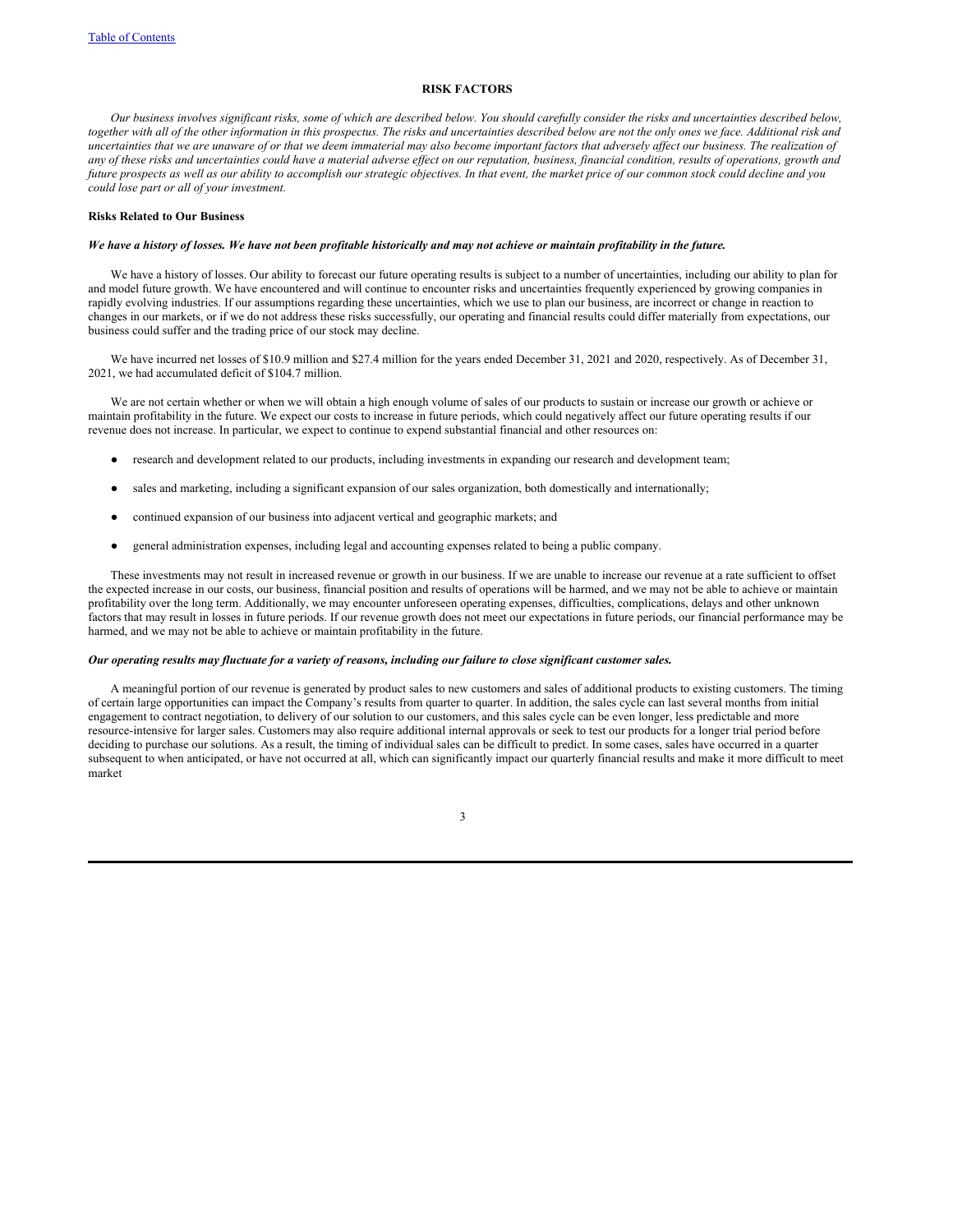# **RISK FACTORS**

Our business involves significant risks, some of which are described below. You should carefully consider the risks and uncertainties described below, together with all of the other information in this prospectus. The risks and uncertainties described below are not the only ones we face. Additional risk and uncertainties that we are unaware of or that we deem immaterial may also become important factors that adversely affect our business. The realization of any of these risks and uncertainties could have a material adverse effect on our reputation, business, financial condition, results of operations, growth and future prospects as well as our ability to accomplish our strategic objectives. In that event, the market price of our common stock could decline and you *could lose part or all of your investment.*

#### **Risks Related to Our Business**

# We have a history of losses. We have not been profitable historically and may not achieve or maintain profitability in the future.

We have a history of losses. Our ability to forecast our future operating results is subject to a number of uncertainties, including our ability to plan for and model future growth. We have encountered and will continue to encounter risks and uncertainties frequently experienced by growing companies in rapidly evolving industries. If our assumptions regarding these uncertainties, which we use to plan our business, are incorrect or change in reaction to changes in our markets, or if we do not address these risks successfully, our operating and financial results could differ materially from expectations, our business could suffer and the trading price of our stock may decline.

We have incurred net losses of \$10.9 million and \$27.4 million for the years ended December 31, 2021 and 2020, respectively. As of December 31, 2021, we had accumulated deficit of \$104.7 million.

We are not certain whether or when we will obtain a high enough volume of sales of our products to sustain or increase our growth or achieve or maintain profitability in the future. We expect our costs to increase in future periods, which could negatively affect our future operating results if our revenue does not increase. In particular, we expect to continue to expend substantial financial and other resources on:

- research and development related to our products, including investments in expanding our research and development team;
- sales and marketing, including a significant expansion of our sales organization, both domestically and internationally;
- continued expansion of our business into adjacent vertical and geographic markets; and
- general administration expenses, including legal and accounting expenses related to being a public company.

These investments may not result in increased revenue or growth in our business. If we are unable to increase our revenue at a rate sufficient to offset the expected increase in our costs, our business, financial position and results of operations will be harmed, and we may not be able to achieve or maintain profitability over the long term. Additionally, we may encounter unforeseen operating expenses, difficulties, complications, delays and other unknown factors that may result in losses in future periods. If our revenue growth does not meet our expectations in future periods, our financial performance may be harmed, and we may not be able to achieve or maintain profitability in the future.

#### Our operating results may fluctuate for a variety of reasons, including our failure to close significant customer sales.

A meaningful portion of our revenue is generated by product sales to new customers and sales of additional products to existing customers. The timing of certain large opportunities can impact the Company's results from quarter to quarter. In addition, the sales cycle can last several months from initial engagement to contract negotiation, to delivery of our solution to our customers, and this sales cycle can be even longer, less predictable and more resource-intensive for larger sales. Customers may also require additional internal approvals or seek to test our products for a longer trial period before deciding to purchase our solutions. As a result, the timing of individual sales can be difficult to predict. In some cases, sales have occurred in a quarter subsequent to when anticipated, or have not occurred at all, which can significantly impact our quarterly financial results and make it more difficult to meet market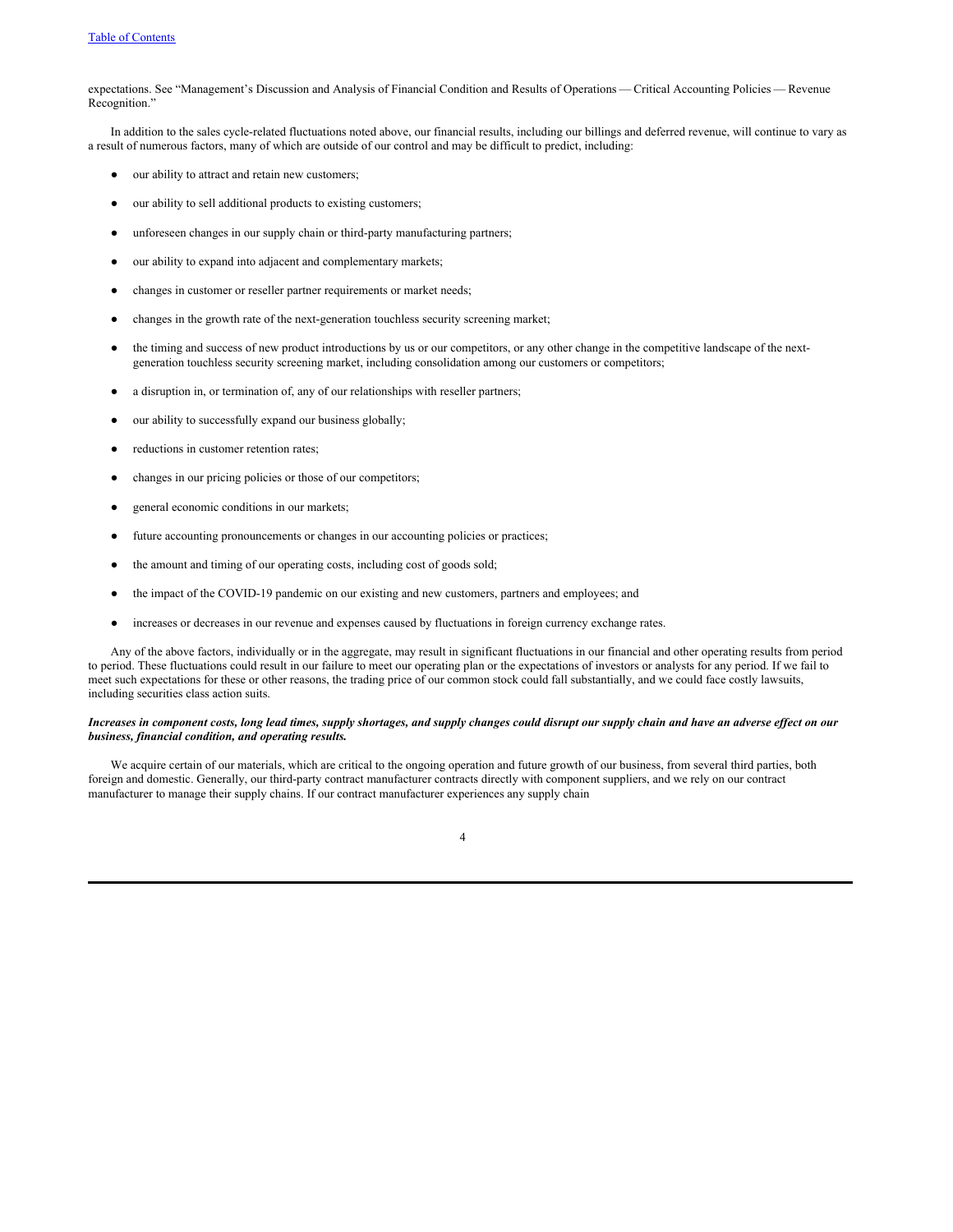expectations. See "Management's Discussion and Analysis of Financial Condition and Results of Operations — Critical Accounting Policies — Revenue Recognition."

In addition to the sales cycle-related fluctuations noted above, our financial results, including our billings and deferred revenue, will continue to vary as a result of numerous factors, many of which are outside of our control and may be difficult to predict, including:

- our ability to attract and retain new customers;
- our ability to sell additional products to existing customers;
- unforeseen changes in our supply chain or third-party manufacturing partners;
- our ability to expand into adjacent and complementary markets;
- changes in customer or reseller partner requirements or market needs;
- changes in the growth rate of the next-generation touchless security screening market;
- the timing and success of new product introductions by us or our competitors, or any other change in the competitive landscape of the nextgeneration touchless security screening market, including consolidation among our customers or competitors;
- a disruption in, or termination of, any of our relationships with reseller partners;
- our ability to successfully expand our business globally;
- reductions in customer retention rates;
- changes in our pricing policies or those of our competitors;
- general economic conditions in our markets;
- future accounting pronouncements or changes in our accounting policies or practices;
- the amount and timing of our operating costs, including cost of goods sold;
- the impact of the COVID-19 pandemic on our existing and new customers, partners and employees; and
- increases or decreases in our revenue and expenses caused by fluctuations in foreign currency exchange rates.

Any of the above factors, individually or in the aggregate, may result in significant fluctuations in our financial and other operating results from period to period. These fluctuations could result in our failure to meet our operating plan or the expectations of investors or analysts for any period. If we fail to meet such expectations for these or other reasons, the trading price of our common stock could fall substantially, and we could face costly lawsuits, including securities class action suits.

# Increases in component costs, long lead times, supply shortages, and supply changes could disrupt our supply chain and have an adverse effect on our *business, financial condition, and operating results.*

We acquire certain of our materials, which are critical to the ongoing operation and future growth of our business, from several third parties, both foreign and domestic. Generally, our third-party contract manufacturer contracts directly with component suppliers, and we rely on our contract manufacturer to manage their supply chains. If our contract manufacturer experiences any supply chain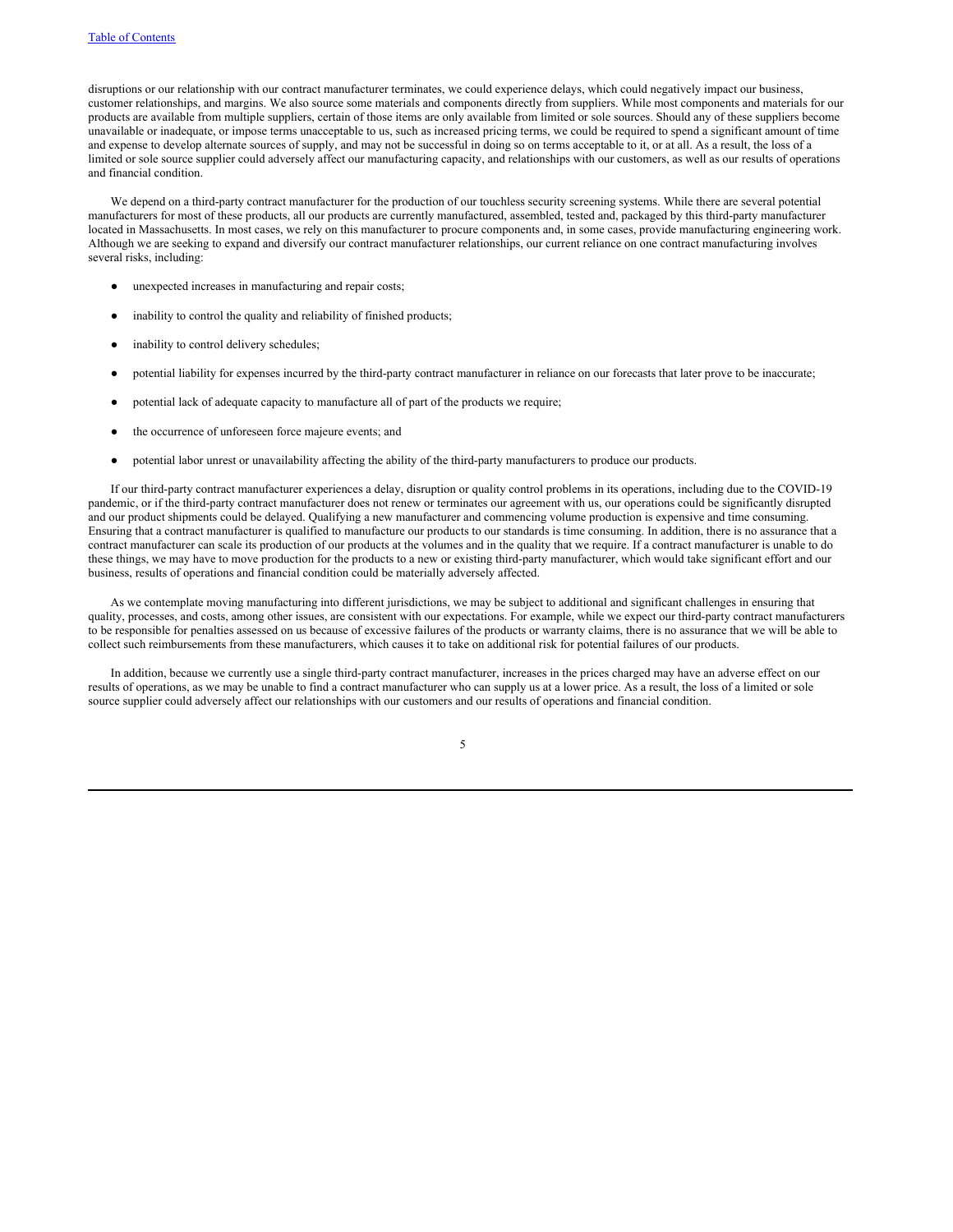disruptions or our relationship with our contract manufacturer terminates, we could experience delays, which could negatively impact our business, customer relationships, and margins. We also source some materials and components directly from suppliers. While most components and materials for our products are available from multiple suppliers, certain of those items are only available from limited or sole sources. Should any of these suppliers become unavailable or inadequate, or impose terms unacceptable to us, such as increased pricing terms, we could be required to spend a significant amount of time and expense to develop alternate sources of supply, and may not be successful in doing so on terms acceptable to it, or at all. As a result, the loss of a limited or sole source supplier could adversely affect our manufacturing capacity, and relationships with our customers, as well as our results of operations and financial condition.

We depend on a third-party contract manufacturer for the production of our touchless security screening systems. While there are several potential manufacturers for most of these products, all our products are currently manufactured, assembled, tested and, packaged by this third-party manufacturer located in Massachusetts. In most cases, we rely on this manufacturer to procure components and, in some cases, provide manufacturing engineering work. Although we are seeking to expand and diversify our contract manufacturer relationships, our current reliance on one contract manufacturing involves several risks, including:

- unexpected increases in manufacturing and repair costs;
- inability to control the quality and reliability of finished products;
- inability to control delivery schedules;
- potential liability for expenses incurred by the third-party contract manufacturer in reliance on our forecasts that later prove to be inaccurate;
- potential lack of adequate capacity to manufacture all of part of the products we require;
- the occurrence of unforeseen force majeure events; and
- potential labor unrest or unavailability affecting the ability of the third-party manufacturers to produce our products.

If our third-party contract manufacturer experiences a delay, disruption or quality control problems in its operations, including due to the COVID-19 pandemic, or if the third-party contract manufacturer does not renew or terminates our agreement with us, our operations could be significantly disrupted and our product shipments could be delayed. Qualifying a new manufacturer and commencing volume production is expensive and time consuming. Ensuring that a contract manufacturer is qualified to manufacture our products to our standards is time consuming. In addition, there is no assurance that a contract manufacturer can scale its production of our products at the volumes and in the quality that we require. If a contract manufacturer is unable to do these things, we may have to move production for the products to a new or existing third-party manufacturer, which would take significant effort and our business, results of operations and financial condition could be materially adversely affected.

As we contemplate moving manufacturing into different jurisdictions, we may be subject to additional and significant challenges in ensuring that quality, processes, and costs, among other issues, are consistent with our expectations. For example, while we expect our third-party contract manufacturers to be responsible for penalties assessed on us because of excessive failures of the products or warranty claims, there is no assurance that we will be able to collect such reimbursements from these manufacturers, which causes it to take on additional risk for potential failures of our products.

In addition, because we currently use a single third-party contract manufacturer, increases in the prices charged may have an adverse effect on our results of operations, as we may be unable to find a contract manufacturer who can supply us at a lower price. As a result, the loss of a limited or sole source supplier could adversely affect our relationships with our customers and our results of operations and financial condition.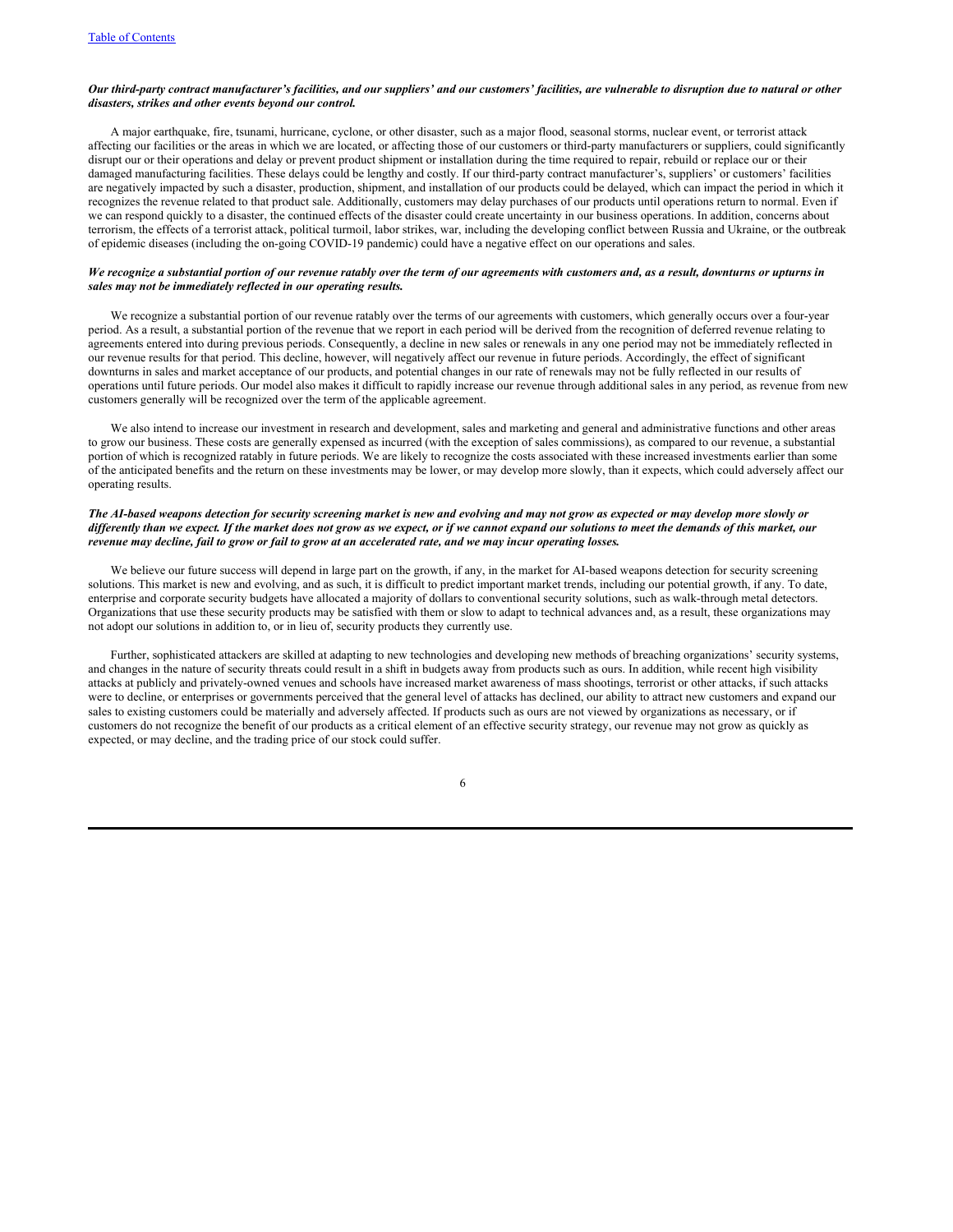# Our third-party contract manufacturer's facilities, and our suppliers' and our customers' facilities, are vulnerable to disruption due to natural or other *disasters, strikes and other events beyond our control.*

A major earthquake, fire, tsunami, hurricane, cyclone, or other disaster, such as a major flood, seasonal storms, nuclear event, or terrorist attack affecting our facilities or the areas in which we are located, or affecting those of our customers or third-party manufacturers or suppliers, could significantly disrupt our or their operations and delay or prevent product shipment or installation during the time required to repair, rebuild or replace our or their damaged manufacturing facilities. These delays could be lengthy and costly. If our third-party contract manufacturer's, suppliers' or customers' facilities are negatively impacted by such a disaster, production, shipment, and installation of our products could be delayed, which can impact the period in which it recognizes the revenue related to that product sale. Additionally, customers may delay purchases of our products until operations return to normal. Even if we can respond quickly to a disaster, the continued effects of the disaster could create uncertainty in our business operations. In addition, concerns about terrorism, the effects of a terrorist attack, political turmoil, labor strikes, war, including the developing conflict between Russia and Ukraine, or the outbreak of epidemic diseases (including the on-going COVID-19 pandemic) could have a negative effect on our operations and sales.

# We recognize a substantial portion of our revenue ratably over the term of our agreements with customers and, as a result, downturns or upturns in *sales may not be immediately reflected in our operating results.*

We recognize a substantial portion of our revenue ratably over the terms of our agreements with customers, which generally occurs over a four-year period. As a result, a substantial portion of the revenue that we report in each period will be derived from the recognition of deferred revenue relating to agreements entered into during previous periods. Consequently, a decline in new sales or renewals in any one period may not be immediately reflected in our revenue results for that period. This decline, however, will negatively affect our revenue in future periods. Accordingly, the effect of significant downturns in sales and market acceptance of our products, and potential changes in our rate of renewals may not be fully reflected in our results of operations until future periods. Our model also makes it difficult to rapidly increase our revenue through additional sales in any period, as revenue from new customers generally will be recognized over the term of the applicable agreement.

We also intend to increase our investment in research and development, sales and marketing and general and administrative functions and other areas to grow our business. These costs are generally expensed as incurred (with the exception of sales commissions), as compared to our revenue, a substantial portion of which is recognized ratably in future periods. We are likely to recognize the costs associated with these increased investments earlier than some of the anticipated benefits and the return on these investments may be lower, or may develop more slowly, than it expects, which could adversely affect our operating results.

# The AI-based weapons detection for security screening market is new and evolving and may not grow as expected or may develop more slowly or differently than we expect. If the market does not grow as we expect, or if we cannot expand our solutions to meet the demands of this market, our revenue may decline, fail to grow or fail to grow at an accelerated rate, and we may incur operating losses.

We believe our future success will depend in large part on the growth, if any, in the market for AI-based weapons detection for security screening solutions. This market is new and evolving, and as such, it is difficult to predict important market trends, including our potential growth, if any. To date, enterprise and corporate security budgets have allocated a majority of dollars to conventional security solutions, such as walk-through metal detectors. Organizations that use these security products may be satisfied with them or slow to adapt to technical advances and, as a result, these organizations may not adopt our solutions in addition to, or in lieu of, security products they currently use.

Further, sophisticated attackers are skilled at adapting to new technologies and developing new methods of breaching organizations' security systems, and changes in the nature of security threats could result in a shift in budgets away from products such as ours. In addition, while recent high visibility attacks at publicly and privately-owned venues and schools have increased market awareness of mass shootings, terrorist or other attacks, if such attacks were to decline, or enterprises or governments perceived that the general level of attacks has declined, our ability to attract new customers and expand our sales to existing customers could be materially and adversely affected. If products such as ours are not viewed by organizations as necessary, or if customers do not recognize the benefit of our products as a critical element of an effective security strategy, our revenue may not grow as quickly as expected, or may decline, and the trading price of our stock could suffer.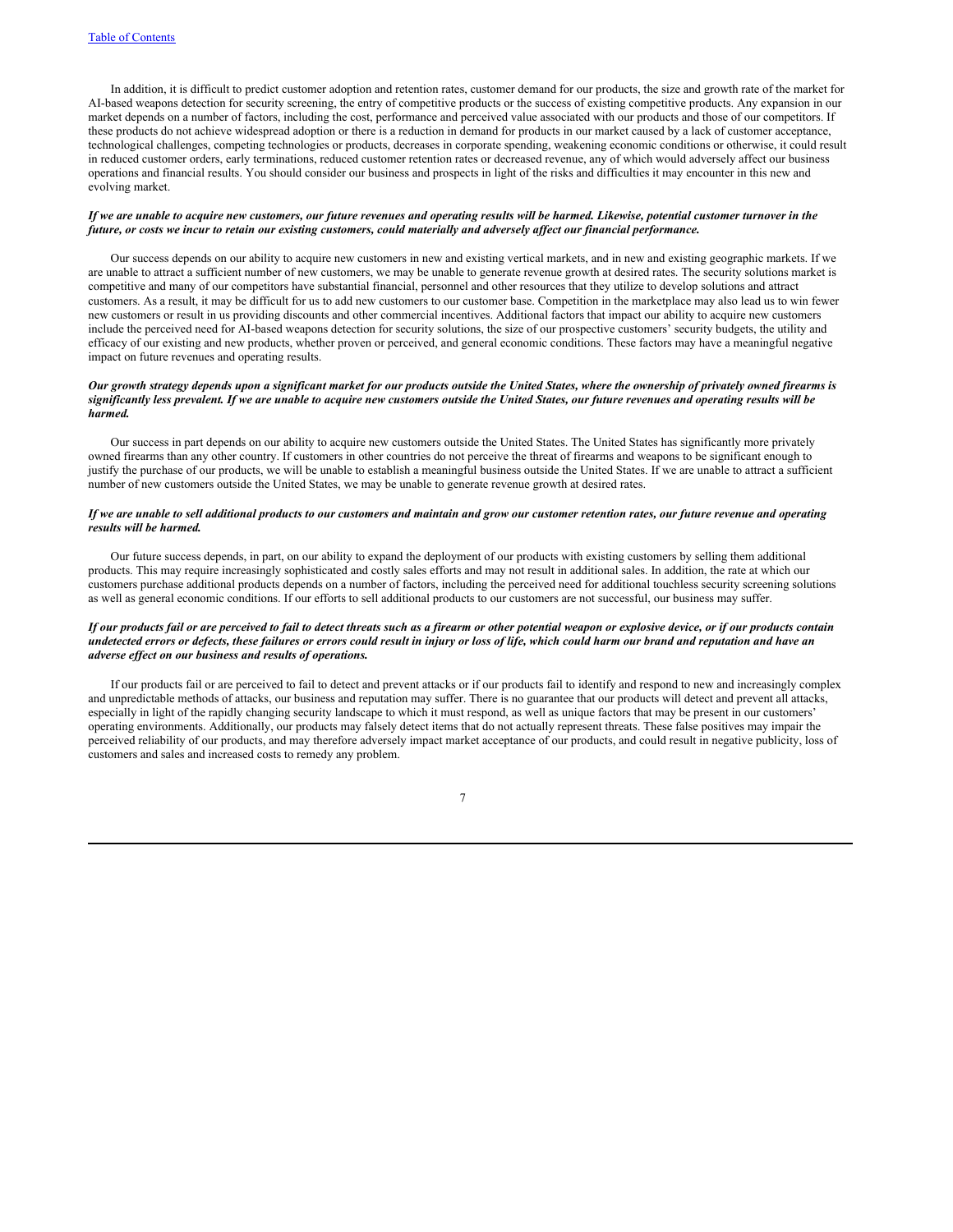In addition, it is difficult to predict customer adoption and retention rates, customer demand for our products, the size and growth rate of the market for AI-based weapons detection for security screening, the entry of competitive products or the success of existing competitive products. Any expansion in our market depends on a number of factors, including the cost, performance and perceived value associated with our products and those of our competitors. If these products do not achieve widespread adoption or there is a reduction in demand for products in our market caused by a lack of customer acceptance, technological challenges, competing technologies or products, decreases in corporate spending, weakening economic conditions or otherwise, it could result in reduced customer orders, early terminations, reduced customer retention rates or decreased revenue, any of which would adversely affect our business operations and financial results. You should consider our business and prospects in light of the risks and difficulties it may encounter in this new and evolving market.

# If we are unable to acquire new customers, our future revenues and operating results will be harmed. Likewise, potential customer turnover in the future, or costs we incur to retain our existing customers, could materially and adversely affect our financial performance.

Our success depends on our ability to acquire new customers in new and existing vertical markets, and in new and existing geographic markets. If we are unable to attract a sufficient number of new customers, we may be unable to generate revenue growth at desired rates. The security solutions market is competitive and many of our competitors have substantial financial, personnel and other resources that they utilize to develop solutions and attract customers. As a result, it may be difficult for us to add new customers to our customer base. Competition in the marketplace may also lead us to win fewer new customers or result in us providing discounts and other commercial incentives. Additional factors that impact our ability to acquire new customers include the perceived need for AI-based weapons detection for security solutions, the size of our prospective customers' security budgets, the utility and efficacy of our existing and new products, whether proven or perceived, and general economic conditions. These factors may have a meaningful negative impact on future revenues and operating results.

# Our growth strategy depends upon a significant market for our products outside the United States, where the ownership of privately owned firearms is significantly less prevalent. If we are unable to acquire new customers outside the United States, our future revenues and operating results will be *harmed.*

Our success in part depends on our ability to acquire new customers outside the United States. The United States has significantly more privately owned firearms than any other country. If customers in other countries do not perceive the threat of firearms and weapons to be significant enough to justify the purchase of our products, we will be unable to establish a meaningful business outside the United States. If we are unable to attract a sufficient number of new customers outside the United States, we may be unable to generate revenue growth at desired rates.

# If we are unable to sell additional products to our customers and maintain and grow our customer retention rates, our future revenue and operating *results will be harmed.*

Our future success depends, in part, on our ability to expand the deployment of our products with existing customers by selling them additional products. This may require increasingly sophisticated and costly sales efforts and may not result in additional sales. In addition, the rate at which our customers purchase additional products depends on a number of factors, including the perceived need for additional touchless security screening solutions as well as general economic conditions. If our efforts to sell additional products to our customers are not successful, our business may suffer.

# If our products fail or are perceived to fail to detect threats such as a firearm or other potential weapon or explosive device, or if our products contain undetected errors or defects, these failures or errors could result in injury or loss of life, which could harm our brand and reputation and have an *adverse ef ect on our business and results of operations.*

If our products fail or are perceived to fail to detect and prevent attacks or if our products fail to identify and respond to new and increasingly complex and unpredictable methods of attacks, our business and reputation may suffer. There is no guarantee that our products will detect and prevent all attacks, especially in light of the rapidly changing security landscape to which it must respond, as well as unique factors that may be present in our customers' operating environments. Additionally, our products may falsely detect items that do not actually represent threats. These false positives may impair the perceived reliability of our products, and may therefore adversely impact market acceptance of our products, and could result in negative publicity, loss of customers and sales and increased costs to remedy any problem.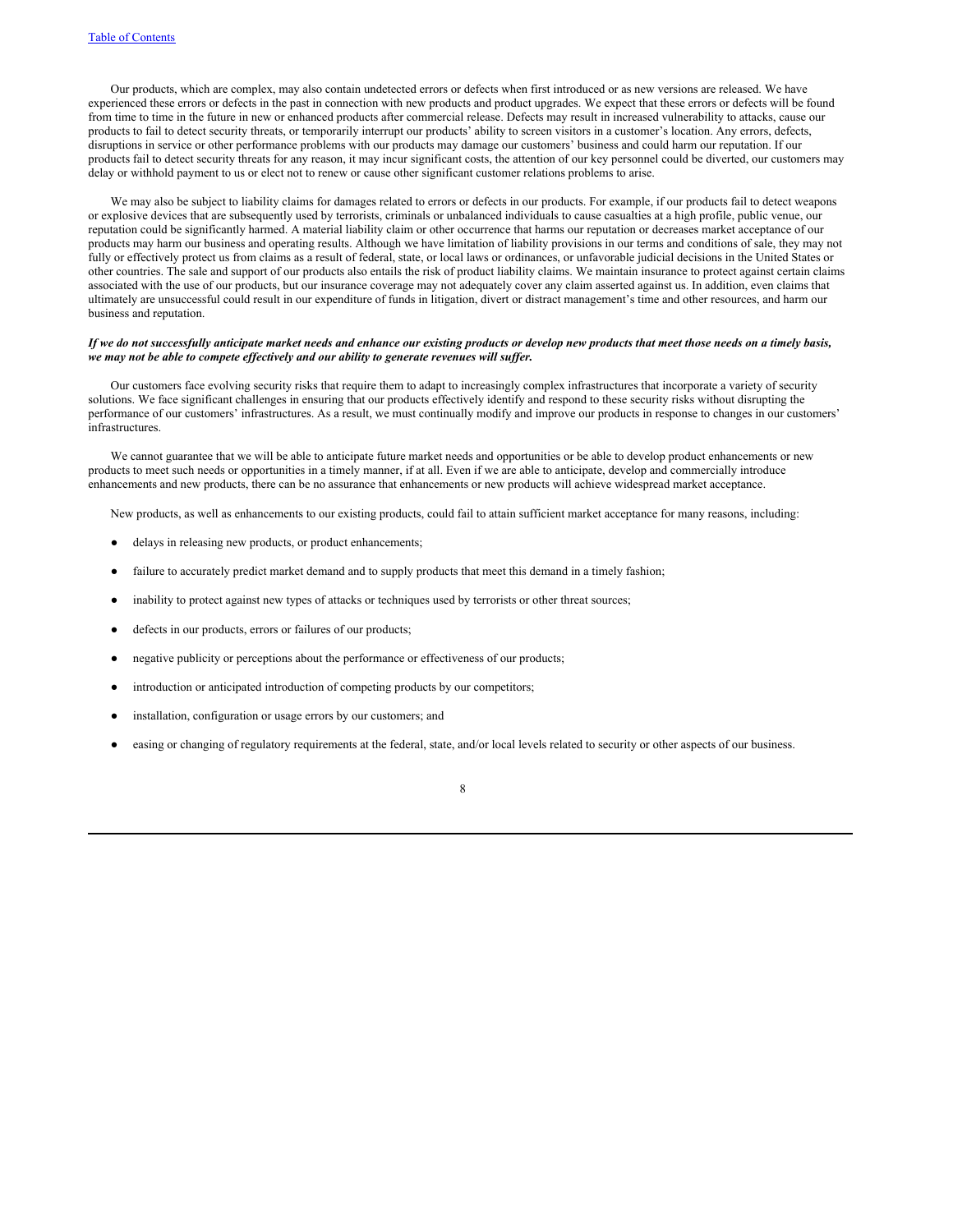Our products, which are complex, may also contain undetected errors or defects when first introduced or as new versions are released. We have experienced these errors or defects in the past in connection with new products and product upgrades. We expect that these errors or defects will be found from time to time in the future in new or enhanced products after commercial release. Defects may result in increased vulnerability to attacks, cause our products to fail to detect security threats, or temporarily interrupt our products' ability to screen visitors in a customer's location. Any errors, defects, disruptions in service or other performance problems with our products may damage our customers' business and could harm our reputation. If our products fail to detect security threats for any reason, it may incur significant costs, the attention of our key personnel could be diverted, our customers may delay or withhold payment to us or elect not to renew or cause other significant customer relations problems to arise.

We may also be subject to liability claims for damages related to errors or defects in our products. For example, if our products fail to detect weapons or explosive devices that are subsequently used by terrorists, criminals or unbalanced individuals to cause casualties at a high profile, public venue, our reputation could be significantly harmed. A material liability claim or other occurrence that harms our reputation or decreases market acceptance of our products may harm our business and operating results. Although we have limitation of liability provisions in our terms and conditions of sale, they may not fully or effectively protect us from claims as a result of federal, state, or local laws or ordinances, or unfavorable judicial decisions in the United States or other countries. The sale and support of our products also entails the risk of product liability claims. We maintain insurance to protect against certain claims associated with the use of our products, but our insurance coverage may not adequately cover any claim asserted against us. In addition, even claims that ultimately are unsuccessful could result in our expenditure of funds in litigation, divert or distract management's time and other resources, and harm our business and reputation.

### If we do not successfully anticipate market needs and enhance our existing products or develop new products that meet those needs on a timely basis, *we may not be able to compete ef ectively and our ability to generate revenues will suf er.*

Our customers face evolving security risks that require them to adapt to increasingly complex infrastructures that incorporate a variety of security solutions. We face significant challenges in ensuring that our products effectively identify and respond to these security risks without disrupting the performance of our customers' infrastructures. As a result, we must continually modify and improve our products in response to changes in our customers' infrastructures.

We cannot guarantee that we will be able to anticipate future market needs and opportunities or be able to develop product enhancements or new products to meet such needs or opportunities in a timely manner, if at all. Even if we are able to anticipate, develop and commercially introduce enhancements and new products, there can be no assurance that enhancements or new products will achieve widespread market acceptance.

New products, as well as enhancements to our existing products, could fail to attain sufficient market acceptance for many reasons, including:

- delays in releasing new products, or product enhancements;
- failure to accurately predict market demand and to supply products that meet this demand in a timely fashion;
- inability to protect against new types of attacks or techniques used by terrorists or other threat sources;
- defects in our products, errors or failures of our products;
- negative publicity or perceptions about the performance or effectiveness of our products;
- introduction or anticipated introduction of competing products by our competitors;
- installation, configuration or usage errors by our customers; and
- easing or changing of regulatory requirements at the federal, state, and/or local levels related to security or other aspects of our business.

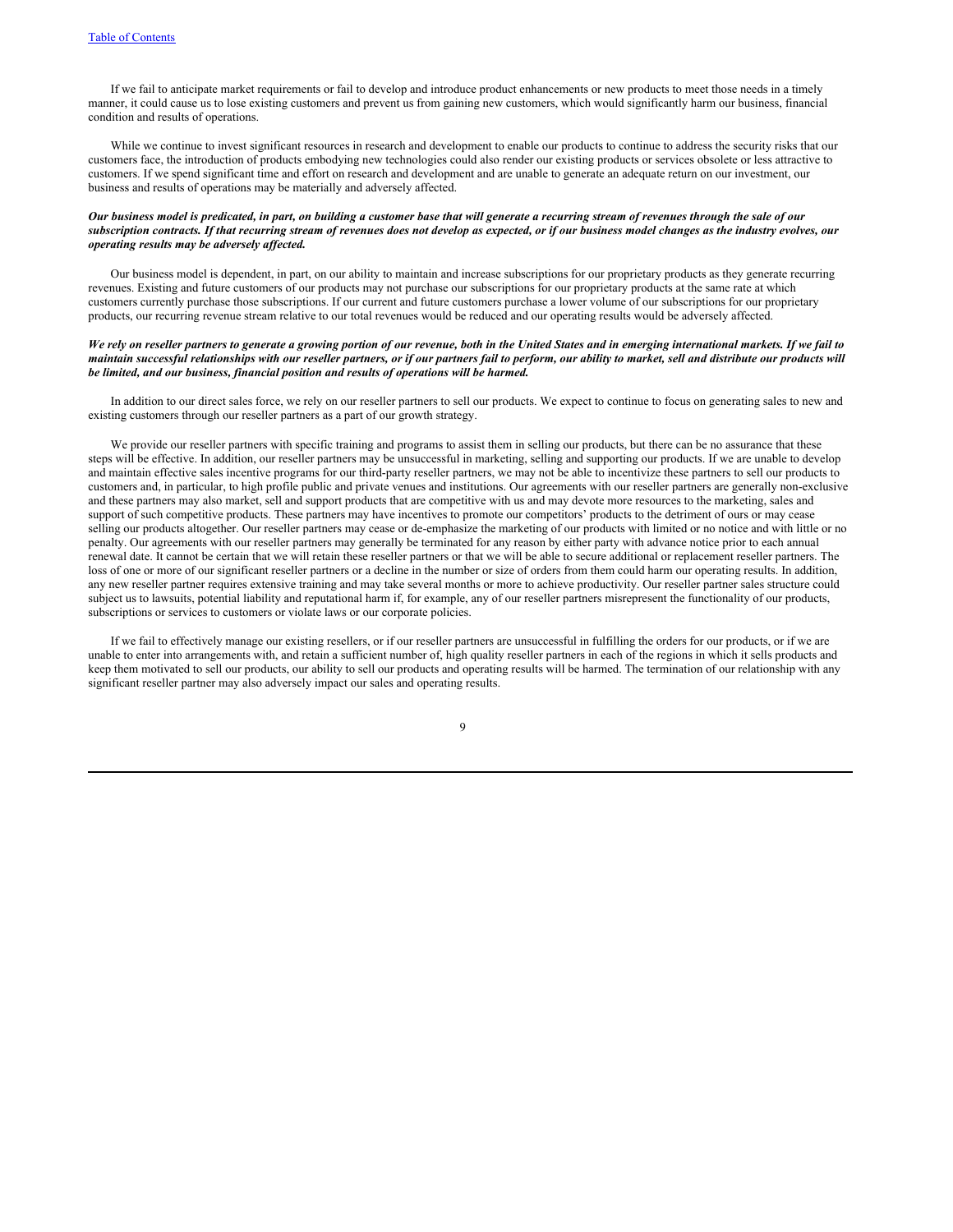If we fail to anticipate market requirements or fail to develop and introduce product enhancements or new products to meet those needs in a timely manner, it could cause us to lose existing customers and prevent us from gaining new customers, which would significantly harm our business, financial condition and results of operations.

While we continue to invest significant resources in research and development to enable our products to continue to address the security risks that our customers face, the introduction of products embodying new technologies could also render our existing products or services obsolete or less attractive to customers. If we spend significant time and effort on research and development and are unable to generate an adequate return on our investment, our business and results of operations may be materially and adversely affected.

# Our business model is predicated, in part, on building a customer base that will generate a recurring stream of revenues through the sale of our subscription contracts. If that recurring stream of revenues does not develop as expected, or if our business model changes as the industry evolves, our *operating results may be adversely af ected.*

Our business model is dependent, in part, on our ability to maintain and increase subscriptions for our proprietary products as they generate recurring revenues. Existing and future customers of our products may not purchase our subscriptions for our proprietary products at the same rate at which customers currently purchase those subscriptions. If our current and future customers purchase a lower volume of our subscriptions for our proprietary products, our recurring revenue stream relative to our total revenues would be reduced and our operating results would be adversely affected.

# We rely on reseller partners to generate a growing portion of our revenue, both in the United States and in emerging international markets. If we fail to maintain successful relationships with our reseller partners, or if our partners fail to perform, our ability to market, sell and distribute our products will *be limited, and our business, financial position and results of operations will be harmed.*

In addition to our direct sales force, we rely on our reseller partners to sell our products. We expect to continue to focus on generating sales to new and existing customers through our reseller partners as a part of our growth strategy.

We provide our reseller partners with specific training and programs to assist them in selling our products, but there can be no assurance that these steps will be effective. In addition, our reseller partners may be unsuccessful in marketing, selling and supporting our products. If we are unable to develop and maintain effective sales incentive programs for our third-party reseller partners, we may not be able to incentivize these partners to sell our products to customers and, in particular, to high profile public and private venues and institutions. Our agreements with our reseller partners are generally non-exclusive and these partners may also market, sell and support products that are competitive with us and may devote more resources to the marketing, sales and support of such competitive products. These partners may have incentives to promote our competitors' products to the detriment of ours or may cease selling our products altogether. Our reseller partners may cease or de-emphasize the marketing of our products with limited or no notice and with little or no penalty. Our agreements with our reseller partners may generally be terminated for any reason by either party with advance notice prior to each annual renewal date. It cannot be certain that we will retain these reseller partners or that we will be able to secure additional or replacement reseller partners. The loss of one or more of our significant reseller partners or a decline in the number or size of orders from them could harm our operating results. In addition, any new reseller partner requires extensive training and may take several months or more to achieve productivity. Our reseller partner sales structure could subject us to lawsuits, potential liability and reputational harm if, for example, any of our reseller partners misrepresent the functionality of our products, subscriptions or services to customers or violate laws or our corporate policies.

If we fail to effectively manage our existing resellers, or if our reseller partners are unsuccessful in fulfilling the orders for our products, or if we are unable to enter into arrangements with, and retain a sufficient number of, high quality reseller partners in each of the regions in which it sells products and keep them motivated to sell our products, our ability to sell our products and operating results will be harmed. The termination of our relationship with any significant reseller partner may also adversely impact our sales and operating results.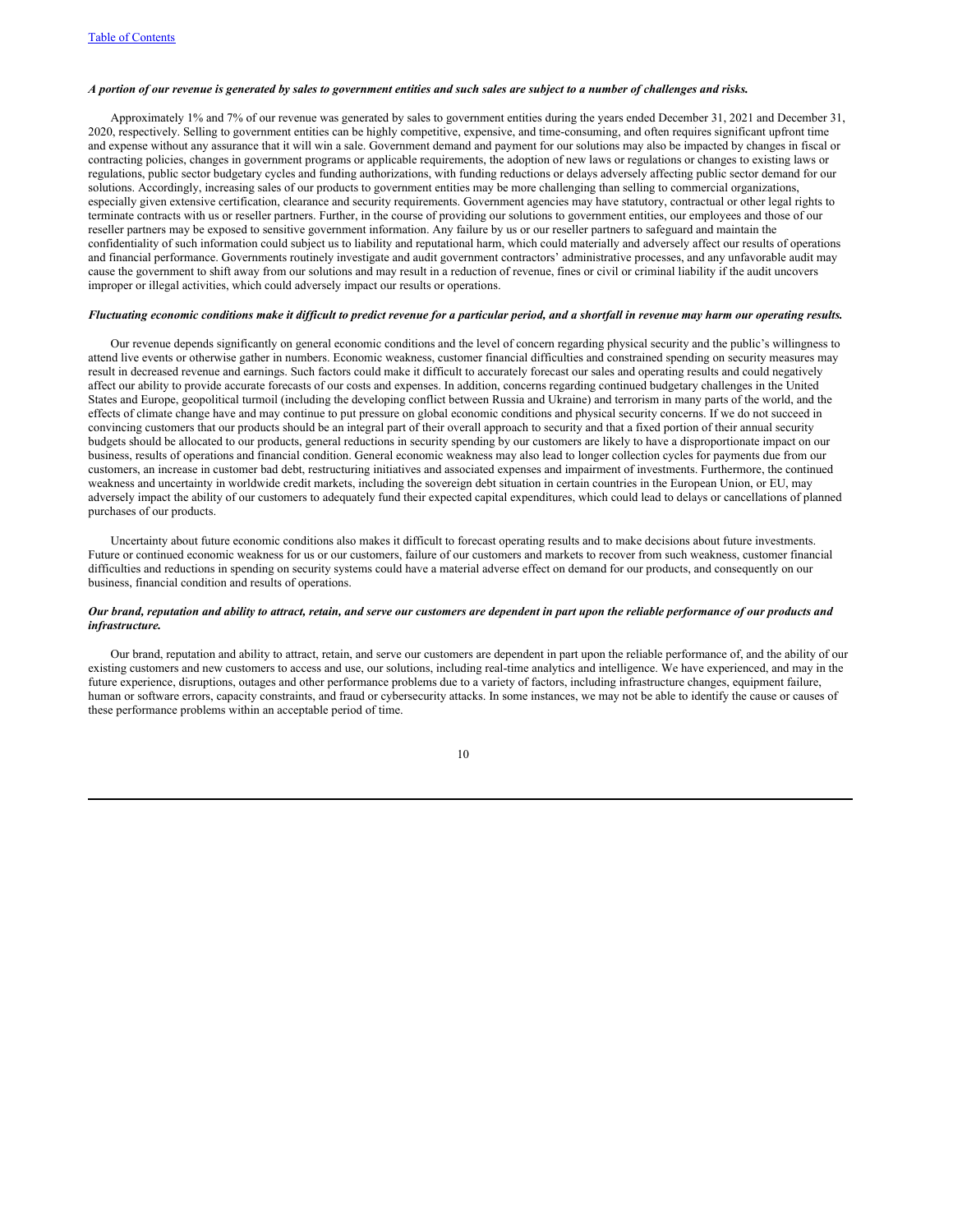### A portion of our revenue is generated by sales to government entities and such sales are subject to a number of challenges and risks.

Approximately 1% and 7% of our revenue was generated by sales to government entities during the years ended December 31, 2021 and December 31, 2020, respectively. Selling to government entities can be highly competitive, expensive, and time-consuming, and often requires significant upfront time and expense without any assurance that it will win a sale. Government demand and payment for our solutions may also be impacted by changes in fiscal or contracting policies, changes in government programs or applicable requirements, the adoption of new laws or regulations or changes to existing laws or regulations, public sector budgetary cycles and funding authorizations, with funding reductions or delays adversely affecting public sector demand for our solutions. Accordingly, increasing sales of our products to government entities may be more challenging than selling to commercial organizations, especially given extensive certification, clearance and security requirements. Government agencies may have statutory, contractual or other legal rights to terminate contracts with us or reseller partners. Further, in the course of providing our solutions to government entities, our employees and those of our reseller partners may be exposed to sensitive government information. Any failure by us or our reseller partners to safeguard and maintain the confidentiality of such information could subject us to liability and reputational harm, which could materially and adversely affect our results of operations and financial performance. Governments routinely investigate and audit government contractors' administrative processes, and any unfavorable audit may cause the government to shift away from our solutions and may result in a reduction of revenue, fines or civil or criminal liability if the audit uncovers improper or illegal activities, which could adversely impact our results or operations.

# Fluctuating economic conditions make it difficult to predict revenue for a particular period, and a shortfall in revenue may harm our operating results.

Our revenue depends significantly on general economic conditions and the level of concern regarding physical security and the public's willingness to attend live events or otherwise gather in numbers. Economic weakness, customer financial difficulties and constrained spending on security measures may result in decreased revenue and earnings. Such factors could make it difficult to accurately forecast our sales and operating results and could negatively affect our ability to provide accurate forecasts of our costs and expenses. In addition, concerns regarding continued budgetary challenges in the United States and Europe, geopolitical turmoil (including the developing conflict between Russia and Ukraine) and terrorism in many parts of the world, and the effects of climate change have and may continue to put pressure on global economic conditions and physical security concerns. If we do not succeed in convincing customers that our products should be an integral part of their overall approach to security and that a fixed portion of their annual security budgets should be allocated to our products, general reductions in security spending by our customers are likely to have a disproportionate impact on our business, results of operations and financial condition. General economic weakness may also lead to longer collection cycles for payments due from our customers, an increase in customer bad debt, restructuring initiatives and associated expenses and impairment of investments. Furthermore, the continued weakness and uncertainty in worldwide credit markets, including the sovereign debt situation in certain countries in the European Union, or EU, may adversely impact the ability of our customers to adequately fund their expected capital expenditures, which could lead to delays or cancellations of planned purchases of our products.

Uncertainty about future economic conditions also makes it difficult to forecast operating results and to make decisions about future investments. Future or continued economic weakness for us or our customers, failure of our customers and markets to recover from such weakness, customer financial difficulties and reductions in spending on security systems could have a material adverse effect on demand for our products, and consequently on our business, financial condition and results of operations.

# Our brand, reputation and ability to attract, retain, and serve our customers are dependent in part upon the reliable performance of our products and *infrastructure.*

Our brand, reputation and ability to attract, retain, and serve our customers are dependent in part upon the reliable performance of, and the ability of our existing customers and new customers to access and use, our solutions, including real-time analytics and intelligence. We have experienced, and may in the future experience, disruptions, outages and other performance problems due to a variety of factors, including infrastructure changes, equipment failure, human or software errors, capacity constraints, and fraud or cybersecurity attacks. In some instances, we may not be able to identify the cause or causes of these performance problems within an acceptable period of time.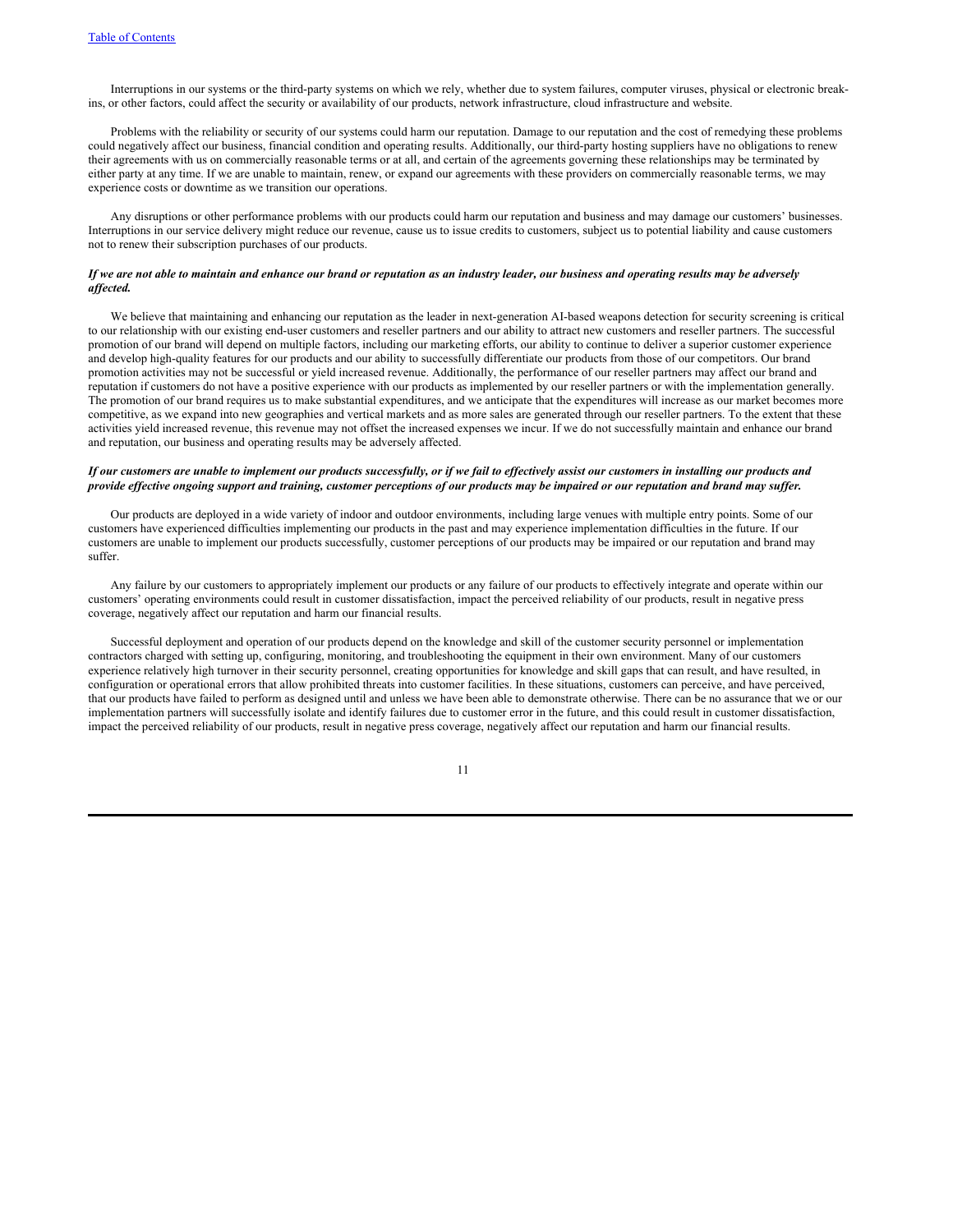Interruptions in our systems or the third-party systems on which we rely, whether due to system failures, computer viruses, physical or electronic breakins, or other factors, could affect the security or availability of our products, network infrastructure, cloud infrastructure and website.

Problems with the reliability or security of our systems could harm our reputation. Damage to our reputation and the cost of remedying these problems could negatively affect our business, financial condition and operating results. Additionally, our third-party hosting suppliers have no obligations to renew their agreements with us on commercially reasonable terms or at all, and certain of the agreements governing these relationships may be terminated by either party at any time. If we are unable to maintain, renew, or expand our agreements with these providers on commercially reasonable terms, we may experience costs or downtime as we transition our operations.

Any disruptions or other performance problems with our products could harm our reputation and business and may damage our customers' businesses. Interruptions in our service delivery might reduce our revenue, cause us to issue credits to customers, subject us to potential liability and cause customers not to renew their subscription purchases of our products.

### If we are not able to maintain and enhance our brand or reputation as an industry leader, our business and operating results may be adversely *af ected.*

We believe that maintaining and enhancing our reputation as the leader in next-generation AI-based weapons detection for security screening is critical to our relationship with our existing end-user customers and reseller partners and our ability to attract new customers and reseller partners. The successful promotion of our brand will depend on multiple factors, including our marketing efforts, our ability to continue to deliver a superior customer experience and develop high-quality features for our products and our ability to successfully differentiate our products from those of our competitors. Our brand promotion activities may not be successful or yield increased revenue. Additionally, the performance of our reseller partners may affect our brand and reputation if customers do not have a positive experience with our products as implemented by our reseller partners or with the implementation generally. The promotion of our brand requires us to make substantial expenditures, and we anticipate that the expenditures will increase as our market becomes more competitive, as we expand into new geographies and vertical markets and as more sales are generated through our reseller partners. To the extent that these activities yield increased revenue, this revenue may not offset the increased expenses we incur. If we do not successfully maintain and enhance our brand and reputation, our business and operating results may be adversely affected.

# If our customers are unable to implement our products successfully, or if we fail to effectively assist our customers in installing our products and provide effective ongoing support and training, customer perceptions of our products may be impaired or our reputation and brand may suffer.

Our products are deployed in a wide variety of indoor and outdoor environments, including large venues with multiple entry points. Some of our customers have experienced difficulties implementing our products in the past and may experience implementation difficulties in the future. If our customers are unable to implement our products successfully, customer perceptions of our products may be impaired or our reputation and brand may suffer.

Any failure by our customers to appropriately implement our products or any failure of our products to effectively integrate and operate within our customers' operating environments could result in customer dissatisfaction, impact the perceived reliability of our products, result in negative press coverage, negatively affect our reputation and harm our financial results.

Successful deployment and operation of our products depend on the knowledge and skill of the customer security personnel or implementation contractors charged with setting up, configuring, monitoring, and troubleshooting the equipment in their own environment. Many of our customers experience relatively high turnover in their security personnel, creating opportunities for knowledge and skill gaps that can result, and have resulted, in configuration or operational errors that allow prohibited threats into customer facilities. In these situations, customers can perceive, and have perceived, that our products have failed to perform as designed until and unless we have been able to demonstrate otherwise. There can be no assurance that we or our implementation partners will successfully isolate and identify failures due to customer error in the future, and this could result in customer dissatisfaction, impact the perceived reliability of our products, result in negative press coverage, negatively affect our reputation and harm our financial results.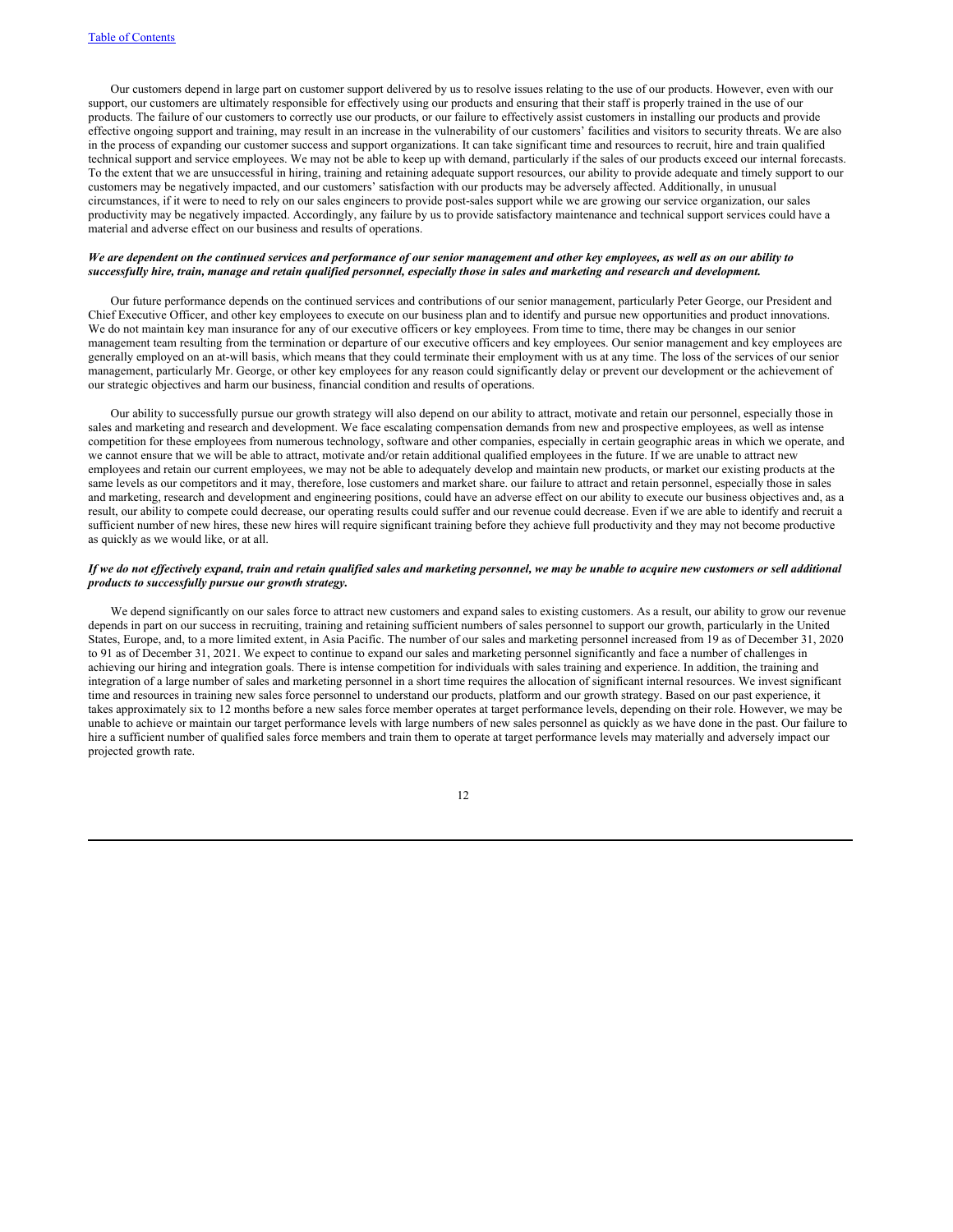Our customers depend in large part on customer support delivered by us to resolve issues relating to the use of our products. However, even with our support, our customers are ultimately responsible for effectively using our products and ensuring that their staff is properly trained in the use of our products. The failure of our customers to correctly use our products, or our failure to effectively assist customers in installing our products and provide effective ongoing support and training, may result in an increase in the vulnerability of our customers' facilities and visitors to security threats. We are also in the process of expanding our customer success and support organizations. It can take significant time and resources to recruit, hire and train qualified technical support and service employees. We may not be able to keep up with demand, particularly if the sales of our products exceed our internal forecasts. To the extent that we are unsuccessful in hiring, training and retaining adequate support resources, our ability to provide adequate and timely support to our customers may be negatively impacted, and our customers' satisfaction with our products may be adversely affected. Additionally, in unusual circumstances, if it were to need to rely on our sales engineers to provide post-sales support while we are growing our service organization, our sales productivity may be negatively impacted. Accordingly, any failure by us to provide satisfactory maintenance and technical support services could have a material and adverse effect on our business and results of operations.

### We are dependent on the continued services and performance of our senior management and other key employees, as well as on our ability to successfully hire, train, manage and retain qualified personnel, especially those in sales and marketing and research and development.

Our future performance depends on the continued services and contributions of our senior management, particularly Peter George, our President and Chief Executive Officer, and other key employees to execute on our business plan and to identify and pursue new opportunities and product innovations. We do not maintain key man insurance for any of our executive officers or key employees. From time to time, there may be changes in our senior management team resulting from the termination or departure of our executive officers and key employees. Our senior management and key employees are generally employed on an at-will basis, which means that they could terminate their employment with us at any time. The loss of the services of our senior management, particularly Mr. George, or other key employees for any reason could significantly delay or prevent our development or the achievement of our strategic objectives and harm our business, financial condition and results of operations.

Our ability to successfully pursue our growth strategy will also depend on our ability to attract, motivate and retain our personnel, especially those in sales and marketing and research and development. We face escalating compensation demands from new and prospective employees, as well as intense competition for these employees from numerous technology, software and other companies, especially in certain geographic areas in which we operate, and we cannot ensure that we will be able to attract, motivate and/or retain additional qualified employees in the future. If we are unable to attract new employees and retain our current employees, we may not be able to adequately develop and maintain new products, or market our existing products at the same levels as our competitors and it may, therefore, lose customers and market share. our failure to attract and retain personnel, especially those in sales and marketing, research and development and engineering positions, could have an adverse effect on our ability to execute our business objectives and, as a result, our ability to compete could decrease, our operating results could suffer and our revenue could decrease. Even if we are able to identify and recruit a sufficient number of new hires, these new hires will require significant training before they achieve full productivity and they may not become productive as quickly as we would like, or at all.

# If we do not effectively expand, train and retain qualified sales and marketing personnel, we may be unable to acquire new customers or sell additional *products to successfully pursue our growth strategy.*

We depend significantly on our sales force to attract new customers and expand sales to existing customers. As a result, our ability to grow our revenue depends in part on our success in recruiting, training and retaining sufficient numbers of sales personnel to support our growth, particularly in the United States, Europe, and, to a more limited extent, in Asia Pacific. The number of our sales and marketing personnel increased from 19 as of December 31, 2020 to 91 as of December 31, 2021. We expect to continue to expand our sales and marketing personnel significantly and face a number of challenges in achieving our hiring and integration goals. There is intense competition for individuals with sales training and experience. In addition, the training and integration of a large number of sales and marketing personnel in a short time requires the allocation of significant internal resources. We invest significant time and resources in training new sales force personnel to understand our products, platform and our growth strategy. Based on our past experience, it takes approximately six to 12 months before a new sales force member operates at target performance levels, depending on their role. However, we may be unable to achieve or maintain our target performance levels with large numbers of new sales personnel as quickly as we have done in the past. Our failure to hire a sufficient number of qualified sales force members and train them to operate at target performance levels may materially and adversely impact our projected growth rate.

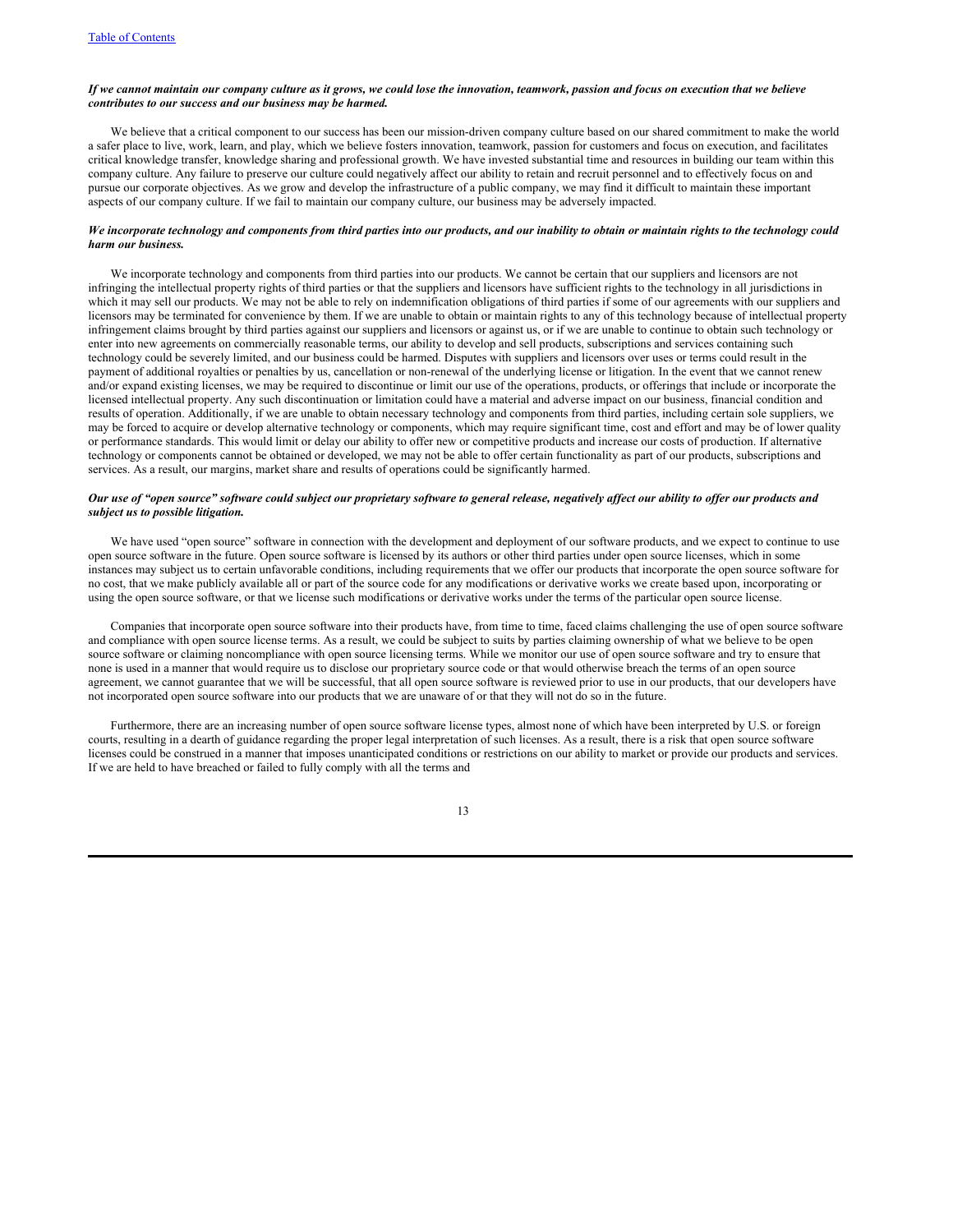# If we cannot maintain our company culture as it grows, we could lose the innovation, teamwork, passion and focus on execution that we believe *contributes to our success and our business may be harmed.*

We believe that a critical component to our success has been our mission-driven company culture based on our shared commitment to make the world a safer place to live, work, learn, and play, which we believe fosters innovation, teamwork, passion for customers and focus on execution, and facilitates critical knowledge transfer, knowledge sharing and professional growth. We have invested substantial time and resources in building our team within this company culture. Any failure to preserve our culture could negatively affect our ability to retain and recruit personnel and to effectively focus on and pursue our corporate objectives. As we grow and develop the infrastructure of a public company, we may find it difficult to maintain these important aspects of our company culture. If we fail to maintain our company culture, our business may be adversely impacted.

# We incorporate technology and components from third parties into our products, and our inability to obtain or maintain rights to the technology could *harm our business.*

We incorporate technology and components from third parties into our products. We cannot be certain that our suppliers and licensors are not infringing the intellectual property rights of third parties or that the suppliers and licensors have sufficient rights to the technology in all jurisdictions in which it may sell our products. We may not be able to rely on indemnification obligations of third parties if some of our agreements with our suppliers and licensors may be terminated for convenience by them. If we are unable to obtain or maintain rights to any of this technology because of intellectual property infringement claims brought by third parties against our suppliers and licensors or against us, or if we are unable to continue to obtain such technology or enter into new agreements on commercially reasonable terms, our ability to develop and sell products, subscriptions and services containing such technology could be severely limited, and our business could be harmed. Disputes with suppliers and licensors over uses or terms could result in the payment of additional royalties or penalties by us, cancellation or non-renewal of the underlying license or litigation. In the event that we cannot renew and/or expand existing licenses, we may be required to discontinue or limit our use of the operations, products, or offerings that include or incorporate the licensed intellectual property. Any such discontinuation or limitation could have a material and adverse impact on our business, financial condition and results of operation. Additionally, if we are unable to obtain necessary technology and components from third parties, including certain sole suppliers, we may be forced to acquire or develop alternative technology or components, which may require significant time, cost and effort and may be of lower quality or performance standards. This would limit or delay our ability to offer new or competitive products and increase our costs of production. If alternative technology or components cannot be obtained or developed, we may not be able to offer certain functionality as part of our products, subscriptions and services. As a result, our margins, market share and results of operations could be significantly harmed.

### Our use of "open source" software could subject our proprietary software to general release, negatively affect our ability to offer our products and *subject us to possible litigation.*

We have used "open source" software in connection with the development and deployment of our software products, and we expect to continue to use open source software in the future. Open source software is licensed by its authors or other third parties under open source licenses, which in some instances may subject us to certain unfavorable conditions, including requirements that we offer our products that incorporate the open source software for no cost, that we make publicly available all or part of the source code for any modifications or derivative works we create based upon, incorporating or using the open source software, or that we license such modifications or derivative works under the terms of the particular open source license.

Companies that incorporate open source software into their products have, from time to time, faced claims challenging the use of open source software and compliance with open source license terms. As a result, we could be subject to suits by parties claiming ownership of what we believe to be open source software or claiming noncompliance with open source licensing terms. While we monitor our use of open source software and try to ensure that none is used in a manner that would require us to disclose our proprietary source code or that would otherwise breach the terms of an open source agreement, we cannot guarantee that we will be successful, that all open source software is reviewed prior to use in our products, that our developers have not incorporated open source software into our products that we are unaware of or that they will not do so in the future.

Furthermore, there are an increasing number of open source software license types, almost none of which have been interpreted by U.S. or foreign courts, resulting in a dearth of guidance regarding the proper legal interpretation of such licenses. As a result, there is a risk that open source software licenses could be construed in a manner that imposes unanticipated conditions or restrictions on our ability to market or provide our products and services. If we are held to have breached or failed to fully comply with all the terms and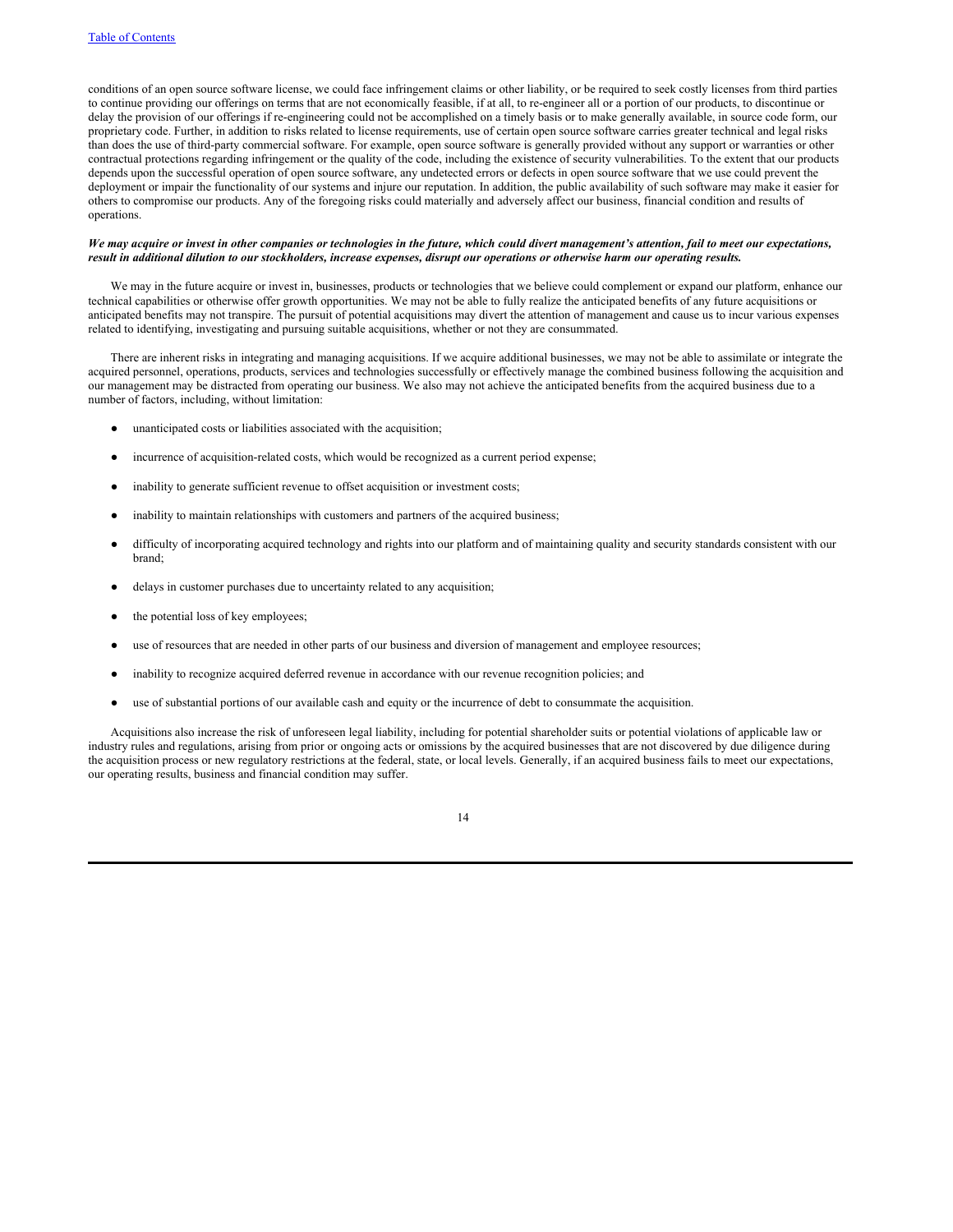conditions of an open source software license, we could face infringement claims or other liability, or be required to seek costly licenses from third parties to continue providing our offerings on terms that are not economically feasible, if at all, to re-engineer all or a portion of our products, to discontinue or delay the provision of our offerings if re-engineering could not be accomplished on a timely basis or to make generally available, in source code form, our proprietary code. Further, in addition to risks related to license requirements, use of certain open source software carries greater technical and legal risks than does the use of third-party commercial software. For example, open source software is generally provided without any support or warranties or other contractual protections regarding infringement or the quality of the code, including the existence of security vulnerabilities. To the extent that our products depends upon the successful operation of open source software, any undetected errors or defects in open source software that we use could prevent the deployment or impair the functionality of our systems and injure our reputation. In addition, the public availability of such software may make it easier for others to compromise our products. Any of the foregoing risks could materially and adversely affect our business, financial condition and results of operations.

### We may acquire or invest in other companies or technologies in the future, which could divert management's attention, fail to meet our expectations, result in additional dilution to our stockholders, increase expenses, disrupt our operations or otherwise harm our operating results.

We may in the future acquire or invest in, businesses, products or technologies that we believe could complement or expand our platform, enhance our technical capabilities or otherwise offer growth opportunities. We may not be able to fully realize the anticipated benefits of any future acquisitions or anticipated benefits may not transpire. The pursuit of potential acquisitions may divert the attention of management and cause us to incur various expenses related to identifying, investigating and pursuing suitable acquisitions, whether or not they are consummated.

There are inherent risks in integrating and managing acquisitions. If we acquire additional businesses, we may not be able to assimilate or integrate the acquired personnel, operations, products, services and technologies successfully or effectively manage the combined business following the acquisition and our management may be distracted from operating our business. We also may not achieve the anticipated benefits from the acquired business due to a number of factors, including, without limitation:

- unanticipated costs or liabilities associated with the acquisition;
- incurrence of acquisition-related costs, which would be recognized as a current period expense;
- inability to generate sufficient revenue to offset acquisition or investment costs;
- inability to maintain relationships with customers and partners of the acquired business;
- difficulty of incorporating acquired technology and rights into our platform and of maintaining quality and security standards consistent with our brand;
- delays in customer purchases due to uncertainty related to any acquisition;
- the potential loss of key employees;
- use of resources that are needed in other parts of our business and diversion of management and employee resources;
- inability to recognize acquired deferred revenue in accordance with our revenue recognition policies; and
- use of substantial portions of our available cash and equity or the incurrence of debt to consummate the acquisition.

Acquisitions also increase the risk of unforeseen legal liability, including for potential shareholder suits or potential violations of applicable law or industry rules and regulations, arising from prior or ongoing acts or omissions by the acquired businesses that are not discovered by due diligence during the acquisition process or new regulatory restrictions at the federal, state, or local levels. Generally, if an acquired business fails to meet our expectations, our operating results, business and financial condition may suffer.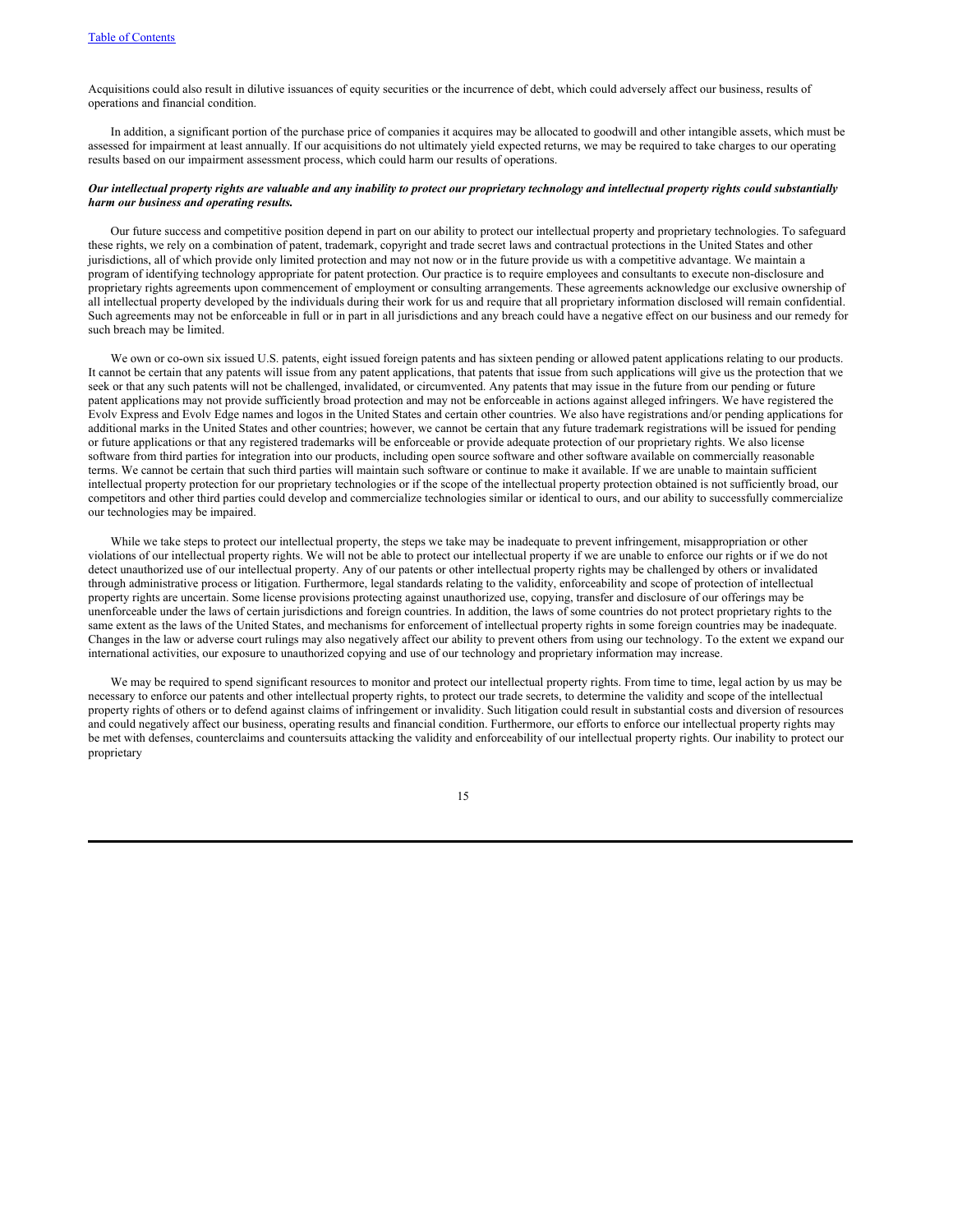Acquisitions could also result in dilutive issuances of equity securities or the incurrence of debt, which could adversely affect our business, results of operations and financial condition.

In addition, a significant portion of the purchase price of companies it acquires may be allocated to goodwill and other intangible assets, which must be assessed for impairment at least annually. If our acquisitions do not ultimately yield expected returns, we may be required to take charges to our operating results based on our impairment assessment process, which could harm our results of operations.

# Our intellectual property rights are valuable and any inability to protect our proprietary technology and intellectual property rights could substantially *harm our business and operating results.*

Our future success and competitive position depend in part on our ability to protect our intellectual property and proprietary technologies. To safeguard these rights, we rely on a combination of patent, trademark, copyright and trade secret laws and contractual protections in the United States and other jurisdictions, all of which provide only limited protection and may not now or in the future provide us with a competitive advantage. We maintain a program of identifying technology appropriate for patent protection. Our practice is to require employees and consultants to execute non-disclosure and proprietary rights agreements upon commencement of employment or consulting arrangements. These agreements acknowledge our exclusive ownership of all intellectual property developed by the individuals during their work for us and require that all proprietary information disclosed will remain confidential. Such agreements may not be enforceable in full or in part in all jurisdictions and any breach could have a negative effect on our business and our remedy for such breach may be limited.

We own or co-own six issued U.S. patents, eight issued foreign patents and has sixteen pending or allowed patent applications relating to our products. It cannot be certain that any patents will issue from any patent applications, that patents that issue from such applications will give us the protection that we seek or that any such patents will not be challenged, invalidated, or circumvented. Any patents that may issue in the future from our pending or future patent applications may not provide sufficiently broad protection and may not be enforceable in actions against alleged infringers. We have registered the Evolv Express and Evolv Edge names and logos in the United States and certain other countries. We also have registrations and/or pending applications for additional marks in the United States and other countries; however, we cannot be certain that any future trademark registrations will be issued for pending or future applications or that any registered trademarks will be enforceable or provide adequate protection of our proprietary rights. We also license software from third parties for integration into our products, including open source software and other software available on commercially reasonable terms. We cannot be certain that such third parties will maintain such software or continue to make it available. If we are unable to maintain sufficient intellectual property protection for our proprietary technologies or if the scope of the intellectual property protection obtained is not sufficiently broad, our competitors and other third parties could develop and commercialize technologies similar or identical to ours, and our ability to successfully commercialize our technologies may be impaired.

While we take steps to protect our intellectual property, the steps we take may be inadequate to prevent infringement, misappropriation or other violations of our intellectual property rights. We will not be able to protect our intellectual property if we are unable to enforce our rights or if we do not detect unauthorized use of our intellectual property. Any of our patents or other intellectual property rights may be challenged by others or invalidated through administrative process or litigation. Furthermore, legal standards relating to the validity, enforceability and scope of protection of intellectual property rights are uncertain. Some license provisions protecting against unauthorized use, copying, transfer and disclosure of our offerings may be unenforceable under the laws of certain jurisdictions and foreign countries. In addition, the laws of some countries do not protect proprietary rights to the same extent as the laws of the United States, and mechanisms for enforcement of intellectual property rights in some foreign countries may be inadequate. Changes in the law or adverse court rulings may also negatively affect our ability to prevent others from using our technology. To the extent we expand our international activities, our exposure to unauthorized copying and use of our technology and proprietary information may increase.

We may be required to spend significant resources to monitor and protect our intellectual property rights. From time to time, legal action by us may be necessary to enforce our patents and other intellectual property rights, to protect our trade secrets, to determine the validity and scope of the intellectual property rights of others or to defend against claims of infringement or invalidity. Such litigation could result in substantial costs and diversion of resources and could negatively affect our business, operating results and financial condition. Furthermore, our efforts to enforce our intellectual property rights may be met with defenses, counterclaims and countersuits attacking the validity and enforceability of our intellectual property rights. Our inability to protect our proprietary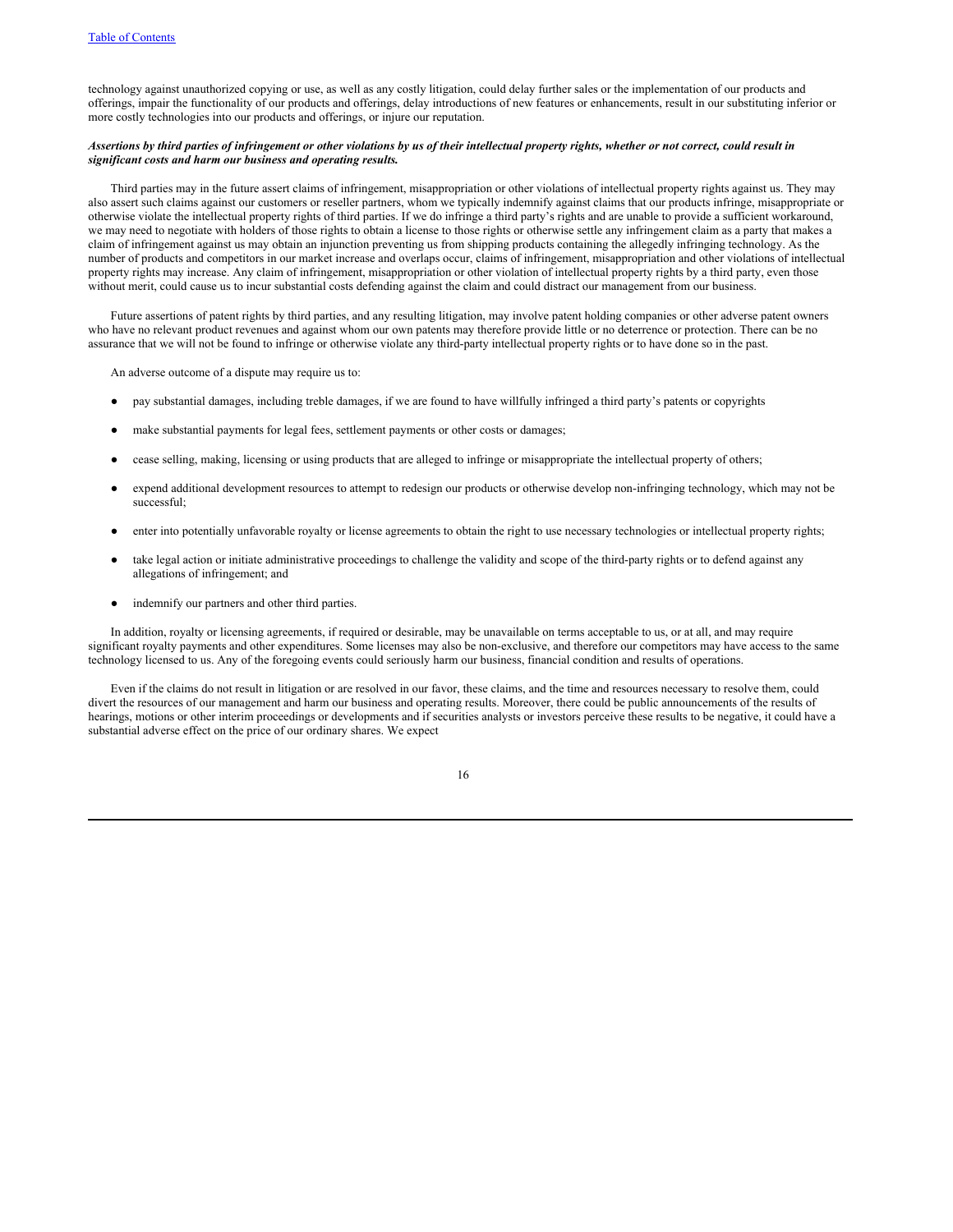technology against unauthorized copying or use, as well as any costly litigation, could delay further sales or the implementation of our products and offerings, impair the functionality of our products and offerings, delay introductions of new features or enhancements, result in our substituting inferior or more costly technologies into our products and offerings, or injure our reputation.

# Assertions by third parties of infringement or other violations by us of their intellectual property rights, whether or not correct, could result in *significant costs and harm our business and operating results.*

Third parties may in the future assert claims of infringement, misappropriation or other violations of intellectual property rights against us. They may also assert such claims against our customers or reseller partners, whom we typically indemnify against claims that our products infringe, misappropriate or otherwise violate the intellectual property rights of third parties. If we do infringe a third party's rights and are unable to provide a sufficient workaround, we may need to negotiate with holders of those rights to obtain a license to those rights or otherwise settle any infringement claim as a party that makes a claim of infringement against us may obtain an injunction preventing us from shipping products containing the allegedly infringing technology. As the number of products and competitors in our market increase and overlaps occur, claims of infringement, misappropriation and other violations of intellectual property rights may increase. Any claim of infringement, misappropriation or other violation of intellectual property rights by a third party, even those without merit, could cause us to incur substantial costs defending against the claim and could distract our management from our business.

Future assertions of patent rights by third parties, and any resulting litigation, may involve patent holding companies or other adverse patent owners who have no relevant product revenues and against whom our own patents may therefore provide little or no deterrence or protection. There can be no assurance that we will not be found to infringe or otherwise violate any third-party intellectual property rights or to have done so in the past.

An adverse outcome of a dispute may require us to:

- pay substantial damages, including treble damages, if we are found to have willfully infringed a third party's patents or copyrights
- make substantial payments for legal fees, settlement payments or other costs or damages;
- cease selling, making, licensing or using products that are alleged to infringe or misappropriate the intellectual property of others;
- expend additional development resources to attempt to redesign our products or otherwise develop non-infringing technology, which may not be successful;
- enter into potentially unfavorable royalty or license agreements to obtain the right to use necessary technologies or intellectual property rights;
- take legal action or initiate administrative proceedings to challenge the validity and scope of the third-party rights or to defend against any allegations of infringement; and
- indemnify our partners and other third parties.

In addition, royalty or licensing agreements, if required or desirable, may be unavailable on terms acceptable to us, or at all, and may require significant royalty payments and other expenditures. Some licenses may also be non-exclusive, and therefore our competitors may have access to the same technology licensed to us. Any of the foregoing events could seriously harm our business, financial condition and results of operations.

Even if the claims do not result in litigation or are resolved in our favor, these claims, and the time and resources necessary to resolve them, could divert the resources of our management and harm our business and operating results. Moreover, there could be public announcements of the results of hearings, motions or other interim proceedings or developments and if securities analysts or investors perceive these results to be negative, it could have a substantial adverse effect on the price of our ordinary shares. We expect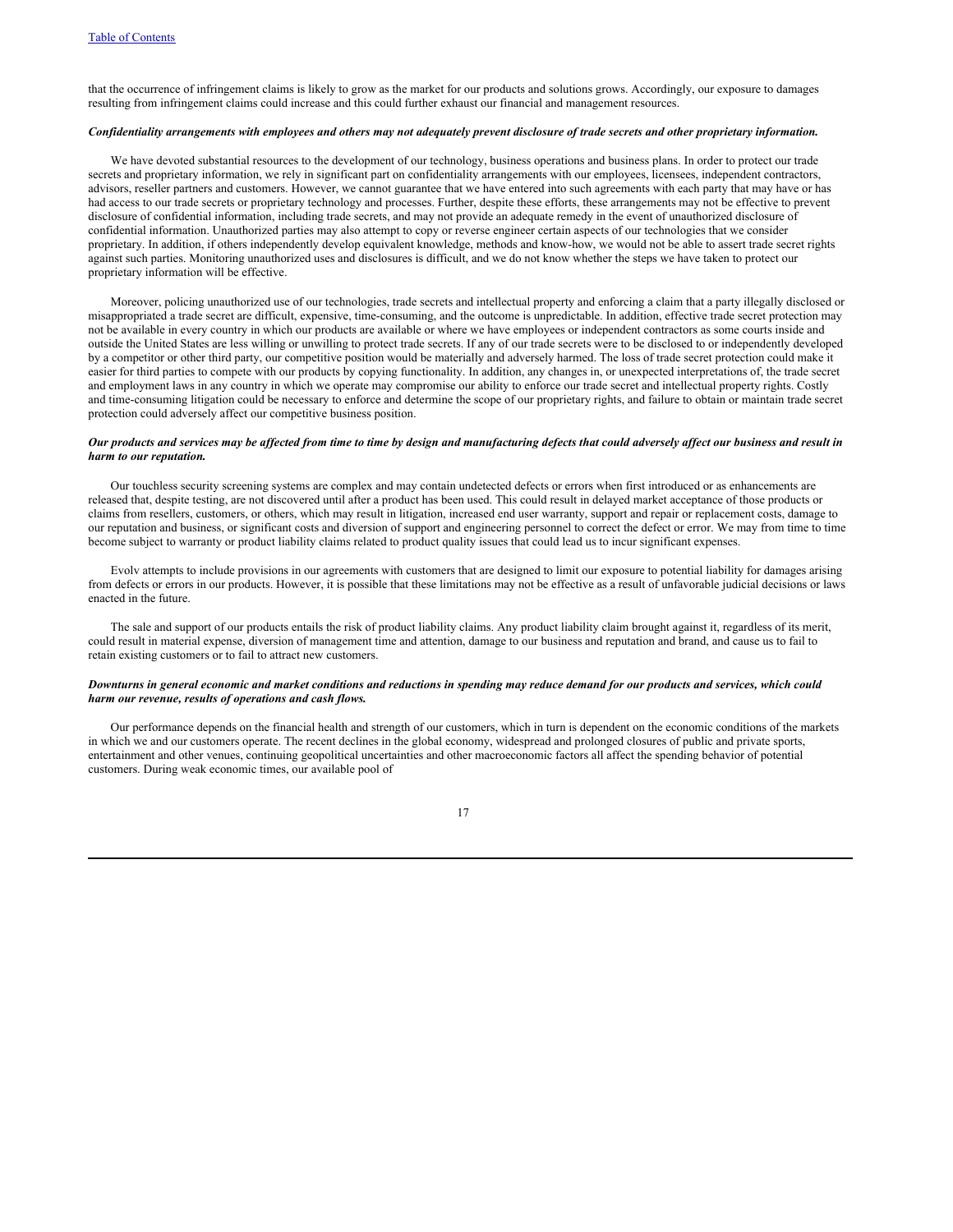that the occurrence of infringement claims is likely to grow as the market for our products and solutions grows. Accordingly, our exposure to damages resulting from infringement claims could increase and this could further exhaust our financial and management resources.

# Confidentiality arrangements with employees and others may not adequately prevent disclosure of trade secrets and other proprietary information.

We have devoted substantial resources to the development of our technology, business operations and business plans. In order to protect our trade secrets and proprietary information, we rely in significant part on confidentiality arrangements with our employees, licensees, independent contractors, advisors, reseller partners and customers. However, we cannot guarantee that we have entered into such agreements with each party that may have or has had access to our trade secrets or proprietary technology and processes. Further, despite these efforts, these arrangements may not be effective to prevent disclosure of confidential information, including trade secrets, and may not provide an adequate remedy in the event of unauthorized disclosure of confidential information. Unauthorized parties may also attempt to copy or reverse engineer certain aspects of our technologies that we consider proprietary. In addition, if others independently develop equivalent knowledge, methods and know-how, we would not be able to assert trade secret rights against such parties. Monitoring unauthorized uses and disclosures is difficult, and we do not know whether the steps we have taken to protect our proprietary information will be effective.

Moreover, policing unauthorized use of our technologies, trade secrets and intellectual property and enforcing a claim that a party illegally disclosed or misappropriated a trade secret are difficult, expensive, time-consuming, and the outcome is unpredictable. In addition, effective trade secret protection may not be available in every country in which our products are available or where we have employees or independent contractors as some courts inside and outside the United States are less willing or unwilling to protect trade secrets. If any of our trade secrets were to be disclosed to or independently developed by a competitor or other third party, our competitive position would be materially and adversely harmed. The loss of trade secret protection could make it easier for third parties to compete with our products by copying functionality. In addition, any changes in, or unexpected interpretations of, the trade secret and employment laws in any country in which we operate may compromise our ability to enforce our trade secret and intellectual property rights. Costly and time-consuming litigation could be necessary to enforce and determine the scope of our proprietary rights, and failure to obtain or maintain trade secret protection could adversely affect our competitive business position.

# Our products and services may be affected from time to time by design and manufacturing defects that could adversely affect our business and result in *harm to our reputation.*

Our touchless security screening systems are complex and may contain undetected defects or errors when first introduced or as enhancements are released that, despite testing, are not discovered until after a product has been used. This could result in delayed market acceptance of those products or claims from resellers, customers, or others, which may result in litigation, increased end user warranty, support and repair or replacement costs, damage to our reputation and business, or significant costs and diversion of support and engineering personnel to correct the defect or error. We may from time to time become subject to warranty or product liability claims related to product quality issues that could lead us to incur significant expenses.

Evolv attempts to include provisions in our agreements with customers that are designed to limit our exposure to potential liability for damages arising from defects or errors in our products. However, it is possible that these limitations may not be effective as a result of unfavorable judicial decisions or laws enacted in the future.

The sale and support of our products entails the risk of product liability claims. Any product liability claim brought against it, regardless of its merit, could result in material expense, diversion of management time and attention, damage to our business and reputation and brand, and cause us to fail to retain existing customers or to fail to attract new customers.

# Downturns in general economic and market conditions and reductions in spending may reduce demand for our products and services, which could *harm our revenue, results of operations and cash flows.*

Our performance depends on the financial health and strength of our customers, which in turn is dependent on the economic conditions of the markets in which we and our customers operate. The recent declines in the global economy, widespread and prolonged closures of public and private sports, entertainment and other venues, continuing geopolitical uncertainties and other macroeconomic factors all affect the spending behavior of potential customers. During weak economic times, our available pool of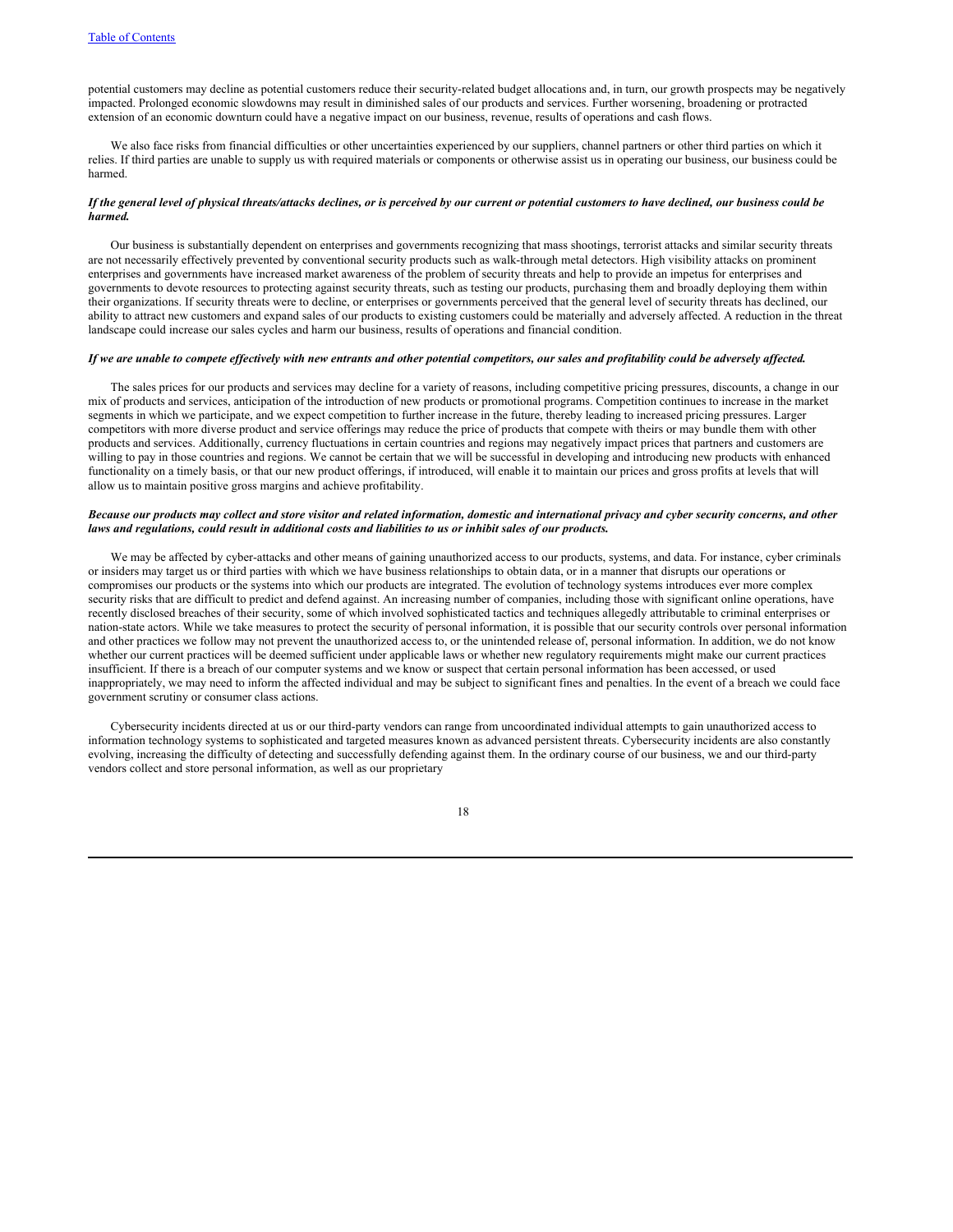potential customers may decline as potential customers reduce their security-related budget allocations and, in turn, our growth prospects may be negatively impacted. Prolonged economic slowdowns may result in diminished sales of our products and services. Further worsening, broadening or protracted extension of an economic downturn could have a negative impact on our business, revenue, results of operations and cash flows.

We also face risks from financial difficulties or other uncertainties experienced by our suppliers, channel partners or other third parties on which it relies. If third parties are unable to supply us with required materials or components or otherwise assist us in operating our business, our business could be harmed.

# If the general level of physical threats/attacks declines, or is perceived by our current or potential customers to have declined, our business could be *harmed.*

Our business is substantially dependent on enterprises and governments recognizing that mass shootings, terrorist attacks and similar security threats are not necessarily effectively prevented by conventional security products such as walk-through metal detectors. High visibility attacks on prominent enterprises and governments have increased market awareness of the problem of security threats and help to provide an impetus for enterprises and governments to devote resources to protecting against security threats, such as testing our products, purchasing them and broadly deploying them within their organizations. If security threats were to decline, or enterprises or governments perceived that the general level of security threats has declined, our ability to attract new customers and expand sales of our products to existing customers could be materially and adversely affected. A reduction in the threat landscape could increase our sales cycles and harm our business, results of operations and financial condition.

#### If we are unable to compete effectively with new entrants and other potential competitors, our sales and profitability could be adversely affected.

The sales prices for our products and services may decline for a variety of reasons, including competitive pricing pressures, discounts, a change in our mix of products and services, anticipation of the introduction of new products or promotional programs. Competition continues to increase in the market segments in which we participate, and we expect competition to further increase in the future, thereby leading to increased pricing pressures. Larger competitors with more diverse product and service offerings may reduce the price of products that compete with theirs or may bundle them with other products and services. Additionally, currency fluctuations in certain countries and regions may negatively impact prices that partners and customers are willing to pay in those countries and regions. We cannot be certain that we will be successful in developing and introducing new products with enhanced functionality on a timely basis, or that our new product offerings, if introduced, will enable it to maintain our prices and gross profits at levels that will allow us to maintain positive gross margins and achieve profitability.

# Because our products may collect and store visitor and related information, domestic and international privacy and cyber security concerns, and other laws and regulations, could result in additional costs and liabilities to us or inhibit sales of our products.

We may be affected by cyber-attacks and other means of gaining unauthorized access to our products, systems, and data. For instance, cyber criminals or insiders may target us or third parties with which we have business relationships to obtain data, or in a manner that disrupts our operations or compromises our products or the systems into which our products are integrated. The evolution of technology systems introduces ever more complex security risks that are difficult to predict and defend against. An increasing number of companies, including those with significant online operations, have recently disclosed breaches of their security, some of which involved sophisticated tactics and techniques allegedly attributable to criminal enterprises or nation-state actors. While we take measures to protect the security of personal information, it is possible that our security controls over personal information and other practices we follow may not prevent the unauthorized access to, or the unintended release of, personal information. In addition, we do not know whether our current practices will be deemed sufficient under applicable laws or whether new regulatory requirements might make our current practices insufficient. If there is a breach of our computer systems and we know or suspect that certain personal information has been accessed, or used inappropriately, we may need to inform the affected individual and may be subject to significant fines and penalties. In the event of a breach we could face government scrutiny or consumer class actions.

Cybersecurity incidents directed at us or our third-party vendors can range from uncoordinated individual attempts to gain unauthorized access to information technology systems to sophisticated and targeted measures known as advanced persistent threats. Cybersecurity incidents are also constantly evolving, increasing the difficulty of detecting and successfully defending against them. In the ordinary course of our business, we and our third-party vendors collect and store personal information, as well as our proprietary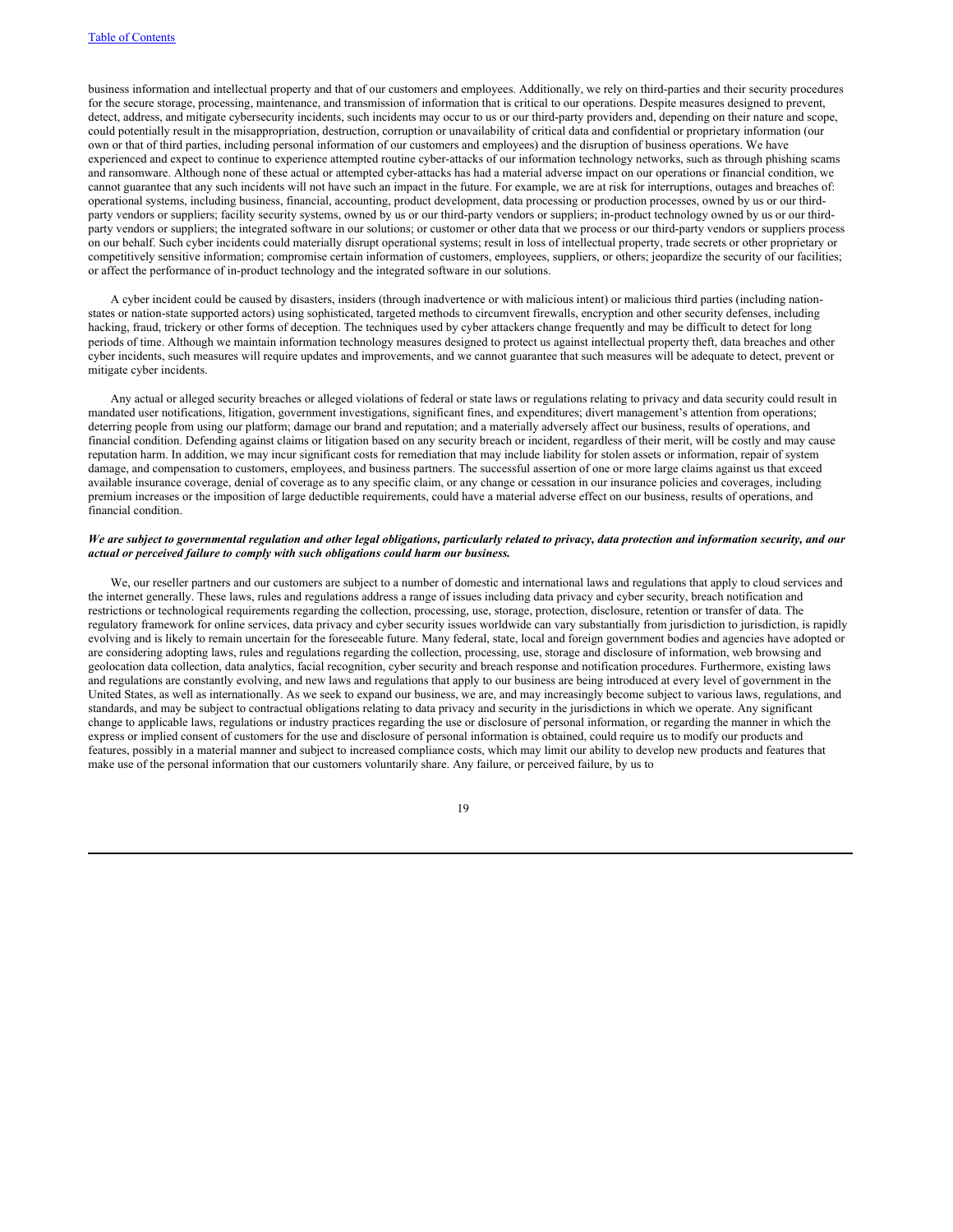business information and intellectual property and that of our customers and employees. Additionally, we rely on third-parties and their security procedures for the secure storage, processing, maintenance, and transmission of information that is critical to our operations. Despite measures designed to prevent, detect, address, and mitigate cybersecurity incidents, such incidents may occur to us or our third-party providers and, depending on their nature and scope, could potentially result in the misappropriation, destruction, corruption or unavailability of critical data and confidential or proprietary information (our own or that of third parties, including personal information of our customers and employees) and the disruption of business operations. We have experienced and expect to continue to experience attempted routine cyber-attacks of our information technology networks, such as through phishing scams and ransomware. Although none of these actual or attempted cyber-attacks has had a material adverse impact on our operations or financial condition, we cannot guarantee that any such incidents will not have such an impact in the future. For example, we are at risk for interruptions, outages and breaches of: operational systems, including business, financial, accounting, product development, data processing or production processes, owned by us or our thirdparty vendors or suppliers; facility security systems, owned by us or our third-party vendors or suppliers; in-product technology owned by us or our thirdparty vendors or suppliers; the integrated software in our solutions; or customer or other data that we process or our third-party vendors or suppliers process on our behalf. Such cyber incidents could materially disrupt operational systems; result in loss of intellectual property, trade secrets or other proprietary or competitively sensitive information; compromise certain information of customers, employees, suppliers, or others; jeopardize the security of our facilities; or affect the performance of in-product technology and the integrated software in our solutions.

A cyber incident could be caused by disasters, insiders (through inadvertence or with malicious intent) or malicious third parties (including nationstates or nation-state supported actors) using sophisticated, targeted methods to circumvent firewalls, encryption and other security defenses, including hacking, fraud, trickery or other forms of deception. The techniques used by cyber attackers change frequently and may be difficult to detect for long periods of time. Although we maintain information technology measures designed to protect us against intellectual property theft, data breaches and other cyber incidents, such measures will require updates and improvements, and we cannot guarantee that such measures will be adequate to detect, prevent or mitigate cyber incidents.

Any actual or alleged security breaches or alleged violations of federal or state laws or regulations relating to privacy and data security could result in mandated user notifications, litigation, government investigations, significant fines, and expenditures; divert management's attention from operations; deterring people from using our platform; damage our brand and reputation; and a materially adversely affect our business, results of operations, and financial condition. Defending against claims or litigation based on any security breach or incident, regardless of their merit, will be costly and may cause reputation harm. In addition, we may incur significant costs for remediation that may include liability for stolen assets or information, repair of system damage, and compensation to customers, employees, and business partners. The successful assertion of one or more large claims against us that exceed available insurance coverage, denial of coverage as to any specific claim, or any change or cessation in our insurance policies and coverages, including premium increases or the imposition of large deductible requirements, could have a material adverse effect on our business, results of operations, and financial condition.

### We are subject to governmental regulation and other legal obligations, particularly related to privacy, data protection and information security, and our *actual or perceived failure to comply with such obligations could harm our business.*

We, our reseller partners and our customers are subject to a number of domestic and international laws and regulations that apply to cloud services and the internet generally. These laws, rules and regulations address a range of issues including data privacy and cyber security, breach notification and restrictions or technological requirements regarding the collection, processing, use, storage, protection, disclosure, retention or transfer of data. The regulatory framework for online services, data privacy and cyber security issues worldwide can vary substantially from jurisdiction to jurisdiction, is rapidly evolving and is likely to remain uncertain for the foreseeable future. Many federal, state, local and foreign government bodies and agencies have adopted or are considering adopting laws, rules and regulations regarding the collection, processing, use, storage and disclosure of information, web browsing and geolocation data collection, data analytics, facial recognition, cyber security and breach response and notification procedures. Furthermore, existing laws and regulations are constantly evolving, and new laws and regulations that apply to our business are being introduced at every level of government in the United States, as well as internationally. As we seek to expand our business, we are, and may increasingly become subject to various laws, regulations, and standards, and may be subject to contractual obligations relating to data privacy and security in the jurisdictions in which we operate. Any significant change to applicable laws, regulations or industry practices regarding the use or disclosure of personal information, or regarding the manner in which the express or implied consent of customers for the use and disclosure of personal information is obtained, could require us to modify our products and features, possibly in a material manner and subject to increased compliance costs, which may limit our ability to develop new products and features that make use of the personal information that our customers voluntarily share. Any failure, or perceived failure, by us to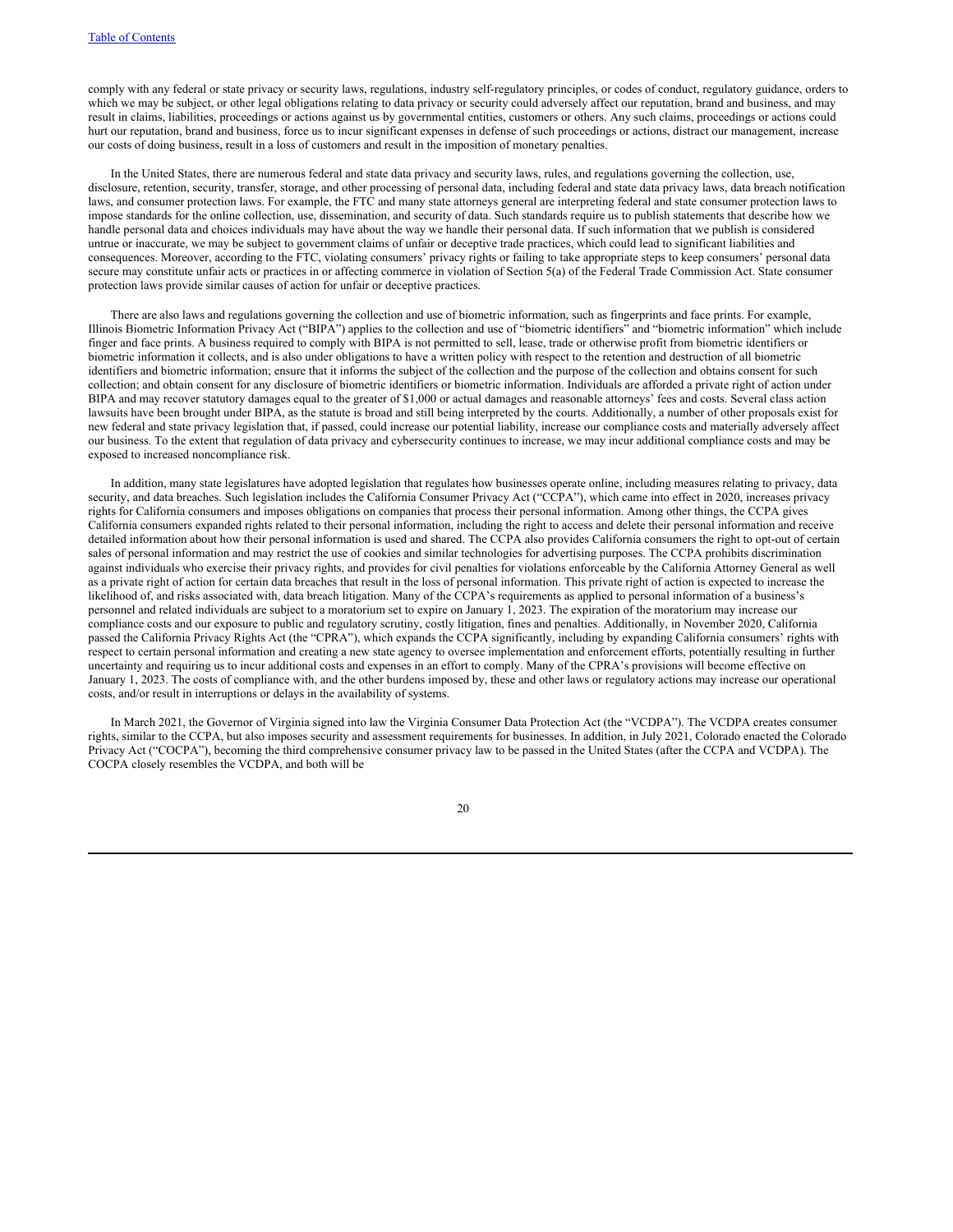comply with any federal or state privacy or security laws, regulations, industry self-regulatory principles, or codes of conduct, regulatory guidance, orders to which we may be subject, or other legal obligations relating to data privacy or security could adversely affect our reputation, brand and business, and may result in claims, liabilities, proceedings or actions against us by governmental entities, customers or others. Any such claims, proceedings or actions could hurt our reputation, brand and business, force us to incur significant expenses in defense of such proceedings or actions, distract our management, increase our costs of doing business, result in a loss of customers and result in the imposition of monetary penalties.

In the United States, there are numerous federal and state data privacy and security laws, rules, and regulations governing the collection, use, disclosure, retention, security, transfer, storage, and other processing of personal data, including federal and state data privacy laws, data breach notification laws, and consumer protection laws. For example, the FTC and many state attorneys general are interpreting federal and state consumer protection laws to impose standards for the online collection, use, dissemination, and security of data. Such standards require us to publish statements that describe how we handle personal data and choices individuals may have about the way we handle their personal data. If such information that we publish is considered untrue or inaccurate, we may be subject to government claims of unfair or deceptive trade practices, which could lead to significant liabilities and consequences. Moreover, according to the FTC, violating consumers' privacy rights or failing to take appropriate steps to keep consumers' personal data secure may constitute unfair acts or practices in or affecting commerce in violation of Section 5(a) of the Federal Trade Commission Act. State consumer protection laws provide similar causes of action for unfair or deceptive practices.

There are also laws and regulations governing the collection and use of biometric information, such as fingerprints and face prints. For example, Illinois Biometric Information Privacy Act ("BIPA") applies to the collection and use of "biometric identifiers" and "biometric information" which include finger and face prints. A business required to comply with BIPA is not permitted to sell, lease, trade or otherwise profit from biometric identifiers or biometric information it collects, and is also under obligations to have a written policy with respect to the retention and destruction of all biometric identifiers and biometric information; ensure that it informs the subject of the collection and the purpose of the collection and obtains consent for such collection; and obtain consent for any disclosure of biometric identifiers or biometric information. Individuals are afforded a private right of action under BIPA and may recover statutory damages equal to the greater of \$1,000 or actual damages and reasonable attorneys' fees and costs. Several class action lawsuits have been brought under BIPA, as the statute is broad and still being interpreted by the courts. Additionally, a number of other proposals exist for new federal and state privacy legislation that, if passed, could increase our potential liability, increase our compliance costs and materially adversely affect our business. To the extent that regulation of data privacy and cybersecurity continues to increase, we may incur additional compliance costs and may be exposed to increased noncompliance risk.

In addition, many state legislatures have adopted legislation that regulates how businesses operate online, including measures relating to privacy, data security, and data breaches. Such legislation includes the California Consumer Privacy Act ("CCPA"), which came into effect in 2020, increases privacy rights for California consumers and imposes obligations on companies that process their personal information. Among other things, the CCPA gives California consumers expanded rights related to their personal information, including the right to access and delete their personal information and receive detailed information about how their personal information is used and shared. The CCPA also provides California consumers the right to opt-out of certain sales of personal information and may restrict the use of cookies and similar technologies for advertising purposes. The CCPA prohibits discrimination against individuals who exercise their privacy rights, and provides for civil penalties for violations enforceable by the California Attorney General as well as a private right of action for certain data breaches that result in the loss of personal information. This private right of action is expected to increase the likelihood of, and risks associated with, data breach litigation. Many of the CCPA's requirements as applied to personal information of a business's personnel and related individuals are subject to a moratorium set to expire on January 1, 2023. The expiration of the moratorium may increase our compliance costs and our exposure to public and regulatory scrutiny, costly litigation, fines and penalties. Additionally, in November 2020, California passed the California Privacy Rights Act (the "CPRA"), which expands the CCPA significantly, including by expanding California consumers' rights with respect to certain personal information and creating a new state agency to oversee implementation and enforcement efforts, potentially resulting in further uncertainty and requiring us to incur additional costs and expenses in an effort to comply. Many of the CPRA's provisions will become effective on January 1, 2023. The costs of compliance with, and the other burdens imposed by, these and other laws or regulatory actions may increase our operational costs, and/or result in interruptions or delays in the availability of systems.

In March 2021, the Governor of Virginia signed into law the Virginia Consumer Data Protection Act (the "VCDPA"). The VCDPA creates consumer rights, similar to the CCPA, but also imposes security and assessment requirements for businesses. In addition, in July 2021, Colorado enacted the Colorado Privacy Act ("COCPA"), becoming the third comprehensive consumer privacy law to be passed in the United States (after the CCPA and VCDPA). The COCPA closely resembles the VCDPA, and both will be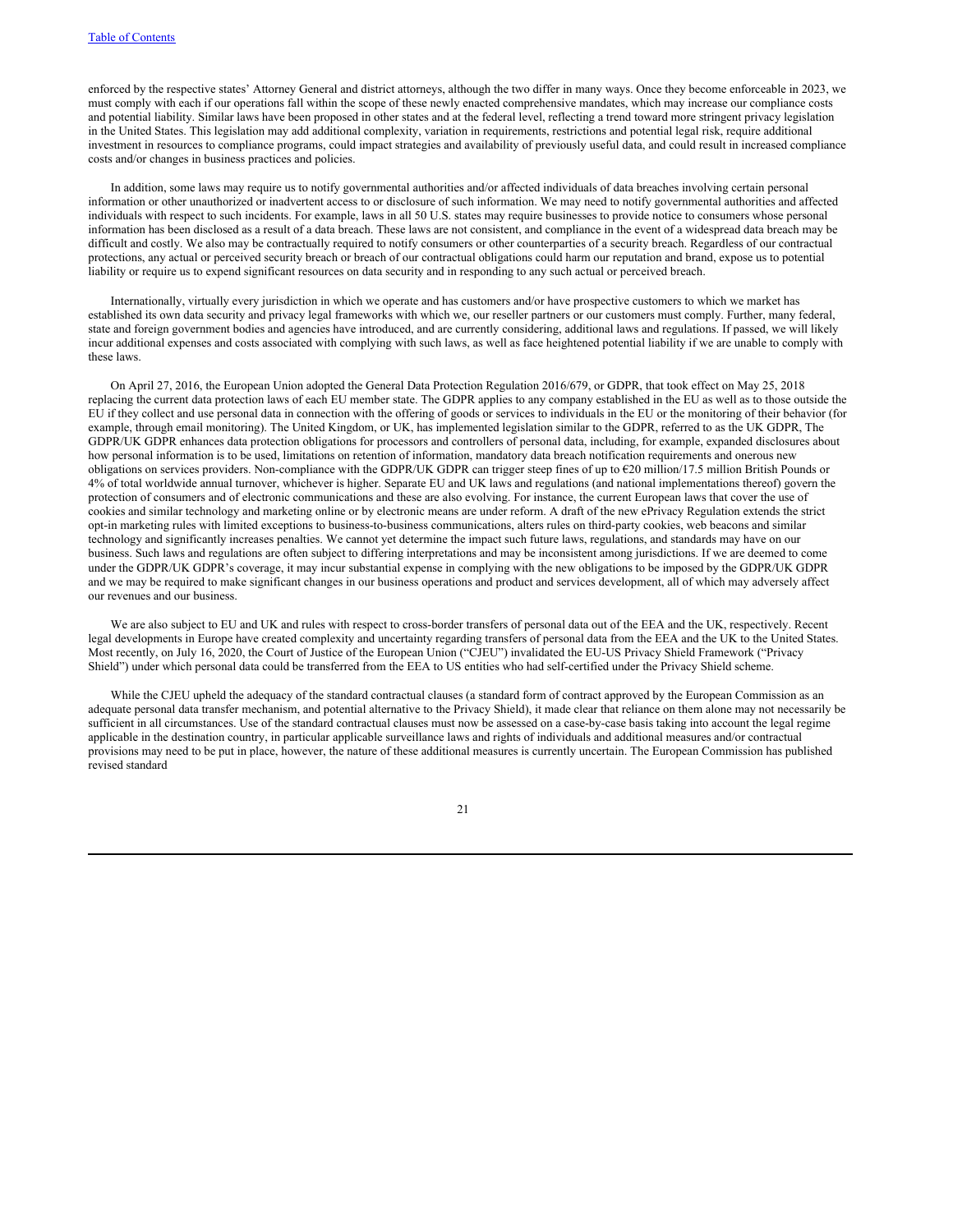enforced by the respective states' Attorney General and district attorneys, although the two differ in many ways. Once they become enforceable in 2023, we must comply with each if our operations fall within the scope of these newly enacted comprehensive mandates, which may increase our compliance costs and potential liability. Similar laws have been proposed in other states and at the federal level, reflecting a trend toward more stringent privacy legislation in the United States. This legislation may add additional complexity, variation in requirements, restrictions and potential legal risk, require additional investment in resources to compliance programs, could impact strategies and availability of previously useful data, and could result in increased compliance costs and/or changes in business practices and policies.

In addition, some laws may require us to notify governmental authorities and/or affected individuals of data breaches involving certain personal information or other unauthorized or inadvertent access to or disclosure of such information. We may need to notify governmental authorities and affected individuals with respect to such incidents. For example, laws in all 50 U.S. states may require businesses to provide notice to consumers whose personal information has been disclosed as a result of a data breach. These laws are not consistent, and compliance in the event of a widespread data breach may be difficult and costly. We also may be contractually required to notify consumers or other counterparties of a security breach. Regardless of our contractual protections, any actual or perceived security breach or breach of our contractual obligations could harm our reputation and brand, expose us to potential liability or require us to expend significant resources on data security and in responding to any such actual or perceived breach.

Internationally, virtually every jurisdiction in which we operate and has customers and/or have prospective customers to which we market has established its own data security and privacy legal frameworks with which we, our reseller partners or our customers must comply. Further, many federal, state and foreign government bodies and agencies have introduced, and are currently considering, additional laws and regulations. If passed, we will likely incur additional expenses and costs associated with complying with such laws, as well as face heightened potential liability if we are unable to comply with these laws.

On April 27, 2016, the European Union adopted the General Data Protection Regulation 2016/679, or GDPR, that took effect on May 25, 2018 replacing the current data protection laws of each EU member state. The GDPR applies to any company established in the EU as well as to those outside the EU if they collect and use personal data in connection with the offering of goods or services to individuals in the EU or the monitoring of their behavior (for example, through email monitoring). The United Kingdom, or UK, has implemented legislation similar to the GDPR, referred to as the UK GDPR, The GDPR/UK GDPR enhances data protection obligations for processors and controllers of personal data, including, for example, expanded disclosures about how personal information is to be used, limitations on retention of information, mandatory data breach notification requirements and onerous new obligations on services providers. Non-compliance with the GDPR/UK GDPR can trigger steep fines of up to €20 million/17.5 million British Pounds or 4% of total worldwide annual turnover, whichever is higher. Separate EU and UK laws and regulations (and national implementations thereof) govern the protection of consumers and of electronic communications and these are also evolving. For instance, the current European laws that cover the use of cookies and similar technology and marketing online or by electronic means are under reform. A draft of the new ePrivacy Regulation extends the strict opt-in marketing rules with limited exceptions to business-to-business communications, alters rules on third-party cookies, web beacons and similar technology and significantly increases penalties. We cannot yet determine the impact such future laws, regulations, and standards may have on our business. Such laws and regulations are often subject to differing interpretations and may be inconsistent among jurisdictions. If we are deemed to come under the GDPR/UK GDPR's coverage, it may incur substantial expense in complying with the new obligations to be imposed by the GDPR/UK GDPR and we may be required to make significant changes in our business operations and product and services development, all of which may adversely affect our revenues and our business.

We are also subject to EU and UK and rules with respect to cross-border transfers of personal data out of the EEA and the UK, respectively. Recent legal developments in Europe have created complexity and uncertainty regarding transfers of personal data from the EEA and the UK to the United States. Most recently, on July 16, 2020, the Court of Justice of the European Union ("CJEU") invalidated the EU-US Privacy Shield Framework ("Privacy Shield") under which personal data could be transferred from the EEA to US entities who had self-certified under the Privacy Shield scheme.

While the CJEU upheld the adequacy of the standard contractual clauses (a standard form of contract approved by the European Commission as an adequate personal data transfer mechanism, and potential alternative to the Privacy Shield), it made clear that reliance on them alone may not necessarily be sufficient in all circumstances. Use of the standard contractual clauses must now be assessed on a case-by-case basis taking into account the legal regime applicable in the destination country, in particular applicable surveillance laws and rights of individuals and additional measures and/or contractual provisions may need to be put in place, however, the nature of these additional measures is currently uncertain. The European Commission has published revised standard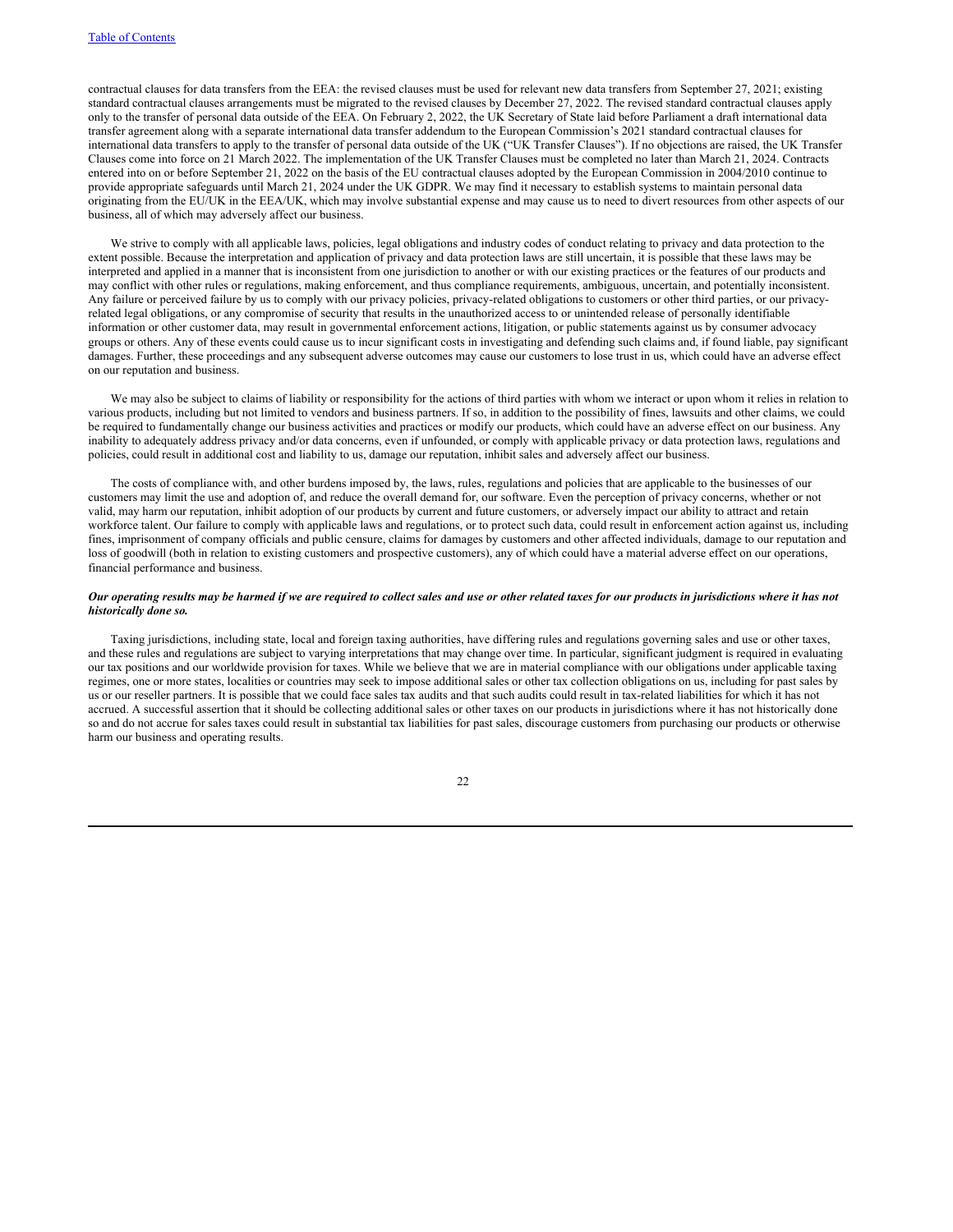contractual clauses for data transfers from the EEA: the revised clauses must be used for relevant new data transfers from September 27, 2021; existing standard contractual clauses arrangements must be migrated to the revised clauses by December 27, 2022. The revised standard contractual clauses apply only to the transfer of personal data outside of the EEA. On February 2, 2022, the UK Secretary of State laid before Parliament a draft international data transfer agreement along with a separate international data transfer addendum to the European Commission's 2021 standard contractual clauses for international data transfers to apply to the transfer of personal data outside of the UK ("UK Transfer Clauses"). If no objections are raised, the UK Transfer Clauses come into force on 21 March 2022. The implementation of the UK Transfer Clauses must be completed no later than March 21, 2024. Contracts entered into on or before September 21, 2022 on the basis of the EU contractual clauses adopted by the European Commission in 2004/2010 continue to provide appropriate safeguards until March 21, 2024 under the UK GDPR. We may find it necessary to establish systems to maintain personal data originating from the EU/UK in the EEA/UK, which may involve substantial expense and may cause us to need to divert resources from other aspects of our business, all of which may adversely affect our business.

We strive to comply with all applicable laws, policies, legal obligations and industry codes of conduct relating to privacy and data protection to the extent possible. Because the interpretation and application of privacy and data protection laws are still uncertain, it is possible that these laws may be interpreted and applied in a manner that is inconsistent from one jurisdiction to another or with our existing practices or the features of our products and may conflict with other rules or regulations, making enforcement, and thus compliance requirements, ambiguous, uncertain, and potentially inconsistent. Any failure or perceived failure by us to comply with our privacy policies, privacy-related obligations to customers or other third parties, or our privacyrelated legal obligations, or any compromise of security that results in the unauthorized access to or unintended release of personally identifiable information or other customer data, may result in governmental enforcement actions, litigation, or public statements against us by consumer advocacy groups or others. Any of these events could cause us to incur significant costs in investigating and defending such claims and, if found liable, pay significant damages. Further, these proceedings and any subsequent adverse outcomes may cause our customers to lose trust in us, which could have an adverse effect on our reputation and business.

We may also be subject to claims of liability or responsibility for the actions of third parties with whom we interact or upon whom it relies in relation to various products, including but not limited to vendors and business partners. If so, in addition to the possibility of fines, lawsuits and other claims, we could be required to fundamentally change our business activities and practices or modify our products, which could have an adverse effect on our business. Any inability to adequately address privacy and/or data concerns, even if unfounded, or comply with applicable privacy or data protection laws, regulations and policies, could result in additional cost and liability to us, damage our reputation, inhibit sales and adversely affect our business.

The costs of compliance with, and other burdens imposed by, the laws, rules, regulations and policies that are applicable to the businesses of our customers may limit the use and adoption of, and reduce the overall demand for, our software. Even the perception of privacy concerns, whether or not valid, may harm our reputation, inhibit adoption of our products by current and future customers, or adversely impact our ability to attract and retain workforce talent. Our failure to comply with applicable laws and regulations, or to protect such data, could result in enforcement action against us, including fines, imprisonment of company officials and public censure, claims for damages by customers and other affected individuals, damage to our reputation and loss of goodwill (both in relation to existing customers and prospective customers), any of which could have a material adverse effect on our operations, financial performance and business.

# Our operating results may be harmed if we are required to collect sales and use or other related taxes for our products in jurisdictions where it has not *historically done so.*

Taxing jurisdictions, including state, local and foreign taxing authorities, have differing rules and regulations governing sales and use or other taxes, and these rules and regulations are subject to varying interpretations that may change over time. In particular, significant judgment is required in evaluating our tax positions and our worldwide provision for taxes. While we believe that we are in material compliance with our obligations under applicable taxing regimes, one or more states, localities or countries may seek to impose additional sales or other tax collection obligations on us, including for past sales by us or our reseller partners. It is possible that we could face sales tax audits and that such audits could result in tax-related liabilities for which it has not accrued. A successful assertion that it should be collecting additional sales or other taxes on our products in jurisdictions where it has not historically done so and do not accrue for sales taxes could result in substantial tax liabilities for past sales, discourage customers from purchasing our products or otherwise harm our business and operating results.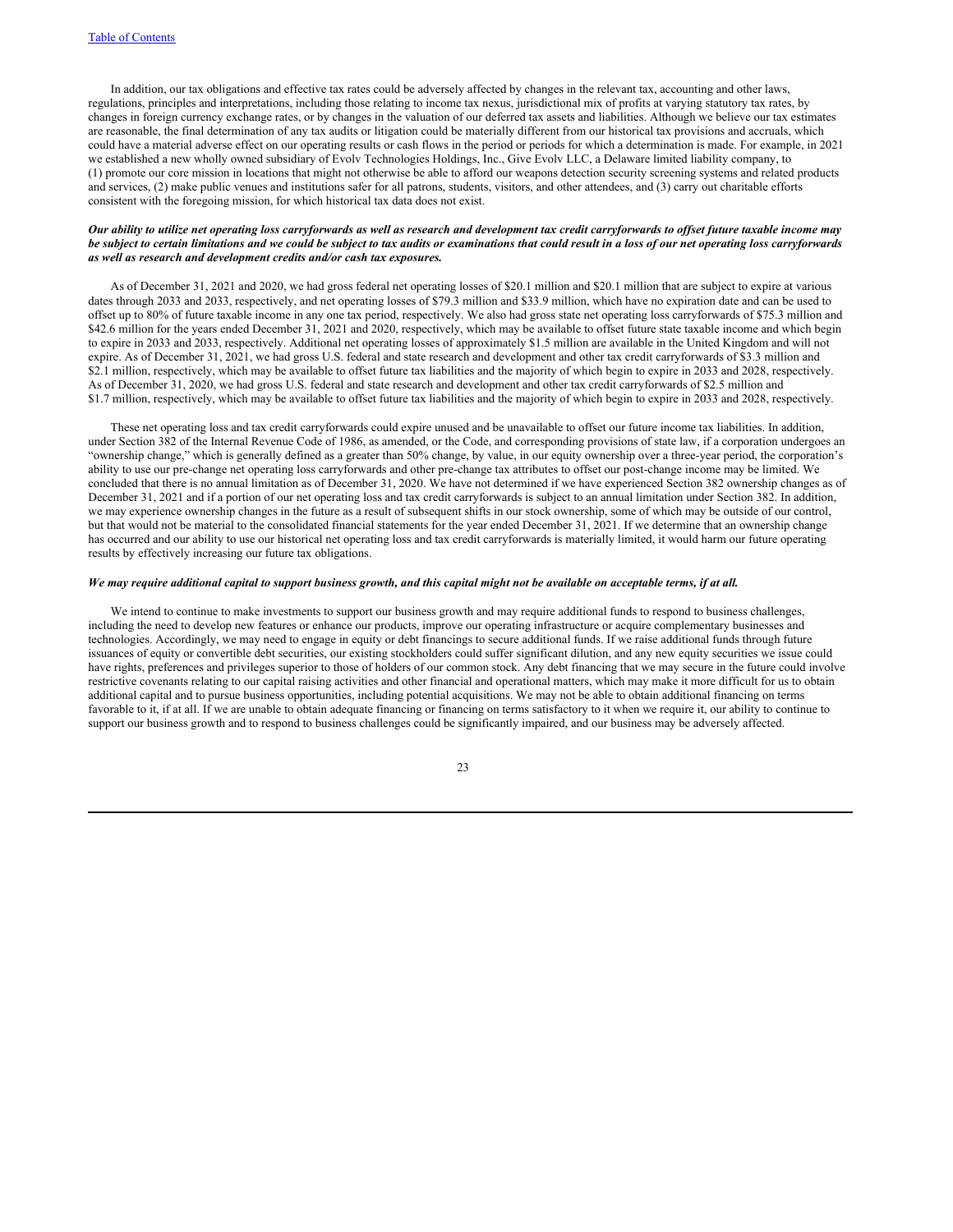In addition, our tax obligations and effective tax rates could be adversely affected by changes in the relevant tax, accounting and other laws, regulations, principles and interpretations, including those relating to income tax nexus, jurisdictional mix of profits at varying statutory tax rates, by changes in foreign currency exchange rates, or by changes in the valuation of our deferred tax assets and liabilities. Although we believe our tax estimates are reasonable, the final determination of any tax audits or litigation could be materially different from our historical tax provisions and accruals, which could have a material adverse effect on our operating results or cash flows in the period or periods for which a determination is made. For example, in 2021 we established a new wholly owned subsidiary of Evolv Technologies Holdings, Inc., Give Evolv LLC, a Delaware limited liability company, to (1) promote our core mission in locations that might not otherwise be able to afford our weapons detection security screening systems and related products and services, (2) make public venues and institutions safer for all patrons, students, visitors, and other attendees, and (3) carry out charitable efforts consistent with the foregoing mission, for which historical tax data does not exist.

# Our ability to utilize net operating loss carryforwards as well as research and development tax credit carryforwards to offset future taxable income may be subject to certain limitations and we could be subject to tax audits or examinations that could result in a loss of our net operating loss carryforwards *as well as research and development credits and/or cash tax exposures.*

As of December 31, 2021 and 2020, we had gross federal net operating losses of \$20.1 million and \$20.1 million that are subject to expire at various dates through 2033 and 2033, respectively, and net operating losses of \$79.3 million and \$33.9 million, which have no expiration date and can be used to offset up to 80% of future taxable income in any one tax period, respectively. We also had gross state net operating loss carryforwards of \$75.3 million and \$42.6 million for the years ended December 31, 2021 and 2020, respectively, which may be available to offset future state taxable income and which begin to expire in 2033 and 2033, respectively. Additional net operating losses of approximately \$1.5 million are available in the United Kingdom and will not expire. As of December 31, 2021, we had gross U.S. federal and state research and development and other tax credit carryforwards of \$3.3 million and \$2.1 million, respectively, which may be available to offset future tax liabilities and the majority of which begin to expire in 2033 and 2028, respectively. As of December 31, 2020, we had gross U.S. federal and state research and development and other tax credit carryforwards of \$2.5 million and \$1.7 million, respectively, which may be available to offset future tax liabilities and the majority of which begin to expire in 2033 and 2028, respectively.

These net operating loss and tax credit carryforwards could expire unused and be unavailable to offset our future income tax liabilities. In addition, under Section 382 of the Internal Revenue Code of 1986, as amended, or the Code, and corresponding provisions of state law, if a corporation undergoes an "ownership change," which is generally defined as a greater than 50% change, by value, in our equity ownership over a three-year period, the corporation's ability to use our pre-change net operating loss carryforwards and other pre-change tax attributes to offset our post-change income may be limited. We concluded that there is no annual limitation as of December 31, 2020. We have not determined if we have experienced Section 382 ownership changes as of December 31, 2021 and if a portion of our net operating loss and tax credit carryforwards is subject to an annual limitation under Section 382. In addition, we may experience ownership changes in the future as a result of subsequent shifts in our stock ownership, some of which may be outside of our control, but that would not be material to the consolidated financial statements for the year ended December 31, 2021. If we determine that an ownership change has occurred and our ability to use our historical net operating loss and tax credit carryforwards is materially limited, it would harm our future operating results by effectively increasing our future tax obligations.

# We may require additional capital to support business growth, and this capital might not be available on acceptable terms, if at all.

We intend to continue to make investments to support our business growth and may require additional funds to respond to business challenges, including the need to develop new features or enhance our products, improve our operating infrastructure or acquire complementary businesses and technologies. Accordingly, we may need to engage in equity or debt financings to secure additional funds. If we raise additional funds through future issuances of equity or convertible debt securities, our existing stockholders could suffer significant dilution, and any new equity securities we issue could have rights, preferences and privileges superior to those of holders of our common stock. Any debt financing that we may secure in the future could involve restrictive covenants relating to our capital raising activities and other financial and operational matters, which may make it more difficult for us to obtain additional capital and to pursue business opportunities, including potential acquisitions. We may not be able to obtain additional financing on terms favorable to it, if at all. If we are unable to obtain adequate financing or financing on terms satisfactory to it when we require it, our ability to continue to support our business growth and to respond to business challenges could be significantly impaired, and our business may be adversely affected.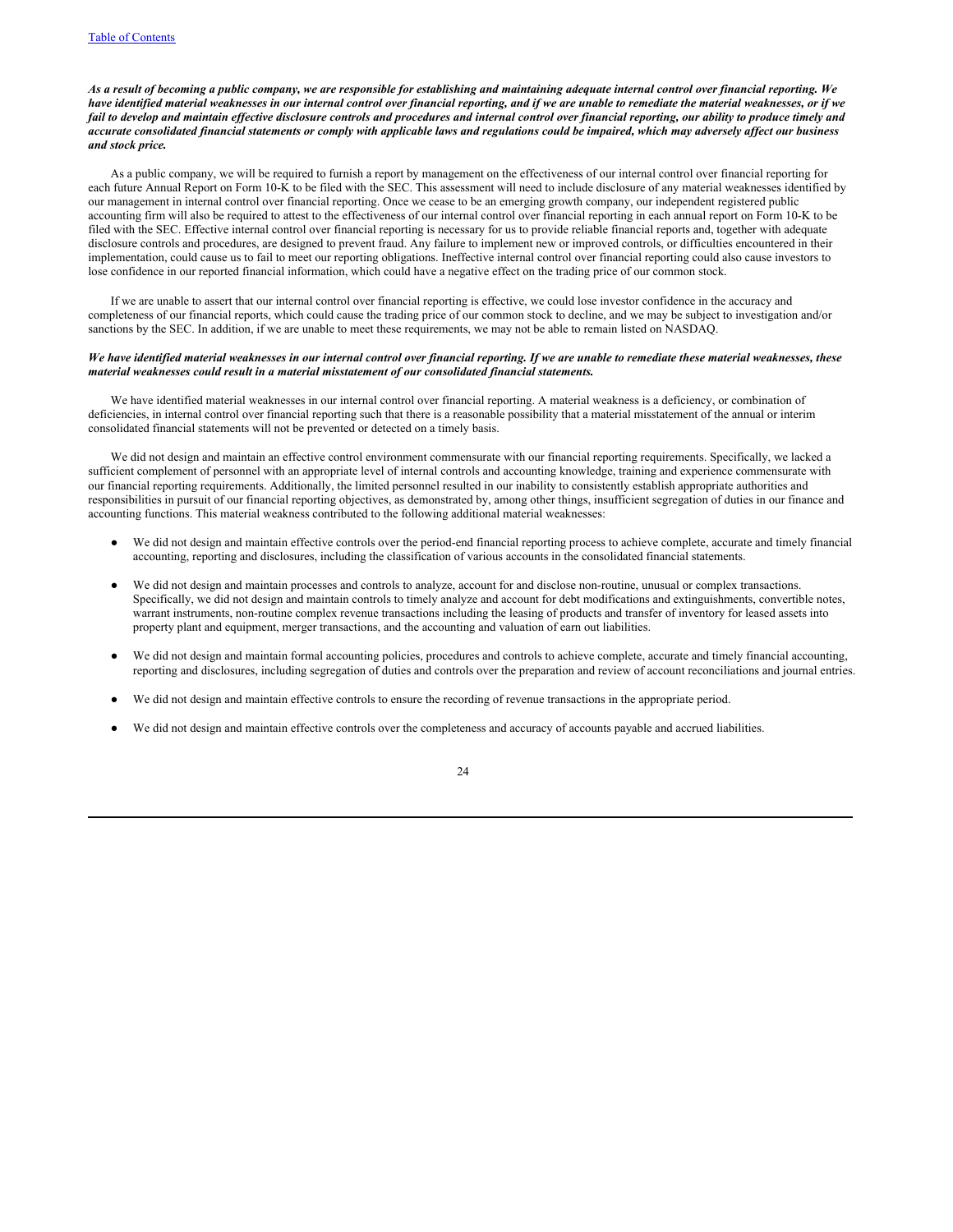# As a result of becoming a public company, we are responsible for establishing and maintaining adequate internal control over financial reporting. We have identified material weaknesses in our internal control over financial reporting, and if we are unable to remediate the material weaknesses, or if we fail to develop and maintain effective disclosure controls and procedures and internal control over financial reporting, our ability to produce timely and accurate consolidated financial statements or comply with applicable laws and regulations could be impaired, which may adversely affect our business *and stock price.*

As a public company, we will be required to furnish a report by management on the effectiveness of our internal control over financial reporting for each future Annual Report on Form 10-K to be filed with the SEC. This assessment will need to include disclosure of any material weaknesses identified by our management in internal control over financial reporting. Once we cease to be an emerging growth company, our independent registered public accounting firm will also be required to attest to the effectiveness of our internal control over financial reporting in each annual report on Form 10-K to be filed with the SEC. Effective internal control over financial reporting is necessary for us to provide reliable financial reports and, together with adequate disclosure controls and procedures, are designed to prevent fraud. Any failure to implement new or improved controls, or difficulties encountered in their implementation, could cause us to fail to meet our reporting obligations. Ineffective internal control over financial reporting could also cause investors to lose confidence in our reported financial information, which could have a negative effect on the trading price of our common stock.

If we are unable to assert that our internal control over financial reporting is effective, we could lose investor confidence in the accuracy and completeness of our financial reports, which could cause the trading price of our common stock to decline, and we may be subject to investigation and/or sanctions by the SEC. In addition, if we are unable to meet these requirements, we may not be able to remain listed on NASDAQ.

# We have identified material weaknesses in our internal control over financial reporting. If we are unable to remediate these material weaknesses, these *material weaknesses could result in a material misstatement of our consolidated financial statements.*

We have identified material weaknesses in our internal control over financial reporting. A material weakness is a deficiency, or combination of deficiencies, in internal control over financial reporting such that there is a reasonable possibility that a material misstatement of the annual or interim consolidated financial statements will not be prevented or detected on a timely basis.

We did not design and maintain an effective control environment commensurate with our financial reporting requirements. Specifically, we lacked a sufficient complement of personnel with an appropriate level of internal controls and accounting knowledge, training and experience commensurate with our financial reporting requirements. Additionally, the limited personnel resulted in our inability to consistently establish appropriate authorities and responsibilities in pursuit of our financial reporting objectives, as demonstrated by, among other things, insufficient segregation of duties in our finance and accounting functions. This material weakness contributed to the following additional material weaknesses:

- We did not design and maintain effective controls over the period-end financial reporting process to achieve complete, accurate and timely financial accounting, reporting and disclosures, including the classification of various accounts in the consolidated financial statements.
- We did not design and maintain processes and controls to analyze, account for and disclose non-routine, unusual or complex transactions. Specifically, we did not design and maintain controls to timely analyze and account for debt modifications and extinguishments, convertible notes, warrant instruments, non-routine complex revenue transactions including the leasing of products and transfer of inventory for leased assets into property plant and equipment, merger transactions, and the accounting and valuation of earn out liabilities.
- We did not design and maintain formal accounting policies, procedures and controls to achieve complete, accurate and timely financial accounting, reporting and disclosures, including segregation of duties and controls over the preparation and review of account reconciliations and journal entries.
- We did not design and maintain effective controls to ensure the recording of revenue transactions in the appropriate period.
- We did not design and maintain effective controls over the completeness and accuracy of accounts payable and accrued liabilities.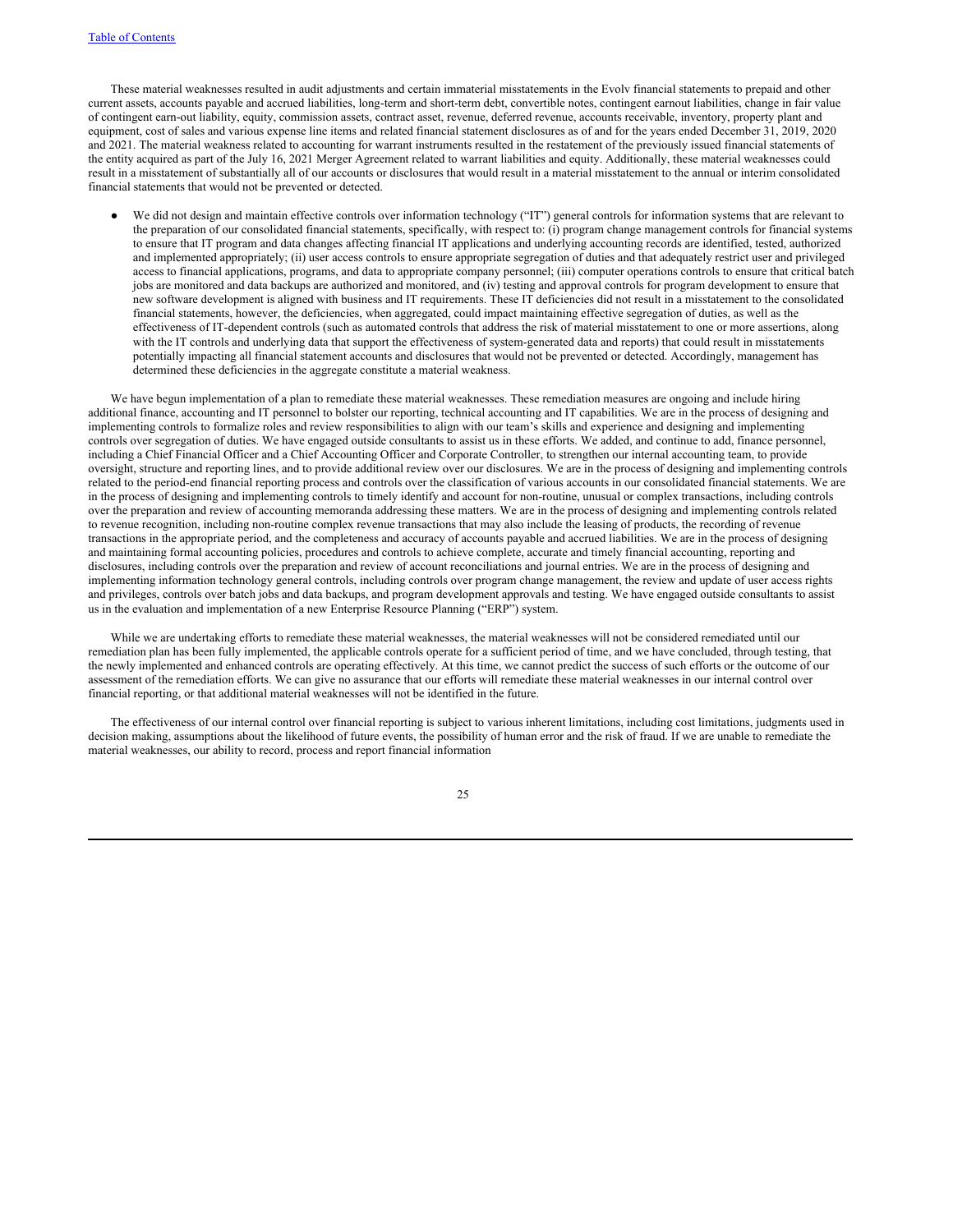These material weaknesses resulted in audit adjustments and certain immaterial misstatements in the Evolv financial statements to prepaid and other current assets, accounts payable and accrued liabilities, long-term and short-term debt, convertible notes, contingent earnout liabilities, change in fair value of contingent earn-out liability, equity, commission assets, contract asset, revenue, deferred revenue, accounts receivable, inventory, property plant and equipment, cost of sales and various expense line items and related financial statement disclosures as of and for the years ended December 31, 2019, 2020 and 2021. The material weakness related to accounting for warrant instruments resulted in the restatement of the previously issued financial statements of the entity acquired as part of the July 16, 2021 Merger Agreement related to warrant liabilities and equity. Additionally, these material weaknesses could result in a misstatement of substantially all of our accounts or disclosures that would result in a material misstatement to the annual or interim consolidated financial statements that would not be prevented or detected.

We did not design and maintain effective controls over information technology ("IT") general controls for information systems that are relevant to the preparation of our consolidated financial statements, specifically, with respect to: (i) program change management controls for financial systems to ensure that IT program and data changes affecting financial IT applications and underlying accounting records are identified, tested, authorized and implemented appropriately; (ii) user access controls to ensure appropriate segregation of duties and that adequately restrict user and privileged access to financial applications, programs, and data to appropriate company personnel; (iii) computer operations controls to ensure that critical batch jobs are monitored and data backups are authorized and monitored, and (iv) testing and approval controls for program development to ensure that new software development is aligned with business and IT requirements. These IT deficiencies did not result in a misstatement to the consolidated financial statements, however, the deficiencies, when aggregated, could impact maintaining effective segregation of duties, as well as the effectiveness of IT-dependent controls (such as automated controls that address the risk of material misstatement to one or more assertions, along with the IT controls and underlying data that support the effectiveness of system-generated data and reports) that could result in misstatements potentially impacting all financial statement accounts and disclosures that would not be prevented or detected. Accordingly, management has determined these deficiencies in the aggregate constitute a material weakness.

We have begun implementation of a plan to remediate these material weaknesses. These remediation measures are ongoing and include hiring additional finance, accounting and IT personnel to bolster our reporting, technical accounting and IT capabilities. We are in the process of designing and implementing controls to formalize roles and review responsibilities to align with our team's skills and experience and designing and implementing controls over segregation of duties. We have engaged outside consultants to assist us in these efforts. We added, and continue to add, finance personnel, including a Chief Financial Officer and a Chief Accounting Officer and Corporate Controller, to strengthen our internal accounting team, to provide oversight, structure and reporting lines, and to provide additional review over our disclosures. We are in the process of designing and implementing controls related to the period-end financial reporting process and controls over the classification of various accounts in our consolidated financial statements. We are in the process of designing and implementing controls to timely identify and account for non-routine, unusual or complex transactions, including controls over the preparation and review of accounting memoranda addressing these matters. We are in the process of designing and implementing controls related to revenue recognition, including non-routine complex revenue transactions that may also include the leasing of products, the recording of revenue transactions in the appropriate period, and the completeness and accuracy of accounts payable and accrued liabilities. We are in the process of designing and maintaining formal accounting policies, procedures and controls to achieve complete, accurate and timely financial accounting, reporting and disclosures, including controls over the preparation and review of account reconciliations and journal entries. We are in the process of designing and implementing information technology general controls, including controls over program change management, the review and update of user access rights and privileges, controls over batch jobs and data backups, and program development approvals and testing. We have engaged outside consultants to assist us in the evaluation and implementation of a new Enterprise Resource Planning ("ERP") system.

While we are undertaking efforts to remediate these material weaknesses, the material weaknesses will not be considered remediated until our remediation plan has been fully implemented, the applicable controls operate for a sufficient period of time, and we have concluded, through testing, that the newly implemented and enhanced controls are operating effectively. At this time, we cannot predict the success of such efforts or the outcome of our assessment of the remediation efforts. We can give no assurance that our efforts will remediate these material weaknesses in our internal control over financial reporting, or that additional material weaknesses will not be identified in the future.

The effectiveness of our internal control over financial reporting is subject to various inherent limitations, including cost limitations, judgments used in decision making, assumptions about the likelihood of future events, the possibility of human error and the risk of fraud. If we are unable to remediate the material weaknesses, our ability to record, process and report financial information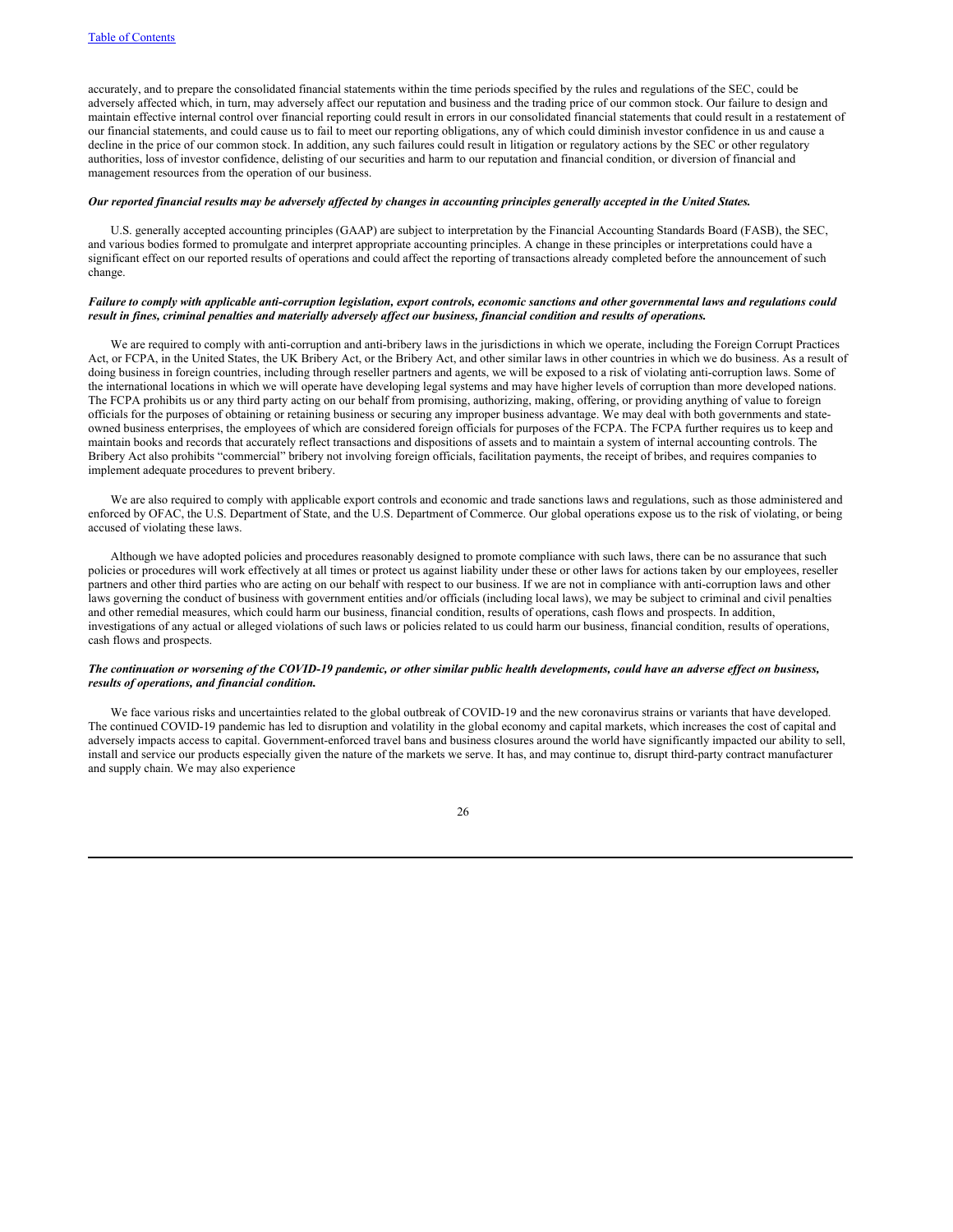accurately, and to prepare the consolidated financial statements within the time periods specified by the rules and regulations of the SEC, could be adversely affected which, in turn, may adversely affect our reputation and business and the trading price of our common stock. Our failure to design and maintain effective internal control over financial reporting could result in errors in our consolidated financial statements that could result in a restatement of our financial statements, and could cause us to fail to meet our reporting obligations, any of which could diminish investor confidence in us and cause a decline in the price of our common stock. In addition, any such failures could result in litigation or regulatory actions by the SEC or other regulatory authorities, loss of investor confidence, delisting of our securities and harm to our reputation and financial condition, or diversion of financial and management resources from the operation of our business.

### Our reported financial results may be adversely affected by changes in accounting principles generally accepted in the United States.

U.S. generally accepted accounting principles (GAAP) are subject to interpretation by the Financial Accounting Standards Board (FASB), the SEC, and various bodies formed to promulgate and interpret appropriate accounting principles. A change in these principles or interpretations could have a significant effect on our reported results of operations and could affect the reporting of transactions already completed before the announcement of such change.

# Failure to comply with applicable anti-corruption legislation, export controls, economic sanctions and other governmental laws and regulations could result in fines, criminal penalties and materially adversely affect our business, financial condition and results of operations.

We are required to comply with anti-corruption and anti-bribery laws in the jurisdictions in which we operate, including the Foreign Corrupt Practices Act, or FCPA, in the United States, the UK Bribery Act, or the Bribery Act, and other similar laws in other countries in which we do business. As a result of doing business in foreign countries, including through reseller partners and agents, we will be exposed to a risk of violating anti-corruption laws. Some of the international locations in which we will operate have developing legal systems and may have higher levels of corruption than more developed nations. The FCPA prohibits us or any third party acting on our behalf from promising, authorizing, making, offering, or providing anything of value to foreign officials for the purposes of obtaining or retaining business or securing any improper business advantage. We may deal with both governments and stateowned business enterprises, the employees of which are considered foreign officials for purposes of the FCPA. The FCPA further requires us to keep and maintain books and records that accurately reflect transactions and dispositions of assets and to maintain a system of internal accounting controls. The Bribery Act also prohibits "commercial" bribery not involving foreign officials, facilitation payments, the receipt of bribes, and requires companies to implement adequate procedures to prevent bribery.

We are also required to comply with applicable export controls and economic and trade sanctions laws and regulations, such as those administered and enforced by OFAC, the U.S. Department of State, and the U.S. Department of Commerce. Our global operations expose us to the risk of violating, or being accused of violating these laws.

Although we have adopted policies and procedures reasonably designed to promote compliance with such laws, there can be no assurance that such policies or procedures will work effectively at all times or protect us against liability under these or other laws for actions taken by our employees, reseller partners and other third parties who are acting on our behalf with respect to our business. If we are not in compliance with anti-corruption laws and other laws governing the conduct of business with government entities and/or officials (including local laws), we may be subject to criminal and civil penalties and other remedial measures, which could harm our business, financial condition, results of operations, cash flows and prospects. In addition, investigations of any actual or alleged violations of such laws or policies related to us could harm our business, financial condition, results of operations, cash flows and prospects.

# The continuation or worsening of the COVID-19 pandemic, or other similar public health developments, could have an adverse effect on business, *results of operations, and financial condition.*

We face various risks and uncertainties related to the global outbreak of COVID-19 and the new coronavirus strains or variants that have developed. The continued COVID-19 pandemic has led to disruption and volatility in the global economy and capital markets, which increases the cost of capital and adversely impacts access to capital. Government-enforced travel bans and business closures around the world have significantly impacted our ability to sell, install and service our products especially given the nature of the markets we serve. It has, and may continue to, disrupt third-party contract manufacturer and supply chain. We may also experience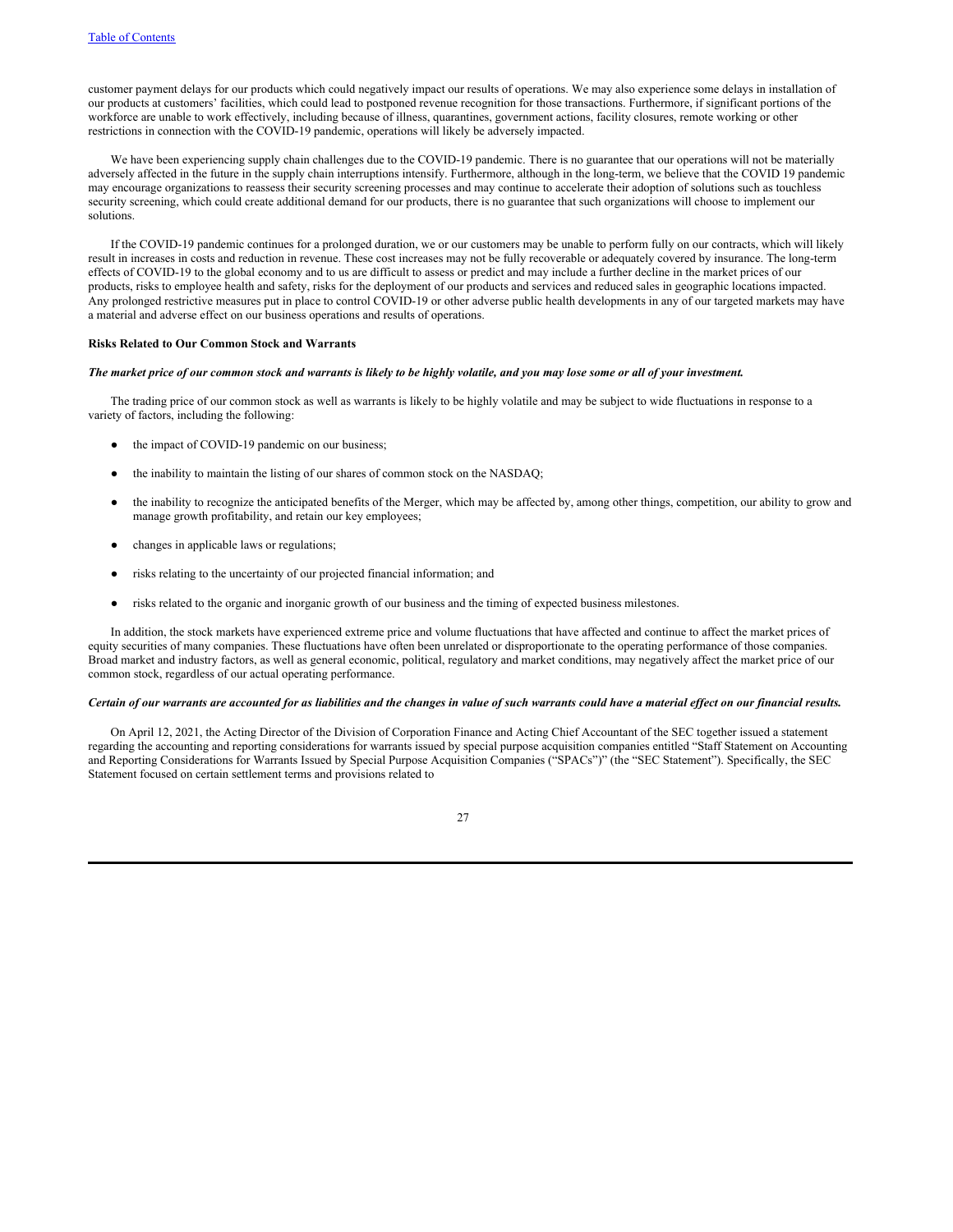customer payment delays for our products which could negatively impact our results of operations. We may also experience some delays in installation of our products at customers' facilities, which could lead to postponed revenue recognition for those transactions. Furthermore, if significant portions of the workforce are unable to work effectively, including because of illness, quarantines, government actions, facility closures, remote working or other restrictions in connection with the COVID-19 pandemic, operations will likely be adversely impacted.

We have been experiencing supply chain challenges due to the COVID-19 pandemic. There is no guarantee that our operations will not be materially adversely affected in the future in the supply chain interruptions intensify. Furthermore, although in the long-term, we believe that the COVID 19 pandemic may encourage organizations to reassess their security screening processes and may continue to accelerate their adoption of solutions such as touchless security screening, which could create additional demand for our products, there is no guarantee that such organizations will choose to implement our solutions.

If the COVID-19 pandemic continues for a prolonged duration, we or our customers may be unable to perform fully on our contracts, which will likely result in increases in costs and reduction in revenue. These cost increases may not be fully recoverable or adequately covered by insurance. The long-term effects of COVID-19 to the global economy and to us are difficult to assess or predict and may include a further decline in the market prices of our products, risks to employee health and safety, risks for the deployment of our products and services and reduced sales in geographic locations impacted. Any prolonged restrictive measures put in place to control COVID-19 or other adverse public health developments in any of our targeted markets may have a material and adverse effect on our business operations and results of operations.

#### **Risks Related to Our Common Stock and Warrants**

#### The market price of our common stock and warrants is likely to be highly volatile, and you may lose some or all of your investment.

The trading price of our common stock as well as warrants is likely to be highly volatile and may be subject to wide fluctuations in response to a variety of factors, including the following:

- the impact of COVID-19 pandemic on our business;
- the inability to maintain the listing of our shares of common stock on the NASDAQ;
- the inability to recognize the anticipated benefits of the Merger, which may be affected by, among other things, competition, our ability to grow and manage growth profitability, and retain our key employees;
- changes in applicable laws or regulations;
- risks relating to the uncertainty of our projected financial information; and
- risks related to the organic and inorganic growth of our business and the timing of expected business milestones.

In addition, the stock markets have experienced extreme price and volume fluctuations that have affected and continue to affect the market prices of equity securities of many companies. These fluctuations have often been unrelated or disproportionate to the operating performance of those companies. Broad market and industry factors, as well as general economic, political, regulatory and market conditions, may negatively affect the market price of our common stock, regardless of our actual operating performance.

# Certain of our warrants are accounted for as liabilities and the changes in value of such warrants could have a material effect on our financial results.

On April 12, 2021, the Acting Director of the Division of Corporation Finance and Acting Chief Accountant of the SEC together issued a statement regarding the accounting and reporting considerations for warrants issued by special purpose acquisition companies entitled "Staff Statement on Accounting and Reporting Considerations for Warrants Issued by Special Purpose Acquisition Companies ("SPACs")" (the "SEC Statement"). Specifically, the SEC Statement focused on certain settlement terms and provisions related to

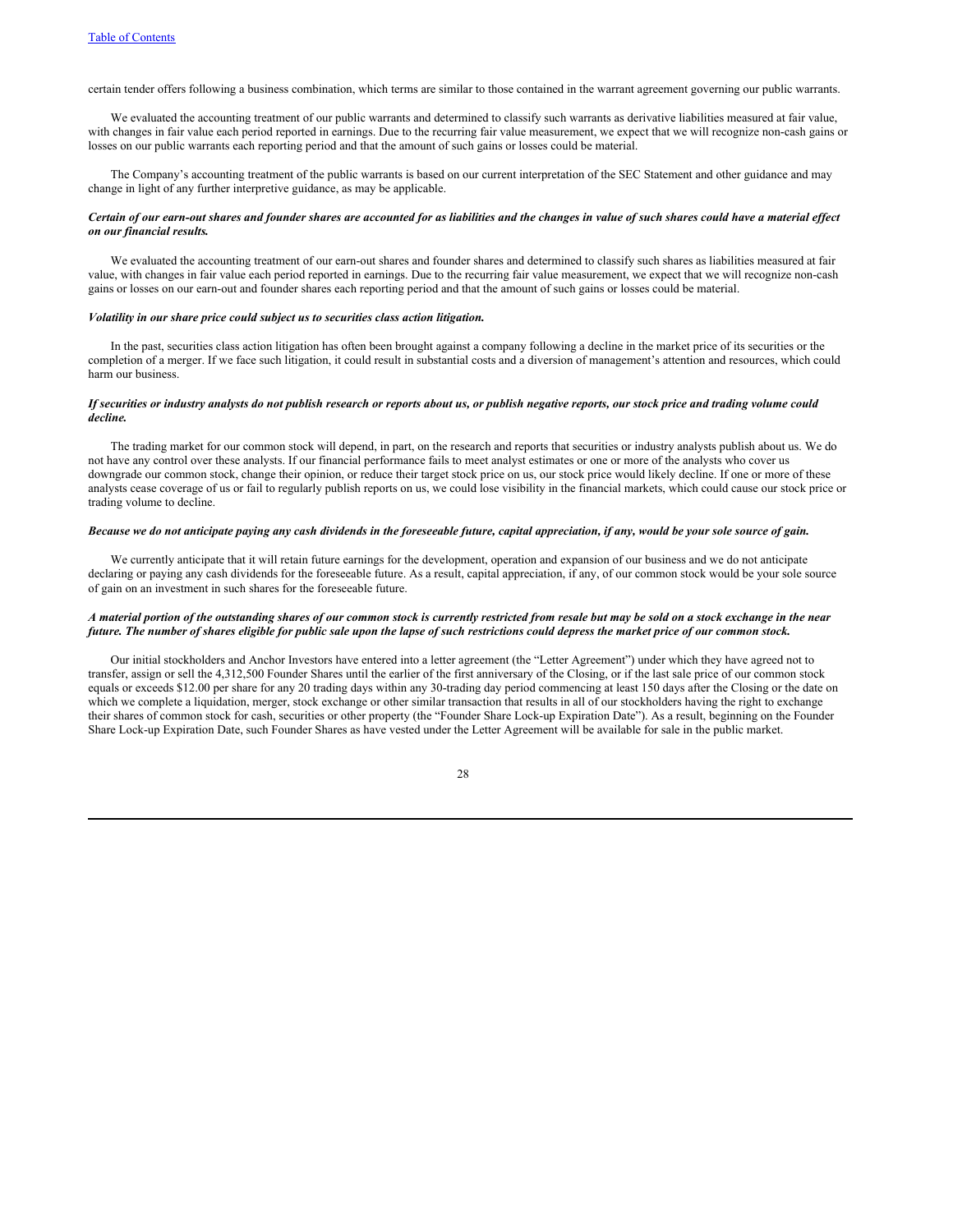certain tender offers following a business combination, which terms are similar to those contained in the warrant agreement governing our public warrants.

We evaluated the accounting treatment of our public warrants and determined to classify such warrants as derivative liabilities measured at fair value, with changes in fair value each period reported in earnings. Due to the recurring fair value measurement, we expect that we will recognize non-cash gains or losses on our public warrants each reporting period and that the amount of such gains or losses could be material.

The Company's accounting treatment of the public warrants is based on our current interpretation of the SEC Statement and other guidance and may change in light of any further interpretive guidance, as may be applicable.

# Certain of our earn-out shares and founder shares are accounted for as liabilities and the changes in value of such shares could have a material effect *on our financial results.*

We evaluated the accounting treatment of our earn-out shares and founder shares and determined to classify such shares as liabilities measured at fair value, with changes in fair value each period reported in earnings. Due to the recurring fair value measurement, we expect that we will recognize non-cash gains or losses on our earn-out and founder shares each reporting period and that the amount of such gains or losses could be material.

#### *Volatility in our share price could subject us to securities class action litigation.*

In the past, securities class action litigation has often been brought against a company following a decline in the market price of its securities or the completion of a merger. If we face such litigation, it could result in substantial costs and a diversion of management's attention and resources, which could harm our business.

# If securities or industry analysts do not publish research or reports about us, or publish negative reports, our stock price and trading volume could *decline.*

The trading market for our common stock will depend, in part, on the research and reports that securities or industry analysts publish about us. We do not have any control over these analysts. If our financial performance fails to meet analyst estimates or one or more of the analysts who cover us downgrade our common stock, change their opinion, or reduce their target stock price on us, our stock price would likely decline. If one or more of these analysts cease coverage of us or fail to regularly publish reports on us, we could lose visibility in the financial markets, which could cause our stock price or trading volume to decline.

# Because we do not anticipate paying any cash dividends in the foreseeable future, capital appreciation, if any, would be your sole source of gain.

We currently anticipate that it will retain future earnings for the development, operation and expansion of our business and we do not anticipate declaring or paying any cash dividends for the foreseeable future. As a result, capital appreciation, if any, of our common stock would be your sole source of gain on an investment in such shares for the foreseeable future.

# A material portion of the outstanding shares of our common stock is currently restricted from resale but may be sold on a stock exchange in the near future. The number of shares eligible for public sale upon the lapse of such restrictions could depress the market price of our common stock.

Our initial stockholders and Anchor Investors have entered into a letter agreement (the "Letter Agreement") under which they have agreed not to transfer, assign or sell the 4,312,500 Founder Shares until the earlier of the first anniversary of the Closing, or if the last sale price of our common stock equals or exceeds \$12.00 per share for any 20 trading days within any 30-trading day period commencing at least 150 days after the Closing or the date on which we complete a liquidation, merger, stock exchange or other similar transaction that results in all of our stockholders having the right to exchange their shares of common stock for cash, securities or other property (the "Founder Share Lock-up Expiration Date"). As a result, beginning on the Founder Share Lock-up Expiration Date, such Founder Shares as have vested under the Letter Agreement will be available for sale in the public market.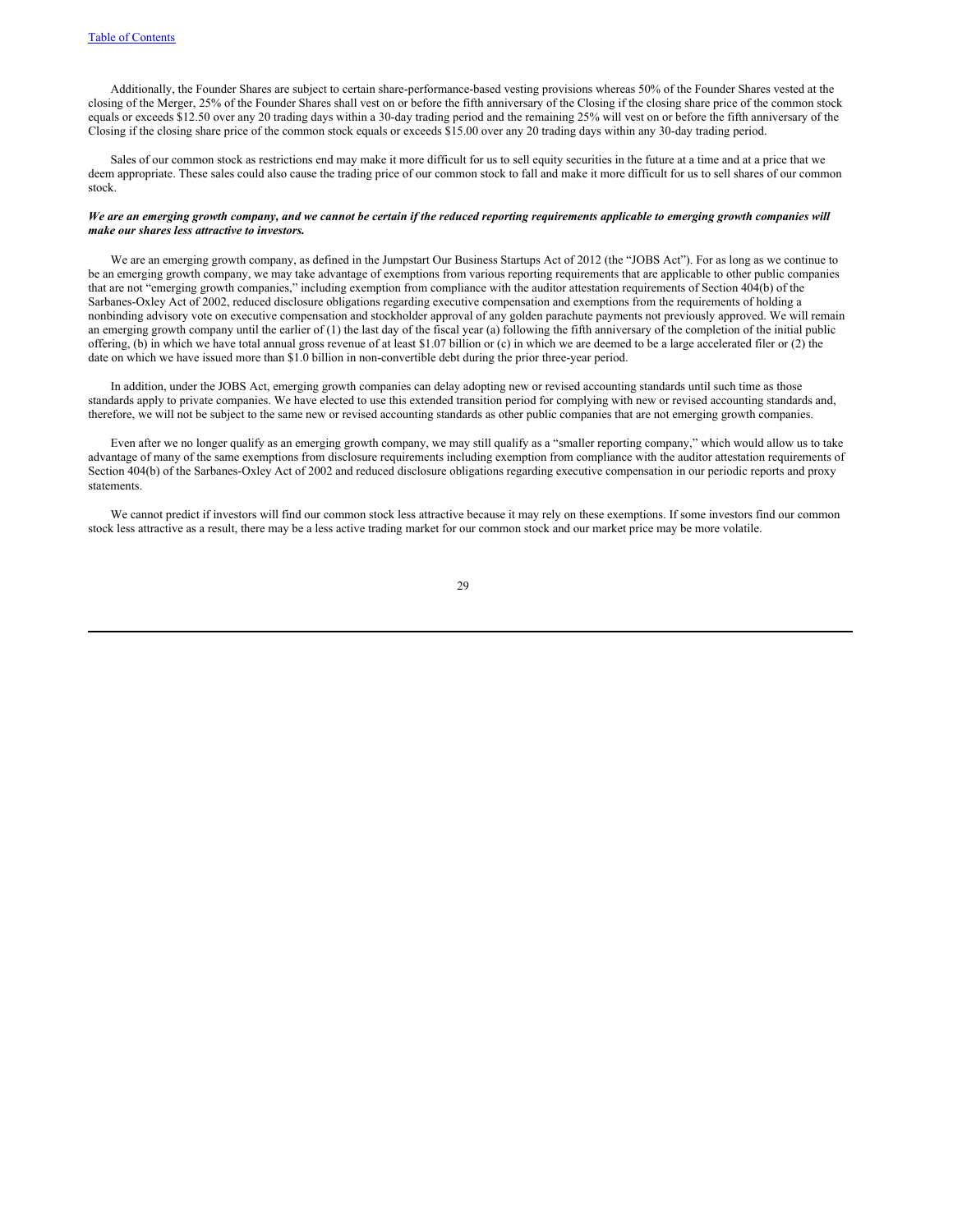Additionally, the Founder Shares are subject to certain share-performance-based vesting provisions whereas 50% of the Founder Shares vested at the closing of the Merger, 25% of the Founder Shares shall vest on or before the fifth anniversary of the Closing if the closing share price of the common stock equals or exceeds \$12.50 over any 20 trading days within a 30-day trading period and the remaining 25% will vest on or before the fifth anniversary of the Closing if the closing share price of the common stock equals or exceeds \$15.00 over any 20 trading days within any 30-day trading period.

Sales of our common stock as restrictions end may make it more difficult for us to sell equity securities in the future at a time and at a price that we deem appropriate. These sales could also cause the trading price of our common stock to fall and make it more difficult for us to sell shares of our common stock.

# We are an emerging growth company, and we cannot be certain if the reduced reporting requirements applicable to emerging growth companies will *make our shares less attractive to investors.*

We are an emerging growth company, as defined in the Jumpstart Our Business Startups Act of 2012 (the "JOBS Act"). For as long as we continue to be an emerging growth company, we may take advantage of exemptions from various reporting requirements that are applicable to other public companies that are not "emerging growth companies," including exemption from compliance with the auditor attestation requirements of Section 404(b) of the Sarbanes-Oxley Act of 2002, reduced disclosure obligations regarding executive compensation and exemptions from the requirements of holding a nonbinding advisory vote on executive compensation and stockholder approval of any golden parachute payments not previously approved. We will remain an emerging growth company until the earlier of (1) the last day of the fiscal year (a) following the fifth anniversary of the completion of the initial public offering, (b) in which we have total annual gross revenue of at least \$1.07 billion or (c) in which we are deemed to be a large accelerated filer or (2) the date on which we have issued more than \$1.0 billion in non-convertible debt during the prior three-year period.

In addition, under the JOBS Act, emerging growth companies can delay adopting new or revised accounting standards until such time as those standards apply to private companies. We have elected to use this extended transition period for complying with new or revised accounting standards and, therefore, we will not be subject to the same new or revised accounting standards as other public companies that are not emerging growth companies.

Even after we no longer qualify as an emerging growth company, we may still qualify as a "smaller reporting company," which would allow us to take advantage of many of the same exemptions from disclosure requirements including exemption from compliance with the auditor attestation requirements of Section 404(b) of the Sarbanes-Oxley Act of 2002 and reduced disclosure obligations regarding executive compensation in our periodic reports and proxy statements.

We cannot predict if investors will find our common stock less attractive because it may rely on these exemptions. If some investors find our common stock less attractive as a result, there may be a less active trading market for our common stock and our market price may be more volatile.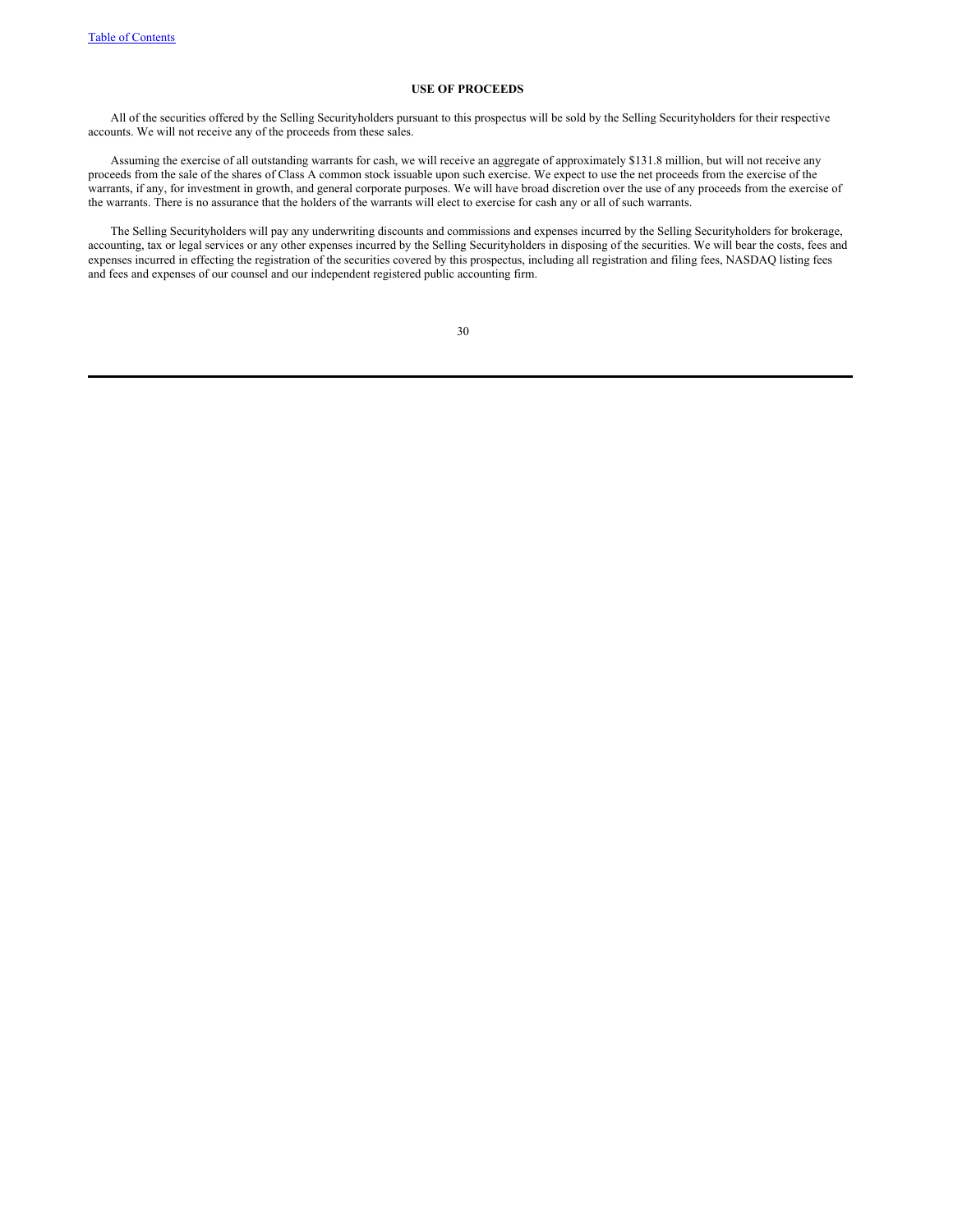# **USE OF PROCEEDS**

All of the securities offered by the Selling Securityholders pursuant to this prospectus will be sold by the Selling Securityholders for their respective accounts. We will not receive any of the proceeds from these sales.

Assuming the exercise of all outstanding warrants for cash, we will receive an aggregate of approximately \$131.8 million, but will not receive any proceeds from the sale of the shares of Class A common stock issuable upon such exercise. We expect to use the net proceeds from the exercise of the warrants, if any, for investment in growth, and general corporate purposes. We will have broad discretion over the use of any proceeds from the exercise of the warrants. There is no assurance that the holders of the warrants will elect to exercise for cash any or all of such warrants.

The Selling Securityholders will pay any underwriting discounts and commissions and expenses incurred by the Selling Securityholders for brokerage, accounting, tax or legal services or any other expenses incurred by the Selling Securityholders in disposing of the securities. We will bear the costs, fees and expenses incurred in effecting the registration of the securities covered by this prospectus, including all registration and filing fees, NASDAQ listing fees and fees and expenses of our counsel and our independent registered public accounting firm.

|                  | ۰.               |  |
|------------------|------------------|--|
| ı<br>ı<br>$\sim$ | i<br>I<br>$\sim$ |  |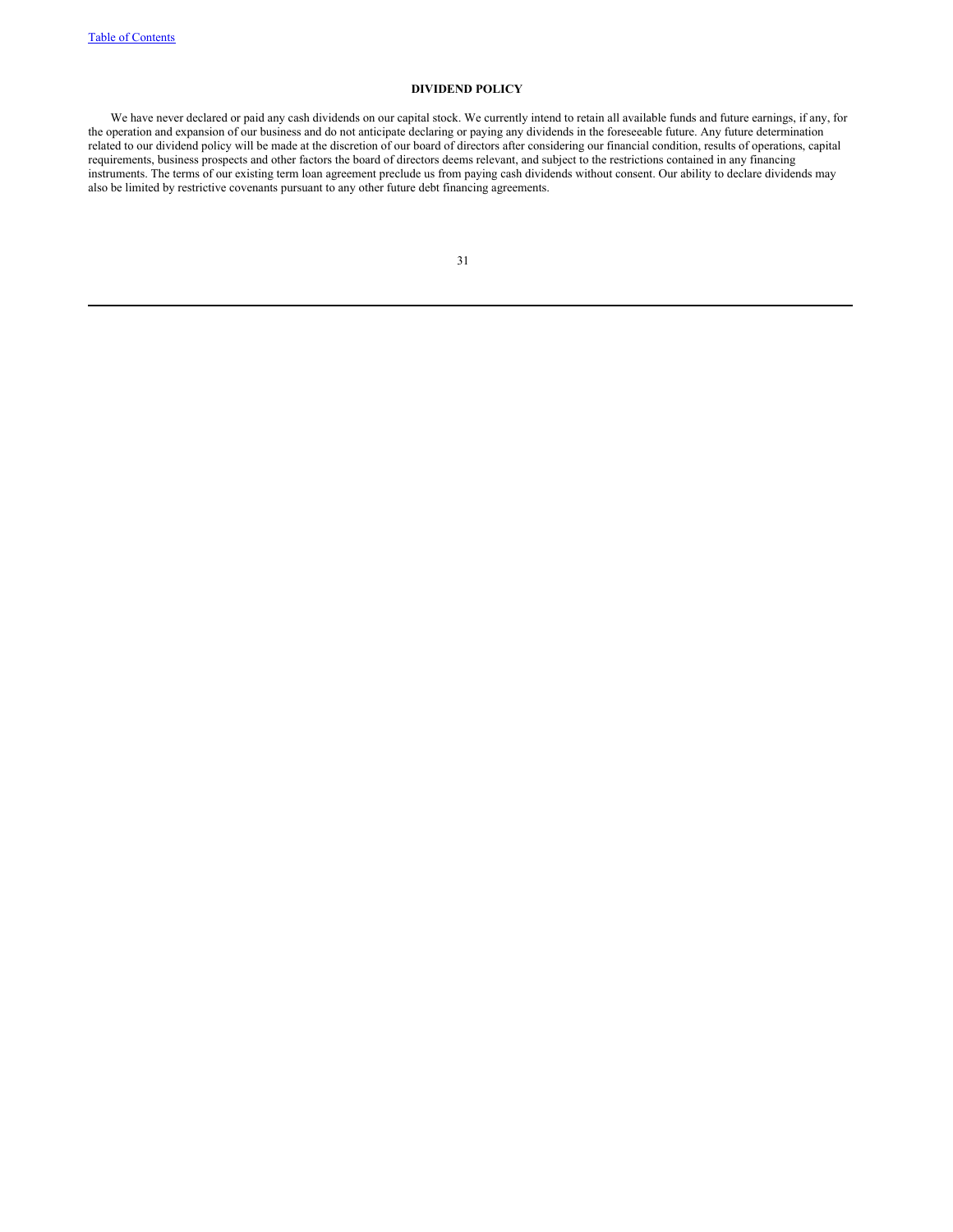# **DIVIDEND POLICY**

We have never declared or paid any cash dividends on our capital stock. We currently intend to retain all available funds and future earnings, if any, for the operation and expansion of our business and do not anticipate declaring or paying any dividends in the foreseeable future. Any future determination related to our dividend policy will be made at the discretion of our board of directors after considering our financial condition, results of operations, capital related to our dividend policy will be made at the discretio requirements, business prospects and other factors the board of directors deems relevant, and subject to the restrictions contained in any financing instruments. The terms of our existing term loan agreement preclude us from paying cash dividends without consent. Our ability to declare dividends may also be limited by restrictive covenants pursuant to any other future debt financing agreements.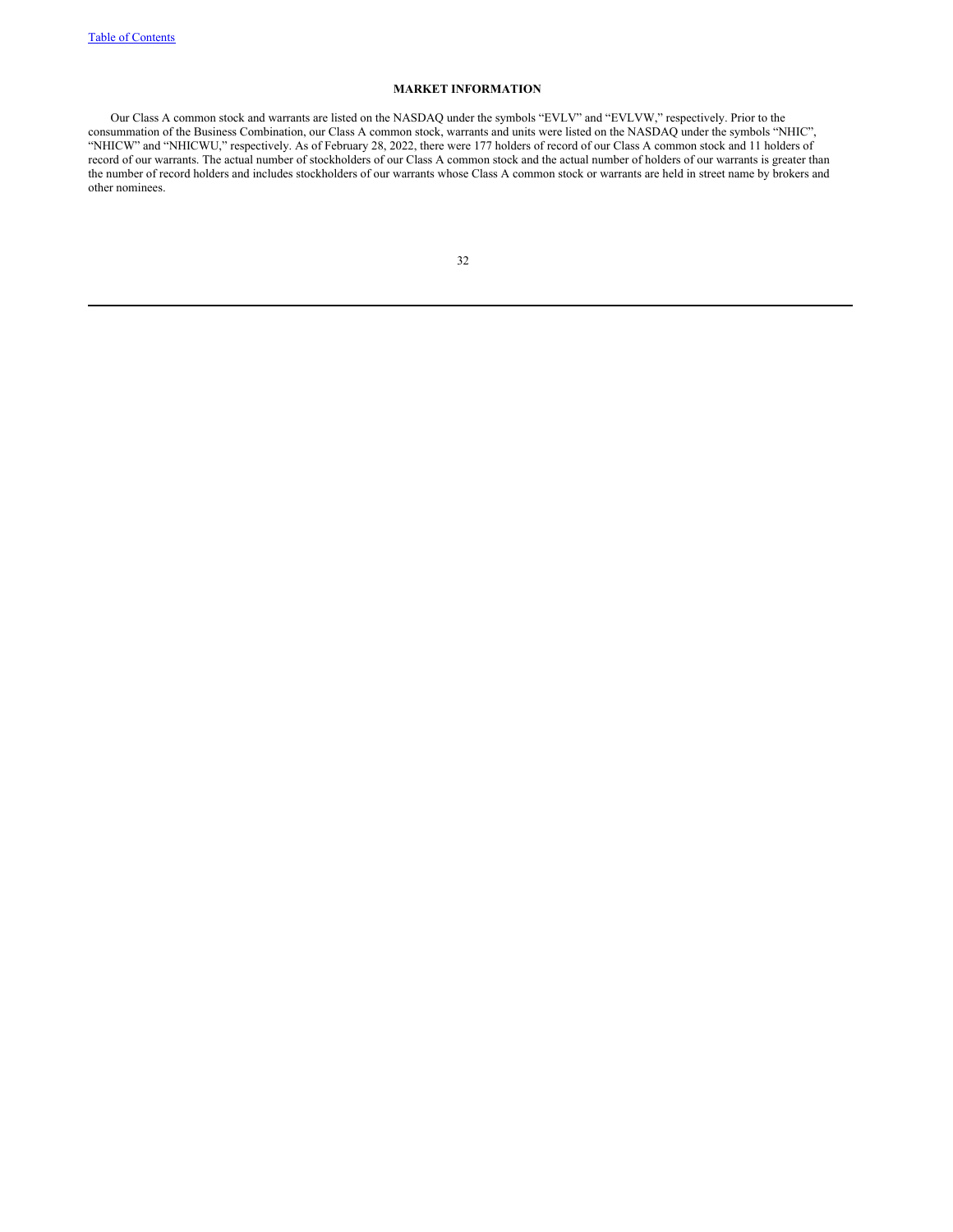# **MARKET INFORMATION**

Our Class A common stock and warrants are listed on the NASDAQ under the symbols "EVLV" and "EVLVW," respectively. Prior to the consummation of the Business Combination, our Class A common stock, warrants and units were listed on the NASDAQ under the symbols "NHIC", "NHICW" and "NHICWU," respectively. As of February 28, 2022, there were 177 holders of record of our Class A common stock and 11 holders of record of our warrants. The actual number of stockholders of our Class A common stock and the actual number of holders of our warrants is greater than the number of record holders and includes stockholders of our warrants whose Class A common stock or warrants are held in street name by brokers and other nominees.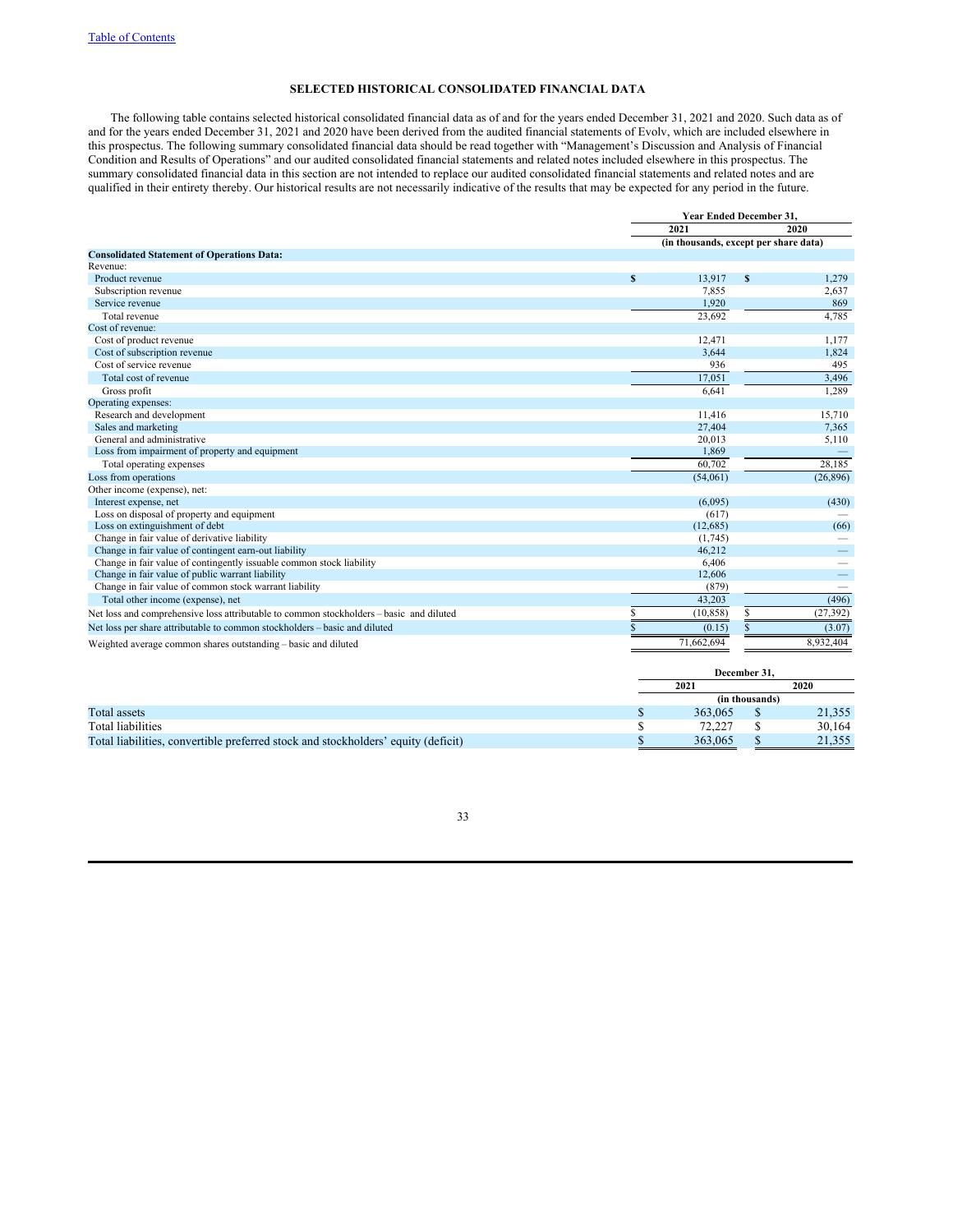# **SELECTED HISTORICAL CONSOLIDATED FINANCIAL DATA**

The following table contains selected historical consolidated financial data as of and for the years ended December 31, 2021 and 2020. Such data as of and for the years ended December 31, 2021 and 2020 have been derived from the audited financial statements of Evolv, which are included elsewhere in this prospectus. The following summary consolidated financial data should be read together with "Management's Discussion and Analysis of Financial Condition and Results of Operations" and our audited consolidated financial statements and related notes included elsewhere in this prospectus. The summary consolidated financial data in this section are not intended to replace our audited consolidated financial statements and related notes and are qualified in their entirety thereby. Our historical results are not necessarily indicative of the results that may be expected for any period in the future.

|                                                                                         | <b>Year Ended December 31.</b> |                                       |              |           |  |
|-----------------------------------------------------------------------------------------|--------------------------------|---------------------------------------|--------------|-----------|--|
|                                                                                         |                                | 2021                                  |              | 2020      |  |
|                                                                                         |                                | (in thousands, except per share data) |              |           |  |
| <b>Consolidated Statement of Operations Data:</b>                                       |                                |                                       |              |           |  |
| Revenue:                                                                                |                                |                                       |              |           |  |
| Product revenue                                                                         | S                              | 13,917                                | $\mathbf{s}$ | 1,279     |  |
| Subscription revenue                                                                    |                                | 7,855                                 |              | 2,637     |  |
| Service revenue                                                                         |                                | 1.920                                 |              | 869       |  |
| Total revenue                                                                           |                                | 23,692                                |              | 4,785     |  |
| Cost of revenue:                                                                        |                                |                                       |              |           |  |
| Cost of product revenue                                                                 |                                | 12,471                                |              | 1,177     |  |
| Cost of subscription revenue                                                            |                                | 3,644                                 |              | 1,824     |  |
| Cost of service revenue                                                                 |                                | 936                                   |              | 495       |  |
| Total cost of revenue                                                                   |                                | 17.051                                |              | 3,496     |  |
| Gross profit                                                                            |                                | 6.641                                 |              | 1,289     |  |
| Operating expenses:                                                                     |                                |                                       |              |           |  |
| Research and development                                                                |                                | 11,416                                |              | 15,710    |  |
| Sales and marketing                                                                     |                                | 27,404                                |              | 7,365     |  |
| General and administrative                                                              |                                | 20,013                                |              | 5,110     |  |
| Loss from impairment of property and equipment                                          |                                | 1,869                                 |              |           |  |
| Total operating expenses                                                                |                                | 60,702                                |              | 28,185    |  |
| Loss from operations                                                                    |                                | (54,061)                              |              | (26,896)  |  |
| Other income (expense), net:                                                            |                                |                                       |              |           |  |
| Interest expense, net                                                                   |                                | (6,095)                               |              | (430)     |  |
| Loss on disposal of property and equipment                                              |                                | (617)                                 |              |           |  |
| Loss on extinguishment of debt                                                          |                                | (12,685)                              |              | (66)      |  |
| Change in fair value of derivative liability                                            |                                | (1,745)                               |              |           |  |
| Change in fair value of contingent earn-out liability                                   |                                | 46.212                                |              |           |  |
| Change in fair value of contingently issuable common stock liability                    |                                | 6,406                                 |              |           |  |
| Change in fair value of public warrant liability                                        |                                | 12,606                                |              |           |  |
| Change in fair value of common stock warrant liability                                  |                                | (879)                                 |              |           |  |
| Total other income (expense), net                                                       |                                | 43.203                                |              | (496)     |  |
| Net loss and comprehensive loss attributable to common stockholders – basic and diluted |                                | (10, 858)                             | S            | (27, 392) |  |
| Net loss per share attributable to common stockholders - basic and diluted              |                                | (0.15)                                |              | (3.07)    |  |
| Weighted average common shares outstanding - basic and diluted                          |                                | 71,662,694                            |              | 8,932,404 |  |

|                                                                                   | December 31. |                |        |  |  |
|-----------------------------------------------------------------------------------|--------------|----------------|--------|--|--|
|                                                                                   | 2020<br>2021 |                |        |  |  |
|                                                                                   |              | (in thousands) |        |  |  |
| Total assets                                                                      | 363,065      |                | 21,355 |  |  |
| Total liabilities                                                                 | 72.227       |                | 30,164 |  |  |
| Total liabilities, convertible preferred stock and stockholders' equity (deficit) | 363,065      |                | 21.355 |  |  |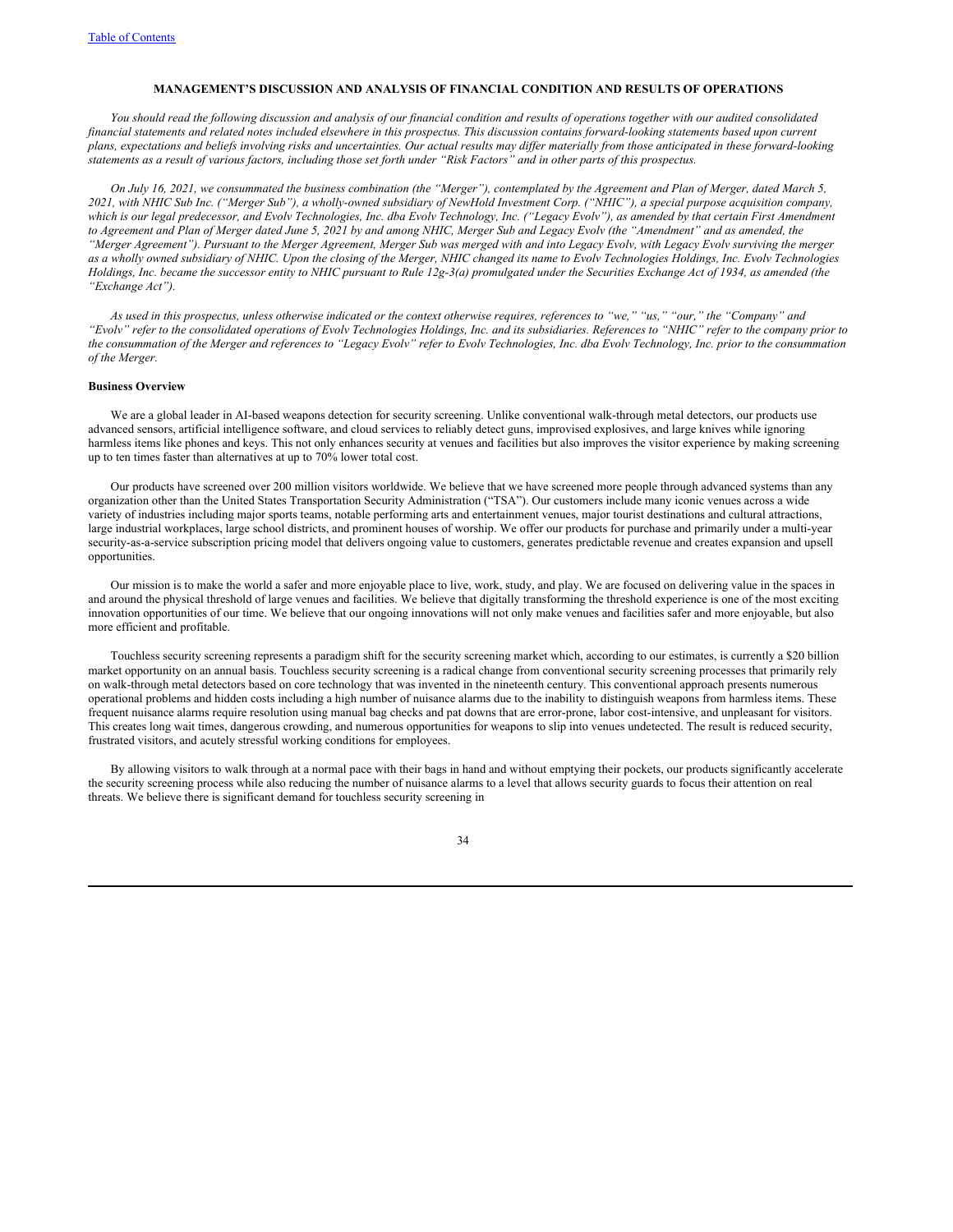### **MANAGEMENT'S DISCUSSION AND ANALYSIS OF FINANCIAL CONDITION AND RESULTS OF OPERATIONS**

You should read the following discussion and analysis of our financial condition and results of operations together with our audited consolidated financial statements and related notes included elsewhere in this prospectus. This discussion contains forward-looking statements based upon current plans, expectations and beliefs involving risks and uncertainties. Our actual results may differ materially from those anticipated in these forward-looking statements as a result of various factors, including those set forth under "Risk Factors" and in other parts of this prospectus.

On July 16, 2021, we consummated the business combination (the "Merger"), contemplated by the Agreement and Plan of Merger, dated March 5, 2021, with NHIC Sub Inc. ("Merger Sub"), a wholly-owned subsidiary of NewHold Investment Corp. ("NHIC"), a special purpose acquisition company, which is our legal predecessor, and Evolv Technologies, Inc. dba Evolv Technology, Inc. ("Legacy Evolv"), as amended by that certain First Amendment to Agreement and Plan of Merger dated June 5, 2021 by and among NHIC, Merger Sub and Legacy Evolv (the "Amendment" and as amended, the "Merger Agreement"). Pursuant to the Merger Agreement, Merger Sub was merged with and into Legacy Evolv, with Legacy Evolv surviving the merger as a wholly owned subsidiary of NHIC. Upon the closing of the Merger, NHIC changed its name to Evolv Technologies Holdings, Inc. Evolv Technologies Holdings, Inc. became the successor entity to NHIC pursuant to Rule 12g-3(a) promulgated under the Securities Exchange Act of 1934, as amended (the *"Exchange Act").*

As used in this prospectus, unless otherwise indicated or the context otherwise requires, references to "we," "us," "our," the "Company" and "Evoly" refer to the consolidated operations of Evoly Technologies Holdings, Inc. and its subsidiaries. References to "NHIC" refer to the company prior to the consummation of the Merger and references to "Legacy Evolv" refer to Evolv Technologies, Inc. dba Evolv Technology, Inc. prior to the consummation *of the Merger.*

# **Business Overview**

We are a global leader in AI-based weapons detection for security screening. Unlike conventional walk-through metal detectors, our products use advanced sensors, artificial intelligence software, and cloud services to reliably detect guns, improvised explosives, and large knives while ignoring harmless items like phones and keys. This not only enhances security at venues and facilities but also improves the visitor experience by making screening up to ten times faster than alternatives at up to 70% lower total cost.

Our products have screened over 200 million visitors worldwide. We believe that we have screened more people through advanced systems than any organization other than the United States Transportation Security Administration ("TSA"). Our customers include many iconic venues across a wide variety of industries including major sports teams, notable performing arts and entertainment venues, major tourist destinations and cultural attractions, large industrial workplaces, large school districts, and prominent houses of worship. We offer our products for purchase and primarily under a multi-year security-as-a-service subscription pricing model that delivers ongoing value to customers, generates predictable revenue and creates expansion and upsell opportunities.

Our mission is to make the world a safer and more enjoyable place to live, work, study, and play. We are focused on delivering value in the spaces in and around the physical threshold of large venues and facilities. We believe that digitally transforming the threshold experience is one of the most exciting innovation opportunities of our time. We believe that our ongoing innovations will not only make venues and facilities safer and more enjoyable, but also more efficient and profitable.

Touchless security screening represents a paradigm shift for the security screening market which, according to our estimates, is currently a \$20 billion market opportunity on an annual basis. Touchless security screening is a radical change from conventional security screening processes that primarily rely on walk-through metal detectors based on core technology that was invented in the nineteenth century. This conventional approach presents numerous operational problems and hidden costs including a high number of nuisance alarms due to the inability to distinguish weapons from harmless items. These frequent nuisance alarms require resolution using manual bag checks and pat downs that are error-prone, labor cost-intensive, and unpleasant for visitors. This creates long wait times, dangerous crowding, and numerous opportunities for weapons to slip into venues undetected. The result is reduced security, frustrated visitors, and acutely stressful working conditions for employees.

By allowing visitors to walk through at a normal pace with their bags in hand and without emptying their pockets, our products significantly accelerate the security screening process while also reducing the number of nuisance alarms to a level that allows security guards to focus their attention on real threats. We believe there is significant demand for touchless security screening in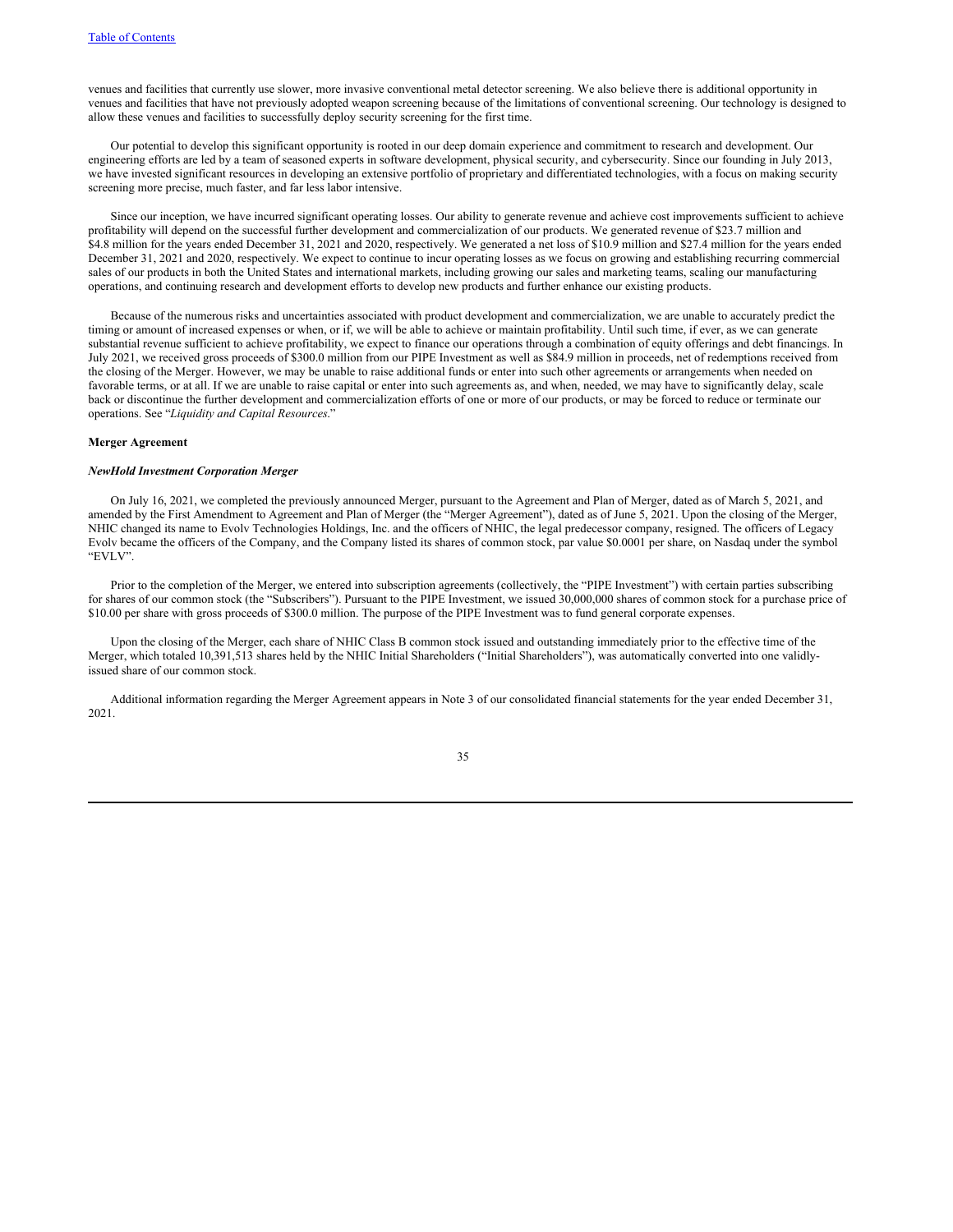venues and facilities that currently use slower, more invasive conventional metal detector screening. We also believe there is additional opportunity in venues and facilities that have not previously adopted weapon screening because of the limitations of conventional screening. Our technology is designed to allow these venues and facilities to successfully deploy security screening for the first time.

Our potential to develop this significant opportunity is rooted in our deep domain experience and commitment to research and development. Our engineering efforts are led by a team of seasoned experts in software development, physical security, and cybersecurity. Since our founding in July 2013, we have invested significant resources in developing an extensive portfolio of proprietary and differentiated technologies, with a focus on making security screening more precise, much faster, and far less labor intensive.

Since our inception, we have incurred significant operating losses. Our ability to generate revenue and achieve cost improvements sufficient to achieve profitability will depend on the successful further development and commercialization of our products. We generated revenue of \$23.7 million and \$4.8 million for the years ended December 31, 2021 and 2020, respectively. We generated a net loss of \$10.9 million and \$27.4 million for the years ended December 31, 2021 and 2020, respectively. We expect to continue to incur operating losses as we focus on growing and establishing recurring commercial sales of our products in both the United States and international markets, including growing our sales and marketing teams, scaling our manufacturing operations, and continuing research and development efforts to develop new products and further enhance our existing products.

Because of the numerous risks and uncertainties associated with product development and commercialization, we are unable to accurately predict the timing or amount of increased expenses or when, or if, we will be able to achieve or maintain profitability. Until such time, if ever, as we can generate substantial revenue sufficient to achieve profitability, we expect to finance our operations through a combination of equity offerings and debt financings. In July 2021, we received gross proceeds of \$300.0 million from our PIPE Investment as well as \$84.9 million in proceeds, net of redemptions received from the closing of the Merger. However, we may be unable to raise additional funds or enter into such other agreements or arrangements when needed on favorable terms, or at all. If we are unable to raise capital or enter into such agreements as, and when, needed, we may have to significantly delay, scale back or discontinue the further development and commercialization efforts of one or more of our products, or may be forced to reduce or terminate our operations. See "*Liquidity and Capital Resources*."

# **Merger Agreement**

### *NewHold Investment Corporation Merger*

On July 16, 2021, we completed the previously announced Merger, pursuant to the Agreement and Plan of Merger, dated as of March 5, 2021, and amended by the First Amendment to Agreement and Plan of Merger (the "Merger Agreement"), dated as of June 5, 2021. Upon the closing of the Merger, NHIC changed its name to Evolv Technologies Holdings, Inc. and the officers of NHIC, the legal predecessor company, resigned. The officers of Legacy Evolv became the officers of the Company, and the Company listed its shares of common stock, par value \$0.0001 per share, on Nasdaq under the symbol "EVLV".

Prior to the completion of the Merger, we entered into subscription agreements (collectively, the "PIPE Investment") with certain parties subscribing for shares of our common stock (the "Subscribers"). Pursuant to the PIPE Investment, we issued 30,000,000 shares of common stock for a purchase price of \$10.00 per share with gross proceeds of \$300.0 million. The purpose of the PIPE Investment was to fund general corporate expenses.

Upon the closing of the Merger, each share of NHIC Class B common stock issued and outstanding immediately prior to the effective time of the Merger, which totaled 10,391,513 shares held by the NHIC Initial Shareholders ("Initial Shareholders"), was automatically converted into one validlyissued share of our common stock.

Additional information regarding the Merger Agreement appears in Note 3 of our consolidated financial statements for the year ended December 31, 2021.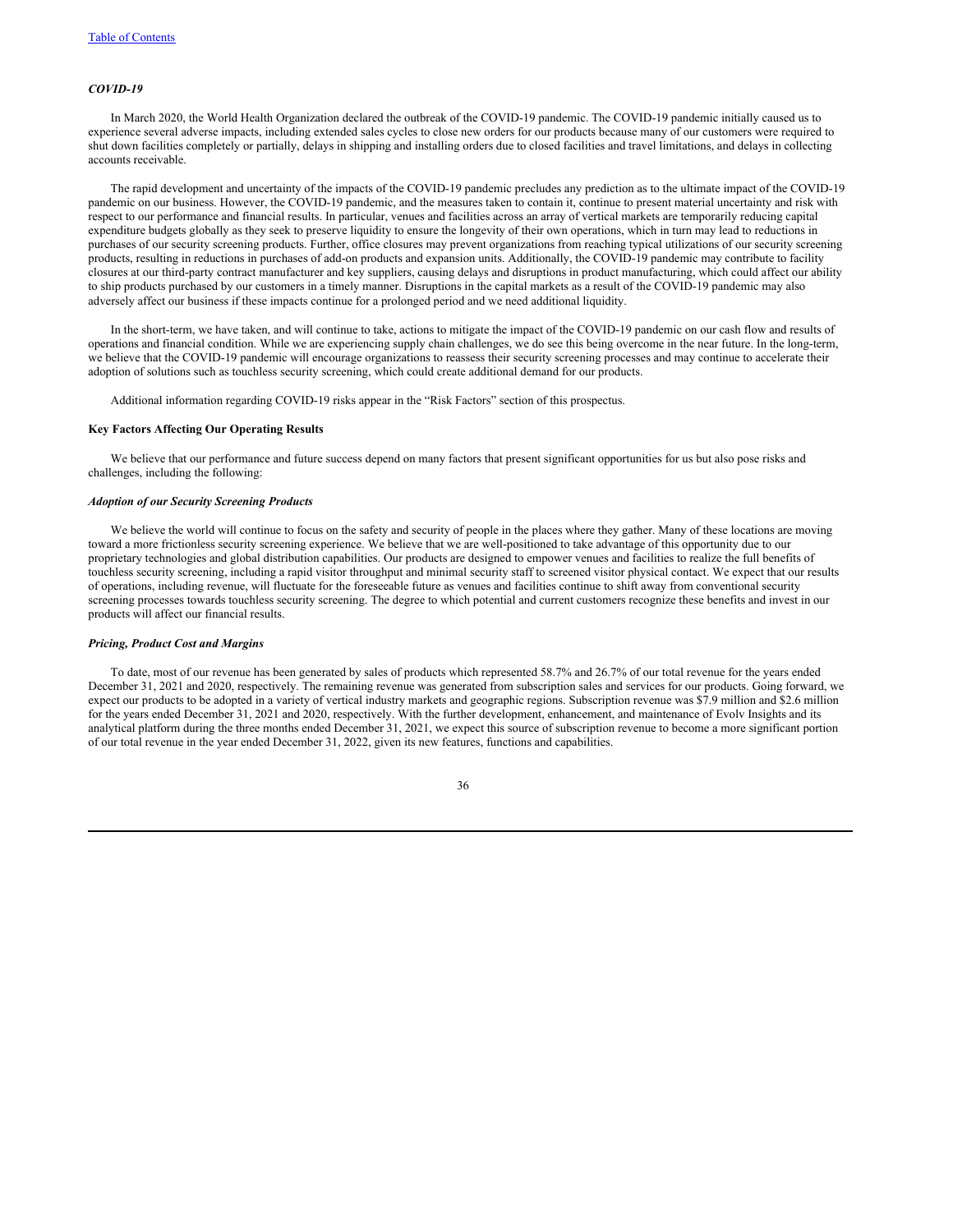# *COVID-19*

In March 2020, the World Health Organization declared the outbreak of the COVID-19 pandemic. The COVID-19 pandemic initially caused us to experience several adverse impacts, including extended sales cycles to close new orders for our products because many of our customers were required to shut down facilities completely or partially, delays in shipping and installing orders due to closed facilities and travel limitations, and delays in collecting accounts receivable.

The rapid development and uncertainty of the impacts of the COVID-19 pandemic precludes any prediction as to the ultimate impact of the COVID-19 pandemic on our business. However, the COVID-19 pandemic, and the measures taken to contain it, continue to present material uncertainty and risk with respect to our performance and financial results. In particular, venues and facilities across an array of vertical markets are temporarily reducing capital expenditure budgets globally as they seek to preserve liquidity to ensure the longevity of their own operations, which in turn may lead to reductions in purchases of our security screening products. Further, office closures may prevent organizations from reaching typical utilizations of our security screening products, resulting in reductions in purchases of add-on products and expansion units. Additionally, the COVID-19 pandemic may contribute to facility closures at our third-party contract manufacturer and key suppliers, causing delays and disruptions in product manufacturing, which could affect our ability to ship products purchased by our customers in a timely manner. Disruptions in the capital markets as a result of the COVID-19 pandemic may also adversely affect our business if these impacts continue for a prolonged period and we need additional liquidity.

In the short-term, we have taken, and will continue to take, actions to mitigate the impact of the COVID-19 pandemic on our cash flow and results of operations and financial condition. While we are experiencing supply chain challenges, we do see this being overcome in the near future. In the long-term, we believe that the COVID-19 pandemic will encourage organizations to reassess their security screening processes and may continue to accelerate their adoption of solutions such as touchless security screening, which could create additional demand for our products.

Additional information regarding COVID-19 risks appear in the "Risk Factors" section of this prospectus.

### **Key Factors Affecting Our Operating Results**

We believe that our performance and future success depend on many factors that present significant opportunities for us but also pose risks and challenges, including the following:

#### *Adoption of our Security Screening Products*

We believe the world will continue to focus on the safety and security of people in the places where they gather. Many of these locations are moving toward a more frictionless security screening experience. We believe that we are well-positioned to take advantage of this opportunity due to our proprietary technologies and global distribution capabilities. Our products are designed to empower venues and facilities to realize the full benefits of touchless security screening, including a rapid visitor throughput and minimal security staff to screened visitor physical contact. We expect that our results of operations, including revenue, will fluctuate for the foreseeable future as venues and facilities continue to shift away from conventional security screening processes towards touchless security screening. The degree to which potential and current customers recognize these benefits and invest in our products will affect our financial results.

### *Pricing, Product Cost and Margins*

To date, most of our revenue has been generated by sales of products which represented 58.7% and 26.7% of our total revenue for the years ended December 31, 2021 and 2020, respectively. The remaining revenue was generated from subscription sales and services for our products. Going forward, we expect our products to be adopted in a variety of vertical industry markets and geographic regions. Subscription revenue was \$7.9 million and \$2.6 million for the years ended December 31, 2021 and 2020, respectively. With the further development, enhancement, and maintenance of Evolv Insights and its analytical platform during the three months ended December 31, 2021, we expect this source of subscription revenue to become a more significant portion of our total revenue in the year ended December 31, 2022, given its new features, functions and capabilities.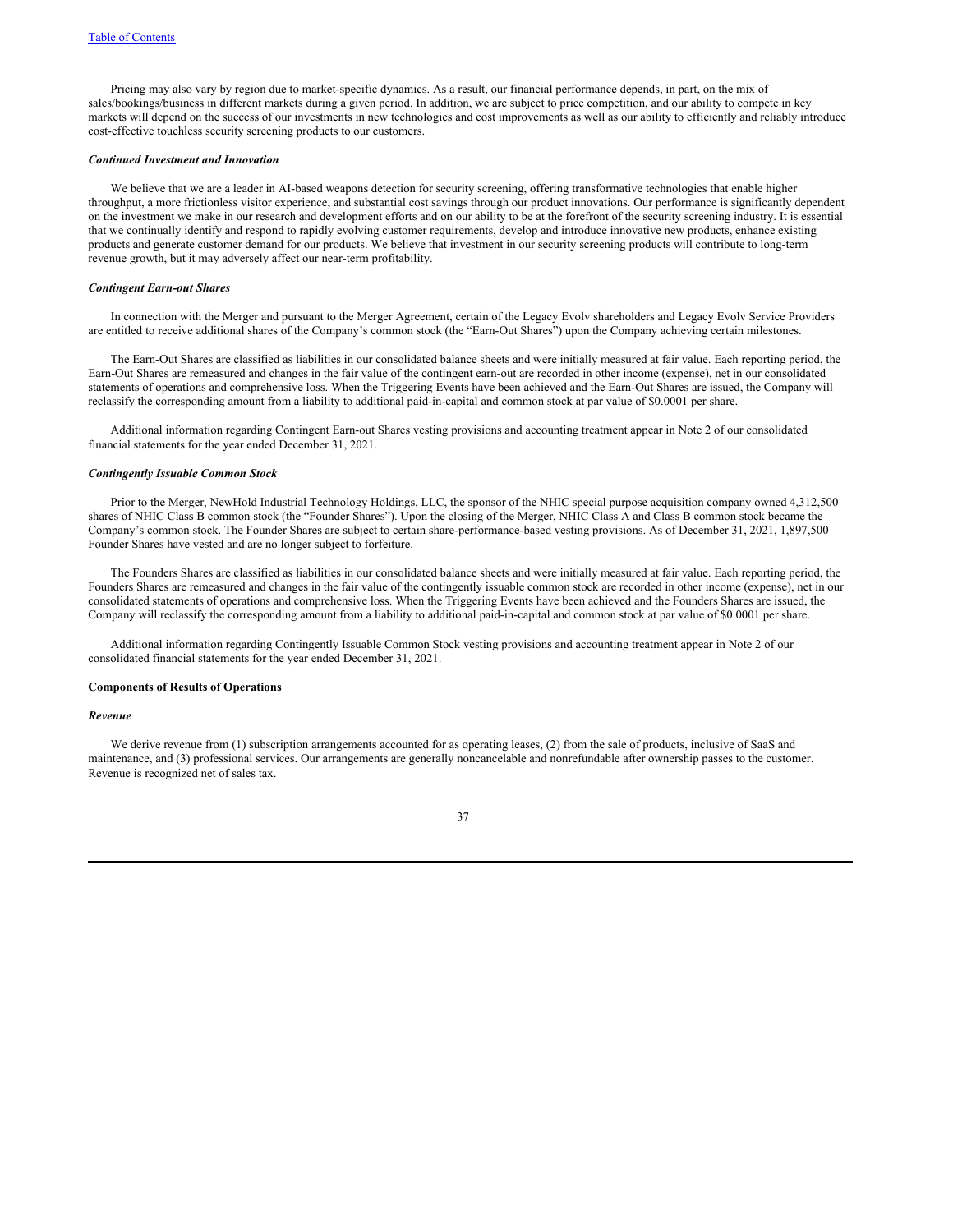Pricing may also vary by region due to market-specific dynamics. As a result, our financial performance depends, in part, on the mix of sales/bookings/business in different markets during a given period. In addition, we are subject to price competition, and our ability to compete in key markets will depend on the success of our investments in new technologies and cost improvements as well as our ability to efficiently and reliably introduce cost-effective touchless security screening products to our customers.

# *Continued Investment and Innovation*

We believe that we are a leader in AI-based weapons detection for security screening, offering transformative technologies that enable higher throughput, a more frictionless visitor experience, and substantial cost savings through our product innovations. Our performance is significantly dependent on the investment we make in our research and development efforts and on our ability to be at the forefront of the security screening industry. It is essential that we continually identify and respond to rapidly evolving customer requirements, develop and introduce innovative new products, enhance existing products and generate customer demand for our products. We believe that investment in our security screening products will contribute to long-term revenue growth, but it may adversely affect our near-term profitability.

#### *Contingent Earn-out Shares*

In connection with the Merger and pursuant to the Merger Agreement, certain of the Legacy Evolv shareholders and Legacy Evolv Service Providers are entitled to receive additional shares of the Company's common stock (the "Earn-Out Shares") upon the Company achieving certain milestones.

The Earn-Out Shares are classified as liabilities in our consolidated balance sheets and were initially measured at fair value. Each reporting period, the Earn-Out Shares are remeasured and changes in the fair value of the contingent earn-out are recorded in other income (expense), net in our consolidated statements of operations and comprehensive loss. When the Triggering Events have been achieved and the Earn-Out Shares are issued, the Company will reclassify the corresponding amount from a liability to additional paid-in-capital and common stock at par value of \$0.0001 per share.

Additional information regarding Contingent Earn-out Shares vesting provisions and accounting treatment appear in Note 2 of our consolidated financial statements for the year ended December 31, 2021.

#### *Contingently Issuable Common Stock*

Prior to the Merger, NewHold Industrial Technology Holdings, LLC, the sponsor of the NHIC special purpose acquisition company owned 4,312,500 shares of NHIC Class B common stock (the "Founder Shares"). Upon the closing of the Merger, NHIC Class A and Class B common stock became the Company's common stock. The Founder Shares are subject to certain share-performance-based vesting provisions. As of December 31, 2021, 1,897,500 Founder Shares have vested and are no longer subject to forfeiture.

The Founders Shares are classified as liabilities in our consolidated balance sheets and were initially measured at fair value. Each reporting period, the Founders Shares are remeasured and changes in the fair value of the contingently issuable common stock are recorded in other income (expense), net in our consolidated statements of operations and comprehensive loss. When the Triggering Events have been achieved and the Founders Shares are issued, the Company will reclassify the corresponding amount from a liability to additional paid-in-capital and common stock at par value of \$0.0001 per share.

Additional information regarding Contingently Issuable Common Stock vesting provisions and accounting treatment appear in Note 2 of our consolidated financial statements for the year ended December 31, 2021.

#### **Components of Results of Operations**

### *Revenue*

We derive revenue from (1) subscription arrangements accounted for as operating leases, (2) from the sale of products, inclusive of SaaS and maintenance, and (3) professional services. Our arrangements are generally noncancelable and nonrefundable after ownership passes to the customer. Revenue is recognized net of sales tax.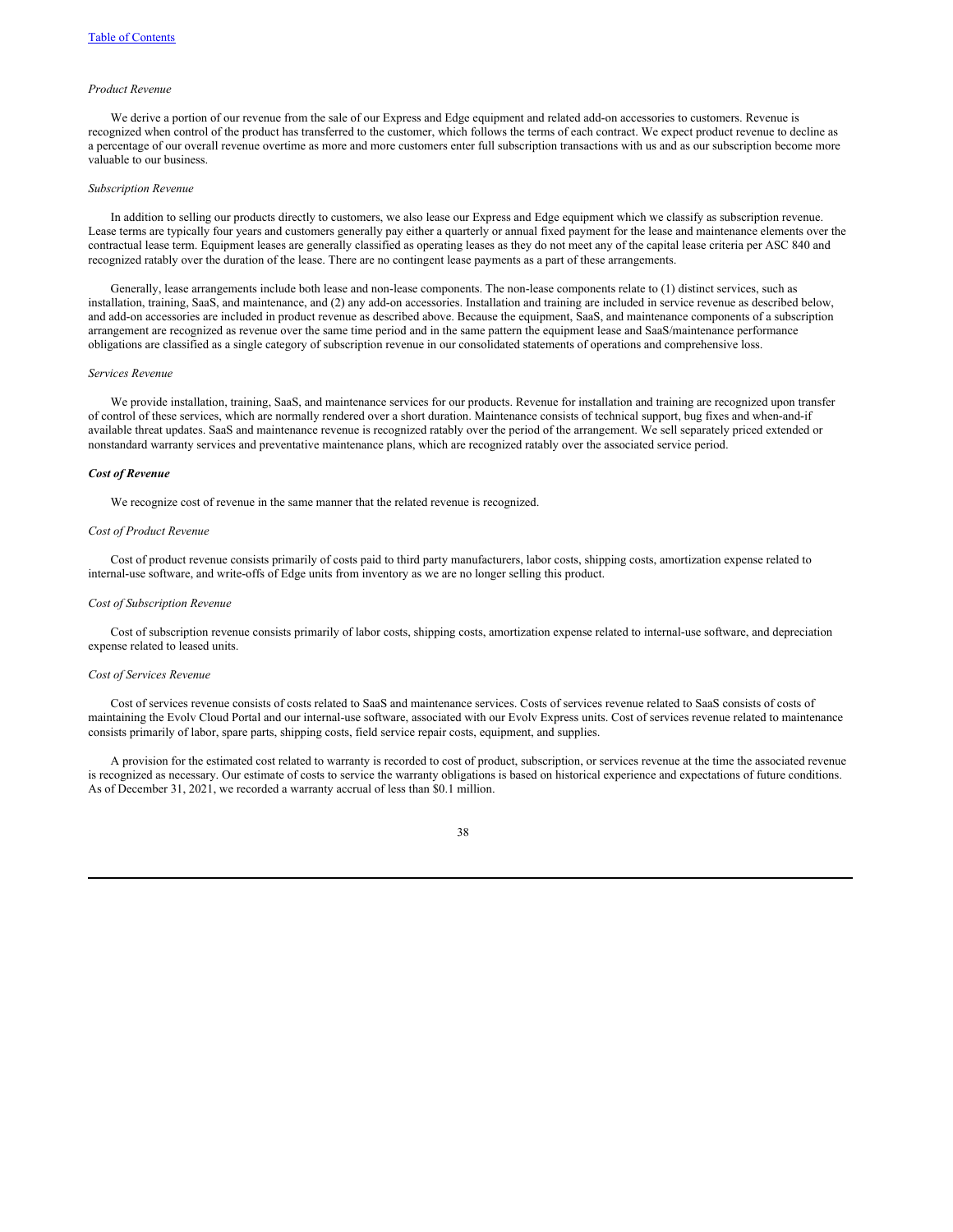#### *Product Revenue*

We derive a portion of our revenue from the sale of our Express and Edge equipment and related add-on accessories to customers. Revenue is recognized when control of the product has transferred to the customer, which follows the terms of each contract. We expect product revenue to decline as a percentage of our overall revenue overtime as more and more customers enter full subscription transactions with us and as our subscription become more valuable to our business.

# *Subscription Revenue*

In addition to selling our products directly to customers, we also lease our Express and Edge equipment which we classify as subscription revenue. Lease terms are typically four years and customers generally pay either a quarterly or annual fixed payment for the lease and maintenance elements over the contractual lease term. Equipment leases are generally classified as operating leases as they do not meet any of the capital lease criteria per ASC 840 and recognized ratably over the duration of the lease. There are no contingent lease payments as a part of these arrangements.

Generally, lease arrangements include both lease and non-lease components. The non-lease components relate to (1) distinct services, such as installation, training, SaaS, and maintenance, and (2) any add-on accessories. Installation and training are included in service revenue as described below, and add-on accessories are included in product revenue as described above. Because the equipment, SaaS, and maintenance components of a subscription arrangement are recognized as revenue over the same time period and in the same pattern the equipment lease and SaaS/maintenance performance obligations are classified as a single category of subscription revenue in our consolidated statements of operations and comprehensive loss.

# *Services Revenue*

We provide installation, training, SaaS, and maintenance services for our products. Revenue for installation and training are recognized upon transfer of control of these services, which are normally rendered over a short duration. Maintenance consists of technical support, bug fixes and when-and-if available threat updates. SaaS and maintenance revenue is recognized ratably over the period of the arrangement. We sell separately priced extended or nonstandard warranty services and preventative maintenance plans, which are recognized ratably over the associated service period.

### *Cost of Revenue*

We recognize cost of revenue in the same manner that the related revenue is recognized.

#### *Cost of Product Revenue*

Cost of product revenue consists primarily of costs paid to third party manufacturers, labor costs, shipping costs, amortization expense related to internal-use software, and write-offs of Edge units from inventory as we are no longer selling this product.

#### *Cost of Subscription Revenue*

Cost of subscription revenue consists primarily of labor costs, shipping costs, amortization expense related to internal-use software, and depreciation expense related to leased units.

#### *Cost of Services Revenue*

Cost of services revenue consists of costs related to SaaS and maintenance services. Costs of services revenue related to SaaS consists of costs of maintaining the Evolv Cloud Portal and our internal-use software, associated with our Evolv Express units. Cost of services revenue related to maintenance consists primarily of labor, spare parts, shipping costs, field service repair costs, equipment, and supplies.

A provision for the estimated cost related to warranty is recorded to cost of product, subscription, or services revenue at the time the associated revenue is recognized as necessary. Our estimate of costs to service the warranty obligations is based on historical experience and expectations of future conditions. As of December 31, 2021, we recorded a warranty accrual of less than \$0.1 million.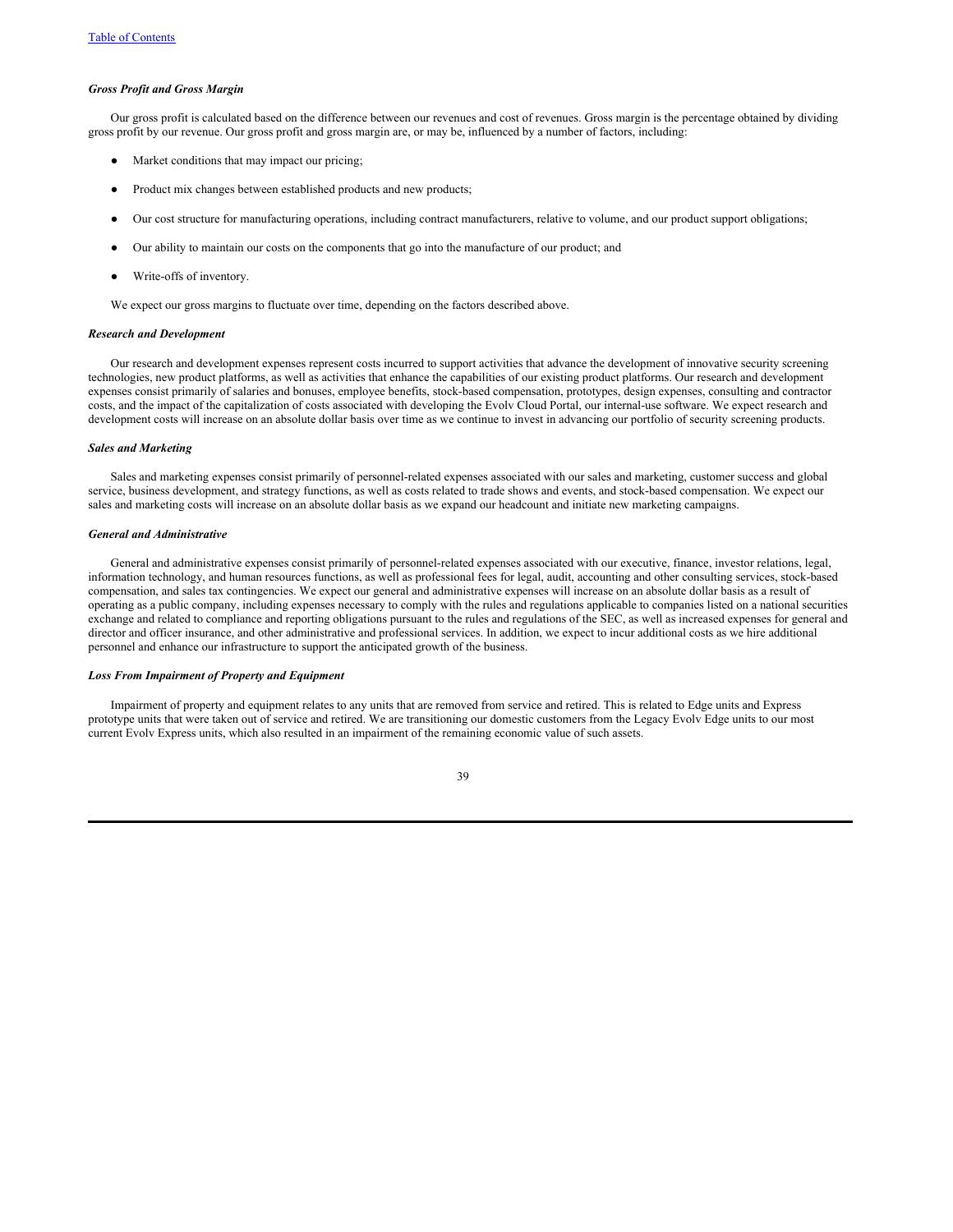#### *Gross Profit and Gross Margin*

Our gross profit is calculated based on the difference between our revenues and cost of revenues. Gross margin is the percentage obtained by dividing gross profit by our revenue. Our gross profit and gross margin are, or may be, influenced by a number of factors, including:

- Market conditions that may impact our pricing;
- Product mix changes between established products and new products;
- Our cost structure for manufacturing operations, including contract manufacturers, relative to volume, and our product support obligations;
- Our ability to maintain our costs on the components that go into the manufacture of our product; and
- Write-offs of inventory.

We expect our gross margins to fluctuate over time, depending on the factors described above.

### *Research and Development*

Our research and development expenses represent costs incurred to support activities that advance the development of innovative security screening technologies, new product platforms, as well as activities that enhance the capabilities of our existing product platforms. Our research and development expenses consist primarily of salaries and bonuses, employee benefits, stock-based compensation, prototypes, design expenses, consulting and contractor costs, and the impact of the capitalization of costs associated with developing the Evolv Cloud Portal, our internal-use software. We expect research and development costs will increase on an absolute dollar basis over time as we continue to invest in advancing our portfolio of security screening products.

### *Sales and Marketing*

Sales and marketing expenses consist primarily of personnel-related expenses associated with our sales and marketing, customer success and global service, business development, and strategy functions, as well as costs related to trade shows and events, and stock-based compensation. We expect our sales and marketing costs will increase on an absolute dollar basis as we expand our headcount and initiate new marketing campaigns.

# *General and Administrative*

General and administrative expenses consist primarily of personnel-related expenses associated with our executive, finance, investor relations, legal, information technology, and human resources functions, as well as professional fees for legal, audit, accounting and other consulting services, stock-based compensation, and sales tax contingencies. We expect our general and administrative expenses will increase on an absolute dollar basis as a result of operating as a public company, including expenses necessary to comply with the rules and regulations applicable to companies listed on a national securities exchange and related to compliance and reporting obligations pursuant to the rules and regulations of the SEC, as well as increased expenses for general and director and officer insurance, and other administrative and professional services. In addition, we expect to incur additional costs as we hire additional personnel and enhance our infrastructure to support the anticipated growth of the business.

# *Loss From Impairment of Property and Equipment*

Impairment of property and equipment relates to any units that are removed from service and retired. This is related to Edge units and Express prototype units that were taken out of service and retired. We are transitioning our domestic customers from the Legacy Evolv Edge units to our most current Evolv Express units, which also resulted in an impairment of the remaining economic value of such assets.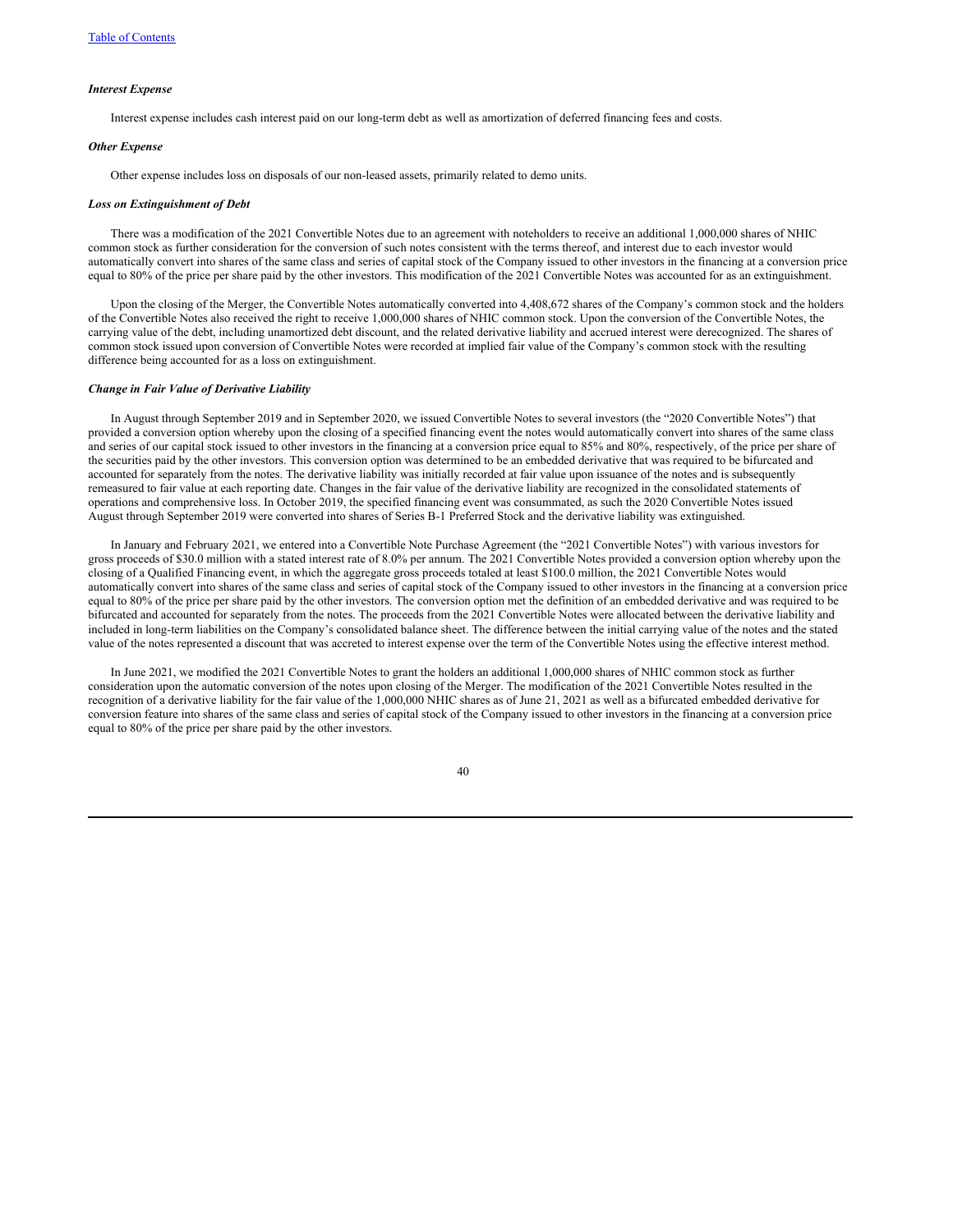### *Interest Expense*

Interest expense includes cash interest paid on our long-term debt as well as amortization of deferred financing fees and costs.

### *Other Expense*

Other expense includes loss on disposals of our non-leased assets, primarily related to demo units.

# *Loss on Extinguishment of Debt*

There was a modification of the 2021 Convertible Notes due to an agreement with noteholders to receive an additional 1,000,000 shares of NHIC common stock as further consideration for the conversion of such notes consistent with the terms thereof, and interest due to each investor would automatically convert into shares of the same class and series of capital stock of the Company issued to other investors in the financing at a conversion price equal to 80% of the price per share paid by the other investors. This modification of the 2021 Convertible Notes was accounted for as an extinguishment.

Upon the closing of the Merger, the Convertible Notes automatically converted into 4,408,672 shares of the Company's common stock and the holders of the Convertible Notes also received the right to receive 1,000,000 shares of NHIC common stock. Upon the conversion of the Convertible Notes, the carrying value of the debt, including unamortized debt discount, and the related derivative liability and accrued interest were derecognized. The shares of common stock issued upon conversion of Convertible Notes were recorded at implied fair value of the Company's common stock with the resulting difference being accounted for as a loss on extinguishment.

#### *Change in Fair Value of Derivative Liability*

In August through September 2019 and in September 2020, we issued Convertible Notes to several investors (the "2020 Convertible Notes") that provided a conversion option whereby upon the closing of a specified financing event the notes would automatically convert into shares of the same class and series of our capital stock issued to other investors in the financing at a conversion price equal to 85% and 80%, respectively, of the price per share of the securities paid by the other investors. This conversion option was determined to be an embedded derivative that was required to be bifurcated and accounted for separately from the notes. The derivative liability was initially recorded at fair value upon issuance of the notes and is subsequently remeasured to fair value at each reporting date. Changes in the fair value of the derivative liability are recognized in the consolidated statements of operations and comprehensive loss. In October 2019, the specified financing event was consummated, as such the 2020 Convertible Notes issued August through September 2019 were converted into shares of Series B-1 Preferred Stock and the derivative liability was extinguished.

In January and February 2021, we entered into a Convertible Note Purchase Agreement (the "2021 Convertible Notes") with various investors for gross proceeds of \$30.0 million with a stated interest rate of 8.0% per annum. The 2021 Convertible Notes provided a conversion option whereby upon the closing of a Qualified Financing event, in which the aggregate gross proceeds totaled at least \$100.0 million, the 2021 Convertible Notes would automatically convert into shares of the same class and series of capital stock of the Company issued to other investors in the financing at a conversion price equal to 80% of the price per share paid by the other investors. The conversion option met the definition of an embedded derivative and was required to be bifurcated and accounted for separately from the notes. The proceeds from the 2021 Convertible Notes were allocated between the derivative liability and included in long-term liabilities on the Company's consolidated balance sheet. The difference between the initial carrying value of the notes and the stated value of the notes represented a discount that was accreted to interest expense over the term of the Convertible Notes using the effective interest method.

In June 2021, we modified the 2021 Convertible Notes to grant the holders an additional 1,000,000 shares of NHIC common stock as further consideration upon the automatic conversion of the notes upon closing of the Merger. The modification of the 2021 Convertible Notes resulted in the recognition of a derivative liability for the fair value of the 1,000,000 NHIC shares as of June 21, 2021 as well as a bifurcated embedded derivative for conversion feature into shares of the same class and series of capital stock of the Company issued to other investors in the financing at a conversion price equal to 80% of the price per share paid by the other investors.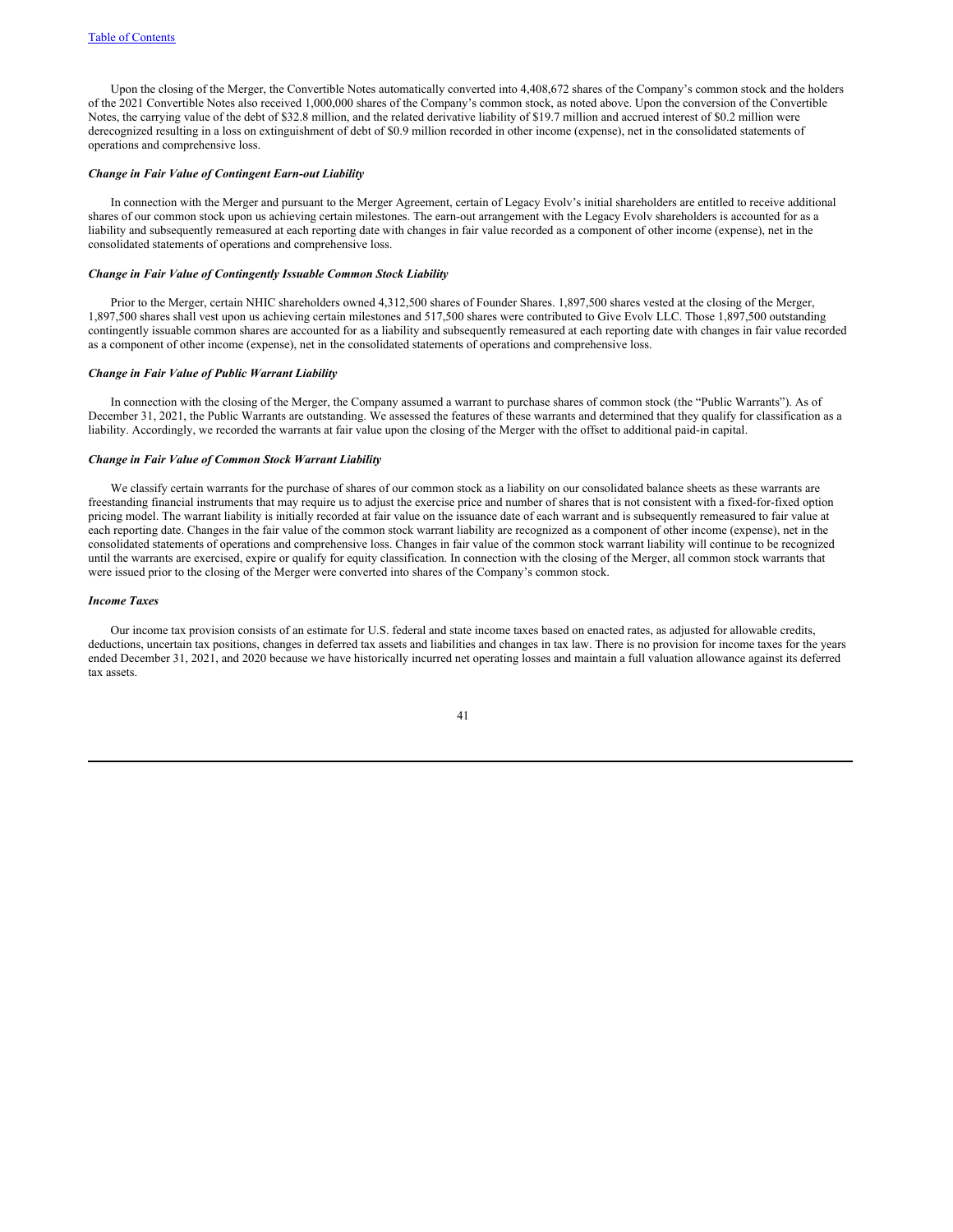Upon the closing of the Merger, the Convertible Notes automatically converted into 4,408,672 shares of the Company's common stock and the holders of the 2021 Convertible Notes also received 1,000,000 shares of the Company's common stock, as noted above. Upon the conversion of the Convertible Notes, the carrying value of the debt of \$32.8 million, and the related derivative liability of \$19.7 million and accrued interest of \$0.2 million were derecognized resulting in a loss on extinguishment of debt of \$0.9 million recorded in other income (expense), net in the consolidated statements of operations and comprehensive loss.

# *Change in Fair Value of Contingent Earn-out Liability*

In connection with the Merger and pursuant to the Merger Agreement, certain of Legacy Evolv's initial shareholders are entitled to receive additional shares of our common stock upon us achieving certain milestones. The earn-out arrangement with the Legacy Evolv shareholders is accounted for as a liability and subsequently remeasured at each reporting date with changes in fair value recorded as a component of other income (expense), net in the consolidated statements of operations and comprehensive loss.

#### *Change in Fair Value of Contingently Issuable Common Stock Liability*

Prior to the Merger, certain NHIC shareholders owned 4,312,500 shares of Founder Shares. 1,897,500 shares vested at the closing of the Merger, 1,897,500 shares shall vest upon us achieving certain milestones and 517,500 shares were contributed to Give Evolv LLC. Those 1,897,500 outstanding contingently issuable common shares are accounted for as a liability and subsequently remeasured at each reporting date with changes in fair value recorded as a component of other income (expense), net in the consolidated statements of operations and comprehensive loss.

### *Change in Fair Value of Public Warrant Liability*

In connection with the closing of the Merger, the Company assumed a warrant to purchase shares of common stock (the "Public Warrants"). As of December 31, 2021, the Public Warrants are outstanding. We assessed the features of these warrants and determined that they qualify for classification as a liability. Accordingly, we recorded the warrants at fair value upon the closing of the Merger with the offset to additional paid-in capital.

# *Change in Fair Value of Common Stock Warrant Liability*

We classify certain warrants for the purchase of shares of our common stock as a liability on our consolidated balance sheets as these warrants are freestanding financial instruments that may require us to adjust the exercise price and number of shares that is not consistent with a fixed-for-fixed option pricing model. The warrant liability is initially recorded at fair value on the issuance date of each warrant and is subsequently remeasured to fair value at each reporting date. Changes in the fair value of the common stock warrant liability are recognized as a component of other income (expense), net in the consolidated statements of operations and comprehensive loss. Changes in fair value of the common stock warrant liability will continue to be recognized until the warrants are exercised, expire or qualify for equity classification. In connection with the closing of the Merger, all common stock warrants that were issued prior to the closing of the Merger were converted into shares of the Company's common stock.

### *Income Taxes*

Our income tax provision consists of an estimate for U.S. federal and state income taxes based on enacted rates, as adjusted for allowable credits, deductions, uncertain tax positions, changes in deferred tax assets and liabilities and changes in tax law. There is no provision for income taxes for the years ended December 31, 2021, and 2020 because we have historically incurred net operating losses and maintain a full valuation allowance against its deferred tax assets.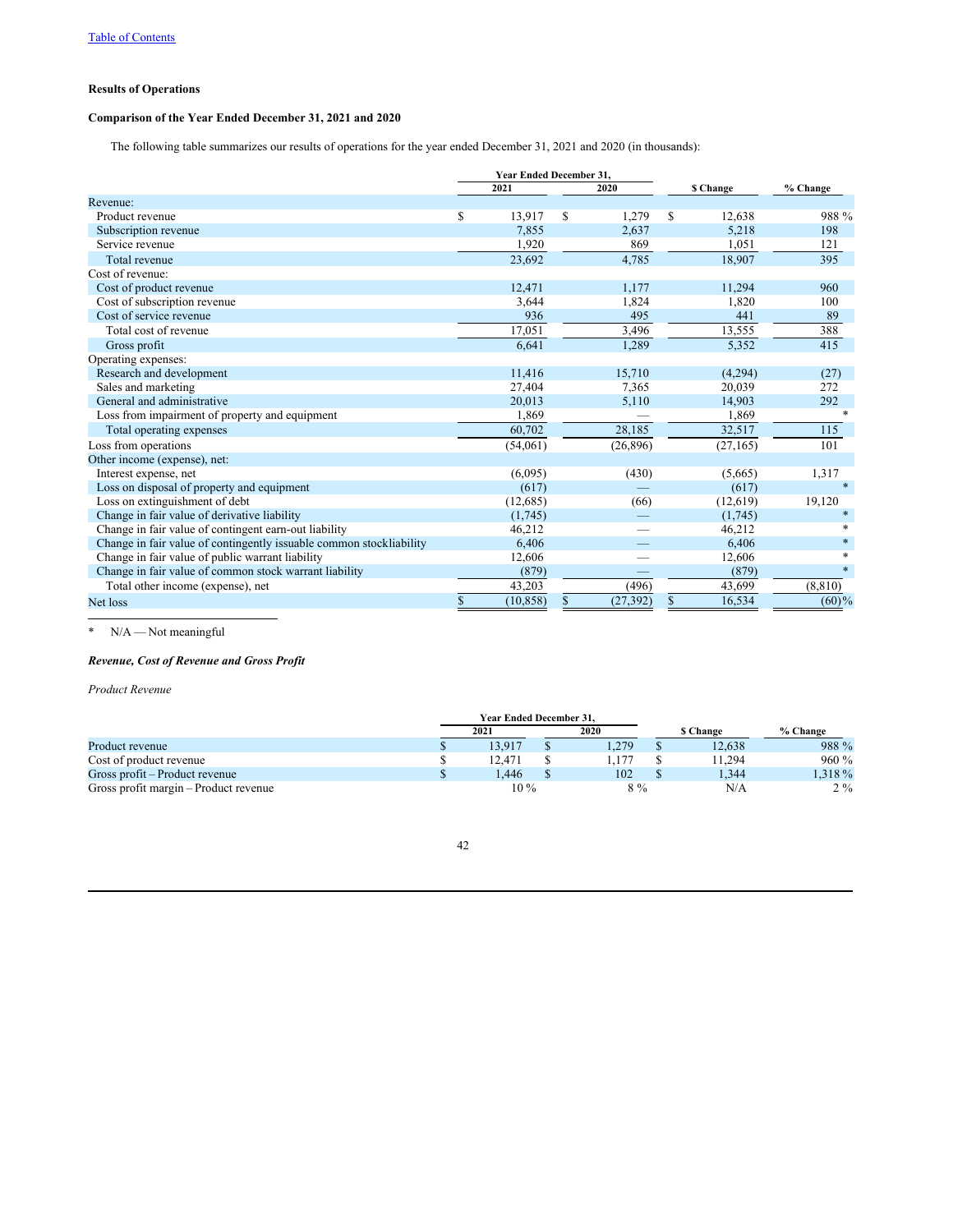# **Results of Operations**

# **Comparison of the Year Ended December 31, 2021 and 2020**

The following table summarizes our results of operations for the year ended December 31, 2021 and 2020 (in thousands):

|                                                                     | <b>Year Ended December 31.</b> |   |           |           |           |          |
|---------------------------------------------------------------------|--------------------------------|---|-----------|-----------|-----------|----------|
|                                                                     | 2021                           |   | 2020      | \$ Change |           | % Change |
| Revenue:                                                            |                                |   |           |           |           |          |
| Product revenue                                                     | \$<br>13.917                   | S | 1,279     | S         | 12,638    | 988 %    |
| Subscription revenue                                                | 7.855                          |   | 2,637     |           | 5,218     | 198      |
| Service revenue                                                     | 1,920                          |   | 869       |           | 1,051     | 121      |
| Total revenue                                                       | 23,692                         |   | 4,785     |           | 18,907    | 395      |
| Cost of revenue:                                                    |                                |   |           |           |           |          |
| Cost of product revenue                                             | 12,471                         |   | 1,177     |           | 11,294    | 960      |
| Cost of subscription revenue                                        | 3,644                          |   | 1,824     |           | 1,820     | 100      |
| Cost of service revenue                                             | 936                            |   | 495       |           | 441       | 89       |
| Total cost of revenue                                               | 17,051                         |   | 3,496     |           | 13,555    | 388      |
| Gross profit                                                        | 6,641                          |   | 1,289     |           | 5,352     | 415      |
| Operating expenses:                                                 |                                |   |           |           |           |          |
| Research and development                                            | 11,416                         |   | 15,710    |           | (4,294)   | (27)     |
| Sales and marketing                                                 | 27,404                         |   | 7,365     |           | 20,039    | 272      |
| General and administrative                                          | 20,013                         |   | 5,110     |           | 14,903    | 292      |
| Loss from impairment of property and equipment                      | 1,869                          |   |           |           | 1,869     | $*$      |
| Total operating expenses                                            | 60,702                         |   | 28,185    |           | 32,517    | 115      |
| Loss from operations                                                | (54,061)                       |   | (26, 896) |           | (27, 165) | 101      |
| Other income (expense), net:                                        |                                |   |           |           |           |          |
| Interest expense, net                                               | (6,095)                        |   | (430)     |           | (5,665)   | 1,317    |
| Loss on disposal of property and equipment                          | (617)                          |   |           |           | (617)     | $\ast$   |
| Loss on extinguishment of debt                                      | (12,685)                       |   | (66)      |           | (12,619)  | 19,120   |
| Change in fair value of derivative liability                        | (1,745)                        |   |           |           | (1,745)   | *        |
| Change in fair value of contingent earn-out liability               | 46,212                         |   |           |           | 46,212    |          |
| Change in fair value of contingently issuable common stockliability | 6,406                          |   |           |           | 6,406     | $\ast$   |
| Change in fair value of public warrant liability                    | 12,606                         |   |           |           | 12,606    | $\ast$   |
| Change in fair value of common stock warrant liability              | (879)                          |   |           |           | (879)     | $\ast$   |
| Total other income (expense), net                                   | 43,203                         |   | (496)     |           | 43,699    | (8, 810) |
| Net loss                                                            | \$<br>(10, 858)                | S | (27, 392) | \$        | 16,534    | $(60)\%$ |

\* N/A — Not meaningful

# *Revenue, Cost of Revenue and Gross Profit*

*Product Revenue*

|                                       | <b>Year Ended December 31.</b> |       |          |          |
|---------------------------------------|--------------------------------|-------|----------|----------|
|                                       | 2021                           | 2020  | s Change | % Change |
| Product revenue                       | 13.917                         | .279  | 12.638   | 988 %    |
| Cost of product revenue               | 12.471                         |       | 1.294    | $960\%$  |
| Gross profit – Product revenue        | .446                           | 102   | 1,344    | .318 %   |
| Gross profit margin – Product revenue | $10\,\%$                       | $8\%$ | N/A      | $2\%$    |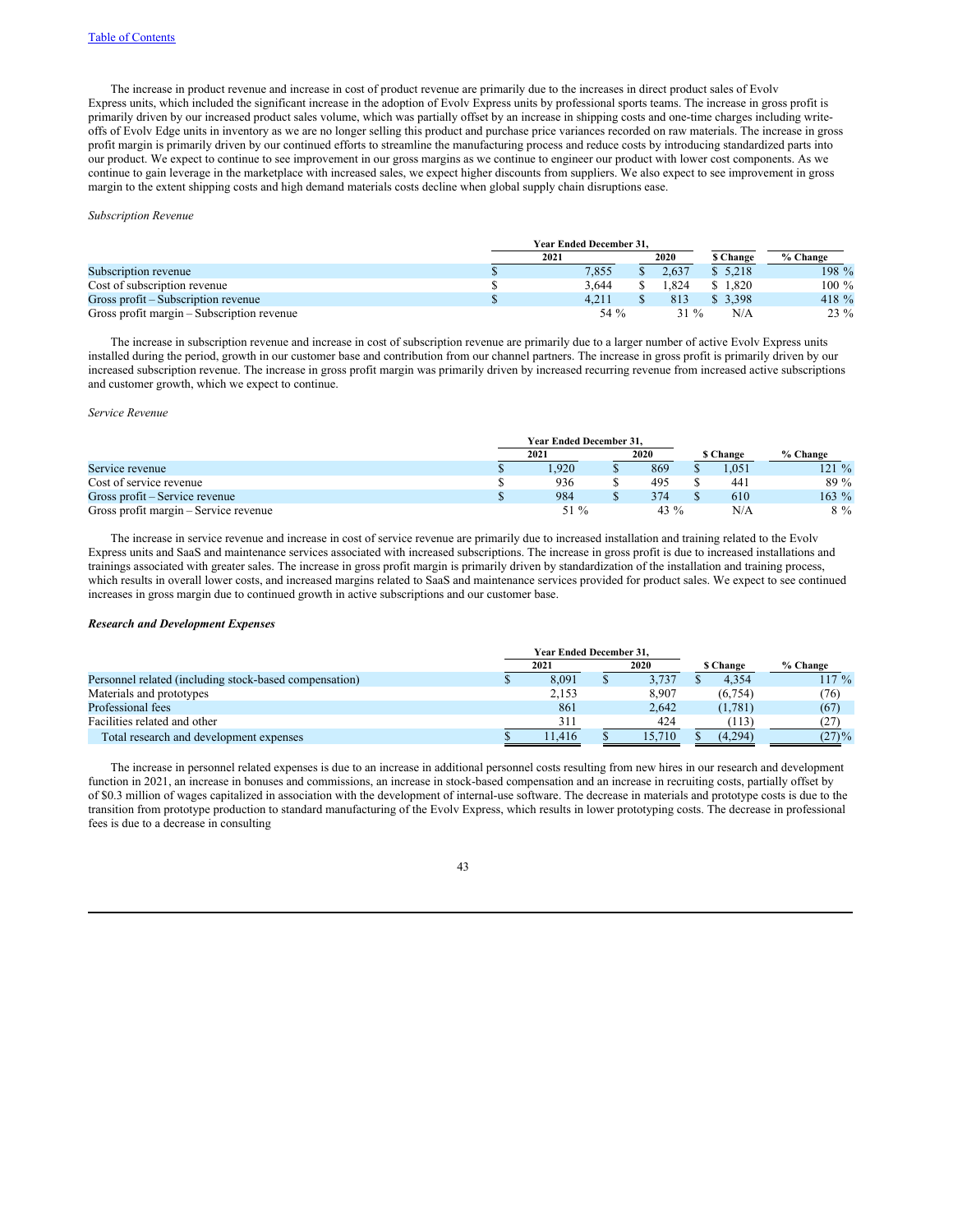The increase in product revenue and increase in cost of product revenue are primarily due to the increases in direct product sales of Evolv Express units, which included the significant increase in the adoption of Evolv Express units by professional sports teams. The increase in gross profit is primarily driven by our increased product sales volume, which was partially offset by an increase in shipping costs and one-time charges including writeoffs of Evolv Edge units in inventory as we are no longer selling this product and purchase price variances recorded on raw materials. The increase in gross profit margin is primarily driven by our continued efforts to streamline the manufacturing process and reduce costs by introducing standardized parts into our product. We expect to continue to see improvement in our gross margins as we continue to engineer our product with lower cost components. As we continue to gain leverage in the marketplace with increased sales, we expect higher discounts from suppliers. We also expect to see improvement in gross margin to the extent shipping costs and high demand materials costs decline when global supply chain disruptions ease.

#### *Subscription Revenue*

|                                            | <b>Year Ended December 31.</b> |  |       |                 |          |  |  |
|--------------------------------------------|--------------------------------|--|-------|-----------------|----------|--|--|
|                                            | 2021                           |  | 2020  | <b>S</b> Change | % Change |  |  |
| Subscription revenue                       | 7.855                          |  | 2.637 | \$5.218         | 198 %    |  |  |
| Cost of subscription revenue               | 3.644                          |  | .824  | \$1.820         | $100\%$  |  |  |
| Gross profit – Subscription revenue        | 4.211                          |  | 813   | \$3.398         | 418 %    |  |  |
| Gross profit margin – Subscription revenue | 54 $\%$                        |  | 31 %  | N/A             | 23 %     |  |  |

The increase in subscription revenue and increase in cost of subscription revenue are primarily due to a larger number of active Evolv Express units installed during the period, growth in our customer base and contribution from our channel partners. The increase in gross profit is primarily driven by our increased subscription revenue. The increase in gross profit margin was primarily driven by increased recurring revenue from increased active subscriptions and customer growth, which we expect to continue.

### *Service Revenue*

|                                       | <b>Year Ended December 31.</b> |  |        |           |          |
|---------------------------------------|--------------------------------|--|--------|-----------|----------|
|                                       | 2021                           |  | 2020   | \$ Change | % Change |
| Service revenue                       | .920                           |  | 869    | .051      | $121 \%$ |
| Cost of service revenue               | 936                            |  | 495    | 441       | 89 %     |
| Gross profit – Service revenue        | 984                            |  | 374    | 610       | $163 \%$ |
| Gross profit margin – Service revenue | 51 %                           |  | $43\%$ | N/A       | $8\%$    |

The increase in service revenue and increase in cost of service revenue are primarily due to increased installation and training related to the Evolv Express units and SaaS and maintenance services associated with increased subscriptions. The increase in gross profit is due to increased installations and trainings associated with greater sales. The increase in gross profit margin is primarily driven by standardization of the installation and training process, which results in overall lower costs, and increased margins related to SaaS and maintenance services provided for product sales. We expect to see continued increases in gross margin due to continued growth in active subscriptions and our customer base.

# *Research and Development Expenses*

|                                                        | <b>Year Ended December 31.</b> |        |  |        |  |                 |           |
|--------------------------------------------------------|--------------------------------|--------|--|--------|--|-----------------|-----------|
|                                                        |                                | 2021   |  | 2020   |  | <b>S Change</b> | % Change  |
| Personnel related (including stock-based compensation) |                                | 8.091  |  | 3.737  |  | 4.354           | $117 \%$  |
| Materials and prototypes                               |                                | 2,153  |  | 8.907  |  | (6, 754)        | (76)      |
| Professional fees                                      |                                | 861    |  | 2.642  |  | (1, 781)        | (67)      |
| Facilities related and other                           |                                | 311    |  | 424    |  | 113)            | (27)      |
| Total research and development expenses                |                                | 11.416 |  | 15.710 |  | (4,294)         | $(27) \%$ |

The increase in personnel related expenses is due to an increase in additional personnel costs resulting from new hires in our research and development function in 2021, an increase in bonuses and commissions, an increase in stock-based compensation and an increase in recruiting costs, partially offset by of \$0.3 million of wages capitalized in association with the development of internal-use software. The decrease in materials and prototype costs is due to the transition from prototype production to standard manufacturing of the Evolv Express, which results in lower prototyping costs. The decrease in professional fees is due to a decrease in consulting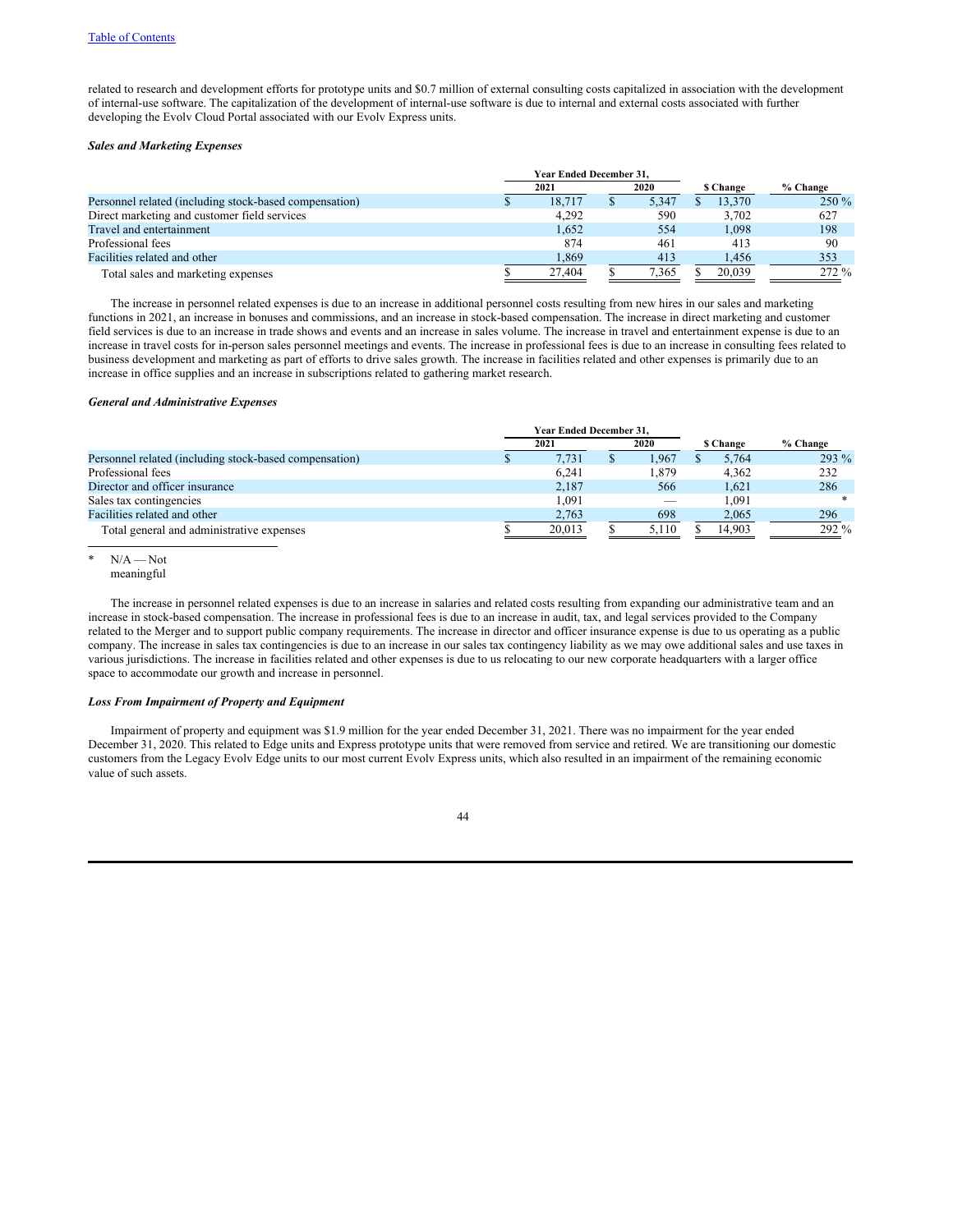related to research and development efforts for prototype units and \$0.7 million of external consulting costs capitalized in association with the development of internal-use software. The capitalization of the development of internal-use software is due to internal and external costs associated with further developing the Evolv Cloud Portal associated with our Evolv Express units.

# *Sales and Marketing Expenses*

|                                                        | <b>Year Ended December 31.</b> |       |           |          |
|--------------------------------------------------------|--------------------------------|-------|-----------|----------|
|                                                        | 2021                           | 2020  | \$ Change | % Change |
| Personnel related (including stock-based compensation) | 18.717                         | 5.347 | 13.370    | $250\%$  |
| Direct marketing and customer field services           | 4.292                          | 590   | 3.702     | 627      |
| Travel and entertainment                               | 1.652                          | 554   | 1,098     | 198      |
| Professional fees                                      | 874                            | 461   | 413       | 90       |
| Facilities related and other                           | 1,869                          | 413   | .456      | 353      |
| Total sales and marketing expenses                     | 27.404                         | 7,365 | 20,039    | $272\%$  |

The increase in personnel related expenses is due to an increase in additional personnel costs resulting from new hires in our sales and marketing functions in 2021, an increase in bonuses and commissions, and an increase in stock-based compensation. The increase in direct marketing and customer field services is due to an increase in trade shows and events and an increase in sales volume. The increase in travel and entertainment expense is due to an increase in travel costs for in-person sales personnel meetings and events. The increase in professional fees is due to an increase in consulting fees related to business development and marketing as part of efforts to drive sales growth. The increase in facilities related and other expenses is primarily due to an increase in office supplies and an increase in subscriptions related to gathering market research.

# *General and Administrative Expenses*

|                                                        | Year Ended December 31, |       |                 |          |
|--------------------------------------------------------|-------------------------|-------|-----------------|----------|
|                                                        | 2021                    | 2020  | <b>S</b> Change | % Change |
| Personnel related (including stock-based compensation) | 7.731                   | 1.967 | 5.764           | $293\%$  |
| Professional fees                                      | 6.241                   | 1.879 | 4.362           | 232      |
| Director and officer insurance                         | 2.187                   | 566   | 1.621           | 286      |
| Sales tax contingencies                                | 1.091                   |       | 1.091           |          |
| Facilities related and other                           | 2,763                   | 698   | 2.065           | 296      |
| Total general and administrative expenses              | 20.013                  | 5,110 | 14.903          | $292\%$  |

 $N/A$  — Not

The increase in personnel related expenses is due to an increase in salaries and related costs resulting from expanding our administrative team and an increase in stock-based compensation. The increase in professional fees is due to an increase in audit, tax, and legal services provided to the Company related to the Merger and to support public company requirements. The increase in director and officer insurance expense is due to us operating as a public company. The increase in sales tax contingencies is due to an increase in our sales tax contingency liability as we may owe additional sales and use taxes in various jurisdictions. The increase in facilities related and other expenses is due to us relocating to our new corporate headquarters with a larger office space to accommodate our growth and increase in personnel.

# *Loss From Impairment of Property and Equipment*

Impairment of property and equipment was \$1.9 million for the year ended December 31, 2021. There was no impairment for the year ended December 31, 2020. This related to Edge units and Express prototype units that were removed from service and retired. We are transitioning our domestic customers from the Legacy Evolv Edge units to our most current Evolv Express units, which also resulted in an impairment of the remaining economic value of such assets.

meaningful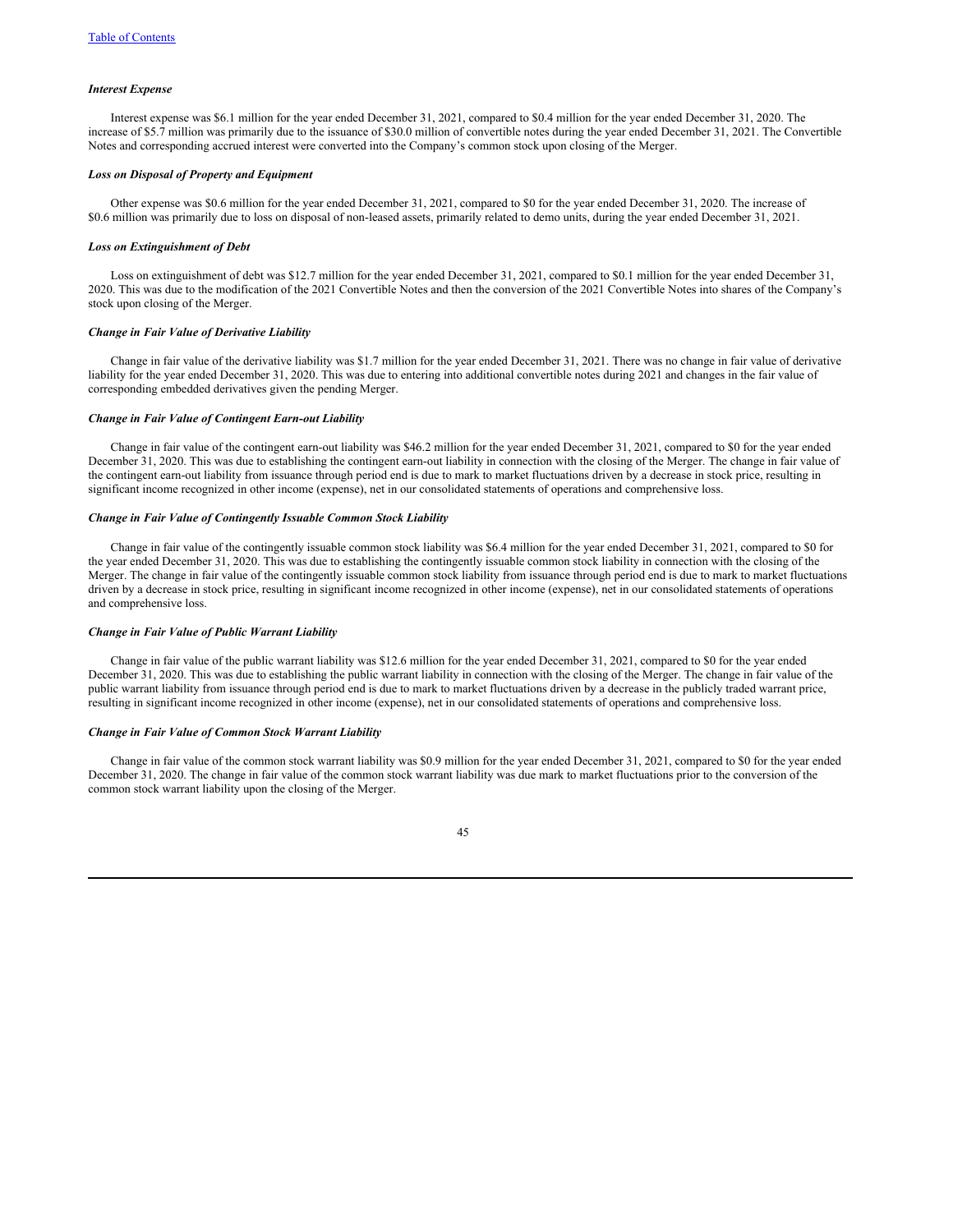#### *Interest Expense*

Interest expense was \$6.1 million for the year ended December 31, 2021, compared to \$0.4 million for the year ended December 31, 2020. The increase of \$5.7 million was primarily due to the issuance of \$30.0 million of convertible notes during the year ended December 31, 2021. The Convertible Notes and corresponding accrued interest were converted into the Company's common stock upon closing of the Merger.

#### *Loss on Disposal of Property and Equipment*

Other expense was \$0.6 million for the year ended December 31, 2021, compared to \$0 for the year ended December 31, 2020. The increase of \$0.6 million was primarily due to loss on disposal of non-leased assets, primarily related to demo units, during the year ended December 31, 2021.

# *Loss on Extinguishment of Debt*

Loss on extinguishment of debt was \$12.7 million for the year ended December 31, 2021, compared to \$0.1 million for the year ended December 31, 2020. This was due to the modification of the 2021 Convertible Notes and then the conversion of the 2021 Convertible Notes into shares of the Company's stock upon closing of the Merger.

# *Change in Fair Value of Derivative Liability*

Change in fair value of the derivative liability was \$1.7 million for the year ended December 31, 2021. There was no change in fair value of derivative liability for the year ended December 31, 2020. This was due to entering into additional convertible notes during 2021 and changes in the fair value of corresponding embedded derivatives given the pending Merger.

# *Change in Fair Value of Contingent Earn-out Liability*

Change in fair value of the contingent earn-out liability was \$46.2 million for the year ended December 31, 2021, compared to \$0 for the year ended December 31, 2020. This was due to establishing the contingent earn-out liability in connection with the closing of the Merger. The change in fair value of the contingent earn-out liability from issuance through period end is due to mark to market fluctuations driven by a decrease in stock price, resulting in significant income recognized in other income (expense), net in our consolidated statements of operations and comprehensive loss.

### *Change in Fair Value of Contingently Issuable Common Stock Liability*

Change in fair value of the contingently issuable common stock liability was \$6.4 million for the year ended December 31, 2021, compared to \$0 for the year ended December 31, 2020. This was due to establishing the contingently issuable common stock liability in connection with the closing of the Merger. The change in fair value of the contingently issuable common stock liability from issuance through period end is due to mark to market fluctuations driven by a decrease in stock price, resulting in significant income recognized in other income (expense), net in our consolidated statements of operations and comprehensive loss.

# *Change in Fair Value of Public Warrant Liability*

Change in fair value of the public warrant liability was \$12.6 million for the year ended December 31, 2021, compared to \$0 for the year ended December 31, 2020. This was due to establishing the public warrant liability in connection with the closing of the Merger. The change in fair value of the public warrant liability from issuance through period end is due to mark to market fluctuations driven by a decrease in the publicly traded warrant price, resulting in significant income recognized in other income (expense), net in our consolidated statements of operations and comprehensive loss.

#### *Change in Fair Value of Common Stock Warrant Liability*

Change in fair value of the common stock warrant liability was \$0.9 million for the year ended December 31, 2021, compared to \$0 for the year ended December 31, 2020. The change in fair value of the common stock warrant liability was due mark to market fluctuations prior to the conversion of the common stock warrant liability upon the closing of the Merger.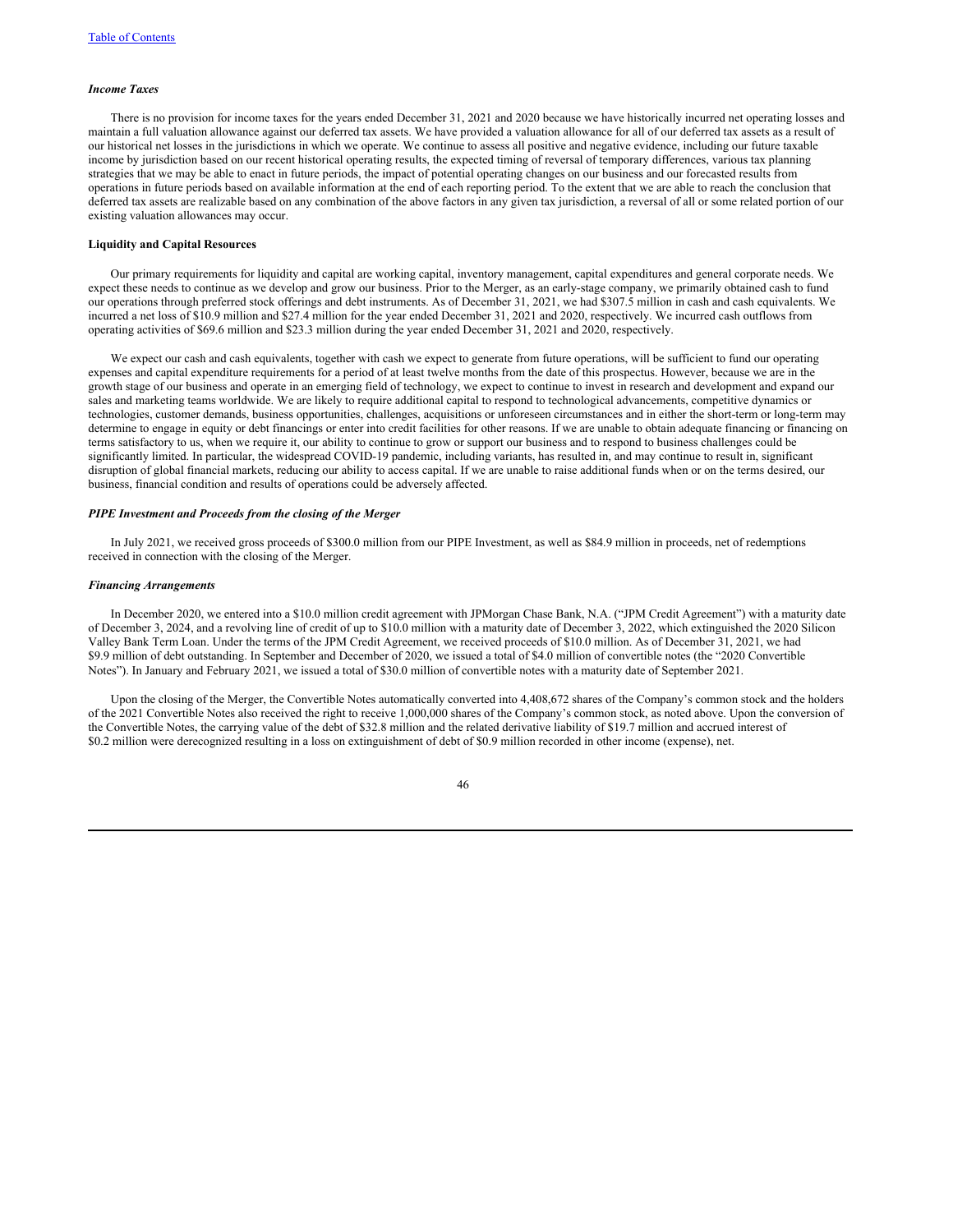#### *Income Taxes*

There is no provision for income taxes for the years ended December 31, 2021 and 2020 because we have historically incurred net operating losses and maintain a full valuation allowance against our deferred tax assets. We have provided a valuation allowance for all of our deferred tax assets as a result of our historical net losses in the jurisdictions in which we operate. We continue to assess all positive and negative evidence, including our future taxable income by jurisdiction based on our recent historical operating results, the expected timing of reversal of temporary differences, various tax planning strategies that we may be able to enact in future periods, the impact of potential operating changes on our business and our forecasted results from operations in future periods based on available information at the end of each reporting period. To the extent that we are able to reach the conclusion that deferred tax assets are realizable based on any combination of the above factors in any given tax jurisdiction, a reversal of all or some related portion of our existing valuation allowances may occur.

### **Liquidity and Capital Resources**

Our primary requirements for liquidity and capital are working capital, inventory management, capital expenditures and general corporate needs. We expect these needs to continue as we develop and grow our business. Prior to the Merger, as an early-stage company, we primarily obtained cash to fund our operations through preferred stock offerings and debt instruments. As of December 31, 2021, we had \$307.5 million in cash and cash equivalents. We incurred a net loss of \$10.9 million and \$27.4 million for the year ended December 31, 2021 and 2020, respectively. We incurred cash outflows from operating activities of \$69.6 million and \$23.3 million during the year ended December 31, 2021 and 2020, respectively.

We expect our cash and cash equivalents, together with cash we expect to generate from future operations, will be sufficient to fund our operating expenses and capital expenditure requirements for a period of at least twelve months from the date of this prospectus. However, because we are in the growth stage of our business and operate in an emerging field of technology, we expect to continue to invest in research and development and expand our sales and marketing teams worldwide. We are likely to require additional capital to respond to technological advancements, competitive dynamics or technologies, customer demands, business opportunities, challenges, acquisitions or unforeseen circumstances and in either the short-term or long-term may determine to engage in equity or debt financings or enter into credit facilities for other reasons. If we are unable to obtain adequate financing or financing on terms satisfactory to us, when we require it, our ability to continue to grow or support our business and to respond to business challenges could be significantly limited. In particular, the widespread COVID-19 pandemic, including variants, has resulted in, and may continue to result in, significant disruption of global financial markets, reducing our ability to access capital. If we are unable to raise additional funds when or on the terms desired, our business, financial condition and results of operations could be adversely affected.

# *PIPE Investment and Proceeds from the closing of the Merger*

In July 2021, we received gross proceeds of \$300.0 million from our PIPE Investment, as well as \$84.9 million in proceeds, net of redemptions received in connection with the closing of the Merger.

#### *Financing Arrangements*

In December 2020, we entered into a \$10.0 million credit agreement with JPMorgan Chase Bank, N.A. ("JPM Credit Agreement") with a maturity date of December 3, 2024, and a revolving line of credit of up to \$10.0 million with a maturity date of December 3, 2022, which extinguished the 2020 Silicon Valley Bank Term Loan. Under the terms of the JPM Credit Agreement, we received proceeds of \$10.0 million. As of December 31, 2021, we had \$9.9 million of debt outstanding. In September and December of 2020, we issued a total of \$4.0 million of convertible notes (the "2020 Convertible Notes"). In January and February 2021, we issued a total of \$30.0 million of convertible notes with a maturity date of September 2021.

Upon the closing of the Merger, the Convertible Notes automatically converted into 4,408,672 shares of the Company's common stock and the holders of the 2021 Convertible Notes also received the right to receive 1,000,000 shares of the Company's common stock, as noted above. Upon the conversion of the Convertible Notes, the carrying value of the debt of \$32.8 million and the related derivative liability of \$19.7 million and accrued interest of \$0.2 million were derecognized resulting in a loss on extinguishment of debt of \$0.9 million recorded in other income (expense), net.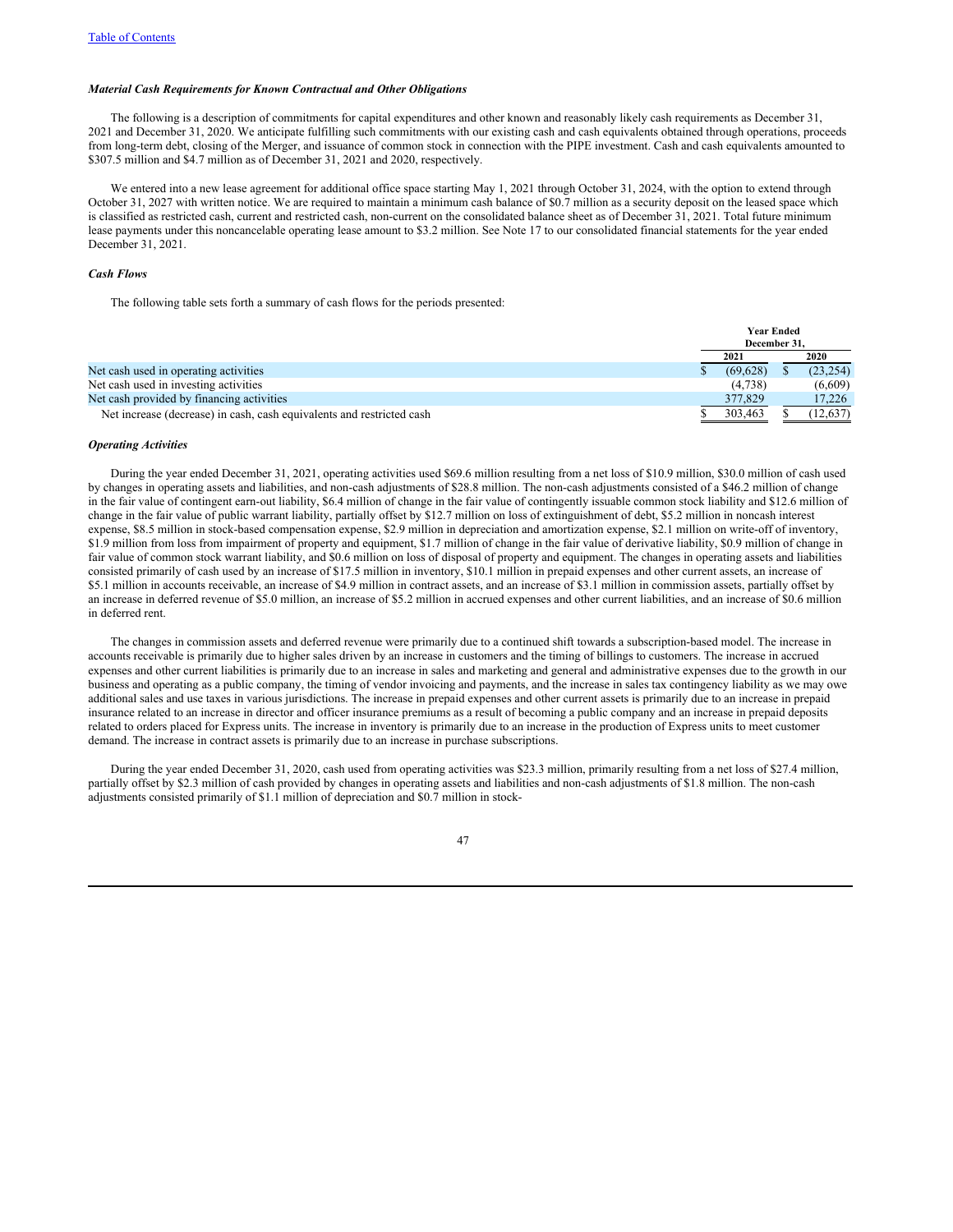# *Material Cash Requirements for Known Contractual and Other Obligations*

The following is a description of commitments for capital expenditures and other known and reasonably likely cash requirements as December 31, 2021 and December 31, 2020. We anticipate fulfilling such commitments with our existing cash and cash equivalents obtained through operations, proceeds from long-term debt, closing of the Merger, and issuance of common stock in connection with the PIPE investment. Cash and cash equivalents amounted to \$307.5 million and \$4.7 million as of December 31, 2021 and 2020, respectively.

We entered into a new lease agreement for additional office space starting May 1, 2021 through October 31, 2024, with the option to extend through October 31, 2027 with written notice. We are required to maintain a minimum cash balance of \$0.7 million as a security deposit on the leased space which is classified as restricted cash, current and restricted cash, non-current on the consolidated balance sheet as of December 31, 2021. Total future minimum lease payments under this noncancelable operating lease amount to \$3.2 million. See Note 17 to our consolidated financial statements for the year ended December 31, 2021.

# *Cash Flows*

The following table sets forth a summary of cash flows for the periods presented:

|                                                                       | <b>Year Ended</b><br>December 31. |           |
|-----------------------------------------------------------------------|-----------------------------------|-----------|
|                                                                       | 2021                              | 2020      |
| Net cash used in operating activities                                 | (69.628)                          | (23, 254) |
| Net cash used in investing activities                                 | (4,738)                           | (6,609)   |
| Net cash provided by financing activities                             | 377,829                           | 17,226    |
| Net increase (decrease) in cash, cash equivalents and restricted cash | 303.463                           | (12, 637) |

# *Operating Activities*

During the year ended December 31, 2021, operating activities used \$69.6 million resulting from a net loss of \$10.9 million, \$30.0 million of cash used by changes in operating assets and liabilities, and non-cash adjustments of \$28.8 million. The non-cash adjustments consisted of a \$46.2 million of change in the fair value of contingent earn-out liability, \$6.4 million of change in the fair value of contingently issuable common stock liability and \$12.6 million of change in the fair value of public warrant liability, partially offset by \$12.7 million on loss of extinguishment of debt, \$5.2 million in noncash interest expense, \$8.5 million in stock-based compensation expense, \$2.9 million in depreciation and amortization expense, \$2.1 million on write-off of inventory, \$1.9 million from loss from impairment of property and equipment, \$1.7 million of change in the fair value of derivative liability, \$0.9 million of change in fair value of common stock warrant liability, and \$0.6 million on loss of disposal of property and equipment. The changes in operating assets and liabilities consisted primarily of cash used by an increase of \$17.5 million in inventory, \$10.1 million in prepaid expenses and other current assets, an increase of \$5.1 million in accounts receivable, an increase of \$4.9 million in contract assets, and an increase of \$3.1 million in commission assets, partially offset by an increase in deferred revenue of \$5.0 million, an increase of \$5.2 million in accrued expenses and other current liabilities, and an increase of \$0.6 million in deferred rent.

The changes in commission assets and deferred revenue were primarily due to a continued shift towards a subscription-based model. The increase in accounts receivable is primarily due to higher sales driven by an increase in customers and the timing of billings to customers. The increase in accrued expenses and other current liabilities is primarily due to an increase in sales and marketing and general and administrative expenses due to the growth in our business and operating as a public company, the timing of vendor invoicing and payments, and the increase in sales tax contingency liability as we may owe additional sales and use taxes in various jurisdictions. The increase in prepaid expenses and other current assets is primarily due to an increase in prepaid insurance related to an increase in director and officer insurance premiums as a result of becoming a public company and an increase in prepaid deposits related to orders placed for Express units. The increase in inventory is primarily due to an increase in the production of Express units to meet customer demand. The increase in contract assets is primarily due to an increase in purchase subscriptions.

During the year ended December 31, 2020, cash used from operating activities was \$23.3 million, primarily resulting from a net loss of \$27.4 million, partially offset by \$2.3 million of cash provided by changes in operating assets and liabilities and non-cash adjustments of \$1.8 million. The non-cash adjustments consisted primarily of \$1.1 million of depreciation and \$0.7 million in stock-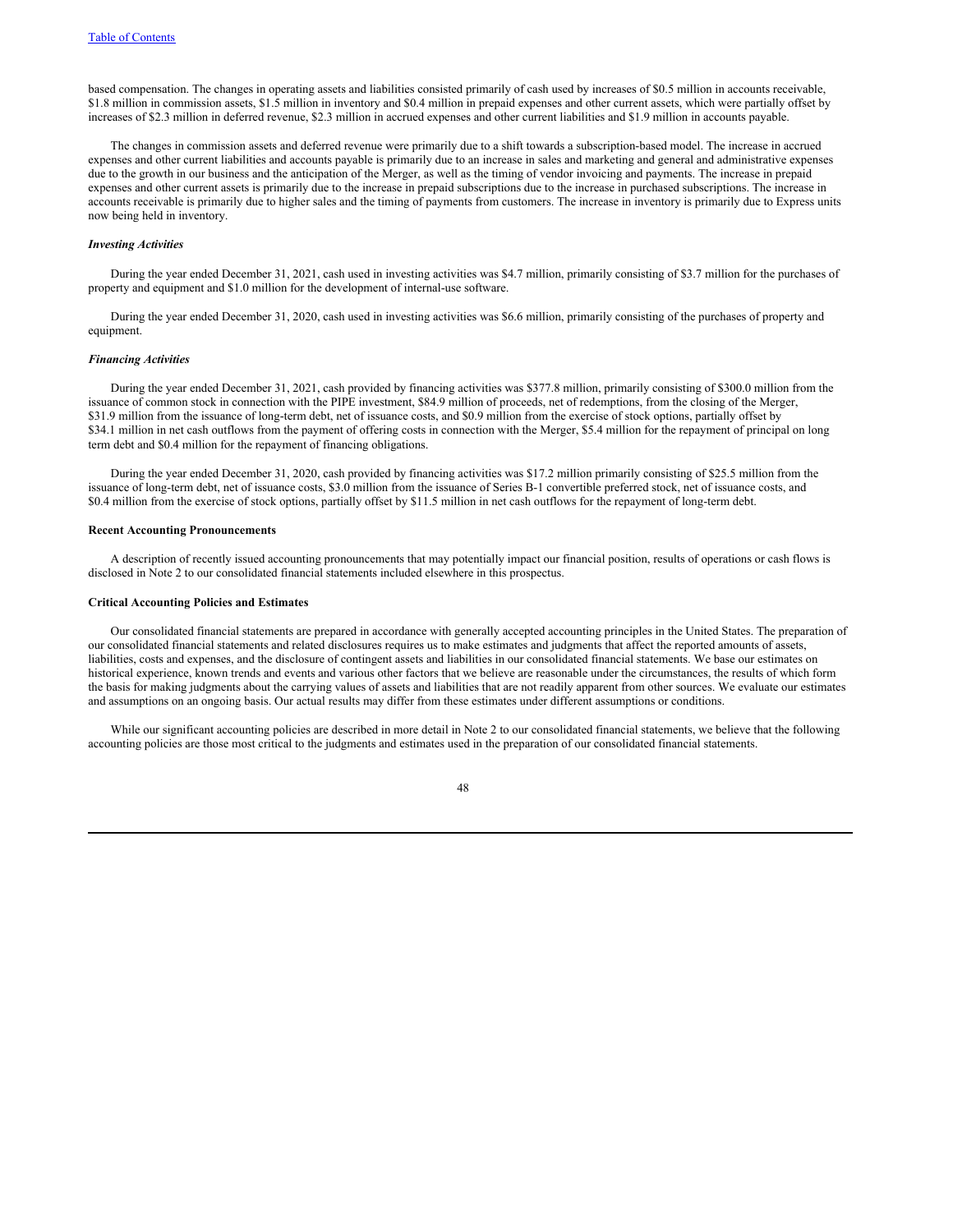based compensation. The changes in operating assets and liabilities consisted primarily of cash used by increases of \$0.5 million in accounts receivable, \$1.8 million in commission assets, \$1.5 million in inventory and \$0.4 million in prepaid expenses and other current assets, which were partially offset by increases of \$2.3 million in deferred revenue, \$2.3 million in accrued expenses and other current liabilities and \$1.9 million in accounts payable.

The changes in commission assets and deferred revenue were primarily due to a shift towards a subscription-based model. The increase in accrued expenses and other current liabilities and accounts payable is primarily due to an increase in sales and marketing and general and administrative expenses due to the growth in our business and the anticipation of the Merger, as well as the timing of vendor invoicing and payments. The increase in prepaid expenses and other current assets is primarily due to the increase in prepaid subscriptions due to the increase in purchased subscriptions. The increase in accounts receivable is primarily due to higher sales and the timing of payments from customers. The increase in inventory is primarily due to Express units now being held in inventory.

### *Investing Activities*

During the year ended December 31, 2021, cash used in investing activities was \$4.7 million, primarily consisting of \$3.7 million for the purchases of property and equipment and \$1.0 million for the development of internal-use software.

During the year ended December 31, 2020, cash used in investing activities was \$6.6 million, primarily consisting of the purchases of property and equipment.

### *Financing Activities*

During the year ended December 31, 2021, cash provided by financing activities was \$377.8 million, primarily consisting of \$300.0 million from the issuance of common stock in connection with the PIPE investment, \$84.9 million of proceeds, net of redemptions, from the closing of the Merger, \$31.9 million from the issuance of long-term debt, net of issuance costs, and \$0.9 million from the exercise of stock options, partially offset by \$34.1 million in net cash outflows from the payment of offering costs in connection with the Merger, \$5.4 million for the repayment of principal on long term debt and \$0.4 million for the repayment of financing obligations.

During the year ended December 31, 2020, cash provided by financing activities was \$17.2 million primarily consisting of \$25.5 million from the issuance of long-term debt, net of issuance costs, \$3.0 million from the issuance of Series B-1 convertible preferred stock, net of issuance costs, and \$0.4 million from the exercise of stock options, partially offset by \$11.5 million in net cash outflows for the repayment of long-term debt.

# **Recent Accounting Pronouncements**

A description of recently issued accounting pronouncements that may potentially impact our financial position, results of operations or cash flows is disclosed in Note 2 to our consolidated financial statements included elsewhere in this prospectus.

#### **Critical Accounting Policies and Estimates**

Our consolidated financial statements are prepared in accordance with generally accepted accounting principles in the United States. The preparation of our consolidated financial statements and related disclosures requires us to make estimates and judgments that affect the reported amounts of assets, liabilities, costs and expenses, and the disclosure of contingent assets and liabilities in our consolidated financial statements. We base our estimates on historical experience, known trends and events and various other factors that we believe are reasonable under the circumstances, the results of which form the basis for making judgments about the carrying values of assets and liabilities that are not readily apparent from other sources. We evaluate our estimates and assumptions on an ongoing basis. Our actual results may differ from these estimates under different assumptions or conditions.

While our significant accounting policies are described in more detail in Note 2 to our consolidated financial statements, we believe that the following accounting policies are those most critical to the judgments and estimates used in the preparation of our consolidated financial statements.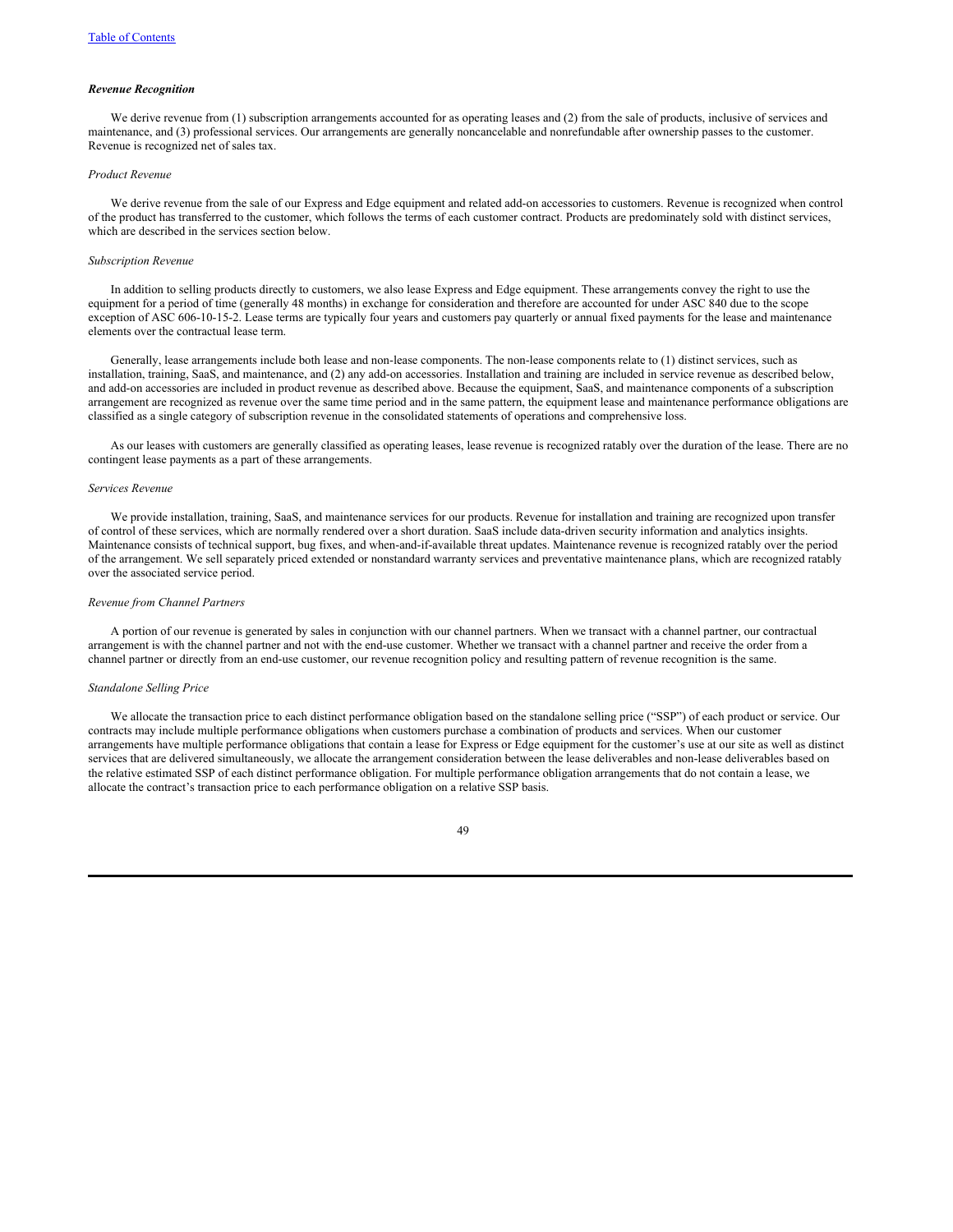#### *Revenue Recognition*

We derive revenue from (1) subscription arrangements accounted for as operating leases and (2) from the sale of products, inclusive of services and maintenance, and (3) professional services. Our arrangements are generally noncancelable and nonrefundable after ownership passes to the customer. Revenue is recognized net of sales tax.

#### *Product Revenue*

We derive revenue from the sale of our Express and Edge equipment and related add-on accessories to customers. Revenue is recognized when control of the product has transferred to the customer, which follows the terms of each customer contract. Products are predominately sold with distinct services, which are described in the services section below.

#### *Subscription Revenue*

In addition to selling products directly to customers, we also lease Express and Edge equipment. These arrangements convey the right to use the equipment for a period of time (generally 48 months) in exchange for consideration and therefore are accounted for under ASC 840 due to the scope exception of ASC 606-10-15-2. Lease terms are typically four years and customers pay quarterly or annual fixed payments for the lease and maintenance elements over the contractual lease term.

Generally, lease arrangements include both lease and non-lease components. The non-lease components relate to (1) distinct services, such as installation, training, SaaS, and maintenance, and (2) any add-on accessories. Installation and training are included in service revenue as described below, and add-on accessories are included in product revenue as described above. Because the equipment, SaaS, and maintenance components of a subscription arrangement are recognized as revenue over the same time period and in the same pattern, the equipment lease and maintenance performance obligations are classified as a single category of subscription revenue in the consolidated statements of operations and comprehensive loss.

As our leases with customers are generally classified as operating leases, lease revenue is recognized ratably over the duration of the lease. There are no contingent lease payments as a part of these arrangements.

### *Services Revenue*

We provide installation, training, SaaS, and maintenance services for our products. Revenue for installation and training are recognized upon transfer of control of these services, which are normally rendered over a short duration. SaaS include data-driven security information and analytics insights. Maintenance consists of technical support, bug fixes, and when-and-if-available threat updates. Maintenance revenue is recognized ratably over the period of the arrangement. We sell separately priced extended or nonstandard warranty services and preventative maintenance plans, which are recognized ratably over the associated service period.

#### *Revenue from Channel Partners*

A portion of our revenue is generated by sales in conjunction with our channel partners. When we transact with a channel partner, our contractual arrangement is with the channel partner and not with the end-use customer. Whether we transact with a channel partner and receive the order from a channel partner or directly from an end-use customer, our revenue recognition policy and resulting pattern of revenue recognition is the same.

#### *Standalone Selling Price*

We allocate the transaction price to each distinct performance obligation based on the standalone selling price ("SSP") of each product or service. Our contracts may include multiple performance obligations when customers purchase a combination of products and services. When our customer arrangements have multiple performance obligations that contain a lease for Express or Edge equipment for the customer's use at our site as well as distinct services that are delivered simultaneously, we allocate the arrangement consideration between the lease deliverables and non-lease deliverables based on the relative estimated SSP of each distinct performance obligation. For multiple performance obligation arrangements that do not contain a lease, we allocate the contract's transaction price to each performance obligation on a relative SSP basis.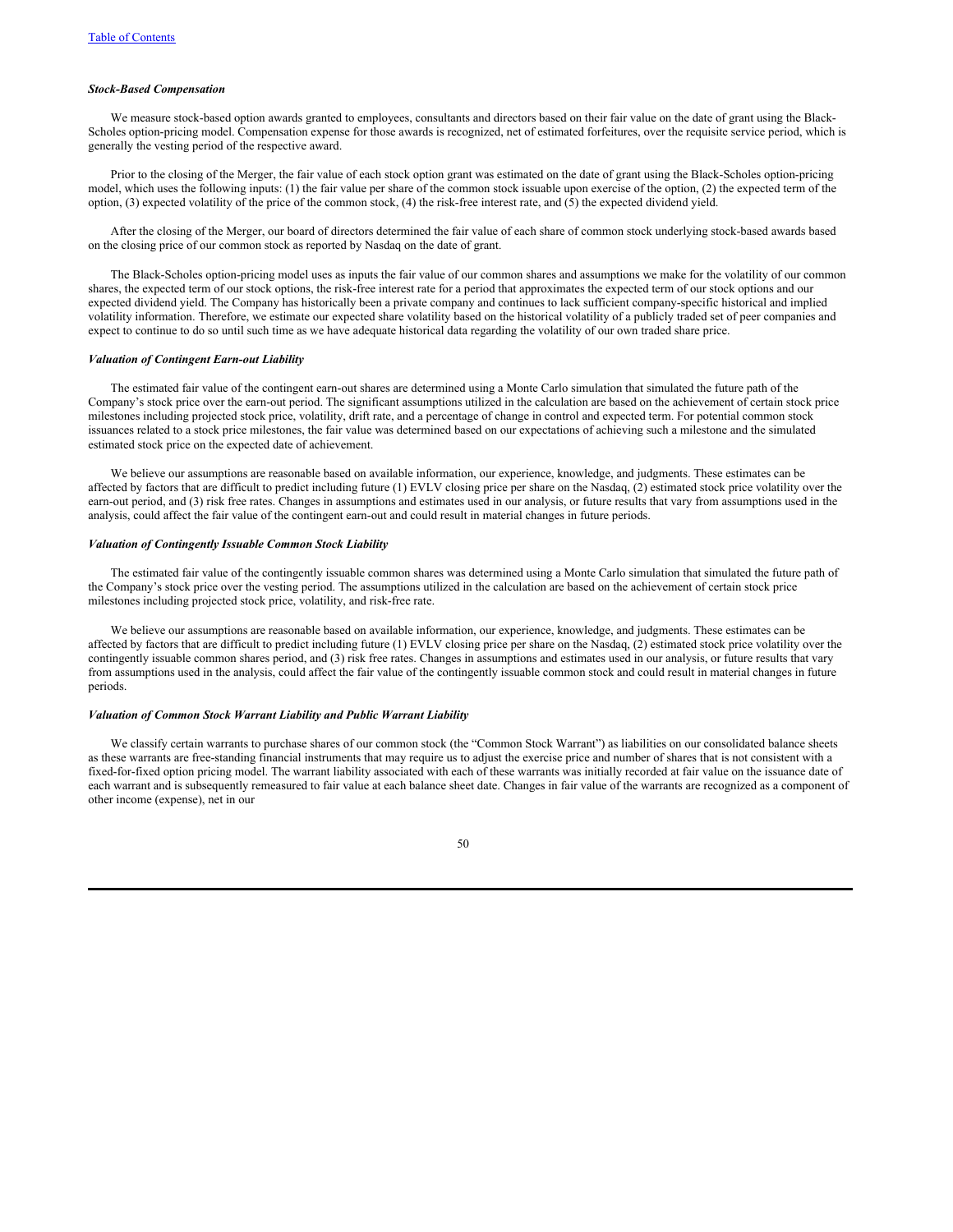### *Stock-Based Compensation*

We measure stock-based option awards granted to employees, consultants and directors based on their fair value on the date of grant using the Black-Scholes option-pricing model. Compensation expense for those awards is recognized, net of estimated forfeitures, over the requisite service period, which is generally the vesting period of the respective award.

Prior to the closing of the Merger, the fair value of each stock option grant was estimated on the date of grant using the Black-Scholes option-pricing model, which uses the following inputs: (1) the fair value per share of the common stock issuable upon exercise of the option, (2) the expected term of the option, (3) expected volatility of the price of the common stock, (4) the risk-free interest rate, and (5) the expected dividend yield.

After the closing of the Merger, our board of directors determined the fair value of each share of common stock underlying stock-based awards based on the closing price of our common stock as reported by Nasdaq on the date of grant.

The Black-Scholes option-pricing model uses as inputs the fair value of our common shares and assumptions we make for the volatility of our common shares, the expected term of our stock options, the risk-free interest rate for a period that approximates the expected term of our stock options and our expected dividend yield. The Company has historically been a private company and continues to lack sufficient company-specific historical and implied volatility information. Therefore, we estimate our expected share volatility based on the historical volatility of a publicly traded set of peer companies and expect to continue to do so until such time as we have adequate historical data regarding the volatility of our own traded share price.

#### *Valuation of Contingent Earn-out Liability*

The estimated fair value of the contingent earn-out shares are determined using a Monte Carlo simulation that simulated the future path of the Company's stock price over the earn-out period. The significant assumptions utilized in the calculation are based on the achievement of certain stock price milestones including projected stock price, volatility, drift rate, and a percentage of change in control and expected term. For potential common stock issuances related to a stock price milestones, the fair value was determined based on our expectations of achieving such a milestone and the simulated estimated stock price on the expected date of achievement.

We believe our assumptions are reasonable based on available information, our experience, knowledge, and judgments. These estimates can be affected by factors that are difficult to predict including future (1) EVLV closing price per share on the Nasdaq, (2) estimated stock price volatility over the earn-out period, and (3) risk free rates. Changes in assumptions and estimates used in our analysis, or future results that vary from assumptions used in the analysis, could affect the fair value of the contingent earn-out and could result in material changes in future periods.

### *Valuation of Contingently Issuable Common Stock Liability*

The estimated fair value of the contingently issuable common shares was determined using a Monte Carlo simulation that simulated the future path of the Company's stock price over the vesting period. The assumptions utilized in the calculation are based on the achievement of certain stock price milestones including projected stock price, volatility, and risk-free rate.

We believe our assumptions are reasonable based on available information, our experience, knowledge, and judgments. These estimates can be affected by factors that are difficult to predict including future (1) EVLV closing price per share on the Nasdaq, (2) estimated stock price volatility over the contingently issuable common shares period, and (3) risk free rates. Changes in assumptions and estimates used in our analysis, or future results that vary from assumptions used in the analysis, could affect the fair value of the contingently issuable common stock and could result in material changes in future periods.

### *Valuation of Common Stock Warrant Liability and Public Warrant Liability*

We classify certain warrants to purchase shares of our common stock (the "Common Stock Warrant") as liabilities on our consolidated balance sheets as these warrants are free-standing financial instruments that may require us to adjust the exercise price and number of shares that is not consistent with a fixed-for-fixed option pricing model. The warrant liability associated with each of these warrants was initially recorded at fair value on the issuance date of each warrant and is subsequently remeasured to fair value at each balance sheet date. Changes in fair value of the warrants are recognized as a component of other income (expense), net in our

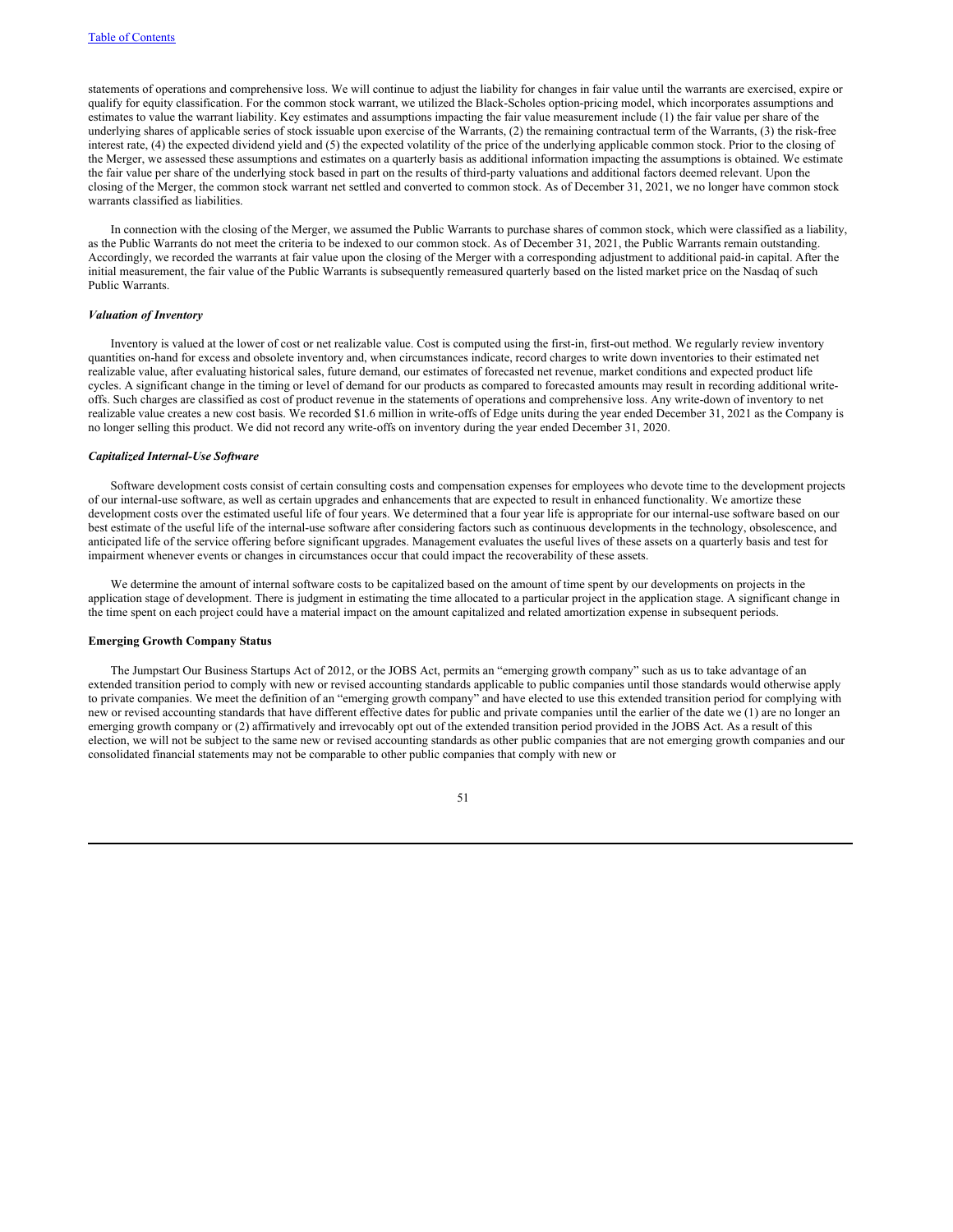statements of operations and comprehensive loss. We will continue to adjust the liability for changes in fair value until the warrants are exercised, expire or qualify for equity classification. For the common stock warrant, we utilized the Black-Scholes option-pricing model, which incorporates assumptions and estimates to value the warrant liability. Key estimates and assumptions impacting the fair value measurement include (1) the fair value per share of the underlying shares of applicable series of stock issuable upon exercise of the Warrants, (2) the remaining contractual term of the Warrants, (3) the risk-free interest rate, (4) the expected dividend yield and (5) the expected volatility of the price of the underlying applicable common stock. Prior to the closing of the Merger, we assessed these assumptions and estimates on a quarterly basis as additional information impacting the assumptions is obtained. We estimate the fair value per share of the underlying stock based in part on the results of third-party valuations and additional factors deemed relevant. Upon the closing of the Merger, the common stock warrant net settled and converted to common stock. As of December 31, 2021, we no longer have common stock warrants classified as liabilities.

In connection with the closing of the Merger, we assumed the Public Warrants to purchase shares of common stock, which were classified as a liability, as the Public Warrants do not meet the criteria to be indexed to our common stock. As of December 31, 2021, the Public Warrants remain outstanding. Accordingly, we recorded the warrants at fair value upon the closing of the Merger with a corresponding adjustment to additional paid-in capital. After the initial measurement, the fair value of the Public Warrants is subsequently remeasured quarterly based on the listed market price on the Nasdaq of such Public Warrants.

### *Valuation of Inventory*

Inventory is valued at the lower of cost or net realizable value. Cost is computed using the first-in, first-out method. We regularly review inventory quantities on-hand for excess and obsolete inventory and, when circumstances indicate, record charges to write down inventories to their estimated net realizable value, after evaluating historical sales, future demand, our estimates of forecasted net revenue, market conditions and expected product life cycles. A significant change in the timing or level of demand for our products as compared to forecasted amounts may result in recording additional writeoffs. Such charges are classified as cost of product revenue in the statements of operations and comprehensive loss. Any write-down of inventory to net realizable value creates a new cost basis. We recorded \$1.6 million in write-offs of Edge units during the year ended December 31, 2021 as the Company is no longer selling this product. We did not record any write-offs on inventory during the year ended December 31, 2020.

#### *Capitalized Internal-Use Software*

Software development costs consist of certain consulting costs and compensation expenses for employees who devote time to the development projects of our internal-use software, as well as certain upgrades and enhancements that are expected to result in enhanced functionality. We amortize these development costs over the estimated useful life of four years. We determined that a four year life is appropriate for our internal-use software based on our best estimate of the useful life of the internal-use software after considering factors such as continuous developments in the technology, obsolescence, and anticipated life of the service offering before significant upgrades. Management evaluates the useful lives of these assets on a quarterly basis and test for impairment whenever events or changes in circumstances occur that could impact the recoverability of these assets.

We determine the amount of internal software costs to be capitalized based on the amount of time spent by our developments on projects in the application stage of development. There is judgment in estimating the time allocated to a particular project in the application stage. A significant change in the time spent on each project could have a material impact on the amount capitalized and related amortization expense in subsequent periods.

### **Emerging Growth Company Status**

The Jumpstart Our Business Startups Act of 2012, or the JOBS Act, permits an "emerging growth company" such as us to take advantage of an extended transition period to comply with new or revised accounting standards applicable to public companies until those standards would otherwise apply to private companies. We meet the definition of an "emerging growth company" and have elected to use this extended transition period for complying with new or revised accounting standards that have different effective dates for public and private companies until the earlier of the date we (1) are no longer an emerging growth company or (2) affirmatively and irrevocably opt out of the extended transition period provided in the JOBS Act. As a result of this election, we will not be subject to the same new or revised accounting standards as other public companies that are not emerging growth companies and our consolidated financial statements may not be comparable to other public companies that comply with new or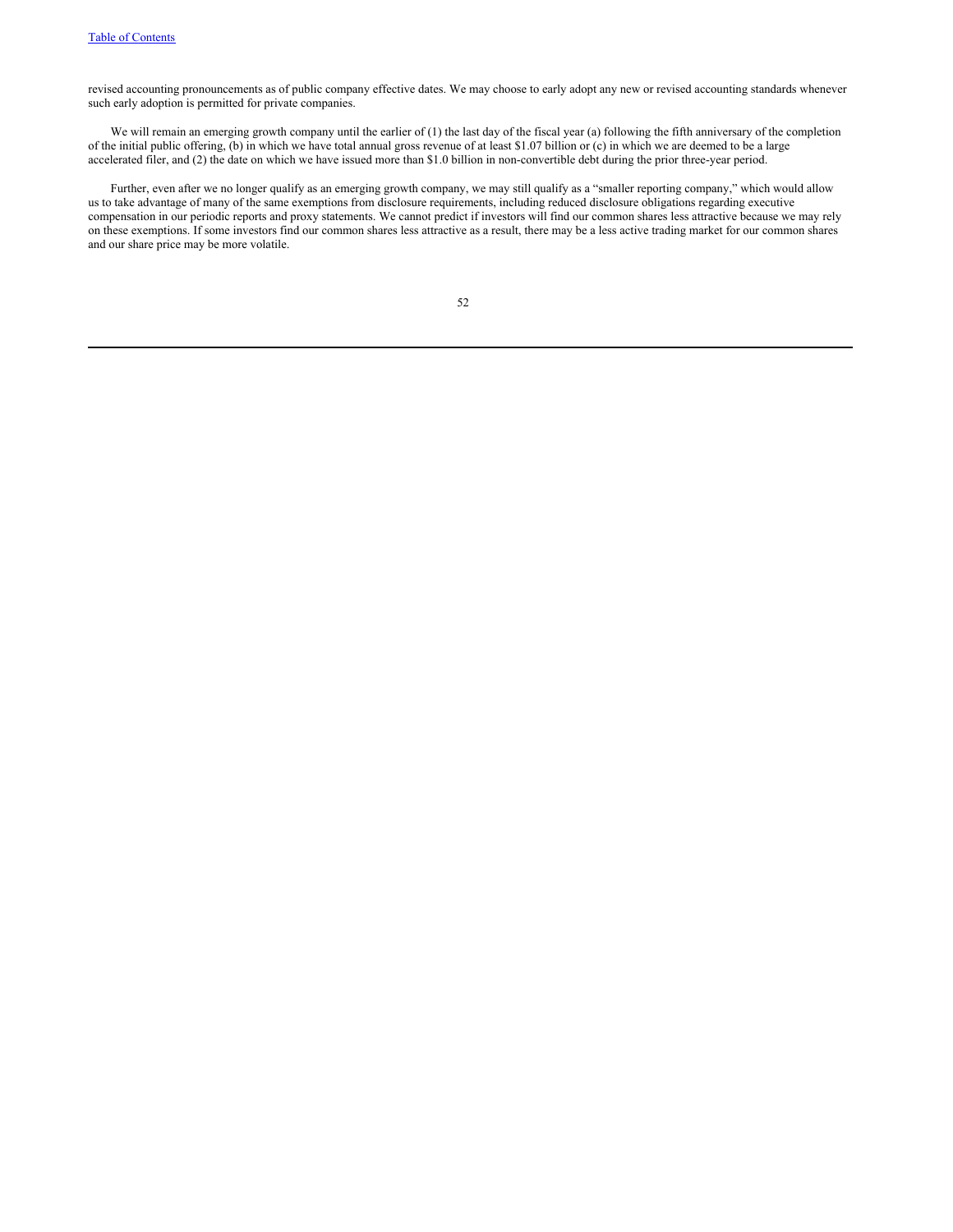revised accounting pronouncements as of public company effective dates. We may choose to early adopt any new or revised accounting standards whenever such early adoption is permitted for private companies.

We will remain an emerging growth company until the earlier of  $(1)$  the last day of the fiscal year (a) following the fifth anniversary of the completion of the initial public offering, (b) in which we have total annual gross revenue of at least \$1.07 billion or (c) in which we are deemed to be a large accelerated filer, and (2) the date on which we have issued more than \$1.0 billion in non-convertible debt during the prior three-year period.

Further, even after we no longer qualify as an emerging growth company, we may still qualify as a "smaller reporting company," which would allow us to take advantage of many of the same exemptions from disclosure requirements, including reduced disclosure obligations regarding executive compensation in our periodic reports and proxy statements. We cannot predict if investors will find our common shares less attractive because we may rely on these exemptions. If some investors find our common shares less attractive as a result, there may be a less active trading market for our common shares and our share price may be more volatile.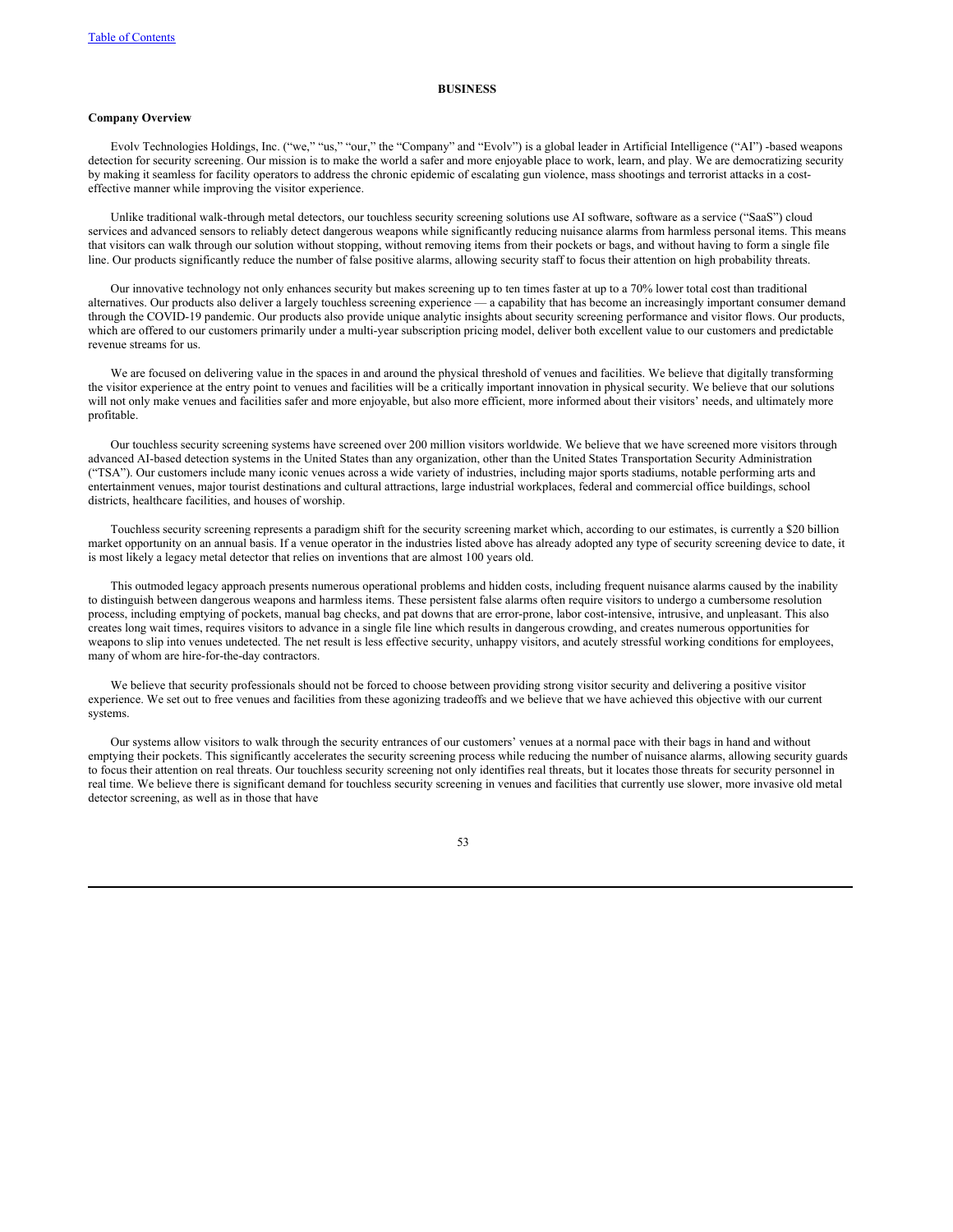#### **BUSINESS**

# **Company Overview**

Evolv Technologies Holdings, Inc. ("we," "us," "our," the "Company" and "Evolv") is a global leader in Artificial Intelligence ("AI") -based weapons detection for security screening. Our mission is to make the world a safer and more enjoyable place to work, learn, and play. We are democratizing security by making it seamless for facility operators to address the chronic epidemic of escalating gun violence, mass shootings and terrorist attacks in a costeffective manner while improving the visitor experience.

Unlike traditional walk-through metal detectors, our touchless security screening solutions use AI software, software as a service ("SaaS") cloud services and advanced sensors to reliably detect dangerous weapons while significantly reducing nuisance alarms from harmless personal items. This means that visitors can walk through our solution without stopping, without removing items from their pockets or bags, and without having to form a single file line. Our products significantly reduce the number of false positive alarms, allowing security staff to focus their attention on high probability threats.

Our innovative technology not only enhances security but makes screening up to ten times faster at up to a 70% lower total cost than traditional alternatives. Our products also deliver a largely touchless screening experience — a capability that has become an increasingly important consumer demand through the COVID-19 pandemic. Our products also provide unique analytic insights about security screening performance and visitor flows. Our products, which are offered to our customers primarily under a multi-year subscription pricing model, deliver both excellent value to our customers and predictable revenue streams for us.

We are focused on delivering value in the spaces in and around the physical threshold of venues and facilities. We believe that digitally transforming the visitor experience at the entry point to venues and facilities will be a critically important innovation in physical security. We believe that our solutions will not only make venues and facilities safer and more enjoyable, but also more efficient, more informed about their visitors' needs, and ultimately more profitable.

Our touchless security screening systems have screened over 200 million visitors worldwide. We believe that we have screened more visitors through advanced AI-based detection systems in the United States than any organization, other than the United States Transportation Security Administration ("TSA"). Our customers include many iconic venues across a wide variety of industries, including major sports stadiums, notable performing arts and entertainment venues, major tourist destinations and cultural attractions, large industrial workplaces, federal and commercial office buildings, school districts, healthcare facilities, and houses of worship.

Touchless security screening represents a paradigm shift for the security screening market which, according to our estimates, is currently a \$20 billion market opportunity on an annual basis. If a venue operator in the industries listed above has already adopted any type of security screening device to date, it is most likely a legacy metal detector that relies on inventions that are almost 100 years old.

This outmoded legacy approach presents numerous operational problems and hidden costs, including frequent nuisance alarms caused by the inability to distinguish between dangerous weapons and harmless items. These persistent false alarms often require visitors to undergo a cumbersome resolution process, including emptying of pockets, manual bag checks, and pat downs that are error-prone, labor cost-intensive, intrusive, and unpleasant. This also creates long wait times, requires visitors to advance in a single file line which results in dangerous crowding, and creates numerous opportunities for weapons to slip into venues undetected. The net result is less effective security, unhappy visitors, and acutely stressful working conditions for employees, many of whom are hire-for-the-day contractors.

We believe that security professionals should not be forced to choose between providing strong visitor security and delivering a positive visitor experience. We set out to free venues and facilities from these agonizing tradeoffs and we believe that we have achieved this objective with our current systems.

Our systems allow visitors to walk through the security entrances of our customers' venues at a normal pace with their bags in hand and without emptying their pockets. This significantly accelerates the security screening process while reducing the number of nuisance alarms, allowing security guards to focus their attention on real threats. Our touchless security screening not only identifies real threats, but it locates those threats for security personnel in real time. We believe there is significant demand for touchless security screening in venues and facilities that currently use slower, more invasive old metal detector screening, as well as in those that have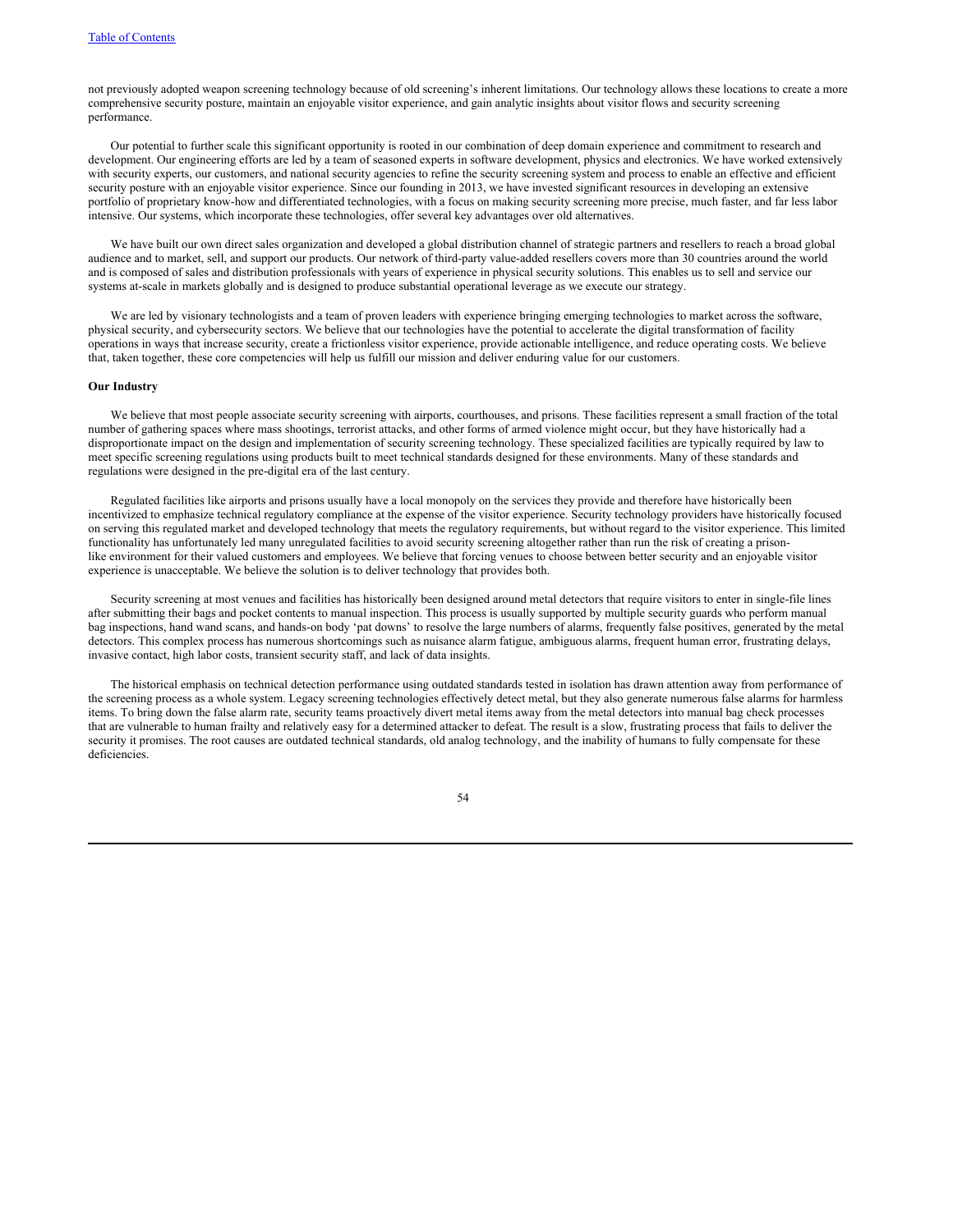not previously adopted weapon screening technology because of old screening's inherent limitations. Our technology allows these locations to create a more comprehensive security posture, maintain an enjoyable visitor experience, and gain analytic insights about visitor flows and security screening performance.

Our potential to further scale this significant opportunity is rooted in our combination of deep domain experience and commitment to research and development. Our engineering efforts are led by a team of seasoned experts in software development, physics and electronics. We have worked extensively with security experts, our customers, and national security agencies to refine the security screening system and process to enable an effective and efficient security posture with an enjoyable visitor experience. Since our founding in 2013, we have invested significant resources in developing an extensive portfolio of proprietary know-how and differentiated technologies, with a focus on making security screening more precise, much faster, and far less labor intensive. Our systems, which incorporate these technologies, offer several key advantages over old alternatives.

We have built our own direct sales organization and developed a global distribution channel of strategic partners and resellers to reach a broad global audience and to market, sell, and support our products. Our network of third-party value-added resellers covers more than 30 countries around the world and is composed of sales and distribution professionals with years of experience in physical security solutions. This enables us to sell and service our systems at-scale in markets globally and is designed to produce substantial operational leverage as we execute our strategy.

We are led by visionary technologists and a team of proven leaders with experience bringing emerging technologies to market across the software, physical security, and cybersecurity sectors. We believe that our technologies have the potential to accelerate the digital transformation of facility operations in ways that increase security, create a frictionless visitor experience, provide actionable intelligence, and reduce operating costs. We believe that, taken together, these core competencies will help us fulfill our mission and deliver enduring value for our customers.

# **Our Industry**

We believe that most people associate security screening with airports, courthouses, and prisons. These facilities represent a small fraction of the total number of gathering spaces where mass shootings, terrorist attacks, and other forms of armed violence might occur, but they have historically had a disproportionate impact on the design and implementation of security screening technology. These specialized facilities are typically required by law to meet specific screening regulations using products built to meet technical standards designed for these environments. Many of these standards and regulations were designed in the pre-digital era of the last century.

Regulated facilities like airports and prisons usually have a local monopoly on the services they provide and therefore have historically been incentivized to emphasize technical regulatory compliance at the expense of the visitor experience. Security technology providers have historically focused on serving this regulated market and developed technology that meets the regulatory requirements, but without regard to the visitor experience. This limited functionality has unfortunately led many unregulated facilities to avoid security screening altogether rather than run the risk of creating a prisonlike environment for their valued customers and employees. We believe that forcing venues to choose between better security and an enjoyable visitor experience is unacceptable. We believe the solution is to deliver technology that provides both.

Security screening at most venues and facilities has historically been designed around metal detectors that require visitors to enter in single-file lines after submitting their bags and pocket contents to manual inspection. This process is usually supported by multiple security guards who perform manual bag inspections, hand wand scans, and hands-on body 'pat downs' to resolve the large numbers of alarms, frequently false positives, generated by the metal detectors. This complex process has numerous shortcomings such as nuisance alarm fatigue, ambiguous alarms, frequent human error, frustrating delays, invasive contact, high labor costs, transient security staff, and lack of data insights.

The historical emphasis on technical detection performance using outdated standards tested in isolation has drawn attention away from performance of the screening process as a whole system. Legacy screening technologies effectively detect metal, but they also generate numerous false alarms for harmless items. To bring down the false alarm rate, security teams proactively divert metal items away from the metal detectors into manual bag check processes that are vulnerable to human frailty and relatively easy for a determined attacker to defeat. The result is a slow, frustrating process that fails to deliver the security it promises. The root causes are outdated technical standards, old analog technology, and the inability of humans to fully compensate for these deficiencies.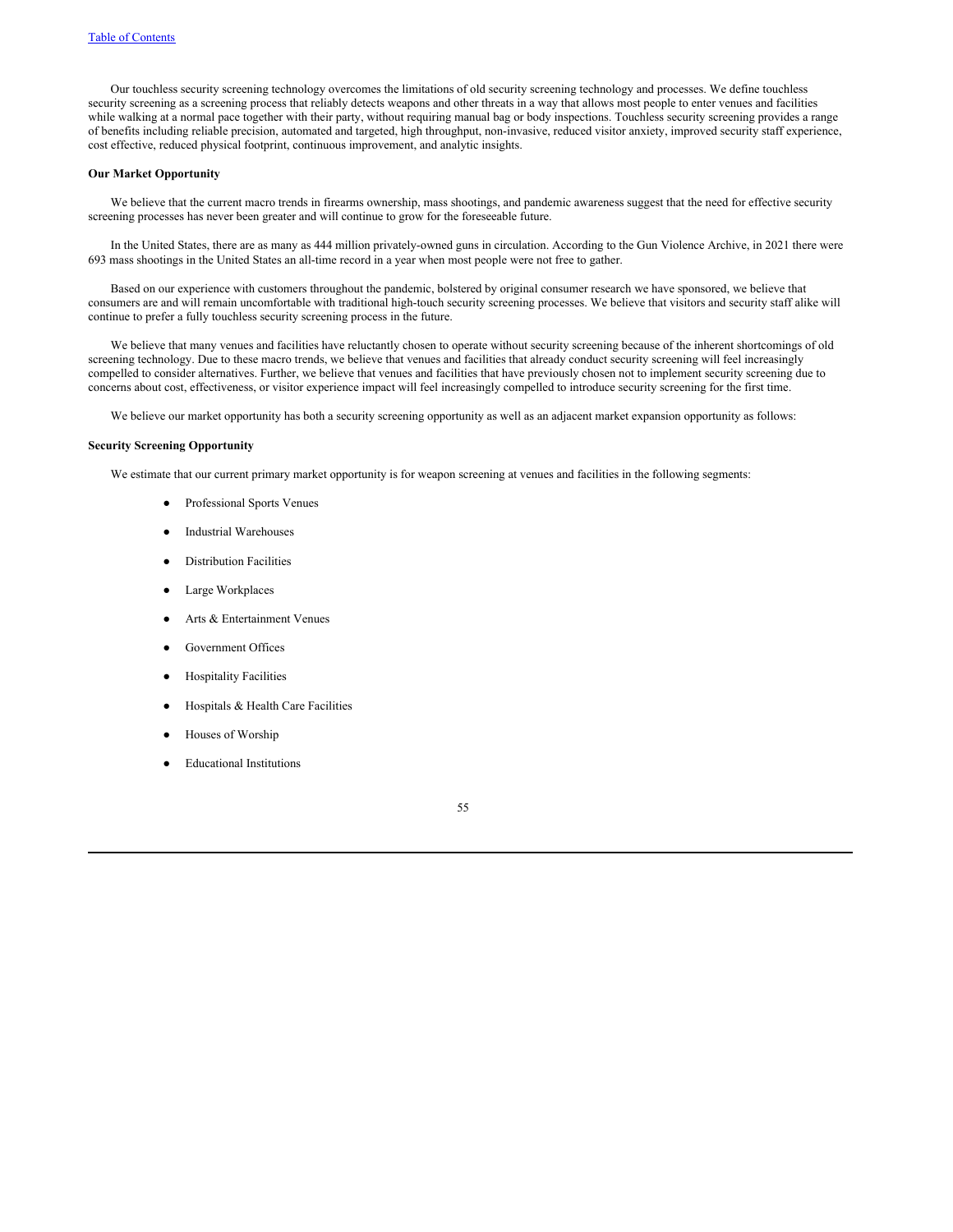Our touchless security screening technology overcomes the limitations of old security screening technology and processes. We define touchless security screening as a screening process that reliably detects weapons and other threats in a way that allows most people to enter venues and facilities while walking at a normal pace together with their party, without requiring manual bag or body inspections. Touchless security screening provides a range of benefits including reliable precision, automated and targeted, high throughput, non-invasive, reduced visitor anxiety, improved security staff experience, cost effective, reduced physical footprint, continuous improvement, and analytic insights.

# **Our Market Opportunity**

We believe that the current macro trends in firearms ownership, mass shootings, and pandemic awareness suggest that the need for effective security screening processes has never been greater and will continue to grow for the foreseeable future.

In the United States, there are as many as 444 million privately-owned guns in circulation. According to the Gun Violence Archive, in 2021 there were 693 mass shootings in the United States an all-time record in a year when most people were not free to gather.

Based on our experience with customers throughout the pandemic, bolstered by original consumer research we have sponsored, we believe that consumers are and will remain uncomfortable with traditional high-touch security screening processes. We believe that visitors and security staff alike will continue to prefer a fully touchless security screening process in the future.

We believe that many venues and facilities have reluctantly chosen to operate without security screening because of the inherent shortcomings of old screening technology. Due to these macro trends, we believe that venues and facilities that already conduct security screening will feel increasingly compelled to consider alternatives. Further, we believe that venues and facilities that have previously chosen not to implement security screening due to concerns about cost, effectiveness, or visitor experience impact will feel increasingly compelled to introduce security screening for the first time.

We believe our market opportunity has both a security screening opportunity as well as an adjacent market expansion opportunity as follows:

### **Security Screening Opportunity**

We estimate that our current primary market opportunity is for weapon screening at venues and facilities in the following segments:

- Professional Sports Venues
- **Industrial Warehouses**
- **Distribution Facilities**
- Large Workplaces
- Arts & Entertainment Venues
- Government Offices
- **Hospitality Facilities**
- Hospitals & Health Care Facilities
- Houses of Worship
- **Educational Institutions**

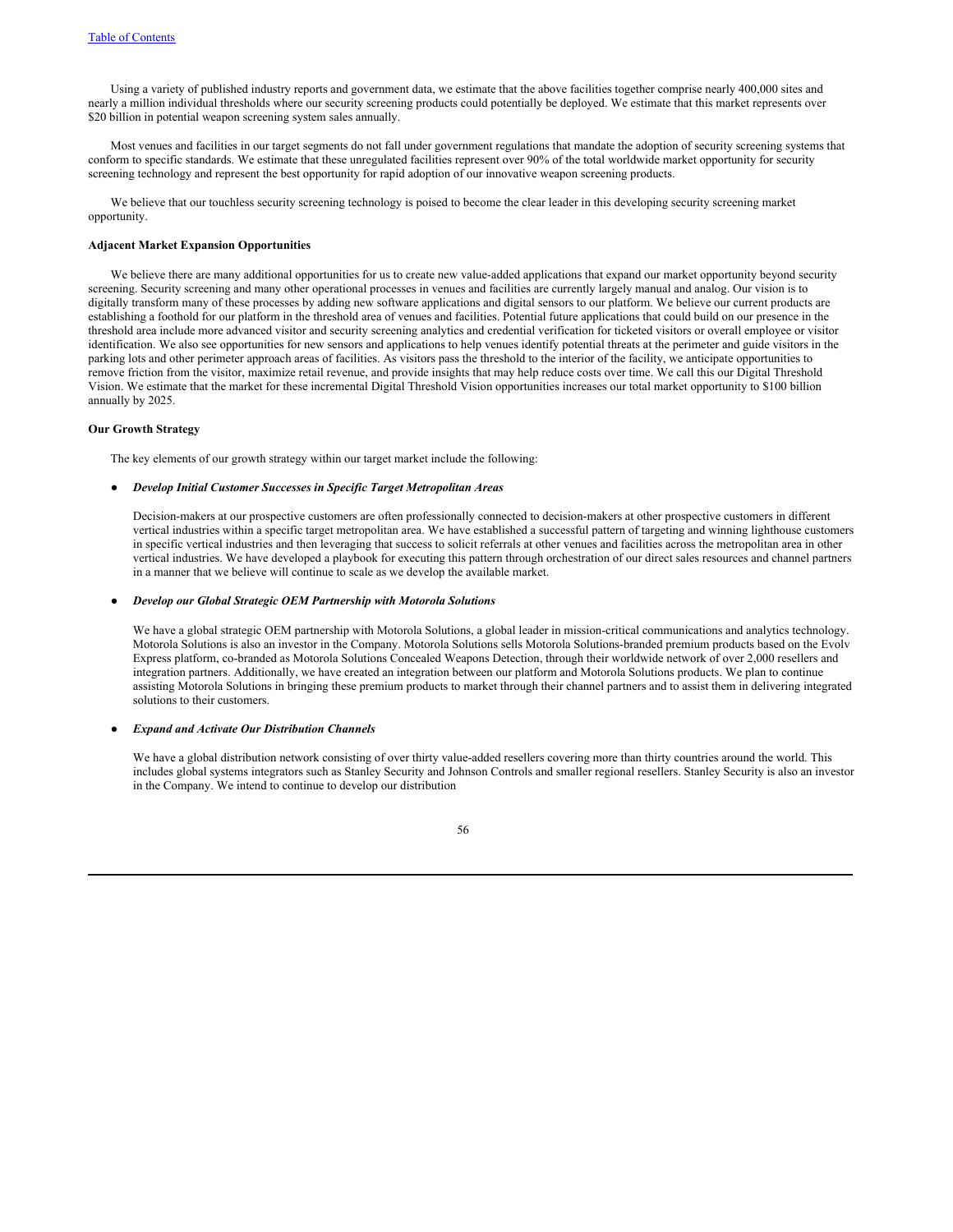Using a variety of published industry reports and government data, we estimate that the above facilities together comprise nearly 400,000 sites and nearly a million individual thresholds where our security screening products could potentially be deployed. We estimate that this market represents over \$20 billion in potential weapon screening system sales annually.

Most venues and facilities in our target segments do not fall under government regulations that mandate the adoption of security screening systems that conform to specific standards. We estimate that these unregulated facilities represent over 90% of the total worldwide market opportunity for security screening technology and represent the best opportunity for rapid adoption of our innovative weapon screening products.

We believe that our touchless security screening technology is poised to become the clear leader in this developing security screening market opportunity.

# **Adjacent Market Expansion Opportunities**

We believe there are many additional opportunities for us to create new value-added applications that expand our market opportunity beyond security screening. Security screening and many other operational processes in venues and facilities are currently largely manual and analog. Our vision is to digitally transform many of these processes by adding new software applications and digital sensors to our platform. We believe our current products are establishing a foothold for our platform in the threshold area of venues and facilities. Potential future applications that could build on our presence in the threshold area include more advanced visitor and security screening analytics and credential verification for ticketed visitors or overall employee or visitor identification. We also see opportunities for new sensors and applications to help venues identify potential threats at the perimeter and guide visitors in the parking lots and other perimeter approach areas of facilities. As visitors pass the threshold to the interior of the facility, we anticipate opportunities to remove friction from the visitor, maximize retail revenue, and provide insights that may help reduce costs over time. We call this our Digital Threshold Vision. We estimate that the market for these incremental Digital Threshold Vision opportunities increases our total market opportunity to \$100 billion annually by 2025.

### **Our Growth Strategy**

The key elements of our growth strategy within our target market include the following:

### ● *Develop Initial Customer Successes in Specific Target Metropolitan Areas*

Decision-makers at our prospective customers are often professionally connected to decision-makers at other prospective customers in different vertical industries within a specific target metropolitan area. We have established a successful pattern of targeting and winning lighthouse customers in specific vertical industries and then leveraging that success to solicit referrals at other venues and facilities across the metropolitan area in other vertical industries. We have developed a playbook for executing this pattern through orchestration of our direct sales resources and channel partners in a manner that we believe will continue to scale as we develop the available market.

#### ● *Develop our Global Strategic OEM Partnership with Motorola Solutions*

We have a global strategic OEM partnership with Motorola Solutions, a global leader in mission-critical communications and analytics technology. Motorola Solutions is also an investor in the Company. Motorola Solutions sells Motorola Solutions-branded premium products based on the Evolv Express platform, co-branded as Motorola Solutions Concealed Weapons Detection, through their worldwide network of over 2,000 resellers and integration partners. Additionally, we have created an integration between our platform and Motorola Solutions products. We plan to continue assisting Motorola Solutions in bringing these premium products to market through their channel partners and to assist them in delivering integrated solutions to their customers.

#### $E$ *xpand and Activate Our Distribution Channels*

We have a global distribution network consisting of over thirty value-added resellers covering more than thirty countries around the world. This includes global systems integrators such as Stanley Security and Johnson Controls and smaller regional resellers. Stanley Security is also an investor in the Company. We intend to continue to develop our distribution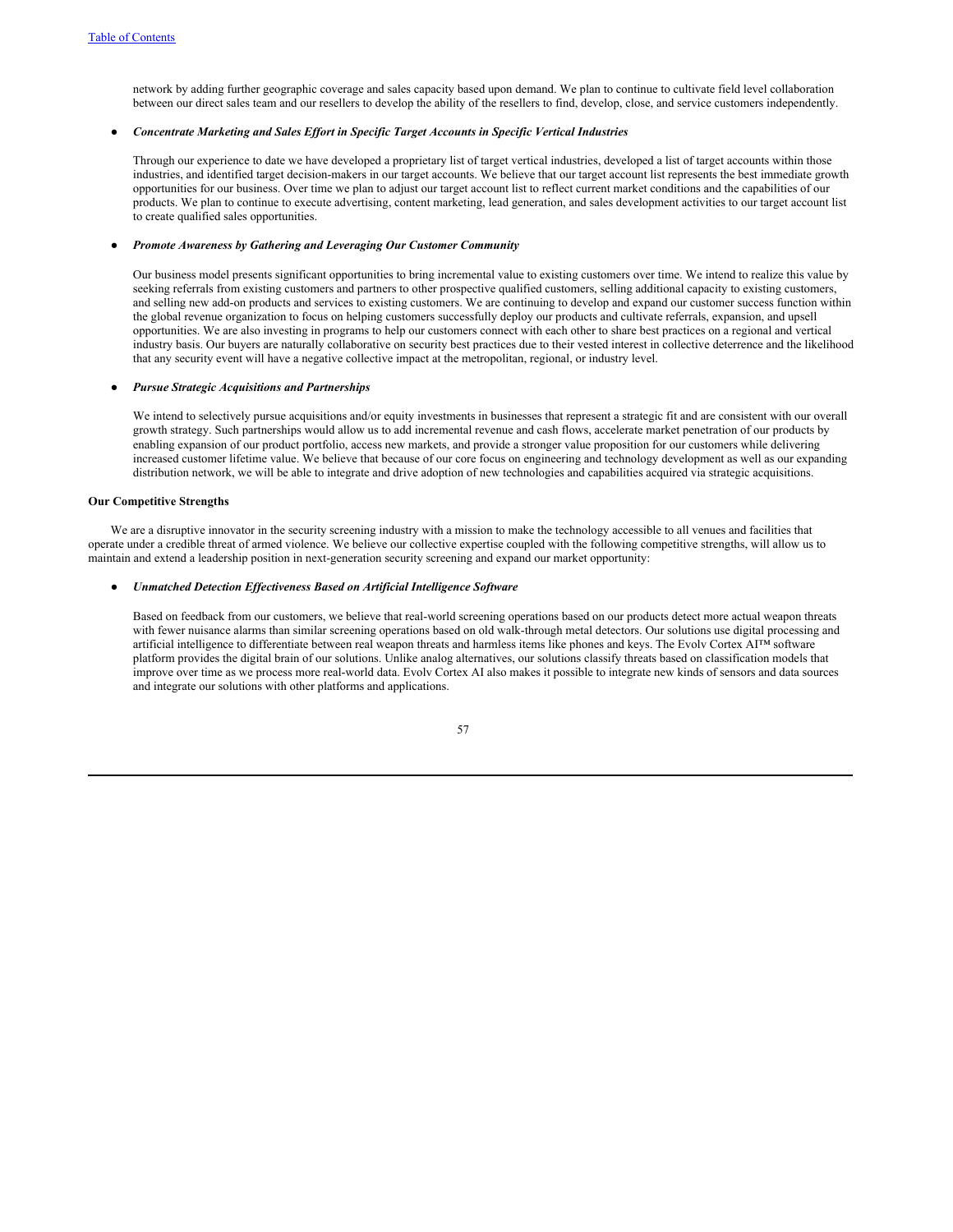network by adding further geographic coverage and sales capacity based upon demand. We plan to continue to cultivate field level collaboration between our direct sales team and our resellers to develop the ability of the resellers to find, develop, close, and service customers independently.

# ● *Concentrate Marketing and Sales Ef ort in Specific Target Accounts in Specific Vertical Industries*

Through our experience to date we have developed a proprietary list of target vertical industries, developed a list of target accounts within those industries, and identified target decision-makers in our target accounts. We believe that our target account list represents the best immediate growth opportunities for our business. Over time we plan to adjust our target account list to reflect current market conditions and the capabilities of our products. We plan to continue to execute advertising, content marketing, lead generation, and sales development activities to our target account list to create qualified sales opportunities.

# ● *Promote Awareness by Gathering and Leveraging Our Customer Community*

Our business model presents significant opportunities to bring incremental value to existing customers over time. We intend to realize this value by seeking referrals from existing customers and partners to other prospective qualified customers, selling additional capacity to existing customers, and selling new add-on products and services to existing customers. We are continuing to develop and expand our customer success function within the global revenue organization to focus on helping customers successfully deploy our products and cultivate referrals, expansion, and upsell opportunities. We are also investing in programs to help our customers connect with each other to share best practices on a regional and vertical industry basis. Our buyers are naturally collaborative on security best practices due to their vested interest in collective deterrence and the likelihood that any security event will have a negative collective impact at the metropolitan, regional, or industry level.

#### ● *Pursue Strategic Acquisitions and Partnerships*

We intend to selectively pursue acquisitions and/or equity investments in businesses that represent a strategic fit and are consistent with our overall growth strategy. Such partnerships would allow us to add incremental revenue and cash flows, accelerate market penetration of our products by enabling expansion of our product portfolio, access new markets, and provide a stronger value proposition for our customers while delivering increased customer lifetime value. We believe that because of our core focus on engineering and technology development as well as our expanding distribution network, we will be able to integrate and drive adoption of new technologies and capabilities acquired via strategic acquisitions.

# **Our Competitive Strengths**

We are a disruptive innovator in the security screening industry with a mission to make the technology accessible to all venues and facilities that operate under a credible threat of armed violence. We believe our collective expertise coupled with the following competitive strengths, will allow us to maintain and extend a leadership position in next-generation security screening and expand our market opportunity:

# ● *Unmatched Detection Ef ectiveness Based on Artificial Intelligence Software*

Based on feedback from our customers, we believe that real-world screening operations based on our products detect more actual weapon threats with fewer nuisance alarms than similar screening operations based on old walk-through metal detectors. Our solutions use digital processing and artificial intelligence to differentiate between real weapon threats and harmless items like phones and keys. The Evolv Cortex AI™ software platform provides the digital brain of our solutions. Unlike analog alternatives, our solutions classify threats based on classification models that improve over time as we process more real-world data. Evolv Cortex AI also makes it possible to integrate new kinds of sensors and data sources and integrate our solutions with other platforms and applications.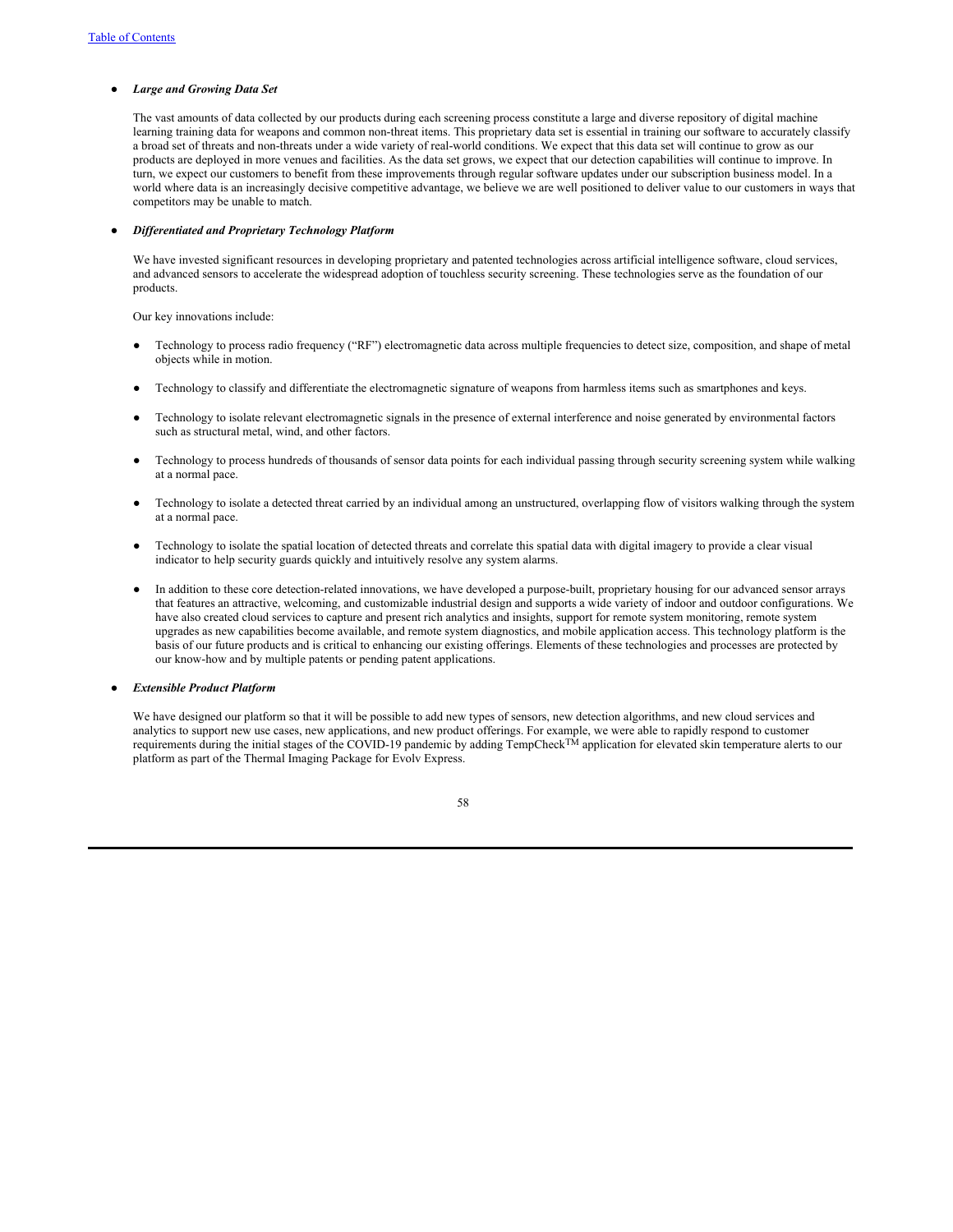### ● *Large and Growing Data Set*

The vast amounts of data collected by our products during each screening process constitute a large and diverse repository of digital machine learning training data for weapons and common non-threat items. This proprietary data set is essential in training our software to accurately classify a broad set of threats and non-threats under a wide variety of real-world conditions. We expect that this data set will continue to grow as our products are deployed in more venues and facilities. As the data set grows, we expect that our detection capabilities will continue to improve. In turn, we expect our customers to benefit from these improvements through regular software updates under our subscription business model. In a world where data is an increasingly decisive competitive advantage, we believe we are well positioned to deliver value to our customers in ways that competitors may be unable to match.

## ● *Dif erentiated and Proprietary Technology Platform*

We have invested significant resources in developing proprietary and patented technologies across artificial intelligence software, cloud services, and advanced sensors to accelerate the widespread adoption of touchless security screening. These technologies serve as the foundation of our products.

Our key innovations include:

- Technology to process radio frequency ("RF") electromagnetic data across multiple frequencies to detect size, composition, and shape of metal objects while in motion.
- Technology to classify and differentiate the electromagnetic signature of weapons from harmless items such as smartphones and keys.
- Technology to isolate relevant electromagnetic signals in the presence of external interference and noise generated by environmental factors such as structural metal, wind, and other factors.
- Technology to process hundreds of thousands of sensor data points for each individual passing through security screening system while walking at a normal pace.
- Technology to isolate a detected threat carried by an individual among an unstructured, overlapping flow of visitors walking through the system at a normal pace.
- Technology to isolate the spatial location of detected threats and correlate this spatial data with digital imagery to provide a clear visual indicator to help security guards quickly and intuitively resolve any system alarms.
- In addition to these core detection-related innovations, we have developed a purpose-built, proprietary housing for our advanced sensor arrays that features an attractive, welcoming, and customizable industrial design and supports a wide variety of indoor and outdoor configurations. We have also created cloud services to capture and present rich analytics and insights, support for remote system monitoring, remote system upgrades as new capabilities become available, and remote system diagnostics, and mobile application access. This technology platform is the basis of our future products and is critical to enhancing our existing offerings. Elements of these technologies and processes are protected by our know-how and by multiple patents or pending patent applications.

● *Extensible Product Platform*

We have designed our platform so that it will be possible to add new types of sensors, new detection algorithms, and new cloud services and analytics to support new use cases, new applications, and new product offerings. For example, we were able to rapidly respond to customer requirements during the initial stages of the COVID-19 pandemic by adding TempCheck<sup>TM</sup> application for elevated skin temperature alerts to our platform as part of the Thermal Imaging Package for Evolv Express.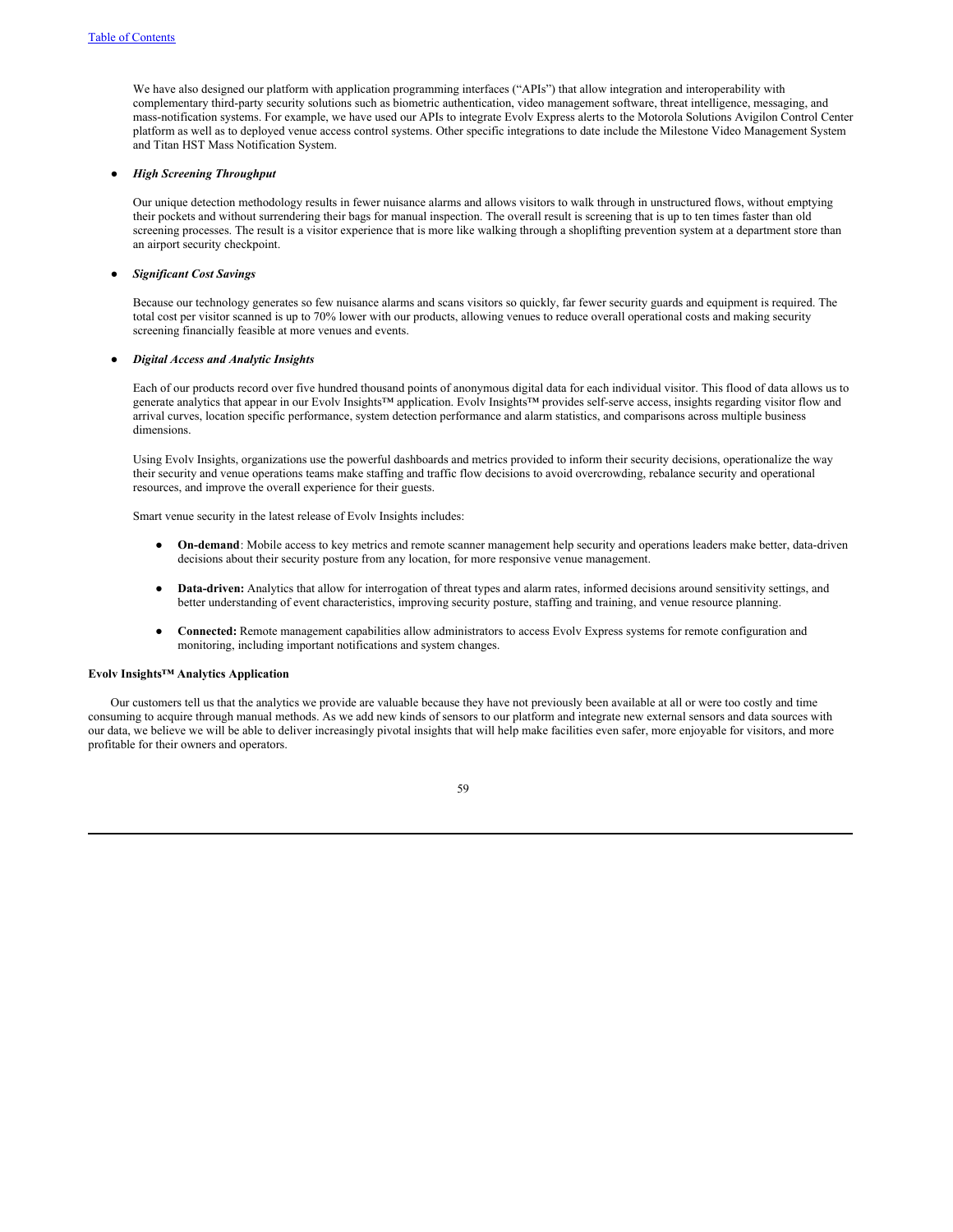We have also designed our platform with application programming interfaces ("APIs") that allow integration and interoperability with complementary third-party security solutions such as biometric authentication, video management software, threat intelligence, messaging, and mass-notification systems. For example, we have used our APIs to integrate Evolv Express alerts to the Motorola Solutions Avigilon Control Center platform as well as to deployed venue access control systems. Other specific integrations to date include the Milestone Video Management System and Titan HST Mass Notification System.

# ● *High Screening Throughput*

Our unique detection methodology results in fewer nuisance alarms and allows visitors to walk through in unstructured flows, without emptying their pockets and without surrendering their bags for manual inspection. The overall result is screening that is up to ten times faster than old screening processes. The result is a visitor experience that is more like walking through a shoplifting prevention system at a department store than an airport security checkpoint.

### ● *Significant Cost Savings*

Because our technology generates so few nuisance alarms and scans visitors so quickly, far fewer security guards and equipment is required. The total cost per visitor scanned is up to 70% lower with our products, allowing venues to reduce overall operational costs and making security screening financially feasible at more venues and events.

### ● *Digital Access and Analytic Insights*

Each of our products record over five hundred thousand points of anonymous digital data for each individual visitor. This flood of data allows us to generate analytics that appear in our Evolv Insights™ application. Evolv Insights™ provides self-serve access, insights regarding visitor flow and arrival curves, location specific performance, system detection performance and alarm statistics, and comparisons across multiple business dimensions.

Using Evolv Insights, organizations use the powerful dashboards and metrics provided to inform their security decisions, operationalize the way their security and venue operations teams make staffing and traffic flow decisions to avoid overcrowding, rebalance security and operational resources, and improve the overall experience for their guests.

Smart venue security in the latest release of Evolv Insights includes:

- **On-demand**: Mobile access to key metrics and remote scanner management help security and operations leaders make better, data-driven decisions about their security posture from any location, for more responsive venue management.
- **Data-driven:** Analytics that allow for interrogation of threat types and alarm rates, informed decisions around sensitivity settings, and better understanding of event characteristics, improving security posture, staffing and training, and venue resource planning.
- **Connected:** Remote management capabilities allow administrators to access Evolv Express systems for remote configuration and monitoring, including important notifications and system changes.

# **Evolv Insights™ Analytics Application**

Our customers tell us that the analytics we provide are valuable because they have not previously been available at all or were too costly and time consuming to acquire through manual methods. As we add new kinds of sensors to our platform and integrate new external sensors and data sources with our data, we believe we will be able to deliver increasingly pivotal insights that will help make facilities even safer, more enjoyable for visitors, and more profitable for their owners and operators.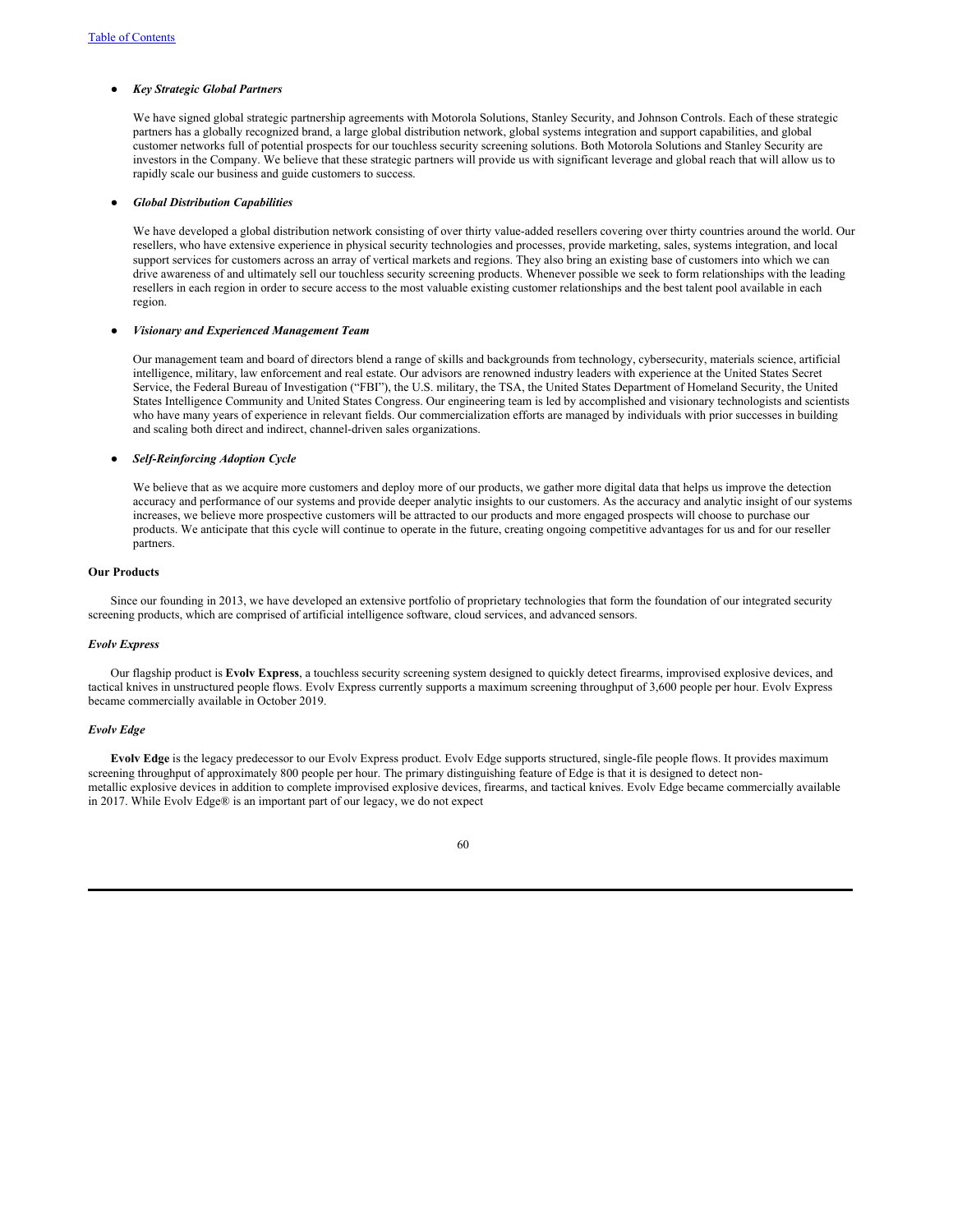## ● *Key Strategic Global Partners*

We have signed global strategic partnership agreements with Motorola Solutions, Stanley Security, and Johnson Controls. Each of these strategic partners has a globally recognized brand, a large global distribution network, global systems integration and support capabilities, and global customer networks full of potential prospects for our touchless security screening solutions. Both Motorola Solutions and Stanley Security are investors in the Company. We believe that these strategic partners will provide us with significant leverage and global reach that will allow us to rapidly scale our business and guide customers to success.

# ● *Global Distribution Capabilities*

We have developed a global distribution network consisting of over thirty value-added resellers covering over thirty countries around the world. Our resellers, who have extensive experience in physical security technologies and processes, provide marketing, sales, systems integration, and local support services for customers across an array of vertical markets and regions. They also bring an existing base of customers into which we can drive awareness of and ultimately sell our touchless security screening products. Whenever possible we seek to form relationships with the leading resellers in each region in order to secure access to the most valuable existing customer relationships and the best talent pool available in each region.

### ● *Visionary and Experienced Management Team*

Our management team and board of directors blend a range of skills and backgrounds from technology, cybersecurity, materials science, artificial intelligence, military, law enforcement and real estate. Our advisors are renowned industry leaders with experience at the United States Secret Service, the Federal Bureau of Investigation ("FBI"), the U.S. military, the TSA, the United States Department of Homeland Security, the United States Intelligence Community and United States Congress. Our engineering team is led by accomplished and visionary technologists and scientists who have many years of experience in relevant fields. Our commercialization efforts are managed by individuals with prior successes in building and scaling both direct and indirect, channel-driven sales organizations.

### ● *Self-Reinforcing Adoption Cycle*

We believe that as we acquire more customers and deploy more of our products, we gather more digital data that helps us improve the detection accuracy and performance of our systems and provide deeper analytic insights to our customers. As the accuracy and analytic insight of our systems increases, we believe more prospective customers will be attracted to our products and more engaged prospects will choose to purchase our products. We anticipate that this cycle will continue to operate in the future, creating ongoing competitive advantages for us and for our reseller partners.

# **Our Products**

Since our founding in 2013, we have developed an extensive portfolio of proprietary technologies that form the foundation of our integrated security screening products, which are comprised of artificial intelligence software, cloud services, and advanced sensors.

### *Evolv Express*

Our flagship product is **Evolv Express**, a touchless security screening system designed to quickly detect firearms, improvised explosive devices, and tactical knives in unstructured people flows. Evolv Express currently supports a maximum screening throughput of 3,600 people per hour. Evolv Express became commercially available in October 2019.

### *Evolv Edge*

**Evolv Edge** is the legacy predecessor to our Evolv Express product. Evolv Edge supports structured, single-file people flows. It provides maximum screening throughput of approximately 800 people per hour. The primary distinguishing feature of Edge is that it is designed to detect nonmetallic explosive devices in addition to complete improvised explosive devices, firearms, and tactical knives. Evolv Edge became commercially available in 2017. While Evolv Edge® is an important part of our legacy, we do not expect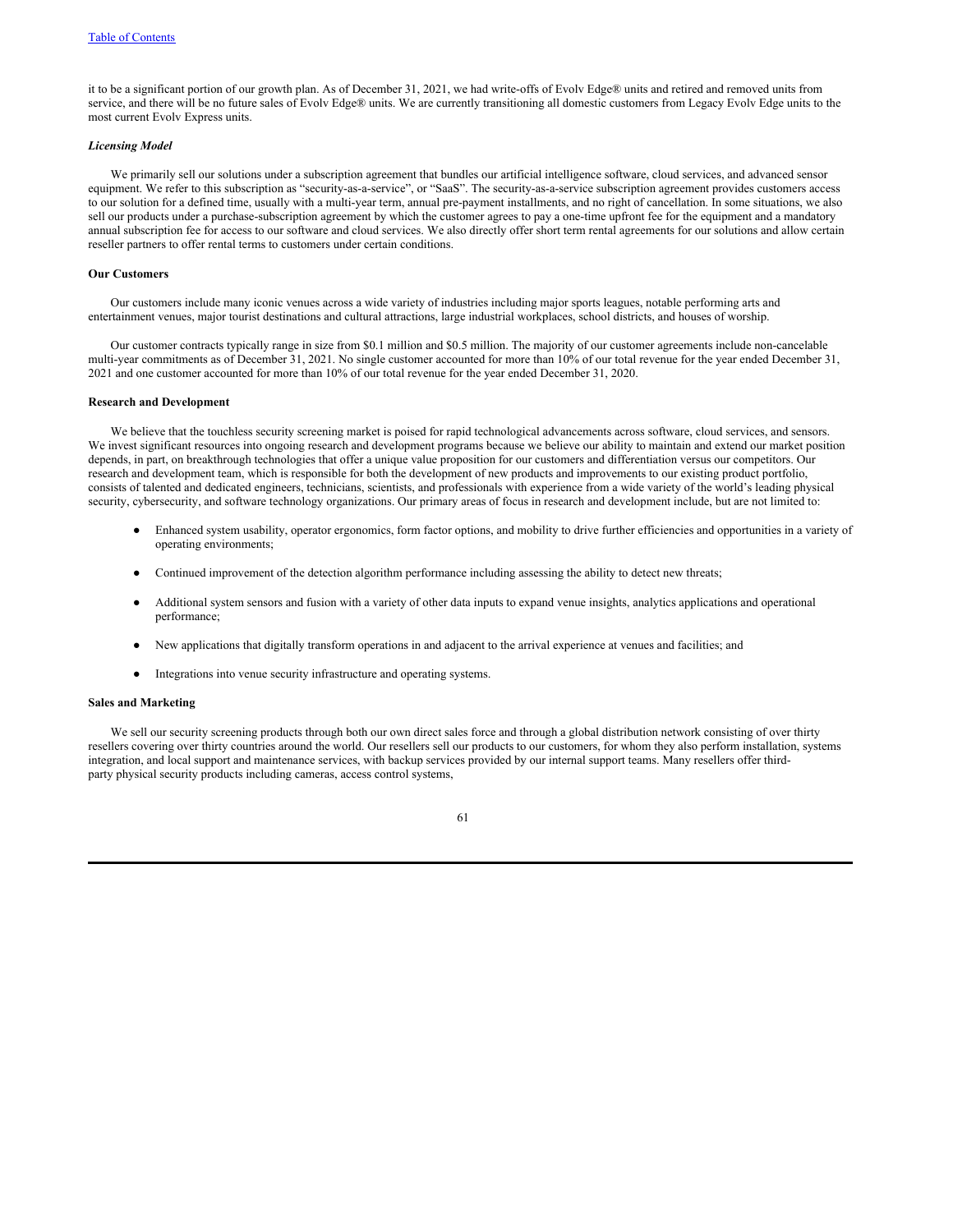it to be a significant portion of our growth plan. As of December 31, 2021, we had write-offs of Evolv Edge® units and retired and removed units from service, and there will be no future sales of Evolv Edge® units. We are currently transitioning all domestic customers from Legacy Evolv Edge units to the most current Evolv Express units.

### *Licensing Model*

We primarily sell our solutions under a subscription agreement that bundles our artificial intelligence software, cloud services, and advanced sensor equipment. We refer to this subscription as "security-as-a-service", or "SaaS". The security-as-a-service subscription agreement provides customers access to our solution for a defined time, usually with a multi-year term, annual pre-payment installments, and no right of cancellation. In some situations, we also sell our products under a purchase-subscription agreement by which the customer agrees to pay a one-time upfront fee for the equipment and a mandatory annual subscription fee for access to our software and cloud services. We also directly offer short term rental agreements for our solutions and allow certain reseller partners to offer rental terms to customers under certain conditions.

#### **Our Customers**

Our customers include many iconic venues across a wide variety of industries including major sports leagues, notable performing arts and entertainment venues, major tourist destinations and cultural attractions, large industrial workplaces, school districts, and houses of worship.

Our customer contracts typically range in size from \$0.1 million and \$0.5 million. The majority of our customer agreements include non-cancelable multi-year commitments as of December 31, 2021. No single customer accounted for more than 10% of our total revenue for the year ended December 31, 2021 and one customer accounted for more than 10% of our total revenue for the year ended December 31, 2020.

# **Research and Development**

We believe that the touchless security screening market is poised for rapid technological advancements across software, cloud services, and sensors. We invest significant resources into ongoing research and development programs because we believe our ability to maintain and extend our market position depends, in part, on breakthrough technologies that offer a unique value proposition for our customers and differentiation versus our competitors. Our research and development team, which is responsible for both the development of new products and improvements to our existing product portfolio, consists of talented and dedicated engineers, technicians, scientists, and professionals with experience from a wide variety of the world's leading physical security, cybersecurity, and software technology organizations. Our primary areas of focus in research and development include, but are not limited to:

- Enhanced system usability, operator ergonomics, form factor options, and mobility to drive further efficiencies and opportunities in a variety of operating environments;
- Continued improvement of the detection algorithm performance including assessing the ability to detect new threats;
- Additional system sensors and fusion with a variety of other data inputs to expand venue insights, analytics applications and operational performance;
- New applications that digitally transform operations in and adjacent to the arrival experience at venues and facilities; and
- Integrations into venue security infrastructure and operating systems.

# **Sales and Marketing**

We sell our security screening products through both our own direct sales force and through a global distribution network consisting of over thirty resellers covering over thirty countries around the world. Our resellers sell our products to our customers, for whom they also perform installation, systems integration, and local support and maintenance services, with backup services provided by our internal support teams. Many resellers offer thirdparty physical security products including cameras, access control systems,

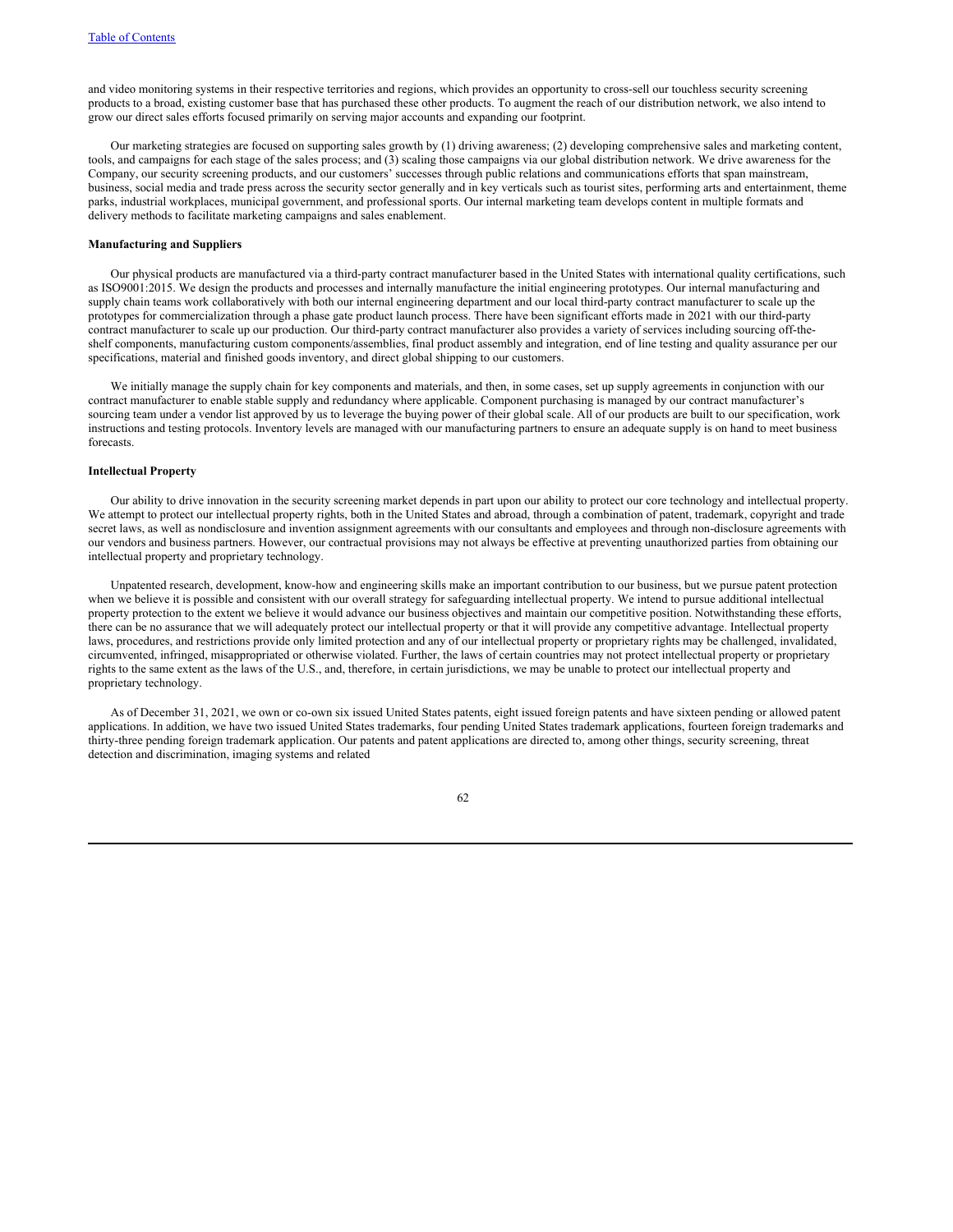and video monitoring systems in their respective territories and regions, which provides an opportunity to cross-sell our touchless security screening products to a broad, existing customer base that has purchased these other products. To augment the reach of our distribution network, we also intend to grow our direct sales efforts focused primarily on serving major accounts and expanding our footprint.

Our marketing strategies are focused on supporting sales growth by (1) driving awareness; (2) developing comprehensive sales and marketing content, tools, and campaigns for each stage of the sales process; and (3) scaling those campaigns via our global distribution network. We drive awareness for the Company, our security screening products, and our customers' successes through public relations and communications efforts that span mainstream, business, social media and trade press across the security sector generally and in key verticals such as tourist sites, performing arts and entertainment, theme parks, industrial workplaces, municipal government, and professional sports. Our internal marketing team develops content in multiple formats and delivery methods to facilitate marketing campaigns and sales enablement.

#### **Manufacturing and Suppliers**

Our physical products are manufactured via a third-party contract manufacturer based in the United States with international quality certifications, such as ISO9001:2015. We design the products and processes and internally manufacture the initial engineering prototypes. Our internal manufacturing and supply chain teams work collaboratively with both our internal engineering department and our local third-party contract manufacturer to scale up the prototypes for commercialization through a phase gate product launch process. There have been significant efforts made in 2021 with our third-party contract manufacturer to scale up our production. Our third-party contract manufacturer also provides a variety of services including sourcing off-theshelf components, manufacturing custom components/assemblies, final product assembly and integration, end of line testing and quality assurance per our specifications, material and finished goods inventory, and direct global shipping to our customers.

We initially manage the supply chain for key components and materials, and then, in some cases, set up supply agreements in conjunction with our contract manufacturer to enable stable supply and redundancy where applicable. Component purchasing is managed by our contract manufacturer's sourcing team under a vendor list approved by us to leverage the buying power of their global scale. All of our products are built to our specification, work instructions and testing protocols. Inventory levels are managed with our manufacturing partners to ensure an adequate supply is on hand to meet business forecasts.

# **Intellectual Property**

Our ability to drive innovation in the security screening market depends in part upon our ability to protect our core technology and intellectual property. We attempt to protect our intellectual property rights, both in the United States and abroad, through a combination of patent, trademark, copyright and trade secret laws, as well as nondisclosure and invention assignment agreements with our consultants and employees and through non-disclosure agreements with our vendors and business partners. However, our contractual provisions may not always be effective at preventing unauthorized parties from obtaining our intellectual property and proprietary technology.

Unpatented research, development, know-how and engineering skills make an important contribution to our business, but we pursue patent protection when we believe it is possible and consistent with our overall strategy for safeguarding intellectual property. We intend to pursue additional intellectual property protection to the extent we believe it would advance our business objectives and maintain our competitive position. Notwithstanding these efforts, there can be no assurance that we will adequately protect our intellectual property or that it will provide any competitive advantage. Intellectual property laws, procedures, and restrictions provide only limited protection and any of our intellectual property or proprietary rights may be challenged, invalidated, circumvented, infringed, misappropriated or otherwise violated. Further, the laws of certain countries may not protect intellectual property or proprietary rights to the same extent as the laws of the U.S., and, therefore, in certain jurisdictions, we may be unable to protect our intellectual property and proprietary technology.

As of December 31, 2021, we own or co-own six issued United States patents, eight issued foreign patents and have sixteen pending or allowed patent applications. In addition, we have two issued United States trademarks, four pending United States trademark applications, fourteen foreign trademarks and thirty-three pending foreign trademark application. Our patents and patent applications are directed to, among other things, security screening, threat detection and discrimination, imaging systems and related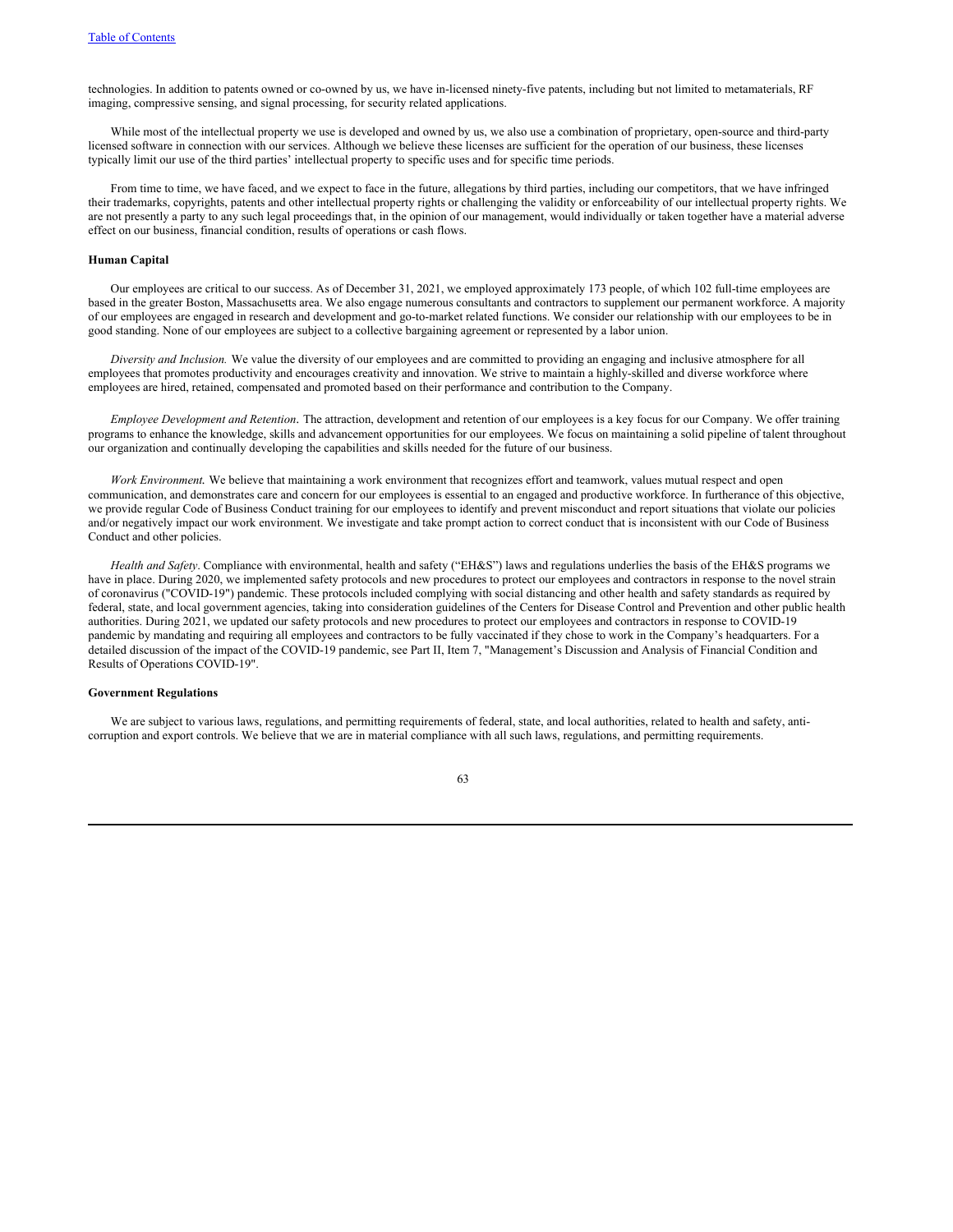technologies. In addition to patents owned or co-owned by us, we have in-licensed ninety-five patents, including but not limited to metamaterials, RF imaging, compressive sensing, and signal processing, for security related applications.

While most of the intellectual property we use is developed and owned by us, we also use a combination of proprietary, open-source and third-party licensed software in connection with our services. Although we believe these licenses are sufficient for the operation of our business, these licenses typically limit our use of the third parties' intellectual property to specific uses and for specific time periods.

From time to time, we have faced, and we expect to face in the future, allegations by third parties, including our competitors, that we have infringed their trademarks, copyrights, patents and other intellectual property rights or challenging the validity or enforceability of our intellectual property rights. We are not presently a party to any such legal proceedings that, in the opinion of our management, would individually or taken together have a material adverse effect on our business, financial condition, results of operations or cash flows.

### **Human Capital**

Our employees are critical to our success. As of December 31, 2021, we employed approximately 173 people, of which 102 full-time employees are based in the greater Boston, Massachusetts area. We also engage numerous consultants and contractors to supplement our permanent workforce. A majority of our employees are engaged in research and development and go-to-market related functions. We consider our relationship with our employees to be in good standing. None of our employees are subject to a collective bargaining agreement or represented by a labor union.

*Diversity and Inclusion.* We value the diversity of our employees and are committed to providing an engaging and inclusive atmosphere for all employees that promotes productivity and encourages creativity and innovation. We strive to maintain a highly-skilled and diverse workforce where employees are hired, retained, compensated and promoted based on their performance and contribution to the Company.

*Employee Development and Retention.* The attraction, development and retention of our employees is a key focus for our Company. We offer training programs to enhance the knowledge, skills and advancement opportunities for our employees. We focus on maintaining a solid pipeline of talent throughout our organization and continually developing the capabilities and skills needed for the future of our business.

*Work Environment.* We believe that maintaining a work environment that recognizes effort and teamwork, values mutual respect and open communication, and demonstrates care and concern for our employees is essential to an engaged and productive workforce. In furtherance of this objective, we provide regular Code of Business Conduct training for our employees to identify and prevent misconduct and report situations that violate our policies and/or negatively impact our work environment. We investigate and take prompt action to correct conduct that is inconsistent with our Code of Business Conduct and other policies.

*Health and Safety*. Compliance with environmental, health and safety ("EH&S") laws and regulations underlies the basis of the EH&S programs we have in place. During 2020, we implemented safety protocols and new procedures to protect our employees and contractors in response to the novel strain of coronavirus ("COVID-19") pandemic. These protocols included complying with social distancing and other health and safety standards as required by federal, state, and local government agencies, taking into consideration guidelines of the Centers for Disease Control and Prevention and other public health authorities. During 2021, we updated our safety protocols and new procedures to protect our employees and contractors in response to COVID-19 pandemic by mandating and requiring all employees and contractors to be fully vaccinated if they chose to work in the Company's headquarters. For a detailed discussion of the impact of the COVID-19 pandemic, see Part II, Item 7, "Management's Discussion and Analysis of Financial Condition and Results of Operations COVID-19".

#### **Government Regulations**

We are subject to various laws, regulations, and permitting requirements of federal, state, and local authorities, related to health and safety, anticorruption and export controls. We believe that we are in material compliance with all such laws, regulations, and permitting requirements.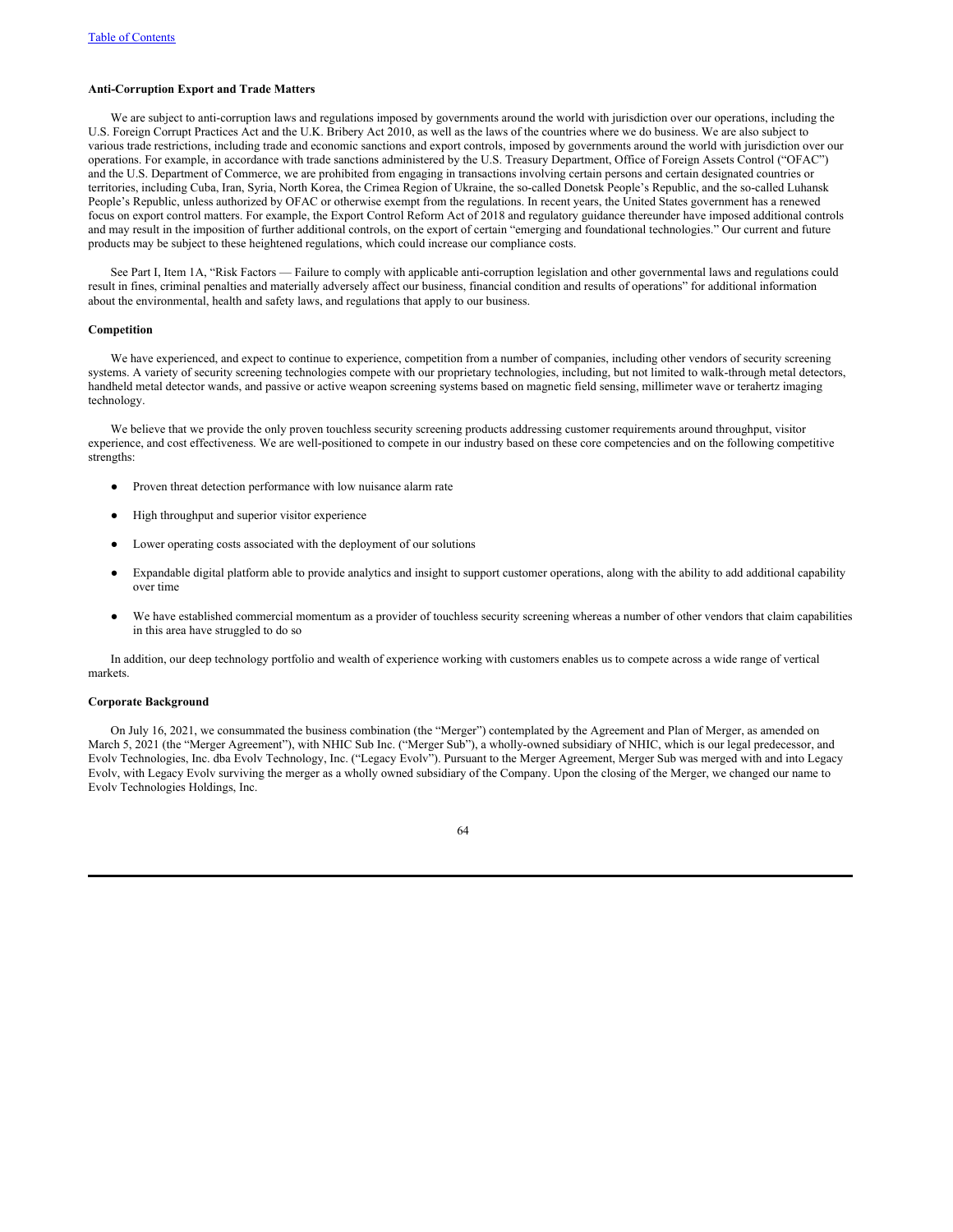### **Anti-Corruption Export and Trade Matters**

We are subject to anti-corruption laws and regulations imposed by governments around the world with jurisdiction over our operations, including the U.S. Foreign Corrupt Practices Act and the U.K. Bribery Act 2010, as well as the laws of the countries where we do business. We are also subject to various trade restrictions, including trade and economic sanctions and export controls, imposed by governments around the world with jurisdiction over our operations. For example, in accordance with trade sanctions administered by the U.S. Treasury Department, Office of Foreign Assets Control ("OFAC") and the U.S. Department of Commerce, we are prohibited from engaging in transactions involving certain persons and certain designated countries or territories, including Cuba, Iran, Syria, North Korea, the Crimea Region of Ukraine, the so-called Donetsk People's Republic, and the so-called Luhansk People's Republic, unless authorized by OFAC or otherwise exempt from the regulations. In recent years, the United States government has a renewed focus on export control matters. For example, the Export Control Reform Act of 2018 and regulatory guidance thereunder have imposed additional controls and may result in the imposition of further additional controls, on the export of certain "emerging and foundational technologies." Our current and future products may be subject to these heightened regulations, which could increase our compliance costs.

See Part I, Item 1A, "Risk Factors — Failure to comply with applicable anti-corruption legislation and other governmental laws and regulations could result in fines, criminal penalties and materially adversely affect our business, financial condition and results of operations" for additional information about the environmental, health and safety laws, and regulations that apply to our business.

# **Competition**

We have experienced, and expect to continue to experience, competition from a number of companies, including other vendors of security screening systems. A variety of security screening technologies compete with our proprietary technologies, including, but not limited to walk-through metal detectors, handheld metal detector wands, and passive or active weapon screening systems based on magnetic field sensing, millimeter wave or terahertz imaging technology.

We believe that we provide the only proven touchless security screening products addressing customer requirements around throughput, visitor experience, and cost effectiveness. We are well-positioned to compete in our industry based on these core competencies and on the following competitive strengths:

- Proven threat detection performance with low nuisance alarm rate
- High throughput and superior visitor experience
- Lower operating costs associated with the deployment of our solutions
- Expandable digital platform able to provide analytics and insight to support customer operations, along with the ability to add additional capability over time
- We have established commercial momentum as a provider of touchless security screening whereas a number of other vendors that claim capabilities in this area have struggled to do so

In addition, our deep technology portfolio and wealth of experience working with customers enables us to compete across a wide range of vertical markets.

# **Corporate Background**

On July 16, 2021, we consummated the business combination (the "Merger") contemplated by the Agreement and Plan of Merger, as amended on March 5, 2021 (the "Merger Agreement"), with NHIC Sub Inc. ("Merger Sub"), a wholly-owned subsidiary of NHIC, which is our legal predecessor, and Evolv Technologies, Inc. dba Evolv Technology, Inc. ("Legacy Evolv"). Pursuant to the Merger Agreement, Merger Sub was merged with and into Legacy Evolv, with Legacy Evolv surviving the merger as a wholly owned subsidiary of the Company. Upon the closing of the Merger, we changed our name to Evolv Technologies Holdings, Inc.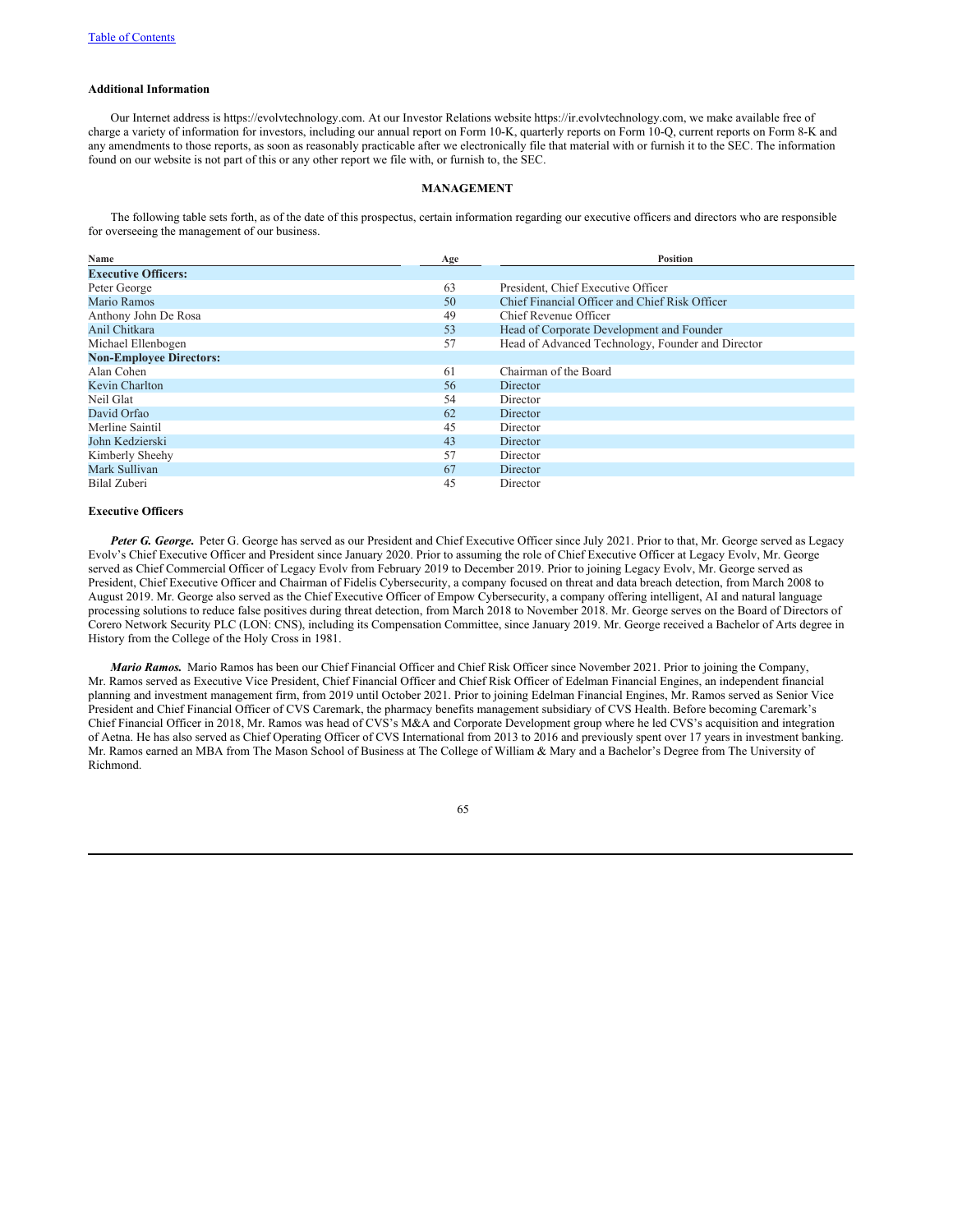### **Additional Information**

Our Internet address is https://evolvtechnology.com. At our Investor Relations website https://ir.evolvtechnology.com, we make available free of charge a variety of information for investors, including our annual report on Form 10-K, quarterly reports on Form 10-Q, current reports on Form 8-K and any amendments to those reports, as soon as reasonably practicable after we electronically file that material with or furnish it to the SEC. The information found on our website is not part of this or any other report we file with, or furnish to, the SEC.

#### **MANAGEMENT**

The following table sets forth, as of the date of this prospectus, certain information regarding our executive officers and directors who are responsible for overseeing the management of our business.

| Name                           | Age | <b>Position</b>                                   |
|--------------------------------|-----|---------------------------------------------------|
| <b>Executive Officers:</b>     |     |                                                   |
| Peter George                   | 63  | President, Chief Executive Officer                |
| Mario Ramos                    | 50  | Chief Financial Officer and Chief Risk Officer    |
| Anthony John De Rosa           | 49  | Chief Revenue Officer                             |
| Anil Chitkara                  | 53  | Head of Corporate Development and Founder         |
| Michael Ellenbogen             | 57  | Head of Advanced Technology, Founder and Director |
| <b>Non-Employee Directors:</b> |     |                                                   |
| Alan Cohen                     | 61  | Chairman of the Board                             |
| Kevin Charlton                 | 56  | Director                                          |
| Neil Glat                      | 54  | Director                                          |
| David Orfao                    | 62  | Director                                          |
| Merline Saintil                | 45  | Director                                          |
| John Kedzierski                | 43  | Director                                          |
| Kimberly Sheehy                | 57  | Director                                          |
| Mark Sullivan                  | 67  | Director                                          |
| Bilal Zuberi                   | 45  | Director                                          |

# **Executive Officers**

*Peter G. George***.** Peter G. George has served as our President and Chief Executive Officer since July 2021. Prior to that, Mr. George served as Legacy Evolv's Chief Executive Officer and President since January 2020. Prior to assuming the role of Chief Executive Officer at Legacy Evolv, Mr. George served as Chief Commercial Officer of Legacy Evolv from February 2019 to December 2019. Prior to joining Legacy Evolv, Mr. George served as President, Chief Executive Officer and Chairman of Fidelis Cybersecurity, a company focused on threat and data breach detection, from March 2008 to August 2019. Mr. George also served as the Chief Executive Officer of Empow Cybersecurity, a company offering intelligent, AI and natural language processing solutions to reduce false positives during threat detection, from March 2018 to November 2018. Mr. George serves on the Board of Directors of Corero Network Security PLC (LON: CNS), including its Compensation Committee, since January 2019. Mr. George received a Bachelor of Arts degree in History from the College of the Holy Cross in 1981.

*Mario Ramos.* Mario Ramos has been our Chief Financial Officer and Chief Risk Officer since November 2021. Prior to joining the Company, Mr. Ramos served as Executive Vice President, Chief Financial Officer and Chief Risk Officer of Edelman Financial Engines, an independent financial planning and investment management firm, from 2019 until October 2021. Prior to joining Edelman Financial Engines, Mr. Ramos served as Senior Vice President and Chief Financial Officer of CVS Caremark, the pharmacy benefits management subsidiary of CVS Health. Before becoming Caremark's Chief Financial Officer in 2018, Mr. Ramos was head of CVS's M&A and Corporate Development group where he led CVS's acquisition and integration of Aetna. He has also served as Chief Operating Officer of CVS International from 2013 to 2016 and previously spent over 17 years in investment banking. Mr. Ramos earned an MBA from The Mason School of Business at The College of William & Mary and a Bachelor's Degree from The University of Richmond.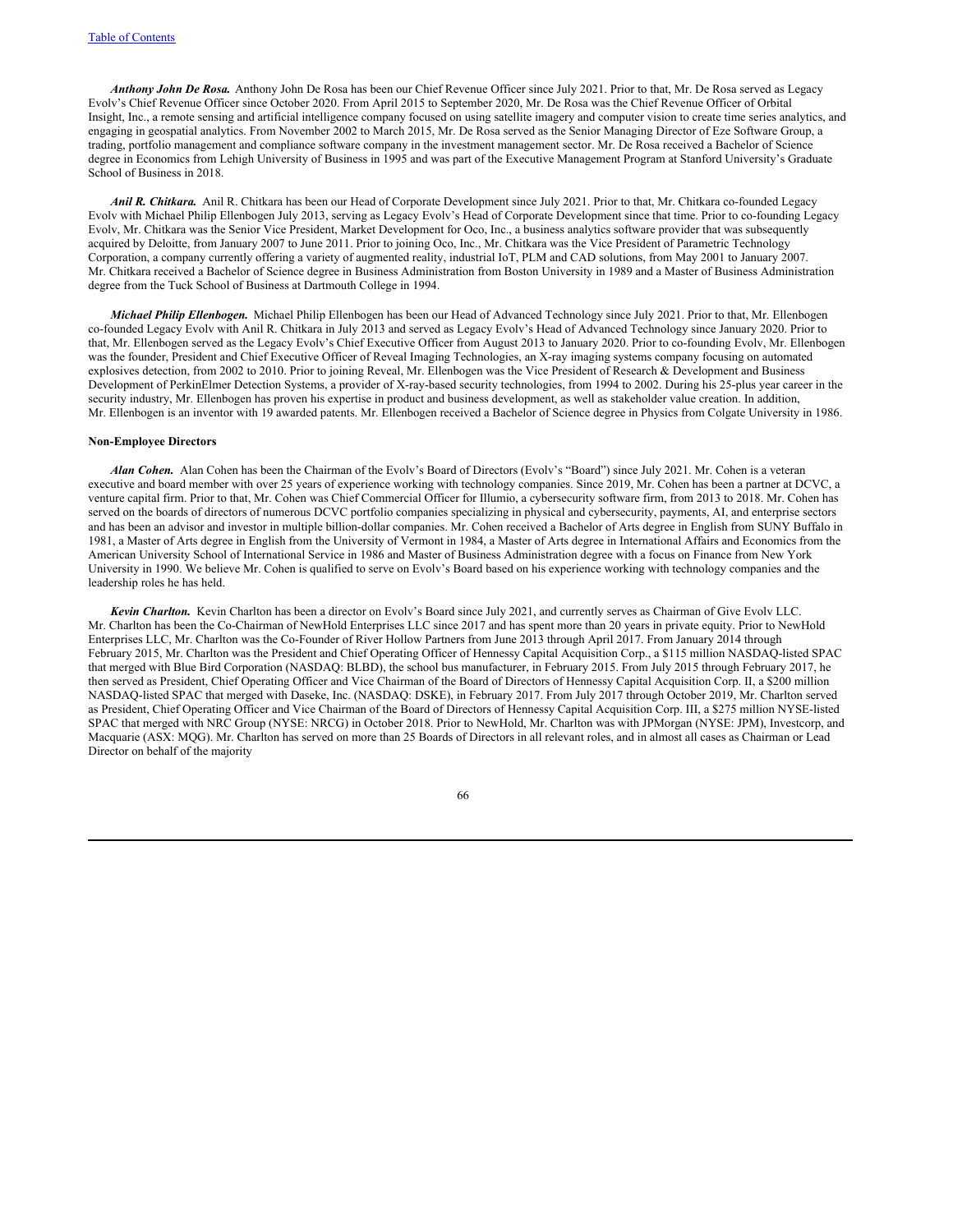*Anthony John De Rosa.* Anthony John De Rosa has been our Chief Revenue Officer since July 2021. Prior to that, Mr. De Rosa served as Legacy Evolv's Chief Revenue Officer since October 2020. From April 2015 to September 2020, Mr. De Rosa was the Chief Revenue Officer of Orbital Insight, Inc., a remote sensing and artificial intelligence company focused on using satellite imagery and computer vision to create time series analytics, and engaging in geospatial analytics. From November 2002 to March 2015, Mr. De Rosa served as the Senior Managing Director of Eze Software Group, a trading, portfolio management and compliance software company in the investment management sector. Mr. De Rosa received a Bachelor of Science degree in Economics from Lehigh University of Business in 1995 and was part of the Executive Management Program at Stanford University's Graduate School of Business in 2018.

*Anil R. Chitkara.* Anil R. Chitkara has been our Head of Corporate Development since July 2021. Prior to that, Mr. Chitkara co-founded Legacy Evolv with Michael Philip Ellenbogen July 2013, serving as Legacy Evolv's Head of Corporate Development since that time. Prior to co-founding Legacy Evolv, Mr. Chitkara was the Senior Vice President, Market Development for Oco, Inc., a business analytics software provider that was subsequently acquired by Deloitte, from January 2007 to June 2011. Prior to joining Oco, Inc., Mr. Chitkara was the Vice President of Parametric Technology Corporation, a company currently offering a variety of augmented reality, industrial IoT, PLM and CAD solutions, from May 2001 to January 2007. Mr. Chitkara received a Bachelor of Science degree in Business Administration from Boston University in 1989 and a Master of Business Administration degree from the Tuck School of Business at Dartmouth College in 1994.

*Michael Philip Ellenbogen.* Michael Philip Ellenbogen has been our Head of Advanced Technology since July 2021. Prior to that, Mr. Ellenbogen co-founded Legacy Evolv with Anil R. Chitkara in July 2013 and served as Legacy Evolv's Head of Advanced Technology since January 2020. Prior to that, Mr. Ellenbogen served as the Legacy Evolv's Chief Executive Officer from August 2013 to January 2020. Prior to co-founding Evolv, Mr. Ellenbogen was the founder, President and Chief Executive Officer of Reveal Imaging Technologies, an X-ray imaging systems company focusing on automated explosives detection, from 2002 to 2010. Prior to joining Reveal, Mr. Ellenbogen was the Vice President of Research & Development and Business Development of PerkinElmer Detection Systems, a provider of X-ray-based security technologies, from 1994 to 2002. During his 25-plus year career in the security industry, Mr. Ellenbogen has proven his expertise in product and business development, as well as stakeholder value creation. In addition, Mr. Ellenbogen is an inventor with 19 awarded patents. Mr. Ellenbogen received a Bachelor of Science degree in Physics from Colgate University in 1986.

## **Non-Employee Directors**

*Alan Cohen.* Alan Cohen has been the Chairman of the Evolv's Board of Directors (Evolv's "Board") since July 2021. Mr. Cohen is a veteran executive and board member with over 25 years of experience working with technology companies. Since 2019, Mr. Cohen has been a partner at DCVC, a venture capital firm. Prior to that, Mr. Cohen was Chief Commercial Officer for Illumio, a cybersecurity software firm, from 2013 to 2018. Mr. Cohen has served on the boards of directors of numerous DCVC portfolio companies specializing in physical and cybersecurity, payments, AI, and enterprise sectors and has been an advisor and investor in multiple billion-dollar companies. Mr. Cohen received a Bachelor of Arts degree in English from SUNY Buffalo in 1981, a Master of Arts degree in English from the University of Vermont in 1984, a Master of Arts degree in International Affairs and Economics from the American University School of International Service in 1986 and Master of Business Administration degree with a focus on Finance from New York University in 1990. We believe Mr. Cohen is qualified to serve on Evolv's Board based on his experience working with technology companies and the leadership roles he has held.

*Kevin Charlton.* Kevin Charlton has been a director on Evolv's Board since July 2021, and currently serves as Chairman of Give Evolv LLC. Mr. Charlton has been the Co-Chairman of NewHold Enterprises LLC since 2017 and has spent more than 20 years in private equity. Prior to NewHold Enterprises LLC, Mr. Charlton was the Co-Founder of River Hollow Partners from June 2013 through April 2017. From January 2014 through February 2015, Mr. Charlton was the President and Chief Operating Officer of Hennessy Capital Acquisition Corp., a \$115 million NASDAQ-listed SPAC that merged with Blue Bird Corporation (NASDAQ: BLBD), the school bus manufacturer, in February 2015. From July 2015 through February 2017, he then served as President, Chief Operating Officer and Vice Chairman of the Board of Directors of Hennessy Capital Acquisition Corp. II, a \$200 million NASDAQ-listed SPAC that merged with Daseke, Inc. (NASDAQ: DSKE), in February 2017. From July 2017 through October 2019, Mr. Charlton served as President, Chief Operating Officer and Vice Chairman of the Board of Directors of Hennessy Capital Acquisition Corp. III, a \$275 million NYSE-listed SPAC that merged with NRC Group (NYSE: NRCG) in October 2018. Prior to NewHold, Mr. Charlton was with JPMorgan (NYSE: JPM), Investcorp, and Macquarie (ASX: MQG). Mr. Charlton has served on more than 25 Boards of Directors in all relevant roles, and in almost all cases as Chairman or Lead Director on behalf of the majority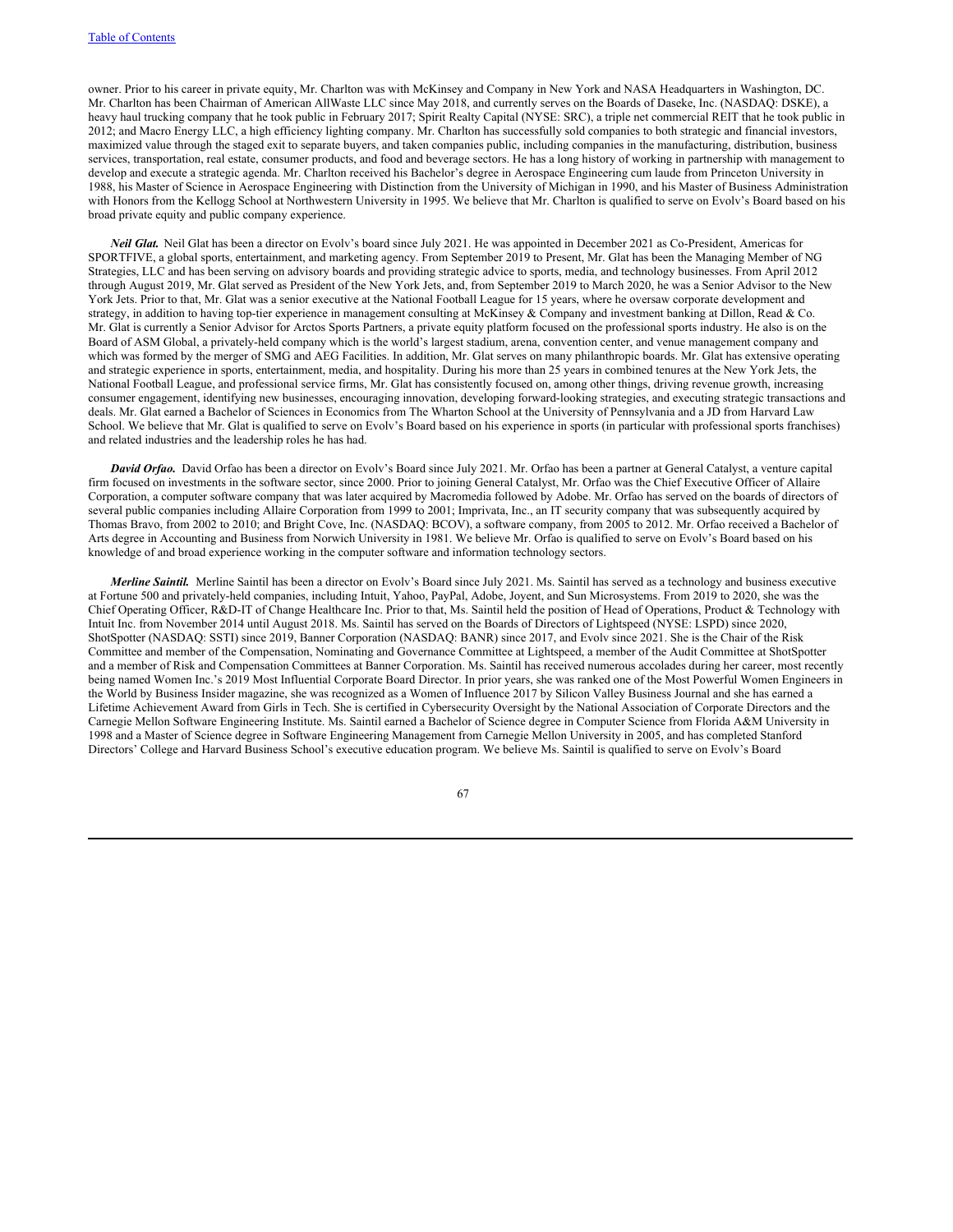owner. Prior to his career in private equity, Mr. Charlton was with McKinsey and Company in New York and NASA Headquarters in Washington, DC. Mr. Charlton has been Chairman of American AllWaste LLC since May 2018, and currently serves on the Boards of Daseke, Inc. (NASDAQ: DSKE), a heavy haul trucking company that he took public in February 2017; Spirit Realty Capital (NYSE: SRC), a triple net commercial REIT that he took public in 2012; and Macro Energy LLC, a high efficiency lighting company. Mr. Charlton has successfully sold companies to both strategic and financial investors, maximized value through the staged exit to separate buyers, and taken companies public, including companies in the manufacturing, distribution, business services, transportation, real estate, consumer products, and food and beverage sectors. He has a long history of working in partnership with management to develop and execute a strategic agenda. Mr. Charlton received his Bachelor's degree in Aerospace Engineering cum laude from Princeton University in 1988, his Master of Science in Aerospace Engineering with Distinction from the University of Michigan in 1990, and his Master of Business Administration with Honors from the Kellogg School at Northwestern University in 1995. We believe that Mr. Charlton is qualified to serve on Evolv's Board based on his broad private equity and public company experience.

*Neil Glat***.** Neil Glat has been a director on Evolv's board since July 2021. He was appointed in December 2021 as Co-President, Americas for SPORTFIVE, a global sports, entertainment, and marketing agency. From September 2019 to Present, Mr. Glat has been the Managing Member of NG Strategies, LLC and has been serving on advisory boards and providing strategic advice to sports, media, and technology businesses. From April 2012 through August 2019, Mr. Glat served as President of the New York Jets, and, from September 2019 to March 2020, he was a Senior Advisor to the New York Jets. Prior to that, Mr. Glat was a senior executive at the National Football League for 15 years, where he oversaw corporate development and strategy, in addition to having top-tier experience in management consulting at McKinsey & Company and investment banking at Dillon, Read & Co. Mr. Glat is currently a Senior Advisor for Arctos Sports Partners, a private equity platform focused on the professional sports industry. He also is on the Board of ASM Global, a privately-held company which is the world's largest stadium, arena, convention center, and venue management company and which was formed by the merger of SMG and AEG Facilities. In addition, Mr. Glat serves on many philanthropic boards. Mr. Glat has extensive operating and strategic experience in sports, entertainment, media, and hospitality. During his more than 25 years in combined tenures at the New York Jets, the National Football League, and professional service firms, Mr. Glat has consistently focused on, among other things, driving revenue growth, increasing consumer engagement, identifying new businesses, encouraging innovation, developing forward-looking strategies, and executing strategic transactions and deals. Mr. Glat earned a Bachelor of Sciences in Economics from The Wharton School at the University of Pennsylvania and a JD from Harvard Law School. We believe that Mr. Glat is qualified to serve on Evolv's Board based on his experience in sports (in particular with professional sports franchises) and related industries and the leadership roles he has had.

*David Orfao.* David Orfao has been a director on Evolv's Board since July 2021. Mr. Orfao has been a partner at General Catalyst, a venture capital firm focused on investments in the software sector, since 2000. Prior to joining General Catalyst, Mr. Orfao was the Chief Executive Officer of Allaire Corporation, a computer software company that was later acquired by Macromedia followed by Adobe. Mr. Orfao has served on the boards of directors of several public companies including Allaire Corporation from 1999 to 2001; Imprivata, Inc., an IT security company that was subsequently acquired by Thomas Bravo, from 2002 to 2010; and Bright Cove, Inc. (NASDAQ: BCOV), a software company, from 2005 to 2012. Mr. Orfao received a Bachelor of Arts degree in Accounting and Business from Norwich University in 1981. We believe Mr. Orfao is qualified to serve on Evolv's Board based on his knowledge of and broad experience working in the computer software and information technology sectors.

*Merline Saintil.* Merline Saintil has been a director on Evolv's Board since July 2021. Ms. Saintil has served as a technology and business executive at Fortune 500 and privately-held companies, including Intuit, Yahoo, PayPal, Adobe, Joyent, and Sun Microsystems. From 2019 to 2020, she was the Chief Operating Officer, R&D-IT of Change Healthcare Inc. Prior to that, Ms. Saintil held the position of Head of Operations, Product & Technology with Intuit Inc. from November 2014 until August 2018. Ms. Saintil has served on the Boards of Directors of Lightspeed (NYSE: LSPD) since 2020, ShotSpotter (NASDAQ: SSTI) since 2019, Banner Corporation (NASDAQ: BANR) since 2017, and Evolv since 2021. She is the Chair of the Risk Committee and member of the Compensation, Nominating and Governance Committee at Lightspeed, a member of the Audit Committee at ShotSpotter and a member of Risk and Compensation Committees at Banner Corporation. Ms. Saintil has received numerous accolades during her career, most recently being named Women Inc.'s 2019 Most Influential Corporate Board Director. In prior years, she was ranked one of the Most Powerful Women Engineers in the World by Business Insider magazine, she was recognized as a Women of Influence 2017 by Silicon Valley Business Journal and she has earned a Lifetime Achievement Award from Girls in Tech. She is certified in Cybersecurity Oversight by the National Association of Corporate Directors and the Carnegie Mellon Software Engineering Institute. Ms. Saintil earned a Bachelor of Science degree in Computer Science from Florida A&M University in 1998 and a Master of Science degree in Software Engineering Management from Carnegie Mellon University in 2005, and has completed Stanford Directors' College and Harvard Business School's executive education program. We believe Ms. Saintil is qualified to serve on Evolv's Board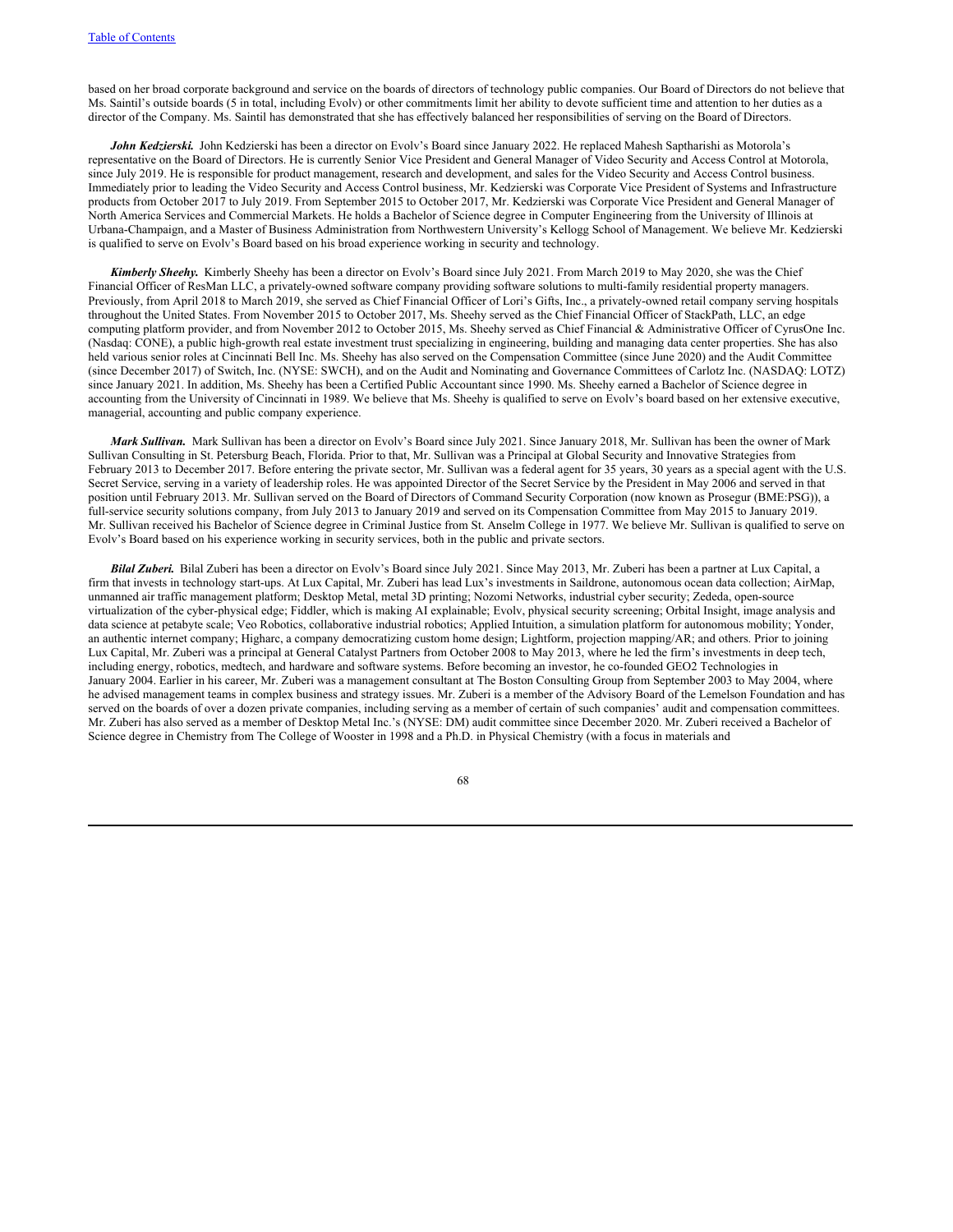based on her broad corporate background and service on the boards of directors of technology public companies. Our Board of Directors do not believe that Ms. Saintil's outside boards (5 in total, including Evolv) or other commitments limit her ability to devote sufficient time and attention to her duties as a director of the Company. Ms. Saintil has demonstrated that she has effectively balanced her responsibilities of serving on the Board of Directors.

*John Kedzierski.* John Kedzierski has been a director on Evolv's Board since January 2022. He replaced Mahesh Saptharishi as Motorola's representative on the Board of Directors. He is currently Senior Vice President and General Manager of Video Security and Access Control at Motorola, since July 2019. He is responsible for product management, research and development, and sales for the Video Security and Access Control business. Immediately prior to leading the Video Security and Access Control business, Mr. Kedzierski was Corporate Vice President of Systems and Infrastructure products from October 2017 to July 2019. From September 2015 to October 2017, Mr. Kedzierski was Corporate Vice President and General Manager of North America Services and Commercial Markets. He holds a Bachelor of Science degree in Computer Engineering from the University of Illinois at Urbana-Champaign, and a Master of Business Administration from Northwestern University's Kellogg School of Management. We believe Mr. Kedzierski is qualified to serve on Evolv's Board based on his broad experience working in security and technology.

*Kimberly Sheehy.* Kimberly Sheehy has been a director on Evolv's Board since July 2021. From March 2019 to May 2020, she was the Chief Financial Officer of ResMan LLC, a privately-owned software company providing software solutions to multi-family residential property managers. Previously, from April 2018 to March 2019, she served as Chief Financial Officer of Lori's Gifts, Inc., a privately-owned retail company serving hospitals throughout the United States. From November 2015 to October 2017, Ms. Sheehy served as the Chief Financial Officer of StackPath, LLC, an edge computing platform provider, and from November 2012 to October 2015, Ms. Sheehy served as Chief Financial & Administrative Officer of CyrusOne Inc. (Nasdaq: CONE), a public high-growth real estate investment trust specializing in engineering, building and managing data center properties. She has also held various senior roles at Cincinnati Bell Inc. Ms. Sheehy has also served on the Compensation Committee (since June 2020) and the Audit Committee (since December 2017) of Switch, Inc. (NYSE: SWCH), and on the Audit and Nominating and Governance Committees of Carlotz Inc. (NASDAQ: LOTZ) since January 2021. In addition, Ms. Sheehy has been a Certified Public Accountant since 1990. Ms. Sheehy earned a Bachelor of Science degree in accounting from the University of Cincinnati in 1989. We believe that Ms. Sheehy is qualified to serve on Evolv's board based on her extensive executive, managerial, accounting and public company experience.

*Mark Sullivan.* Mark Sullivan has been a director on Evolv's Board since July 2021. Since January 2018, Mr. Sullivan has been the owner of Mark Sullivan Consulting in St. Petersburg Beach, Florida. Prior to that, Mr. Sullivan was a Principal at Global Security and Innovative Strategies from February 2013 to December 2017. Before entering the private sector, Mr. Sullivan was a federal agent for 35 years, 30 years as a special agent with the U.S. Secret Service, serving in a variety of leadership roles. He was appointed Director of the Secret Service by the President in May 2006 and served in that position until February 2013. Mr. Sullivan served on the Board of Directors of Command Security Corporation (now known as Prosegur (BME:PSG)), a full-service security solutions company, from July 2013 to January 2019 and served on its Compensation Committee from May 2015 to January 2019. Mr. Sullivan received his Bachelor of Science degree in Criminal Justice from St. Anselm College in 1977. We believe Mr. Sullivan is qualified to serve on Evolv's Board based on his experience working in security services, both in the public and private sectors.

*Bilal Zuberi.* Bilal Zuberi has been a director on Evolv's Board since July 2021. Since May 2013, Mr. Zuberi has been a partner at Lux Capital, a firm that invests in technology start-ups. At Lux Capital, Mr. Zuberi has lead Lux's investments in Saildrone, autonomous ocean data collection; AirMap, unmanned air traffic management platform; Desktop Metal, metal 3D printing; Nozomi Networks, industrial cyber security; Zededa, open-source virtualization of the cyber-physical edge; Fiddler, which is making AI explainable; Evolv, physical security screening; Orbital Insight, image analysis and data science at petabyte scale; Veo Robotics, collaborative industrial robotics; Applied Intuition, a simulation platform for autonomous mobility; Yonder, an authentic internet company; Higharc, a company democratizing custom home design; Lightform, projection mapping/AR; and others. Prior to joining Lux Capital, Mr. Zuberi was a principal at General Catalyst Partners from October 2008 to May 2013, where he led the firm's investments in deep tech, including energy, robotics, medtech, and hardware and software systems. Before becoming an investor, he co-founded GEO2 Technologies in January 2004. Earlier in his career, Mr. Zuberi was a management consultant at The Boston Consulting Group from September 2003 to May 2004, where he advised management teams in complex business and strategy issues. Mr. Zuberi is a member of the Advisory Board of the Lemelson Foundation and has served on the boards of over a dozen private companies, including serving as a member of certain of such companies' audit and compensation committees. Mr. Zuberi has also served as a member of Desktop Metal Inc.'s (NYSE: DM) audit committee since December 2020. Mr. Zuberi received a Bachelor of Science degree in Chemistry from The College of Wooster in 1998 and a Ph.D. in Physical Chemistry (with a focus in materials and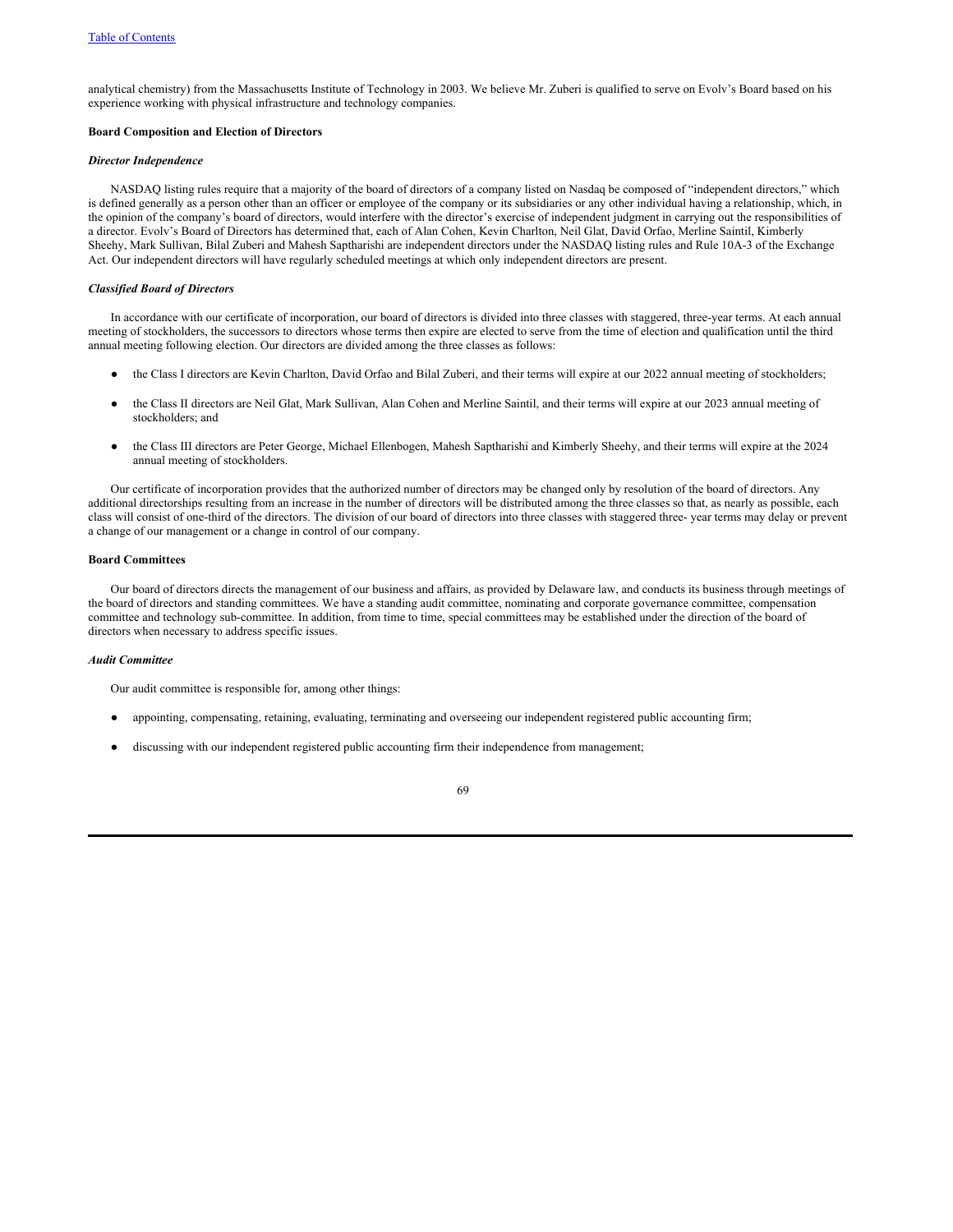analytical chemistry) from the Massachusetts Institute of Technology in 2003. We believe Mr. Zuberi is qualified to serve on Evolv's Board based on his experience working with physical infrastructure and technology companies.

#### **Board Composition and Election of Directors**

# *Director Independence*

NASDAQ listing rules require that a majority of the board of directors of a company listed on Nasdaq be composed of "independent directors," which is defined generally as a person other than an officer or employee of the company or its subsidiaries or any other individual having a relationship, which, in the opinion of the company's board of directors, would interfere with the director's exercise of independent judgment in carrying out the responsibilities of a director. Evolv's Board of Directors has determined that, each of Alan Cohen, Kevin Charlton, Neil Glat, David Orfao, Merline Saintil, Kimberly Sheehy, Mark Sullivan, Bilal Zuberi and Mahesh Saptharishi are independent directors under the NASDAQ listing rules and Rule 10A-3 of the Exchange Act. Our independent directors will have regularly scheduled meetings at which only independent directors are present.

# *Classified Board of Directors*

In accordance with our certificate of incorporation, our board of directors is divided into three classes with staggered, three-year terms. At each annual meeting of stockholders, the successors to directors whose terms then expire are elected to serve from the time of election and qualification until the third annual meeting following election. Our directors are divided among the three classes as follows:

- the Class I directors are Kevin Charlton, David Orfao and Bilal Zuberi, and their terms will expire at our 2022 annual meeting of stockholders;
- the Class II directors are Neil Glat, Mark Sullivan, Alan Cohen and Merline Saintil, and their terms will expire at our 2023 annual meeting of stockholders; and
- the Class III directors are Peter George, Michael Ellenbogen, Mahesh Saptharishi and Kimberly Sheehy, and their terms will expire at the 2024 annual meeting of stockholders.

Our certificate of incorporation provides that the authorized number of directors may be changed only by resolution of the board of directors. Any additional directorships resulting from an increase in the number of directors will be distributed among the three classes so that, as nearly as possible, each class will consist of one-third of the directors. The division of our board of directors into three classes with staggered three- year terms may delay or prevent a change of our management or a change in control of our company.

#### **Board Committees**

Our board of directors directs the management of our business and affairs, as provided by Delaware law, and conducts its business through meetings of the board of directors and standing committees. We have a standing audit committee, nominating and corporate governance committee, compensation committee and technology sub-committee. In addition, from time to time, special committees may be established under the direction of the board of directors when necessary to address specific issues.

# *Audit Committee*

Our audit committee is responsible for, among other things:

- appointing, compensating, retaining, evaluating, terminating and overseeing our independent registered public accounting firm;
- discussing with our independent registered public accounting firm their independence from management;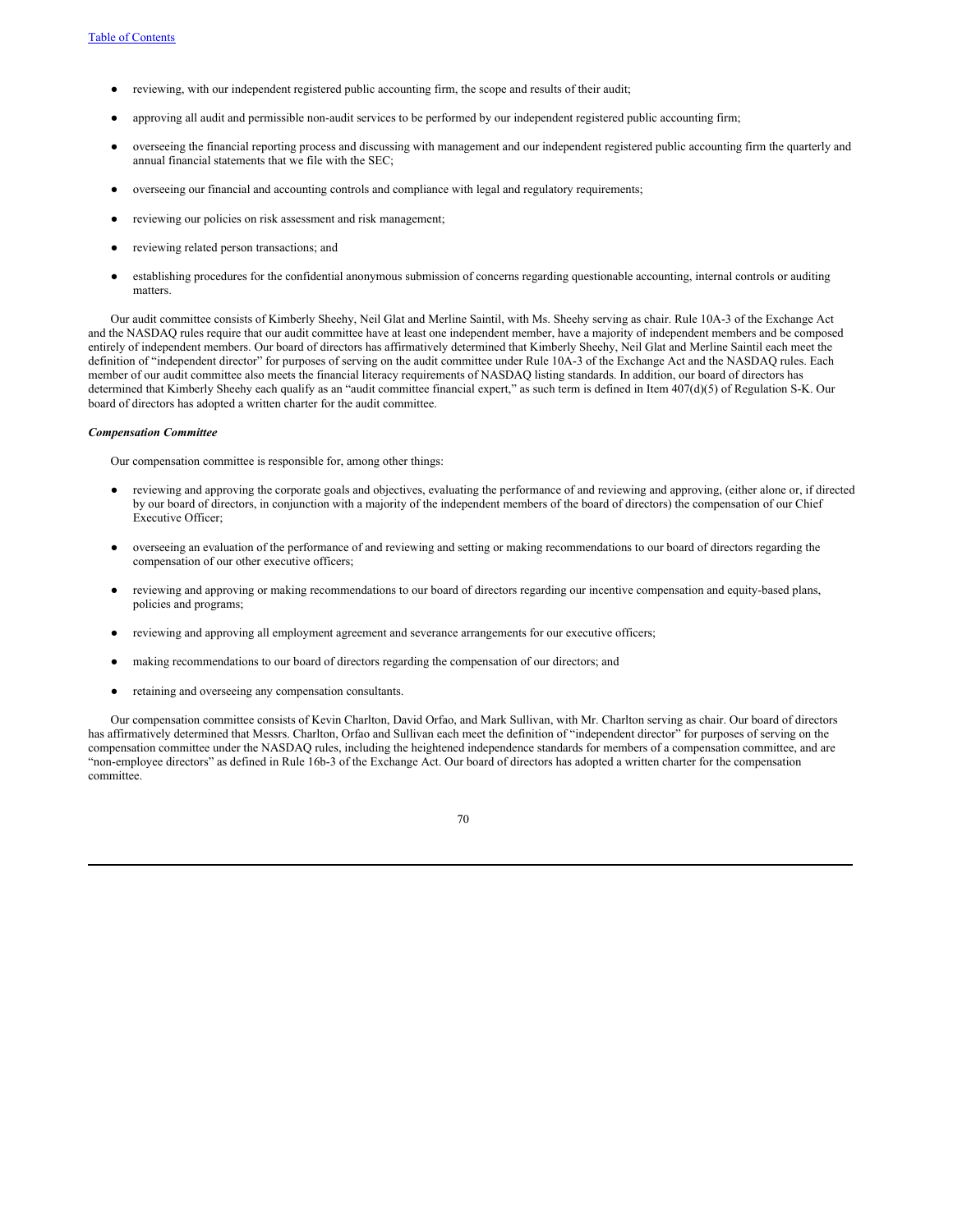- reviewing, with our independent registered public accounting firm, the scope and results of their audit;
- approving all audit and permissible non-audit services to be performed by our independent registered public accounting firm;
- overseeing the financial reporting process and discussing with management and our independent registered public accounting firm the quarterly and annual financial statements that we file with the SEC;
- overseeing our financial and accounting controls and compliance with legal and regulatory requirements;
- reviewing our policies on risk assessment and risk management;
- reviewing related person transactions; and
- establishing procedures for the confidential anonymous submission of concerns regarding questionable accounting, internal controls or auditing matters.

Our audit committee consists of Kimberly Sheehy, Neil Glat and Merline Saintil, with Ms. Sheehy serving as chair. Rule 10A-3 of the Exchange Act and the NASDAQ rules require that our audit committee have at least one independent member, have a majority of independent members and be composed entirely of independent members. Our board of directors has affirmatively determined that Kimberly Sheehy, Neil Glat and Merline Saintil each meet the definition of "independent director" for purposes of serving on the audit committee under Rule 10A-3 of the Exchange Act and the NASDAQ rules. Each member of our audit committee also meets the financial literacy requirements of NASDAQ listing standards. In addition, our board of directors has determined that Kimberly Sheehy each qualify as an "audit committee financial expert," as such term is defined in Item 407(d)(5) of Regulation S-K. Our board of directors has adopted a written charter for the audit committee.

#### *Compensation Committee*

Our compensation committee is responsible for, among other things:

- reviewing and approving the corporate goals and objectives, evaluating the performance of and reviewing and approving, (either alone or, if directed by our board of directors, in conjunction with a majority of the independent members of the board of directors) the compensation of our Chief Executive Officer;
- overseeing an evaluation of the performance of and reviewing and setting or making recommendations to our board of directors regarding the compensation of our other executive officers;
- reviewing and approving or making recommendations to our board of directors regarding our incentive compensation and equity-based plans, policies and programs;
- reviewing and approving all employment agreement and severance arrangements for our executive officers;
- making recommendations to our board of directors regarding the compensation of our directors; and
- retaining and overseeing any compensation consultants.

Our compensation committee consists of Kevin Charlton, David Orfao, and Mark Sullivan, with Mr. Charlton serving as chair. Our board of directors has affirmatively determined that Messrs. Charlton, Orfao and Sullivan each meet the definition of "independent director" for purposes of serving on the compensation committee under the NASDAQ rules, including the heightened independence standards for members of a compensation committee, and are "non-employee directors" as defined in Rule 16b-3 of the Exchange Act. Our board of directors has adopted a written charter for the compensation committee.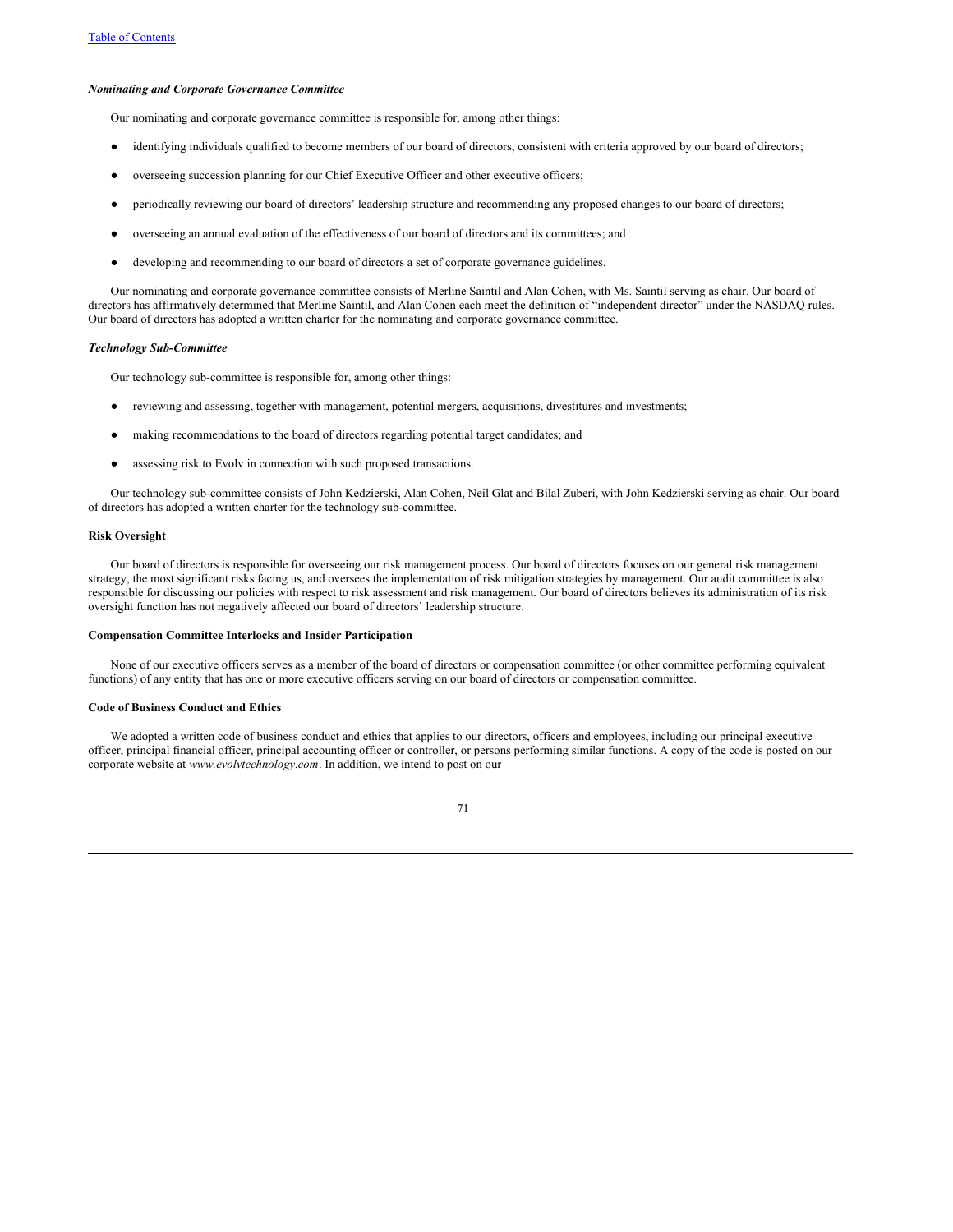#### *Nominating and Corporate Governance Committee*

Our nominating and corporate governance committee is responsible for, among other things:

- identifying individuals qualified to become members of our board of directors, consistent with criteria approved by our board of directors;
- overseeing succession planning for our Chief Executive Officer and other executive officers;
- periodically reviewing our board of directors' leadership structure and recommending any proposed changes to our board of directors;
- overseeing an annual evaluation of the effectiveness of our board of directors and its committees; and
- developing and recommending to our board of directors a set of corporate governance guidelines.

Our nominating and corporate governance committee consists of Merline Saintil and Alan Cohen, with Ms. Saintil serving as chair. Our board of directors has affirmatively determined that Merline Saintil, and Alan Cohen each meet the definition of "independent director" under the NASDAQ rules. Our board of directors has adopted a written charter for the nominating and corporate governance committee.

# *Technology Sub-Committee*

Our technology sub-committee is responsible for, among other things:

- reviewing and assessing, together with management, potential mergers, acquisitions, divestitures and investments;
- making recommendations to the board of directors regarding potential target candidates; and
- assessing risk to Evolv in connection with such proposed transactions.

Our technology sub-committee consists of John Kedzierski, Alan Cohen, Neil Glat and Bilal Zuberi, with John Kedzierski serving as chair. Our board of directors has adopted a written charter for the technology sub-committee.

# **Risk Oversight**

Our board of directors is responsible for overseeing our risk management process. Our board of directors focuses on our general risk management strategy, the most significant risks facing us, and oversees the implementation of risk mitigation strategies by management. Our audit committee is also responsible for discussing our policies with respect to risk assessment and risk management. Our board of directors believes its administration of its risk oversight function has not negatively affected our board of directors' leadership structure.

#### **Compensation Committee Interlocks and Insider Participation**

None of our executive officers serves as a member of the board of directors or compensation committee (or other committee performing equivalent functions) of any entity that has one or more executive officers serving on our board of directors or compensation committee.

# **Code of Business Conduct and Ethics**

We adopted a written code of business conduct and ethics that applies to our directors, officers and employees, including our principal executive officer, principal financial officer, principal accounting officer or controller, or persons performing similar functions. A copy of the code is posted on our corporate website at *www.evolvtechnology.com*. In addition, we intend to post on our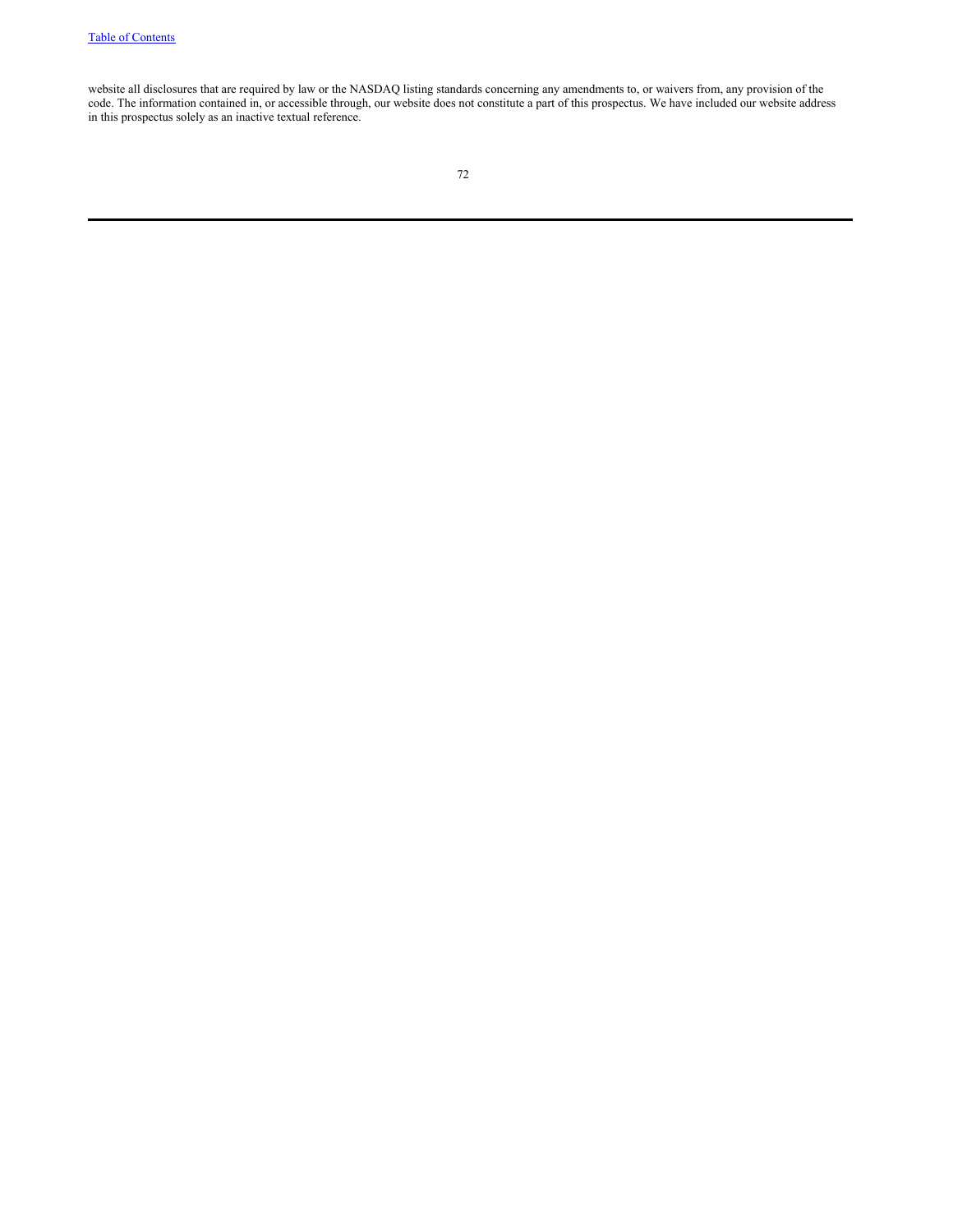website all disclosures that are required by law or the NASDAQ listing standards concerning any amendments to, or waivers from, any provision of the code. The information contained in, or accessible through, our website does not constitute a part of this prospectus. We have included our website address in this prospectus solely as an inactive textual reference.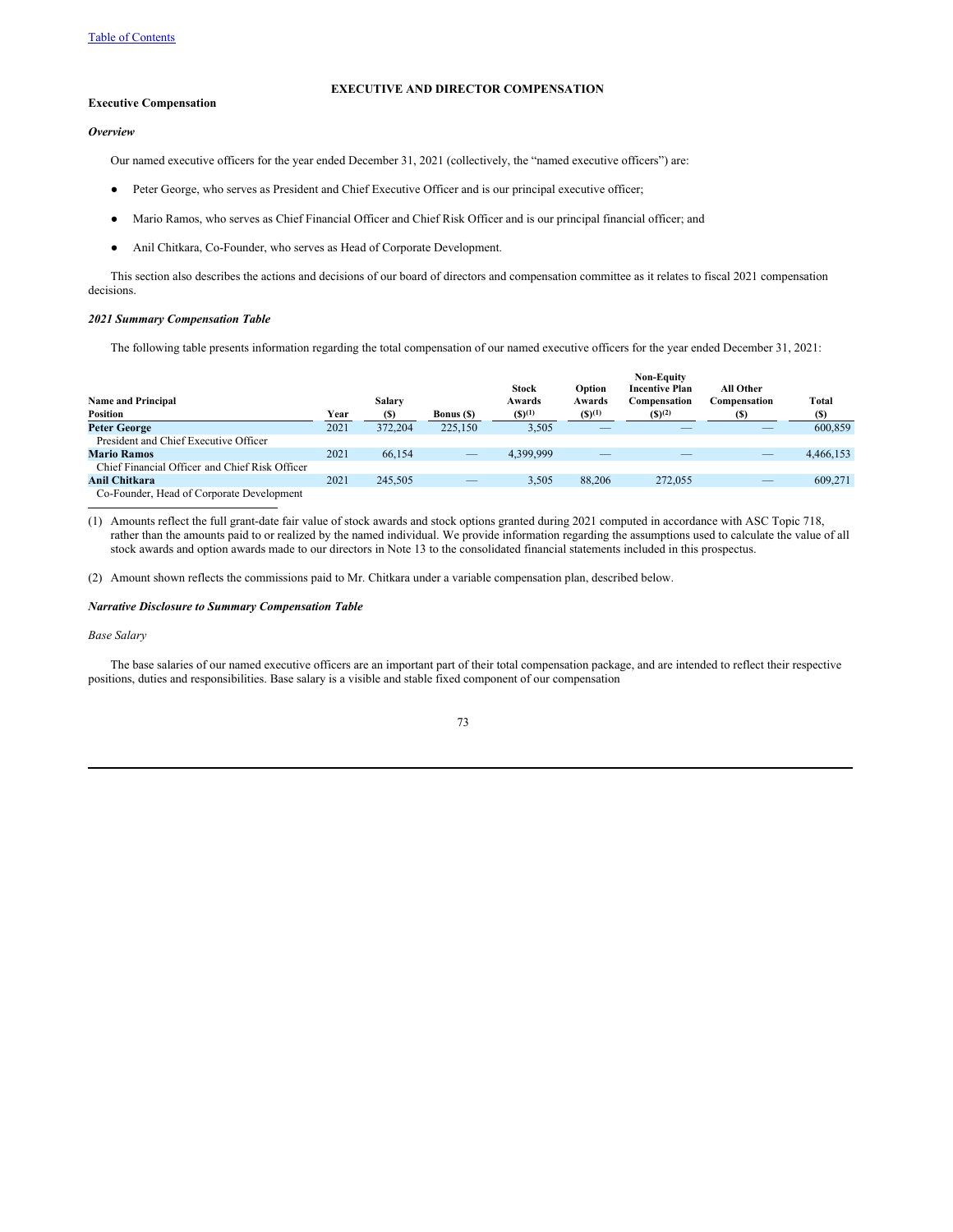# **EXECUTIVE AND DIRECTOR COMPENSATION**

# **Executive Compensation**

*Overview*

Our named executive officers for the year ended December 31, 2021 (collectively, the "named executive officers") are:

- Peter George, who serves as President and Chief Executive Officer and is our principal executive officer;
- Mario Ramos, who serves as Chief Financial Officer and Chief Risk Officer and is our principal financial officer; and
- Anil Chitkara, Co-Founder, who serves as Head of Corporate Development.

This section also describes the actions and decisions of our board of directors and compensation committee as it relates to fiscal 2021 compensation decisions.

#### *2021 Summary Compensation Table*

The following table presents information regarding the total compensation of our named executive officers for the year ended December 31, 2021:

|                                                |      |         |                   |              |             | <b>Non-Equity</b>     |              |           |
|------------------------------------------------|------|---------|-------------------|--------------|-------------|-----------------------|--------------|-----------|
|                                                |      |         |                   | <b>Stock</b> | Option      | <b>Incentive Plan</b> | All Other    |           |
| <b>Name and Principal</b>                      |      | Salary  |                   | Awards       | Awards      | Compensation          | Compensation | Total     |
| Position                                       | Year | (S)     | <b>Bonus</b> (\$) | $(S)^{(1)}$  | $(5)^{(1)}$ | $(S)^{(2)}$           | (S)          | (S)       |
| <b>Peter George</b>                            | 2021 | 372,204 | 225,150           | 3,505        | __          |                       |              | 600,859   |
| President and Chief Executive Officer          |      |         |                   |              |             |                       |              |           |
| <b>Mario Ramos</b>                             | 2021 | 66,154  |                   | 4.399.999    |             |                       |              | 4,466,153 |
| Chief Financial Officer and Chief Risk Officer |      |         |                   |              |             |                       |              |           |
| Anil Chitkara                                  | 2021 | 245,505 | __                | 3,505        | 88,206      | 272,055               |              | 609.271   |
| Co-Founder, Head of Corporate Development      |      |         |                   |              |             |                       |              |           |

(1) Amounts reflect the full grant-date fair value of stock awards and stock options granted during 2021 computed in accordance with ASC Topic 718, rather than the amounts paid to or realized by the named individual. We provide information regarding the assumptions used to calculate the value of all stock awards and option awards made to our directors in Note 13 to the consolidated financial statements included in this prospectus.

(2) Amount shown reflects the commissions paid to Mr. Chitkara under a variable compensation plan, described below.

# *Narrative Disclosure to Summary Compensation Table*

#### *Base Salary*

The base salaries of our named executive officers are an important part of their total compensation package, and are intended to reflect their respective positions, duties and responsibilities. Base salary is a visible and stable fixed component of our compensation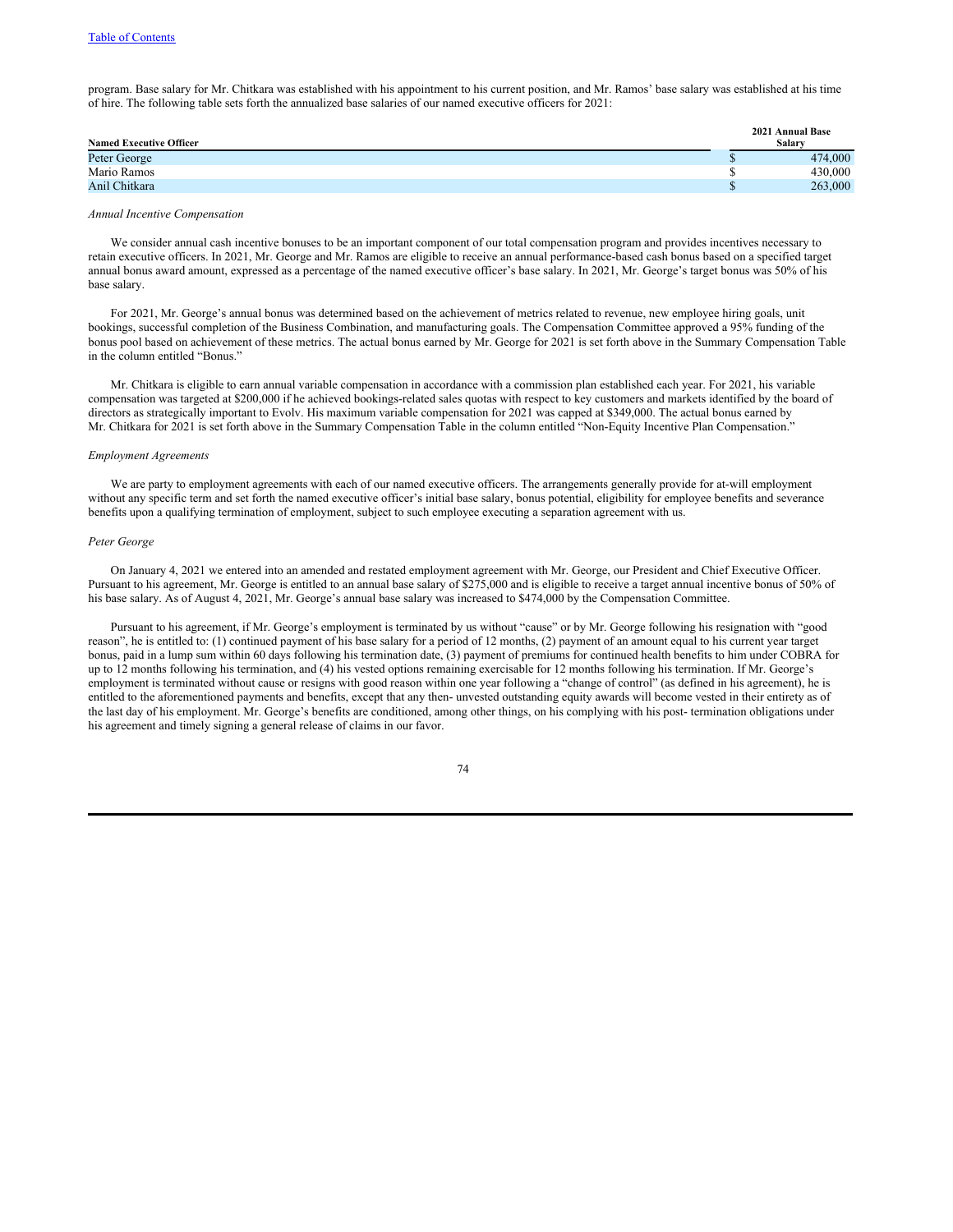program. Base salary for Mr. Chitkara was established with his appointment to his current position, and Mr. Ramos' base salary was established at his time of hire. The following table sets forth the annualized base salaries of our named executive officers for 2021:

|                                | 2021 Annual Base |
|--------------------------------|------------------|
| <b>Named Executive Officer</b> | Salarv           |
| Peter George                   | 474,000          |
| Mario Ramos                    | 430,000          |
| Anil Chitkara                  | 263,000          |
|                                |                  |

# *Annual Incentive Compensation*

We consider annual cash incentive bonuses to be an important component of our total compensation program and provides incentives necessary to retain executive officers. In 2021, Mr. George and Mr. Ramos are eligible to receive an annual performance-based cash bonus based on a specified target annual bonus award amount, expressed as a percentage of the named executive officer's base salary. In 2021, Mr. George's target bonus was 50% of his base salary.

For 2021, Mr. George's annual bonus was determined based on the achievement of metrics related to revenue, new employee hiring goals, unit bookings, successful completion of the Business Combination, and manufacturing goals. The Compensation Committee approved a 95% funding of the bonus pool based on achievement of these metrics. The actual bonus earned by Mr. George for 2021 is set forth above in the Summary Compensation Table in the column entitled "Bonus."

Mr. Chitkara is eligible to earn annual variable compensation in accordance with a commission plan established each year. For 2021, his variable compensation was targeted at \$200,000 if he achieved bookings-related sales quotas with respect to key customers and markets identified by the board of directors as strategically important to Evolv. His maximum variable compensation for 2021 was capped at \$349,000. The actual bonus earned by Mr. Chitkara for 2021 is set forth above in the Summary Compensation Table in the column entitled "Non-Equity Incentive Plan Compensation."

## *Employment Agreements*

We are party to employment agreements with each of our named executive officers. The arrangements generally provide for at-will employment without any specific term and set forth the named executive officer's initial base salary, bonus potential, eligibility for employee benefits and severance benefits upon a qualifying termination of employment, subject to such employee executing a separation agreement with us.

#### *Peter George*

On January 4, 2021 we entered into an amended and restated employment agreement with Mr. George, our President and Chief Executive Officer. Pursuant to his agreement, Mr. George is entitled to an annual base salary of \$275,000 and is eligible to receive a target annual incentive bonus of 50% of his base salary. As of August 4, 2021, Mr. George's annual base salary was increased to \$474,000 by the Compensation Committee.

Pursuant to his agreement, if Mr. George's employment is terminated by us without "cause" or by Mr. George following his resignation with "good reason", he is entitled to: (1) continued payment of his base salary for a period of 12 months, (2) payment of an amount equal to his current year target bonus, paid in a lump sum within 60 days following his termination date, (3) payment of premiums for continued health benefits to him under COBRA for up to 12 months following his termination, and (4) his vested options remaining exercisable for 12 months following his termination. If Mr. George's employment is terminated without cause or resigns with good reason within one year following a "change of control" (as defined in his agreement), he is entitled to the aforementioned payments and benefits, except that any then- unvested outstanding equity awards will become vested in their entirety as of the last day of his employment. Mr. George's benefits are conditioned, among other things, on his complying with his post- termination obligations under his agreement and timely signing a general release of claims in our favor.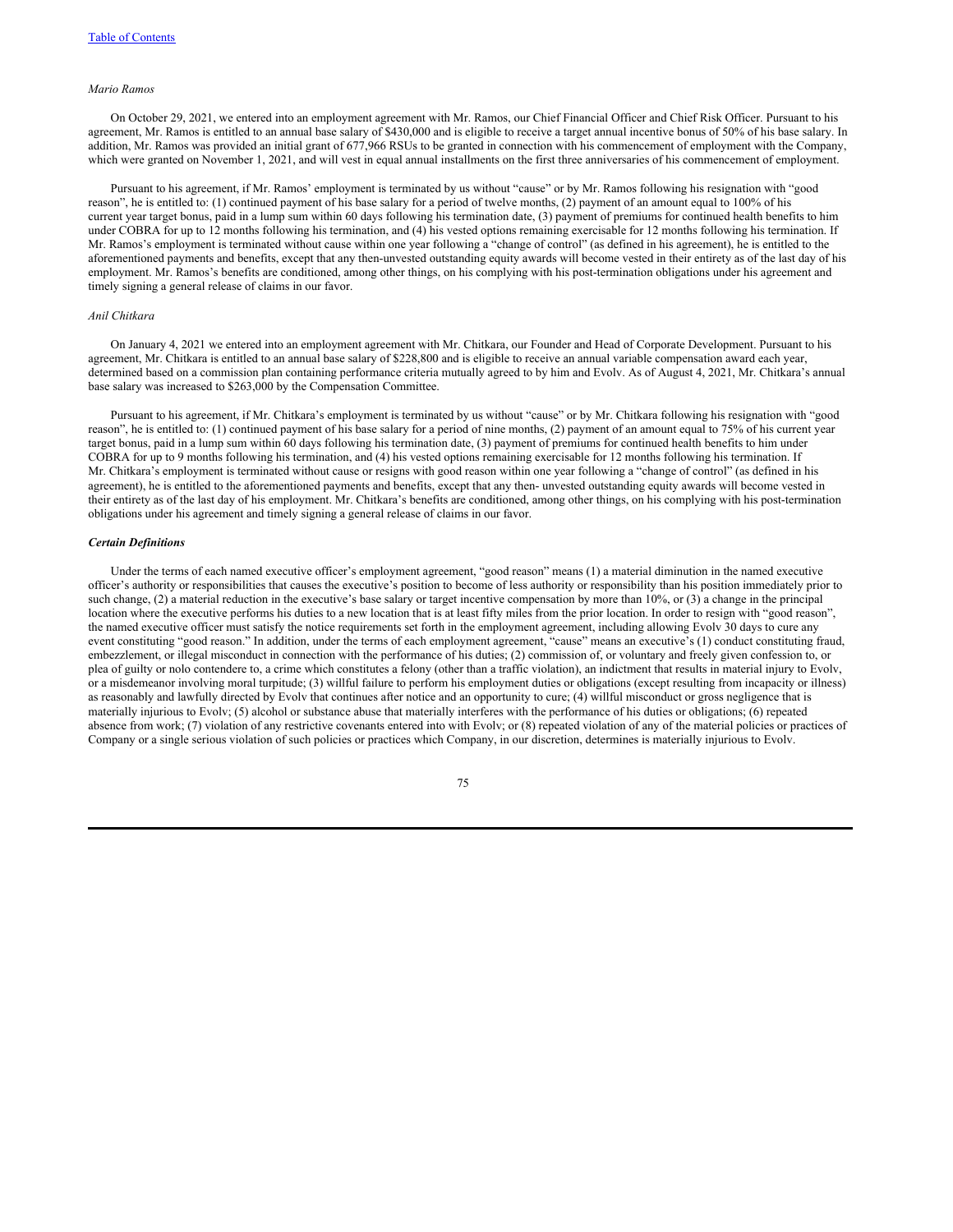#### *Mario Ramos*

On October 29, 2021, we entered into an employment agreement with Mr. Ramos, our Chief Financial Officer and Chief Risk Officer. Pursuant to his agreement, Mr. Ramos is entitled to an annual base salary of \$430,000 and is eligible to receive a target annual incentive bonus of 50% of his base salary. In addition, Mr. Ramos was provided an initial grant of 677,966 RSUs to be granted in connection with his commencement of employment with the Company, which were granted on November 1, 2021, and will vest in equal annual installments on the first three anniversaries of his commencement of employment.

Pursuant to his agreement, if Mr. Ramos' employment is terminated by us without "cause" or by Mr. Ramos following his resignation with "good reason", he is entitled to: (1) continued payment of his base salary for a period of twelve months, (2) payment of an amount equal to 100% of his current year target bonus, paid in a lump sum within 60 days following his termination date, (3) payment of premiums for continued health benefits to him under COBRA for up to 12 months following his termination, and (4) his vested options remaining exercisable for 12 months following his termination. If Mr. Ramos's employment is terminated without cause within one year following a "change of control" (as defined in his agreement), he is entitled to the aforementioned payments and benefits, except that any then-unvested outstanding equity awards will become vested in their entirety as of the last day of his employment. Mr. Ramos's benefits are conditioned, among other things, on his complying with his post-termination obligations under his agreement and timely signing a general release of claims in our favor.

# *Anil Chitkara*

On January 4, 2021 we entered into an employment agreement with Mr. Chitkara, our Founder and Head of Corporate Development. Pursuant to his agreement, Mr. Chitkara is entitled to an annual base salary of \$228,800 and is eligible to receive an annual variable compensation award each year, determined based on a commission plan containing performance criteria mutually agreed to by him and Evolv. As of August 4, 2021, Mr. Chitkara's annual base salary was increased to \$263,000 by the Compensation Committee.

Pursuant to his agreement, if Mr. Chitkara's employment is terminated by us without "cause" or by Mr. Chitkara following his resignation with "good reason", he is entitled to: (1) continued payment of his base salary for a period of nine months, (2) payment of an amount equal to 75% of his current year target bonus, paid in a lump sum within 60 days following his termination date, (3) payment of premiums for continued health benefits to him under COBRA for up to 9 months following his termination, and (4) his vested options remaining exercisable for 12 months following his termination. If Mr. Chitkara's employment is terminated without cause or resigns with good reason within one year following a "change of control" (as defined in his agreement), he is entitled to the aforementioned payments and benefits, except that any then- unvested outstanding equity awards will become vested in their entirety as of the last day of his employment. Mr. Chitkara's benefits are conditioned, among other things, on his complying with his post-termination obligations under his agreement and timely signing a general release of claims in our favor.

#### *Certain Definitions*

Under the terms of each named executive officer's employment agreement, "good reason" means (1) a material diminution in the named executive officer's authority or responsibilities that causes the executive's position to become of less authority or responsibility than his position immediately prior to such change, (2) a material reduction in the executive's base salary or target incentive compensation by more than 10%, or (3) a change in the principal location where the executive performs his duties to a new location that is at least fifty miles from the prior location. In order to resign with "good reason", the named executive officer must satisfy the notice requirements set forth in the employment agreement, including allowing Evolv 30 days to cure any event constituting "good reason." In addition, under the terms of each employment agreement, "cause" means an executive's (1) conduct constituting fraud, embezzlement, or illegal misconduct in connection with the performance of his duties; (2) commission of, or voluntary and freely given confession to, or plea of guilty or nolo contendere to, a crime which constitutes a felony (other than a traffic violation), an indictment that results in material injury to Evolv, or a misdemeanor involving moral turpitude; (3) willful failure to perform his employment duties or obligations (except resulting from incapacity or illness) as reasonably and lawfully directed by Evolv that continues after notice and an opportunity to cure; (4) willful misconduct or gross negligence that is materially injurious to Evolv; (5) alcohol or substance abuse that materially interferes with the performance of his duties or obligations; (6) repeated absence from work; (7) violation of any restrictive covenants entered into with Evolv; or (8) repeated violation of any of the material policies or practices of Company or a single serious violation of such policies or practices which Company, in our discretion, determines is materially injurious to Evolv.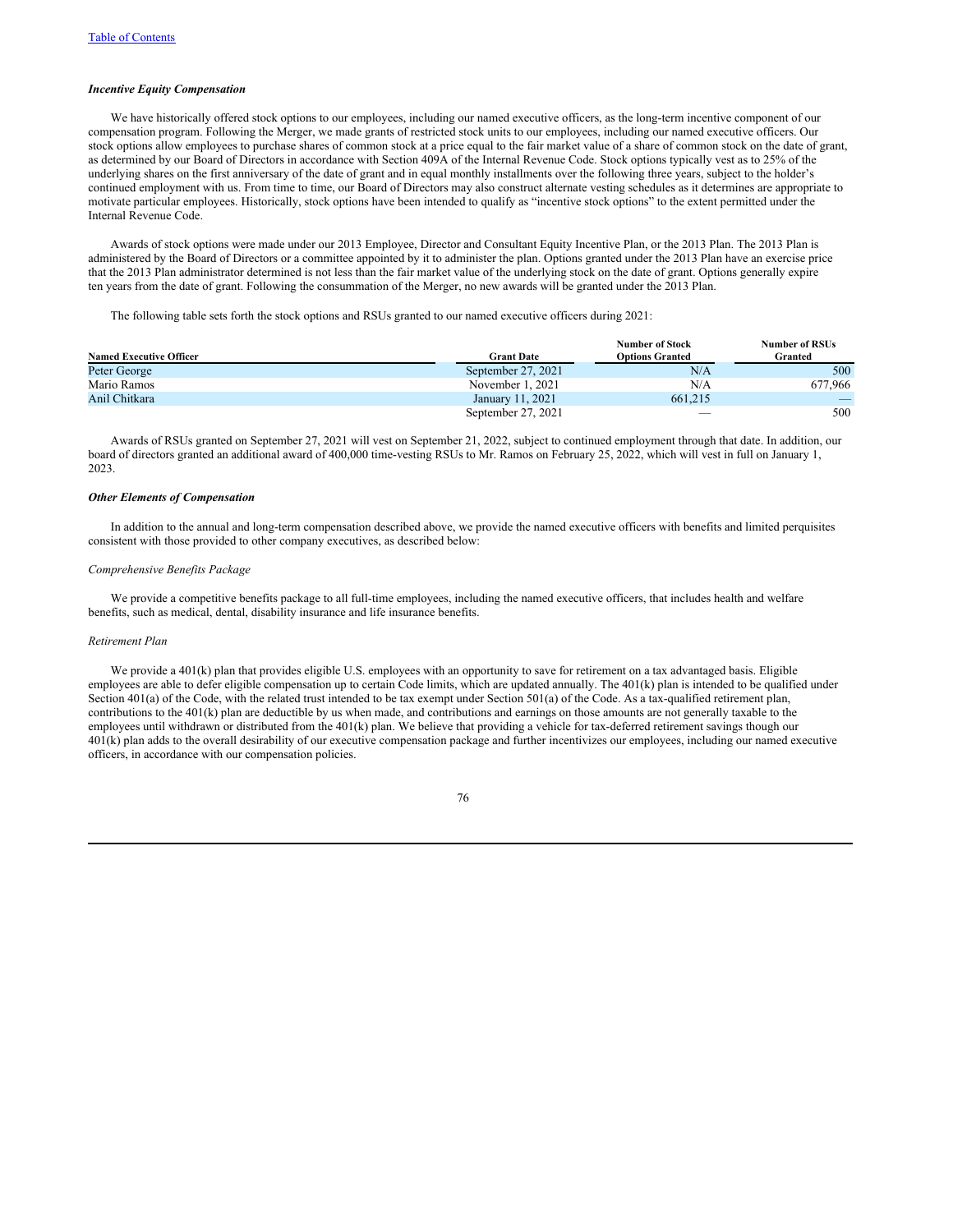#### *Incentive Equity Compensation*

We have historically offered stock options to our employees, including our named executive officers, as the long-term incentive component of our compensation program. Following the Merger, we made grants of restricted stock units to our employees, including our named executive officers. Our stock options allow employees to purchase shares of common stock at a price equal to the fair market value of a share of common stock on the date of grant, as determined by our Board of Directors in accordance with Section 409A of the Internal Revenue Code. Stock options typically vest as to 25% of the underlying shares on the first anniversary of the date of grant and in equal monthly installments over the following three years, subject to the holder's continued employment with us. From time to time, our Board of Directors may also construct alternate vesting schedules as it determines are appropriate to motivate particular employees. Historically, stock options have been intended to qualify as "incentive stock options" to the extent permitted under the Internal Revenue Code.

Awards of stock options were made under our 2013 Employee, Director and Consultant Equity Incentive Plan, or the 2013 Plan. The 2013 Plan is administered by the Board of Directors or a committee appointed by it to administer the plan. Options granted under the 2013 Plan have an exercise price that the 2013 Plan administrator determined is not less than the fair market value of the underlying stock on the date of grant. Options generally expire ten years from the date of grant. Following the consummation of the Merger, no new awards will be granted under the 2013 Plan.

The following table sets forth the stock options and RSUs granted to our named executive officers during 2021:

|                                |                    | <b>Number of Stock</b>   | <b>Number of RSUs</b> |
|--------------------------------|--------------------|--------------------------|-----------------------|
| <b>Named Executive Officer</b> | <b>Grant Date</b>  | <b>Options Granted</b>   | Granted               |
| Peter George                   | September 27, 2021 | N/A                      | 500                   |
| Mario Ramos                    | November 1, 2021   | N/A                      | 677.966               |
| Anil Chitkara                  | January 11, 2021   | 661,215                  |                       |
|                                | September 27, 2021 | $\overline{\phantom{a}}$ | 500                   |

Awards of RSUs granted on September 27, 2021 will vest on September 21, 2022, subject to continued employment through that date. In addition, our board of directors granted an additional award of 400,000 time-vesting RSUs to Mr. Ramos on February 25, 2022, which will vest in full on January 1, 2023.

# *Other Elements of Compensation*

In addition to the annual and long-term compensation described above, we provide the named executive officers with benefits and limited perquisites consistent with those provided to other company executives, as described below:

### *Comprehensive Benefits Package*

We provide a competitive benefits package to all full-time employees, including the named executive officers, that includes health and welfare benefits, such as medical, dental, disability insurance and life insurance benefits.

## *Retirement Plan*

We provide a 401(k) plan that provides eligible U.S. employees with an opportunity to save for retirement on a tax advantaged basis. Eligible employees are able to defer eligible compensation up to certain Code limits, which are updated annually. The 401(k) plan is intended to be qualified under Section 401(a) of the Code, with the related trust intended to be tax exempt under Section 501(a) of the Code. As a tax-qualified retirement plan, contributions to the 401(k) plan are deductible by us when made, and contributions and earnings on those amounts are not generally taxable to the employees until withdrawn or distributed from the 401(k) plan. We believe that providing a vehicle for tax-deferred retirement savings though our 401(k) plan adds to the overall desirability of our executive compensation package and further incentivizes our employees, including our named executive officers, in accordance with our compensation policies.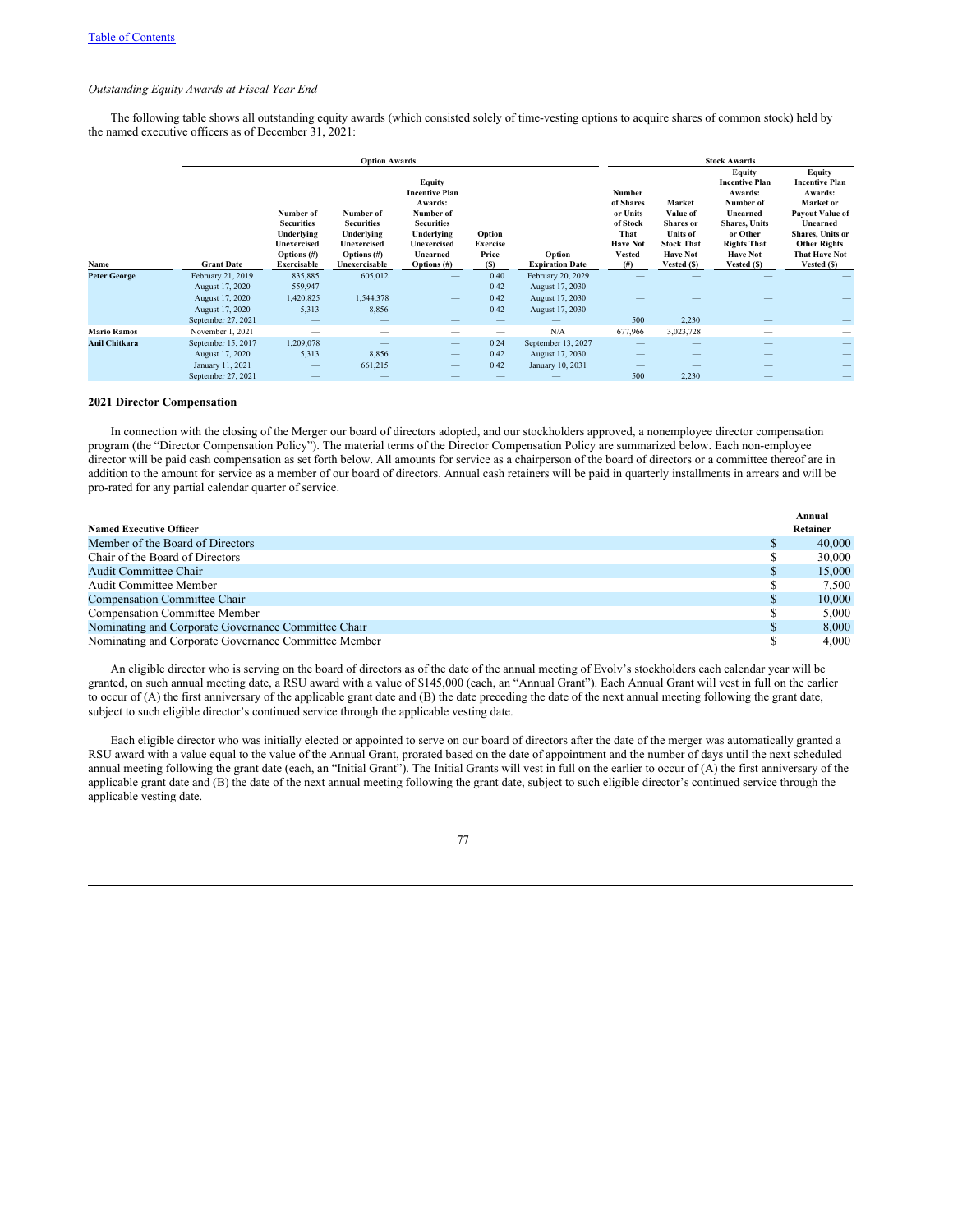# *Outstanding Equity Awards at Fiscal Year End*

The following table shows all outstanding equity awards (which consisted solely of time-vesting options to acquire shares of common stock) held by the named executive officers as of December 31, 2021:

|                      |                    |                                                                                              | <b>Stock Awards</b>                                                                            |                                                                                                                                             |                                                  |                                  |                                                                                          |                                                                                                                  |                                                                                                                                                                        |                                                                                                                                                                                 |
|----------------------|--------------------|----------------------------------------------------------------------------------------------|------------------------------------------------------------------------------------------------|---------------------------------------------------------------------------------------------------------------------------------------------|--------------------------------------------------|----------------------------------|------------------------------------------------------------------------------------------|------------------------------------------------------------------------------------------------------------------|------------------------------------------------------------------------------------------------------------------------------------------------------------------------|---------------------------------------------------------------------------------------------------------------------------------------------------------------------------------|
| Name                 | <b>Grant Date</b>  | Number of<br><b>Securities</b><br>Underlying<br>Unexercised<br>Options $(\#)$<br>Exercisable | Number of<br><b>Securities</b><br>Underlying<br>Unexercised<br>Options $(\#)$<br>Unexercisable | Equity<br><b>Incentive Plan</b><br>Awards:<br>Number of<br><b>Securities</b><br>Underlying<br>Unexercised<br>Unearned<br><b>Options</b> (#) | Option<br><b>Exercise</b><br>Price<br><b>(S)</b> | Option<br><b>Expiration Date</b> | Number<br>of Shares<br>or Units<br>of Stock<br>That<br><b>Have Not</b><br>Vested<br>(# ) | Market<br>Value of<br><b>Shares</b> or<br><b>Units of</b><br><b>Stock That</b><br><b>Have Not</b><br>Vested (\$) | <b>Equity</b><br><b>Incentive Plan</b><br>Awards:<br>Number of<br>Unearned<br><b>Shares, Units</b><br>or Other<br><b>Rights That</b><br><b>Have Not</b><br>Vested (\$) | Equity<br><b>Incentive Plan</b><br>Awards:<br>Market or<br><b>Payout Value of</b><br>Unearned<br>Shares, Units or<br><b>Other Rights</b><br><b>That Have Not</b><br>Vested (\$) |
| <b>Peter George</b>  | February 21, 2019  | 835,885                                                                                      | 605,012                                                                                        | $\qquad \qquad -$                                                                                                                           | 0.40                                             | February 20, 2029                |                                                                                          |                                                                                                                  |                                                                                                                                                                        |                                                                                                                                                                                 |
|                      | August 17, 2020    | 559,947                                                                                      |                                                                                                |                                                                                                                                             | 0.42                                             | August 17, 2030                  |                                                                                          |                                                                                                                  |                                                                                                                                                                        |                                                                                                                                                                                 |
|                      | August 17, 2020    | 1,420,825                                                                                    | 1,544,378                                                                                      |                                                                                                                                             | 0.42                                             | August 17, 2030                  |                                                                                          |                                                                                                                  |                                                                                                                                                                        |                                                                                                                                                                                 |
|                      | August 17, 2020    | 5,313                                                                                        | 8,856                                                                                          | $\qquad \qquad -$                                                                                                                           | 0.42                                             | August 17, 2030                  |                                                                                          |                                                                                                                  |                                                                                                                                                                        |                                                                                                                                                                                 |
|                      | September 27, 2021 | –                                                                                            | $-$                                                                                            |                                                                                                                                             |                                                  |                                  | 500                                                                                      | 2,230                                                                                                            | -                                                                                                                                                                      |                                                                                                                                                                                 |
| <b>Mario Ramos</b>   | November 1, 2021   |                                                                                              |                                                                                                |                                                                                                                                             |                                                  | N/A                              | 677,966                                                                                  | 3,023,728                                                                                                        | -                                                                                                                                                                      |                                                                                                                                                                                 |
| <b>Anil Chitkara</b> | September 15, 2017 | 1,209,078                                                                                    |                                                                                                | $\qquad \qquad -$                                                                                                                           | 0.24                                             | September 13, 2027               |                                                                                          |                                                                                                                  |                                                                                                                                                                        |                                                                                                                                                                                 |
|                      | August 17, 2020    | 5,313                                                                                        | 8,856                                                                                          | $\qquad \qquad -$                                                                                                                           | 0.42                                             | August 17, 2030                  |                                                                                          |                                                                                                                  |                                                                                                                                                                        |                                                                                                                                                                                 |
|                      | January 11, 2021   |                                                                                              | 661,215                                                                                        |                                                                                                                                             | 0.42                                             | January 10, 2031                 |                                                                                          |                                                                                                                  |                                                                                                                                                                        |                                                                                                                                                                                 |
|                      | September 27, 2021 |                                                                                              |                                                                                                |                                                                                                                                             |                                                  |                                  | 500                                                                                      | 2,230                                                                                                            |                                                                                                                                                                        |                                                                                                                                                                                 |

# **2021 Director Compensation**

In connection with the closing of the Merger our board of directors adopted, and our stockholders approved, a nonemployee director compensation program (the "Director Compensation Policy"). The material terms of the Director Compensation Policy are summarized below. Each non-employee director will be paid cash compensation as set forth below. All amounts for service as a chairperson of the board of directors or a committee thereof are in addition to the amount for service as a member of our board of directors. Annual cash retainers will be paid in quarterly installments in arrears and will be pro-rated for any partial calendar quarter of service.

|                                                      | Annual   |
|------------------------------------------------------|----------|
| <b>Named Executive Officer</b>                       | Retainer |
| Member of the Board of Directors                     | 40,000   |
| Chair of the Board of Directors                      | 30,000   |
| <b>Audit Committee Chair</b>                         | 15,000   |
| Audit Committee Member                               | 7.500    |
| Compensation Committee Chair                         | 10,000   |
| <b>Compensation Committee Member</b>                 | 5.000    |
| Nominating and Corporate Governance Committee Chair  | 8.000    |
| Nominating and Corporate Governance Committee Member | 4.000    |

An eligible director who is serving on the board of directors as of the date of the annual meeting of Evolv's stockholders each calendar year will be granted, on such annual meeting date, a RSU award with a value of \$145,000 (each, an "Annual Grant"). Each Annual Grant will vest in full on the earlier to occur of (A) the first anniversary of the applicable grant date and (B) the date preceding the date of the next annual meeting following the grant date, subject to such eligible director's continued service through the applicable vesting date.

Each eligible director who was initially elected or appointed to serve on our board of directors after the date of the merger was automatically granted a RSU award with a value equal to the value of the Annual Grant, prorated based on the date of appointment and the number of days until the next scheduled annual meeting following the grant date (each, an "Initial Grant"). The Initial Grants will vest in full on the earlier to occur of (A) the first anniversary of the applicable grant date and (B) the date of the next annual meeting following the grant date, subject to such eligible director's continued service through the applicable vesting date.

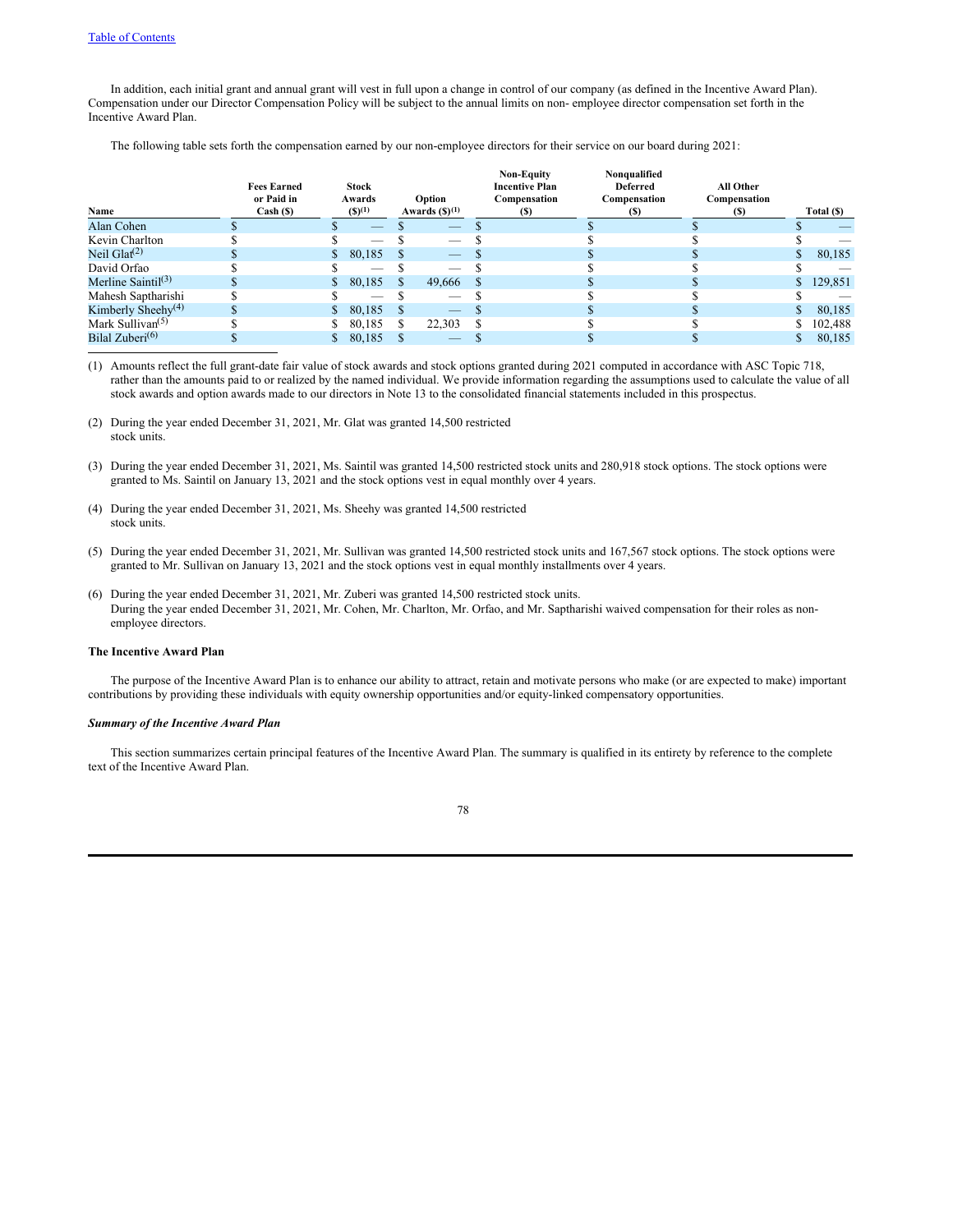In addition, each initial grant and annual grant will vest in full upon a change in control of our company (as defined in the Incentive Award Plan). Compensation under our Director Compensation Policy will be subject to the annual limits on non- employee director compensation set forth in the Incentive Award Plan.

The following table sets forth the compensation earned by our non-employee directors for their service on our board during 2021:

| Name                                      | <b>Fees Earned</b><br>or Paid in<br>Cash ( <sub>s</sub> ) | <b>Stock</b><br>Awards<br>$(S)^{(1)}$ |    | Option<br>Awards $(\mathbf{S})^{(1)}$ | <b>Non-Equity</b><br><b>Incentive Plan</b><br>Compensation<br>(S) | Nonqualified<br><b>Deferred</b><br>Compensation<br>(S) | All Other<br>Compensation<br>(S) | Total (\$) |
|-------------------------------------------|-----------------------------------------------------------|---------------------------------------|----|---------------------------------------|-------------------------------------------------------------------|--------------------------------------------------------|----------------------------------|------------|
| Alan Cohen                                |                                                           | _                                     |    | $-$                                   |                                                                   |                                                        |                                  | _          |
| Kevin Charlton                            |                                                           | $-$                                   |    | _                                     |                                                                   |                                                        |                                  |            |
| Neil Glat $(2)$                           |                                                           | 80,185                                |    |                                       |                                                                   |                                                        |                                  | 80,185     |
| David Orfao                               |                                                           | _                                     |    |                                       |                                                                   |                                                        |                                  |            |
| Merline Saintil $(3)$                     |                                                           | 80,185                                |    | 49,666                                |                                                                   |                                                        |                                  | 129,851    |
| Mahesh Saptharishi                        |                                                           | $-$                                   |    | _                                     |                                                                   |                                                        |                                  |            |
| Kimberly Sheehy <sup>(4)</sup>            |                                                           | 80.185                                | -S | $-$                                   |                                                                   |                                                        |                                  | 80,185     |
| Mark Sullivan <sup><math>(5)</math></sup> |                                                           | 80.185                                |    | 22.303                                |                                                                   |                                                        |                                  | 102,488    |
| Bilal Zuberi $(6)$                        |                                                           | 80,185                                |    | __                                    |                                                                   |                                                        |                                  | 80,185     |

(1) Amounts reflect the full grant-date fair value of stock awards and stock options granted during 2021 computed in accordance with ASC Topic 718, rather than the amounts paid to or realized by the named individual. We provide information regarding the assumptions used to calculate the value of all stock awards and option awards made to our directors in Note 13 to the consolidated financial statements included in this prospectus.

- (2) During the year ended December 31, 2021, Mr. Glat was granted 14,500 restricted stock units.
- (3) During the year ended December 31, 2021, Ms. Saintil was granted 14,500 restricted stock units and 280,918 stock options. The stock options were granted to Ms. Saintil on January 13, 2021 and the stock options vest in equal monthly over 4 years.
- (4) During the year ended December 31, 2021, Ms. Sheehy was granted 14,500 restricted stock units.
- (5) During the year ended December 31, 2021, Mr. Sullivan was granted 14,500 restricted stock units and 167,567 stock options. The stock options were granted to Mr. Sullivan on January 13, 2021 and the stock options vest in equal monthly installments over 4 years.
- (6) During the year ended December 31, 2021, Mr. Zuberi was granted 14,500 restricted stock units. During the year ended December 31, 2021, Mr. Cohen, Mr. Charlton, Mr. Orfao, and Mr. Saptharishi waived compensation for their roles as nonemployee directors.

## **The Incentive Award Plan**

The purpose of the Incentive Award Plan is to enhance our ability to attract, retain and motivate persons who make (or are expected to make) important contributions by providing these individuals with equity ownership opportunities and/or equity-linked compensatory opportunities.

### *Summary of the Incentive Award Plan*

This section summarizes certain principal features of the Incentive Award Plan. The summary is qualified in its entirety by reference to the complete text of the Incentive Award Plan.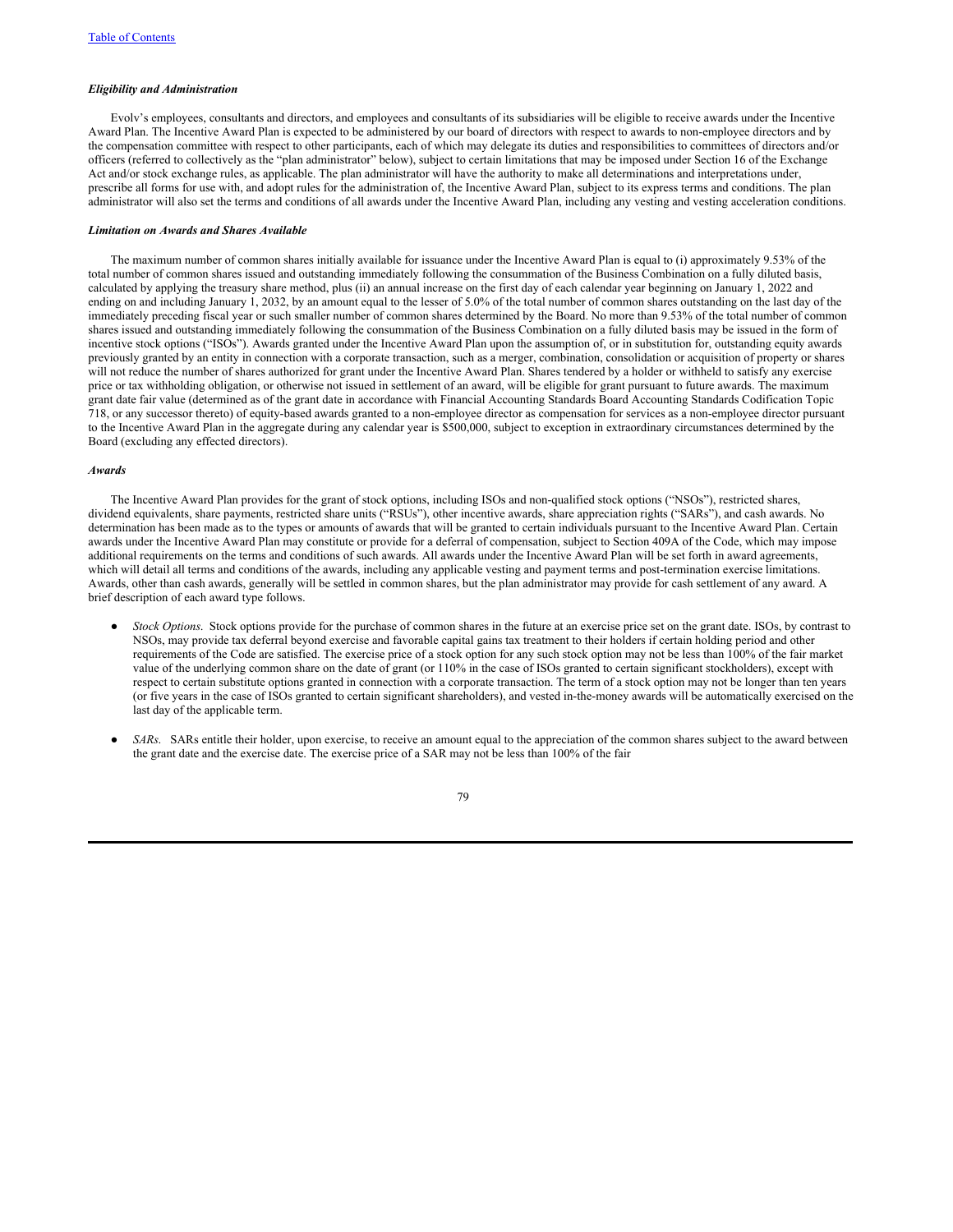## *Eligibility and Administration*

Evolv's employees, consultants and directors, and employees and consultants of its subsidiaries will be eligible to receive awards under the Incentive Award Plan. The Incentive Award Plan is expected to be administered by our board of directors with respect to awards to non-employee directors and by the compensation committee with respect to other participants, each of which may delegate its duties and responsibilities to committees of directors and/or officers (referred to collectively as the "plan administrator" below), subject to certain limitations that may be imposed under Section 16 of the Exchange Act and/or stock exchange rules, as applicable. The plan administrator will have the authority to make all determinations and interpretations under, prescribe all forms for use with, and adopt rules for the administration of, the Incentive Award Plan, subject to its express terms and conditions. The plan administrator will also set the terms and conditions of all awards under the Incentive Award Plan, including any vesting and vesting acceleration conditions.

# *Limitation on Awards and Shares Available*

The maximum number of common shares initially available for issuance under the Incentive Award Plan is equal to (i) approximately 9.53% of the total number of common shares issued and outstanding immediately following the consummation of the Business Combination on a fully diluted basis, calculated by applying the treasury share method, plus (ii) an annual increase on the first day of each calendar year beginning on January 1, 2022 and ending on and including January 1, 2032, by an amount equal to the lesser of 5.0% of the total number of common shares outstanding on the last day of the immediately preceding fiscal year or such smaller number of common shares determined by the Board. No more than 9.53% of the total number of common shares issued and outstanding immediately following the consummation of the Business Combination on a fully diluted basis may be issued in the form of incentive stock options ("ISOs"). Awards granted under the Incentive Award Plan upon the assumption of, or in substitution for, outstanding equity awards previously granted by an entity in connection with a corporate transaction, such as a merger, combination, consolidation or acquisition of property or shares will not reduce the number of shares authorized for grant under the Incentive Award Plan. Shares tendered by a holder or withheld to satisfy any exercise price or tax withholding obligation, or otherwise not issued in settlement of an award, will be eligible for grant pursuant to future awards. The maximum grant date fair value (determined as of the grant date in accordance with Financial Accounting Standards Board Accounting Standards Codification Topic 718, or any successor thereto) of equity-based awards granted to a non-employee director as compensation for services as a non-employee director pursuant to the Incentive Award Plan in the aggregate during any calendar year is \$500,000, subject to exception in extraordinary circumstances determined by the Board (excluding any effected directors).

#### *Awards*

The Incentive Award Plan provides for the grant of stock options, including ISOs and non-qualified stock options ("NSOs"), restricted shares, dividend equivalents, share payments, restricted share units ("RSUs"), other incentive awards, share appreciation rights ("SARs"), and cash awards. No determination has been made as to the types or amounts of awards that will be granted to certain individuals pursuant to the Incentive Award Plan. Certain awards under the Incentive Award Plan may constitute or provide for a deferral of compensation, subject to Section 409A of the Code, which may impose additional requirements on the terms and conditions of such awards. All awards under the Incentive Award Plan will be set forth in award agreements, which will detail all terms and conditions of the awards, including any applicable vesting and payment terms and post-termination exercise limitations. Awards, other than cash awards, generally will be settled in common shares, but the plan administrator may provide for cash settlement of any award. A brief description of each award type follows.

- *Stock Options*. Stock options provide for the purchase of common shares in the future at an exercise price set on the grant date. ISOs, by contrast to NSOs, may provide tax deferral beyond exercise and favorable capital gains tax treatment to their holders if certain holding period and other requirements of the Code are satisfied. The exercise price of a stock option for any such stock option may not be less than 100% of the fair market value of the underlying common share on the date of grant (or 110% in the case of ISOs granted to certain significant stockholders), except with respect to certain substitute options granted in connection with a corporate transaction. The term of a stock option may not be longer than ten years (or five years in the case of ISOs granted to certain significant shareholders), and vested in-the-money awards will be automatically exercised on the last day of the applicable term.
- *SARs*. SARs entitle their holder, upon exercise, to receive an amount equal to the appreciation of the common shares subject to the award between the grant date and the exercise date. The exercise price of a SAR may not be less than 100% of the fair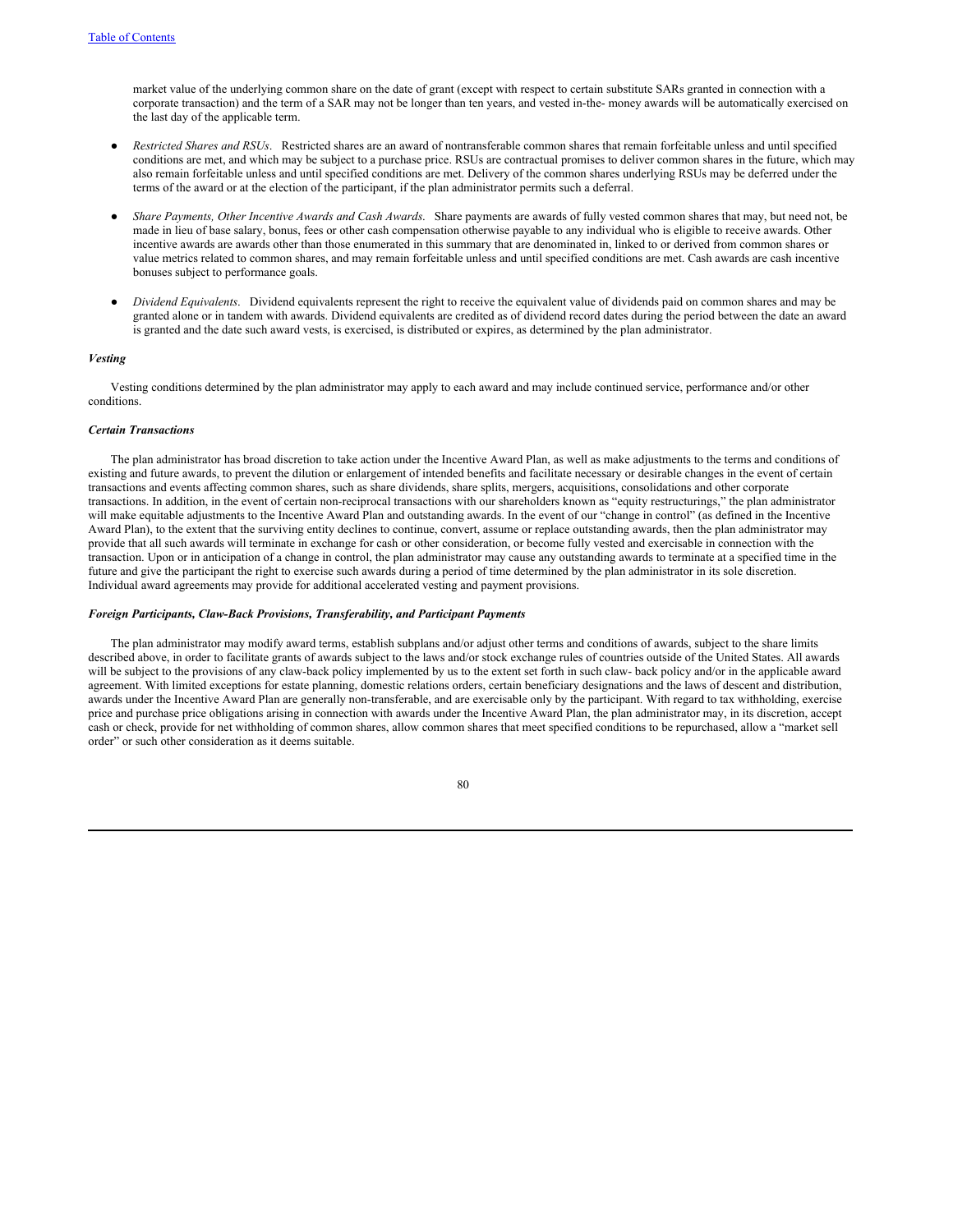market value of the underlying common share on the date of grant (except with respect to certain substitute SARs granted in connection with a corporate transaction) and the term of a SAR may not be longer than ten years, and vested in-the- money awards will be automatically exercised on the last day of the applicable term.

- *Restricted Shares and RSUs*. Restricted shares are an award of nontransferable common shares that remain forfeitable unless and until specified conditions are met, and which may be subject to a purchase price. RSUs are contractual promises to deliver common shares in the future, which may also remain forfeitable unless and until specified conditions are met. Delivery of the common shares underlying RSUs may be deferred under the terms of the award or at the election of the participant, if the plan administrator permits such a deferral.
- *Share Payments, Other Incentive Awards and Cash Awards*. Share payments are awards of fully vested common shares that may, but need not, be made in lieu of base salary, bonus, fees or other cash compensation otherwise payable to any individual who is eligible to receive awards. Other incentive awards are awards other than those enumerated in this summary that are denominated in, linked to or derived from common shares or value metrics related to common shares, and may remain forfeitable unless and until specified conditions are met. Cash awards are cash incentive bonuses subject to performance goals.
- *Dividend Equivalents*. Dividend equivalents represent the right to receive the equivalent value of dividends paid on common shares and may be granted alone or in tandem with awards. Dividend equivalents are credited as of dividend record dates during the period between the date an award is granted and the date such award vests, is exercised, is distributed or expires, as determined by the plan administrator.

#### *Vesting*

Vesting conditions determined by the plan administrator may apply to each award and may include continued service, performance and/or other conditions.

#### *Certain Transactions*

The plan administrator has broad discretion to take action under the Incentive Award Plan, as well as make adjustments to the terms and conditions of existing and future awards, to prevent the dilution or enlargement of intended benefits and facilitate necessary or desirable changes in the event of certain transactions and events affecting common shares, such as share dividends, share splits, mergers, acquisitions, consolidations and other corporate transactions. In addition, in the event of certain non-reciprocal transactions with our shareholders known as "equity restructurings," the plan administrator will make equitable adjustments to the Incentive Award Plan and outstanding awards. In the event of our "change in control" (as defined in the Incentive Award Plan), to the extent that the surviving entity declines to continue, convert, assume or replace outstanding awards, then the plan administrator may provide that all such awards will terminate in exchange for cash or other consideration, or become fully vested and exercisable in connection with the transaction. Upon or in anticipation of a change in control, the plan administrator may cause any outstanding awards to terminate at a specified time in the future and give the participant the right to exercise such awards during a period of time determined by the plan administrator in its sole discretion. Individual award agreements may provide for additional accelerated vesting and payment provisions.

#### *Foreign Participants, Claw-Back Provisions, Transferability, and Participant Payments*

The plan administrator may modify award terms, establish subplans and/or adjust other terms and conditions of awards, subject to the share limits described above, in order to facilitate grants of awards subject to the laws and/or stock exchange rules of countries outside of the United States. All awards will be subject to the provisions of any claw-back policy implemented by us to the extent set forth in such claw- back policy and/or in the applicable award agreement. With limited exceptions for estate planning, domestic relations orders, certain beneficiary designations and the laws of descent and distribution, awards under the Incentive Award Plan are generally non-transferable, and are exercisable only by the participant. With regard to tax withholding, exercise price and purchase price obligations arising in connection with awards under the Incentive Award Plan, the plan administrator may, in its discretion, accept cash or check, provide for net withholding of common shares, allow common shares that meet specified conditions to be repurchased, allow a "market sell order" or such other consideration as it deems suitable.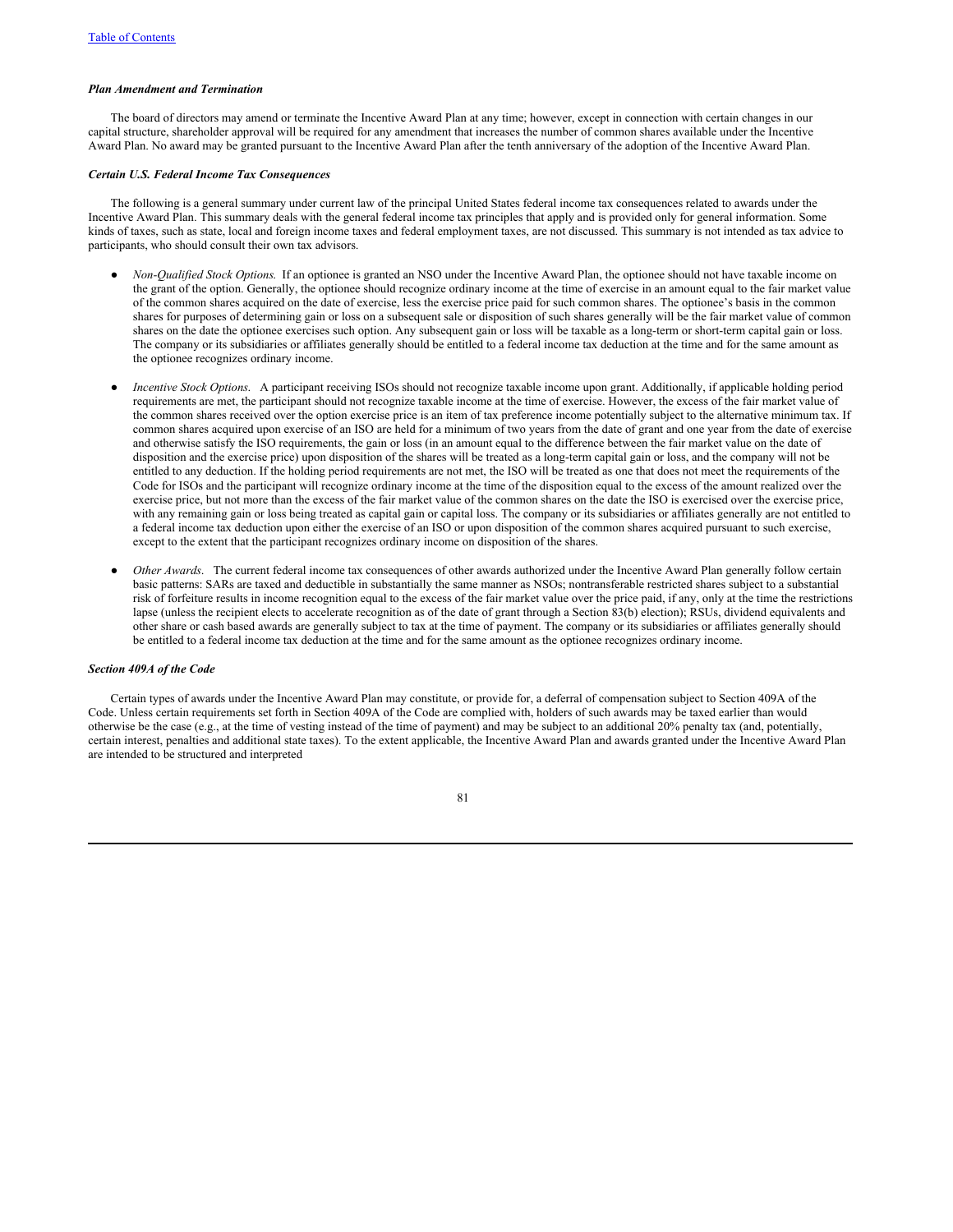#### *Plan Amendment and Termination*

The board of directors may amend or terminate the Incentive Award Plan at any time; however, except in connection with certain changes in our capital structure, shareholder approval will be required for any amendment that increases the number of common shares available under the Incentive Award Plan. No award may be granted pursuant to the Incentive Award Plan after the tenth anniversary of the adoption of the Incentive Award Plan.

#### *Certain U.S. Federal Income Tax Consequences*

The following is a general summary under current law of the principal United States federal income tax consequences related to awards under the Incentive Award Plan. This summary deals with the general federal income tax principles that apply and is provided only for general information. Some kinds of taxes, such as state, local and foreign income taxes and federal employment taxes, are not discussed. This summary is not intended as tax advice to participants, who should consult their own tax advisors.

- *Non-Qualified Stock Options*. If an optionee is granted an NSO under the Incentive Award Plan, the optionee should not have taxable income on the grant of the option. Generally, the optionee should recognize ordinary income at the time of exercise in an amount equal to the fair market value of the common shares acquired on the date of exercise, less the exercise price paid for such common shares. The optionee's basis in the common shares for purposes of determining gain or loss on a subsequent sale or disposition of such shares generally will be the fair market value of common shares on the date the optionee exercises such option. Any subsequent gain or loss will be taxable as a long-term or short-term capital gain or loss. The company or its subsidiaries or affiliates generally should be entitled to a federal income tax deduction at the time and for the same amount as the optionee recognizes ordinary income.
- *Incentive Stock Options*. A participant receiving ISOs should not recognize taxable income upon grant. Additionally, if applicable holding period requirements are met, the participant should not recognize taxable income at the time of exercise. However, the excess of the fair market value of the common shares received over the option exercise price is an item of tax preference income potentially subject to the alternative minimum tax. If common shares acquired upon exercise of an ISO are held for a minimum of two years from the date of grant and one year from the date of exercise and otherwise satisfy the ISO requirements, the gain or loss (in an amount equal to the difference between the fair market value on the date of disposition and the exercise price) upon disposition of the shares will be treated as a long-term capital gain or loss, and the company will not be entitled to any deduction. If the holding period requirements are not met, the ISO will be treated as one that does not meet the requirements of the Code for ISOs and the participant will recognize ordinary income at the time of the disposition equal to the excess of the amount realized over the exercise price, but not more than the excess of the fair market value of the common shares on the date the ISO is exercised over the exercise price, with any remaining gain or loss being treated as capital gain or capital loss. The company or its subsidiaries or affiliates generally are not entitled to a federal income tax deduction upon either the exercise of an ISO or upon disposition of the common shares acquired pursuant to such exercise, except to the extent that the participant recognizes ordinary income on disposition of the shares.
- Other Awards. The current federal income tax consequences of other awards authorized under the Incentive Award Plan generally follow certain basic patterns: SARs are taxed and deductible in substantially the same manner as NSOs; nontransferable restricted shares subject to a substantial risk of forfeiture results in income recognition equal to the excess of the fair market value over the price paid, if any, only at the time the restrictions lapse (unless the recipient elects to accelerate recognition as of the date of grant through a Section 83(b) election); RSUs, dividend equivalents and other share or cash based awards are generally subject to tax at the time of payment. The company or its subsidiaries or affiliates generally should be entitled to a federal income tax deduction at the time and for the same amount as the optionee recognizes ordinary income.

# *Section 409A of the Code*

Certain types of awards under the Incentive Award Plan may constitute, or provide for, a deferral of compensation subject to Section 409A of the Code. Unless certain requirements set forth in Section 409A of the Code are complied with, holders of such awards may be taxed earlier than would otherwise be the case (e.g., at the time of vesting instead of the time of payment) and may be subject to an additional 20% penalty tax (and, potentially, certain interest, penalties and additional state taxes). To the extent applicable, the Incentive Award Plan and awards granted under the Incentive Award Plan are intended to be structured and interpreted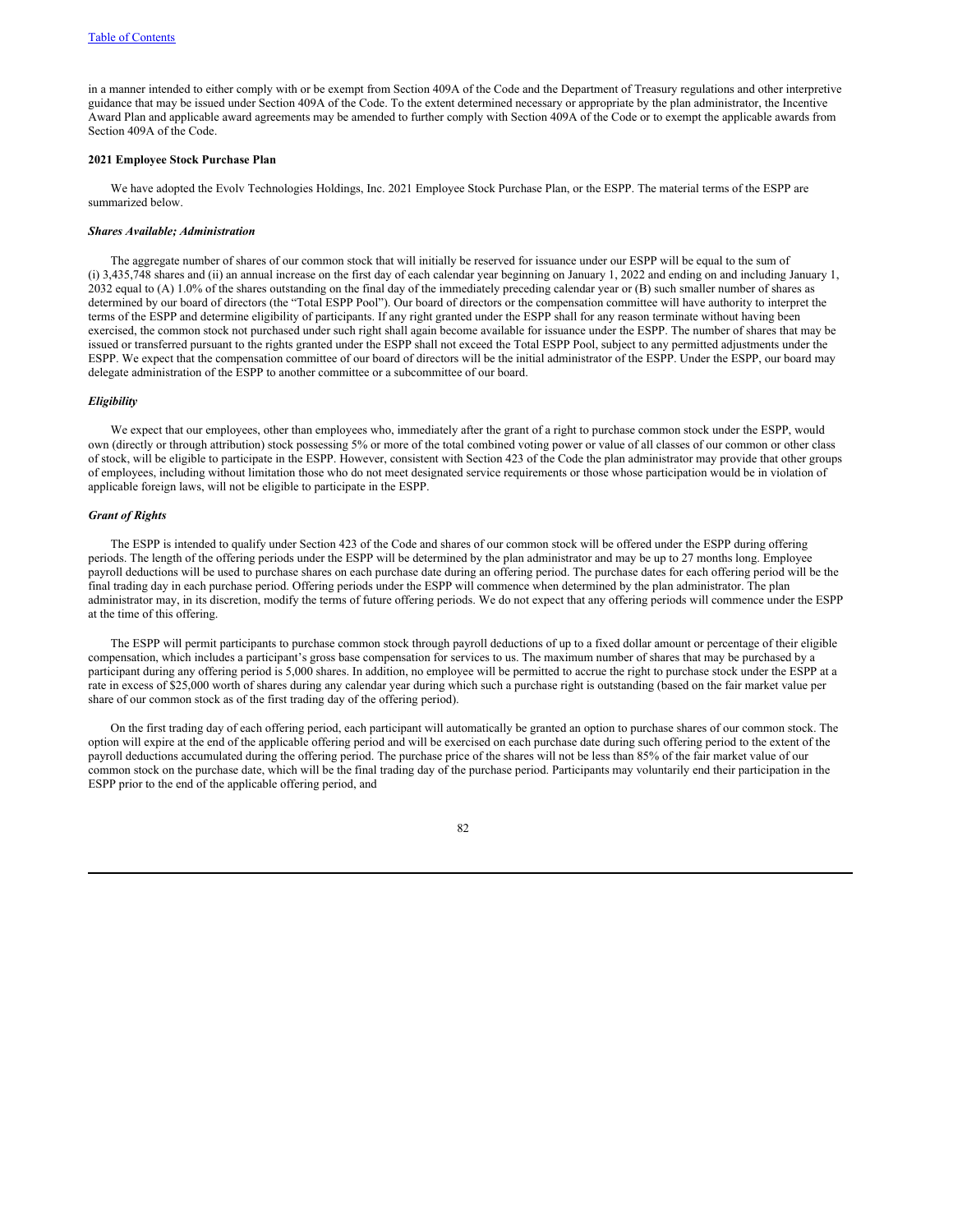in a manner intended to either comply with or be exempt from Section 409A of the Code and the Department of Treasury regulations and other interpretive guidance that may be issued under Section 409A of the Code. To the extent determined necessary or appropriate by the plan administrator, the Incentive Award Plan and applicable award agreements may be amended to further comply with Section 409A of the Code or to exempt the applicable awards from Section 409A of the Code.

# **2021 Employee Stock Purchase Plan**

We have adopted the Evolv Technologies Holdings, Inc. 2021 Employee Stock Purchase Plan, or the ESPP. The material terms of the ESPP are summarized below.

#### *Shares Available; Administration*

The aggregate number of shares of our common stock that will initially be reserved for issuance under our ESPP will be equal to the sum of (i) 3,435,748 shares and (ii) an annual increase on the first day of each calendar year beginning on January 1, 2022 and ending on and including January 1, 2032 equal to (A) 1.0% of the shares outstanding on the final day of the immediately preceding calendar year or (B) such smaller number of shares as determined by our board of directors (the "Total ESPP Pool"). Our board of directors or the compensation committee will have authority to interpret the terms of the ESPP and determine eligibility of participants. If any right granted under the ESPP shall for any reason terminate without having been exercised, the common stock not purchased under such right shall again become available for issuance under the ESPP. The number of shares that may be issued or transferred pursuant to the rights granted under the ESPP shall not exceed the Total ESPP Pool, subject to any permitted adjustments under the ESPP. We expect that the compensation committee of our board of directors will be the initial administrator of the ESPP. Under the ESPP, our board may delegate administration of the ESPP to another committee or a subcommittee of our board.

# *Eligibility*

We expect that our employees, other than employees who, immediately after the grant of a right to purchase common stock under the ESPP, would own (directly or through attribution) stock possessing 5% or more of the total combined voting power or value of all classes of our common or other class of stock, will be eligible to participate in the ESPP. However, consistent with Section 423 of the Code the plan administrator may provide that other groups of employees, including without limitation those who do not meet designated service requirements or those whose participation would be in violation of applicable foreign laws, will not be eligible to participate in the ESPP.

## *Grant of Rights*

The ESPP is intended to qualify under Section 423 of the Code and shares of our common stock will be offered under the ESPP during offering periods. The length of the offering periods under the ESPP will be determined by the plan administrator and may be up to 27 months long. Employee payroll deductions will be used to purchase shares on each purchase date during an offering period. The purchase dates for each offering period will be the final trading day in each purchase period. Offering periods under the ESPP will commence when determined by the plan administrator. The plan administrator may, in its discretion, modify the terms of future offering periods. We do not expect that any offering periods will commence under the ESPP at the time of this offering.

The ESPP will permit participants to purchase common stock through payroll deductions of up to a fixed dollar amount or percentage of their eligible compensation, which includes a participant's gross base compensation for services to us. The maximum number of shares that may be purchased by a participant during any offering period is 5,000 shares. In addition, no employee will be permitted to accrue the right to purchase stock under the ESPP at a rate in excess of \$25,000 worth of shares during any calendar year during which such a purchase right is outstanding (based on the fair market value per share of our common stock as of the first trading day of the offering period).

On the first trading day of each offering period, each participant will automatically be granted an option to purchase shares of our common stock. The option will expire at the end of the applicable offering period and will be exercised on each purchase date during such offering period to the extent of the payroll deductions accumulated during the offering period. The purchase price of the shares will not be less than 85% of the fair market value of our common stock on the purchase date, which will be the final trading day of the purchase period. Participants may voluntarily end their participation in the ESPP prior to the end of the applicable offering period, and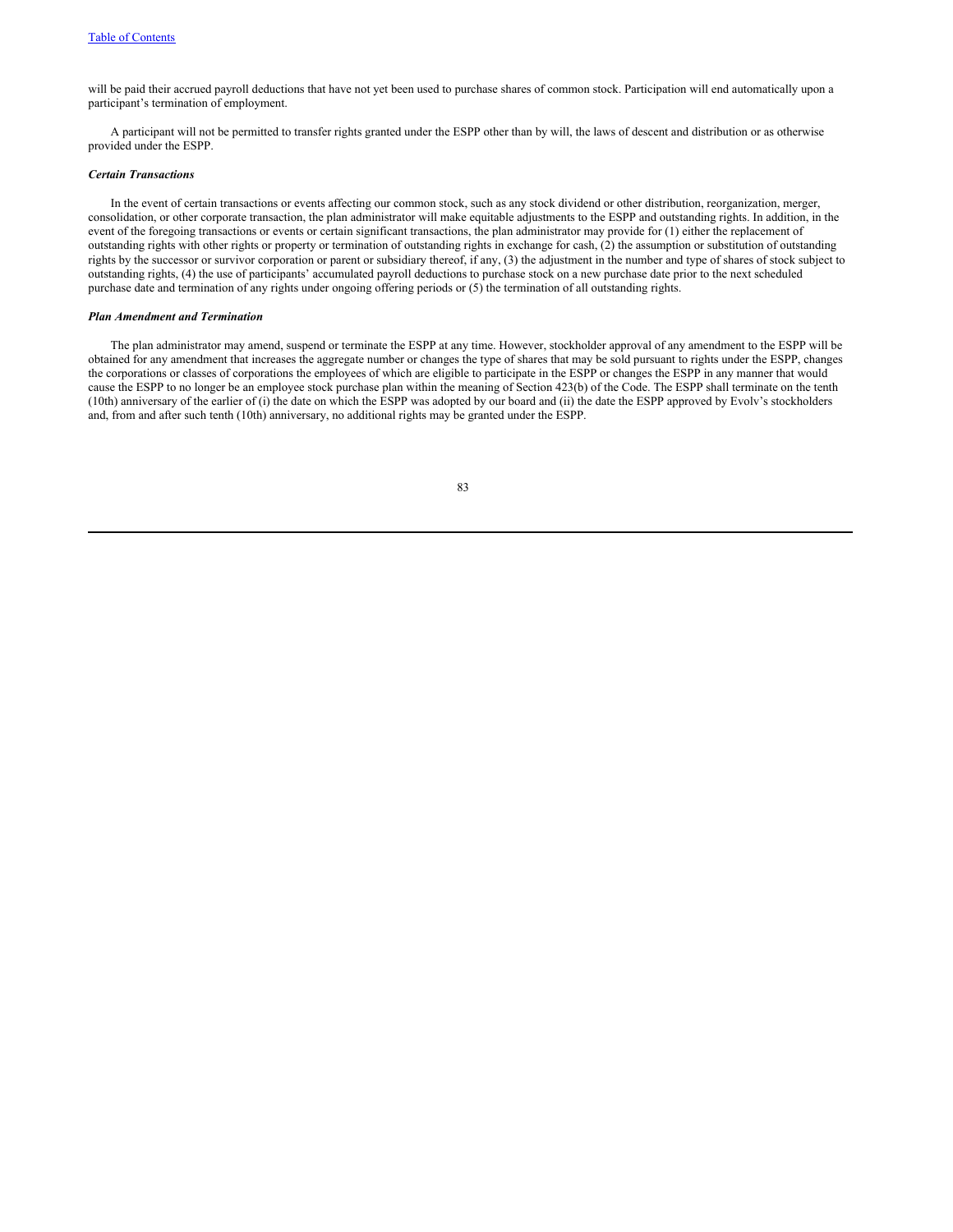will be paid their accrued payroll deductions that have not yet been used to purchase shares of common stock. Participation will end automatically upon a participant's termination of employment.

A participant will not be permitted to transfer rights granted under the ESPP other than by will, the laws of descent and distribution or as otherwise provided under the ESPP.

#### *Certain Transactions*

In the event of certain transactions or events affecting our common stock, such as any stock dividend or other distribution, reorganization, merger, consolidation, or other corporate transaction, the plan administrator will make equitable adjustments to the ESPP and outstanding rights. In addition, in the event of the foregoing transactions or events or certain significant transactions, the plan administrator may provide for (1) either the replacement of outstanding rights with other rights or property or termination of outstanding rights in exchange for cash, (2) the assumption or substitution of outstanding rights by the successor or survivor corporation or parent or subsidiary thereof, if any, (3) the adjustment in the number and type of shares of stock subject to outstanding rights, (4) the use of participants' accumulated payroll deductions to purchase stock on a new purchase date prior to the next scheduled purchase date and termination of any rights under ongoing offering periods or (5) the termination of all outstanding rights.

# *Plan Amendment and Termination*

The plan administrator may amend, suspend or terminate the ESPP at any time. However, stockholder approval of any amendment to the ESPP will be obtained for any amendment that increases the aggregate number or changes the type of shares that may be sold pursuant to rights under the ESPP, changes the corporations or classes of corporations the employees of which are eligible to participate in the ESPP or changes the ESPP in any manner that would cause the ESPP to no longer be an employee stock purchase plan within the meaning of Section 423(b) of the Code. The ESPP shall terminate on the tenth (10th) anniversary of the earlier of (i) the date on which the ESPP was adopted by our board and (ii) the date the ESPP approved by Evolv's stockholders and, from and after such tenth (10th) anniversary, no additional rights may be granted under the ESPP.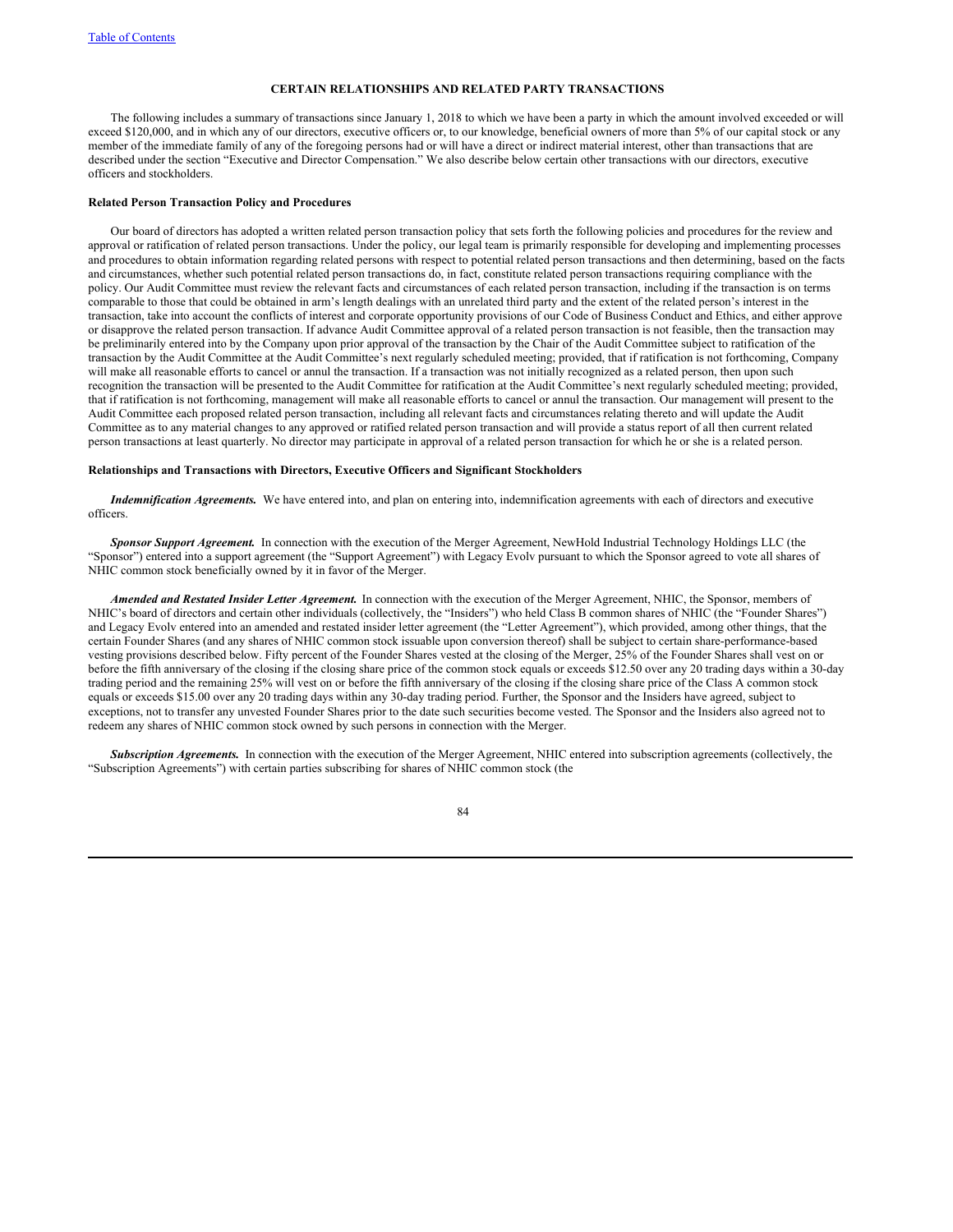## **CERTAIN RELATIONSHIPS AND RELATED PARTY TRANSACTIONS**

The following includes a summary of transactions since January 1, 2018 to which we have been a party in which the amount involved exceeded or will exceed \$120,000, and in which any of our directors, executive officers or, to our knowledge, beneficial owners of more than 5% of our capital stock or any member of the immediate family of any of the foregoing persons had or will have a direct or indirect material interest, other than transactions that are described under the section "Executive and Director Compensation." We also describe below certain other transactions with our directors, executive officers and stockholders.

# **Related Person Transaction Policy and Procedures**

Our board of directors has adopted a written related person transaction policy that sets forth the following policies and procedures for the review and approval or ratification of related person transactions. Under the policy, our legal team is primarily responsible for developing and implementing processes and procedures to obtain information regarding related persons with respect to potential related person transactions and then determining, based on the facts and circumstances, whether such potential related person transactions do, in fact, constitute related person transactions requiring compliance with the policy. Our Audit Committee must review the relevant facts and circumstances of each related person transaction, including if the transaction is on terms comparable to those that could be obtained in arm's length dealings with an unrelated third party and the extent of the related person's interest in the transaction, take into account the conflicts of interest and corporate opportunity provisions of our Code of Business Conduct and Ethics, and either approve or disapprove the related person transaction. If advance Audit Committee approval of a related person transaction is not feasible, then the transaction may be preliminarily entered into by the Company upon prior approval of the transaction by the Chair of the Audit Committee subject to ratification of the transaction by the Audit Committee at the Audit Committee's next regularly scheduled meeting; provided, that if ratification is not forthcoming, Company will make all reasonable efforts to cancel or annul the transaction. If a transaction was not initially recognized as a related person, then upon such recognition the transaction will be presented to the Audit Committee for ratification at the Audit Committee's next regularly scheduled meeting; provided, that if ratification is not forthcoming, management will make all reasonable efforts to cancel or annul the transaction. Our management will present to the Audit Committee each proposed related person transaction, including all relevant facts and circumstances relating thereto and will update the Audit Committee as to any material changes to any approved or ratified related person transaction and will provide a status report of all then current related person transactions at least quarterly. No director may participate in approval of a related person transaction for which he or she is a related person.

# **Relationships and Transactions with Directors, Executive Officers and Significant Stockholders**

*Indemnification Agreements.* We have entered into, and plan on entering into, indemnification agreements with each of directors and executive officers.

*Sponsor Support Agreement.* In connection with the execution of the Merger Agreement, NewHold Industrial Technology Holdings LLC (the "Sponsor") entered into a support agreement (the "Support Agreement") with Legacy Evolv pursuant to which the Sponsor agreed to vote all shares of NHIC common stock beneficially owned by it in favor of the Merger.

*Amended and Restated Insider Letter Agreement.* In connection with the execution of the Merger Agreement, NHIC, the Sponsor, members of NHIC's board of directors and certain other individuals (collectively, the "Insiders") who held Class B common shares of NHIC (the "Founder Shares") and Legacy Evolv entered into an amended and restated insider letter agreement (the "Letter Agreement"), which provided, among other things, that the certain Founder Shares (and any shares of NHIC common stock issuable upon conversion thereof) shall be subject to certain share-performance-based vesting provisions described below. Fifty percent of the Founder Shares vested at the closing of the Merger, 25% of the Founder Shares shall vest on or before the fifth anniversary of the closing if the closing share price of the common stock equals or exceeds \$12.50 over any 20 trading days within a 30-day trading period and the remaining 25% will vest on or before the fifth anniversary of the closing if the closing share price of the Class A common stock equals or exceeds \$15.00 over any 20 trading days within any 30-day trading period. Further, the Sponsor and the Insiders have agreed, subject to exceptions, not to transfer any unvested Founder Shares prior to the date such securities become vested. The Sponsor and the Insiders also agreed not to redeem any shares of NHIC common stock owned by such persons in connection with the Merger.

*Subscription Agreements.* In connection with the execution of the Merger Agreement, NHIC entered into subscription agreements (collectively, the "Subscription Agreements") with certain parties subscribing for shares of NHIC common stock (the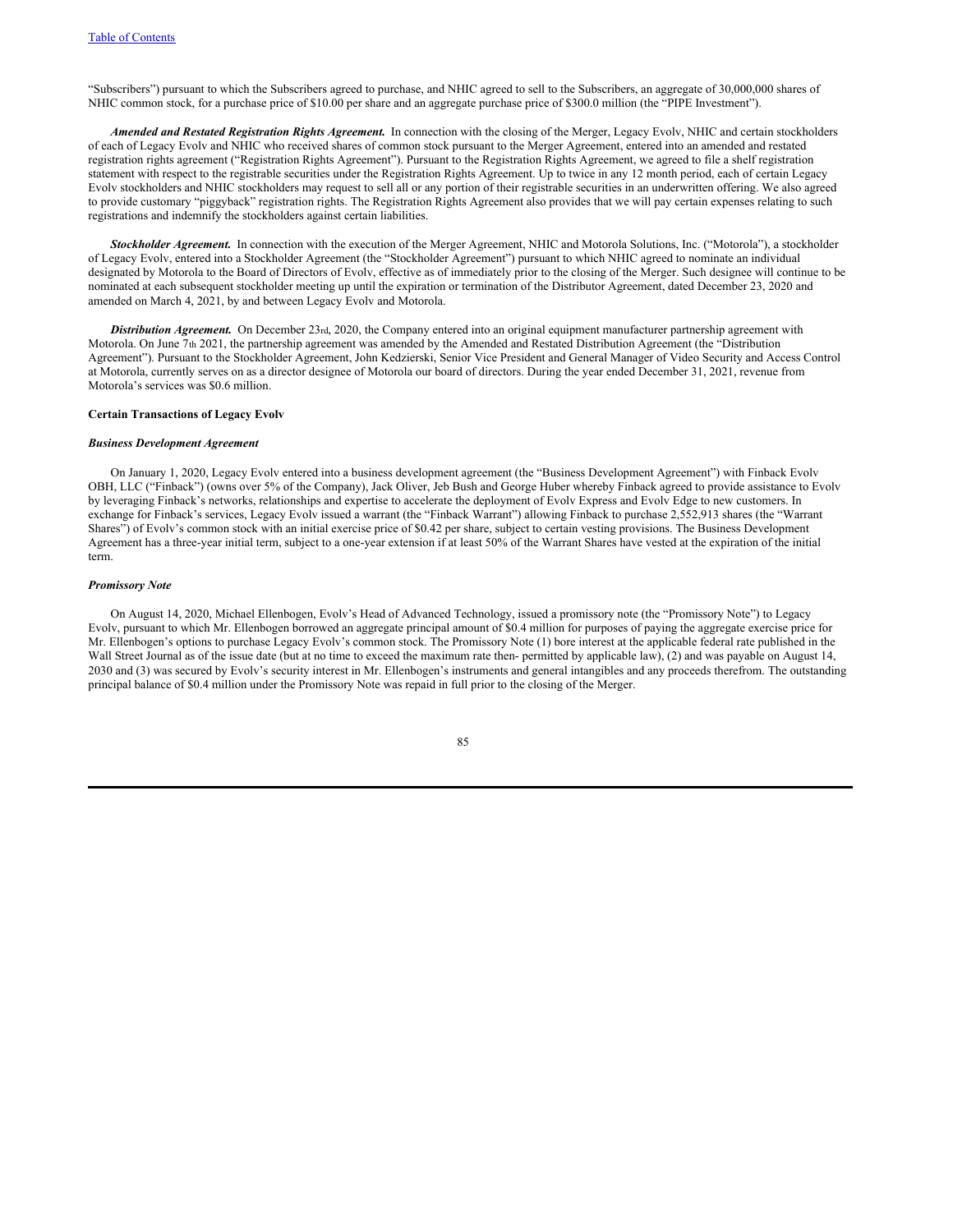"Subscribers") pursuant to which the Subscribers agreed to purchase, and NHIC agreed to sell to the Subscribers, an aggregate of 30,000,000 shares of NHIC common stock, for a purchase price of \$10.00 per share and an aggregate purchase price of \$300.0 million (the "PIPE Investment").

*Amended and Restated Registration Rights Agreement.* In connection with the closing of the Merger, Legacy Evolv, NHIC and certain stockholders of each of Legacy Evolv and NHIC who received shares of common stock pursuant to the Merger Agreement, entered into an amended and restated registration rights agreement ("Registration Rights Agreement"). Pursuant to the Registration Rights Agreement, we agreed to file a shelf registration statement with respect to the registrable securities under the Registration Rights Agreement. Up to twice in any 12 month period, each of certain Legacy Evolv stockholders and NHIC stockholders may request to sell all or any portion of their registrable securities in an underwritten offering. We also agreed to provide customary "piggyback" registration rights. The Registration Rights Agreement also provides that we will pay certain expenses relating to such registrations and indemnify the stockholders against certain liabilities.

*Stockholder Agreement.* In connection with the execution of the Merger Agreement, NHIC and Motorola Solutions, Inc. ("Motorola"), a stockholder of Legacy Evolv, entered into a Stockholder Agreement (the "Stockholder Agreement") pursuant to which NHIC agreed to nominate an individual designated by Motorola to the Board of Directors of Evolv, effective as of immediately prior to the closing of the Merger. Such designee will continue to be nominated at each subsequent stockholder meeting up until the expiration or termination of the Distributor Agreement, dated December 23, 2020 and amended on March 4, 2021, by and between Legacy Evolv and Motorola.

*Distribution Agreement.* On December 23rd, 2020, the Company entered into an original equipment manufacturer partnership agreement with Motorola. On June 7th 2021, the partnership agreement was amended by the Amended and Restated Distribution Agreement (the "Distribution Agreement"). Pursuant to the Stockholder Agreement, John Kedzierski, Senior Vice President and General Manager of Video Security and Access Control at Motorola, currently serves on as a director designee of Motorola our board of directors. During the year ended December 31, 2021, revenue from Motorola's services was \$0.6 million.

#### **Certain Transactions of Legacy Evolv**

# *Business Development Agreement*

On January 1, 2020, Legacy Evolv entered into a business development agreement (the "Business Development Agreement") with Finback Evolv OBH, LLC ("Finback") (owns over 5% of the Company), Jack Oliver, Jeb Bush and George Huber whereby Finback agreed to provide assistance to Evolv by leveraging Finback's networks, relationships and expertise to accelerate the deployment of Evolv Express and Evolv Edge to new customers. In exchange for Finback's services, Legacy Evolv issued a warrant (the "Finback Warrant") allowing Finback to purchase 2,552,913 shares (the "Warrant Shares") of Evolv's common stock with an initial exercise price of \$0.42 per share, subject to certain vesting provisions. The Business Development Agreement has a three-year initial term, subject to a one-year extension if at least 50% of the Warrant Shares have vested at the expiration of the initial term.

#### *Promissory Note*

On August 14, 2020, Michael Ellenbogen, Evolv's Head of Advanced Technology, issued a promissory note (the "Promissory Note") to Legacy Evolv, pursuant to which Mr. Ellenbogen borrowed an aggregate principal amount of \$0.4 million for purposes of paying the aggregate exercise price for Mr. Ellenbogen's options to purchase Legacy Evolv's common stock. The Promissory Note (1) bore interest at the applicable federal rate published in the Wall Street Journal as of the issue date (but at no time to exceed the maximum rate then- permitted by applicable law), (2) and was payable on August 14, 2030 and (3) was secured by Evolv's security interest in Mr. Ellenbogen's instruments and general intangibles and any proceeds therefrom. The outstanding principal balance of \$0.4 million under the Promissory Note was repaid in full prior to the closing of the Merger.

| ۹<br>M. | I<br>I<br>$\sim$ |
|---------|------------------|
|         |                  |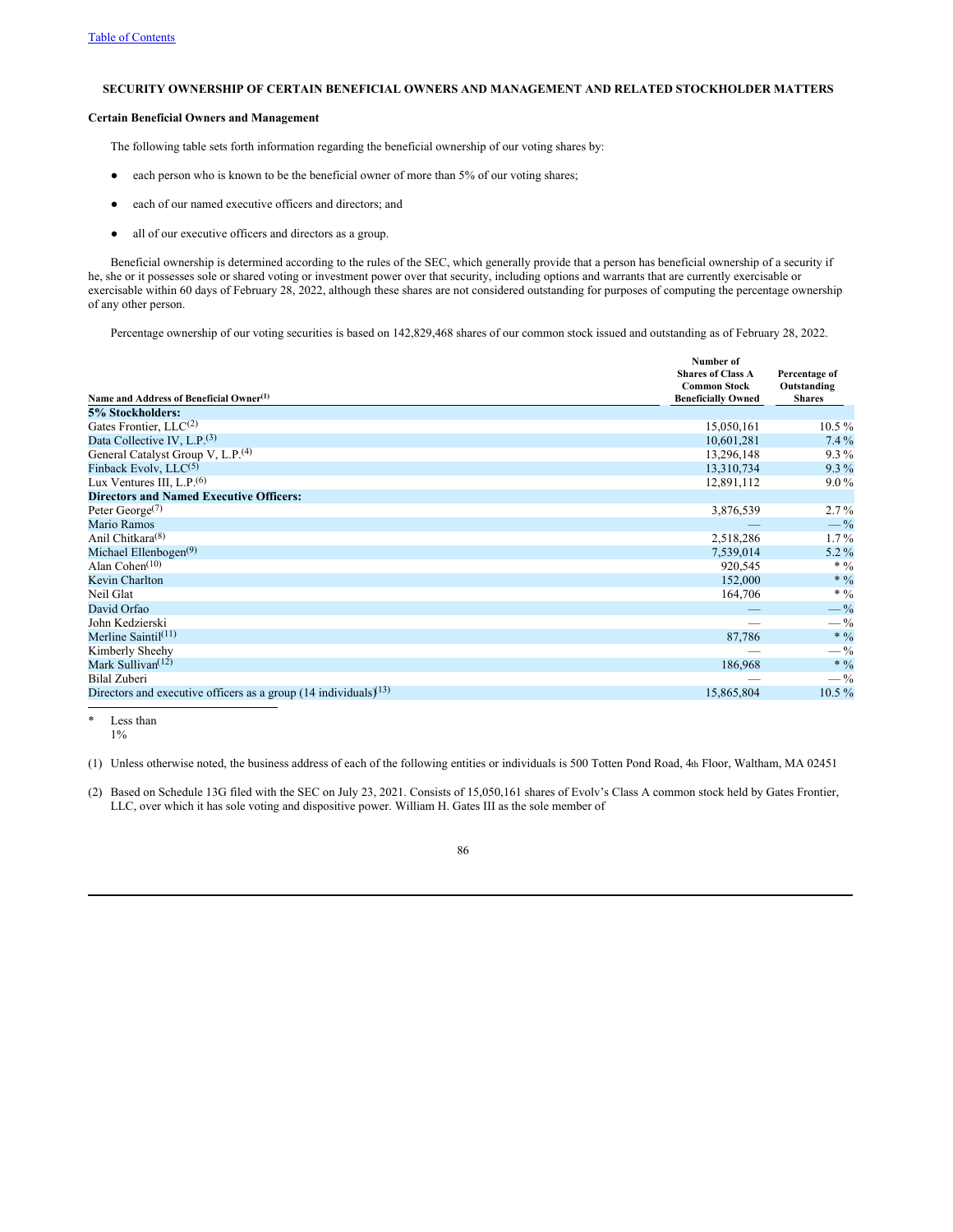# **SECURITY OWNERSHIP OF CERTAIN BENEFICIAL OWNERS AND MANAGEMENT AND RELATED STOCKHOLDER MATTERS**

# **Certain Beneficial Owners and Management**

The following table sets forth information regarding the beneficial ownership of our voting shares by:

- each person who is known to be the beneficial owner of more than 5% of our voting shares;
- each of our named executive officers and directors; and
- all of our executive officers and directors as a group.

Beneficial ownership is determined according to the rules of the SEC, which generally provide that a person has beneficial ownership of a security if he, she or it possesses sole or shared voting or investment power over that security, including options and warrants that are currently exercisable or exercisable within 60 days of February 28, 2022, although these shares are not considered outstanding for purposes of computing the percentage ownership of any other person.

Percentage ownership of our voting securities is based on 142,829,468 shares of our common stock issued and outstanding as of February 28, 2022.

|                                                                               | Number of                                        |                              |
|-------------------------------------------------------------------------------|--------------------------------------------------|------------------------------|
|                                                                               | <b>Shares of Class A</b>                         | Percentage of                |
| Name and Address of Beneficial Owner <sup>(1)</sup>                           | <b>Common Stock</b><br><b>Beneficially Owned</b> | Outstanding<br><b>Shares</b> |
| 5% Stockholders:                                                              |                                                  |                              |
|                                                                               |                                                  |                              |
| Gates Frontier, $LLC(2)$                                                      | 15,050,161                                       | $10.5\%$                     |
| Data Collective IV, $L.P.(3)$                                                 | 10,601,281                                       | $7.4\%$                      |
| General Catalyst Group V, L.P. <sup>(4)</sup>                                 | 13,296,148                                       | $9.3\%$                      |
| Finback Evolv, $LLC^{(5)}$                                                    | 13,310,734                                       | $9.3\%$                      |
| Lux Ventures III, $L.P.(6)$                                                   | 12,891,112                                       | $9.0\%$                      |
| <b>Directors and Named Executive Officers:</b>                                |                                                  |                              |
| Peter $George^{(7)}$                                                          | 3,876,539                                        | $2.7\%$                      |
| Mario Ramos                                                                   |                                                  | $-$ %                        |
| Anil Chitkara <sup>(8)</sup>                                                  | 2,518,286                                        | $1.7\%$                      |
| Michael Ellenbogen <sup>(9)</sup>                                             | 7,539,014                                        | $5.2\%$                      |
| Alan Cohen $(10)$                                                             | 920,545                                          | * $\frac{0}{0}$              |
| Kevin Charlton                                                                | 152,000                                          | $\ast$ $\%$                  |
| Neil Glat                                                                     | 164,706                                          | $* 9/0$                      |
| David Orfao                                                                   |                                                  | $-$ %                        |
| John Kedzierski                                                               |                                                  | $-$ %                        |
| Merline Saintil $(11)$                                                        | 87,786                                           | $* 9/0$                      |
| Kimberly Sheehy                                                               |                                                  | $-$ %                        |
| Mark Sullivan <sup>(12)</sup>                                                 | 186,968                                          | $* 0/0$                      |
| <b>Bilal Zuberi</b>                                                           |                                                  | $-$ %                        |
| Directors and executive officers as a group $(14 \text{ individuals})^{(13)}$ | 15,865,804                                       | $10.5\%$                     |

Less than 1%

(1) Unless otherwise noted, the business address of each of the following entities or individuals is 500 Totten Pond Road, 4th Floor, Waltham, MA 02451

(2) Based on Schedule 13G filed with the SEC on July 23, 2021. Consists of 15,050,161 shares of Evolv's Class A common stock held by Gates Frontier, LLC, over which it has sole voting and dispositive power. William H. Gates III as the sole member of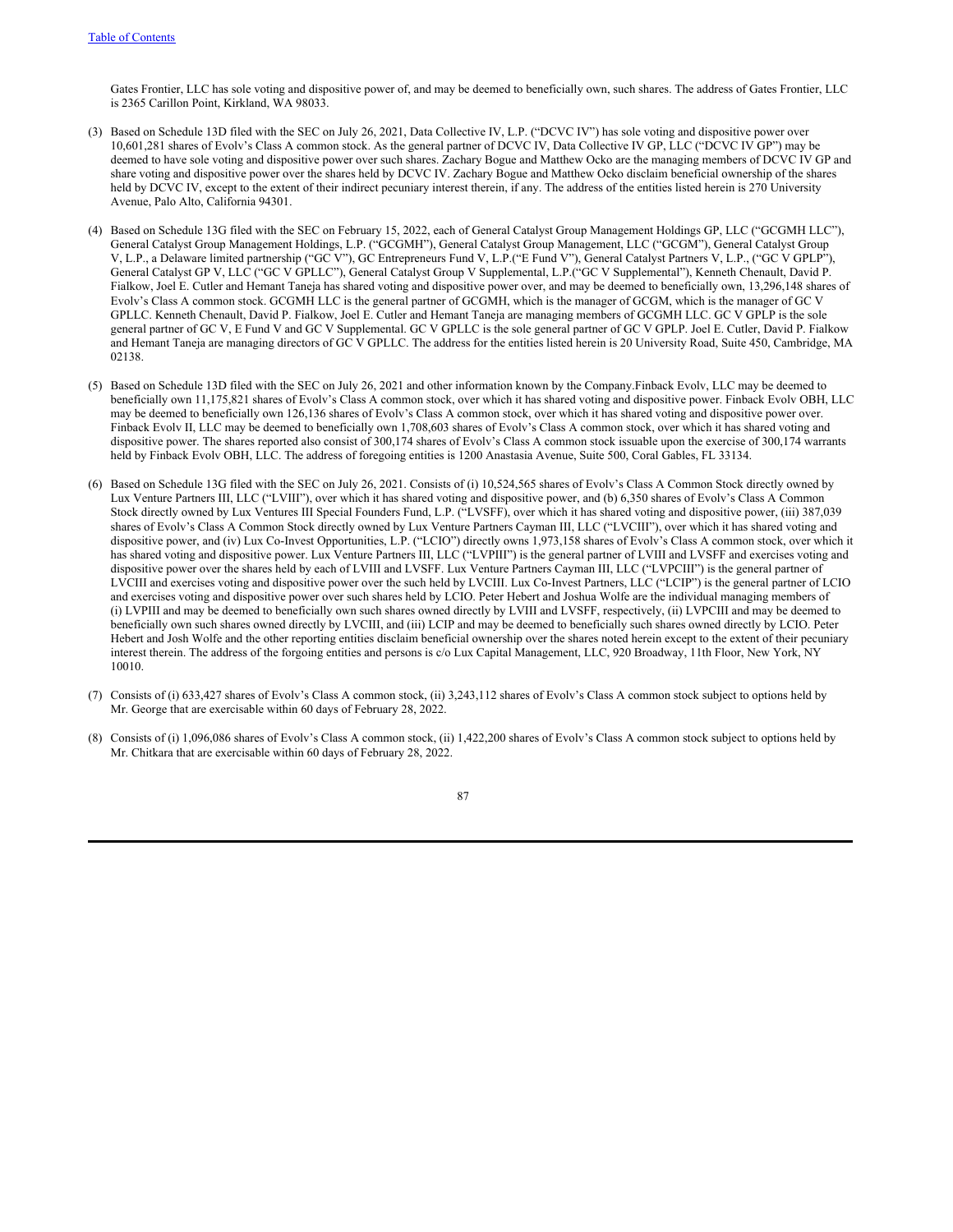Gates Frontier, LLC has sole voting and dispositive power of, and may be deemed to beneficially own, such shares. The address of Gates Frontier, LLC is 2365 Carillon Point, Kirkland, WA 98033.

- (3) Based on Schedule 13D filed with the SEC on July 26, 2021, Data Collective IV, L.P. ("DCVC IV") has sole voting and dispositive power over 10,601,281 shares of Evolv's Class A common stock. As the general partner of DCVC IV, Data Collective IV GP, LLC ("DCVC IV GP") may be deemed to have sole voting and dispositive power over such shares. Zachary Bogue and Matthew Ocko are the managing members of DCVC IV GP and share voting and dispositive power over the shares held by DCVC IV. Zachary Bogue and Matthew Ocko disclaim beneficial ownership of the shares held by DCVC IV, except to the extent of their indirect pecuniary interest therein, if any. The address of the entities listed herein is 270 University Avenue, Palo Alto, California 94301.
- (4) Based on Schedule 13G filed with the SEC on February 15, 2022, each of General Catalyst Group Management Holdings GP, LLC ("GCGMH LLC"), General Catalyst Group Management Holdings, L.P. ("GCGMH"), General Catalyst Group Management, LLC ("GCGM"), General Catalyst Group V, L.P., a Delaware limited partnership ("GC V"), GC Entrepreneurs Fund V, L.P.("E Fund V"), General Catalyst Partners V, L.P., ("GC V GPLP"), General Catalyst GP V, LLC ("GC V GPLLC"), General Catalyst Group V Supplemental, L.P.("GC V Supplemental"), Kenneth Chenault, David P. Fialkow, Joel E. Cutler and Hemant Taneja has shared voting and dispositive power over, and may be deemed to beneficially own, 13,296,148 shares of Evolv's Class A common stock. GCGMH LLC is the general partner of GCGMH, which is the manager of GCGM, which is the manager of GC V GPLLC. Kenneth Chenault, David P. Fialkow, Joel E. Cutler and Hemant Taneja are managing members of GCGMH LLC. GC V GPLP is the sole general partner of GC V, E Fund V and GC V Supplemental. GC V GPLLC is the sole general partner of GC V GPLP. Joel E. Cutler, David P. Fialkow and Hemant Taneja are managing directors of GC V GPLLC. The address for the entities listed herein is 20 University Road, Suite 450, Cambridge, MA 02138.
- (5) Based on Schedule 13D filed with the SEC on July 26, 2021 and other information known by the Company.Finback Evolv, LLC may be deemed to beneficially own 11,175,821 shares of Evolv's Class A common stock, over which it has shared voting and dispositive power. Finback Evolv OBH, LLC may be deemed to beneficially own 126,136 shares of Evolv's Class A common stock, over which it has shared voting and dispositive power over. Finback Evolv II, LLC may be deemed to beneficially own 1,708,603 shares of Evolv's Class A common stock, over which it has shared voting and dispositive power. The shares reported also consist of 300,174 shares of Evolv's Class A common stock issuable upon the exercise of 300,174 warrants held by Finback Evolv OBH, LLC. The address of foregoing entities is 1200 Anastasia Avenue, Suite 500, Coral Gables, FL 33134.
- (6) Based on Schedule 13G filed with the SEC on July 26, 2021. Consists of (i) 10,524,565 shares of Evolv's Class A Common Stock directly owned by Lux Venture Partners III, LLC ("LVIII"), over which it has shared voting and dispositive power, and (b) 6,350 shares of Evolv's Class A Common Stock directly owned by Lux Ventures III Special Founders Fund, L.P. ("LVSFF), over which it has shared voting and dispositive power, (iii) 387,039 shares of Evolv's Class A Common Stock directly owned by Lux Venture Partners Cayman III, LLC ("LVCIII"), over which it has shared voting and dispositive power, and (iv) Lux Co-Invest Opportunities, L.P. ("LCIO") directly owns 1,973,158 shares of Evolv's Class A common stock, over which it has shared voting and dispositive power. Lux Venture Partners III, LLC ("LVPIII") is the general partner of LVIII and LVSFF and exercises voting and dispositive power over the shares held by each of LVIII and LVSFF. Lux Venture Partners Cayman III, LLC ("LVPCIII") is the general partner of LVCIII and exercises voting and dispositive power over the such held by LVCIII. Lux Co-Invest Partners, LLC ("LCIP") is the general partner of LCIO and exercises voting and dispositive power over such shares held by LCIO. Peter Hebert and Joshua Wolfe are the individual managing members of (i) LVPIII and may be deemed to beneficially own such shares owned directly by LVIII and LVSFF, respectively, (ii) LVPCIII and may be deemed to beneficially own such shares owned directly by LVCIII, and (iii) LCIP and may be deemed to beneficially such shares owned directly by LCIO. Peter Hebert and Josh Wolfe and the other reporting entities disclaim beneficial ownership over the shares noted herein except to the extent of their pecuniary interest therein. The address of the forgoing entities and persons is c/o Lux Capital Management, LLC, 920 Broadway, 11th Floor, New York, NY 10010.
- (7) Consists of (i) 633,427 shares of Evolv's Class A common stock, (ii) 3,243,112 shares of Evolv's Class A common stock subject to options held by Mr. George that are exercisable within 60 days of February 28, 2022.
- (8) Consists of (i) 1,096,086 shares of Evolv's Class A common stock, (ii) 1,422,200 shares of Evolv's Class A common stock subject to options held by Mr. Chitkara that are exercisable within 60 days of February 28, 2022.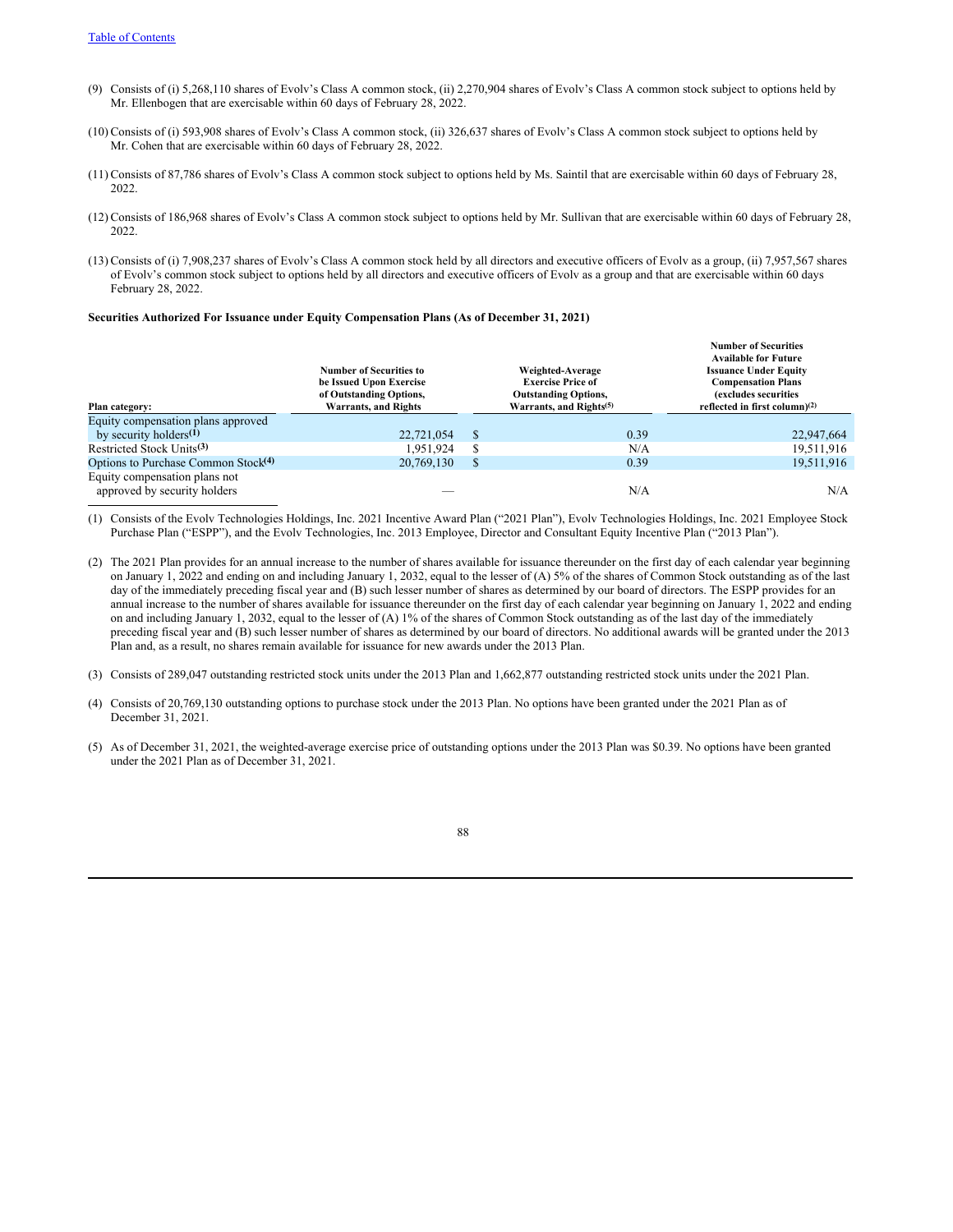- (9) Consists of (i) 5,268,110 shares of Evolv's Class A common stock, (ii) 2,270,904 shares of Evolv's Class A common stock subject to options held by Mr. Ellenbogen that are exercisable within 60 days of February 28, 2022.
- (10) Consists of (i) 593,908 shares of Evolv's Class A common stock, (ii) 326,637 shares of Evolv's Class A common stock subject to options held by Mr. Cohen that are exercisable within 60 days of February 28, 2022.
- (11) Consists of 87,786 shares of Evolv's Class A common stock subject to options held by Ms. Saintil that are exercisable within 60 days of February 28, 2022.
- (12) Consists of 186,968 shares of Evolv's Class A common stock subject to options held by Mr. Sullivan that are exercisable within 60 days of February 28, 2022.
- (13) Consists of (i) 7,908,237 shares of Evolv's Class A common stock held by all directors and executive officers of Evolv as a group, (ii) 7,957,567 shares of Evolv's common stock subject to options held by all directors and executive officers of Evolv as a group and that are exercisable within 60 days February 28, 2022.

#### **Securities Authorized For Issuance under Equity Compensation Plans (As of December 31, 2021)**

|                                                 | Number of Securities to<br>be Issued Upon Exercise<br>of Outstanding Options, |               | Weighted-Average<br><b>Exercise Price of</b><br><b>Outstanding Options,</b> | <b>Number of Securities</b><br><b>Available for Future</b><br><b>Issuance Under Equity</b><br><b>Compensation Plans</b><br>(excludes securities |
|-------------------------------------------------|-------------------------------------------------------------------------------|---------------|-----------------------------------------------------------------------------|-------------------------------------------------------------------------------------------------------------------------------------------------|
| Plan category:                                  | <b>Warrants, and Rights</b>                                                   |               | Warrants, and Rights <sup>(5)</sup>                                         | reflected in first column) $(2)$                                                                                                                |
| Equity compensation plans approved              |                                                                               |               |                                                                             |                                                                                                                                                 |
| by security holders <sup>(1)</sup>              | 22,721,054                                                                    | <sup>\$</sup> | 0.39                                                                        | 22,947,664                                                                                                                                      |
| Restricted Stock Units <sup>(3)</sup>           | 1.951.924                                                                     |               | N/A                                                                         | 19,511,916                                                                                                                                      |
| Options to Purchase Common Stock <sup>(4)</sup> | 20,769,130                                                                    |               | 0.39                                                                        | 19,511,916                                                                                                                                      |
| Equity compensation plans not                   |                                                                               |               |                                                                             |                                                                                                                                                 |
| approved by security holders                    |                                                                               |               | N/A                                                                         | N/A                                                                                                                                             |

(1) Consists of the Evolv Technologies Holdings, Inc. 2021 Incentive Award Plan ("2021 Plan"), Evolv Technologies Holdings, Inc. 2021 Employee Stock Purchase Plan ("ESPP"), and the Evolv Technologies, Inc. 2013 Employee, Director and Consultant Equity Incentive Plan ("2013 Plan").

- (2) The 2021 Plan provides for an annual increase to the number of shares available for issuance thereunder on the first day of each calendar year beginning on January 1, 2022 and ending on and including January 1, 2032, equal to the lesser of (A) 5% of the shares of Common Stock outstanding as of the last day of the immediately preceding fiscal year and (B) such lesser number of shares as determined by our board of directors. The ESPP provides for an annual increase to the number of shares available for issuance thereunder on the first day of each calendar year beginning on January 1, 2022 and ending on and including January 1, 2032, equal to the lesser of (A) 1% of the shares of Common Stock outstanding as of the last day of the immediately preceding fiscal year and (B) such lesser number of shares as determined by our board of directors. No additional awards will be granted under the 2013 Plan and, as a result, no shares remain available for issuance for new awards under the 2013 Plan.
- (3) Consists of 289,047 outstanding restricted stock units under the 2013 Plan and 1,662,877 outstanding restricted stock units under the 2021 Plan.
- (4) Consists of 20,769,130 outstanding options to purchase stock under the 2013 Plan. No options have been granted under the 2021 Plan as of December 31, 2021.
- (5) As of December 31, 2021, the weighted-average exercise price of outstanding options under the 2013 Plan was \$0.39. No options have been granted under the 2021 Plan as of December 31, 2021.

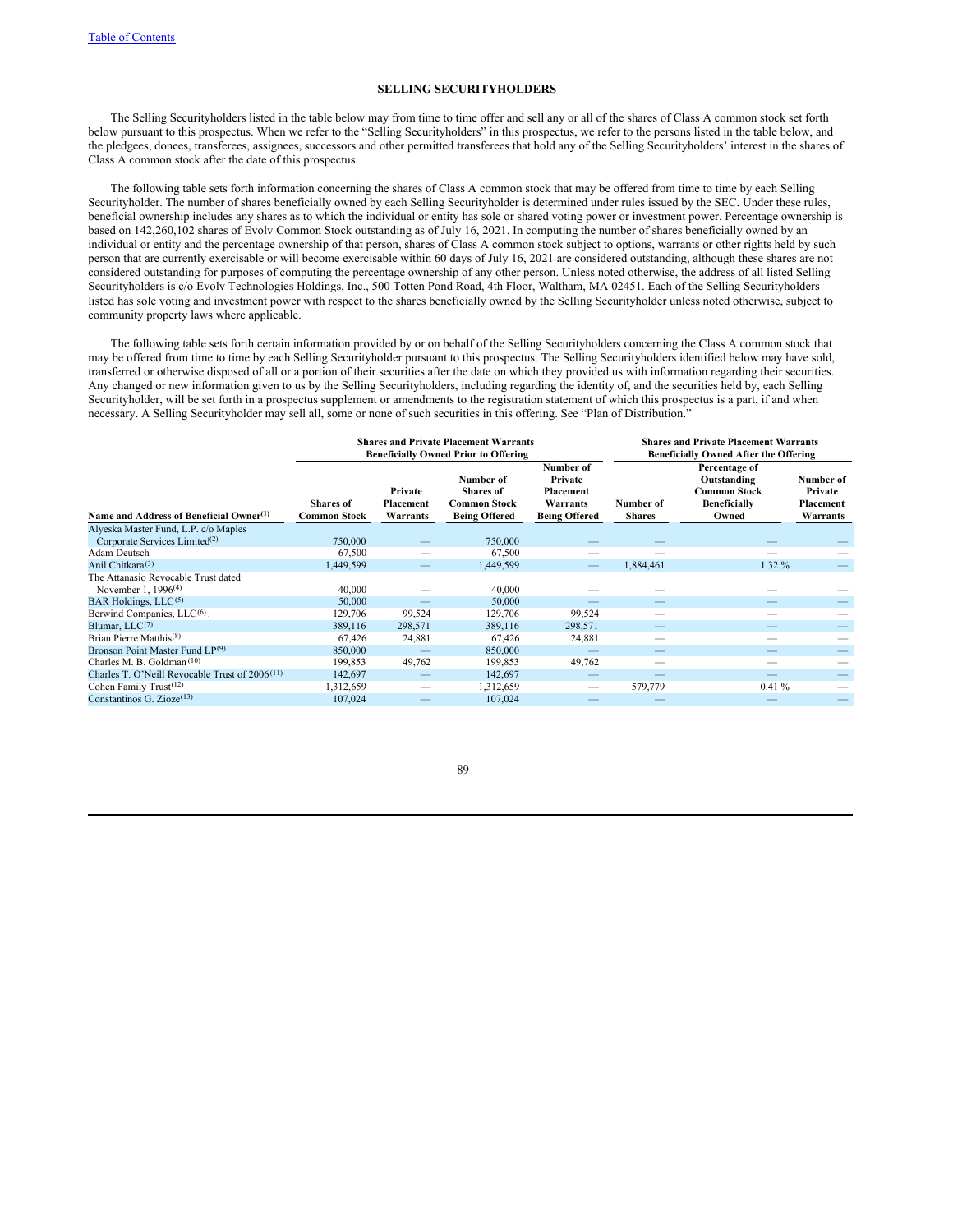## **SELLING SECURITYHOLDERS**

The Selling Securityholders listed in the table below may from time to time offer and sell any or all of the shares of Class A common stock set forth below pursuant to this prospectus. When we refer to the "Selling Securityholders" in this prospectus, we refer to the persons listed in the table below, and the pledgees, donees, transferees, assignees, successors and other permitted transferees that hold any of the Selling Securityholders' interest in the shares of Class A common stock after the date of this prospectus.

The following table sets forth information concerning the shares of Class A common stock that may be offered from time to time by each Selling Securityholder. The number of shares beneficially owned by each Selling Securityholder is determined under rules issued by the SEC. Under these rules, beneficial ownership includes any shares as to which the individual or entity has sole or shared voting power or investment power. Percentage ownership is based on 142,260,102 shares of Evolv Common Stock outstanding as of July 16, 2021. In computing the number of shares beneficially owned by an individual or entity and the percentage ownership of that person, shares of Class A common stock subject to options, warrants or other rights held by such person that are currently exercisable or will become exercisable within 60 days of July 16, 2021 are considered outstanding, although these shares are not considered outstanding for purposes of computing the percentage ownership of any other person. Unless noted otherwise, the address of all listed Selling Securityholders is c/o Evolv Technologies Holdings, Inc., 500 Totten Pond Road, 4th Floor, Waltham, MA 02451. Each of the Selling Securityholders listed has sole voting and investment power with respect to the shares beneficially owned by the Selling Securityholder unless noted otherwise, subject to community property laws where applicable.

The following table sets forth certain information provided by or on behalf of the Selling Securityholders concerning the Class A common stock that may be offered from time to time by each Selling Securityholder pursuant to this prospectus. The Selling Securityholders identified below may have sold, transferred or otherwise disposed of all or a portion of their securities after the date on which they provided us with information regarding their securities. Any changed or new information given to us by the Selling Securityholders, including regarding the identity of, and the securities held by, each Selling Securityholder, will be set forth in a prospectus supplement or amendments to the registration statement of which this prospectus is a part, if and when necessary. A Selling Securityholder may sell all, some or none of such securities in this offering. See "Plan of Distribution."

|                                                            |                                         |                                  | <b>Shares and Private Placement Warrants</b><br><b>Beneficially Owned Prior to Offering</b> |                                                                       | <b>Shares and Private Placement Warrants</b><br><b>Beneficially Owned After the Offering</b> |                                                                                     |                                               |  |
|------------------------------------------------------------|-----------------------------------------|----------------------------------|---------------------------------------------------------------------------------------------|-----------------------------------------------------------------------|----------------------------------------------------------------------------------------------|-------------------------------------------------------------------------------------|-----------------------------------------------|--|
| Name and Address of Beneficial Owner <sup>(1)</sup>        | <b>Shares</b> of<br><b>Common Stock</b> | Private<br>Placement<br>Warrants | Number of<br>Shares of<br><b>Common Stock</b><br><b>Being Offered</b>                       | Number of<br>Private<br>Placement<br>Warrants<br><b>Being Offered</b> | Number of<br><b>Shares</b>                                                                   | Percentage of<br>Outstanding<br><b>Common Stock</b><br><b>Beneficially</b><br>Owned | Number of<br>Private<br>Placement<br>Warrants |  |
| Alyeska Master Fund, L.P. c/o Maples                       |                                         |                                  |                                                                                             |                                                                       |                                                                                              |                                                                                     |                                               |  |
| Corporate Services Limited <sup>(2)</sup>                  | 750,000                                 |                                  | 750,000                                                                                     |                                                                       |                                                                                              |                                                                                     |                                               |  |
| Adam Deutsch                                               | 67,500                                  |                                  | 67,500                                                                                      |                                                                       |                                                                                              |                                                                                     |                                               |  |
| Anil Chitkara <sup>(3)</sup>                               | 1,449,599                               |                                  | 1,449,599                                                                                   |                                                                       | 1,884,461                                                                                    | $1.32\%$                                                                            |                                               |  |
| The Attanasio Revocable Trust dated                        |                                         |                                  |                                                                                             |                                                                       |                                                                                              |                                                                                     |                                               |  |
| November 1, $1996^{(4)}$                                   | 40,000                                  |                                  | 40,000                                                                                      |                                                                       |                                                                                              |                                                                                     |                                               |  |
| BAR Holdings, LLC <sup>(5)</sup>                           | 50,000                                  |                                  | 50,000                                                                                      |                                                                       |                                                                                              |                                                                                     |                                               |  |
| Berwind Companies, LLC <sup>(6)</sup> .                    | 129,706                                 | 99,524                           | 129,706                                                                                     | 99,524                                                                |                                                                                              |                                                                                     |                                               |  |
| Blumar, $LLC^{(7)}$                                        | 389,116                                 | 298,571                          | 389,116                                                                                     | 298,571                                                               |                                                                                              |                                                                                     |                                               |  |
| Brian Pierre Matthis <sup>(8)</sup>                        | 67,426                                  | 24,881                           | 67,426                                                                                      | 24,881                                                                |                                                                                              |                                                                                     |                                               |  |
| Bronson Point Master Fund LP <sup>(9)</sup>                | 850,000                                 |                                  | 850,000                                                                                     |                                                                       |                                                                                              |                                                                                     |                                               |  |
| Charles M. B. Goldman <sup>(10)</sup>                      | 199.853                                 | 49,762                           | 199,853                                                                                     | 49,762                                                                |                                                                                              |                                                                                     |                                               |  |
| Charles T. O'Neill Revocable Trust of 2006 <sup>(11)</sup> | 142,697                                 |                                  | 142,697                                                                                     |                                                                       |                                                                                              |                                                                                     |                                               |  |
| Cohen Family Trust $(12)$                                  | 1,312,659                               |                                  | 1,312,659                                                                                   |                                                                       | 579,779                                                                                      | 0.41%                                                                               |                                               |  |
| Constantinos G. Zioze $(13)$                               | 107,024                                 |                                  | 107,024                                                                                     |                                                                       |                                                                                              |                                                                                     |                                               |  |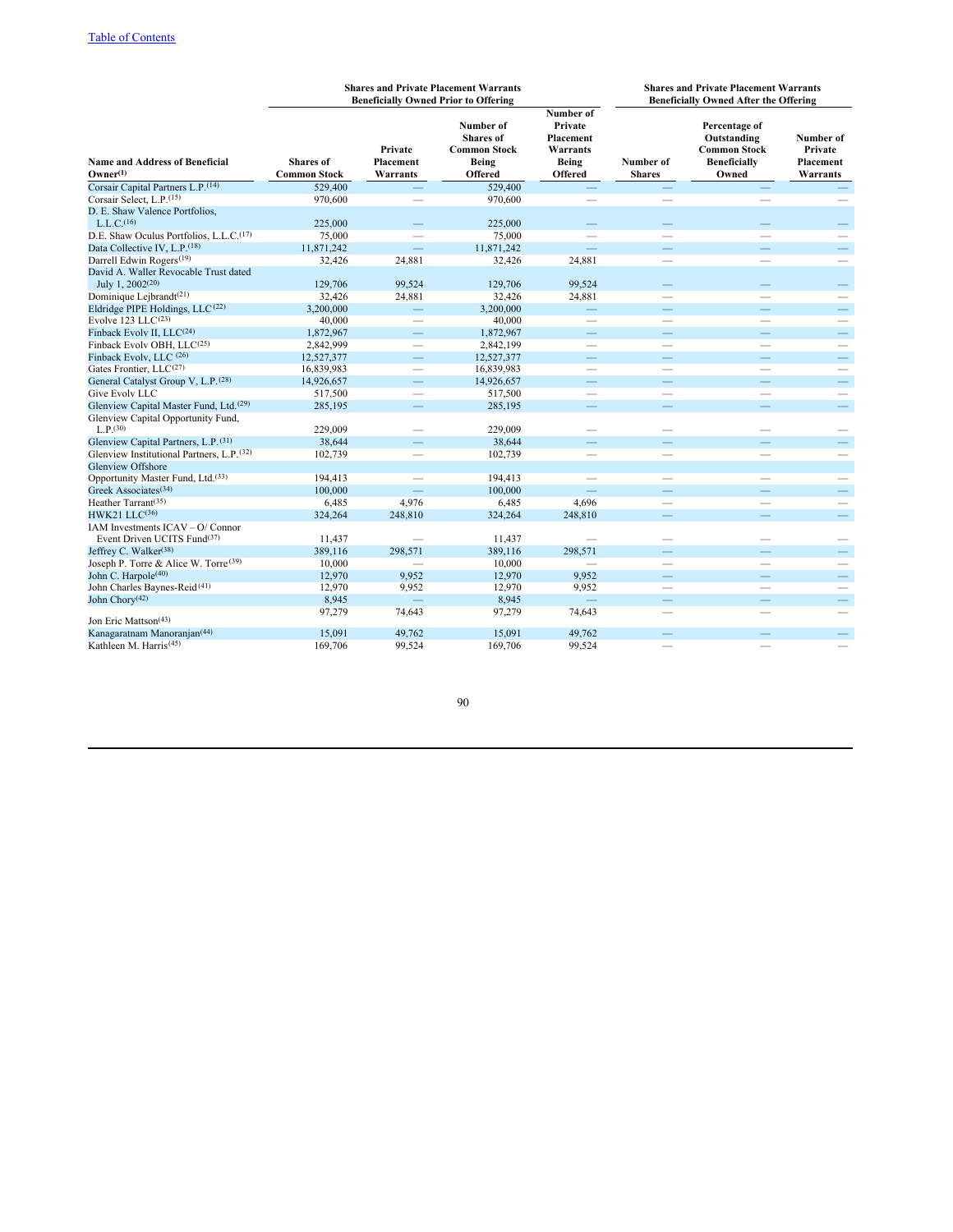|                                                                                     |                                         |                                   | <b>Shares and Private Placement Warrants</b><br><b>Beneficially Owned Prior to Offering</b> |                                                                                                                                                                                                                                | <b>Shares and Private Placement Warrants</b><br><b>Beneficially Owned After the Offering</b> |                                                                                     |                                               |  |
|-------------------------------------------------------------------------------------|-----------------------------------------|-----------------------------------|---------------------------------------------------------------------------------------------|--------------------------------------------------------------------------------------------------------------------------------------------------------------------------------------------------------------------------------|----------------------------------------------------------------------------------------------|-------------------------------------------------------------------------------------|-----------------------------------------------|--|
| <b>Name and Address of Beneficial</b><br>$O$ wner $^{(1)}$                          | <b>Shares</b> of<br><b>Common Stock</b> | Private<br>Placement<br>Warrants  | Number of<br><b>Shares</b> of<br><b>Common Stock</b><br>Being<br><b>Offered</b>             | Number of<br>Private<br>Placement<br>Warrants<br><b>Being</b><br><b>Offered</b>                                                                                                                                                | Number of<br><b>Shares</b>                                                                   | Percentage of<br>Outstanding<br><b>Common Stock</b><br><b>Beneficially</b><br>Owned | Number of<br>Private<br>Placement<br>Warrants |  |
| Corsair Capital Partners L.P. <sup>(14)</sup>                                       | 529,400                                 |                                   | 529,400                                                                                     | —                                                                                                                                                                                                                              |                                                                                              |                                                                                     |                                               |  |
| Corsair Select, L.P. <sup>(15)</sup>                                                | 970,600                                 |                                   | 970,600                                                                                     | $\qquad \qquad$                                                                                                                                                                                                                |                                                                                              |                                                                                     |                                               |  |
| D. E. Shaw Valence Portfolios,<br>L.L.C. <sup>(16)</sup>                            | 225,000                                 |                                   | 225,000                                                                                     |                                                                                                                                                                                                                                |                                                                                              |                                                                                     |                                               |  |
| D.E. Shaw Oculus Portfolios, L.L.C. <sup>(17)</sup>                                 | 75,000                                  |                                   | 75,000                                                                                      | $\qquad \qquad$                                                                                                                                                                                                                | $\qquad \qquad$                                                                              |                                                                                     |                                               |  |
| Data Collective IV, L.P. <sup>(18)</sup>                                            | 11,871,242                              | $\equiv$                          | 11,871,242                                                                                  | $\equiv$                                                                                                                                                                                                                       | $\qquad \qquad -$                                                                            |                                                                                     | $\qquad \qquad -$                             |  |
| Darrell Edwin Rogers <sup>(19)</sup>                                                | 32,426                                  | 24,881                            | 32,426                                                                                      | 24,881                                                                                                                                                                                                                         |                                                                                              | $\qquad \qquad$                                                                     | $\qquad \qquad$                               |  |
| David A. Waller Revocable Trust dated<br>July 1, 2002 <sup>(20)</sup>               | 129,706                                 | 99,524                            | 129,706                                                                                     | 99,524                                                                                                                                                                                                                         |                                                                                              |                                                                                     |                                               |  |
| Dominique Lejbrandt <sup>(21)</sup>                                                 | 32,426                                  | 24,881                            | 32,426                                                                                      | 24,881                                                                                                                                                                                                                         | $\overline{\phantom{a}}$                                                                     | $\overline{\phantom{a}}$                                                            |                                               |  |
| Eldridge PIPE Holdings, LLC <sup>(22)</sup>                                         | 3,200,000                               | $\overline{\phantom{0}}$          | 3,200,000                                                                                   |                                                                                                                                                                                                                                |                                                                                              |                                                                                     | $\overline{\phantom{0}}$                      |  |
| Evolve 123 LLC <sup>(23)</sup>                                                      | 40,000                                  | $\qquad \qquad$                   | 40,000                                                                                      | $\qquad \qquad$                                                                                                                                                                                                                |                                                                                              |                                                                                     |                                               |  |
| Finback Evolv II, LLC <sup>(24)</sup>                                               | 1,872,967                               | $\overline{\phantom{0}}$          | 1,872,967                                                                                   | and the contract of the contract of the contract of the contract of the contract of the contract of the contract of the contract of the contract of the contract of the contract of the contract of the contract of the contra |                                                                                              |                                                                                     | $\qquad \qquad -$                             |  |
| Finback Evolv OBH, LLC(25)                                                          | 2,842,999                               | $\overline{\phantom{0}}$          | 2,842,199                                                                                   |                                                                                                                                                                                                                                |                                                                                              |                                                                                     | $\overline{\phantom{0}}$                      |  |
| Finback Evolv, LLC (26)                                                             | 12,527,377                              | $\qquad \qquad -$                 | 12,527,377                                                                                  | $\equiv$                                                                                                                                                                                                                       | $\qquad \qquad$                                                                              | $\qquad \qquad -$                                                                   | $\overline{\phantom{m}}$                      |  |
| Gates Frontier, LLC(27)                                                             | 16,839,983                              | $\qquad \qquad$                   | 16,839,983                                                                                  | $\qquad \qquad$                                                                                                                                                                                                                | $\overline{\phantom{m}}$                                                                     |                                                                                     | $\hspace{0.1mm}-\hspace{0.1mm}$               |  |
| General Catalyst Group V, L.P. (28)                                                 | 14,926,657                              | $\qquad \qquad -$                 | 14,926,657                                                                                  | $\overline{\phantom{0}}$                                                                                                                                                                                                       |                                                                                              | $\qquad \qquad -$                                                                   | $\overline{\phantom{m}}$                      |  |
| Give Evolv LLC                                                                      | 517,500                                 | $\qquad \qquad$                   | 517,500                                                                                     | $\overline{\phantom{0}}$                                                                                                                                                                                                       | $\frac{1}{2}$                                                                                |                                                                                     | $\overbrace{\qquad \qquad }^{}$               |  |
| Glenview Capital Master Fund, Ltd. <sup>(29)</sup>                                  | 285,195                                 | $\overline{\phantom{0}}$          | 285,195                                                                                     |                                                                                                                                                                                                                                |                                                                                              |                                                                                     | $\qquad \qquad -$                             |  |
| Glenview Capital Opportunity Fund,                                                  |                                         |                                   |                                                                                             |                                                                                                                                                                                                                                |                                                                                              |                                                                                     |                                               |  |
| $L.P.$ <sup>(30)</sup>                                                              | 229,009                                 |                                   | 229,009                                                                                     |                                                                                                                                                                                                                                |                                                                                              |                                                                                     |                                               |  |
| Glenview Capital Partners, L.P. (31)                                                | 38.644                                  |                                   | 38.644                                                                                      |                                                                                                                                                                                                                                |                                                                                              |                                                                                     |                                               |  |
| Glenview Institutional Partners, L.P. (32)                                          | 102,739                                 | $\qquad \qquad$                   | 102,739                                                                                     | $\qquad \qquad$                                                                                                                                                                                                                |                                                                                              |                                                                                     | $\overline{\phantom{m}}$                      |  |
| Glenview Offshore                                                                   |                                         |                                   |                                                                                             |                                                                                                                                                                                                                                |                                                                                              |                                                                                     |                                               |  |
| Opportunity Master Fund, Ltd. <sup>(33)</sup>                                       | 194,413                                 | $\qquad \qquad$                   | 194,413                                                                                     | $\qquad \qquad$                                                                                                                                                                                                                |                                                                                              |                                                                                     | $\qquad \qquad$                               |  |
| Greek Associates <sup>(34)</sup>                                                    | 100,000                                 |                                   | 100,000                                                                                     |                                                                                                                                                                                                                                | $\overline{\phantom{0}}$                                                                     |                                                                                     | $\qquad \qquad -$                             |  |
| Heather Tarrant <sup>(35)</sup>                                                     | 6,485                                   | 4,976                             | 6,485                                                                                       | 4,696                                                                                                                                                                                                                          |                                                                                              | $\overline{\phantom{a}}$                                                            | $\overline{\phantom{m}}$                      |  |
| $HWK21$ $LLC(36)$                                                                   | 324,264                                 | 248,810                           | 324,264                                                                                     | 248,810                                                                                                                                                                                                                        |                                                                                              |                                                                                     | $\qquad \qquad -$                             |  |
| IAM Investments ICAV - O/ Connor                                                    |                                         |                                   |                                                                                             |                                                                                                                                                                                                                                |                                                                                              |                                                                                     |                                               |  |
| Event Driven UCITS Fund <sup>(37)</sup>                                             | 11,437                                  |                                   | 11,437                                                                                      |                                                                                                                                                                                                                                |                                                                                              | -                                                                                   |                                               |  |
| Jeffrey C. Walker <sup>(38)</sup>                                                   | 389,116                                 | 298,571                           | 389,116                                                                                     | 298.571                                                                                                                                                                                                                        | $\overline{\phantom{0}}$                                                                     |                                                                                     | $\qquad \qquad -$                             |  |
| Joseph P. Torre & Alice W. Torre <sup>(39)</sup><br>John C. Harpole <sup>(40)</sup> | 10,000<br>12,970                        | 9,952                             | 10,000                                                                                      | 9,952                                                                                                                                                                                                                          |                                                                                              |                                                                                     | $\qquad \qquad$                               |  |
|                                                                                     |                                         |                                   | 12,970                                                                                      |                                                                                                                                                                                                                                |                                                                                              |                                                                                     | $\overline{\phantom{m}}$                      |  |
| John Charles Baynes-Reid <sup>(41)</sup><br>John Chory <sup>(42)</sup>              | 12,970<br>8,945                         | 9,952<br>$\overline{\phantom{0}}$ | 12,970<br>8,945                                                                             | 9,952<br>$\equiv$                                                                                                                                                                                                              | $\qquad \qquad -$                                                                            | $\qquad \qquad$<br>$\qquad \qquad -$                                                | $\overline{\phantom{m}}$                      |  |
|                                                                                     | 97,279                                  | 74,643                            | 97,279                                                                                      | 74,643                                                                                                                                                                                                                         |                                                                                              | $\overline{\phantom{a}}$                                                            | $\qquad \qquad$                               |  |
| Jon Eric Mattson <sup>(43)</sup>                                                    |                                         |                                   |                                                                                             |                                                                                                                                                                                                                                |                                                                                              |                                                                                     |                                               |  |
| Kanagaratnam Manoranjan <sup>(44)</sup>                                             | 15,091                                  | 49,762                            | 15,091                                                                                      | 49,762                                                                                                                                                                                                                         |                                                                                              |                                                                                     |                                               |  |
| Kathleen M. Harris <sup>(45)</sup>                                                  | 169,706                                 | 99,524                            | 169,706                                                                                     | 99,524                                                                                                                                                                                                                         |                                                                                              |                                                                                     |                                               |  |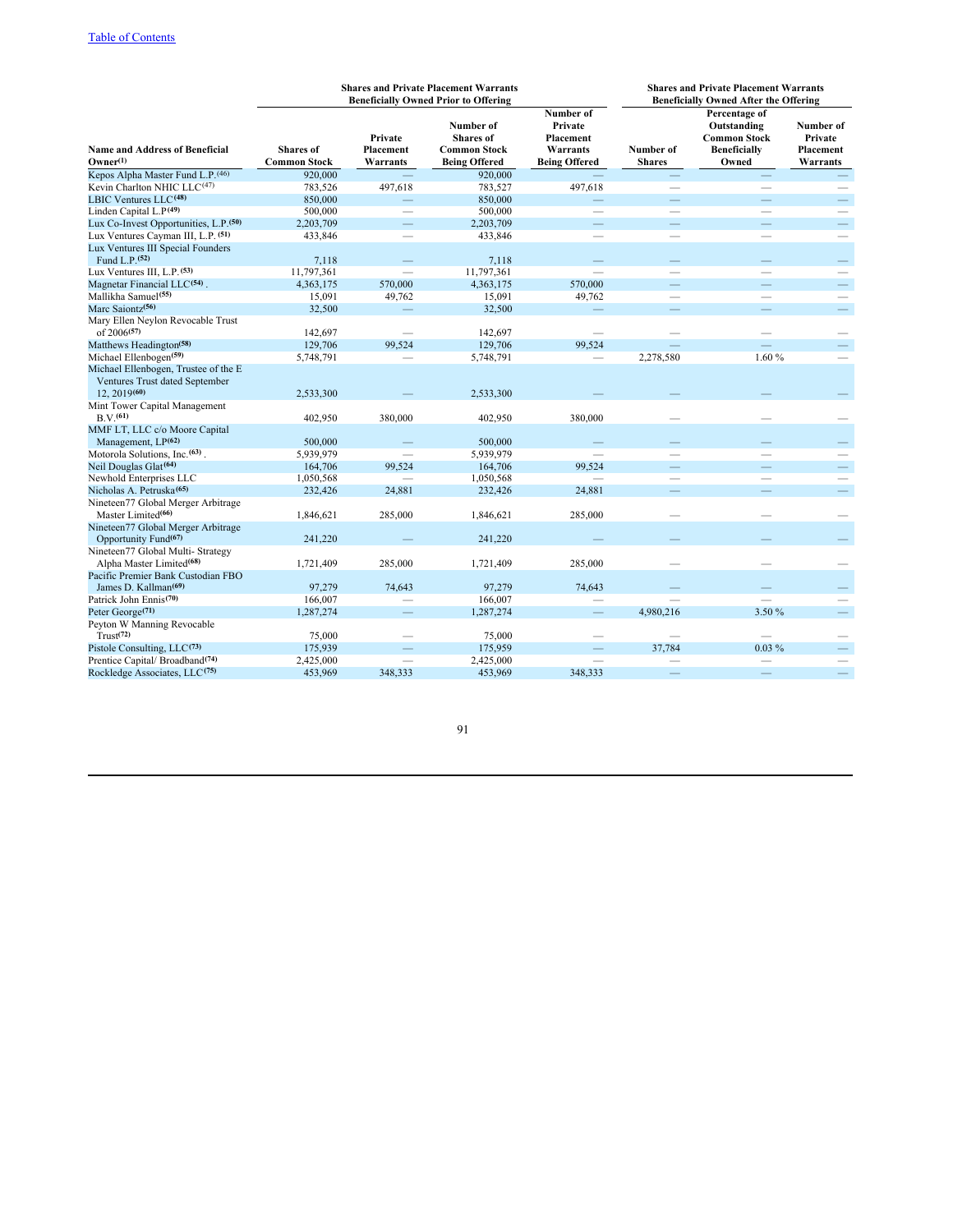|                                                                                        |                                         |                                  | <b>Shares and Private Placement Warrants</b><br><b>Beneficially Owned Prior to Offering</b> |                                                                       | <b>Shares and Private Placement Warrants</b><br><b>Beneficially Owned After the Offering</b> |                                                                                     |                                               |  |
|----------------------------------------------------------------------------------------|-----------------------------------------|----------------------------------|---------------------------------------------------------------------------------------------|-----------------------------------------------------------------------|----------------------------------------------------------------------------------------------|-------------------------------------------------------------------------------------|-----------------------------------------------|--|
| <b>Name and Address of Beneficial</b><br>$O$ wner $^{(1)}$                             | <b>Shares</b> of<br><b>Common Stock</b> | Private<br>Placement<br>Warrants | Number of<br><b>Shares</b> of<br><b>Common Stock</b><br><b>Being Offered</b>                | Number of<br>Private<br>Placement<br>Warrants<br><b>Being Offered</b> | Number of<br><b>Shares</b>                                                                   | Percentage of<br>Outstanding<br><b>Common Stock</b><br><b>Beneficially</b><br>Owned | Number of<br>Private<br>Placement<br>Warrants |  |
| Kepos Alpha Master Fund L.P. (46)                                                      | 920,000                                 |                                  | 920,000                                                                                     |                                                                       |                                                                                              |                                                                                     |                                               |  |
| Kevin Charlton NHIC LLC $(47)$                                                         | 783,526                                 | 497,618                          | 783,527                                                                                     | 497,618                                                               | $\qquad \qquad$                                                                              |                                                                                     |                                               |  |
| LBIC Ventures LLC <sup>(48)</sup>                                                      | 850,000                                 | $\overline{\phantom{0}}$         | 850,000                                                                                     |                                                                       | $\equiv$                                                                                     |                                                                                     | $\equiv$                                      |  |
| Linden Capital $L.P(49)$                                                               | 500,000                                 | $\overline{\phantom{0}}$         | 500,000                                                                                     |                                                                       | $\overline{\phantom{0}}$                                                                     |                                                                                     |                                               |  |
| Lux Co-Invest Opportunities, L.P. <sup>(50)</sup>                                      | 2,203,709                               |                                  | 2,203,709                                                                                   |                                                                       |                                                                                              |                                                                                     | $\qquad \qquad -$                             |  |
| Lux Ventures Cayman III, L.P. (51)                                                     | 433,846                                 | $\overline{\phantom{0}}$         | 433,846                                                                                     |                                                                       |                                                                                              | $\overline{\phantom{0}}$                                                            |                                               |  |
| Lux Ventures III Special Founders                                                      |                                         |                                  |                                                                                             |                                                                       |                                                                                              |                                                                                     |                                               |  |
| Fund L.P. <sup>(52)</sup>                                                              | 7,118                                   |                                  | 7,118                                                                                       |                                                                       |                                                                                              |                                                                                     |                                               |  |
| Lux Ventures III, L.P. <sup>(53)</sup>                                                 | 11,797,361                              | $\overline{\phantom{0}}$         | 11,797,361                                                                                  |                                                                       |                                                                                              | $\overline{\phantom{a}}$                                                            | $\qquad \qquad$                               |  |
| Magnetar Financial LLC <sup>(54)</sup> .                                               | 4,363,175                               | 570,000                          | 4,363,175                                                                                   | 570,000                                                               | $\equiv$                                                                                     | $\equiv$                                                                            | $\overline{\phantom{m}}$                      |  |
| Mallikha Samuel <sup>(55)</sup>                                                        | 15,091                                  | 49,762                           | 15,091                                                                                      | 49,762                                                                | $\qquad \qquad$                                                                              | $\overline{\phantom{0}}$                                                            | $\qquad \qquad$                               |  |
| Marc Saiontz <sup>(56)</sup>                                                           | 32,500                                  |                                  | 32,500                                                                                      |                                                                       | $\equiv$                                                                                     | $\equiv$                                                                            | $\overline{\phantom{m}}$                      |  |
| Mary Ellen Neylon Revocable Trust                                                      |                                         |                                  |                                                                                             |                                                                       |                                                                                              |                                                                                     |                                               |  |
| of 2006 <sup>(57)</sup>                                                                | 142,697                                 |                                  | 142,697                                                                                     |                                                                       |                                                                                              |                                                                                     |                                               |  |
| Matthews Headington <sup>(58)</sup>                                                    | 129,706                                 | 99.524                           | 129,706                                                                                     | 99.524                                                                |                                                                                              |                                                                                     |                                               |  |
| Michael Ellenbogen <sup>(59)</sup>                                                     | 5,748,791                               |                                  | 5,748,791                                                                                   |                                                                       | 2,278,580                                                                                    | 1.60%                                                                               |                                               |  |
| Michael Ellenbogen, Trustee of the E<br>Ventures Trust dated September<br>12, 2019(60) | 2,533,300                               |                                  | 2,533,300                                                                                   |                                                                       |                                                                                              |                                                                                     |                                               |  |
| Mint Tower Capital Management<br>B.V.(61)                                              | 402,950                                 | 380,000                          | 402,950                                                                                     | 380,000                                                               |                                                                                              |                                                                                     |                                               |  |
| MMF LT, LLC c/o Moore Capital<br>Management, LP <sup>(62)</sup>                        | 500,000                                 |                                  | 500,000                                                                                     |                                                                       |                                                                                              |                                                                                     |                                               |  |
| Motorola Solutions, Inc. <sup>(63)</sup> .                                             | 5,939,979                               |                                  | 5,939,979                                                                                   |                                                                       |                                                                                              |                                                                                     |                                               |  |
| Neil Douglas Glat <sup>(64)</sup>                                                      | 164,706                                 | 99,524                           | 164,706                                                                                     | 99,524                                                                | $\equiv$                                                                                     | $\overline{\phantom{0}}$                                                            | $\equiv$                                      |  |
| Newhold Enterprises LLC                                                                | 1,050,568                               |                                  | 1,050,568                                                                                   |                                                                       |                                                                                              |                                                                                     |                                               |  |
| Nicholas A. Petruska <sup>(65)</sup>                                                   | 232,426                                 | 24,881                           | 232,426                                                                                     | 24,881                                                                |                                                                                              |                                                                                     | $\qquad \qquad -$                             |  |
| Nineteen77 Global Merger Arbitrage<br>Master Limited <sup>(66)</sup>                   | 1,846,621                               | 285,000                          | 1,846,621                                                                                   | 285,000                                                               |                                                                                              |                                                                                     |                                               |  |
| Nineteen77 Global Merger Arbitrage<br>Opportunity Fund <sup>(67)</sup>                 | 241,220                                 |                                  | 241,220                                                                                     |                                                                       |                                                                                              |                                                                                     |                                               |  |
| Nineteen77 Global Multi- Strategy<br>Alpha Master Limited <sup>(68)</sup>              | 1,721,409                               | 285,000                          | 1,721,409                                                                                   | 285,000                                                               |                                                                                              |                                                                                     |                                               |  |
| Pacific Premier Bank Custodian FBO<br>James D. Kallman <sup>(69)</sup>                 | 97,279                                  | 74,643                           | 97.279                                                                                      | 74,643                                                                |                                                                                              |                                                                                     |                                               |  |
| Patrick John Ennis <sup>(70)</sup>                                                     | 166,007                                 |                                  | 166,007                                                                                     |                                                                       |                                                                                              |                                                                                     |                                               |  |
| Peter George <sup>(71)</sup>                                                           | 1,287,274                               |                                  | 1,287,274                                                                                   | $\overline{\phantom{0}}$                                              | 4,980,216                                                                                    | 3.50 %                                                                              |                                               |  |
| Peyton W Manning Revocable                                                             |                                         |                                  |                                                                                             |                                                                       |                                                                                              |                                                                                     |                                               |  |
| Trust <sup>(72)</sup>                                                                  | 75,000                                  |                                  | 75,000                                                                                      |                                                                       |                                                                                              |                                                                                     |                                               |  |
| Pistole Consulting, LLC(73)                                                            | 175,939                                 |                                  | 175,959                                                                                     |                                                                       | 37,784                                                                                       | $0.03\%$                                                                            | $\qquad \qquad -$                             |  |
| Prentice Capital/Broadband <sup>(74)</sup>                                             | 2,425,000                               |                                  | 2,425,000                                                                                   |                                                                       |                                                                                              |                                                                                     |                                               |  |
| Rockledge Associates, LLC <sup>(75)</sup>                                              | 453,969                                 | 348.333                          | 453,969                                                                                     | 348.333                                                               |                                                                                              |                                                                                     |                                               |  |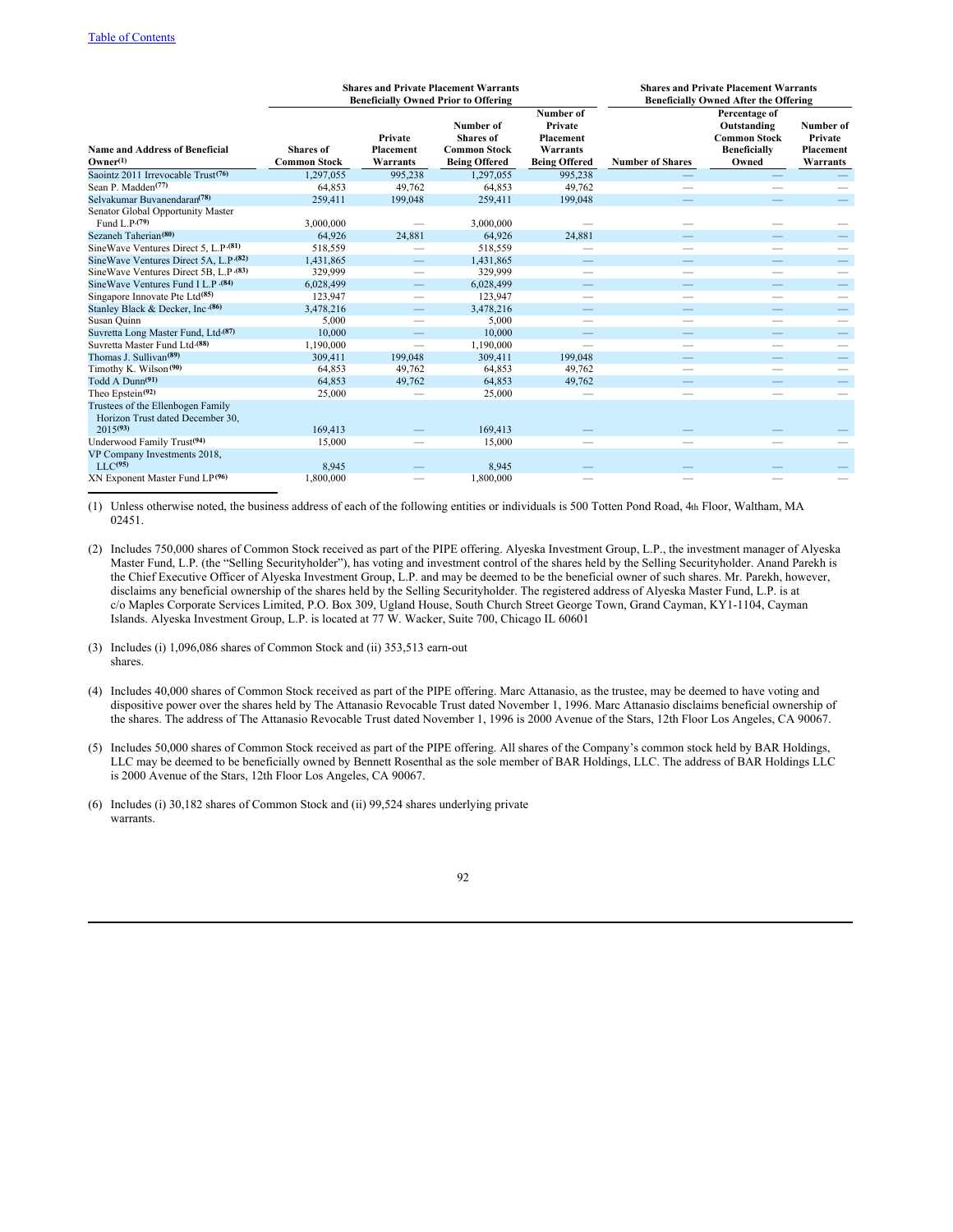|                                                                                        | <b>Shares and Private Placement Warrants</b><br><b>Beneficially Owned Prior to Offering</b> |                                  |                                                                              |                                                                       | <b>Shares and Private Placement Warrants</b><br><b>Beneficially Owned After the Offering</b> |                                                                                     |                                                      |
|----------------------------------------------------------------------------------------|---------------------------------------------------------------------------------------------|----------------------------------|------------------------------------------------------------------------------|-----------------------------------------------------------------------|----------------------------------------------------------------------------------------------|-------------------------------------------------------------------------------------|------------------------------------------------------|
| <b>Name and Address of Beneficial</b><br>$O$ wner $^{(1)}$                             | <b>Shares</b> of<br><b>Common Stock</b>                                                     | Private<br>Placement<br>Warrants | Number of<br><b>Shares</b> of<br><b>Common Stock</b><br><b>Being Offered</b> | Number of<br>Private<br>Placement<br>Warrants<br><b>Being Offered</b> | <b>Number of Shares</b>                                                                      | Percentage of<br>Outstanding<br><b>Common Stock</b><br><b>Beneficially</b><br>Owned | Number of<br>Private<br><b>Placement</b><br>Warrants |
| Saointz 2011 Irrevocable Trust <sup>(76)</sup>                                         | 1,297,055                                                                                   | 995,238                          | 1,297,055                                                                    | 995,238                                                               |                                                                                              |                                                                                     |                                                      |
| Sean P. Madden <sup>(77)</sup>                                                         | 64,853                                                                                      | 49,762                           | 64,853                                                                       | 49,762                                                                |                                                                                              |                                                                                     |                                                      |
| Selvakumar Buvanendaran <sup>(78)</sup>                                                | 259,411                                                                                     | 199,048                          | 259,411                                                                      | 199,048                                                               |                                                                                              |                                                                                     |                                                      |
| Senator Global Opportunity Master<br>Fund L.P.(79)                                     | 3,000,000                                                                                   |                                  | 3,000,000                                                                    |                                                                       |                                                                                              |                                                                                     |                                                      |
| Sezaneh Taherian <sup>(80)</sup>                                                       | 64,926                                                                                      | 24,881                           | 64,926                                                                       | 24,881                                                                |                                                                                              |                                                                                     |                                                      |
| SineWave Ventures Direct 5, L.P. (81)                                                  | 518,559                                                                                     |                                  | 518,559                                                                      |                                                                       |                                                                                              |                                                                                     |                                                      |
| SineWave Ventures Direct 5A, L.P. (82)                                                 | 1,431,865                                                                                   | —                                | 1,431,865                                                                    |                                                                       |                                                                                              |                                                                                     | -                                                    |
| SineWave Ventures Direct 5B, L.P. (83)                                                 | 329,999                                                                                     | $\overline{\phantom{0}}$         | 329,999                                                                      |                                                                       |                                                                                              |                                                                                     |                                                      |
| Sine Wave Ventures Fund I L.P . (84)                                                   | 6,028,499                                                                                   | —                                | 6,028,499                                                                    |                                                                       |                                                                                              |                                                                                     | $\qquad \qquad -$                                    |
| Singapore Innovate Pte Ltd <sup>(85)</sup>                                             | 123,947                                                                                     |                                  | 123,947                                                                      |                                                                       | -                                                                                            |                                                                                     |                                                      |
| Stanley Black & Decker, Inc.(86)                                                       | 3,478,216                                                                                   | $\overline{\phantom{0}}$         | 3,478,216                                                                    |                                                                       |                                                                                              |                                                                                     | $\overline{\phantom{0}}$                             |
| Susan Quinn                                                                            | 5,000                                                                                       |                                  | 5,000                                                                        |                                                                       |                                                                                              |                                                                                     |                                                      |
| Suvretta Long Master Fund, Ltd <sup>.(87)</sup>                                        | 10,000                                                                                      |                                  | 10,000                                                                       |                                                                       |                                                                                              |                                                                                     |                                                      |
| Suvretta Master Fund Ltd. (88)                                                         | 1,190,000                                                                                   | $\overline{\phantom{0}}$         | 1,190,000                                                                    |                                                                       |                                                                                              |                                                                                     |                                                      |
| Thomas J. Sullivan <sup>(89)</sup>                                                     | 309,411                                                                                     | 199,048                          | 309,411                                                                      | 199,048                                                               |                                                                                              |                                                                                     |                                                      |
| Timothy K. Wilson <sup>(90)</sup>                                                      | 64,853                                                                                      | 49,762                           | 64,853                                                                       | 49.762                                                                |                                                                                              |                                                                                     |                                                      |
| Todd A Dunn <sup>(91)</sup>                                                            | 64,853                                                                                      | 49,762                           | 64,853                                                                       | 49,762                                                                |                                                                                              |                                                                                     |                                                      |
| Theo Epstein <sup>(92)</sup>                                                           | 25,000                                                                                      |                                  | 25,000                                                                       |                                                                       |                                                                                              |                                                                                     |                                                      |
| Trustees of the Ellenbogen Family<br>Horizon Trust dated December 30,<br>$2015^{(93)}$ | 169,413                                                                                     |                                  | 169,413                                                                      |                                                                       |                                                                                              |                                                                                     |                                                      |
| Underwood Family Trust <sup>(94)</sup>                                                 | 15,000                                                                                      |                                  | 15,000                                                                       |                                                                       |                                                                                              |                                                                                     |                                                      |
| VP Company Investments 2018,<br>$LLC$ <sup>(95)</sup>                                  | 8,945                                                                                       |                                  | 8,945                                                                        |                                                                       |                                                                                              |                                                                                     |                                                      |
| XN Exponent Master Fund LP <sup>(96)</sup>                                             | 1,800,000                                                                                   |                                  | 1,800,000                                                                    |                                                                       |                                                                                              |                                                                                     |                                                      |

(1) Unless otherwise noted, the business address of each of the following entities or individuals is 500 Totten Pond Road, 4th Floor, Waltham, MA 02451.

- (2) Includes 750,000 shares of Common Stock received as part of the PIPE offering. Alyeska Investment Group, L.P., the investment manager of Alyeska Master Fund, L.P. (the "Selling Securityholder"), has voting and investment control of the shares held by the Selling Securityholder. Anand Parekh is the Chief Executive Officer of Alyeska Investment Group, L.P. and may be deemed to be the beneficial owner of such shares. Mr. Parekh, however, disclaims any beneficial ownership of the shares held by the Selling Securityholder. The registered address of Alyeska Master Fund, L.P. is at c/o Maples Corporate Services Limited, P.O. Box 309, Ugland House, South Church Street George Town, Grand Cayman, KY1-1104, Cayman Islands. Alyeska Investment Group, L.P. is located at 77 W. Wacker, Suite 700, Chicago IL 60601
- (3) Includes (i) 1,096,086 shares of Common Stock and (ii) 353,513 earn-out shares.
- (4) Includes 40,000 shares of Common Stock received as part of the PIPE offering. Marc Attanasio, as the trustee, may be deemed to have voting and dispositive power over the shares held by The Attanasio Revocable Trust dated November 1, 1996. Marc Attanasio disclaims beneficial ownership of the shares. The address of The Attanasio Revocable Trust dated November 1, 1996 is 2000 Avenue of the Stars, 12th Floor Los Angeles, CA 90067.
- (5) Includes 50,000 shares of Common Stock received as part of the PIPE offering. All shares of the Company's common stock held by BAR Holdings, LLC may be deemed to be beneficially owned by Bennett Rosenthal as the sole member of BAR Holdings, LLC. The address of BAR Holdings LLC is 2000 Avenue of the Stars, 12th Floor Los Angeles, CA 90067.
- (6) Includes (i) 30,182 shares of Common Stock and (ii) 99,524 shares underlying private warrants.

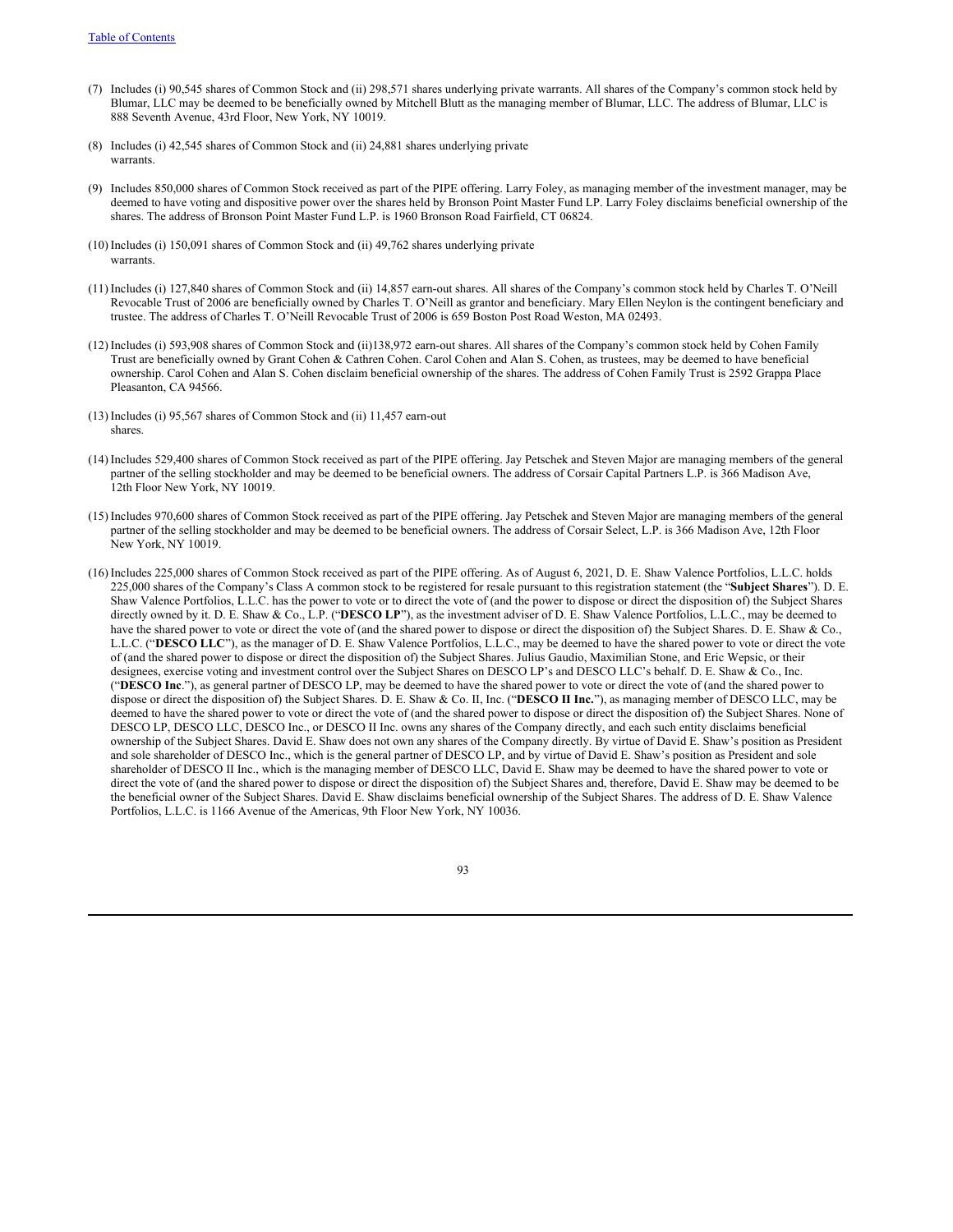- (7) Includes (i) 90,545 shares of Common Stock and (ii) 298,571 shares underlying private warrants. All shares of the Company's common stock held by Blumar, LLC may be deemed to be beneficially owned by Mitchell Blutt as the managing member of Blumar, LLC. The address of Blumar, LLC is 888 Seventh Avenue, 43rd Floor, New York, NY 10019.
- (8) Includes (i) 42,545 shares of Common Stock and (ii) 24,881 shares underlying private warrants.
- (9) Includes 850,000 shares of Common Stock received as part of the PIPE offering. Larry Foley, as managing member of the investment manager, may be deemed to have voting and dispositive power over the shares held by Bronson Point Master Fund LP. Larry Foley disclaims beneficial ownership of the shares. The address of Bronson Point Master Fund L.P. is 1960 Bronson Road Fairfield, CT 06824.
- (10) Includes (i) 150,091 shares of Common Stock and (ii) 49,762 shares underlying private warrants.
- (11) Includes (i) 127,840 shares of Common Stock and (ii) 14,857 earn-out shares. All shares of the Company's common stock held by Charles T. O'Neill Revocable Trust of 2006 are beneficially owned by Charles T. O'Neill as grantor and beneficiary. Mary Ellen Neylon is the contingent beneficiary and trustee. The address of Charles T. O'Neill Revocable Trust of 2006 is 659 Boston Post Road Weston, MA 02493.
- (12) Includes (i) 593,908 shares of Common Stock and (ii)138,972 earn-out shares. All shares of the Company's common stock held by Cohen Family Trust are beneficially owned by Grant Cohen & Cathren Cohen. Carol Cohen and Alan S. Cohen, as trustees, may be deemed to have beneficial ownership. Carol Cohen and Alan S. Cohen disclaim beneficial ownership of the shares. The address of Cohen Family Trust is 2592 Grappa Place Pleasanton, CA 94566.
- (13) Includes (i) 95,567 shares of Common Stock and (ii) 11,457 earn-out shares.
- (14) Includes 529,400 shares of Common Stock received as part of the PIPE offering. Jay Petschek and Steven Major are managing members of the general partner of the selling stockholder and may be deemed to be beneficial owners. The address of Corsair Capital Partners L.P. is 366 Madison Ave, 12th Floor New York, NY 10019.
- (15) Includes 970,600 shares of Common Stock received as part of the PIPE offering. Jay Petschek and Steven Major are managing members of the general partner of the selling stockholder and may be deemed to be beneficial owners. The address of Corsair Select, L.P. is 366 Madison Ave, 12th Floor New York, NY 10019.
- (16) Includes 225,000 shares of Common Stock received as part of the PIPE offering. As of August 6, 2021, D. E. Shaw Valence Portfolios, L.L.C. holds 225,000 shares of the Company's Class A common stock to be registered for resale pursuant to this registration statement (the "**Subject Shares**"). D. E. Shaw Valence Portfolios, L.L.C. has the power to vote or to direct the vote of (and the power to dispose or direct the disposition of) the Subject Shares directly owned by it. D. E. Shaw & Co., L.P. ("**DESCO LP**"), as the investment adviser of D. E. Shaw Valence Portfolios, L.L.C., may be deemed to have the shared power to vote or direct the vote of (and the shared power to dispose or direct the disposition of) the Subject Shares. D. E. Shaw & Co., L.L.C. ("**DESCO LLC**"), as the manager of D. E. Shaw Valence Portfolios, L.L.C., may be deemed to have the shared power to vote or direct the vote of (and the shared power to dispose or direct the disposition of) the Subject Shares. Julius Gaudio, Maximilian Stone, and Eric Wepsic, or their designees, exercise voting and investment control over the Subject Shares on DESCO LP's and DESCO LLC's behalf. D. E. Shaw & Co., Inc. ("**DESCO Inc**."), as general partner of DESCO LP, may be deemed to have the shared power to vote or direct the vote of (and the shared power to dispose or direct the disposition of) the Subject Shares. D. E. Shaw & Co. II, Inc. ("**DESCO II Inc.**"), as managing member of DESCO LLC, may be deemed to have the shared power to vote or direct the vote of (and the shared power to dispose or direct the disposition of) the Subject Shares. None of DESCO LP, DESCO LLC, DESCO Inc., or DESCO II Inc. owns any shares of the Company directly, and each such entity disclaims beneficial ownership of the Subject Shares. David E. Shaw does not own any shares of the Company directly. By virtue of David E. Shaw's position as President and sole shareholder of DESCO Inc., which is the general partner of DESCO LP, and by virtue of David E. Shaw's position as President and sole shareholder of DESCO II Inc., which is the managing member of DESCO LLC, David E. Shaw may be deemed to have the shared power to vote or direct the vote of (and the shared power to dispose or direct the disposition of) the Subject Shares and, therefore, David E. Shaw may be deemed to be the beneficial owner of the Subject Shares. David E. Shaw disclaims beneficial ownership of the Subject Shares. The address of D. E. Shaw Valence Portfolios, L.L.C. is 1166 Avenue of the Americas, 9th Floor New York, NY 10036.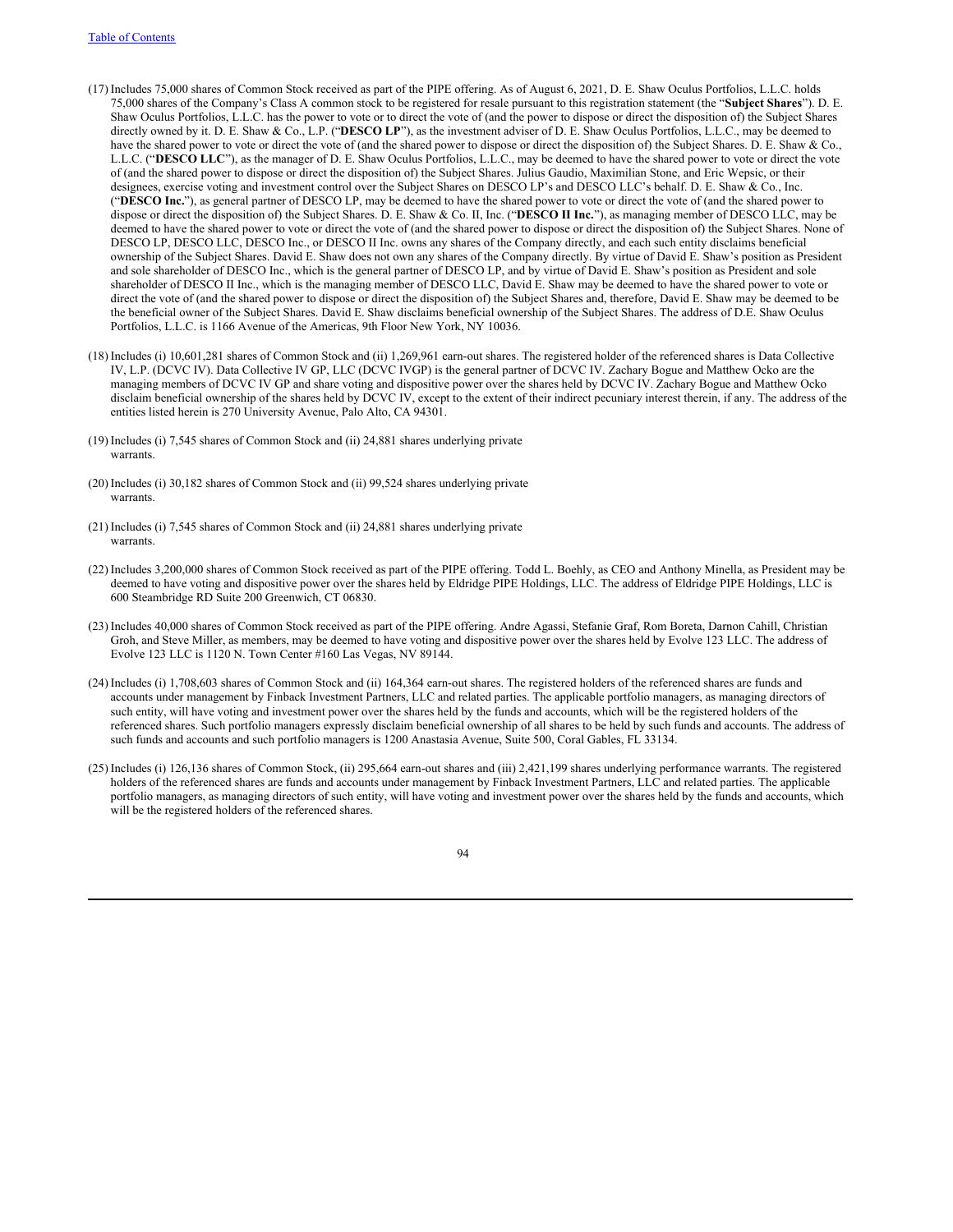- (17) Includes 75,000 shares of Common Stock received as part of the PIPE offering. As of August 6, 2021, D. E. Shaw Oculus Portfolios, L.L.C. holds 75,000 shares of the Company's Class A common stock to be registered for resale pursuant to this registration statement (the "**Subject Shares**"). D. E. Shaw Oculus Portfolios, L.L.C. has the power to vote or to direct the vote of (and the power to dispose or direct the disposition of) the Subject Shares directly owned by it. D. E. Shaw & Co., L.P. ("**DESCO LP**"), as the investment adviser of D. E. Shaw Oculus Portfolios, L.L.C., may be deemed to have the shared power to vote or direct the vote of (and the shared power to dispose or direct the disposition of) the Subject Shares. D. E. Shaw & Co., L.L.C. ("**DESCO LLC**"), as the manager of D. E. Shaw Oculus Portfolios, L.L.C., may be deemed to have the shared power to vote or direct the vote of (and the shared power to dispose or direct the disposition of) the Subject Shares. Julius Gaudio, Maximilian Stone, and Eric Wepsic, or their designees, exercise voting and investment control over the Subject Shares on DESCO LP's and DESCO LLC's behalf. D. E. Shaw & Co., Inc. ("**DESCO Inc.**"), as general partner of DESCO LP, may be deemed to have the shared power to vote or direct the vote of (and the shared power to dispose or direct the disposition of) the Subject Shares. D. E. Shaw & Co. II, Inc. ("**DESCO II Inc.**"), as managing member of DESCO LLC, may be deemed to have the shared power to vote or direct the vote of (and the shared power to dispose or direct the disposition of) the Subject Shares. None of DESCO LP, DESCO LLC, DESCO Inc., or DESCO II Inc. owns any shares of the Company directly, and each such entity disclaims beneficial ownership of the Subject Shares. David E. Shaw does not own any shares of the Company directly. By virtue of David E. Shaw's position as President and sole shareholder of DESCO Inc., which is the general partner of DESCO LP, and by virtue of David E. Shaw's position as President and sole shareholder of DESCO II Inc., which is the managing member of DESCO LLC, David E. Shaw may be deemed to have the shared power to vote or direct the vote of (and the shared power to dispose or direct the disposition of) the Subject Shares and, therefore, David E. Shaw may be deemed to be the beneficial owner of the Subject Shares. David E. Shaw disclaims beneficial ownership of the Subject Shares. The address of D.E. Shaw Oculus Portfolios, L.L.C. is 1166 Avenue of the Americas, 9th Floor New York, NY 10036.
- (18) Includes (i) 10,601,281 shares of Common Stock and (ii) 1,269,961 earn-out shares. The registered holder of the referenced shares is Data Collective IV, L.P. (DCVC IV). Data Collective IV GP, LLC (DCVC IVGP) is the general partner of DCVC IV. Zachary Bogue and Matthew Ocko are the managing members of DCVC IV GP and share voting and dispositive power over the shares held by DCVC IV. Zachary Bogue and Matthew Ocko disclaim beneficial ownership of the shares held by DCVC IV, except to the extent of their indirect pecuniary interest therein, if any. The address of the entities listed herein is 270 University Avenue, Palo Alto, CA 94301.
- (19) Includes (i) 7,545 shares of Common Stock and (ii) 24,881 shares underlying private warrants.
- (20) Includes (i) 30,182 shares of Common Stock and (ii) 99,524 shares underlying private warrants.
- (21) Includes (i) 7,545 shares of Common Stock and (ii) 24,881 shares underlying private warrants.
- (22) Includes 3,200,000 shares of Common Stock received as part of the PIPE offering. Todd L. Boehly, as CEO and Anthony Minella, as President may be deemed to have voting and dispositive power over the shares held by Eldridge PIPE Holdings, LLC. The address of Eldridge PIPE Holdings, LLC is 600 Steambridge RD Suite 200 Greenwich, CT 06830.
- (23) Includes 40,000 shares of Common Stock received as part of the PIPE offering. Andre Agassi, Stefanie Graf, Rom Boreta, Darnon Cahill, Christian Groh, and Steve Miller, as members, may be deemed to have voting and dispositive power over the shares held by Evolve 123 LLC. The address of Evolve 123 LLC is 1120 N. Town Center #160 Las Vegas, NV 89144.
- (24) Includes (i) 1,708,603 shares of Common Stock and (ii) 164,364 earn-out shares. The registered holders of the referenced shares are funds and accounts under management by Finback Investment Partners, LLC and related parties. The applicable portfolio managers, as managing directors of such entity, will have voting and investment power over the shares held by the funds and accounts, which will be the registered holders of the referenced shares. Such portfolio managers expressly disclaim beneficial ownership of all shares to be held by such funds and accounts. The address of such funds and accounts and such portfolio managers is 1200 Anastasia Avenue, Suite 500, Coral Gables, FL 33134.
- (25) Includes (i) 126,136 shares of Common Stock, (ii) 295,664 earn-out shares and (iii) 2,421,199 shares underlying performance warrants. The registered holders of the referenced shares are funds and accounts under management by Finback Investment Partners, LLC and related parties. The applicable portfolio managers, as managing directors of such entity, will have voting and investment power over the shares held by the funds and accounts, which will be the registered holders of the referenced shares.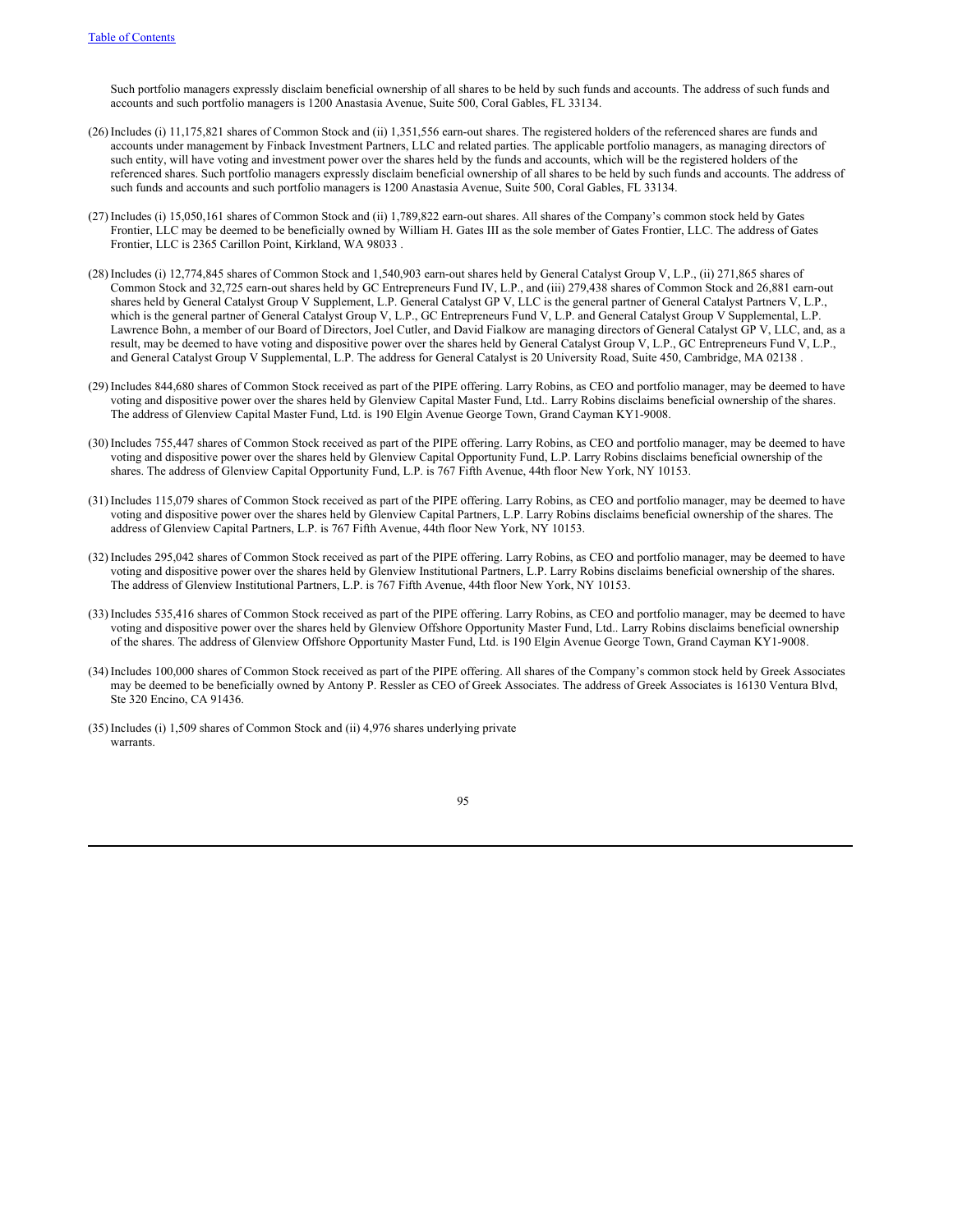Such portfolio managers expressly disclaim beneficial ownership of all shares to be held by such funds and accounts. The address of such funds and accounts and such portfolio managers is 1200 Anastasia Avenue, Suite 500, Coral Gables, FL 33134.

- (26) Includes (i) 11,175,821 shares of Common Stock and (ii) 1,351,556 earn-out shares. The registered holders of the referenced shares are funds and accounts under management by Finback Investment Partners, LLC and related parties. The applicable portfolio managers, as managing directors of such entity, will have voting and investment power over the shares held by the funds and accounts, which will be the registered holders of the referenced shares. Such portfolio managers expressly disclaim beneficial ownership of all shares to be held by such funds and accounts. The address of such funds and accounts and such portfolio managers is 1200 Anastasia Avenue, Suite 500, Coral Gables, FL 33134.
- (27) Includes (i) 15,050,161 shares of Common Stock and (ii) 1,789,822 earn-out shares. All shares of the Company's common stock held by Gates Frontier, LLC may be deemed to be beneficially owned by William H. Gates III as the sole member of Gates Frontier, LLC. The address of Gates Frontier, LLC is 2365 Carillon Point, Kirkland, WA 98033 .
- (28) Includes (i) 12,774,845 shares of Common Stock and 1,540,903 earn-out shares held by General Catalyst Group V, L.P., (ii) 271,865 shares of Common Stock and 32,725 earn-out shares held by GC Entrepreneurs Fund IV, L.P., and (iii) 279,438 shares of Common Stock and 26,881 earn-out shares held by General Catalyst Group V Supplement, L.P. General Catalyst GP V, LLC is the general partner of General Catalyst Partners V, L.P., which is the general partner of General Catalyst Group V, L.P., GC Entrepreneurs Fund V, L.P. and General Catalyst Group V Supplemental, L.P. Lawrence Bohn, a member of our Board of Directors, Joel Cutler, and David Fialkow are managing directors of General Catalyst GP V, LLC, and, as a result, may be deemed to have voting and dispositive power over the shares held by General Catalyst Group V, L.P., GC Entrepreneurs Fund V, L.P., and General Catalyst Group V Supplemental, L.P. The address for General Catalyst is 20 University Road, Suite 450, Cambridge, MA 02138 .
- (29) Includes 844,680 shares of Common Stock received as part of the PIPE offering. Larry Robins, as CEO and portfolio manager, may be deemed to have voting and dispositive power over the shares held by Glenview Capital Master Fund, Ltd.. Larry Robins disclaims beneficial ownership of the shares. The address of Glenview Capital Master Fund, Ltd. is 190 Elgin Avenue George Town, Grand Cayman KY1-9008.
- (30) Includes 755,447 shares of Common Stock received as part of the PIPE offering. Larry Robins, as CEO and portfolio manager, may be deemed to have voting and dispositive power over the shares held by Glenview Capital Opportunity Fund, L.P. Larry Robins disclaims beneficial ownership of the shares. The address of Glenview Capital Opportunity Fund, L.P. is 767 Fifth Avenue, 44th floor New York, NY 10153.
- (31) Includes 115,079 shares of Common Stock received as part of the PIPE offering. Larry Robins, as CEO and portfolio manager, may be deemed to have voting and dispositive power over the shares held by Glenview Capital Partners, L.P. Larry Robins disclaims beneficial ownership of the shares. The address of Glenview Capital Partners, L.P. is 767 Fifth Avenue, 44th floor New York, NY 10153.
- (32) Includes 295,042 shares of Common Stock received as part of the PIPE offering. Larry Robins, as CEO and portfolio manager, may be deemed to have voting and dispositive power over the shares held by Glenview Institutional Partners, L.P. Larry Robins disclaims beneficial ownership of the shares. The address of Glenview Institutional Partners, L.P. is 767 Fifth Avenue, 44th floor New York, NY 10153.
- (33) Includes 535,416 shares of Common Stock received as part of the PIPE offering. Larry Robins, as CEO and portfolio manager, may be deemed to have voting and dispositive power over the shares held by Glenview Offshore Opportunity Master Fund, Ltd.. Larry Robins disclaims beneficial ownership of the shares. The address of Glenview Offshore Opportunity Master Fund, Ltd. is 190 Elgin Avenue George Town, Grand Cayman KY1-9008.
- (34) Includes 100,000 shares of Common Stock received as part of the PIPE offering. All shares of the Company's common stock held by Greek Associates may be deemed to be beneficially owned by Antony P. Ressler as CEO of Greek Associates. The address of Greek Associates is 16130 Ventura Blvd, Ste 320 Encino, CA 91436.
- (35) Includes (i) 1,509 shares of Common Stock and (ii) 4,976 shares underlying private warrants.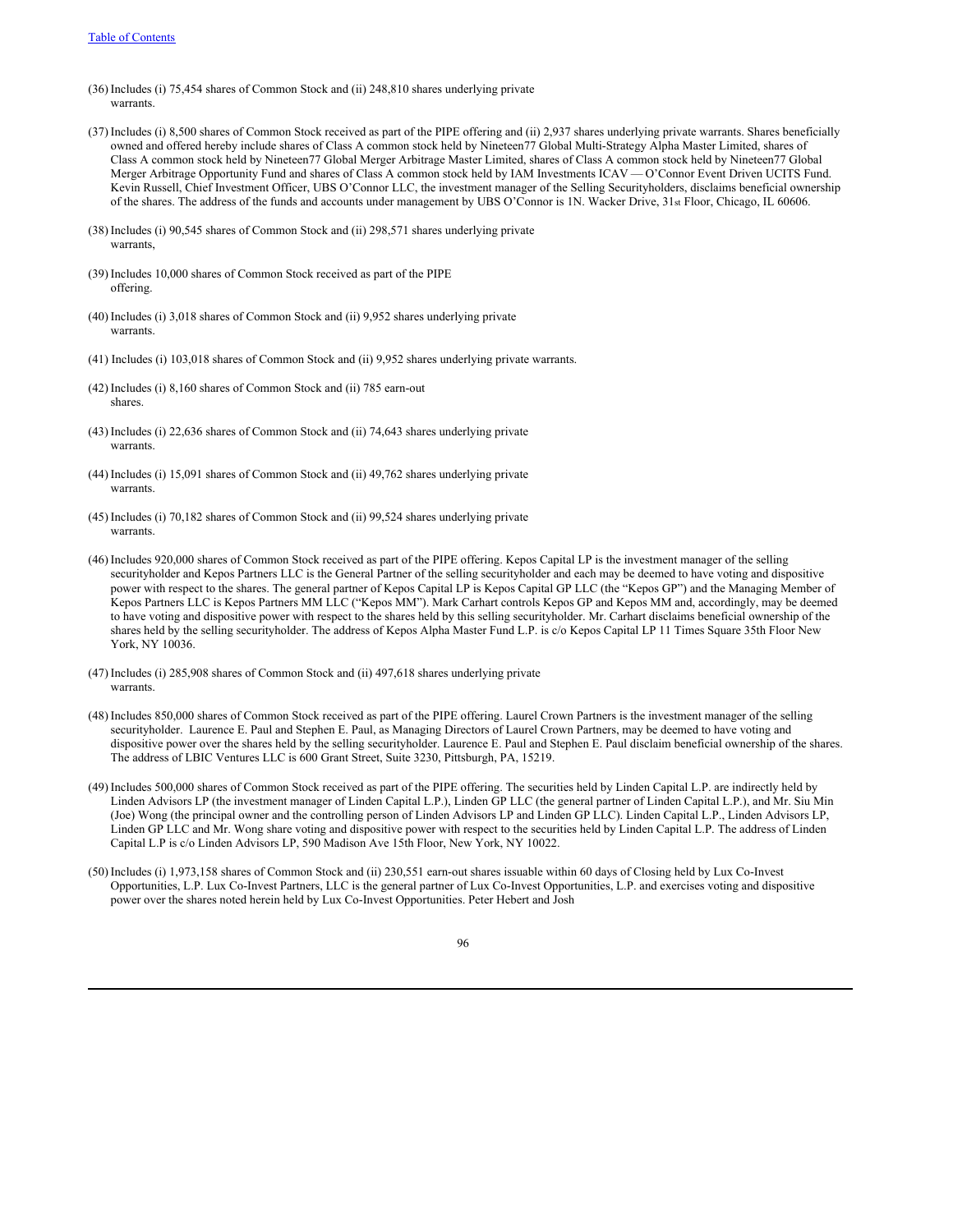- (36) Includes (i) 75,454 shares of Common Stock and (ii) 248,810 shares underlying private warrants.
- (37) Includes (i) 8,500 shares of Common Stock received as part of the PIPE offering and (ii) 2,937 shares underlying private warrants. Shares beneficially owned and offered hereby include shares of Class A common stock held by Nineteen77 Global Multi-Strategy Alpha Master Limited, shares of Class A common stock held by Nineteen77 Global Merger Arbitrage Master Limited, shares of Class A common stock held by Nineteen77 Global Merger Arbitrage Opportunity Fund and shares of Class A common stock held by IAM Investments ICAV — O'Connor Event Driven UCITS Fund. Kevin Russell, Chief Investment Officer, UBS O'Connor LLC, the investment manager of the Selling Securityholders, disclaims beneficial ownership of the shares. The address of the funds and accounts under management by UBS O'Connor is 1N. Wacker Drive, 31st Floor, Chicago, IL 60606.
- (38) Includes (i) 90,545 shares of Common Stock and (ii) 298,571 shares underlying private warrants,
- (39) Includes 10,000 shares of Common Stock received as part of the PIPE offering.
- (40) Includes (i) 3,018 shares of Common Stock and (ii) 9,952 shares underlying private warrants.
- (41) Includes (i) 103,018 shares of Common Stock and (ii) 9,952 shares underlying private warrants.
- (42) Includes (i) 8,160 shares of Common Stock and (ii) 785 earn-out shares.
- (43) Includes (i) 22,636 shares of Common Stock and (ii) 74,643 shares underlying private warrants.
- (44) Includes (i) 15,091 shares of Common Stock and (ii) 49,762 shares underlying private warrants.
- (45) Includes (i) 70,182 shares of Common Stock and (ii) 99,524 shares underlying private warrants.
- (46) Includes 920,000 shares of Common Stock received as part of the PIPE offering. Kepos Capital LP is the investment manager of the selling securityholder and Kepos Partners LLC is the General Partner of the selling securityholder and each may be deemed to have voting and dispositive power with respect to the shares. The general partner of Kepos Capital LP is Kepos Capital GP LLC (the "Kepos GP") and the Managing Member of Kepos Partners LLC is Kepos Partners MM LLC ("Kepos MM"). Mark Carhart controls Kepos GP and Kepos MM and, accordingly, may be deemed to have voting and dispositive power with respect to the shares held by this selling securityholder. Mr. Carhart disclaims beneficial ownership of the shares held by the selling securityholder. The address of Kepos Alpha Master Fund L.P. is c/o Kepos Capital LP 11 Times Square 35th Floor New York, NY 10036.
- (47) Includes (i) 285,908 shares of Common Stock and (ii) 497,618 shares underlying private warrants.
- (48) Includes 850,000 shares of Common Stock received as part of the PIPE offering. Laurel Crown Partners is the investment manager of the selling securityholder. Laurence E. Paul and Stephen E. Paul, as Managing Directors of Laurel Crown Partners, may be deemed to have voting and dispositive power over the shares held by the selling securityholder. Laurence E. Paul and Stephen E. Paul disclaim beneficial ownership of the shares. The address of LBIC Ventures LLC is 600 Grant Street, Suite 3230, Pittsburgh, PA, 15219.
- (49) Includes 500,000 shares of Common Stock received as part of the PIPE offering. The securities held by Linden Capital L.P. are indirectly held by Linden Advisors LP (the investment manager of Linden Capital L.P.), Linden GP LLC (the general partner of Linden Capital L.P.), and Mr. Siu Min (Joe) Wong (the principal owner and the controlling person of Linden Advisors LP and Linden GP LLC). Linden Capital L.P., Linden Advisors LP, Linden GP LLC and Mr. Wong share voting and dispositive power with respect to the securities held by Linden Capital L.P. The address of Linden Capital L.P is c/o Linden Advisors LP, 590 Madison Ave 15th Floor, New York, NY 10022.
- (50) Includes (i) 1,973,158 shares of Common Stock and (ii) 230,551 earn-out shares issuable within 60 days of Closing held by Lux Co-Invest Opportunities, L.P. Lux Co-Invest Partners, LLC is the general partner of Lux Co-Invest Opportunities, L.P. and exercises voting and dispositive power over the shares noted herein held by Lux Co-Invest Opportunities. Peter Hebert and Josh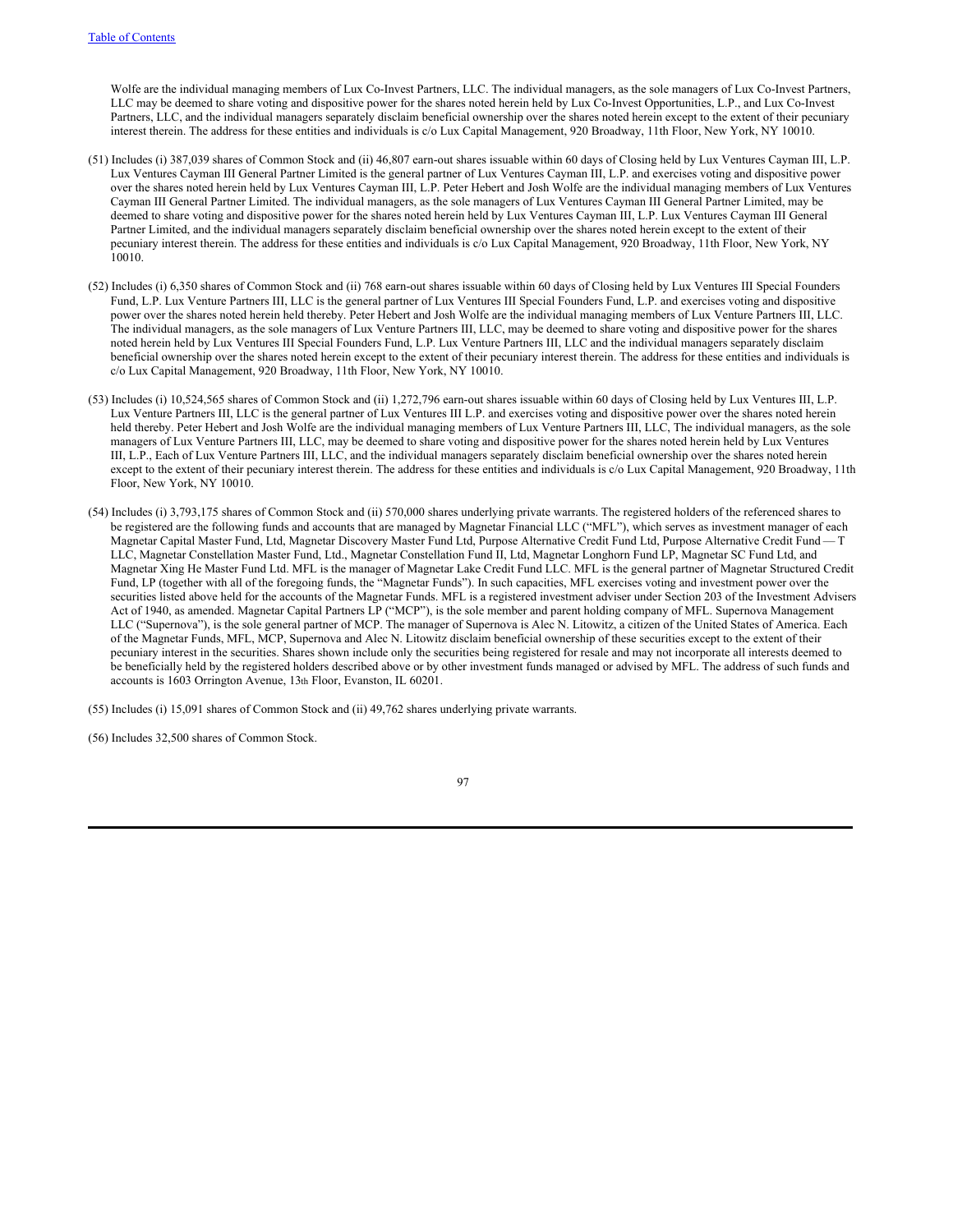Wolfe are the individual managing members of Lux Co-Invest Partners, LLC. The individual managers, as the sole managers of Lux Co-Invest Partners, LLC may be deemed to share voting and dispositive power for the shares noted herein held by Lux Co-Invest Opportunities, L.P., and Lux Co-Invest Partners, LLC, and the individual managers separately disclaim beneficial ownership over the shares noted herein except to the extent of their pecuniary interest therein. The address for these entities and individuals is c/o Lux Capital Management, 920 Broadway, 11th Floor, New York, NY 10010.

- (51) Includes (i) 387,039 shares of Common Stock and (ii) 46,807 earn-out shares issuable within 60 days of Closing held by Lux Ventures Cayman III, L.P. Lux Ventures Cayman III General Partner Limited is the general partner of Lux Ventures Cayman III, L.P. and exercises voting and dispositive power over the shares noted herein held by Lux Ventures Cayman III, L.P. Peter Hebert and Josh Wolfe are the individual managing members of Lux Ventures Cayman III General Partner Limited. The individual managers, as the sole managers of Lux Ventures Cayman III General Partner Limited, may be deemed to share voting and dispositive power for the shares noted herein held by Lux Ventures Cayman III, L.P. Lux Ventures Cayman III General Partner Limited, and the individual managers separately disclaim beneficial ownership over the shares noted herein except to the extent of their pecuniary interest therein. The address for these entities and individuals is c/o Lux Capital Management, 920 Broadway, 11th Floor, New York, NY 10010.
- (52) Includes (i) 6,350 shares of Common Stock and (ii) 768 earn-out shares issuable within 60 days of Closing held by Lux Ventures III Special Founders Fund, L.P. Lux Venture Partners III, LLC is the general partner of Lux Ventures III Special Founders Fund, L.P. and exercises voting and dispositive power over the shares noted herein held thereby. Peter Hebert and Josh Wolfe are the individual managing members of Lux Venture Partners III, LLC. The individual managers, as the sole managers of Lux Venture Partners III, LLC, may be deemed to share voting and dispositive power for the shares noted herein held by Lux Ventures III Special Founders Fund, L.P. Lux Venture Partners III, LLC and the individual managers separately disclaim beneficial ownership over the shares noted herein except to the extent of their pecuniary interest therein. The address for these entities and individuals is c/o Lux Capital Management, 920 Broadway, 11th Floor, New York, NY 10010.
- (53) Includes (i) 10,524,565 shares of Common Stock and (ii) 1,272,796 earn-out shares issuable within 60 days of Closing held by Lux Ventures III, L.P. Lux Venture Partners III, LLC is the general partner of Lux Ventures III L.P. and exercises voting and dispositive power over the shares noted herein held thereby. Peter Hebert and Josh Wolfe are the individual managing members of Lux Venture Partners III, LLC, The individual managers, as the sole managers of Lux Venture Partners III, LLC, may be deemed to share voting and dispositive power for the shares noted herein held by Lux Ventures III, L.P., Each of Lux Venture Partners III, LLC, and the individual managers separately disclaim beneficial ownership over the shares noted herein except to the extent of their pecuniary interest therein. The address for these entities and individuals is c/o Lux Capital Management, 920 Broadway, 11th Floor, New York, NY 10010.
- (54) Includes (i) 3,793,175 shares of Common Stock and (ii) 570,000 shares underlying private warrants. The registered holders of the referenced shares to be registered are the following funds and accounts that are managed by Magnetar Financial LLC ("MFL"), which serves as investment manager of each Magnetar Capital Master Fund, Ltd, Magnetar Discovery Master Fund Ltd, Purpose Alternative Credit Fund Ltd, Purpose Alternative Credit Fund — T LLC, Magnetar Constellation Master Fund, Ltd., Magnetar Constellation Fund II, Ltd, Magnetar Longhorn Fund LP, Magnetar SC Fund Ltd, and Magnetar Xing He Master Fund Ltd. MFL is the manager of Magnetar Lake Credit Fund LLC. MFL is the general partner of Magnetar Structured Credit Fund, LP (together with all of the foregoing funds, the "Magnetar Funds"). In such capacities, MFL exercises voting and investment power over the securities listed above held for the accounts of the Magnetar Funds. MFL is a registered investment adviser under Section 203 of the Investment Advisers Act of 1940, as amended. Magnetar Capital Partners LP ("MCP"), is the sole member and parent holding company of MFL. Supernova Management LLC ("Supernova"), is the sole general partner of MCP. The manager of Supernova is Alec N. Litowitz, a citizen of the United States of America. Each of the Magnetar Funds, MFL, MCP, Supernova and Alec N. Litowitz disclaim beneficial ownership of these securities except to the extent of their pecuniary interest in the securities. Shares shown include only the securities being registered for resale and may not incorporate all interests deemed to be beneficially held by the registered holders described above or by other investment funds managed or advised by MFL. The address of such funds and accounts is 1603 Orrington Avenue, 13th Floor, Evanston, IL 60201.
- (55) Includes (i) 15,091 shares of Common Stock and (ii) 49,762 shares underlying private warrants.
- (56) Includes 32,500 shares of Common Stock.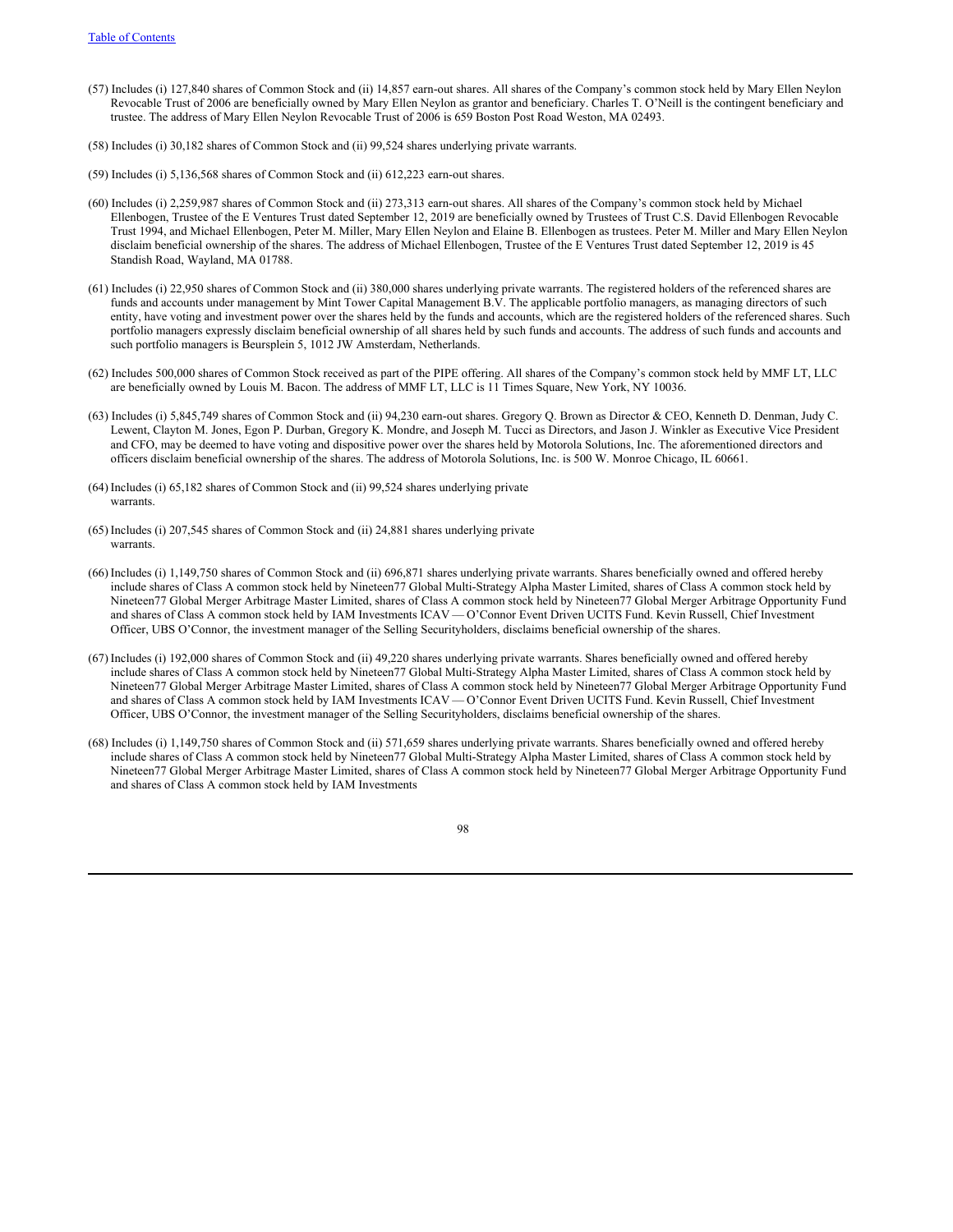- (57) Includes (i) 127,840 shares of Common Stock and (ii) 14,857 earn-out shares. All shares of the Company's common stock held by Mary Ellen Neylon Revocable Trust of 2006 are beneficially owned by Mary Ellen Neylon as grantor and beneficiary. Charles T. O'Neill is the contingent beneficiary and trustee. The address of Mary Ellen Neylon Revocable Trust of 2006 is 659 Boston Post Road Weston, MA 02493.
- (58) Includes (i) 30,182 shares of Common Stock and (ii) 99,524 shares underlying private warrants.
- (59) Includes (i) 5,136,568 shares of Common Stock and (ii) 612,223 earn-out shares.
- (60) Includes (i) 2,259,987 shares of Common Stock and (ii) 273,313 earn-out shares. All shares of the Company's common stock held by Michael Ellenbogen, Trustee of the E Ventures Trust dated September 12, 2019 are beneficially owned by Trustees of Trust C.S. David Ellenbogen Revocable Trust 1994, and Michael Ellenbogen, Peter M. Miller, Mary Ellen Neylon and Elaine B. Ellenbogen as trustees. Peter M. Miller and Mary Ellen Neylon disclaim beneficial ownership of the shares. The address of Michael Ellenbogen, Trustee of the E Ventures Trust dated September 12, 2019 is 45 Standish Road, Wayland, MA 01788.
- (61) Includes (i) 22,950 shares of Common Stock and (ii) 380,000 shares underlying private warrants. The registered holders of the referenced shares are funds and accounts under management by Mint Tower Capital Management B.V. The applicable portfolio managers, as managing directors of such entity, have voting and investment power over the shares held by the funds and accounts, which are the registered holders of the referenced shares. Such portfolio managers expressly disclaim beneficial ownership of all shares held by such funds and accounts. The address of such funds and accounts and such portfolio managers is Beursplein 5, 1012 JW Amsterdam, Netherlands.
- (62) Includes 500,000 shares of Common Stock received as part of the PIPE offering. All shares of the Company's common stock held by MMF LT, LLC are beneficially owned by Louis M. Bacon. The address of MMF LT, LLC is 11 Times Square, New York, NY 10036.
- (63) Includes (i) 5,845,749 shares of Common Stock and (ii) 94,230 earn-out shares. Gregory Q. Brown as Director & CEO, Kenneth D. Denman, Judy C. Lewent, Clayton M. Jones, Egon P. Durban, Gregory K. Mondre, and Joseph M. Tucci as Directors, and Jason J. Winkler as Executive Vice President and CFO, may be deemed to have voting and dispositive power over the shares held by Motorola Solutions, Inc. The aforementioned directors and officers disclaim beneficial ownership of the shares. The address of Motorola Solutions, Inc. is 500 W. Monroe Chicago, IL 60661.
- (64) Includes (i) 65,182 shares of Common Stock and (ii) 99,524 shares underlying private warrants.
- (65) Includes (i) 207,545 shares of Common Stock and (ii) 24,881 shares underlying private warrants.
- (66) Includes (i) 1,149,750 shares of Common Stock and (ii) 696,871 shares underlying private warrants. Shares beneficially owned and offered hereby include shares of Class A common stock held by Nineteen77 Global Multi-Strategy Alpha Master Limited, shares of Class A common stock held by Nineteen77 Global Merger Arbitrage Master Limited, shares of Class A common stock held by Nineteen77 Global Merger Arbitrage Opportunity Fund and shares of Class A common stock held by IAM Investments ICAV — O'Connor Event Driven UCITS Fund. Kevin Russell, Chief Investment Officer, UBS O'Connor, the investment manager of the Selling Securityholders, disclaims beneficial ownership of the shares.
- (67) Includes (i) 192,000 shares of Common Stock and (ii) 49,220 shares underlying private warrants. Shares beneficially owned and offered hereby include shares of Class A common stock held by Nineteen77 Global Multi-Strategy Alpha Master Limited, shares of Class A common stock held by Nineteen77 Global Merger Arbitrage Master Limited, shares of Class A common stock held by Nineteen77 Global Merger Arbitrage Opportunity Fund and shares of Class A common stock held by IAM Investments ICAV — O'Connor Event Driven UCITS Fund. Kevin Russell, Chief Investment Officer, UBS O'Connor, the investment manager of the Selling Securityholders, disclaims beneficial ownership of the shares.
- (68) Includes (i) 1,149,750 shares of Common Stock and (ii) 571,659 shares underlying private warrants. Shares beneficially owned and offered hereby include shares of Class A common stock held by Nineteen77 Global Multi-Strategy Alpha Master Limited, shares of Class A common stock held by Nineteen77 Global Merger Arbitrage Master Limited, shares of Class A common stock held by Nineteen77 Global Merger Arbitrage Opportunity Fund and shares of Class A common stock held by IAM Investments

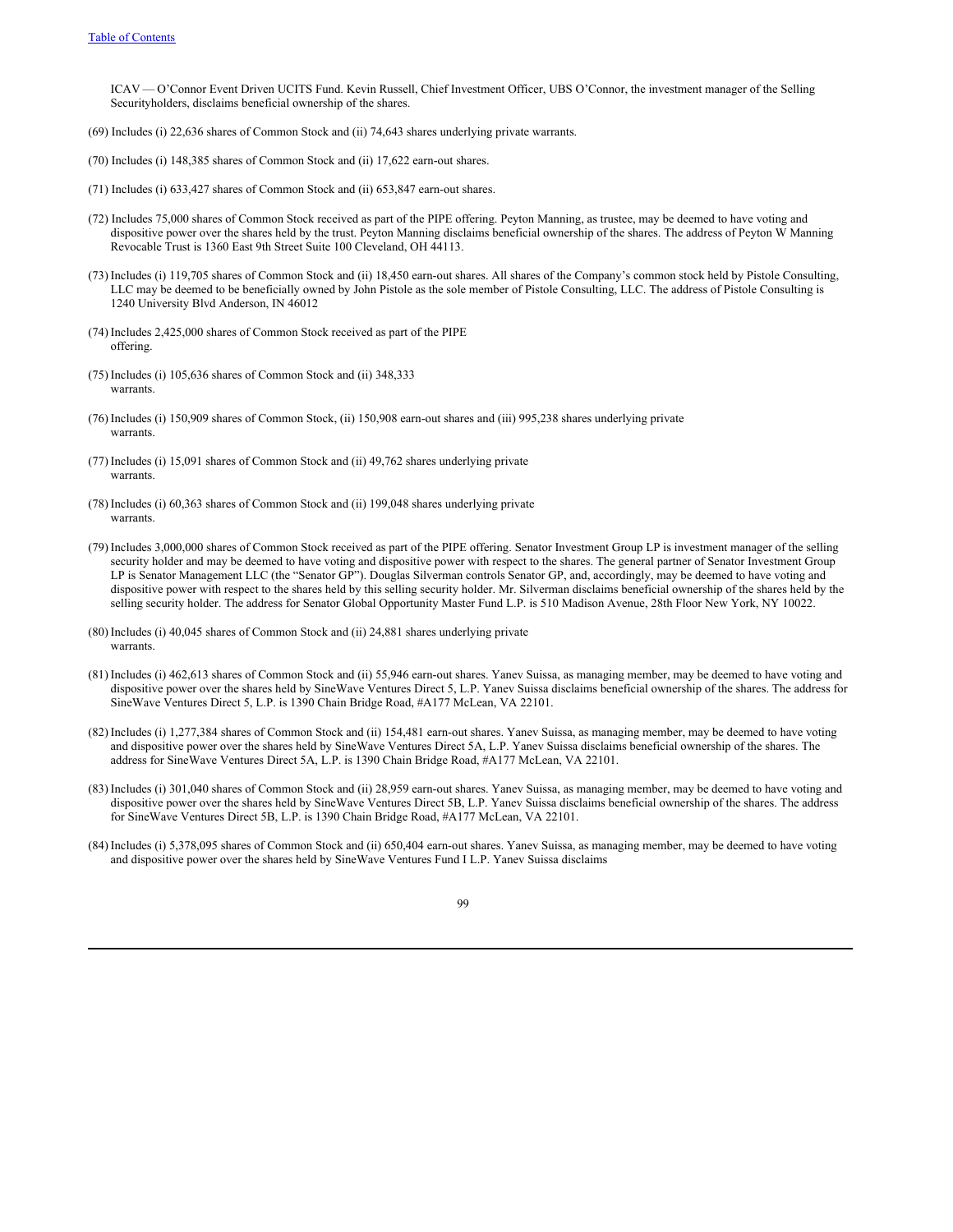ICAV — O'Connor Event Driven UCITS Fund. Kevin Russell, Chief Investment Officer, UBS O'Connor, the investment manager of the Selling Securityholders, disclaims beneficial ownership of the shares.

- (69) Includes (i) 22,636 shares of Common Stock and (ii) 74,643 shares underlying private warrants.
- (70) Includes (i) 148,385 shares of Common Stock and (ii) 17,622 earn-out shares.
- (71) Includes (i) 633,427 shares of Common Stock and (ii) 653,847 earn-out shares.
- (72) Includes 75,000 shares of Common Stock received as part of the PIPE offering. Peyton Manning, as trustee, may be deemed to have voting and dispositive power over the shares held by the trust. Peyton Manning disclaims beneficial ownership of the shares. The address of Peyton W Manning Revocable Trust is 1360 East 9th Street Suite 100 Cleveland, OH 44113.
- (73) Includes (i) 119,705 shares of Common Stock and (ii) 18,450 earn-out shares. All shares of the Company's common stock held by Pistole Consulting, LLC may be deemed to be beneficially owned by John Pistole as the sole member of Pistole Consulting, LLC. The address of Pistole Consulting is 1240 University Blvd Anderson, IN 46012
- (74) Includes 2,425,000 shares of Common Stock received as part of the PIPE offering.
- (75) Includes (i) 105,636 shares of Common Stock and (ii) 348,333 warrants.
- (76) Includes (i) 150,909 shares of Common Stock, (ii) 150,908 earn-out shares and (iii) 995,238 shares underlying private warrants.
- (77) Includes (i) 15,091 shares of Common Stock and (ii) 49,762 shares underlying private warrants
- (78) Includes (i) 60,363 shares of Common Stock and (ii) 199,048 shares underlying private warrants.
- (79) Includes 3,000,000 shares of Common Stock received as part of the PIPE offering. Senator Investment Group LP is investment manager of the selling security holder and may be deemed to have voting and dispositive power with respect to the shares. The general partner of Senator Investment Group LP is Senator Management LLC (the "Senator GP"). Douglas Silverman controls Senator GP, and, accordingly, may be deemed to have voting and dispositive power with respect to the shares held by this selling security holder. Mr. Silverman disclaims beneficial ownership of the shares held by the selling security holder. The address for Senator Global Opportunity Master Fund L.P. is 510 Madison Avenue, 28th Floor New York, NY 10022.
- (80) Includes (i) 40,045 shares of Common Stock and (ii) 24,881 shares underlying private warrants.
- (81) Includes (i) 462,613 shares of Common Stock and (ii) 55,946 earn-out shares. Yanev Suissa, as managing member, may be deemed to have voting and dispositive power over the shares held by SineWave Ventures Direct 5, L.P. Yanev Suissa disclaims beneficial ownership of the shares. The address for SineWave Ventures Direct 5, L.P. is 1390 Chain Bridge Road, #A177 McLean, VA 22101.
- (82) Includes (i) 1,277,384 shares of Common Stock and (ii) 154,481 earn-out shares. Yanev Suissa, as managing member, may be deemed to have voting and dispositive power over the shares held by SineWave Ventures Direct 5A, L.P. Yanev Suissa disclaims beneficial ownership of the shares. The address for SineWave Ventures Direct 5A, L.P. is 1390 Chain Bridge Road, #A177 McLean, VA 22101.
- (83) Includes (i) 301,040 shares of Common Stock and (ii) 28,959 earn-out shares. Yanev Suissa, as managing member, may be deemed to have voting and dispositive power over the shares held by SineWave Ventures Direct 5B, L.P. Yanev Suissa disclaims beneficial ownership of the shares. The address for SineWave Ventures Direct 5B, L.P. is 1390 Chain Bridge Road, #A177 McLean, VA 22101.
- (84) Includes (i) 5,378,095 shares of Common Stock and (ii) 650,404 earn-out shares. Yanev Suissa, as managing member, may be deemed to have voting and dispositive power over the shares held by SineWave Ventures Fund I L.P. Yanev Suissa disclaims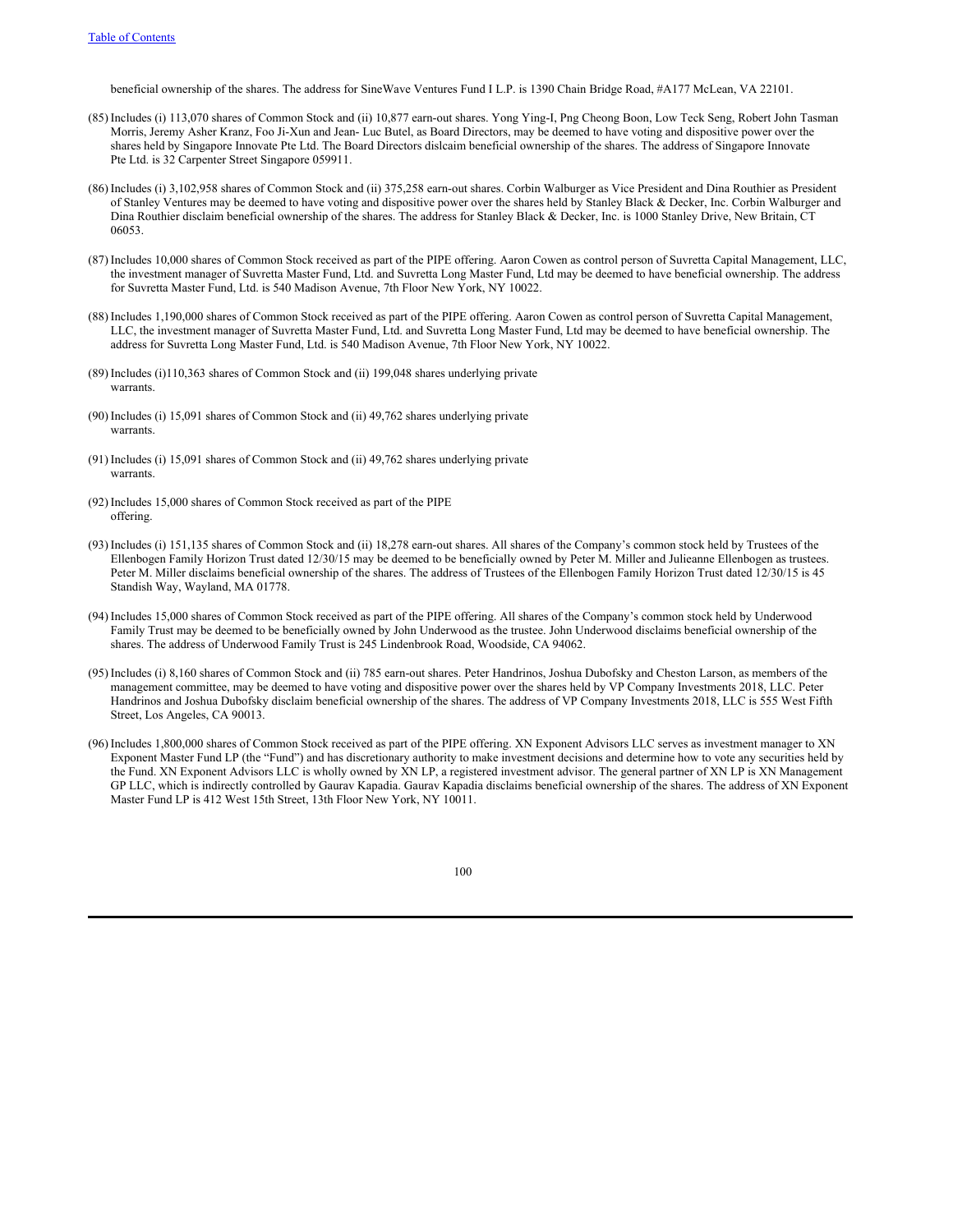beneficial ownership of the shares. The address for SineWave Ventures Fund I L.P. is 1390 Chain Bridge Road, #A177 McLean, VA 22101.

- (85) Includes (i) 113,070 shares of Common Stock and (ii) 10,877 earn-out shares. Yong Ying-I, Png Cheong Boon, Low Teck Seng, Robert John Tasman Morris, Jeremy Asher Kranz, Foo Ji-Xun and Jean- Luc Butel, as Board Directors, may be deemed to have voting and dispositive power over the shares held by Singapore Innovate Pte Ltd. The Board Directors dislcaim beneficial ownership of the shares. The address of Singapore Innovate Pte Ltd. is 32 Carpenter Street Singapore 059911.
- (86) Includes (i) 3,102,958 shares of Common Stock and (ii) 375,258 earn-out shares. Corbin Walburger as Vice President and Dina Routhier as President of Stanley Ventures may be deemed to have voting and dispositive power over the shares held by Stanley Black & Decker, Inc. Corbin Walburger and Dina Routhier disclaim beneficial ownership of the shares. The address for Stanley Black & Decker, Inc. is 1000 Stanley Drive, New Britain, CT 06053.
- (87) Includes 10,000 shares of Common Stock received as part of the PIPE offering. Aaron Cowen as control person of Suvretta Capital Management, LLC, the investment manager of Suvretta Master Fund, Ltd. and Suvretta Long Master Fund, Ltd may be deemed to have beneficial ownership. The address for Suvretta Master Fund, Ltd. is 540 Madison Avenue, 7th Floor New York, NY 10022.
- (88) Includes 1,190,000 shares of Common Stock received as part of the PIPE offering. Aaron Cowen as control person of Suvretta Capital Management, LLC, the investment manager of Suvretta Master Fund, Ltd. and Suvretta Long Master Fund, Ltd may be deemed to have beneficial ownership. The address for Suvretta Long Master Fund, Ltd. is 540 Madison Avenue, 7th Floor New York, NY 10022.
- (89) Includes (i)110,363 shares of Common Stock and (ii) 199,048 shares underlying private warrants.
- (90) Includes (i) 15,091 shares of Common Stock and (ii) 49,762 shares underlying private warrants.
- (91) Includes (i) 15,091 shares of Common Stock and (ii) 49,762 shares underlying private warrants.
- (92) Includes 15,000 shares of Common Stock received as part of the PIPE offering.
- (93) Includes (i) 151,135 shares of Common Stock and (ii) 18,278 earn-out shares. All shares of the Company's common stock held by Trustees of the Ellenbogen Family Horizon Trust dated 12/30/15 may be deemed to be beneficially owned by Peter M. Miller and Julieanne Ellenbogen as trustees. Peter M. Miller disclaims beneficial ownership of the shares. The address of Trustees of the Ellenbogen Family Horizon Trust dated 12/30/15 is 45 Standish Way, Wayland, MA 01778.
- (94) Includes 15,000 shares of Common Stock received as part of the PIPE offering. All shares of the Company's common stock held by Underwood Family Trust may be deemed to be beneficially owned by John Underwood as the trustee. John Underwood disclaims beneficial ownership of the shares. The address of Underwood Family Trust is 245 Lindenbrook Road, Woodside, CA 94062.
- (95) Includes (i) 8,160 shares of Common Stock and (ii) 785 earn-out shares. Peter Handrinos, Joshua Dubofsky and Cheston Larson, as members of the management committee, may be deemed to have voting and dispositive power over the shares held by VP Company Investments 2018, LLC. Peter Handrinos and Joshua Dubofsky disclaim beneficial ownership of the shares. The address of VP Company Investments 2018, LLC is 555 West Fifth Street, Los Angeles, CA 90013.
- (96) Includes 1,800,000 shares of Common Stock received as part of the PIPE offering. XN Exponent Advisors LLC serves as investment manager to XN Exponent Master Fund LP (the "Fund") and has discretionary authority to make investment decisions and determine how to vote any securities held by the Fund. XN Exponent Advisors LLC is wholly owned by XN LP, a registered investment advisor. The general partner of XN LP is XN Management GP LLC, which is indirectly controlled by Gaurav Kapadia. Gaurav Kapadia disclaims beneficial ownership of the shares. The address of XN Exponent Master Fund LP is 412 West 15th Street, 13th Floor New York, NY 10011.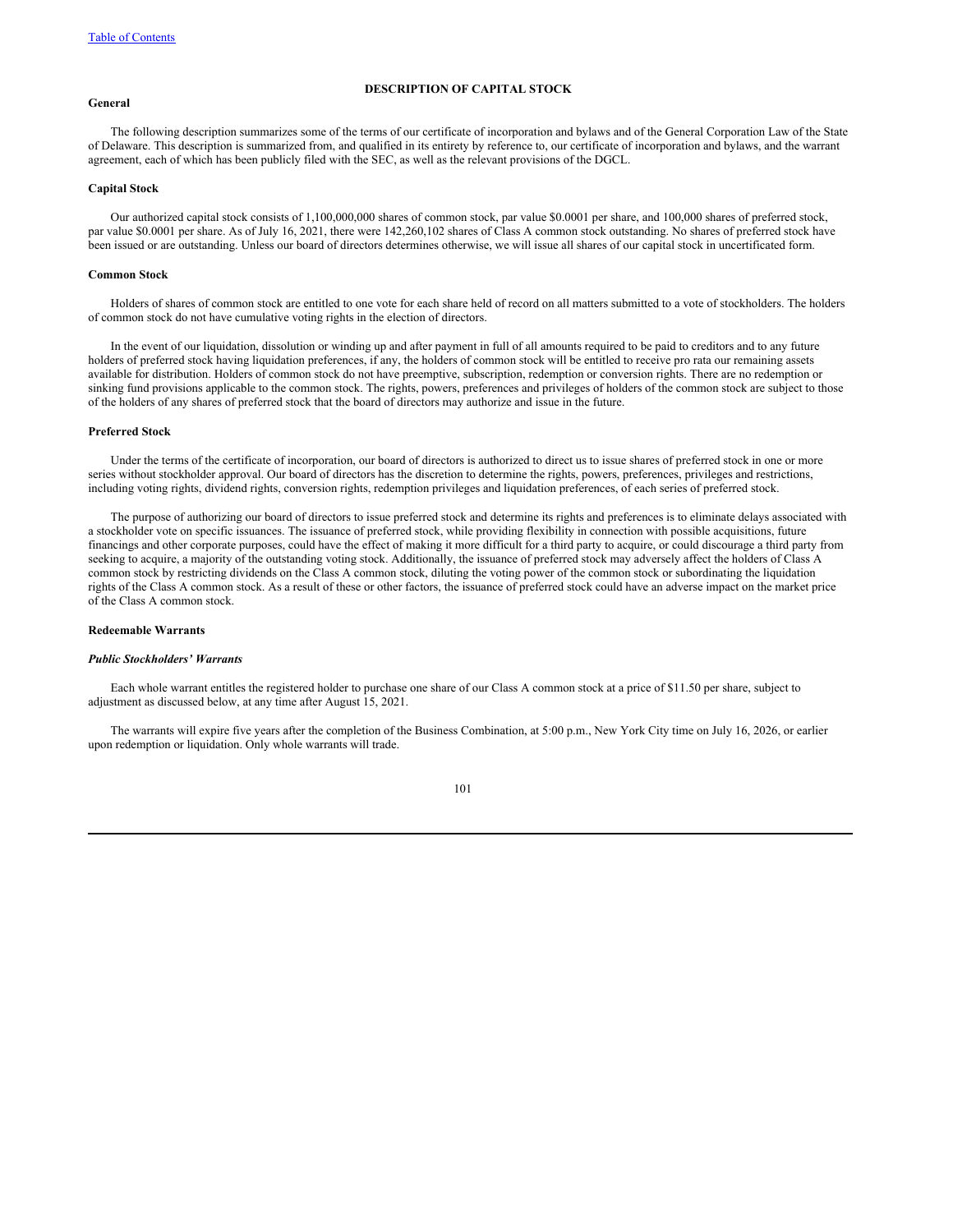# **General**

## **DESCRIPTION OF CAPITAL STOCK**

The following description summarizes some of the terms of our certificate of incorporation and bylaws and of the General Corporation Law of the State of Delaware. This description is summarized from, and qualified in its entirety by reference to, our certificate of incorporation and bylaws, and the warrant agreement, each of which has been publicly filed with the SEC, as well as the relevant provisions of the DGCL.

# **Capital Stock**

Our authorized capital stock consists of 1,100,000,000 shares of common stock, par value \$0.0001 per share, and 100,000 shares of preferred stock, par value \$0.0001 per share. As of July 16, 2021, there were 142,260,102 shares of Class A common stock outstanding. No shares of preferred stock have been issued or are outstanding. Unless our board of directors determines otherwise, we will issue all shares of our capital stock in uncertificated form.

# **Common Stock**

Holders of shares of common stock are entitled to one vote for each share held of record on all matters submitted to a vote of stockholders. The holders of common stock do not have cumulative voting rights in the election of directors.

In the event of our liquidation, dissolution or winding up and after payment in full of all amounts required to be paid to creditors and to any future holders of preferred stock having liquidation preferences, if any, the holders of common stock will be entitled to receive pro rata our remaining assets available for distribution. Holders of common stock do not have preemptive, subscription, redemption or conversion rights. There are no redemption or sinking fund provisions applicable to the common stock. The rights, powers, preferences and privileges of holders of the common stock are subject to those of the holders of any shares of preferred stock that the board of directors may authorize and issue in the future.

# **Preferred Stock**

Under the terms of the certificate of incorporation, our board of directors is authorized to direct us to issue shares of preferred stock in one or more series without stockholder approval. Our board of directors has the discretion to determine the rights, powers, preferences, privileges and restrictions, including voting rights, dividend rights, conversion rights, redemption privileges and liquidation preferences, of each series of preferred stock.

The purpose of authorizing our board of directors to issue preferred stock and determine its rights and preferences is to eliminate delays associated with a stockholder vote on specific issuances. The issuance of preferred stock, while providing flexibility in connection with possible acquisitions, future financings and other corporate purposes, could have the effect of making it more difficult for a third party to acquire, or could discourage a third party from seeking to acquire, a majority of the outstanding voting stock. Additionally, the issuance of preferred stock may adversely affect the holders of Class A common stock by restricting dividends on the Class A common stock, diluting the voting power of the common stock or subordinating the liquidation rights of the Class A common stock. As a result of these or other factors, the issuance of preferred stock could have an adverse impact on the market price of the Class A common stock.

# **Redeemable Warrants**

## *Public Stockholders' Warrants*

Each whole warrant entitles the registered holder to purchase one share of our Class A common stock at a price of \$11.50 per share, subject to adjustment as discussed below, at any time after August 15, 2021.

The warrants will expire five years after the completion of the Business Combination, at 5:00 p.m., New York City time on July 16, 2026, or earlier upon redemption or liquidation. Only whole warrants will trade.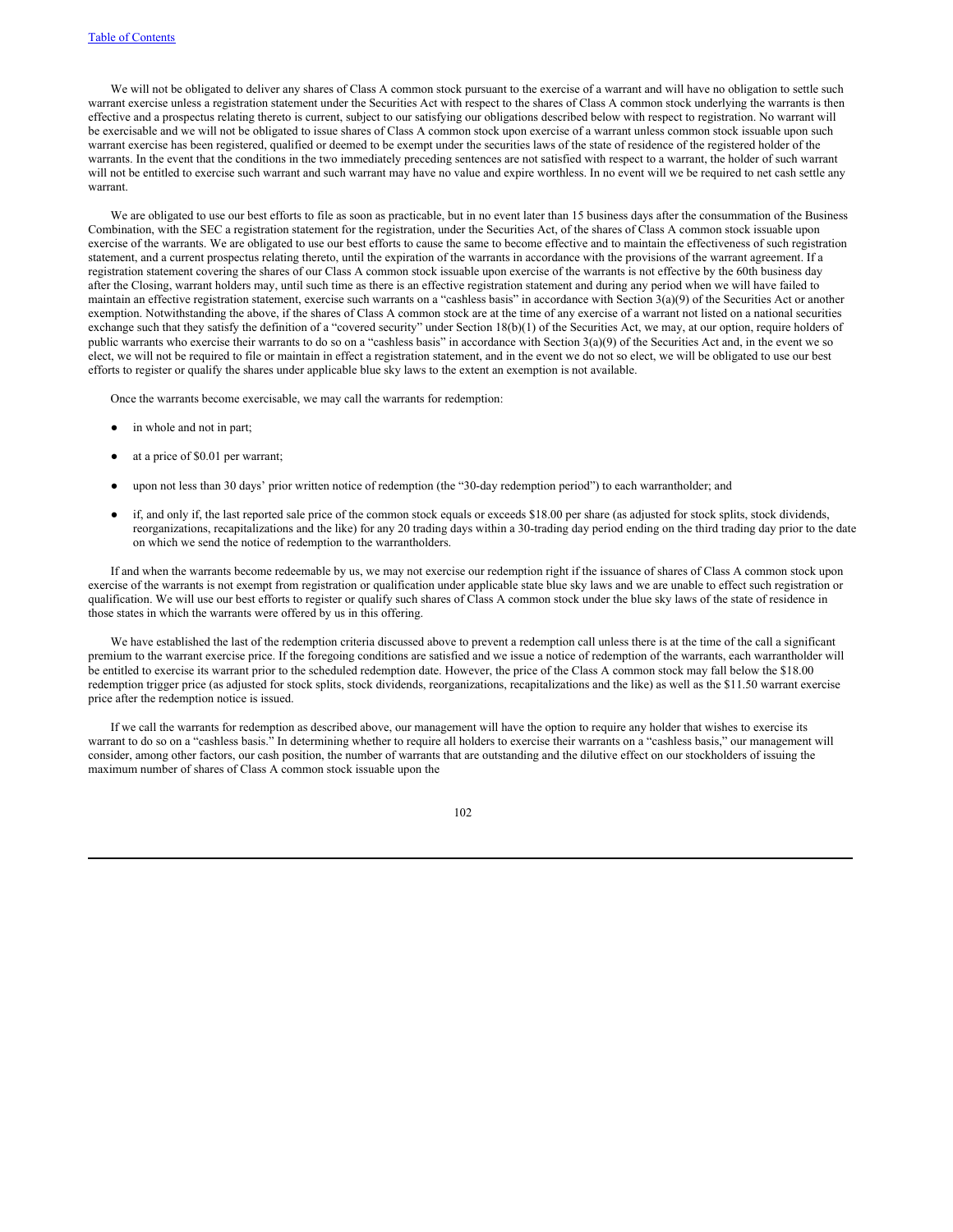We will not be obligated to deliver any shares of Class A common stock pursuant to the exercise of a warrant and will have no obligation to settle such warrant exercise unless a registration statement under the Securities Act with respect to the shares of Class A common stock underlying the warrants is then effective and a prospectus relating thereto is current, subject to our satisfying our obligations described below with respect to registration. No warrant will be exercisable and we will not be obligated to issue shares of Class A common stock upon exercise of a warrant unless common stock issuable upon such warrant exercise has been registered, qualified or deemed to be exempt under the securities laws of the state of residence of the registered holder of the warrants. In the event that the conditions in the two immediately preceding sentences are not satisfied with respect to a warrant, the holder of such warrant will not be entitled to exercise such warrant and such warrant may have no value and expire worthless. In no event will we be required to net cash settle any warrant.

We are obligated to use our best efforts to file as soon as practicable, but in no event later than 15 business days after the consummation of the Business Combination, with the SEC a registration statement for the registration, under the Securities Act, of the shares of Class A common stock issuable upon exercise of the warrants. We are obligated to use our best efforts to cause the same to become effective and to maintain the effectiveness of such registration statement, and a current prospectus relating thereto, until the expiration of the warrants in accordance with the provisions of the warrant agreement. If a registration statement covering the shares of our Class A common stock issuable upon exercise of the warrants is not effective by the 60th business day after the Closing, warrant holders may, until such time as there is an effective registration statement and during any period when we will have failed to maintain an effective registration statement, exercise such warrants on a "cashless basis" in accordance with Section 3(a)(9) of the Securities Act or another exemption. Notwithstanding the above, if the shares of Class A common stock are at the time of any exercise of a warrant not listed on a national securities exchange such that they satisfy the definition of a "covered security" under Section 18(b)(1) of the Securities Act, we may, at our option, require holders of public warrants who exercise their warrants to do so on a "cashless basis" in accordance with Section 3(a)(9) of the Securities Act and, in the event we so elect, we will not be required to file or maintain in effect a registration statement, and in the event we do not so elect, we will be obligated to use our best efforts to register or qualify the shares under applicable blue sky laws to the extent an exemption is not available.

Once the warrants become exercisable, we may call the warrants for redemption:

- in whole and not in part;
- at a price of \$0.01 per warrant;
- upon not less than 30 days' prior written notice of redemption (the "30-day redemption period") to each warrantholder; and
- if, and only if, the last reported sale price of the common stock equals or exceeds \$18.00 per share (as adjusted for stock splits, stock dividends, reorganizations, recapitalizations and the like) for any 20 trading days within a 30-trading day period ending on the third trading day prior to the date on which we send the notice of redemption to the warrantholders.

If and when the warrants become redeemable by us, we may not exercise our redemption right if the issuance of shares of Class A common stock upon exercise of the warrants is not exempt from registration or qualification under applicable state blue sky laws and we are unable to effect such registration or qualification. We will use our best efforts to register or qualify such shares of Class A common stock under the blue sky laws of the state of residence in those states in which the warrants were offered by us in this offering.

We have established the last of the redemption criteria discussed above to prevent a redemption call unless there is at the time of the call a significant premium to the warrant exercise price. If the foregoing conditions are satisfied and we issue a notice of redemption of the warrants, each warrantholder will be entitled to exercise its warrant prior to the scheduled redemption date. However, the price of the Class A common stock may fall below the \$18.00 redemption trigger price (as adjusted for stock splits, stock dividends, reorganizations, recapitalizations and the like) as well as the \$11.50 warrant exercise price after the redemption notice is issued.

If we call the warrants for redemption as described above, our management will have the option to require any holder that wishes to exercise its warrant to do so on a "cashless basis." In determining whether to require all holders to exercise their warrants on a "cashless basis," our management will consider, among other factors, our cash position, the number of warrants that are outstanding and the dilutive effect on our stockholders of issuing the maximum number of shares of Class A common stock issuable upon the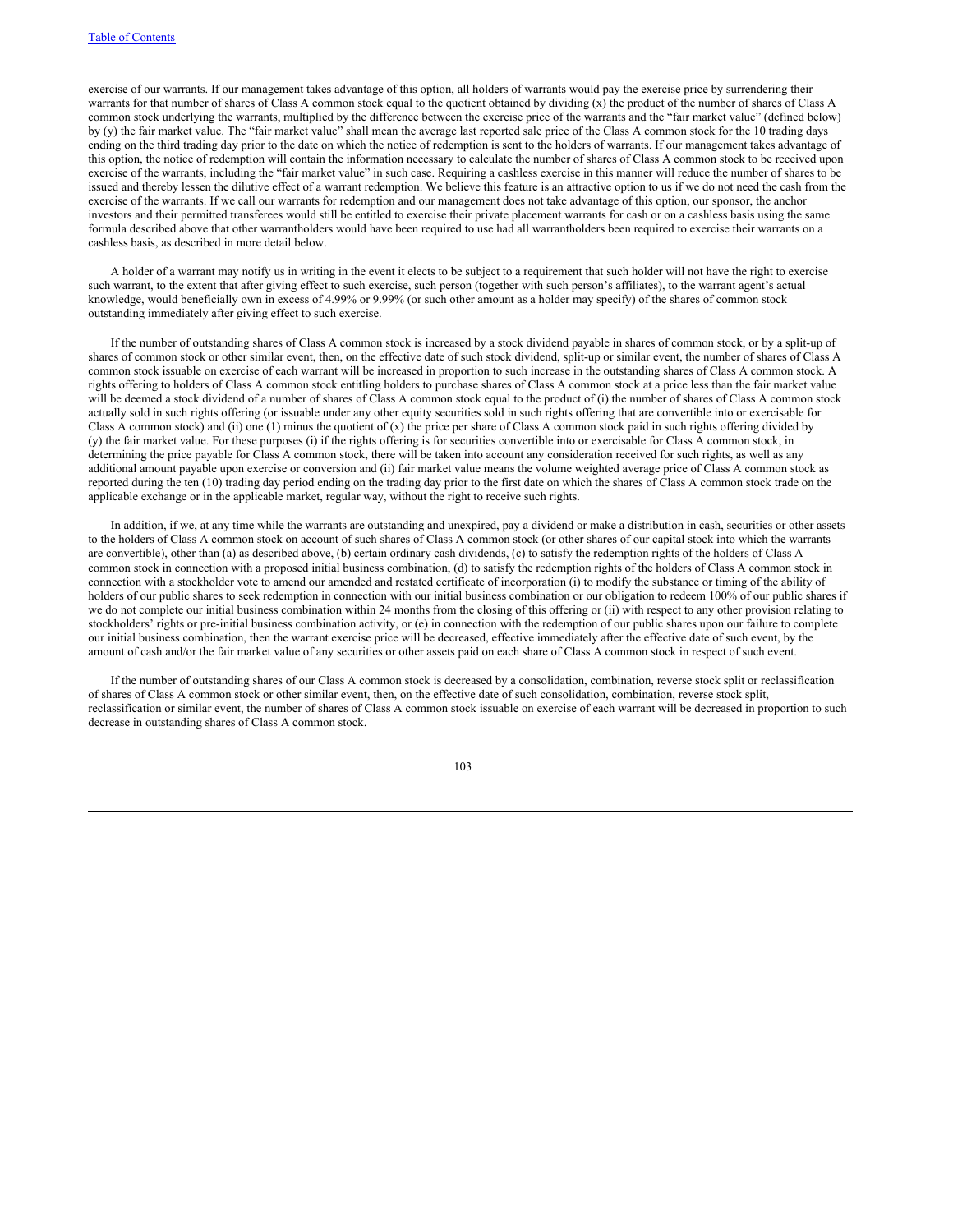exercise of our warrants. If our management takes advantage of this option, all holders of warrants would pay the exercise price by surrendering their warrants for that number of shares of Class A common stock equal to the quotient obtained by dividing (x) the product of the number of shares of Class A common stock underlying the warrants, multiplied by the difference between the exercise price of the warrants and the "fair market value" (defined below) by (y) the fair market value. The "fair market value" shall mean the average last reported sale price of the Class A common stock for the 10 trading days ending on the third trading day prior to the date on which the notice of redemption is sent to the holders of warrants. If our management takes advantage of this option, the notice of redemption will contain the information necessary to calculate the number of shares of Class A common stock to be received upon exercise of the warrants, including the "fair market value" in such case. Requiring a cashless exercise in this manner will reduce the number of shares to be issued and thereby lessen the dilutive effect of a warrant redemption. We believe this feature is an attractive option to us if we do not need the cash from the exercise of the warrants. If we call our warrants for redemption and our management does not take advantage of this option, our sponsor, the anchor investors and their permitted transferees would still be entitled to exercise their private placement warrants for cash or on a cashless basis using the same formula described above that other warrantholders would have been required to use had all warrantholders been required to exercise their warrants on a cashless basis, as described in more detail below.

A holder of a warrant may notify us in writing in the event it elects to be subject to a requirement that such holder will not have the right to exercise such warrant, to the extent that after giving effect to such exercise, such person (together with such person's affiliates), to the warrant agent's actual knowledge, would beneficially own in excess of 4.99% or 9.99% (or such other amount as a holder may specify) of the shares of common stock outstanding immediately after giving effect to such exercise.

If the number of outstanding shares of Class A common stock is increased by a stock dividend payable in shares of common stock, or by a split-up of shares of common stock or other similar event, then, on the effective date of such stock dividend, split-up or similar event, the number of shares of Class A common stock issuable on exercise of each warrant will be increased in proportion to such increase in the outstanding shares of Class A common stock. A rights offering to holders of Class A common stock entitling holders to purchase shares of Class A common stock at a price less than the fair market value will be deemed a stock dividend of a number of shares of Class A common stock equal to the product of (i) the number of shares of Class A common stock actually sold in such rights offering (or issuable under any other equity securities sold in such rights offering that are convertible into or exercisable for Class A common stock) and (ii) one (1) minus the quotient of (x) the price per share of Class A common stock paid in such rights offering divided by (y) the fair market value. For these purposes (i) if the rights offering is for securities convertible into or exercisable for Class A common stock, in determining the price payable for Class A common stock, there will be taken into account any consideration received for such rights, as well as any additional amount payable upon exercise or conversion and (ii) fair market value means the volume weighted average price of Class A common stock as reported during the ten (10) trading day period ending on the trading day prior to the first date on which the shares of Class A common stock trade on the applicable exchange or in the applicable market, regular way, without the right to receive such rights.

In addition, if we, at any time while the warrants are outstanding and unexpired, pay a dividend or make a distribution in cash, securities or other assets to the holders of Class A common stock on account of such shares of Class A common stock (or other shares of our capital stock into which the warrants are convertible), other than (a) as described above, (b) certain ordinary cash dividends, (c) to satisfy the redemption rights of the holders of Class A common stock in connection with a proposed initial business combination, (d) to satisfy the redemption rights of the holders of Class A common stock in connection with a stockholder vote to amend our amended and restated certificate of incorporation (i) to modify the substance or timing of the ability of holders of our public shares to seek redemption in connection with our initial business combination or our obligation to redeem 100% of our public shares if we do not complete our initial business combination within 24 months from the closing of this offering or (ii) with respect to any other provision relating to stockholders' rights or pre-initial business combination activity, or (e) in connection with the redemption of our public shares upon our failure to complete our initial business combination, then the warrant exercise price will be decreased, effective immediately after the effective date of such event, by the amount of cash and/or the fair market value of any securities or other assets paid on each share of Class A common stock in respect of such event.

If the number of outstanding shares of our Class A common stock is decreased by a consolidation, combination, reverse stock split or reclassification of shares of Class A common stock or other similar event, then, on the effective date of such consolidation, combination, reverse stock split, reclassification or similar event, the number of shares of Class A common stock issuable on exercise of each warrant will be decreased in proportion to such decrease in outstanding shares of Class A common stock.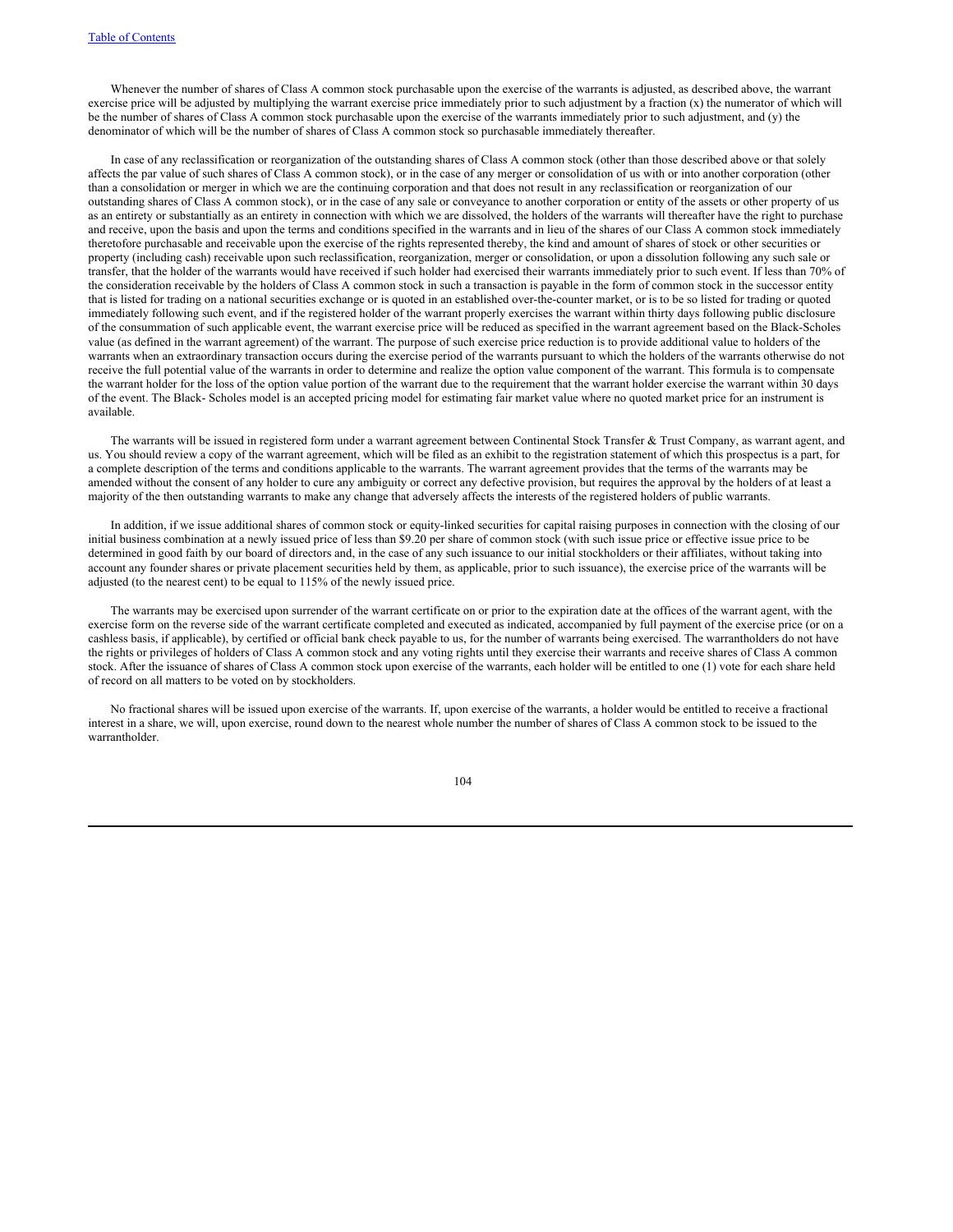Whenever the number of shares of Class A common stock purchasable upon the exercise of the warrants is adjusted, as described above, the warrant exercise price will be adjusted by multiplying the warrant exercise price immediately prior to such adjustment by a fraction (x) the numerator of which will be the number of shares of Class A common stock purchasable upon the exercise of the warrants immediately prior to such adjustment, and (y) the denominator of which will be the number of shares of Class A common stock so purchasable immediately thereafter.

In case of any reclassification or reorganization of the outstanding shares of Class A common stock (other than those described above or that solely affects the par value of such shares of Class A common stock), or in the case of any merger or consolidation of us with or into another corporation (other than a consolidation or merger in which we are the continuing corporation and that does not result in any reclassification or reorganization of our outstanding shares of Class A common stock), or in the case of any sale or conveyance to another corporation or entity of the assets or other property of us as an entirety or substantially as an entirety in connection with which we are dissolved, the holders of the warrants will thereafter have the right to purchase and receive, upon the basis and upon the terms and conditions specified in the warrants and in lieu of the shares of our Class A common stock immediately theretofore purchasable and receivable upon the exercise of the rights represented thereby, the kind and amount of shares of stock or other securities or property (including cash) receivable upon such reclassification, reorganization, merger or consolidation, or upon a dissolution following any such sale or transfer, that the holder of the warrants would have received if such holder had exercised their warrants immediately prior to such event. If less than 70% of the consideration receivable by the holders of Class A common stock in such a transaction is payable in the form of common stock in the successor entity that is listed for trading on a national securities exchange or is quoted in an established over-the-counter market, or is to be so listed for trading or quoted immediately following such event, and if the registered holder of the warrant properly exercises the warrant within thirty days following public disclosure of the consummation of such applicable event, the warrant exercise price will be reduced as specified in the warrant agreement based on the Black-Scholes value (as defined in the warrant agreement) of the warrant. The purpose of such exercise price reduction is to provide additional value to holders of the warrants when an extraordinary transaction occurs during the exercise period of the warrants pursuant to which the holders of the warrants otherwise do not receive the full potential value of the warrants in order to determine and realize the option value component of the warrant. This formula is to compensate the warrant holder for the loss of the option value portion of the warrant due to the requirement that the warrant holder exercise the warrant within 30 days of the event. The Black- Scholes model is an accepted pricing model for estimating fair market value where no quoted market price for an instrument is available.

The warrants will be issued in registered form under a warrant agreement between Continental Stock Transfer & Trust Company, as warrant agent, and us. You should review a copy of the warrant agreement, which will be filed as an exhibit to the registration statement of which this prospectus is a part, for a complete description of the terms and conditions applicable to the warrants. The warrant agreement provides that the terms of the warrants may be amended without the consent of any holder to cure any ambiguity or correct any defective provision, but requires the approval by the holders of at least a majority of the then outstanding warrants to make any change that adversely affects the interests of the registered holders of public warrants.

In addition, if we issue additional shares of common stock or equity-linked securities for capital raising purposes in connection with the closing of our initial business combination at a newly issued price of less than \$9.20 per share of common stock (with such issue price or effective issue price to be determined in good faith by our board of directors and, in the case of any such issuance to our initial stockholders or their affiliates, without taking into account any founder shares or private placement securities held by them, as applicable, prior to such issuance), the exercise price of the warrants will be adjusted (to the nearest cent) to be equal to 115% of the newly issued price.

The warrants may be exercised upon surrender of the warrant certificate on or prior to the expiration date at the offices of the warrant agent, with the exercise form on the reverse side of the warrant certificate completed and executed as indicated, accompanied by full payment of the exercise price (or on a cashless basis, if applicable), by certified or official bank check payable to us, for the number of warrants being exercised. The warrantholders do not have the rights or privileges of holders of Class A common stock and any voting rights until they exercise their warrants and receive shares of Class A common stock. After the issuance of shares of Class A common stock upon exercise of the warrants, each holder will be entitled to one (1) vote for each share held of record on all matters to be voted on by stockholders.

No fractional shares will be issued upon exercise of the warrants. If, upon exercise of the warrants, a holder would be entitled to receive a fractional interest in a share, we will, upon exercise, round down to the nearest whole number the number of shares of Class A common stock to be issued to the warrantholder.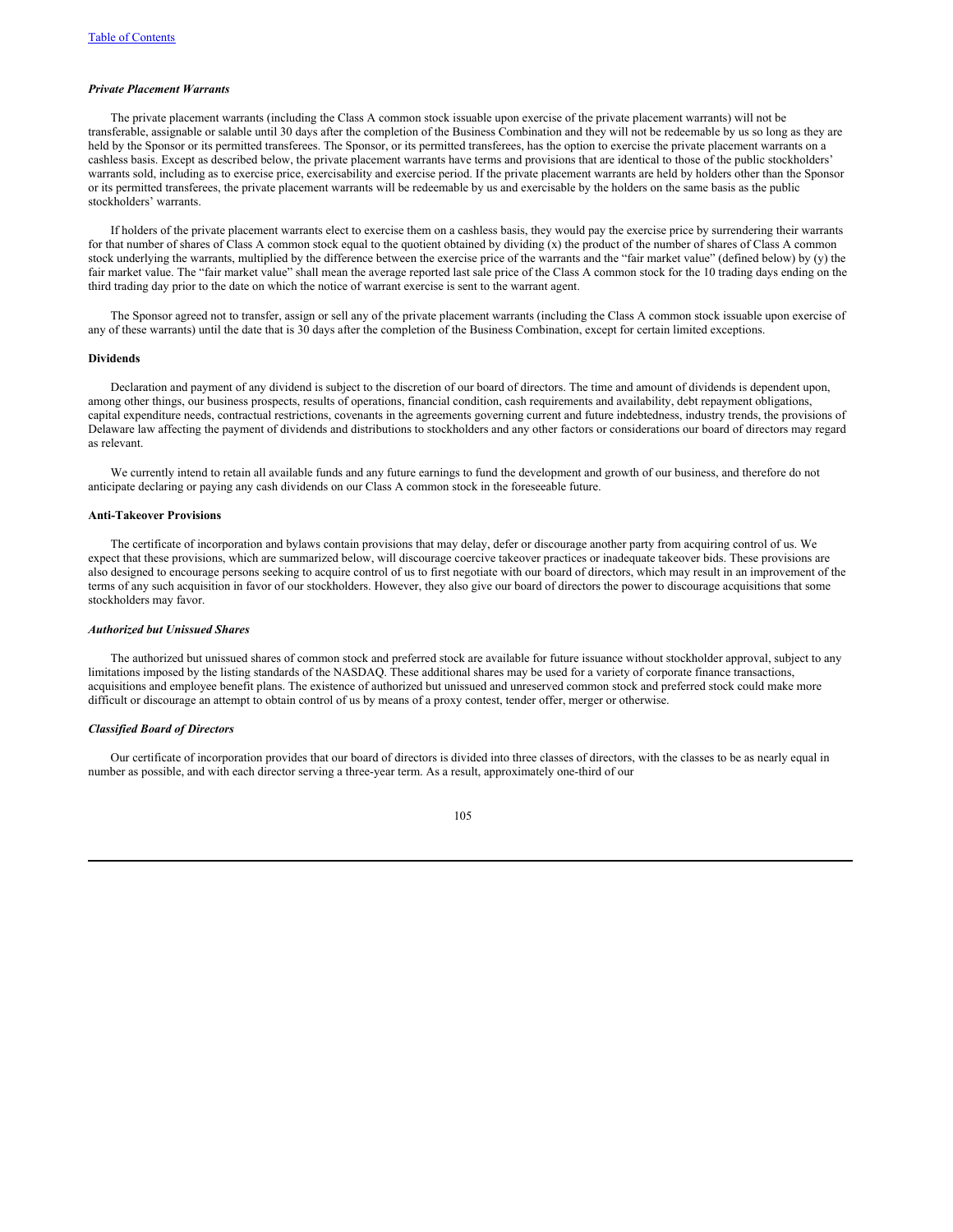#### *Private Placement Warrants*

The private placement warrants (including the Class A common stock issuable upon exercise of the private placement warrants) will not be transferable, assignable or salable until 30 days after the completion of the Business Combination and they will not be redeemable by us so long as they are held by the Sponsor or its permitted transferees. The Sponsor, or its permitted transferees, has the option to exercise the private placement warrants on a cashless basis. Except as described below, the private placement warrants have terms and provisions that are identical to those of the public stockholders' warrants sold, including as to exercise price, exercisability and exercise period. If the private placement warrants are held by holders other than the Sponsor or its permitted transferees, the private placement warrants will be redeemable by us and exercisable by the holders on the same basis as the public stockholders' warrants.

If holders of the private placement warrants elect to exercise them on a cashless basis, they would pay the exercise price by surrendering their warrants for that number of shares of Class A common stock equal to the quotient obtained by dividing (x) the product of the number of shares of Class A common stock underlying the warrants, multiplied by the difference between the exercise price of the warrants and the "fair market value" (defined below) by (y) the fair market value. The "fair market value" shall mean the average reported last sale price of the Class A common stock for the 10 trading days ending on the third trading day prior to the date on which the notice of warrant exercise is sent to the warrant agent.

The Sponsor agreed not to transfer, assign or sell any of the private placement warrants (including the Class A common stock issuable upon exercise of any of these warrants) until the date that is 30 days after the completion of the Business Combination, except for certain limited exceptions.

#### **Dividends**

Declaration and payment of any dividend is subject to the discretion of our board of directors. The time and amount of dividends is dependent upon, among other things, our business prospects, results of operations, financial condition, cash requirements and availability, debt repayment obligations, capital expenditure needs, contractual restrictions, covenants in the agreements governing current and future indebtedness, industry trends, the provisions of Delaware law affecting the payment of dividends and distributions to stockholders and any other factors or considerations our board of directors may regard as relevant.

We currently intend to retain all available funds and any future earnings to fund the development and growth of our business, and therefore do not anticipate declaring or paying any cash dividends on our Class A common stock in the foreseeable future.

# **Anti-Takeover Provisions**

The certificate of incorporation and bylaws contain provisions that may delay, defer or discourage another party from acquiring control of us. We expect that these provisions, which are summarized below, will discourage coercive takeover practices or inadequate takeover bids. These provisions are also designed to encourage persons seeking to acquire control of us to first negotiate with our board of directors, which may result in an improvement of the terms of any such acquisition in favor of our stockholders. However, they also give our board of directors the power to discourage acquisitions that some stockholders may favor.

# *Authorized but Unissued Shares*

The authorized but unissued shares of common stock and preferred stock are available for future issuance without stockholder approval, subject to any limitations imposed by the listing standards of the NASDAQ. These additional shares may be used for a variety of corporate finance transactions, acquisitions and employee benefit plans. The existence of authorized but unissued and unreserved common stock and preferred stock could make more difficult or discourage an attempt to obtain control of us by means of a proxy contest, tender offer, merger or otherwise.

# *Classified Board of Directors*

Our certificate of incorporation provides that our board of directors is divided into three classes of directors, with the classes to be as nearly equal in number as possible, and with each director serving a three-year term. As a result, approximately one-third of our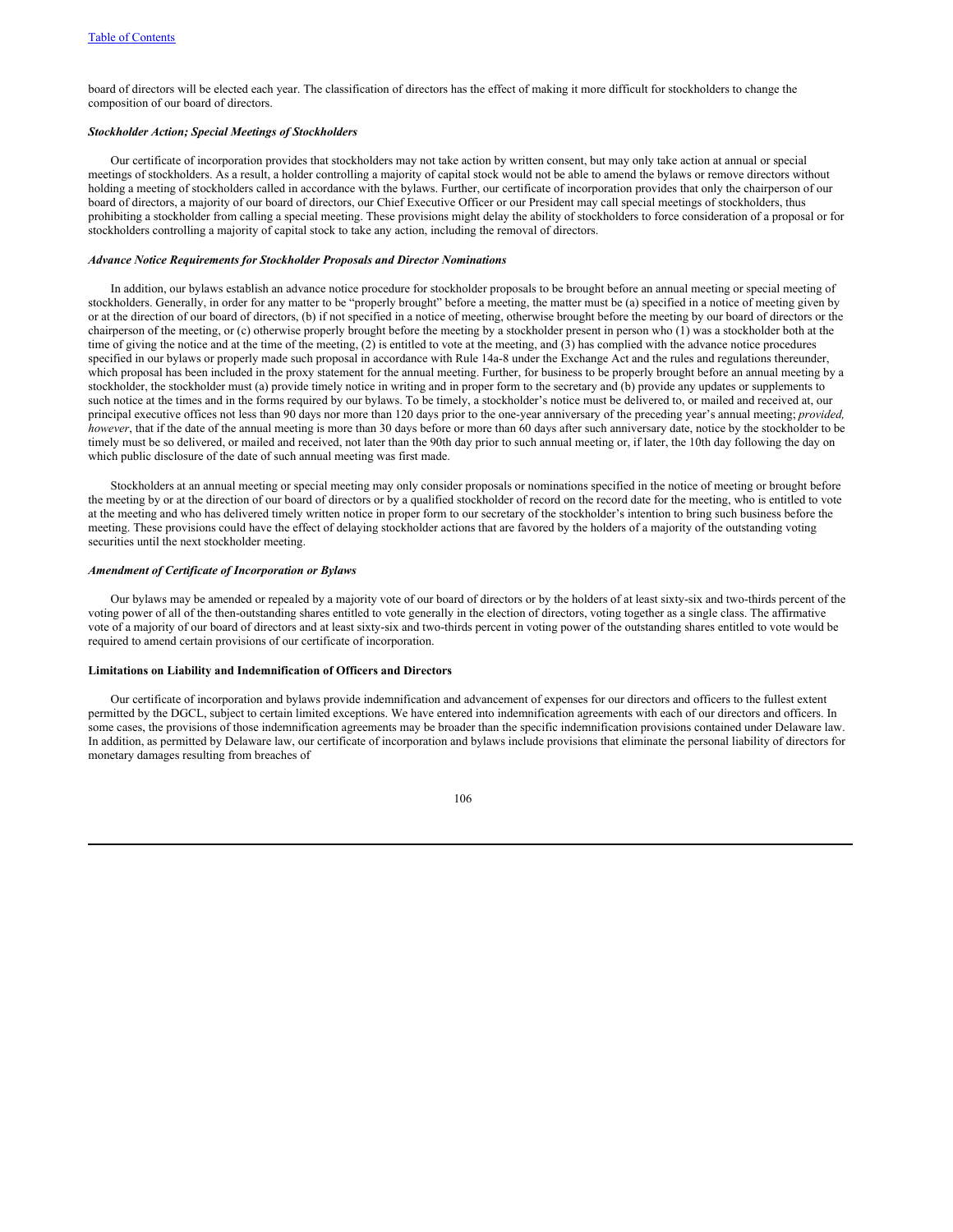board of directors will be elected each year. The classification of directors has the effect of making it more difficult for stockholders to change the composition of our board of directors.

# *Stockholder Action; Special Meetings of Stockholders*

Our certificate of incorporation provides that stockholders may not take action by written consent, but may only take action at annual or special meetings of stockholders. As a result, a holder controlling a majority of capital stock would not be able to amend the bylaws or remove directors without holding a meeting of stockholders called in accordance with the bylaws. Further, our certificate of incorporation provides that only the chairperson of our board of directors, a majority of our board of directors, our Chief Executive Officer or our President may call special meetings of stockholders, thus prohibiting a stockholder from calling a special meeting. These provisions might delay the ability of stockholders to force consideration of a proposal or for stockholders controlling a majority of capital stock to take any action, including the removal of directors.

#### *Advance Notice Requirements for Stockholder Proposals and Director Nominations*

In addition, our bylaws establish an advance notice procedure for stockholder proposals to be brought before an annual meeting or special meeting of stockholders. Generally, in order for any matter to be "properly brought" before a meeting, the matter must be (a) specified in a notice of meeting given by or at the direction of our board of directors, (b) if not specified in a notice of meeting, otherwise brought before the meeting by our board of directors or the chairperson of the meeting, or (c) otherwise properly brought before the meeting by a stockholder present in person who (1) was a stockholder both at the time of giving the notice and at the time of the meeting, (2) is entitled to vote at the meeting, and (3) has complied with the advance notice procedures specified in our bylaws or properly made such proposal in accordance with Rule 14a-8 under the Exchange Act and the rules and regulations thereunder, which proposal has been included in the proxy statement for the annual meeting. Further, for business to be properly brought before an annual meeting by a stockholder, the stockholder must (a) provide timely notice in writing and in proper form to the secretary and (b) provide any updates or supplements to such notice at the times and in the forms required by our bylaws. To be timely, a stockholder's notice must be delivered to, or mailed and received at, our principal executive offices not less than 90 days nor more than 120 days prior to the one-year anniversary of the preceding year's annual meeting; *provided, however*, that if the date of the annual meeting is more than 30 days before or more than 60 days after such anniversary date, notice by the stockholder to be timely must be so delivered, or mailed and received, not later than the 90th day prior to such annual meeting or, if later, the 10th day following the day on which public disclosure of the date of such annual meeting was first made.

Stockholders at an annual meeting or special meeting may only consider proposals or nominations specified in the notice of meeting or brought before the meeting by or at the direction of our board of directors or by a qualified stockholder of record on the record date for the meeting, who is entitled to vote at the meeting and who has delivered timely written notice in proper form to our secretary of the stockholder's intention to bring such business before the meeting. These provisions could have the effect of delaying stockholder actions that are favored by the holders of a majority of the outstanding voting securities until the next stockholder meeting.

## *Amendment of Certificate of Incorporation or Bylaws*

Our bylaws may be amended or repealed by a majority vote of our board of directors or by the holders of at least sixty-six and two-thirds percent of the voting power of all of the then-outstanding shares entitled to vote generally in the election of directors, voting together as a single class. The affirmative vote of a majority of our board of directors and at least sixty-six and two-thirds percent in voting power of the outstanding shares entitled to vote would be required to amend certain provisions of our certificate of incorporation.

# **Limitations on Liability and Indemnification of Officers and Directors**

Our certificate of incorporation and bylaws provide indemnification and advancement of expenses for our directors and officers to the fullest extent permitted by the DGCL, subject to certain limited exceptions. We have entered into indemnification agreements with each of our directors and officers. In some cases, the provisions of those indemnification agreements may be broader than the specific indemnification provisions contained under Delaware law. In addition, as permitted by Delaware law, our certificate of incorporation and bylaws include provisions that eliminate the personal liability of directors for monetary damages resulting from breaches of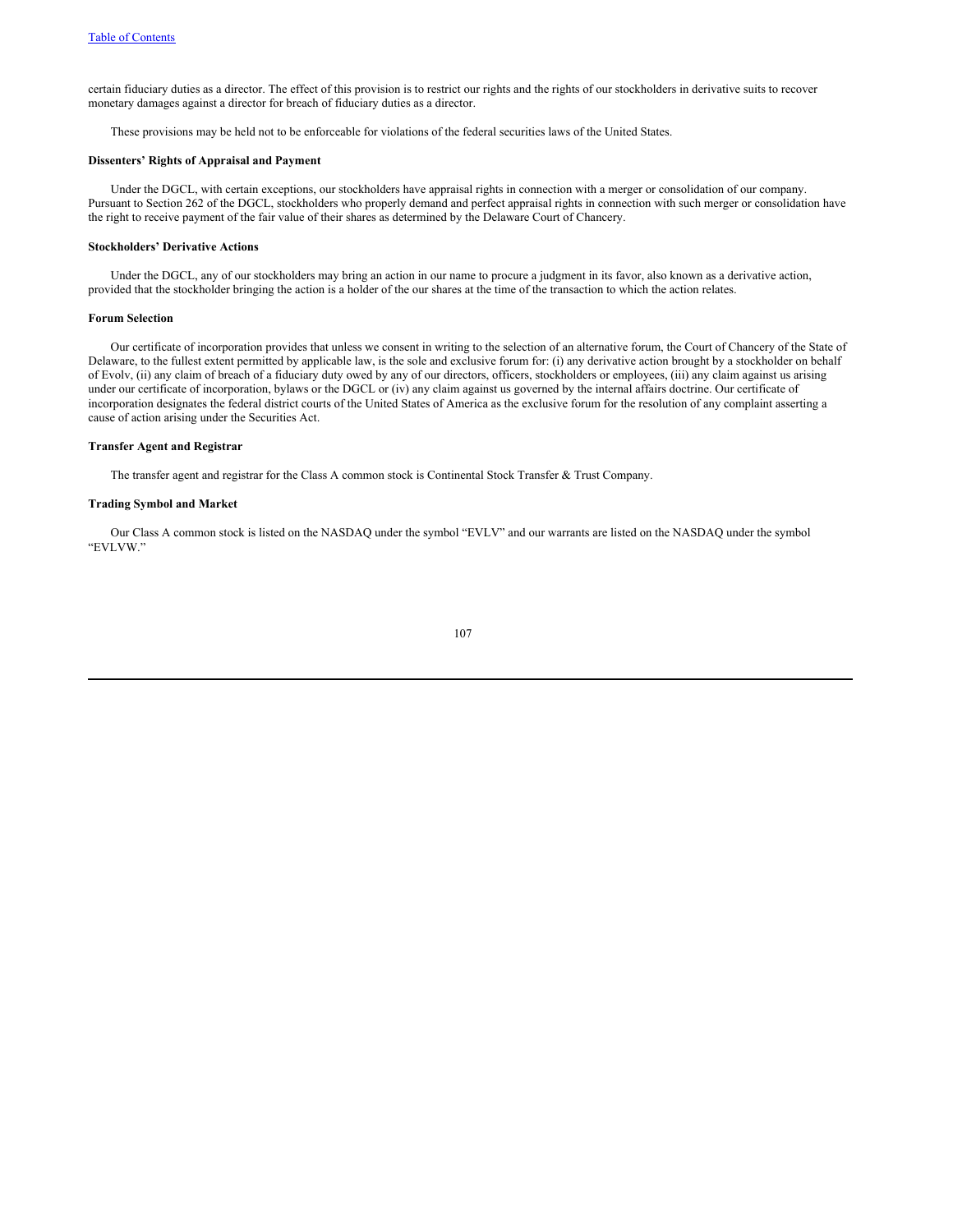certain fiduciary duties as a director. The effect of this provision is to restrict our rights and the rights of our stockholders in derivative suits to recover monetary damages against a director for breach of fiduciary duties as a director.

These provisions may be held not to be enforceable for violations of the federal securities laws of the United States.

# **Dissenters' Rights of Appraisal and Payment**

Under the DGCL, with certain exceptions, our stockholders have appraisal rights in connection with a merger or consolidation of our company. Pursuant to Section 262 of the DGCL, stockholders who properly demand and perfect appraisal rights in connection with such merger or consolidation have the right to receive payment of the fair value of their shares as determined by the Delaware Court of Chancery.

# **Stockholders' Derivative Actions**

Under the DGCL, any of our stockholders may bring an action in our name to procure a judgment in its favor, also known as a derivative action, provided that the stockholder bringing the action is a holder of the our shares at the time of the transaction to which the action relates.

# **Forum Selection**

Our certificate of incorporation provides that unless we consent in writing to the selection of an alternative forum, the Court of Chancery of the State of Delaware, to the fullest extent permitted by applicable law, is the sole and exclusive forum for: (i) any derivative action brought by a stockholder on behalf of Evolv, (ii) any claim of breach of a fiduciary duty owed by any of our directors, officers, stockholders or employees, (iii) any claim against us arising under our certificate of incorporation, bylaws or the DGCL or (iv) any claim against us governed by the internal affairs doctrine. Our certificate of incorporation designates the federal district courts of the United States of America as the exclusive forum for the resolution of any complaint asserting a cause of action arising under the Securities Act.

#### **Transfer Agent and Registrar**

The transfer agent and registrar for the Class A common stock is Continental Stock Transfer & Trust Company.

# **Trading Symbol and Market**

Our Class A common stock is listed on the NASDAQ under the symbol "EVLV" and our warrants are listed on the NASDAQ under the symbol "EVLVW."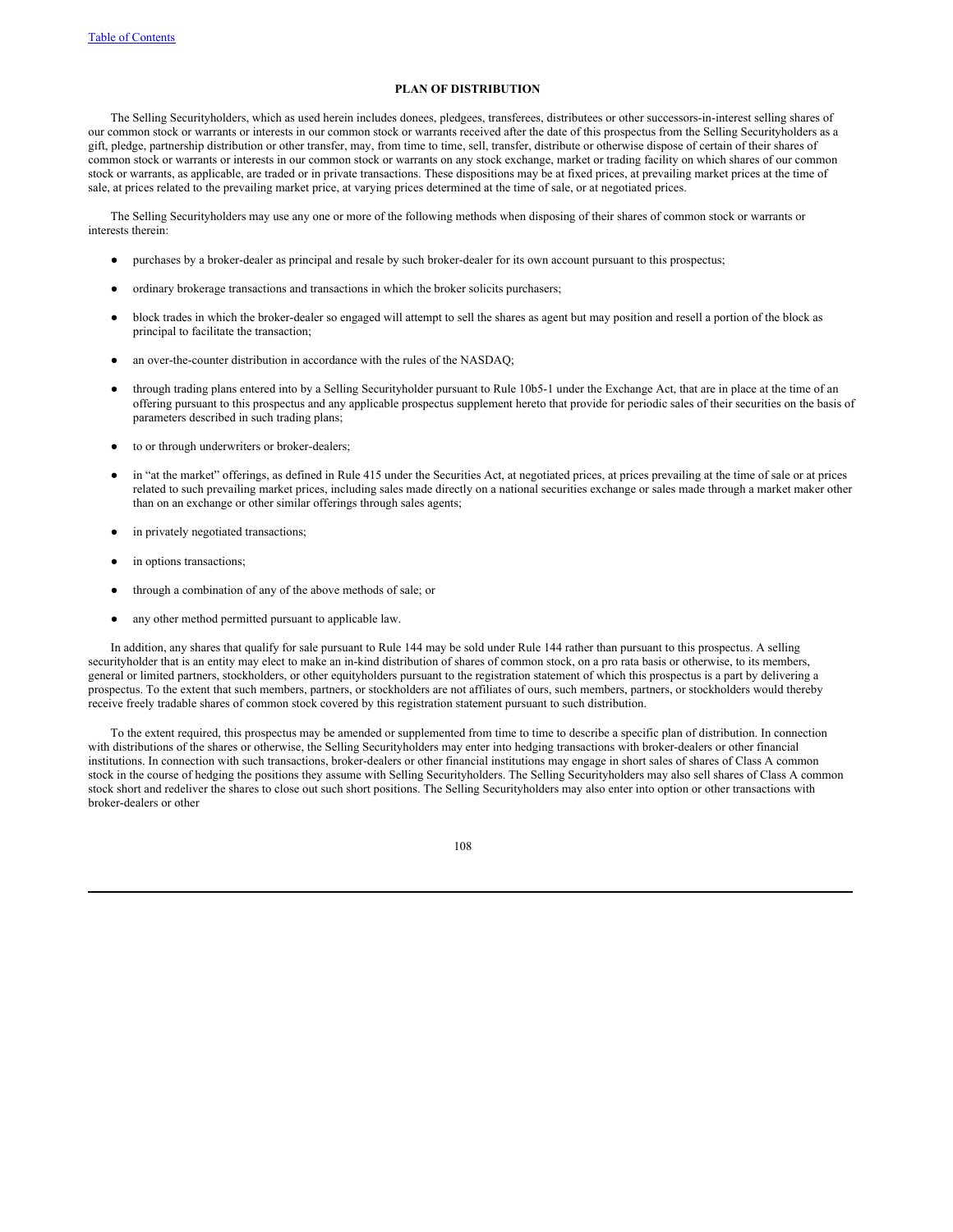# **PLAN OF DISTRIBUTION**

The Selling Securityholders, which as used herein includes donees, pledgees, transferees, distributees or other successors-in-interest selling shares of our common stock or warrants or interests in our common stock or warrants received after the date of this prospectus from the Selling Securityholders as a gift, pledge, partnership distribution or other transfer, may, from time to time, sell, transfer, distribute or otherwise dispose of certain of their shares of common stock or warrants or interests in our common stock or warrants on any stock exchange, market or trading facility on which shares of our common stock or warrants, as applicable, are traded or in private transactions. These dispositions may be at fixed prices, at prevailing market prices at the time of sale, at prices related to the prevailing market price, at varying prices determined at the time of sale, or at negotiated prices.

The Selling Securityholders may use any one or more of the following methods when disposing of their shares of common stock or warrants or interests therein:

- purchases by a broker-dealer as principal and resale by such broker-dealer for its own account pursuant to this prospectus;
- ordinary brokerage transactions and transactions in which the broker solicits purchasers;
- block trades in which the broker-dealer so engaged will attempt to sell the shares as agent but may position and resell a portion of the block as principal to facilitate the transaction;
- an over-the-counter distribution in accordance with the rules of the NASDAQ;
- through trading plans entered into by a Selling Securityholder pursuant to Rule 10b5-1 under the Exchange Act, that are in place at the time of an offering pursuant to this prospectus and any applicable prospectus supplement hereto that provide for periodic sales of their securities on the basis of parameters described in such trading plans;
- to or through underwriters or broker-dealers;
- in "at the market" offerings, as defined in Rule 415 under the Securities Act, at negotiated prices, at prices prevailing at the time of sale or at prices related to such prevailing market prices, including sales made directly on a national securities exchange or sales made through a market maker other than on an exchange or other similar offerings through sales agents;
- in privately negotiated transactions;
- in options transactions;
- through a combination of any of the above methods of sale; or
- any other method permitted pursuant to applicable law.

In addition, any shares that qualify for sale pursuant to Rule 144 may be sold under Rule 144 rather than pursuant to this prospectus. A selling securityholder that is an entity may elect to make an in-kind distribution of shares of common stock, on a pro rata basis or otherwise, to its members, general or limited partners, stockholders, or other equityholders pursuant to the registration statement of which this prospectus is a part by delivering a prospectus. To the extent that such members, partners, or stockholders are not affiliates of ours, such members, partners, or stockholders would thereby receive freely tradable shares of common stock covered by this registration statement pursuant to such distribution.

To the extent required, this prospectus may be amended or supplemented from time to time to describe a specific plan of distribution. In connection with distributions of the shares or otherwise, the Selling Securityholders may enter into hedging transactions with broker-dealers or other financial institutions. In connection with such transactions, broker-dealers or other financial institutions may engage in short sales of shares of Class A common stock in the course of hedging the positions they assume with Selling Securityholders. The Selling Securityholders may also sell shares of Class A common stock short and redeliver the shares to close out such short positions. The Selling Securityholders may also enter into option or other transactions with broker-dealers or other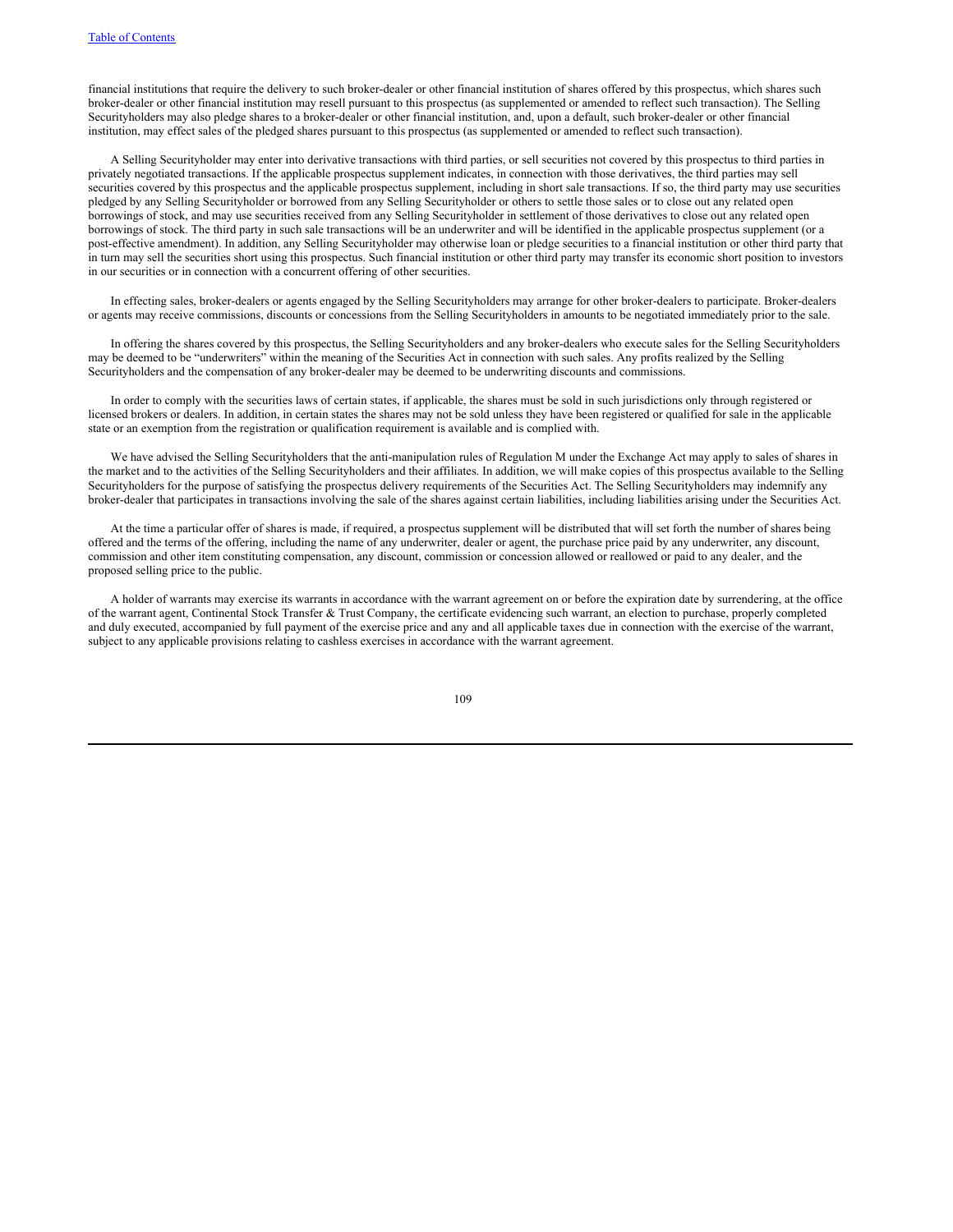financial institutions that require the delivery to such broker-dealer or other financial institution of shares offered by this prospectus, which shares such broker-dealer or other financial institution may resell pursuant to this prospectus (as supplemented or amended to reflect such transaction). The Selling Securityholders may also pledge shares to a broker-dealer or other financial institution, and, upon a default, such broker-dealer or other financial institution, may effect sales of the pledged shares pursuant to this prospectus (as supplemented or amended to reflect such transaction).

A Selling Securityholder may enter into derivative transactions with third parties, or sell securities not covered by this prospectus to third parties in privately negotiated transactions. If the applicable prospectus supplement indicates, in connection with those derivatives, the third parties may sell securities covered by this prospectus and the applicable prospectus supplement, including in short sale transactions. If so, the third party may use securities pledged by any Selling Securityholder or borrowed from any Selling Securityholder or others to settle those sales or to close out any related open borrowings of stock, and may use securities received from any Selling Securityholder in settlement of those derivatives to close out any related open borrowings of stock. The third party in such sale transactions will be an underwriter and will be identified in the applicable prospectus supplement (or a post-effective amendment). In addition, any Selling Securityholder may otherwise loan or pledge securities to a financial institution or other third party that in turn may sell the securities short using this prospectus. Such financial institution or other third party may transfer its economic short position to investors in our securities or in connection with a concurrent offering of other securities.

In effecting sales, broker-dealers or agents engaged by the Selling Securityholders may arrange for other broker-dealers to participate. Broker-dealers or agents may receive commissions, discounts or concessions from the Selling Securityholders in amounts to be negotiated immediately prior to the sale.

In offering the shares covered by this prospectus, the Selling Securityholders and any broker-dealers who execute sales for the Selling Securityholders may be deemed to be "underwriters" within the meaning of the Securities Act in connection with such sales. Any profits realized by the Selling Securityholders and the compensation of any broker-dealer may be deemed to be underwriting discounts and commissions.

In order to comply with the securities laws of certain states, if applicable, the shares must be sold in such jurisdictions only through registered or licensed brokers or dealers. In addition, in certain states the shares may not be sold unless they have been registered or qualified for sale in the applicable state or an exemption from the registration or qualification requirement is available and is complied with.

We have advised the Selling Securityholders that the anti-manipulation rules of Regulation M under the Exchange Act may apply to sales of shares in the market and to the activities of the Selling Securityholders and their affiliates. In addition, we will make copies of this prospectus available to the Selling Securityholders for the purpose of satisfying the prospectus delivery requirements of the Securities Act. The Selling Securityholders may indemnify any broker-dealer that participates in transactions involving the sale of the shares against certain liabilities, including liabilities arising under the Securities Act.

At the time a particular offer of shares is made, if required, a prospectus supplement will be distributed that will set forth the number of shares being offered and the terms of the offering, including the name of any underwriter, dealer or agent, the purchase price paid by any underwriter, any discount, commission and other item constituting compensation, any discount, commission or concession allowed or reallowed or paid to any dealer, and the proposed selling price to the public.

A holder of warrants may exercise its warrants in accordance with the warrant agreement on or before the expiration date by surrendering, at the office of the warrant agent, Continental Stock Transfer & Trust Company, the certificate evidencing such warrant, an election to purchase, properly completed and duly executed, accompanied by full payment of the exercise price and any and all applicable taxes due in connection with the exercise of the warrant, subject to any applicable provisions relating to cashless exercises in accordance with the warrant agreement.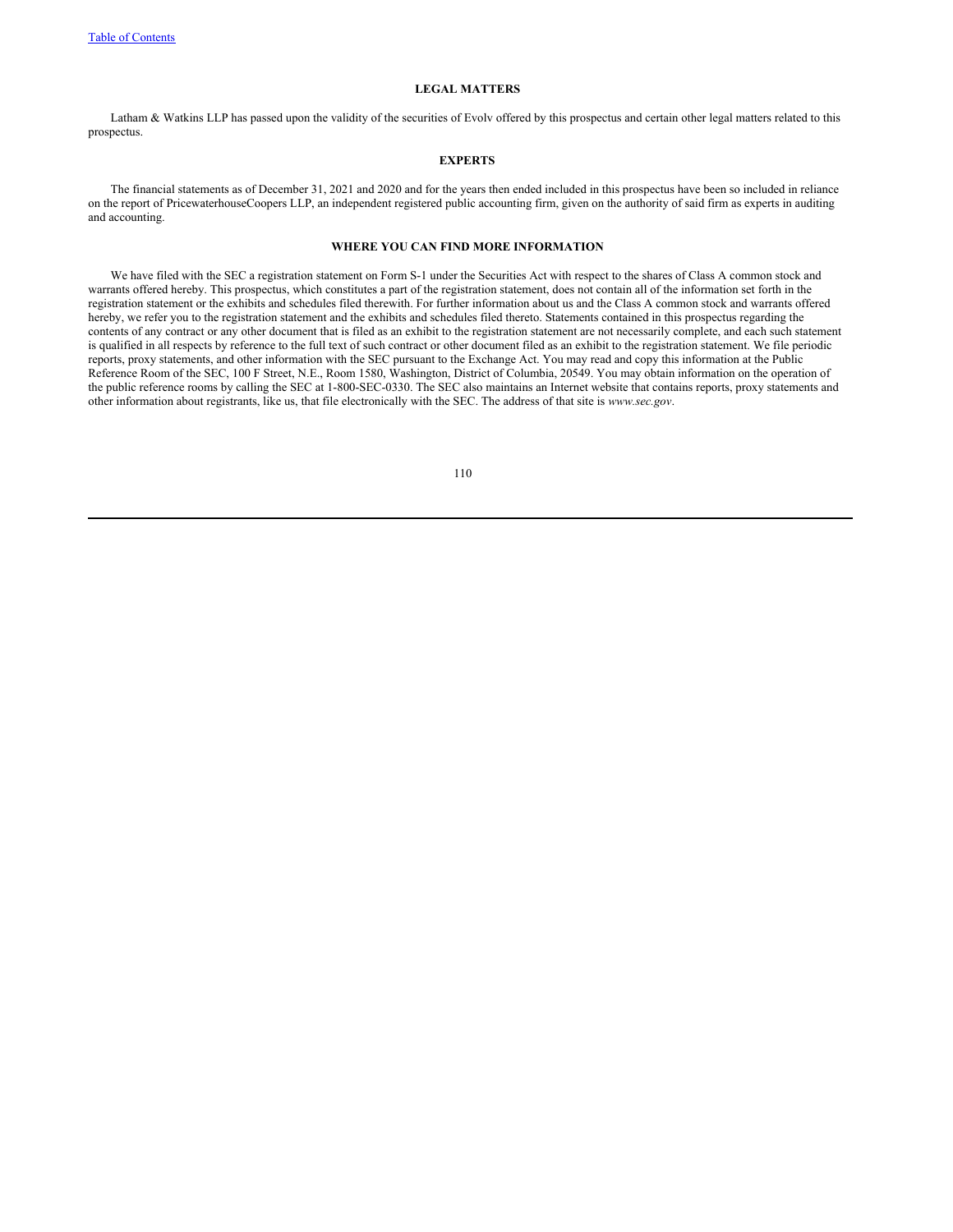# **LEGAL MATTERS**

Latham & Watkins LLP has passed upon the validity of the securities of Evolv offered by this prospectus and certain other legal matters related to this prospectus.

# **EXPERTS**

The financial statements as of December 31, 2021 and 2020 and for the years then ended included in this prospectus have been so included in reliance on the report of PricewaterhouseCoopers LLP, an independent registered public accounting firm, given on the authority of said firm as experts in auditing and accounting.

# **WHERE YOU CAN FIND MORE INFORMATION**

We have filed with the SEC a registration statement on Form S-1 under the Securities Act with respect to the shares of Class A common stock and warrants offered hereby. This prospectus, which constitutes a part of the registration statement, does not contain all of the information set forth in the registration statement or the exhibits and schedules filed therewith. For further information about us and the Class A common stock and warrants offered hereby, we refer you to the registration statement and the exhibits and schedules filed thereto. Statements contained in this prospectus regarding the contents of any contract or any other document that is filed as an exhibit to the registration statement are not necessarily complete, and each such statement is qualified in all respects by reference to the full text of such contract or other document filed as an exhibit to the registration statement. We file periodic reports, proxy statements, and other information with the SEC pursuant to the Exchange Act. You may read and copy this information at the Public Reference Room of the SEC, 100 F Street, N.E., Room 1580, Washington, District of Columbia, 20549. You may obtain information on the operation of the public reference rooms by calling the SEC at 1-800-SEC-0330. The SEC also maintains an Internet website that contains reports, proxy statements and other information about registrants, like us, that file electronically with the SEC. The address of that site is *www.sec.gov*.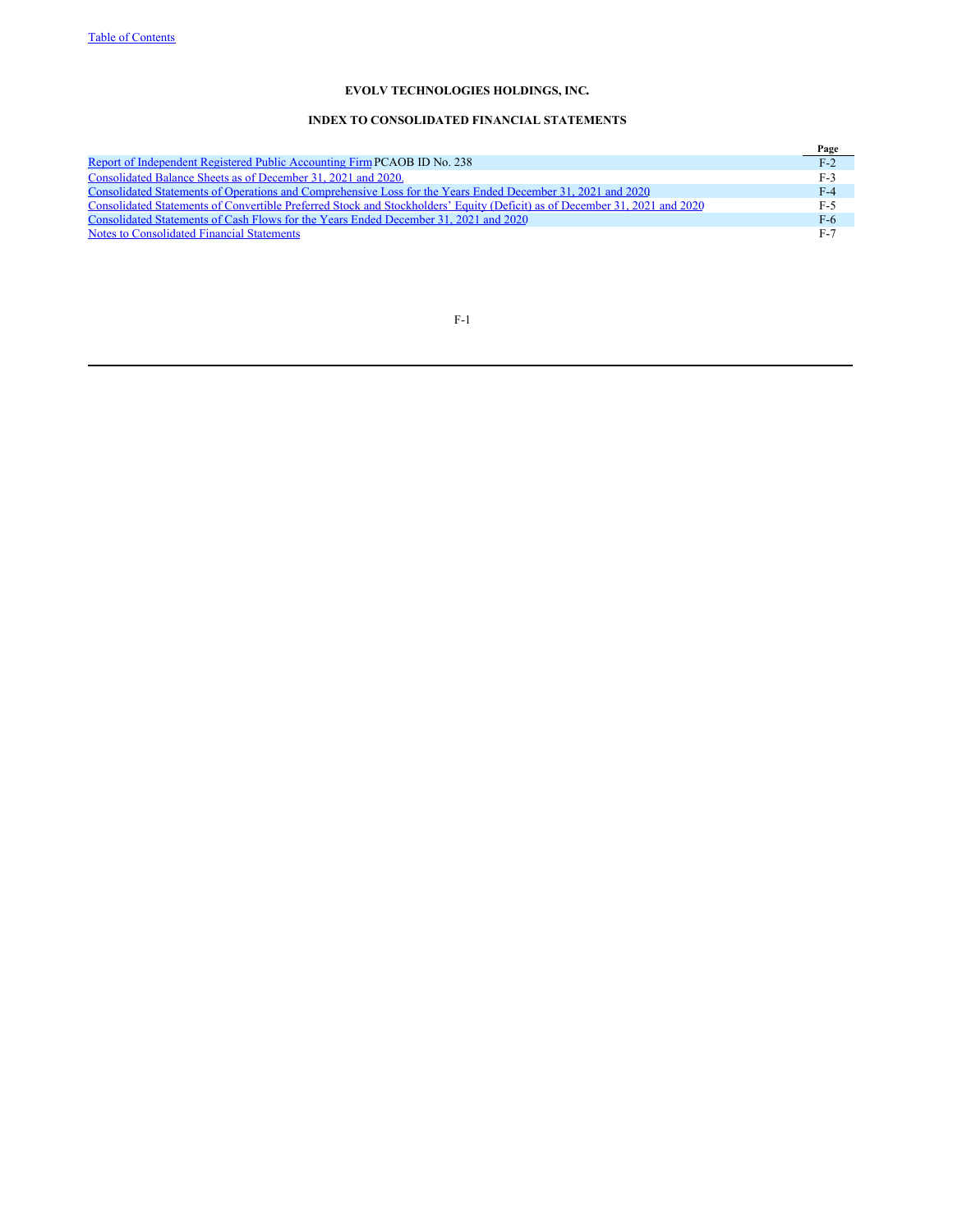# **INDEX TO CONSOLIDATED FINANCIAL STATEMENTS**

|                                                                                                                            | Page  |
|----------------------------------------------------------------------------------------------------------------------------|-------|
| Report of Independent Registered Public Accounting Firm PCAOB ID No. 238                                                   | $F-2$ |
| Consolidated Balance Sheets as of December 31, 2021 and 2020.                                                              | $F-3$ |
| Consolidated Statements of Operations and Comprehensive Loss for the Years Ended December 31, 2021 and 2020                | $F-4$ |
| Consolidated Statements of Convertible Preferred Stock and Stockholders' Equity (Deficit) as of December 31, 2021 and 2020 | $F-5$ |
| Consolidated Statements of Cash Flows for the Years Ended December 31, 2021 and 2020                                       | $F-6$ |
| Notes to Consolidated Financial Statements                                                                                 | $F-7$ |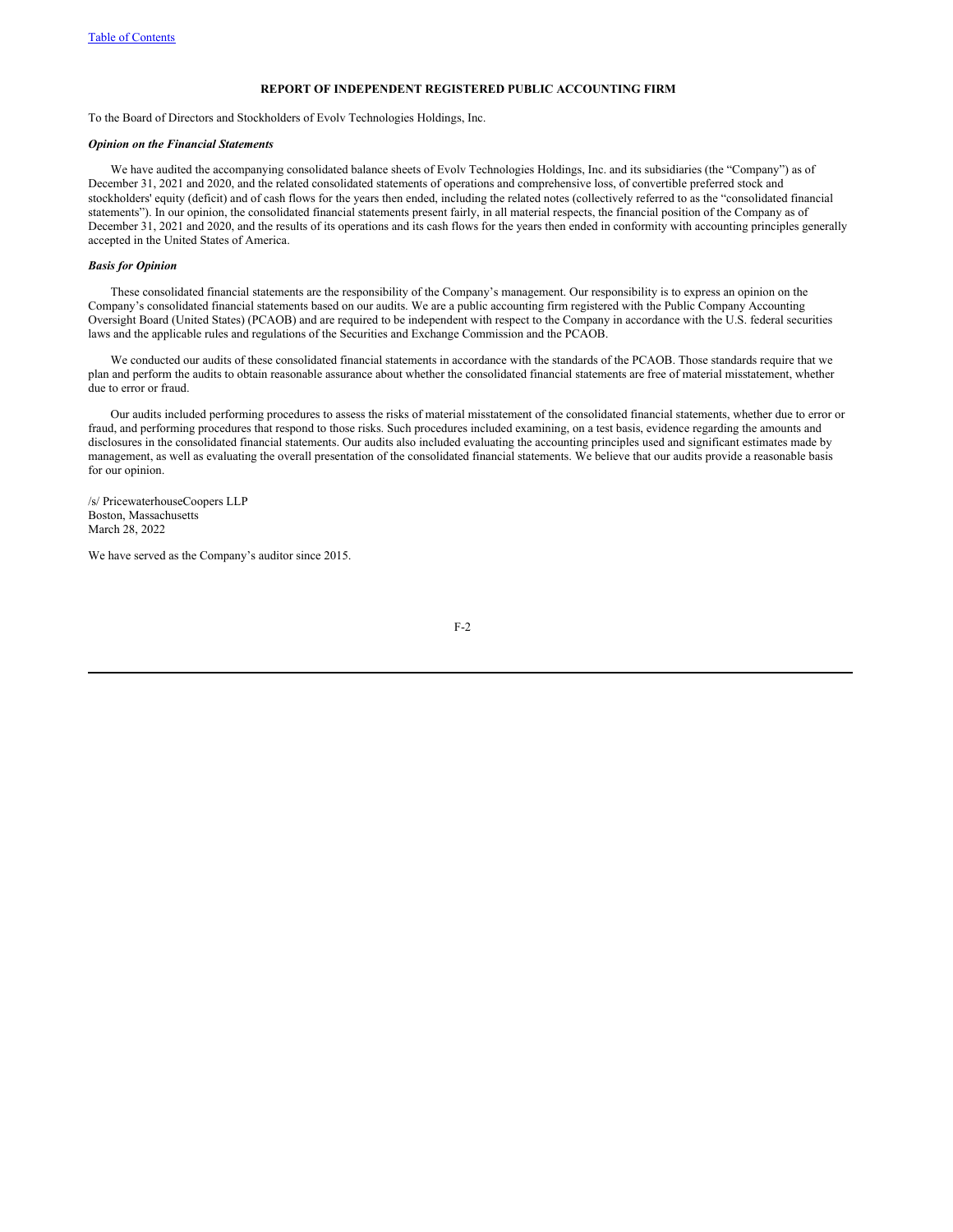#### **REPORT OF INDEPENDENT REGISTERED PUBLIC ACCOUNTING FIRM**

To the Board of Directors and Stockholders of Evolv Technologies Holdings, Inc.

# *Opinion on the Financial Statements*

We have audited the accompanying consolidated balance sheets of Evolv Technologies Holdings, Inc. and its subsidiaries (the "Company") as of December 31, 2021 and 2020, and the related consolidated statements of operations and comprehensive loss, of convertible preferred stock and stockholders' equity (deficit) and of cash flows for the years then ended, including the related notes (collectively referred to as the "consolidated financial statements"). In our opinion, the consolidated financial statements present fairly, in all material respects, the financial position of the Company as of December 31, 2021 and 2020, and the results of its operations and its cash flows for the years then ended in conformity with accounting principles generally accepted in the United States of America.

# *Basis for Opinion*

These consolidated financial statements are the responsibility of the Company's management. Our responsibility is to express an opinion on the Company's consolidated financial statements based on our audits. We are a public accounting firm registered with the Public Company Accounting Oversight Board (United States) (PCAOB) and are required to be independent with respect to the Company in accordance with the U.S. federal securities laws and the applicable rules and regulations of the Securities and Exchange Commission and the PCAOB.

We conducted our audits of these consolidated financial statements in accordance with the standards of the PCAOB. Those standards require that we plan and perform the audits to obtain reasonable assurance about whether the consolidated financial statements are free of material misstatement, whether due to error or fraud.

Our audits included performing procedures to assess the risks of material misstatement of the consolidated financial statements, whether due to error or fraud, and performing procedures that respond to those risks. Such procedures included examining, on a test basis, evidence regarding the amounts and disclosures in the consolidated financial statements. Our audits also included evaluating the accounting principles used and significant estimates made by management, as well as evaluating the overall presentation of the consolidated financial statements. We believe that our audits provide a reasonable basis for our opinion.

/s/ PricewaterhouseCoopers LLP Boston, Massachusetts March 28, 2022

We have served as the Company's auditor since 2015.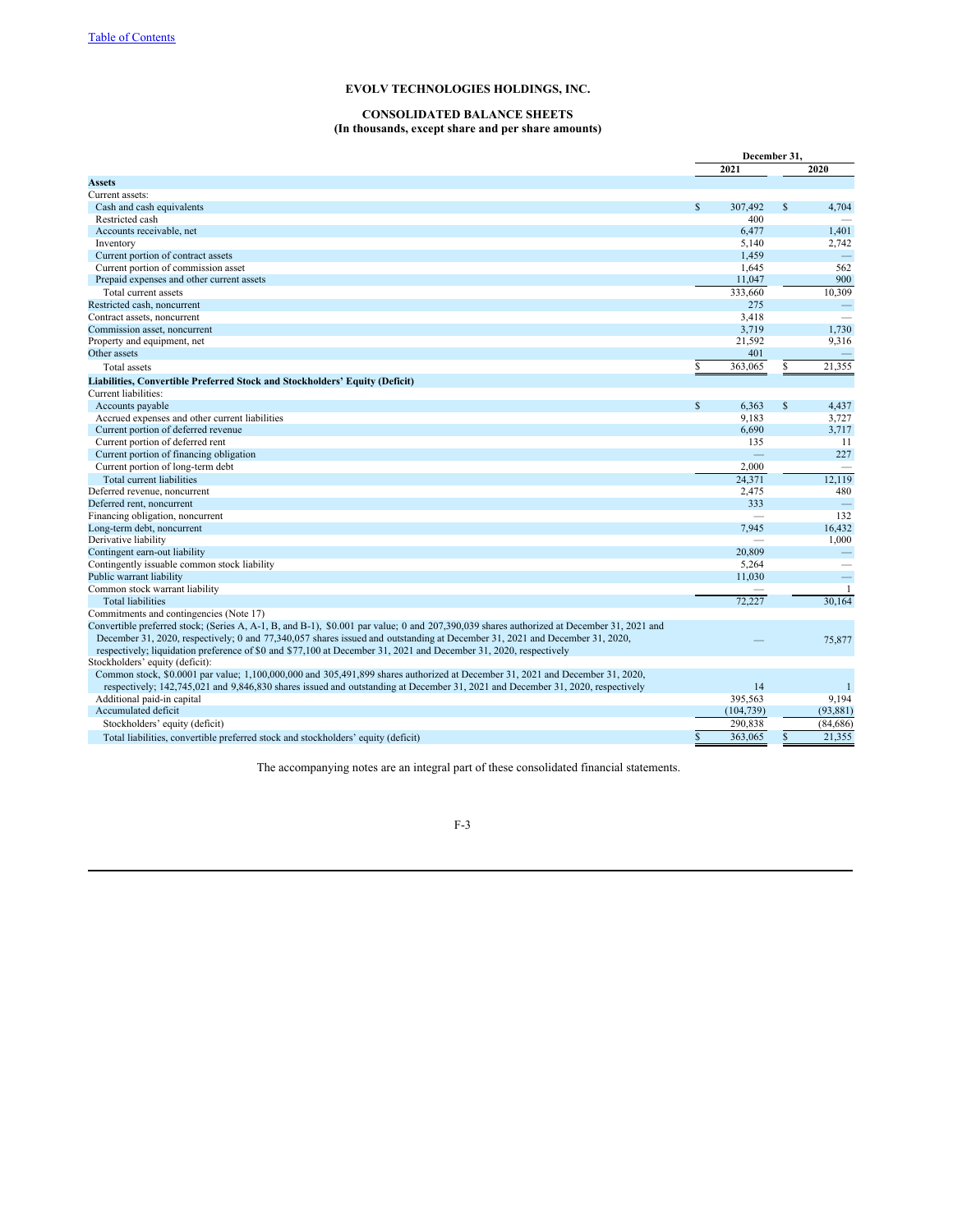# **CONSOLIDATED BALANCE SHEETS**

# **(In thousands, except share and per share amounts)**

|                                                                                                                                           | December 31, |            |               |                   |
|-------------------------------------------------------------------------------------------------------------------------------------------|--------------|------------|---------------|-------------------|
|                                                                                                                                           |              | 2021       |               | 2020              |
| Assets                                                                                                                                    |              |            |               |                   |
| Current assets:                                                                                                                           |              |            |               |                   |
| Cash and cash equivalents                                                                                                                 | $\mathbb{S}$ | 307,492    | \$            | 4,704             |
| Restricted cash                                                                                                                           |              | 400        |               |                   |
| Accounts receivable, net                                                                                                                  |              | 6,477      |               | 1,401             |
| Inventory                                                                                                                                 |              | 5,140      |               | 2,742             |
| Current portion of contract assets                                                                                                        |              | 1,459      |               | $\qquad \qquad -$ |
| Current portion of commission asset                                                                                                       |              | 1,645      |               | 562               |
| Prepaid expenses and other current assets                                                                                                 |              | 11,047     |               | 900               |
| Total current assets                                                                                                                      |              | 333,660    |               | 10,309            |
| Restricted cash, noncurrent                                                                                                               |              | 275        |               |                   |
| Contract assets, noncurrent                                                                                                               |              | 3,418      |               |                   |
| Commission asset, noncurrent                                                                                                              |              | 3,719      |               | 1,730             |
| Property and equipment, net                                                                                                               |              | 21,592     |               | 9,316             |
| Other assets                                                                                                                              |              | 401        |               |                   |
| Total assets                                                                                                                              | S            | 363,065    | \$            | 21,355            |
| Liabilities, Convertible Preferred Stock and Stockholders' Equity (Deficit)                                                               |              |            |               |                   |
| Current liabilities:                                                                                                                      |              |            |               |                   |
| Accounts payable                                                                                                                          | $\mathbb{S}$ | 6,363      | $\mathcal{S}$ | 4,437             |
| Accrued expenses and other current liabilities                                                                                            |              | 9,183      |               | 3,727             |
| Current portion of deferred revenue                                                                                                       |              | 6,690      |               | 3,717             |
| Current portion of deferred rent                                                                                                          |              | 135        |               | 11                |
| Current portion of financing obligation                                                                                                   |              |            |               | 227               |
| Current portion of long-term debt                                                                                                         |              | 2.000      |               |                   |
| Total current liabilities                                                                                                                 |              | 24,371     |               | 12,119            |
| Deferred revenue, noncurrent                                                                                                              |              | 2,475      |               | 480               |
| Deferred rent, noncurrent                                                                                                                 |              | 333        |               | $\frac{1}{2}$     |
| Financing obligation, noncurrent                                                                                                          |              |            |               | 132               |
| Long-term debt, noncurrent                                                                                                                |              | 7.945      |               | 16,432            |
| Derivative liability                                                                                                                      |              |            |               | 1,000             |
| Contingent earn-out liability                                                                                                             |              | 20,809     |               |                   |
| Contingently issuable common stock liability                                                                                              |              | 5,264      |               |                   |
| Public warrant liability                                                                                                                  |              | 11,030     |               | $\equiv$          |
| Common stock warrant liability                                                                                                            |              |            |               | $\overline{1}$    |
| <b>Total liabilities</b>                                                                                                                  |              | 72.227     |               | 30.164            |
| Commitments and contingencies (Note 17)                                                                                                   |              |            |               |                   |
| Convertible preferred stock; (Series A, A-1, B, and B-1), \$0.001 par value; 0 and 207,390,039 shares authorized at December 31, 2021 and |              |            |               |                   |
| December 31, 2020, respectively; 0 and 77,340,057 shares issued and outstanding at December 31, 2021 and December 31, 2020,               |              |            |               | 75,877            |
| respectively; liquidation preference of \$0 and \$77,100 at December 31, 2021 and December 31, 2020, respectively                         |              |            |               |                   |
| Stockholders' equity (deficit):                                                                                                           |              |            |               |                   |
| Common stock, \$0.0001 par value; 1,100,000,000 and 305,491,899 shares authorized at December 31, 2021 and December 31, 2020,             |              |            |               |                   |
| respectively; 142,745,021 and 9,846,830 shares issued and outstanding at December 31, 2021 and December 31, 2020, respectively            |              | 14         |               | -1                |
| Additional paid-in capital                                                                                                                |              | 395,563    |               | 9,194             |
| Accumulated deficit                                                                                                                       |              | (104, 739) |               | (93, 881)         |
| Stockholders' equity (deficit)                                                                                                            |              | 290,838    |               | (84, 686)         |
|                                                                                                                                           |              |            |               |                   |
| Total liabilities, convertible preferred stock and stockholders' equity (deficit)                                                         | \$           | 363,065    | \$.           | 21,355            |

The accompanying notes are an integral part of these consolidated financial statements.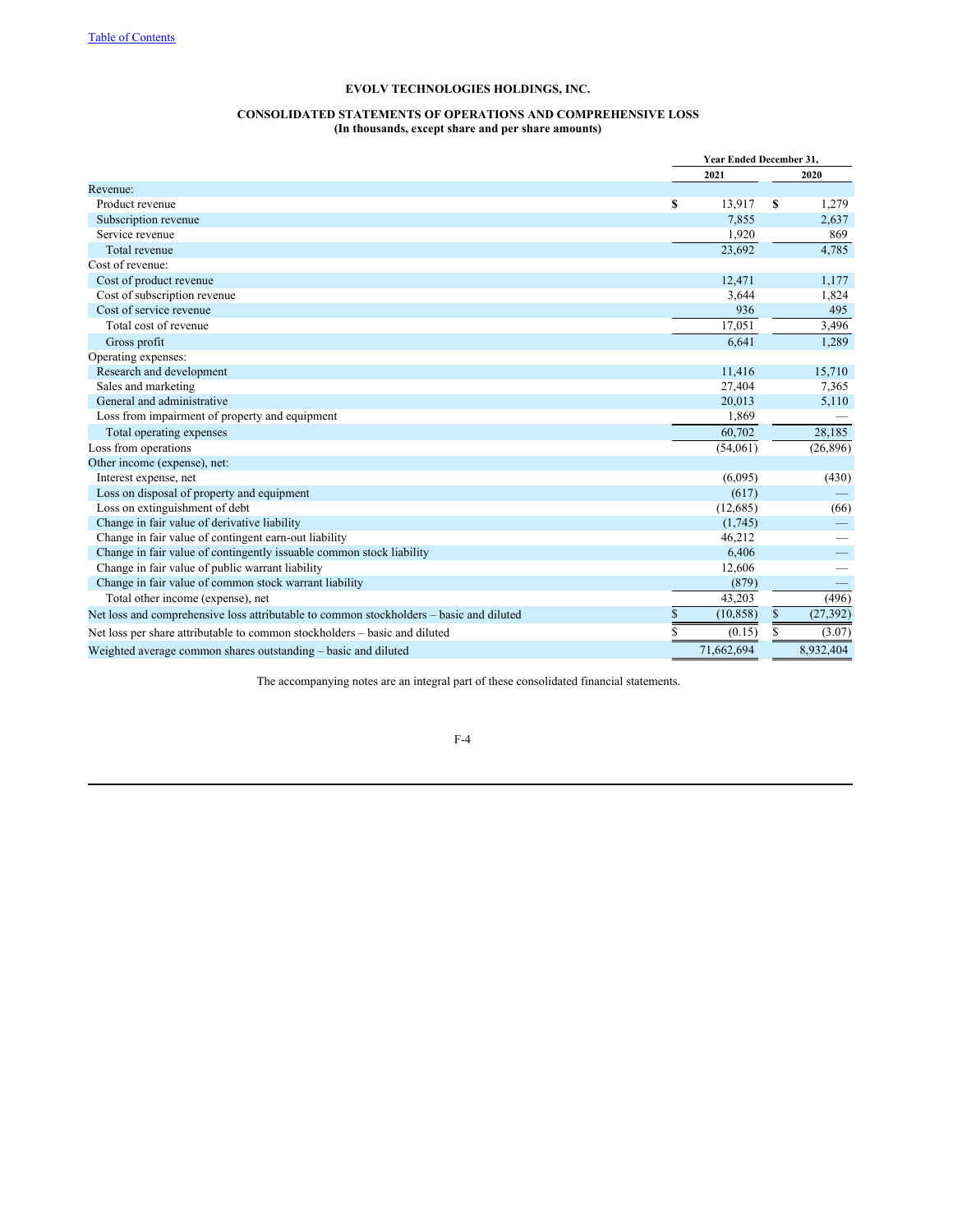# **CONSOLIDATED STATEMENTS OF OPERATIONS AND COMPREHENSIVE LOSS (In thousands, except share and per share amounts)**

|                                                                                         |    | Year Ended December 31, |    |           |
|-----------------------------------------------------------------------------------------|----|-------------------------|----|-----------|
|                                                                                         |    | 2021                    |    | 2020      |
| Revenue:                                                                                |    |                         |    |           |
| Product revenue                                                                         | S  | 13.917                  | S  | 1,279     |
| Subscription revenue                                                                    |    | 7,855                   |    | 2,637     |
| Service revenue                                                                         |    | 1,920                   |    | 869       |
| Total revenue                                                                           |    | 23,692                  |    | 4,785     |
| Cost of revenue:                                                                        |    |                         |    |           |
| Cost of product revenue                                                                 |    | 12,471                  |    | 1,177     |
| Cost of subscription revenue                                                            |    | 3.644                   |    | 1,824     |
| Cost of service revenue                                                                 |    | 936                     |    | 495       |
| Total cost of revenue                                                                   |    | 17,051                  |    | 3,496     |
| Gross profit                                                                            |    | 6,641                   |    | 1,289     |
| Operating expenses:                                                                     |    |                         |    |           |
| Research and development                                                                |    | 11,416                  |    | 15,710    |
| Sales and marketing                                                                     |    | 27,404                  |    | 7,365     |
| General and administrative                                                              |    | 20,013                  |    | 5,110     |
| Loss from impairment of property and equipment                                          |    | 1,869                   |    |           |
| Total operating expenses                                                                |    | 60,702                  |    | 28,185    |
| Loss from operations                                                                    |    | (54,061)                |    | (26, 896) |
| Other income (expense), net:                                                            |    |                         |    |           |
| Interest expense, net                                                                   |    | (6,095)                 |    | (430)     |
| Loss on disposal of property and equipment                                              |    | (617)                   |    |           |
| Loss on extinguishment of debt                                                          |    | (12,685)                |    | (66)      |
| Change in fair value of derivative liability                                            |    | (1,745)                 |    |           |
| Change in fair value of contingent earn-out liability                                   |    | 46,212                  |    |           |
| Change in fair value of contingently issuable common stock liability                    |    | 6,406                   |    |           |
| Change in fair value of public warrant liability                                        |    | 12,606                  |    |           |
| Change in fair value of common stock warrant liability                                  |    | (879)                   |    |           |
| Total other income (expense), net                                                       |    | 43,203                  |    | (496)     |
| Net loss and comprehensive loss attributable to common stockholders – basic and diluted | \$ | (10, 858)               | \$ | (27, 392) |
| Net loss per share attributable to common stockholders – basic and diluted              | S  | (0.15)                  | S  | (3.07)    |
| Weighted average common shares outstanding - basic and diluted                          |    | 71.662.694              |    | 8.932.404 |

The accompanying notes are an integral part of these consolidated financial statements.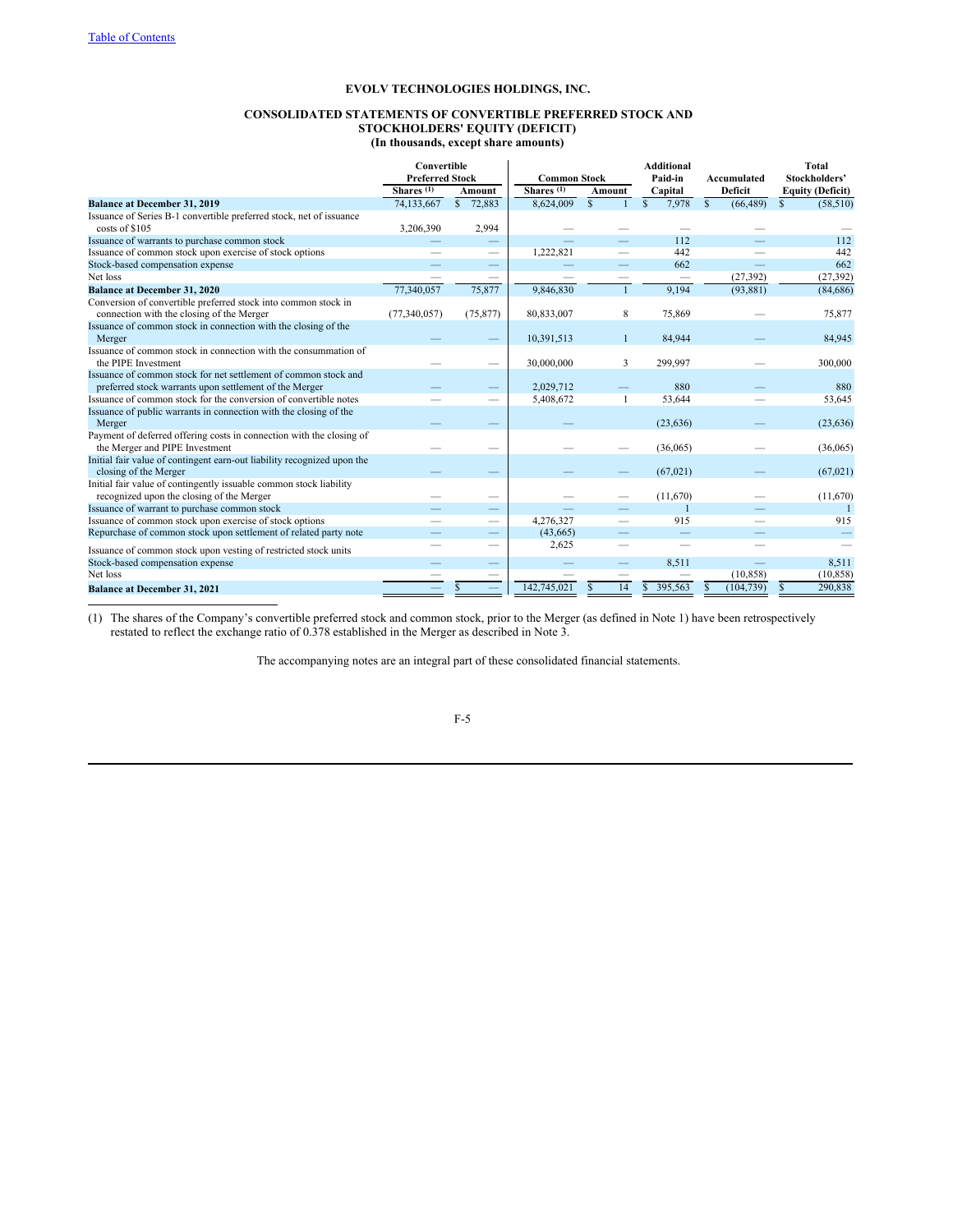# **CONSOLIDATED STATEMENTS OF CONVERTIBLE PREFERRED STOCK AND STOCKHOLDERS' EQUITY (DEFICIT) (In thousands, except share amounts)**

|                                                                          |                       | Convertible<br><b>Additional</b><br><b>Preferred Stock</b><br><b>Common Stock</b><br>Paid-in |                       |                          | Accumulated           | <b>Total</b><br>Stockholders' |                           |                                    |  |
|--------------------------------------------------------------------------|-----------------------|----------------------------------------------------------------------------------------------|-----------------------|--------------------------|-----------------------|-------------------------------|---------------------------|------------------------------------|--|
|                                                                          | Shares <sup>(1)</sup> | Amount                                                                                       | Shares <sup>(1)</sup> | Capital<br>Amount        |                       |                               |                           | Deficit<br><b>Equity (Deficit)</b> |  |
| <b>Balance at December 31, 2019</b>                                      | 74,133,667            | \$72,883                                                                                     | 8,624,009             | $\mathcal{S}$            | $\mathbb{S}$<br>7,978 | $\mathbb{S}$<br>(66, 489)     | $\mathbb{S}$<br>(58, 510) |                                    |  |
| Issuance of Series B-1 convertible preferred stock, net of issuance      |                       |                                                                                              |                       |                          |                       |                               |                           |                                    |  |
| costs of \$105                                                           | 3,206,390             | 2,994                                                                                        |                       |                          |                       |                               |                           |                                    |  |
| Issuance of warrants to purchase common stock                            |                       | $\qquad \qquad -$                                                                            |                       |                          | 112                   |                               | 112                       |                                    |  |
| Issuance of common stock upon exercise of stock options                  |                       |                                                                                              | 1,222,821             |                          | 442                   |                               | 442                       |                                    |  |
| Stock-based compensation expense                                         |                       |                                                                                              |                       |                          | 662                   |                               | 662                       |                                    |  |
| Net loss                                                                 |                       |                                                                                              |                       |                          |                       | (27, 392)                     | (27, 392)                 |                                    |  |
| <b>Balance at December 31, 2020</b>                                      | 77,340,057            | 75,877                                                                                       | 9,846,830             | $\mathbf{1}$             | 9,194                 | (93, 881)                     | (84, 686)                 |                                    |  |
| Conversion of convertible preferred stock into common stock in           |                       |                                                                                              |                       |                          |                       |                               |                           |                                    |  |
| connection with the closing of the Merger                                | (77, 340, 057)        | (75, 877)                                                                                    | 80,833,007            | 8                        | 75,869                |                               | 75,877                    |                                    |  |
| Issuance of common stock in connection with the closing of the<br>Merger |                       |                                                                                              | 10,391,513            | $\mathbf{1}$             | 84.944                |                               | 84,945                    |                                    |  |
| Issuance of common stock in connection with the consummation of          |                       |                                                                                              |                       |                          |                       |                               |                           |                                    |  |
| the PIPE Investment                                                      |                       |                                                                                              | 30,000,000            | 3                        | 299,997               |                               | 300,000                   |                                    |  |
| Issuance of common stock for net settlement of common stock and          |                       |                                                                                              |                       |                          |                       |                               |                           |                                    |  |
| preferred stock warrants upon settlement of the Merger                   |                       |                                                                                              | 2,029,712             |                          | 880                   |                               | 880                       |                                    |  |
| Issuance of common stock for the conversion of convertible notes         |                       |                                                                                              | 5,408,672             | 1                        | 53,644                |                               | 53,645                    |                                    |  |
| Issuance of public warrants in connection with the closing of the        |                       |                                                                                              |                       |                          |                       |                               |                           |                                    |  |
| Merger                                                                   |                       |                                                                                              |                       |                          | (23, 636)             |                               | (23, 636)                 |                                    |  |
| Payment of deferred offering costs in connection with the closing of     |                       |                                                                                              |                       |                          |                       |                               |                           |                                    |  |
| the Merger and PIPE Investment                                           |                       |                                                                                              |                       |                          | (36,065)              |                               | (36,065)                  |                                    |  |
| Initial fair value of contingent earn-out liability recognized upon the  |                       |                                                                                              |                       |                          |                       |                               |                           |                                    |  |
| closing of the Merger                                                    |                       |                                                                                              |                       |                          | (67, 021)             |                               | (67,021)                  |                                    |  |
| Initial fair value of contingently issuable common stock liability       |                       |                                                                                              |                       |                          |                       |                               |                           |                                    |  |
| recognized upon the closing of the Merger                                |                       |                                                                                              |                       |                          | (11,670)              |                               | (11,670)                  |                                    |  |
| Issuance of warrant to purchase common stock                             |                       |                                                                                              |                       |                          |                       |                               | $\overline{1}$            |                                    |  |
| Issuance of common stock upon exercise of stock options                  |                       | -                                                                                            | 4,276,327             | $\overline{\phantom{0}}$ | 915                   |                               | 915                       |                                    |  |
| Repurchase of common stock upon settlement of related party note         |                       | –                                                                                            | (43,665)              |                          |                       |                               |                           |                                    |  |
| Issuance of common stock upon vesting of restricted stock units          |                       | -                                                                                            | 2.625                 |                          |                       |                               |                           |                                    |  |
| Stock-based compensation expense                                         |                       |                                                                                              |                       | $\qquad \qquad -$        | 8.511                 |                               | 8,511                     |                                    |  |
| Net loss                                                                 |                       |                                                                                              |                       |                          |                       | (10, 858)                     | (10, 858)                 |                                    |  |
| <b>Balance at December 31, 2021</b>                                      |                       |                                                                                              | 142,745,021           | 14                       | 395,563               | (104, 739)                    | 290,838                   |                                    |  |

(1) The shares of the Company's convertible preferred stock and common stock, prior to the Merger (as defined in Note 1) have been retrospectively restated to reflect the exchange ratio of 0.378 established in the Merger as described in Note 3.

The accompanying notes are an integral part of these consolidated financial statements.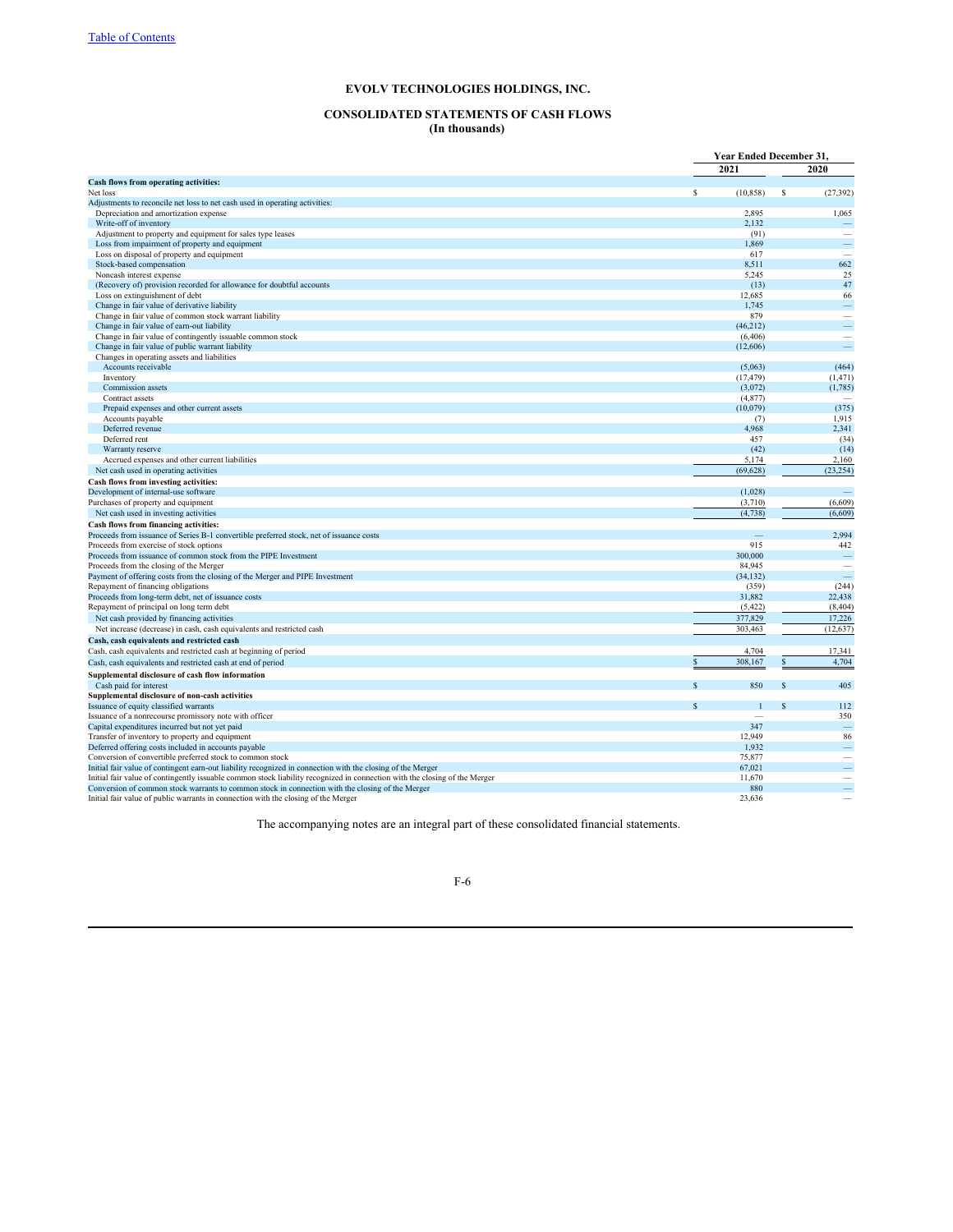# **CONSOLIDATED STATEMENTS OF CASH FLOWS (In thousands)**

|                                                                                                                            | Year Ended December 31,       |                          |
|----------------------------------------------------------------------------------------------------------------------------|-------------------------------|--------------------------|
|                                                                                                                            | 2021                          | 2020                     |
| Cash flows from operating activities:                                                                                      |                               |                          |
| Net loss                                                                                                                   | \$<br>(10, 858)               | \$<br>(27, 392)          |
| Adjustments to reconcile net loss to net cash used in operating activities:                                                |                               |                          |
| Depreciation and amortization expense                                                                                      | 2,895                         | 1,065                    |
| Write-off of inventory                                                                                                     | 2,132                         |                          |
| Adjustment to property and equipment for sales type leases                                                                 | (91)                          |                          |
| Loss from impairment of property and equipment                                                                             | 1,869                         | $\frac{1}{2}$            |
| Loss on disposal of property and equipment                                                                                 | 617                           |                          |
| Stock-based compensation                                                                                                   | 8,511                         | 662                      |
| Noncash interest expense                                                                                                   | 5,245                         | 25                       |
| (Recovery of) provision recorded for allowance for doubtful accounts                                                       | (13)                          | 47                       |
| Loss on extinguishment of debt                                                                                             | 12,685                        | 66                       |
| Change in fair value of derivative liability                                                                               | 1.745<br>879                  | $\overline{\phantom{a}}$ |
| Change in fair value of common stock warrant liability                                                                     |                               | -                        |
| Change in fair value of earn-out liability<br>Change in fair value of contingently issuable common stock                   | (46, 212)<br>(6, 406)         | $\overline{\phantom{a}}$ |
| Change in fair value of public warrant liability                                                                           | (12,606)                      |                          |
| Changes in operating assets and liabilities                                                                                |                               |                          |
| Accounts receivable                                                                                                        | (5,063)                       | (464)                    |
| Inventory                                                                                                                  | (17, 479)                     | (1, 471)                 |
| Commission assets                                                                                                          | (3,072)                       | (1,785)                  |
| Contract assets                                                                                                            | (4, 877)                      |                          |
| Prepaid expenses and other current assets                                                                                  | (10,079)                      | (375)                    |
| Accounts payable                                                                                                           | (7)                           | 1,915                    |
| Deferred revenue                                                                                                           | 4,968                         | 2,341                    |
| Deferred rent                                                                                                              | 457                           | (34)                     |
| Warranty reserve                                                                                                           | (42)                          | (14)                     |
| Accrued expenses and other current liabilities                                                                             | 5,174                         | 2,160                    |
| Net cash used in operating activities                                                                                      | (69, 628)                     | (23, 254)                |
| Cash flows from investing activities:                                                                                      |                               |                          |
| Development of internal-use software                                                                                       | (1,028)                       |                          |
| Purchases of property and equipment                                                                                        | (3,710)                       | (6,609)                  |
| Net cash used in investing activities                                                                                      | (4,738)                       | (6,609)                  |
| Cash flows from financing activities:                                                                                      |                               |                          |
| Proceeds from issuance of Series B-1 convertible preferred stock, net of issuance costs                                    |                               | 2,994                    |
| Proceeds from exercise of stock options                                                                                    | 915                           | 442                      |
| Proceeds from issuance of common stock from the PIPE Investment                                                            | 300,000                       |                          |
| Proceeds from the closing of the Merger                                                                                    | 84,945                        |                          |
| Payment of offering costs from the closing of the Merger and PIPE Investment                                               | (34, 132)                     |                          |
| Repayment of financing obligations                                                                                         | (359)                         | (244)                    |
| Proceeds from long-term debt, net of issuance costs                                                                        | 31,882                        | 22,438                   |
| Repayment of principal on long term debt                                                                                   | (5, 422)                      | (8, 404)                 |
| Net cash provided by financing activities                                                                                  | 377,829                       | 17,226                   |
| Net increase (decrease) in cash, cash equivalents and restricted cash                                                      | 303,463                       | (12, 637)                |
| Cash, cash equivalents and restricted cash                                                                                 |                               |                          |
| Cash, cash equivalents and restricted cash at beginning of period                                                          | 4,704                         | 17,341                   |
| Cash, cash equivalents and restricted cash at end of period                                                                | 308,167<br><sup>\$</sup>      | 4,704                    |
| Supplemental disclosure of cash flow information                                                                           |                               |                          |
| Cash paid for interest                                                                                                     | <b>S</b><br>850               | 405<br>S                 |
| Supplemental disclosure of non-cash activities                                                                             |                               |                          |
| Issuance of equity classified warrants                                                                                     | $\mathbf S$<br>$\overline{1}$ | 112<br>$\mathcal{S}$     |
| Issuance of a nonrecourse promissory note with officer                                                                     |                               | 350                      |
| Capital expenditures incurred but not yet paid                                                                             | 347                           |                          |
| Transfer of inventory to property and equipment                                                                            | 12,949                        | 86                       |
| Deferred offering costs included in accounts payable                                                                       | 1,932                         | $\frac{1}{2}$            |
| Conversion of convertible preferred stock to common stock                                                                  | 75,877                        |                          |
| Initial fair value of contingent earn-out liability recognized in connection with the closing of the Merger                | 67,021                        |                          |
| Initial fair value of contingently issuable common stock liability recognized in connection with the closing of the Merger | 11,670                        |                          |
| Conversion of common stock warrants to common stock in connection with the closing of the Merger                           | 880                           | $\overline{\phantom{m}}$ |
| Initial fair value of public warrants in connection with the closing of the Merger                                         | 23,636                        |                          |

The accompanying notes are an integral part of these consolidated financial statements.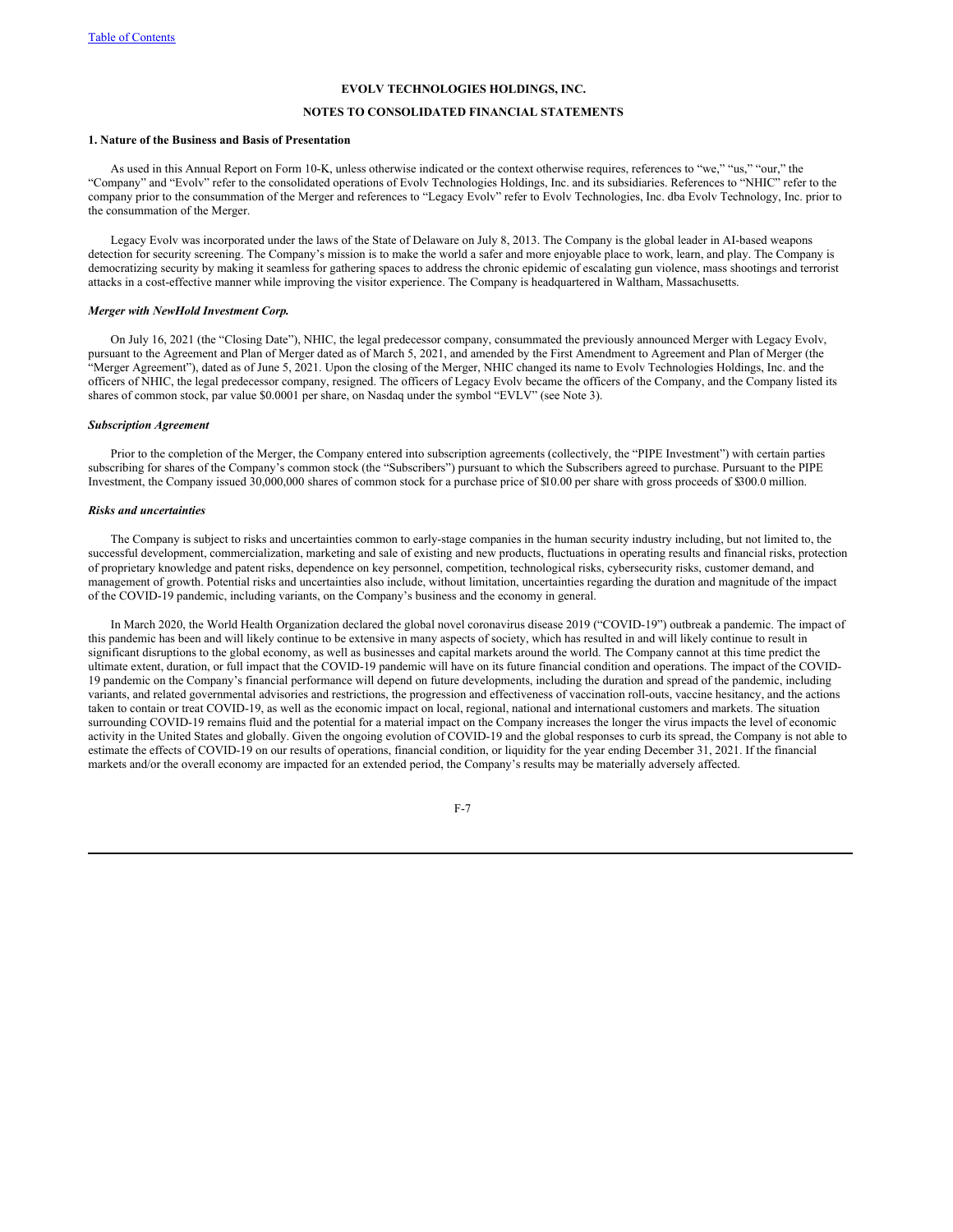# **NOTES TO CONSOLIDATED FINANCIAL STATEMENTS**

# **1. Nature of the Business and Basis of Presentation**

As used in this Annual Report on Form 10-K, unless otherwise indicated or the context otherwise requires, references to "we," "us," "our," the "Company" and "Evolv" refer to the consolidated operations of Evolv Technologies Holdings, Inc. and its subsidiaries. References to "NHIC" refer to the company prior to the consummation of the Merger and references to "Legacy Evolv" refer to Evolv Technologies, Inc. dba Evolv Technology, Inc. prior to the consummation of the Merger.

Legacy Evolv was incorporated under the laws of the State of Delaware on July 8, 2013. The Company is the global leader in AI-based weapons detection for security screening. The Company's mission is to make the world a safer and more enjoyable place to work, learn, and play. The Company is democratizing security by making it seamless for gathering spaces to address the chronic epidemic of escalating gun violence, mass shootings and terrorist attacks in a cost-effective manner while improving the visitor experience. The Company is headquartered in Waltham, Massachusetts.

#### *Merger with NewHold Investment Corp.*

On July 16, 2021 (the "Closing Date"), NHIC, the legal predecessor company, consummated the previously announced Merger with Legacy Evolv, pursuant to the Agreement and Plan of Merger dated as of March 5, 2021, and amended by the First Amendment to Agreement and Plan of Merger (the "Merger Agreement"), dated as of June 5, 2021. Upon the closing of the Merger, NHIC changed its name to Evolv Technologies Holdings, Inc. and the officers of NHIC, the legal predecessor company, resigned. The officers of Legacy Evolv became the officers of the Company, and the Company listed its shares of common stock, par value \$0.0001 per share, on Nasdaq under the symbol "EVLV" (see Note 3).

#### *Subscription Agreement*

Prior to the completion of the Merger, the Company entered into subscription agreements (collectively, the "PIPE Investment") with certain parties subscribing for shares of the Company's common stock (the "Subscribers") pursuant to which the Subscribers agreed to purchase. Pursuant to the PIPE Investment, the Company issued 30,000,000 shares of common stock for a purchase price of \$10.00 per share with gross proceeds of \$300.0 million.

# *Risks and uncertainties*

The Company is subject to risks and uncertainties common to early-stage companies in the human security industry including, but not limited to, the successful development, commercialization, marketing and sale of existing and new products, fluctuations in operating results and financial risks, protection of proprietary knowledge and patent risks, dependence on key personnel, competition, technological risks, cybersecurity risks, customer demand, and management of growth. Potential risks and uncertainties also include, without limitation, uncertainties regarding the duration and magnitude of the impact of the COVID-19 pandemic, including variants, on the Company's business and the economy in general.

In March 2020, the World Health Organization declared the global novel coronavirus disease 2019 ("COVID-19") outbreak a pandemic. The impact of this pandemic has been and will likely continue to be extensive in many aspects of society, which has resulted in and will likely continue to result in significant disruptions to the global economy, as well as businesses and capital markets around the world. The Company cannot at this time predict the ultimate extent, duration, or full impact that the COVID-19 pandemic will have on its future financial condition and operations. The impact of the COVID-19 pandemic on the Company's financial performance will depend on future developments, including the duration and spread of the pandemic, including variants, and related governmental advisories and restrictions, the progression and effectiveness of vaccination roll-outs, vaccine hesitancy, and the actions taken to contain or treat COVID-19, as well as the economic impact on local, regional, national and international customers and markets. The situation surrounding COVID-19 remains fluid and the potential for a material impact on the Company increases the longer the virus impacts the level of economic activity in the United States and globally. Given the ongoing evolution of COVID-19 and the global responses to curb its spread, the Company is not able to estimate the effects of COVID-19 on our results of operations, financial condition, or liquidity for the year ending December 31, 2021. If the financial markets and/or the overall economy are impacted for an extended period, the Company's results may be materially adversely affected.

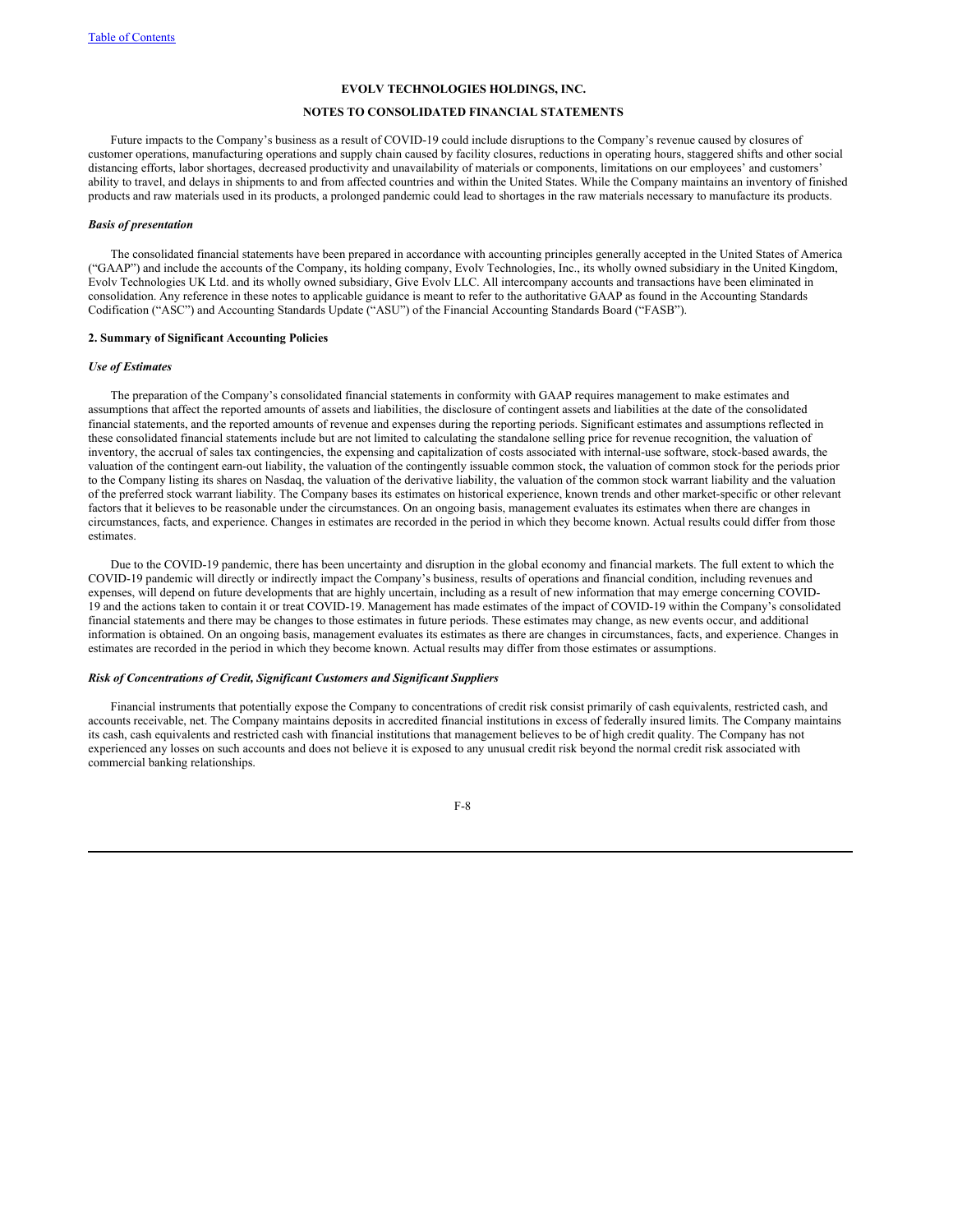# **NOTES TO CONSOLIDATED FINANCIAL STATEMENTS**

Future impacts to the Company's business as a result of COVID-19 could include disruptions to the Company's revenue caused by closures of customer operations, manufacturing operations and supply chain caused by facility closures, reductions in operating hours, staggered shifts and other social distancing efforts, labor shortages, decreased productivity and unavailability of materials or components, limitations on our employees' and customers' ability to travel, and delays in shipments to and from affected countries and within the United States. While the Company maintains an inventory of finished products and raw materials used in its products, a prolonged pandemic could lead to shortages in the raw materials necessary to manufacture its products.

#### *Basis of presentation*

The consolidated financial statements have been prepared in accordance with accounting principles generally accepted in the United States of America ("GAAP") and include the accounts of the Company, its holding company, Evolv Technologies, Inc., its wholly owned subsidiary in the United Kingdom, Evolv Technologies UK Ltd. and its wholly owned subsidiary, Give Evolv LLC. All intercompany accounts and transactions have been eliminated in consolidation. Any reference in these notes to applicable guidance is meant to refer to the authoritative GAAP as found in the Accounting Standards Codification ("ASC") and Accounting Standards Update ("ASU") of the Financial Accounting Standards Board ("FASB").

## **2. Summary of Significant Accounting Policies**

#### *Use of Estimates*

The preparation of the Company's consolidated financial statements in conformity with GAAP requires management to make estimates and assumptions that affect the reported amounts of assets and liabilities, the disclosure of contingent assets and liabilities at the date of the consolidated financial statements, and the reported amounts of revenue and expenses during the reporting periods. Significant estimates and assumptions reflected in these consolidated financial statements include but are not limited to calculating the standalone selling price for revenue recognition, the valuation of inventory, the accrual of sales tax contingencies, the expensing and capitalization of costs associated with internal-use software, stock-based awards, the valuation of the contingent earn-out liability, the valuation of the contingently issuable common stock, the valuation of common stock for the periods prior to the Company listing its shares on Nasdaq, the valuation of the derivative liability, the valuation of the common stock warrant liability and the valuation of the preferred stock warrant liability. The Company bases its estimates on historical experience, known trends and other market-specific or other relevant factors that it believes to be reasonable under the circumstances. On an ongoing basis, management evaluates its estimates when there are changes in circumstances, facts, and experience. Changes in estimates are recorded in the period in which they become known. Actual results could differ from those **estimates** 

Due to the COVID-19 pandemic, there has been uncertainty and disruption in the global economy and financial markets. The full extent to which the COVID-19 pandemic will directly or indirectly impact the Company's business, results of operations and financial condition, including revenues and expenses, will depend on future developments that are highly uncertain, including as a result of new information that may emerge concerning COVID-19 and the actions taken to contain it or treat COVID-19. Management has made estimates of the impact of COVID-19 within the Company's consolidated financial statements and there may be changes to those estimates in future periods. These estimates may change, as new events occur, and additional information is obtained. On an ongoing basis, management evaluates its estimates as there are changes in circumstances, facts, and experience. Changes in estimates are recorded in the period in which they become known. Actual results may differ from those estimates or assumptions.

#### *Risk of Concentrations of Credit, Significant Customers and Significant Suppliers*

Financial instruments that potentially expose the Company to concentrations of credit risk consist primarily of cash equivalents, restricted cash, and accounts receivable, net. The Company maintains deposits in accredited financial institutions in excess of federally insured limits. The Company maintains its cash, cash equivalents and restricted cash with financial institutions that management believes to be of high credit quality. The Company has not experienced any losses on such accounts and does not believe it is exposed to any unusual credit risk beyond the normal credit risk associated with commercial banking relationships.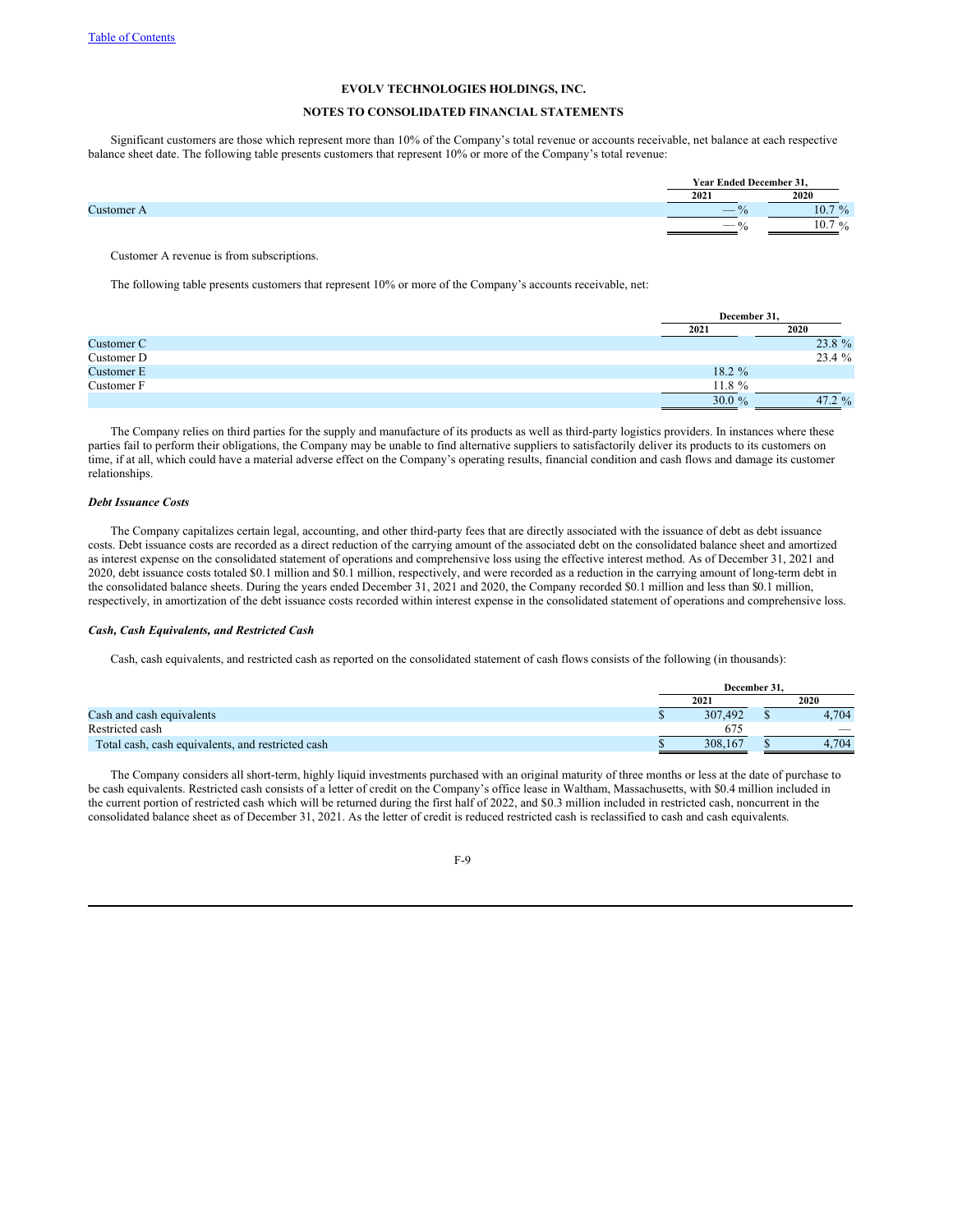# **NOTES TO CONSOLIDATED FINANCIAL STATEMENTS**

Significant customers are those which represent more than 10% of the Company's total revenue or accounts receivable, net balance at each respective balance sheet date. The following table presents customers that represent 10% or more of the Company's total revenue:

|                 | Year Ended December 31   |             |
|-----------------|--------------------------|-------------|
|                 | 2021                     | 2020        |
| <b>Lustomer</b> | $\overline{\phantom{a}}$ | 70/<br>10.7 |
|                 | $\sim$                   | 0/<br>10.7  |

Customer A revenue is from subscriptions.

The following table presents customers that represent 10% or more of the Company's accounts receivable, net:

|            | December 31, |          |
|------------|--------------|----------|
|            | 2021         | 2020     |
| Customer C |              | 23.8 %   |
| Customer D |              | 23.4 %   |
| Customer E | 18.2 %       |          |
| Customer F | $11.8 \%$    |          |
|            | 30.0 $%$     | 47.2 $%$ |

The Company relies on third parties for the supply and manufacture of its products as well as third-party logistics providers. In instances where these parties fail to perform their obligations, the Company may be unable to find alternative suppliers to satisfactorily deliver its products to its customers on time, if at all, which could have a material adverse effect on the Company's operating results, financial condition and cash flows and damage its customer relationships.

# *Debt Issuance Costs*

The Company capitalizes certain legal, accounting, and other third-party fees that are directly associated with the issuance of debt as debt issuance costs. Debt issuance costs are recorded as a direct reduction of the carrying amount of the associated debt on the consolidated balance sheet and amortized as interest expense on the consolidated statement of operations and comprehensive loss using the effective interest method. As of December 31, 2021 and 2020, debt issuance costs totaled \$0.1 million and \$0.1 million, respectively, and were recorded as a reduction in the carrying amount of long-term debt in the consolidated balance sheets. During the years ended December 31, 2021 and 2020, the Company recorded \$0.1 million and less than \$0.1 million, respectively, in amortization of the debt issuance costs recorded within interest expense in the consolidated statement of operations and comprehensive loss.

#### *Cash, Cash Equivalents, and Restricted Cash*

Cash, cash equivalents, and restricted cash as reported on the consolidated statement of cash flows consists of the following (in thousands):

|                                                   | December 31. |  |                          |  |
|---------------------------------------------------|--------------|--|--------------------------|--|
|                                                   | 2021         |  | 2020                     |  |
| Cash and cash equivalents                         | 307.492      |  | 4.704                    |  |
| Restricted cash                                   | 674          |  | $\overline{\phantom{a}}$ |  |
| Total cash, cash equivalents, and restricted cash | 308,167      |  | 4.704                    |  |

The Company considers all short-term, highly liquid investments purchased with an original maturity of three months or less at the date of purchase to be cash equivalents. Restricted cash consists of a letter of credit on the Company's office lease in Waltham, Massachusetts, with \$0.4 million included in the current portion of restricted cash which will be returned during the first half of 2022, and \$0.3 million included in restricted cash, noncurrent in the consolidated balance sheet as of December 31, 2021. As the letter of credit is reduced restricted cash is reclassified to cash and cash equivalents.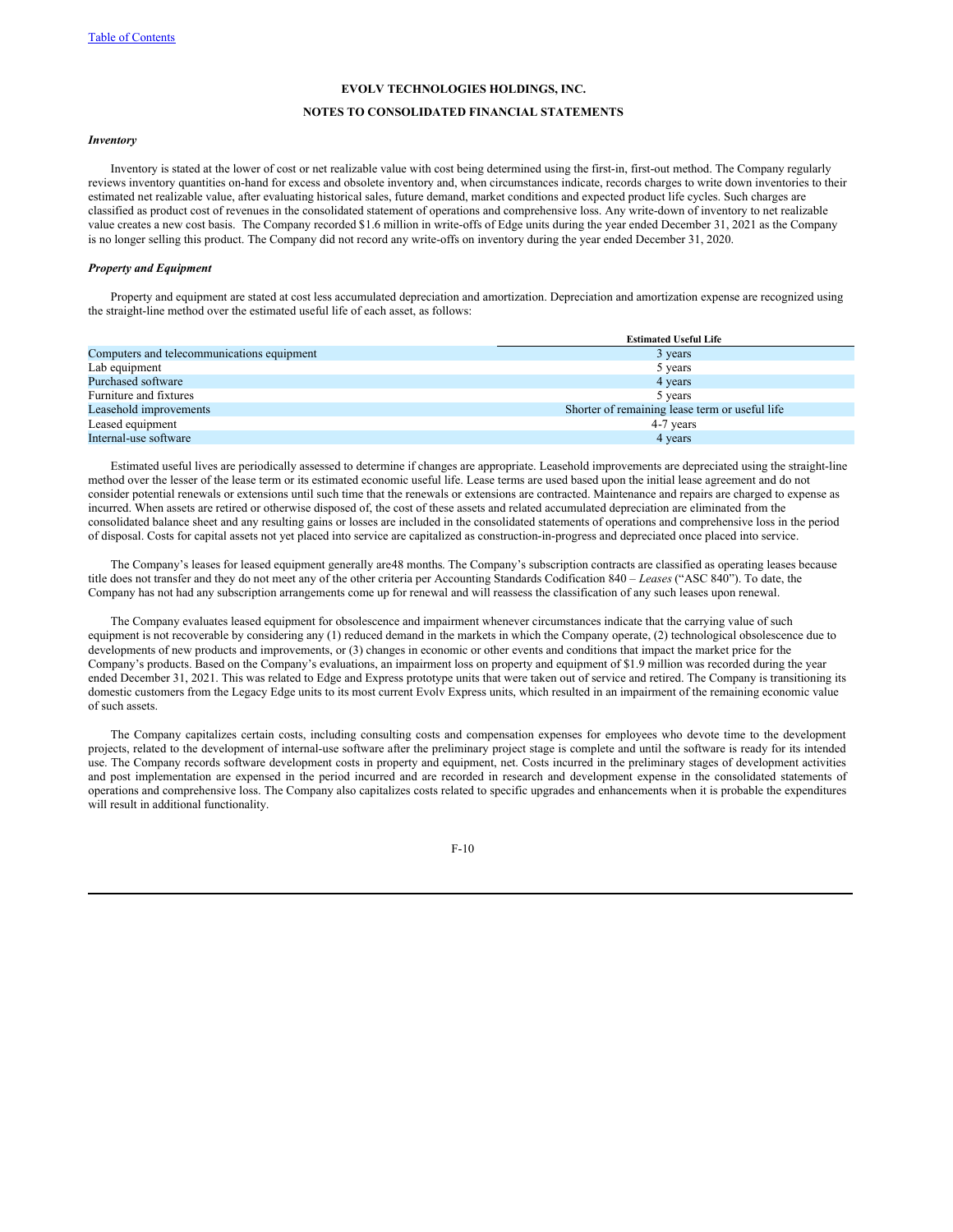# **NOTES TO CONSOLIDATED FINANCIAL STATEMENTS**

## *Inventory*

Inventory is stated at the lower of cost or net realizable value with cost being determined using the first-in, first-out method. The Company regularly reviews inventory quantities on-hand for excess and obsolete inventory and, when circumstances indicate, records charges to write down inventories to their estimated net realizable value, after evaluating historical sales, future demand, market conditions and expected product life cycles. Such charges are classified as product cost of revenues in the consolidated statement of operations and comprehensive loss. Any write-down of inventory to net realizable value creates a new cost basis. The Company recorded \$1.6 million in write-offs of Edge units during the year ended December 31, 2021 as the Company is no longer selling this product. The Company did not record any write-offs on inventory during the year ended December 31, 2020.

#### *Property and Equipment*

Property and equipment are stated at cost less accumulated depreciation and amortization. Depreciation and amortization expense are recognized using the straight-line method over the estimated useful life of each asset, as follows:

|                                            | <b>Estimated Useful Life</b>                   |
|--------------------------------------------|------------------------------------------------|
| Computers and telecommunications equipment | 3 years                                        |
| Lab equipment                              | 5 years                                        |
| Purchased software                         | 4 years                                        |
| Furniture and fixtures                     | 5 years                                        |
| Leasehold improvements                     | Shorter of remaining lease term or useful life |
| Leased equipment                           | 4-7 years                                      |
| Internal-use software                      | 4 years                                        |

Estimated useful lives are periodically assessed to determine if changes are appropriate. Leasehold improvements are depreciated using the straight-line method over the lesser of the lease term or its estimated economic useful life. Lease terms are used based upon the initial lease agreement and do not consider potential renewals or extensions until such time that the renewals or extensions are contracted. Maintenance and repairs are charged to expense as incurred. When assets are retired or otherwise disposed of, the cost of these assets and related accumulated depreciation are eliminated from the consolidated balance sheet and any resulting gains or losses are included in the consolidated statements of operations and comprehensive loss in the period of disposal. Costs for capital assets not yet placed into service are capitalized as construction-in-progress and depreciated once placed into service.

The Company's leases for leased equipment generally are48 months. The Company's subscription contracts are classified as operating leases because title does not transfer and they do not meet any of the other criteria per Accounting Standards Codification 840 – *Leases* ("ASC 840"). To date, the Company has not had any subscription arrangements come up for renewal and will reassess the classification of any such leases upon renewal.

The Company evaluates leased equipment for obsolescence and impairment whenever circumstances indicate that the carrying value of such equipment is not recoverable by considering any (1) reduced demand in the markets in which the Company operate, (2) technological obsolescence due to developments of new products and improvements, or (3) changes in economic or other events and conditions that impact the market price for the Company's products. Based on the Company's evaluations, an impairment loss on property and equipment of \$1.9 million was recorded during the year ended December 31, 2021. This was related to Edge and Express prototype units that were taken out of service and retired. The Company is transitioning its domestic customers from the Legacy Edge units to its most current Evolv Express units, which resulted in an impairment of the remaining economic value of such assets.

The Company capitalizes certain costs, including consulting costs and compensation expenses for employees who devote time to the development projects, related to the development of internal-use software after the preliminary project stage is complete and until the software is ready for its intended use. The Company records software development costs in property and equipment, net. Costs incurred in the preliminary stages of development activities and post implementation are expensed in the period incurred and are recorded in research and development expense in the consolidated statements of operations and comprehensive loss. The Company also capitalizes costs related to specific upgrades and enhancements when it is probable the expenditures will result in additional functionality.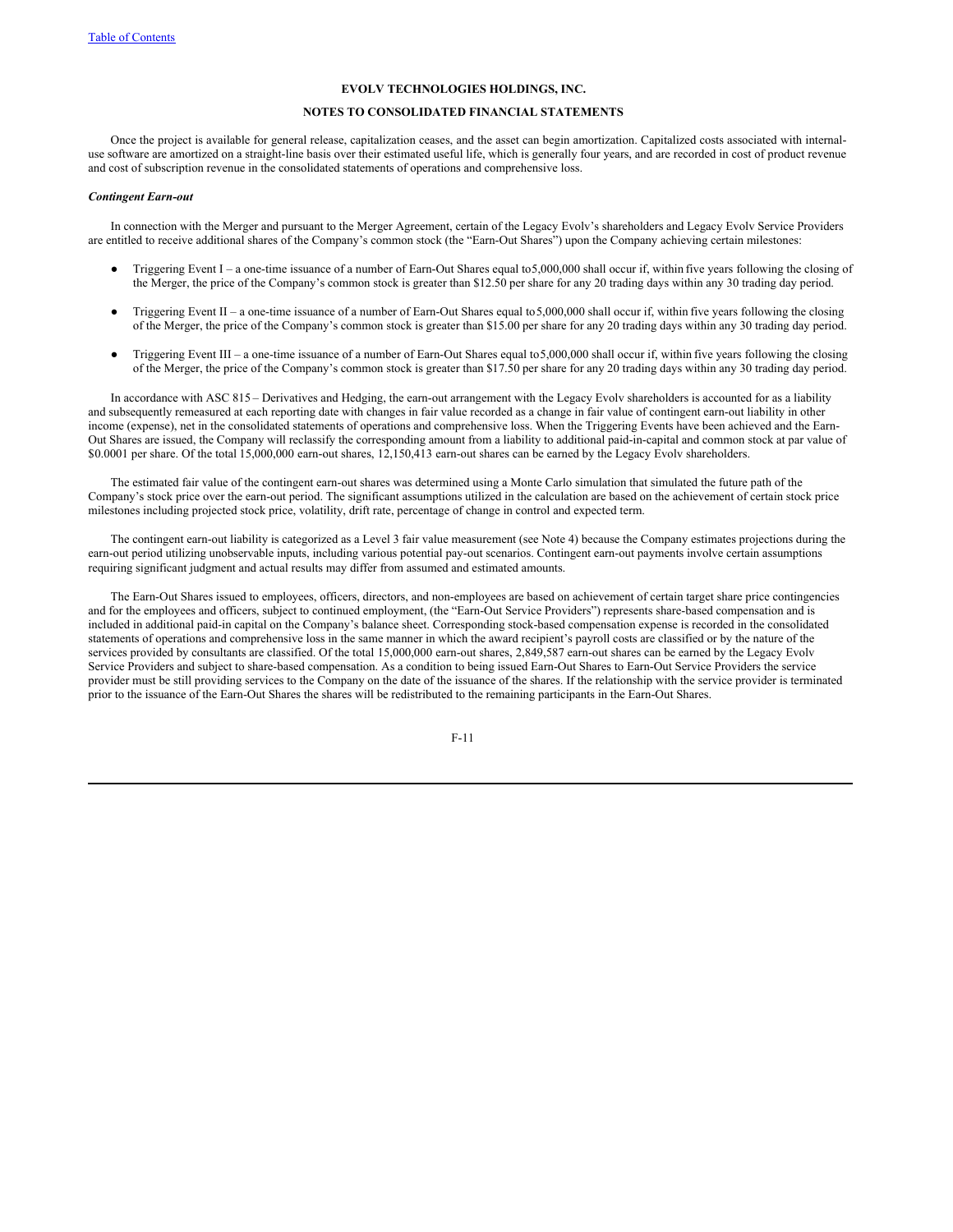# **NOTES TO CONSOLIDATED FINANCIAL STATEMENTS**

Once the project is available for general release, capitalization ceases, and the asset can begin amortization. Capitalized costs associated with internaluse software are amortized on a straight-line basis over their estimated useful life, which is generally four years, and are recorded in cost of product revenue and cost of subscription revenue in the consolidated statements of operations and comprehensive loss.

#### *Contingent Earn-out*

In connection with the Merger and pursuant to the Merger Agreement, certain of the Legacy Evolv's shareholders and Legacy Evolv Service Providers are entitled to receive additional shares of the Company's common stock (the "Earn-Out Shares") upon the Company achieving certain milestones:

- Triggering Event I a one-time issuance of a number of Earn-Out Shares equal to5,000,000 shall occur if, within five years following the closing of the Merger, the price of the Company's common stock is greater than \$12.50 per share for any 20 trading days within any 30 trading day period.
- Triggering Event II a one-time issuance of a number of Earn-Out Shares equal to  $5,000,000$  shall occur if, within five years following the closing of the Merger, the price of the Company's common stock is greater than \$15.00 per share for any 20 trading days within any 30 trading day period.
- Triggering Event III a one-time issuance of a number of Earn-Out Shares equal to5,000,000 shall occur if, within five years following the closing of the Merger, the price of the Company's common stock is greater than \$17.50 per share for any 20 trading days within any 30 trading day period.

In accordance with ASC 815 *–* Derivatives and Hedging, the earn-out arrangement with the Legacy Evolv shareholders is accounted for as a liability and subsequently remeasured at each reporting date with changes in fair value recorded as a change in fair value of contingent earn-out liability in other income (expense), net in the consolidated statements of operations and comprehensive loss. When the Triggering Events have been achieved and the Earn-Out Shares are issued, the Company will reclassify the corresponding amount from a liability to additional paid-in-capital and common stock at par value of \$0.0001 per share. Of the total 15,000,000 earn-out shares, 12,150,413 earn-out shares can be earned by the Legacy Evolv shareholders.

The estimated fair value of the contingent earn-out shares was determined using a Monte Carlo simulation that simulated the future path of the Company's stock price over the earn-out period. The significant assumptions utilized in the calculation are based on the achievement of certain stock price milestones including projected stock price, volatility, drift rate, percentage of change in control and expected term.

The contingent earn-out liability is categorized as a Level 3 fair value measurement (see Note 4) because the Company estimates projections during the earn-out period utilizing unobservable inputs, including various potential pay-out scenarios. Contingent earn-out payments involve certain assumptions requiring significant judgment and actual results may differ from assumed and estimated amounts.

The Earn-Out Shares issued to employees, officers, directors, and non-employees are based on achievement of certain target share price contingencies and for the employees and officers, subject to continued employment, (the "Earn-Out Service Providers") represents share-based compensation and is included in additional paid-in capital on the Company's balance sheet. Corresponding stock-based compensation expense is recorded in the consolidated statements of operations and comprehensive loss in the same manner in which the award recipient's payroll costs are classified or by the nature of the services provided by consultants are classified. Of the total 15,000,000 earn-out shares, 2,849,587 earn-out shares can be earned by the Legacy Evolv Service Providers and subject to share-based compensation. As a condition to being issued Earn-Out Shares to Earn-Out Service Providers the service provider must be still providing services to the Company on the date of the issuance of the shares. If the relationship with the service provider is terminated prior to the issuance of the Earn-Out Shares the shares will be redistributed to the remaining participants in the Earn-Out Shares.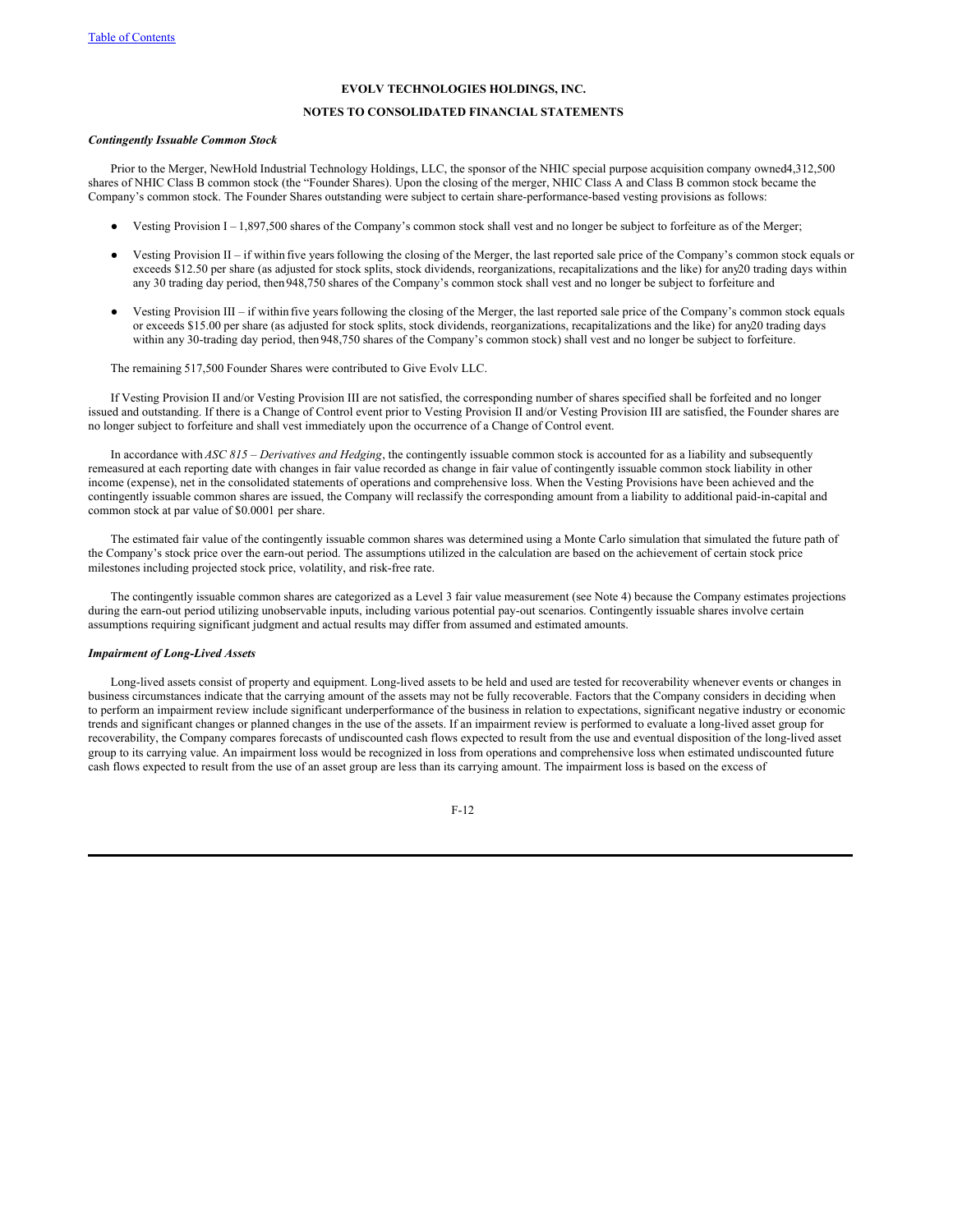# **NOTES TO CONSOLIDATED FINANCIAL STATEMENTS**

# *Contingently Issuable Common Stock*

Prior to the Merger, NewHold Industrial Technology Holdings, LLC, the sponsor of the NHIC special purpose acquisition company owned4,312,500 shares of NHIC Class B common stock (the "Founder Shares). Upon the closing of the merger, NHIC Class A and Class B common stock became the Company's common stock. The Founder Shares outstanding were subject to certain share-performance-based vesting provisions as follows:

- Vesting Provision I 1,897,500 shares of the Company's common stock shall vest and no longer be subject to forfeiture as of the Merger;
- Vesting Provision II if within five years following the closing of the Merger, the last reported sale price of the Company's common stock equals or exceeds \$12.50 per share (as adjusted for stock splits, stock dividends, reorganizations, recapitalizations and the like) for any20 trading days within any 30 trading day period, then 948,750 shares of the Company's common stock shall vest and no longer be subject to forfeiture and
- Vesting Provision III if within five years following the closing of the Merger, the last reported sale price of the Company's common stock equals or exceeds \$15.00 per share (as adjusted for stock splits, stock dividends, reorganizations, recapitalizations and the like) for any20 trading days within any 30-trading day period, then948,750 shares of the Company's common stock) shall vest and no longer be subject to forfeiture.

The remaining 517,500 Founder Shares were contributed to Give Evolv LLC.

If Vesting Provision II and/or Vesting Provision III are not satisfied, the corresponding number of shares specified shall be forfeited and no longer issued and outstanding. If there is a Change of Control event prior to Vesting Provision II and/or Vesting Provision III are satisfied, the Founder shares are no longer subject to forfeiture and shall vest immediately upon the occurrence of a Change of Control event.

In accordance with *ASC 815 – Derivatives and Hedging*, the contingently issuable common stock is accounted for as a liability and subsequently remeasured at each reporting date with changes in fair value recorded as change in fair value of contingently issuable common stock liability in other income (expense), net in the consolidated statements of operations and comprehensive loss. When the Vesting Provisions have been achieved and the contingently issuable common shares are issued, the Company will reclassify the corresponding amount from a liability to additional paid-in-capital and common stock at par value of \$0.0001 per share.

The estimated fair value of the contingently issuable common shares was determined using a Monte Carlo simulation that simulated the future path of the Company's stock price over the earn-out period. The assumptions utilized in the calculation are based on the achievement of certain stock price milestones including projected stock price, volatility, and risk-free rate.

The contingently issuable common shares are categorized as a Level 3 fair value measurement (see Note 4) because the Company estimates projections during the earn-out period utilizing unobservable inputs, including various potential pay-out scenarios. Contingently issuable shares involve certain assumptions requiring significant judgment and actual results may differ from assumed and estimated amounts.

#### *Impairment of Long-Lived Assets*

Long-lived assets consist of property and equipment. Long-lived assets to be held and used are tested for recoverability whenever events or changes in business circumstances indicate that the carrying amount of the assets may not be fully recoverable. Factors that the Company considers in deciding when to perform an impairment review include significant underperformance of the business in relation to expectations, significant negative industry or economic trends and significant changes or planned changes in the use of the assets. If an impairment review is performed to evaluate a long-lived asset group for recoverability, the Company compares forecasts of undiscounted cash flows expected to result from the use and eventual disposition of the long-lived asset group to its carrying value. An impairment loss would be recognized in loss from operations and comprehensive loss when estimated undiscounted future cash flows expected to result from the use of an asset group are less than its carrying amount. The impairment loss is based on the excess of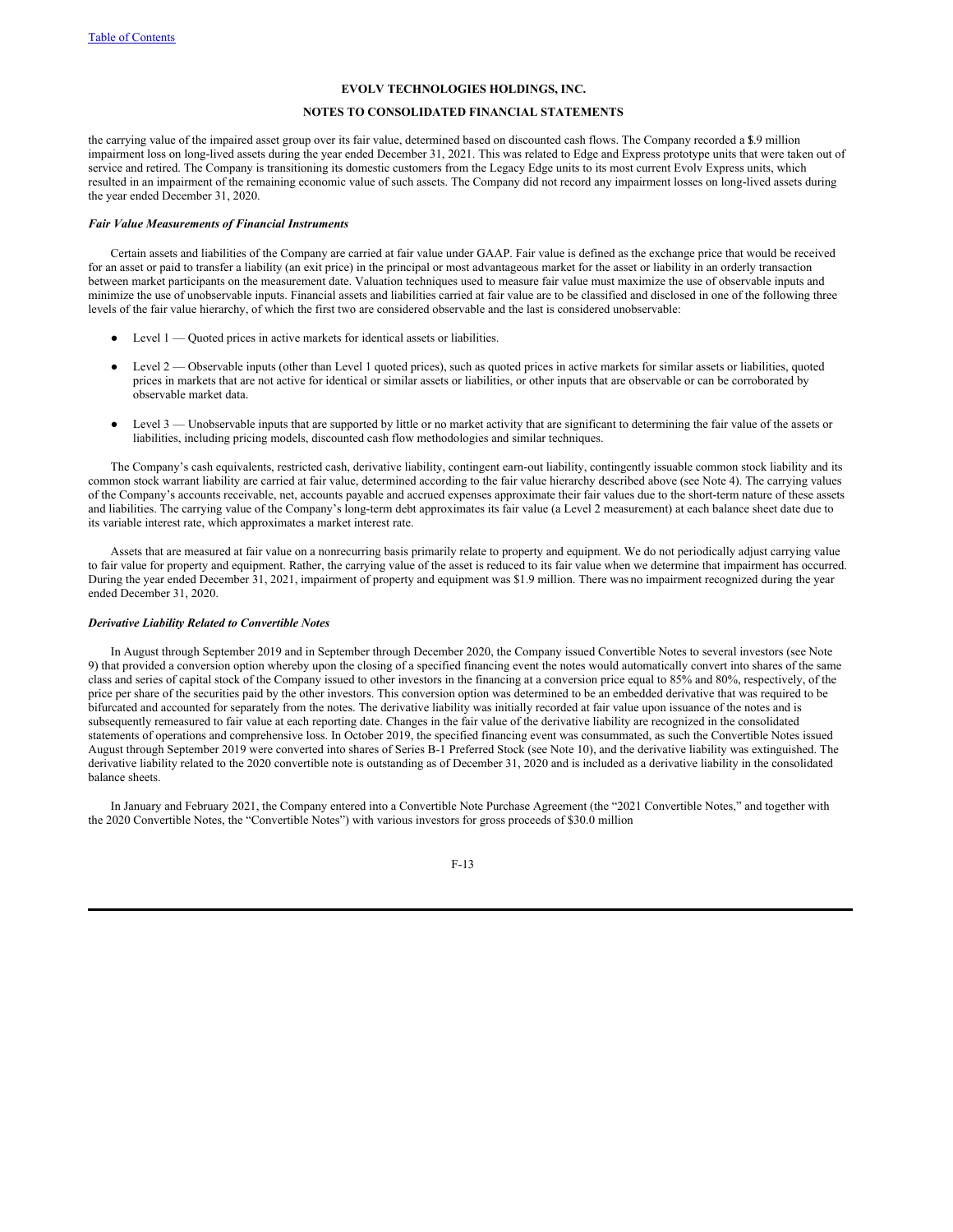# **NOTES TO CONSOLIDATED FINANCIAL STATEMENTS**

the carrying value of the impaired asset group over its fair value, determined based on discounted cash flows. The Company recorded a 1\$.9 million impairment loss on long-lived assets during the year ended December 31, 2021. This was related to Edge and Express prototype units that were taken out of service and retired. The Company is transitioning its domestic customers from the Legacy Edge units to its most current Evolv Express units, which resulted in an impairment of the remaining economic value of such assets. The Company did not record any impairment losses on long-lived assets during the year ended December 31, 2020.

#### *Fair Value Measurements of Financial Instruments*

Certain assets and liabilities of the Company are carried at fair value under GAAP. Fair value is defined as the exchange price that would be received for an asset or paid to transfer a liability (an exit price) in the principal or most advantageous market for the asset or liability in an orderly transaction between market participants on the measurement date. Valuation techniques used to measure fair value must maximize the use of observable inputs and minimize the use of unobservable inputs. Financial assets and liabilities carried at fair value are to be classified and disclosed in one of the following three levels of the fair value hierarchy, of which the first two are considered observable and the last is considered unobservable:

- $\bullet$  Level 1 Quoted prices in active markets for identical assets or liabilities.
- Level 2 Observable inputs (other than Level 1 quoted prices), such as quoted prices in active markets for similar assets or liabilities, quoted prices in markets that are not active for identical or similar assets or liabilities, or other inputs that are observable or can be corroborated by observable market data.
- Level 3 Unobservable inputs that are supported by little or no market activity that are significant to determining the fair value of the assets or liabilities, including pricing models, discounted cash flow methodologies and similar techniques.

The Company's cash equivalents, restricted cash, derivative liability, contingent earn-out liability, contingently issuable common stock liability and its common stock warrant liability are carried at fair value, determined according to the fair value hierarchy described above (see Note 4). The carrying values of the Company's accounts receivable, net, accounts payable and accrued expenses approximate their fair values due to the short-term nature of these assets and liabilities. The carrying value of the Company's long-term debt approximates its fair value (a Level 2 measurement) at each balance sheet date due to its variable interest rate, which approximates a market interest rate.

Assets that are measured at fair value on a nonrecurring basis primarily relate to property and equipment. We do not periodically adjust carrying value to fair value for property and equipment. Rather, the carrying value of the asset is reduced to its fair value when we determine that impairment has occurred. During the year ended December 31, 2021, impairment of property and equipment was \$1.9 million. There was no impairment recognized during the year ended December 31, 2020.

#### *Derivative Liability Related to Convertible Notes*

In August through September 2019 and in September through December 2020, the Company issued Convertible Notes to several investors (see Note 9) that provided a conversion option whereby upon the closing of a specified financing event the notes would automatically convert into shares of the same class and series of capital stock of the Company issued to other investors in the financing at a conversion price equal to 85% and 80%, respectively, of the price per share of the securities paid by the other investors. This conversion option was determined to be an embedded derivative that was required to be bifurcated and accounted for separately from the notes. The derivative liability was initially recorded at fair value upon issuance of the notes and is subsequently remeasured to fair value at each reporting date. Changes in the fair value of the derivative liability are recognized in the consolidated statements of operations and comprehensive loss. In October 2019, the specified financing event was consummated, as such the Convertible Notes issued August through September 2019 were converted into shares of Series B-1 Preferred Stock (see Note 10), and the derivative liability was extinguished. The derivative liability related to the 2020 convertible note is outstanding as of December 31, 2020 and is included as a derivative liability in the consolidated balance sheets.

In January and February 2021, the Company entered into a Convertible Note Purchase Agreement (the "2021 Convertible Notes," and together with the 2020 Convertible Notes, the "Convertible Notes") with various investors for gross proceeds of \$30.0 million

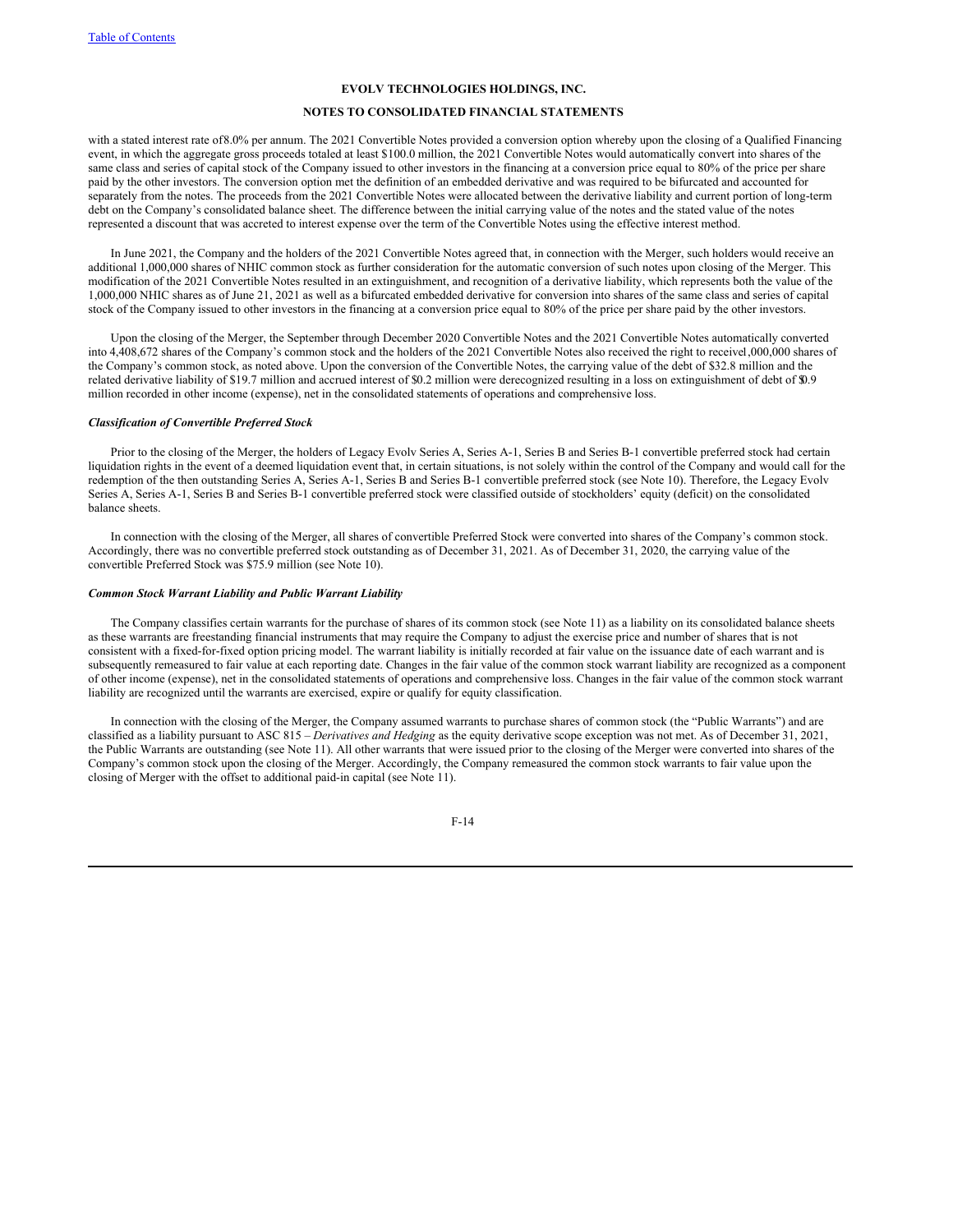# **NOTES TO CONSOLIDATED FINANCIAL STATEMENTS**

with a stated interest rate of8.0% per annum. The 2021 Convertible Notes provided a conversion option whereby upon the closing of a Qualified Financing event, in which the aggregate gross proceeds totaled at least \$100.0 million, the 2021 Convertible Notes would automatically convert into shares of the same class and series of capital stock of the Company issued to other investors in the financing at a conversion price equal to 80% of the price per share paid by the other investors. The conversion option met the definition of an embedded derivative and was required to be bifurcated and accounted for separately from the notes. The proceeds from the 2021 Convertible Notes were allocated between the derivative liability and current portion of long-term debt on the Company's consolidated balance sheet. The difference between the initial carrying value of the notes and the stated value of the notes represented a discount that was accreted to interest expense over the term of the Convertible Notes using the effective interest method.

In June 2021, the Company and the holders of the 2021 Convertible Notes agreed that, in connection with the Merger, such holders would receive an additional 1,000,000 shares of NHIC common stock as further consideration for the automatic conversion of such notes upon closing of the Merger. This modification of the 2021 Convertible Notes resulted in an extinguishment, and recognition of a derivative liability, which represents both the value of the 1,000,000 NHIC shares as of June 21, 2021 as well as a bifurcated embedded derivative for conversion into shares of the same class and series of capital stock of the Company issued to other investors in the financing at a conversion price equal to 80% of the price per share paid by the other investors.

Upon the closing of the Merger, the September through December 2020 Convertible Notes and the 2021 Convertible Notes automatically converted into 4,408,672 shares of the Company's common stock and the holders of the 2021 Convertible Notes also received the right to receive1,000,000 shares of the Company's common stock, as noted above. Upon the conversion of the Convertible Notes, the carrying value of the debt of \$32.8 million and the related derivative liability of \$19.7 million and accrued interest of \$0.2 million were derecognized resulting in a loss on extinguishment of debt of \$0.9 million recorded in other income (expense), net in the consolidated statements of operations and comprehensive loss.

#### *Classification of Convertible Preferred Stock*

Prior to the closing of the Merger, the holders of Legacy Evolv Series A, Series A-1, Series B and Series B-1 convertible preferred stock had certain liquidation rights in the event of a deemed liquidation event that, in certain situations, is not solely within the control of the Company and would call for the redemption of the then outstanding Series A, Series A-1, Series B and Series B-1 convertible preferred stock (see Note 10). Therefore, the Legacy Evolv Series A, Series A-1, Series B and Series B-1 convertible preferred stock were classified outside of stockholders' equity (deficit) on the consolidated balance sheets.

In connection with the closing of the Merger, all shares of convertible Preferred Stock were converted into shares of the Company's common stock. Accordingly, there was no convertible preferred stock outstanding as of December 31, 2021. As of December 31, 2020, the carrying value of the convertible Preferred Stock was \$75.9 million (see Note 10).

#### *Common Stock Warrant Liability and Public Warrant Liability*

The Company classifies certain warrants for the purchase of shares of its common stock (see Note 11) as a liability on its consolidated balance sheets as these warrants are freestanding financial instruments that may require the Company to adjust the exercise price and number of shares that is not consistent with a fixed-for-fixed option pricing model. The warrant liability is initially recorded at fair value on the issuance date of each warrant and is subsequently remeasured to fair value at each reporting date. Changes in the fair value of the common stock warrant liability are recognized as a component of other income (expense), net in the consolidated statements of operations and comprehensive loss. Changes in the fair value of the common stock warrant liability are recognized until the warrants are exercised, expire or qualify for equity classification.

In connection with the closing of the Merger, the Company assumed warrants to purchase shares of common stock (the "Public Warrants") and are classified as a liability pursuant to ASC 815 – *Derivatives and Hedging* as the equity derivative scope exception was not met. As of December 31, 2021, the Public Warrants are outstanding (see Note 11). All other warrants that were issued prior to the closing of the Merger were converted into shares of the Company's common stock upon the closing of the Merger. Accordingly, the Company remeasured the common stock warrants to fair value upon the closing of Merger with the offset to additional paid-in capital (see Note 11).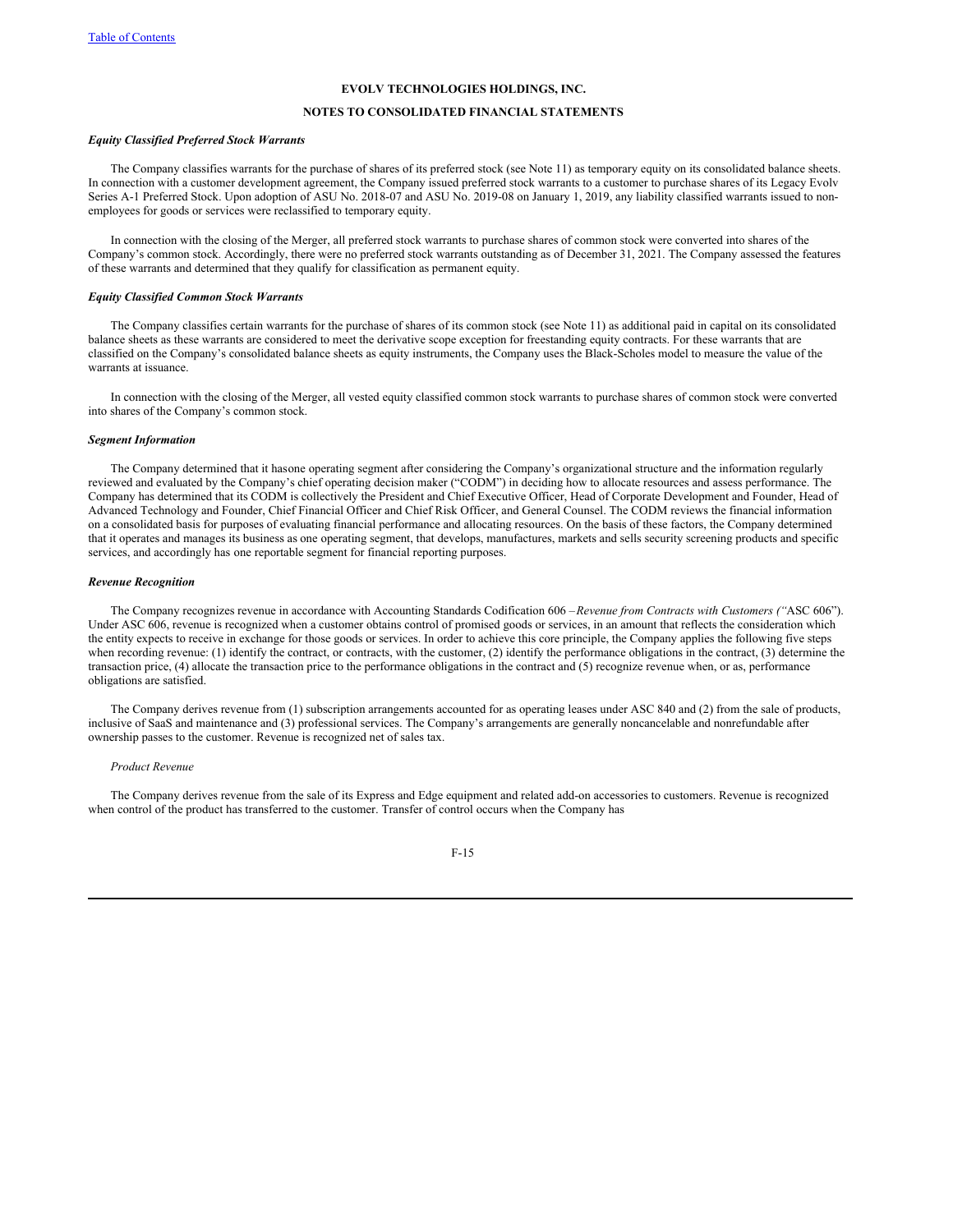# **NOTES TO CONSOLIDATED FINANCIAL STATEMENTS**

#### *Equity Classified Preferred Stock Warrants*

The Company classifies warrants for the purchase of shares of its preferred stock (see Note 11) as temporary equity on its consolidated balance sheets. In connection with a customer development agreement, the Company issued preferred stock warrants to a customer to purchase shares of its Legacy Evolv Series A-1 Preferred Stock. Upon adoption of ASU No. 2018-07 and ASU No. 2019-08 on January 1, 2019, any liability classified warrants issued to nonemployees for goods or services were reclassified to temporary equity.

In connection with the closing of the Merger, all preferred stock warrants to purchase shares of common stock were converted into shares of the Company's common stock. Accordingly, there were no preferred stock warrants outstanding as of December 31, 2021. The Company assessed the features of these warrants and determined that they qualify for classification as permanent equity.

# *Equity Classified Common Stock Warrants*

The Company classifies certain warrants for the purchase of shares of its common stock (see Note 11) as additional paid in capital on its consolidated balance sheets as these warrants are considered to meet the derivative scope exception for freestanding equity contracts. For these warrants that are classified on the Company's consolidated balance sheets as equity instruments, the Company uses the Black-Scholes model to measure the value of the warrants at issuance.

In connection with the closing of the Merger, all vested equity classified common stock warrants to purchase shares of common stock were converted into shares of the Company's common stock.

#### *Segment Information*

The Company determined that it hasone operating segment after considering the Company's organizational structure and the information regularly reviewed and evaluated by the Company's chief operating decision maker ("CODM") in deciding how to allocate resources and assess performance. The Company has determined that its CODM is collectively the President and Chief Executive Officer, Head of Corporate Development and Founder, Head of Advanced Technology and Founder, Chief Financial Officer and Chief Risk Officer, and General Counsel. The CODM reviews the financial information on a consolidated basis for purposes of evaluating financial performance and allocating resources. On the basis of these factors, the Company determined that it operates and manages its business as one operating segment, that develops, manufactures, markets and sells security screening products and specific services, and accordingly has one reportable segment for financial reporting purposes.

#### *Revenue Recognition*

The Company recognizes revenue in accordance with Accounting Standards Codification 606 –*Revenue from Contracts with Customers ("*ASC 606"). Under ASC 606, revenue is recognized when a customer obtains control of promised goods or services, in an amount that reflects the consideration which the entity expects to receive in exchange for those goods or services. In order to achieve this core principle, the Company applies the following five steps when recording revenue: (1) identify the contract, or contracts, with the customer, (2) identify the performance obligations in the contract, (3) determine the transaction price, (4) allocate the transaction price to the performance obligations in the contract and (5) recognize revenue when, or as, performance obligations are satisfied.

The Company derives revenue from (1) subscription arrangements accounted for as operating leases under ASC 840 and (2) from the sale of products, inclusive of SaaS and maintenance and (3) professional services. The Company's arrangements are generally noncancelable and nonrefundable after ownership passes to the customer. Revenue is recognized net of sales tax.

#### *Product Revenue*

The Company derives revenue from the sale of its Express and Edge equipment and related add-on accessories to customers. Revenue is recognized when control of the product has transferred to the customer. Transfer of control occurs when the Company has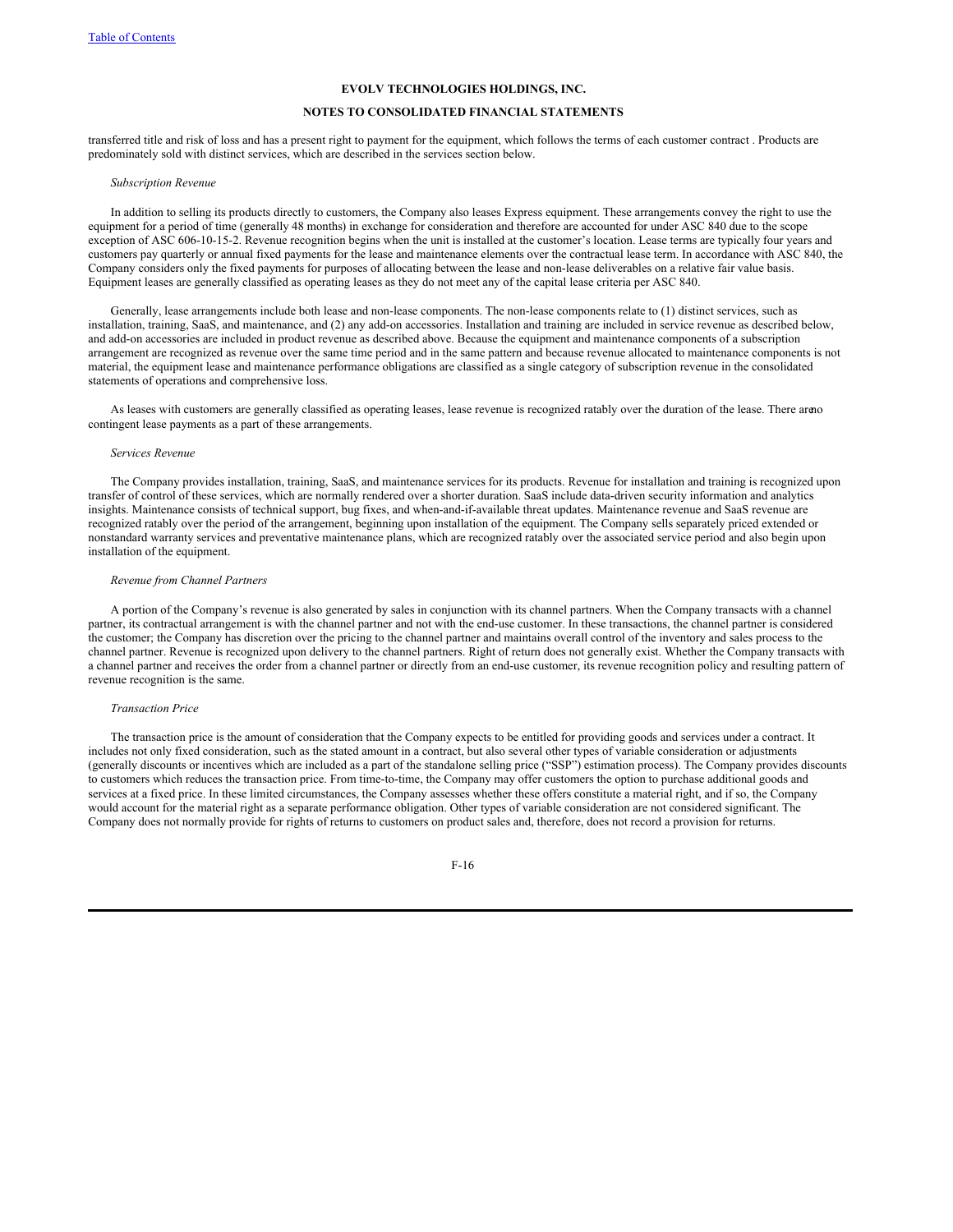# **NOTES TO CONSOLIDATED FINANCIAL STATEMENTS**

transferred title and risk of loss and has a present right to payment for the equipment, which follows the terms of each customer contract . Products are predominately sold with distinct services, which are described in the services section below.

#### *Subscription Revenue*

In addition to selling its products directly to customers, the Company also leases Express equipment. These arrangements convey the right to use the equipment for a period of time (generally 48 months) in exchange for consideration and therefore are accounted for under ASC 840 due to the scope exception of ASC 606-10-15-2. Revenue recognition begins when the unit is installed at the customer's location. Lease terms are typically four years and customers pay quarterly or annual fixed payments for the lease and maintenance elements over the contractual lease term. In accordance with ASC 840, the Company considers only the fixed payments for purposes of allocating between the lease and non-lease deliverables on a relative fair value basis. Equipment leases are generally classified as operating leases as they do not meet any of the capital lease criteria per ASC 840.

Generally, lease arrangements include both lease and non-lease components. The non-lease components relate to (1) distinct services, such as installation, training, SaaS, and maintenance, and (2) any add-on accessories. Installation and training are included in service revenue as described below, and add-on accessories are included in product revenue as described above. Because the equipment and maintenance components of a subscription arrangement are recognized as revenue over the same time period and in the same pattern and because revenue allocated to maintenance components is not material, the equipment lease and maintenance performance obligations are classified as a single category of subscription revenue in the consolidated statements of operations and comprehensive loss.

As leases with customers are generally classified as operating leases, lease revenue is recognized ratably over the duration of the lease. There areno contingent lease payments as a part of these arrangements.

# *Services Revenue*

The Company provides installation, training, SaaS, and maintenance services for its products. Revenue for installation and training is recognized upon transfer of control of these services, which are normally rendered over a shorter duration. SaaS include data-driven security information and analytics insights. Maintenance consists of technical support, bug fixes, and when-and-if-available threat updates. Maintenance revenue and SaaS revenue are recognized ratably over the period of the arrangement, beginning upon installation of the equipment. The Company sells separately priced extended or nonstandard warranty services and preventative maintenance plans, which are recognized ratably over the associated service period and also begin upon installation of the equipment.

# *Revenue from Channel Partners*

A portion of the Company's revenue is also generated by sales in conjunction with its channel partners. When the Company transacts with a channel partner, its contractual arrangement is with the channel partner and not with the end-use customer. In these transactions, the channel partner is considered the customer; the Company has discretion over the pricing to the channel partner and maintains overall control of the inventory and sales process to the channel partner. Revenue is recognized upon delivery to the channel partners. Right of return does not generally exist. Whether the Company transacts with a channel partner and receives the order from a channel partner or directly from an end-use customer, its revenue recognition policy and resulting pattern of revenue recognition is the same.

#### *Transaction Price*

The transaction price is the amount of consideration that the Company expects to be entitled for providing goods and services under a contract. It includes not only fixed consideration, such as the stated amount in a contract, but also several other types of variable consideration or adjustments (generally discounts or incentives which are included as a part of the standalone selling price ("SSP") estimation process). The Company provides discounts to customers which reduces the transaction price. From time-to-time, the Company may offer customers the option to purchase additional goods and services at a fixed price. In these limited circumstances, the Company assesses whether these offers constitute a material right, and if so, the Company would account for the material right as a separate performance obligation. Other types of variable consideration are not considered significant. The Company does not normally provide for rights of returns to customers on product sales and, therefore, does not record a provision for returns.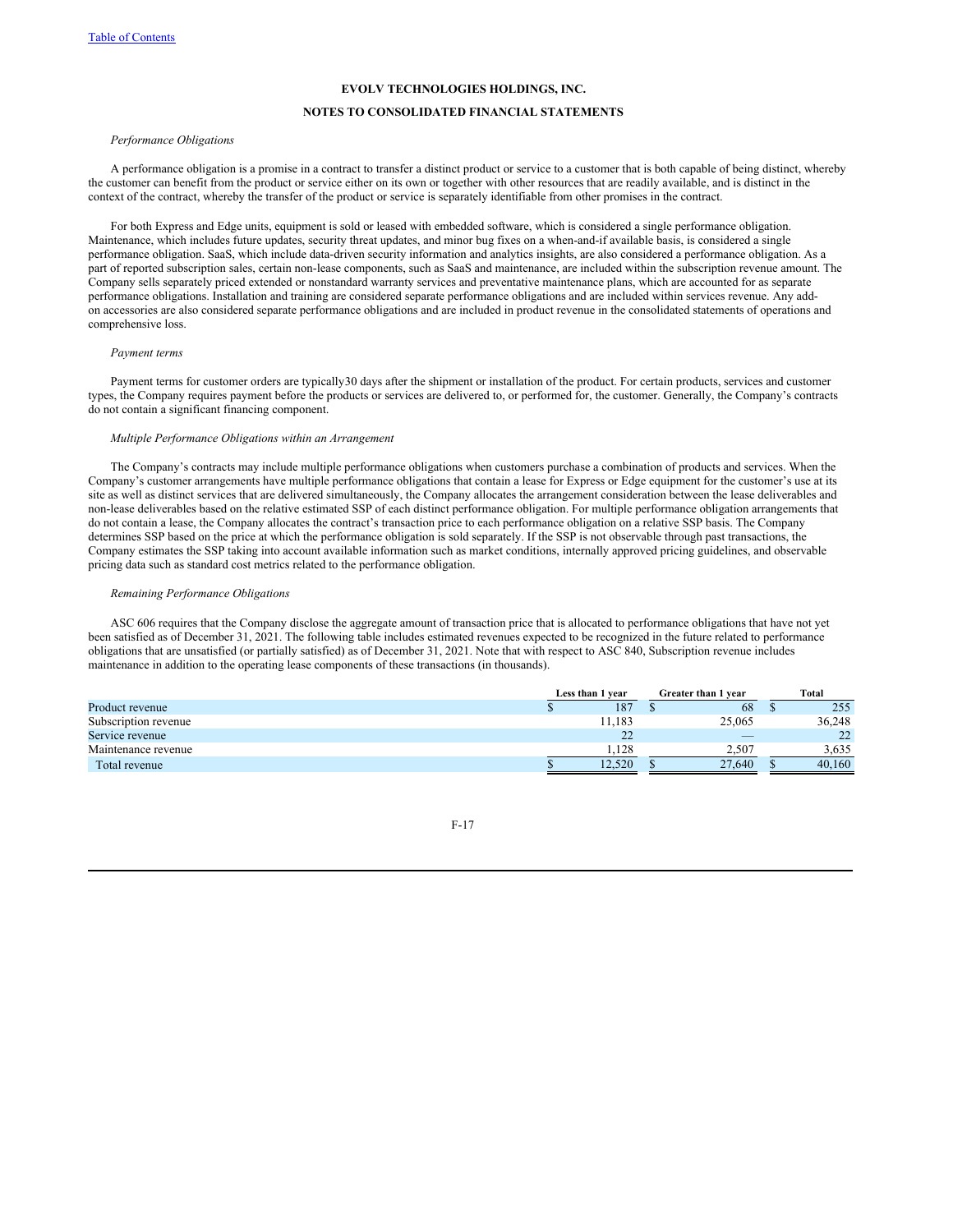# **NOTES TO CONSOLIDATED FINANCIAL STATEMENTS**

# *Performance Obligations*

A performance obligation is a promise in a contract to transfer a distinct product or service to a customer that is both capable of being distinct, whereby the customer can benefit from the product or service either on its own or together with other resources that are readily available, and is distinct in the context of the contract, whereby the transfer of the product or service is separately identifiable from other promises in the contract.

For both Express and Edge units, equipment is sold or leased with embedded software, which is considered a single performance obligation. Maintenance, which includes future updates, security threat updates, and minor bug fixes on a when-and-if available basis, is considered a single performance obligation. SaaS, which include data-driven security information and analytics insights, are also considered a performance obligation. As a part of reported subscription sales, certain non-lease components, such as SaaS and maintenance, are included within the subscription revenue amount. The Company sells separately priced extended or nonstandard warranty services and preventative maintenance plans, which are accounted for as separate performance obligations. Installation and training are considered separate performance obligations and are included within services revenue. Any addon accessories are also considered separate performance obligations and are included in product revenue in the consolidated statements of operations and comprehensive loss.

# *Payment terms*

Payment terms for customer orders are typically30 days after the shipment or installation of the product. For certain products, services and customer types, the Company requires payment before the products or services are delivered to, or performed for, the customer. Generally, the Company's contracts do not contain a significant financing component.

#### *Multiple Performance Obligations within an Arrangement*

The Company's contracts may include multiple performance obligations when customers purchase a combination of products and services. When the Company's customer arrangements have multiple performance obligations that contain a lease for Express or Edge equipment for the customer's use at its site as well as distinct services that are delivered simultaneously, the Company allocates the arrangement consideration between the lease deliverables and non-lease deliverables based on the relative estimated SSP of each distinct performance obligation. For multiple performance obligation arrangements that do not contain a lease, the Company allocates the contract's transaction price to each performance obligation on a relative SSP basis. The Company determines SSP based on the price at which the performance obligation is sold separately. If the SSP is not observable through past transactions, the Company estimates the SSP taking into account available information such as market conditions, internally approved pricing guidelines, and observable pricing data such as standard cost metrics related to the performance obligation.

#### *Remaining Performance Obligations*

ASC 606 requires that the Company disclose the aggregate amount of transaction price that is allocated to performance obligations that have not yet been satisfied as of December 31, 2021. The following table includes estimated revenues expected to be recognized in the future related to performance obligations that are unsatisfied (or partially satisfied) as of December 31, 2021. Note that with respect to ASC 840, Subscription revenue includes maintenance in addition to the operating lease components of these transactions (in thousands).

|                      | Less than 1 year |        | Greater than 1 year |                          | Total  |
|----------------------|------------------|--------|---------------------|--------------------------|--------|
| Product revenue      |                  | 187    |                     | 68                       | 255    |
| Subscription revenue |                  | 11.183 |                     | 25,065                   | 36,248 |
| Service revenue      |                  | 22     |                     | $\qquad \qquad - \qquad$ | 22     |
| Maintenance revenue  |                  | 1.128  |                     | 2.507                    | 3.635  |
| Total revenue        |                  | 12.520 |                     | 27.640                   | 40.160 |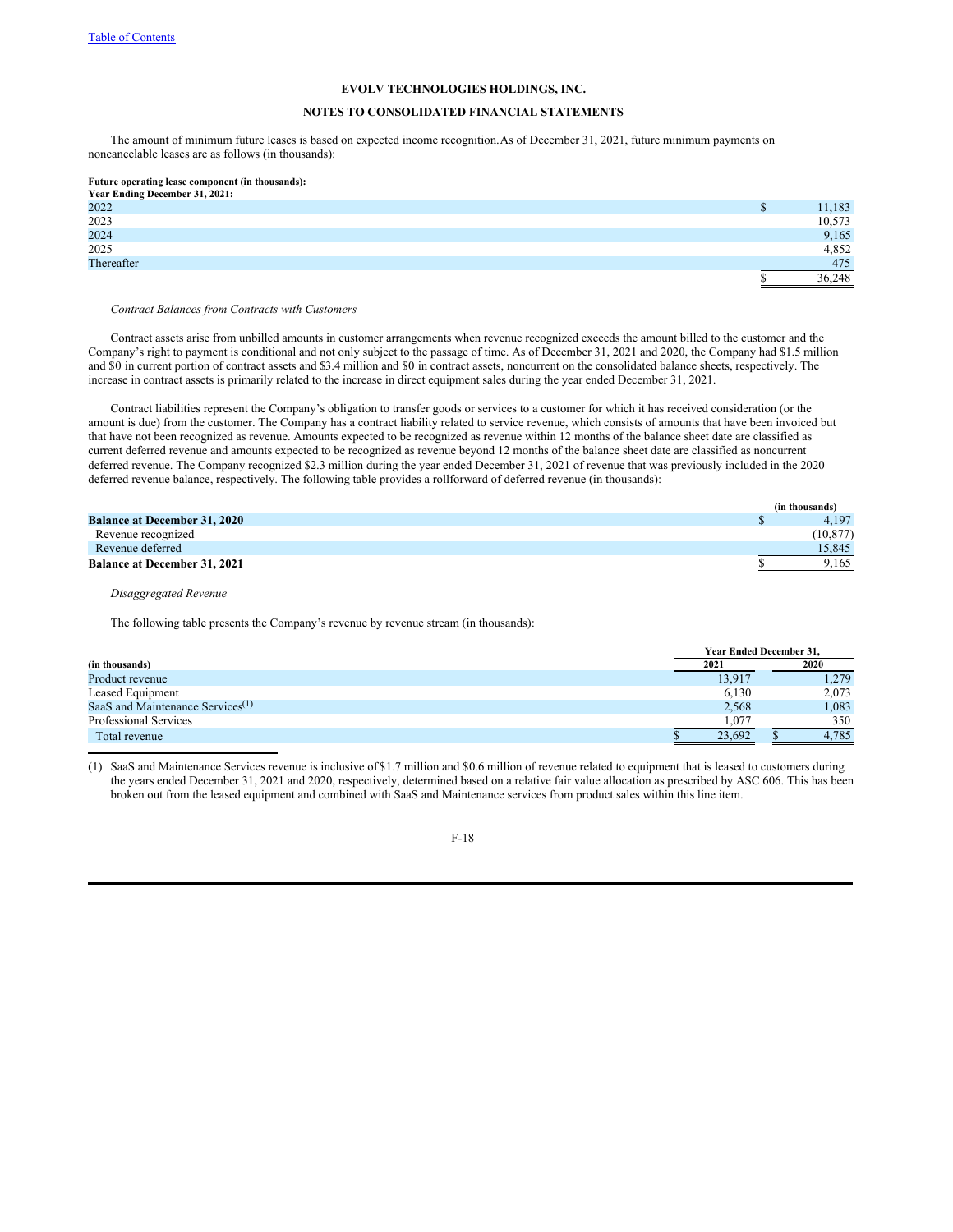# **NOTES TO CONSOLIDATED FINANCIAL STATEMENTS**

The amount of minimum future leases is based on expected income recognition.As of December 31, 2021, future minimum payments on noncancelable leases are as follows (in thousands):

# **Future operating lease component (in thousands): Year Ending December 31, 2021:**

| real Enging December 31, 2021. |    |        |
|--------------------------------|----|--------|
| 2022                           | D  | 1,183  |
| 2023                           |    | 10,573 |
| 2024                           |    | 9,165  |
| 2025                           |    | 4,852  |
| Thereafter                     |    | 475    |
|                                | د⊡ | 36,248 |

*Contract Balances from Contracts with Customers*

Contract assets arise from unbilled amounts in customer arrangements when revenue recognized exceeds the amount billed to the customer and the Company's right to payment is conditional and not only subject to the passage of time. As of December 31, 2021 and 2020, the Company had \$1.5 million and \$0 in current portion of contract assets and \$3.4 million and \$0 in contract assets, noncurrent on the consolidated balance sheets, respectively. The increase in contract assets is primarily related to the increase in direct equipment sales during the year ended December 31, 2021.

Contract liabilities represent the Company's obligation to transfer goods or services to a customer for which it has received consideration (or the amount is due) from the customer. The Company has a contract liability related to service revenue, which consists of amounts that have been invoiced but that have not been recognized as revenue. Amounts expected to be recognized as revenue within 12 months of the balance sheet date are classified as current deferred revenue and amounts expected to be recognized as revenue beyond 12 months of the balance sheet date are classified as noncurrent deferred revenue. The Company recognized \$2.3 million during the year ended December 31, 2021 of revenue that was previously included in the 2020 deferred revenue balance, respectively. The following table provides a rollforward of deferred revenue (in thousands):

|                                     | (in thousands) |
|-------------------------------------|----------------|
| <b>Balance at December 31, 2020</b> | 4.197          |
| Revenue recognized                  | (10.877)       |
| Revenue deferred                    | 15.845         |
| <b>Balance at December 31, 2021</b> | 9.165          |

*Disaggregated Revenue*

The following table presents the Company's revenue by revenue stream (in thousands):

|                                     | <b>Year Ended December 31.</b> |       |  |  |  |
|-------------------------------------|--------------------------------|-------|--|--|--|
| (in thousands)                      | 2021                           | 2020  |  |  |  |
| Product revenue                     | 13.917                         | 1.279 |  |  |  |
| Leased Equipment                    | 6,130                          | 2.073 |  |  |  |
| SaaS and Maintenance Services $(1)$ | 2,568                          | 1,083 |  |  |  |
| <b>Professional Services</b>        | .077                           | 350   |  |  |  |
| Total revenue                       | 23.692                         | 4.785 |  |  |  |

(1) SaaS and Maintenance Services revenue is inclusive of \$1.7 million and \$0.6 million of revenue related to equipment that is leased to customers during the years ended December 31, 2021 and 2020, respectively, determined based on a relative fair value allocation as prescribed by ASC 606. This has been broken out from the leased equipment and combined with SaaS and Maintenance services from product sales within this line item.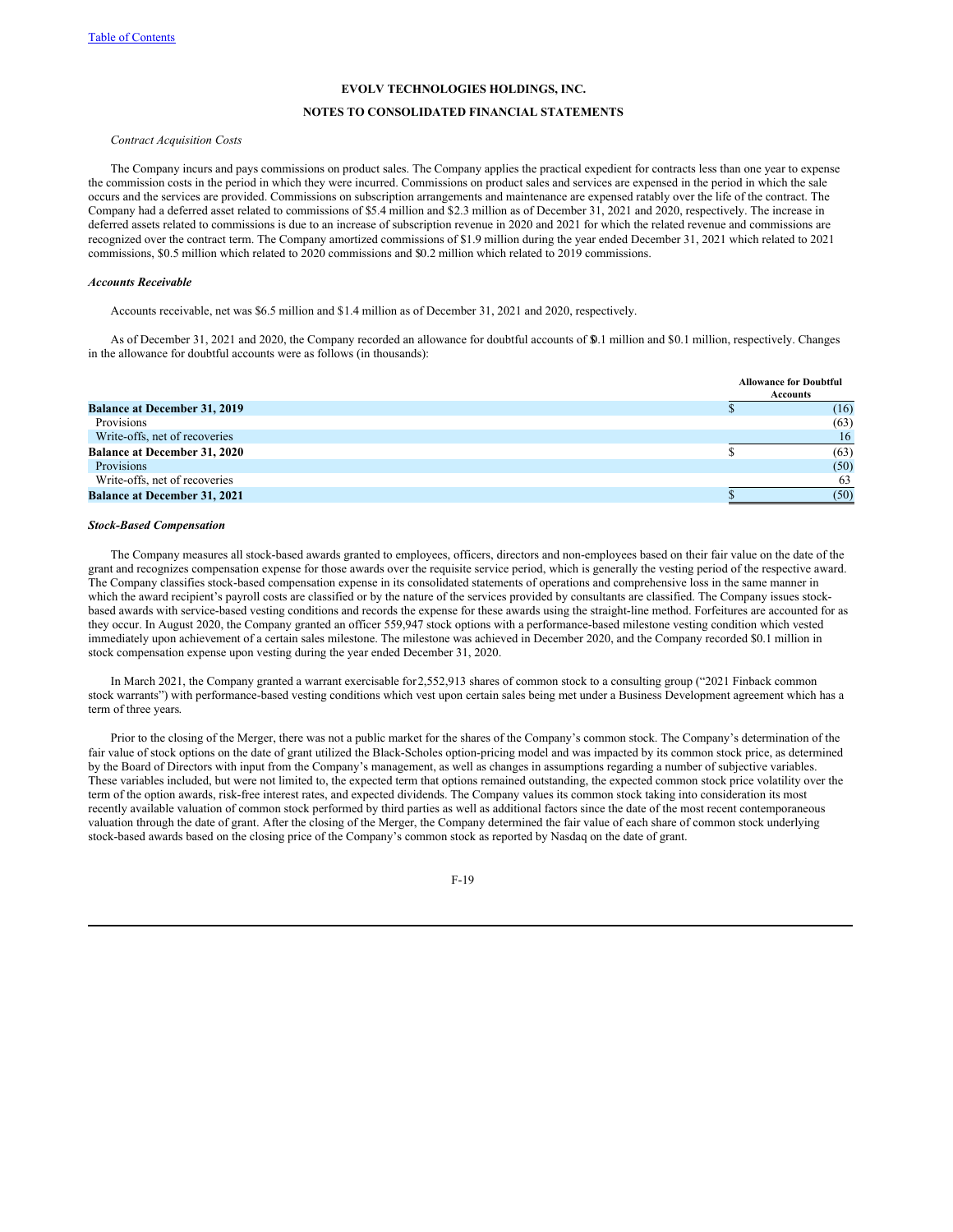# **NOTES TO CONSOLIDATED FINANCIAL STATEMENTS**

*Contract Acquisition Costs*

The Company incurs and pays commissions on product sales. The Company applies the practical expedient for contracts less than one year to expense the commission costs in the period in which they were incurred. Commissions on product sales and services are expensed in the period in which the sale occurs and the services are provided. Commissions on subscription arrangements and maintenance are expensed ratably over the life of the contract. The Company had a deferred asset related to commissions of \$5.4 million and \$2.3 million as of December 31, 2021 and 2020, respectively. The increase in deferred assets related to commissions is due to an increase of subscription revenue in 2020 and 2021 for which the related revenue and commissions are recognized over the contract term. The Company amortized commissions of \$1.9 million during the year ended December 31, 2021 which related to 2021 commissions, \$0.5 million which related to 2020 commissions and \$0.2 million which related to 2019 commissions.

#### *Accounts Receivable*

Accounts receivable, net was \$6.5 million and \$1.4 million as of December 31, 2021 and 2020, respectively.

As of December 31, 2021 and 2020, the Company recorded an allowance for doubtful accounts of \$0.1 million and \$0.1 million, respectively. Changes in the allowance for doubtful accounts were as follows (in thousands):

|                                     | <b>Allowance for Doubtful</b> |  |  |  |
|-------------------------------------|-------------------------------|--|--|--|
| <b>Balance at December 31, 2019</b> | Accounts                      |  |  |  |
|                                     | (16)                          |  |  |  |
| Provisions                          | (63)                          |  |  |  |
| Write-offs, net of recoveries       | 16                            |  |  |  |
| <b>Balance at December 31, 2020</b> | (63)                          |  |  |  |
| Provisions                          | (50)                          |  |  |  |
| Write-offs, net of recoveries       | 63                            |  |  |  |
| <b>Balance at December 31, 2021</b> | (50)                          |  |  |  |

#### *Stock-Based Compensation*

The Company measures all stock-based awards granted to employees, officers, directors and non-employees based on their fair value on the date of the grant and recognizes compensation expense for those awards over the requisite service period, which is generally the vesting period of the respective award. The Company classifies stock-based compensation expense in its consolidated statements of operations and comprehensive loss in the same manner in which the award recipient's payroll costs are classified or by the nature of the services provided by consultants are classified. The Company issues stockbased awards with service-based vesting conditions and records the expense for these awards using the straight-line method. Forfeitures are accounted for as they occur. In August 2020, the Company granted an officer 559,947 stock options with a performance-based milestone vesting condition which vested immediately upon achievement of a certain sales milestone. The milestone was achieved in December 2020, and the Company recorded \$0.1 million in stock compensation expense upon vesting during the year ended December 31, 2020.

In March 2021, the Company granted a warrant exercisable for2,552,913 shares of common stock to a consulting group ("2021 Finback common stock warrants") with performance-based vesting conditions which vest upon certain sales being met under a Business Development agreement which has a term of three years.

Prior to the closing of the Merger, there was not a public market for the shares of the Company's common stock. The Company's determination of the fair value of stock options on the date of grant utilized the Black-Scholes option-pricing model and was impacted by its common stock price, as determined by the Board of Directors with input from the Company's management, as well as changes in assumptions regarding a number of subjective variables. These variables included, but were not limited to, the expected term that options remained outstanding, the expected common stock price volatility over the term of the option awards, risk-free interest rates, and expected dividends. The Company values its common stock taking into consideration its most recently available valuation of common stock performed by third parties as well as additional factors since the date of the most recent contemporaneous valuation through the date of grant. After the closing of the Merger, the Company determined the fair value of each share of common stock underlying stock-based awards based on the closing price of the Company's common stock as reported by Nasdaq on the date of grant.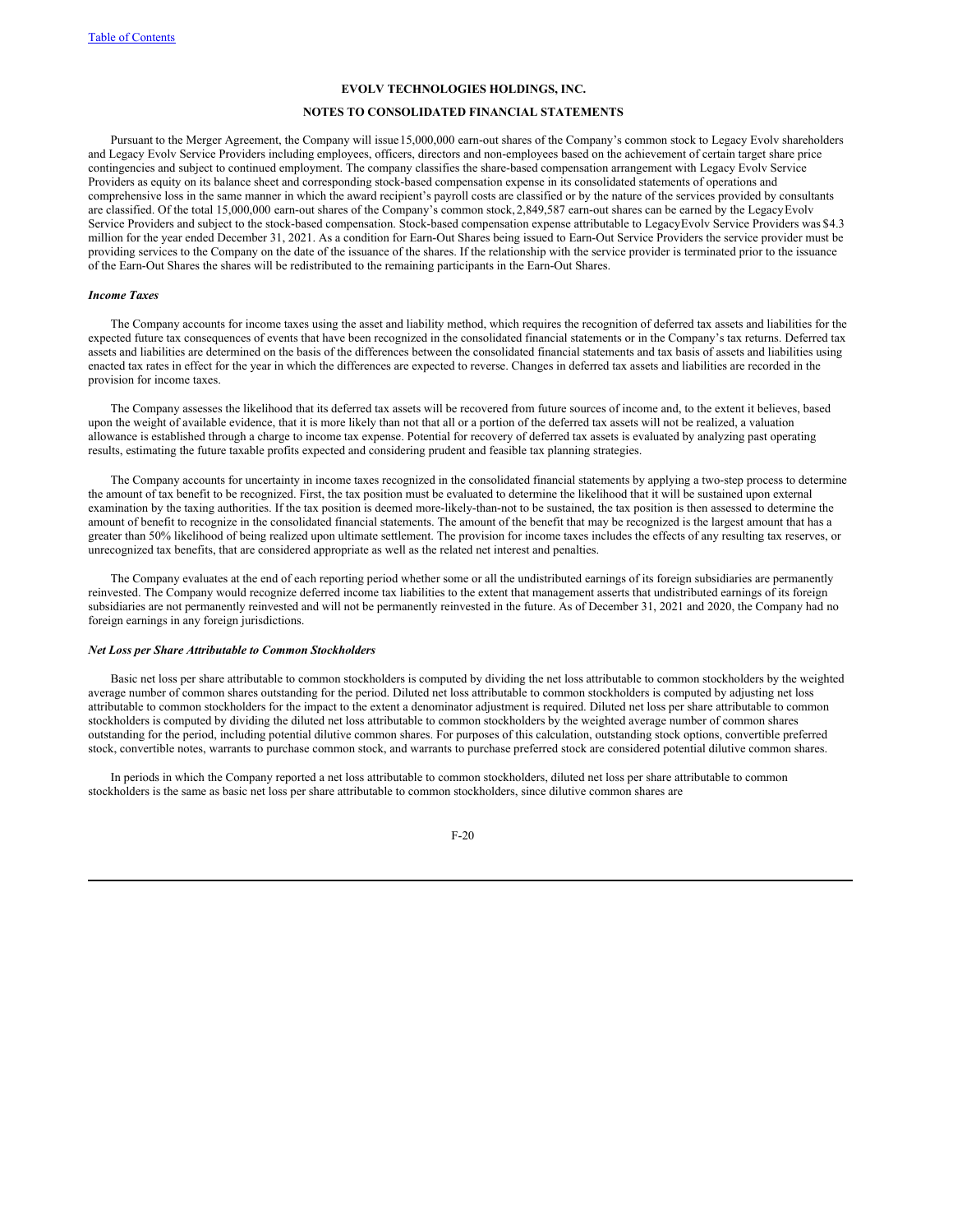# **NOTES TO CONSOLIDATED FINANCIAL STATEMENTS**

Pursuant to the Merger Agreement, the Company will issue15,000,000 earn-out shares of the Company's common stock to Legacy Evolv shareholders and Legacy Evolv Service Providers including employees, officers, directors and non-employees based on the achievement of certain target share price contingencies and subject to continued employment. The company classifies the share-based compensation arrangement with Legacy Evolv Service Providers as equity on its balance sheet and corresponding stock-based compensation expense in its consolidated statements of operations and comprehensive loss in the same manner in which the award recipient's payroll costs are classified or by the nature of the services provided by consultants are classified. Of the total 15,000,000 earn-out shares of the Company's common stock, 2,849,587 earn-out shares can be earned by the Legacy Evolv Service Providers and subject to the stock-based compensation. Stock-based compensation expense attributable to LegacyEvolv Service Providers was \$4.3 million for the year ended December 31, 2021. As a condition for Earn-Out Shares being issued to Earn-Out Service Providers the service provider must be providing services to the Company on the date of the issuance of the shares. If the relationship with the service provider is terminated prior to the issuance of the Earn-Out Shares the shares will be redistributed to the remaining participants in the Earn-Out Shares.

#### *Income Taxes*

The Company accounts for income taxes using the asset and liability method, which requires the recognition of deferred tax assets and liabilities for the expected future tax consequences of events that have been recognized in the consolidated financial statements or in the Company's tax returns. Deferred tax assets and liabilities are determined on the basis of the differences between the consolidated financial statements and tax basis of assets and liabilities using enacted tax rates in effect for the year in which the differences are expected to reverse. Changes in deferred tax assets and liabilities are recorded in the provision for income taxes.

The Company assesses the likelihood that its deferred tax assets will be recovered from future sources of income and, to the extent it believes, based upon the weight of available evidence, that it is more likely than not that all or a portion of the deferred tax assets will not be realized, a valuation allowance is established through a charge to income tax expense. Potential for recovery of deferred tax assets is evaluated by analyzing past operating results, estimating the future taxable profits expected and considering prudent and feasible tax planning strategies.

The Company accounts for uncertainty in income taxes recognized in the consolidated financial statements by applying a two-step process to determine the amount of tax benefit to be recognized. First, the tax position must be evaluated to determine the likelihood that it will be sustained upon external examination by the taxing authorities. If the tax position is deemed more-likely-than-not to be sustained, the tax position is then assessed to determine the amount of benefit to recognize in the consolidated financial statements. The amount of the benefit that may be recognized is the largest amount that has a greater than 50% likelihood of being realized upon ultimate settlement. The provision for income taxes includes the effects of any resulting tax reserves, or unrecognized tax benefits, that are considered appropriate as well as the related net interest and penalties.

The Company evaluates at the end of each reporting period whether some or all the undistributed earnings of its foreign subsidiaries are permanently reinvested. The Company would recognize deferred income tax liabilities to the extent that management asserts that undistributed earnings of its foreign subsidiaries are not permanently reinvested and will not be permanently reinvested in the future. As of December 31, 2021 and 2020, the Company had no foreign earnings in any foreign jurisdictions.

# *Net Loss per Share Attributable to Common Stockholders*

Basic net loss per share attributable to common stockholders is computed by dividing the net loss attributable to common stockholders by the weighted average number of common shares outstanding for the period. Diluted net loss attributable to common stockholders is computed by adjusting net loss attributable to common stockholders for the impact to the extent a denominator adjustment is required. Diluted net loss per share attributable to common stockholders is computed by dividing the diluted net loss attributable to common stockholders by the weighted average number of common shares outstanding for the period, including potential dilutive common shares. For purposes of this calculation, outstanding stock options, convertible preferred stock, convertible notes, warrants to purchase common stock, and warrants to purchase preferred stock are considered potential dilutive common shares.

In periods in which the Company reported a net loss attributable to common stockholders, diluted net loss per share attributable to common stockholders is the same as basic net loss per share attributable to common stockholders, since dilutive common shares are

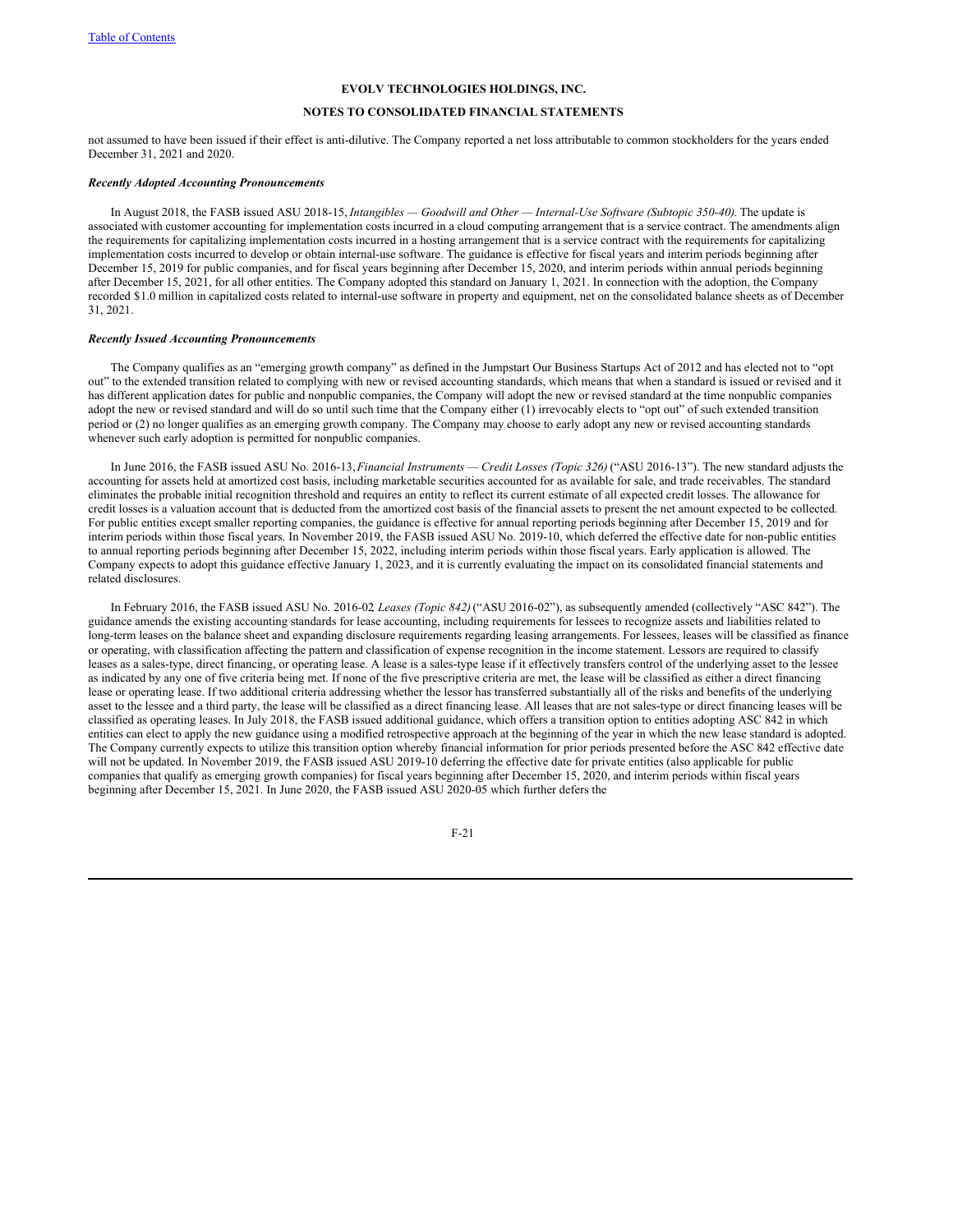# **NOTES TO CONSOLIDATED FINANCIAL STATEMENTS**

not assumed to have been issued if their effect is anti-dilutive. The Company reported a net loss attributable to common stockholders for the years ended December 31, 2021 and 2020.

#### *Recently Adopted Accounting Pronouncements*

In August 2018, the FASB issued ASU 2018-15, *Intangibles — Goodwill and Other — Internal-Use Software (Subtopic 350-40).* The update is associated with customer accounting for implementation costs incurred in a cloud computing arrangement that is a service contract. The amendments align the requirements for capitalizing implementation costs incurred in a hosting arrangement that is a service contract with the requirements for capitalizing implementation costs incurred to develop or obtain internal-use software. The guidance is effective for fiscal years and interim periods beginning after December 15, 2019 for public companies, and for fiscal years beginning after December 15, 2020, and interim periods within annual periods beginning after December 15, 2021, for all other entities. The Company adopted this standard on January 1, 2021. In connection with the adoption, the Company recorded \$1.0 million in capitalized costs related to internal-use software in property and equipment, net on the consolidated balance sheets as of December 31, 2021.

#### *Recently Issued Accounting Pronouncements*

The Company qualifies as an "emerging growth company" as defined in the Jumpstart Our Business Startups Act of 2012 and has elected not to "opt out" to the extended transition related to complying with new or revised accounting standards, which means that when a standard is issued or revised and it has different application dates for public and nonpublic companies, the Company will adopt the new or revised standard at the time nonpublic companies adopt the new or revised standard and will do so until such time that the Company either (1) irrevocably elects to "opt out" of such extended transition period or (2) no longer qualifies as an emerging growth company. The Company may choose to early adopt any new or revised accounting standards whenever such early adoption is permitted for nonpublic companies.

In June 2016, the FASB issued ASU No. 2016-13,*Financial Instruments — Credit Losses (Topic 326)* ("ASU 2016-13"). The new standard adjusts the accounting for assets held at amortized cost basis, including marketable securities accounted for as available for sale, and trade receivables. The standard eliminates the probable initial recognition threshold and requires an entity to reflect its current estimate of all expected credit losses. The allowance for credit losses is a valuation account that is deducted from the amortized cost basis of the financial assets to present the net amount expected to be collected. For public entities except smaller reporting companies, the guidance is effective for annual reporting periods beginning after December 15, 2019 and for interim periods within those fiscal years. In November 2019, the FASB issued ASU No. 2019-10, which deferred the effective date for non-public entities to annual reporting periods beginning after December 15, 2022, including interim periods within those fiscal years. Early application is allowed. The Company expects to adopt this guidance effective January 1, 2023, and it is currently evaluating the impact on its consolidated financial statements and related disclosures.

In February 2016, the FASB issued ASU No. 2016-02*, Leases (Topic 842)*("ASU 2016-02"), as subsequently amended (collectively "ASC 842"). The guidance amends the existing accounting standards for lease accounting, including requirements for lessees to recognize assets and liabilities related to long-term leases on the balance sheet and expanding disclosure requirements regarding leasing arrangements. For lessees, leases will be classified as finance or operating, with classification affecting the pattern and classification of expense recognition in the income statement. Lessors are required to classify leases as a sales-type, direct financing, or operating lease. A lease is a sales-type lease if it effectively transfers control of the underlying asset to the lessee as indicated by any one of five criteria being met. If none of the five prescriptive criteria are met, the lease will be classified as either a direct financing lease or operating lease. If two additional criteria addressing whether the lessor has transferred substantially all of the risks and benefits of the underlying asset to the lessee and a third party, the lease will be classified as a direct financing lease. All leases that are not sales-type or direct financing leases will be classified as operating leases. In July 2018, the FASB issued additional guidance, which offers a transition option to entities adopting ASC 842 in which entities can elect to apply the new guidance using a modified retrospective approach at the beginning of the year in which the new lease standard is adopted. The Company currently expects to utilize this transition option whereby financial information for prior periods presented before the ASC 842 effective date will not be updated. In November 2019, the FASB issued ASU 2019-10 deferring the effective date for private entities (also applicable for public companies that qualify as emerging growth companies) for fiscal years beginning after December 15, 2020, and interim periods within fiscal years beginning after December 15, 2021. In June 2020, the FASB issued ASU 2020-05 which further defers the

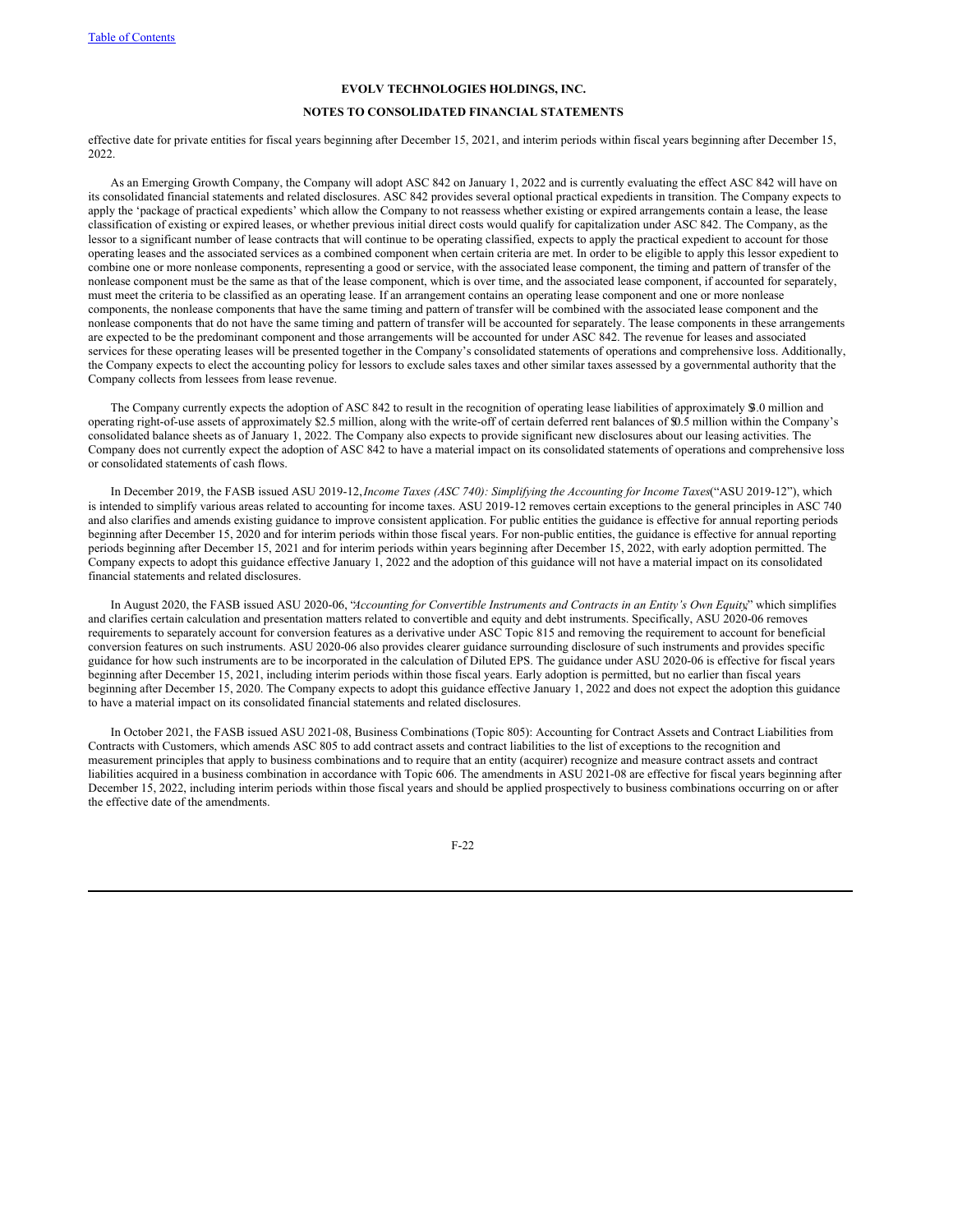# **NOTES TO CONSOLIDATED FINANCIAL STATEMENTS**

effective date for private entities for fiscal years beginning after December 15, 2021, and interim periods within fiscal years beginning after December 15, 2022.

As an Emerging Growth Company, the Company will adopt ASC 842 on January 1, 2022 and is currently evaluating the effect ASC 842 will have on its consolidated financial statements and related disclosures. ASC 842 provides several optional practical expedients in transition. The Company expects to apply the 'package of practical expedients' which allow the Company to not reassess whether existing or expired arrangements contain a lease, the lease classification of existing or expired leases, or whether previous initial direct costs would qualify for capitalization under ASC 842. The Company, as the lessor to a significant number of lease contracts that will continue to be operating classified, expects to apply the practical expedient to account for those operating leases and the associated services as a combined component when certain criteria are met. In order to be eligible to apply this lessor expedient to combine one or more nonlease components, representing a good or service, with the associated lease component, the timing and pattern of transfer of the nonlease component must be the same as that of the lease component, which is over time, and the associated lease component, if accounted for separately, must meet the criteria to be classified as an operating lease. If an arrangement contains an operating lease component and one or more nonlease components, the nonlease components that have the same timing and pattern of transfer will be combined with the associated lease component and the nonlease components that do not have the same timing and pattern of transfer will be accounted for separately. The lease components in these arrangements are expected to be the predominant component and those arrangements will be accounted for under ASC 842. The revenue for leases and associated services for these operating leases will be presented together in the Company's consolidated statements of operations and comprehensive loss. Additionally, the Company expects to elect the accounting policy for lessors to exclude sales taxes and other similar taxes assessed by a governmental authority that the Company collects from lessees from lease revenue.

The Company currently expects the adoption of ASC 842 to result in the recognition of operating lease liabilities of approximately \$3.0 million and operating right-of-use assets of approximately \$2.5 million, along with the write-off of certain deferred rent balances of \$0.5 million within the Company's consolidated balance sheets as of January 1, 2022. The Company also expects to provide significant new disclosures about our leasing activities. The Company does not currently expect the adoption of ASC 842 to have a material impact on its consolidated statements of operations and comprehensive loss or consolidated statements of cash flows.

In December 2019, the FASB issued ASU 2019-12,*Income Taxes (ASC 740): Simplifying the Accounting for Income Taxes*("ASU 2019-12"), which is intended to simplify various areas related to accounting for income taxes. ASU 2019-12 removes certain exceptions to the general principles in ASC 740 and also clarifies and amends existing guidance to improve consistent application. For public entities the guidance is effective for annual reporting periods beginning after December 15, 2020 and for interim periods within those fiscal years. For non-public entities, the guidance is effective for annual reporting periods beginning after December 15, 2021 and for interim periods within years beginning after December 15, 2022, with early adoption permitted. The Company expects to adopt this guidance effective January 1, 2022 and the adoption of this guidance will not have a material impact on its consolidated financial statements and related disclosures.

In August 2020, the FASB issued ASU 2020-06, "*Accounting for Convertible Instruments and Contracts in an Entity's Own Equity*," which simplifies and clarifies certain calculation and presentation matters related to convertible and equity and debt instruments. Specifically, ASU 2020-06 removes requirements to separately account for conversion features as a derivative under ASC Topic 815 and removing the requirement to account for beneficial conversion features on such instruments. ASU 2020-06 also provides clearer guidance surrounding disclosure of such instruments and provides specific guidance for how such instruments are to be incorporated in the calculation of Diluted EPS. The guidance under ASU 2020-06 is effective for fiscal years beginning after December 15, 2021, including interim periods within those fiscal years. Early adoption is permitted, but no earlier than fiscal years beginning after December 15, 2020. The Company expects to adopt this guidance effective January 1, 2022 and does not expect the adoption this guidance to have a material impact on its consolidated financial statements and related disclosures.

In October 2021, the FASB issued ASU 2021-08, Business Combinations (Topic 805): Accounting for Contract Assets and Contract Liabilities from Contracts with Customers, which amends ASC 805 to add contract assets and contract liabilities to the list of exceptions to the recognition and measurement principles that apply to business combinations and to require that an entity (acquirer) recognize and measure contract assets and contract liabilities acquired in a business combination in accordance with Topic 606. The amendments in ASU 2021-08 are effective for fiscal years beginning after December 15, 2022, including interim periods within those fiscal years and should be applied prospectively to business combinations occurring on or after the effective date of the amendments.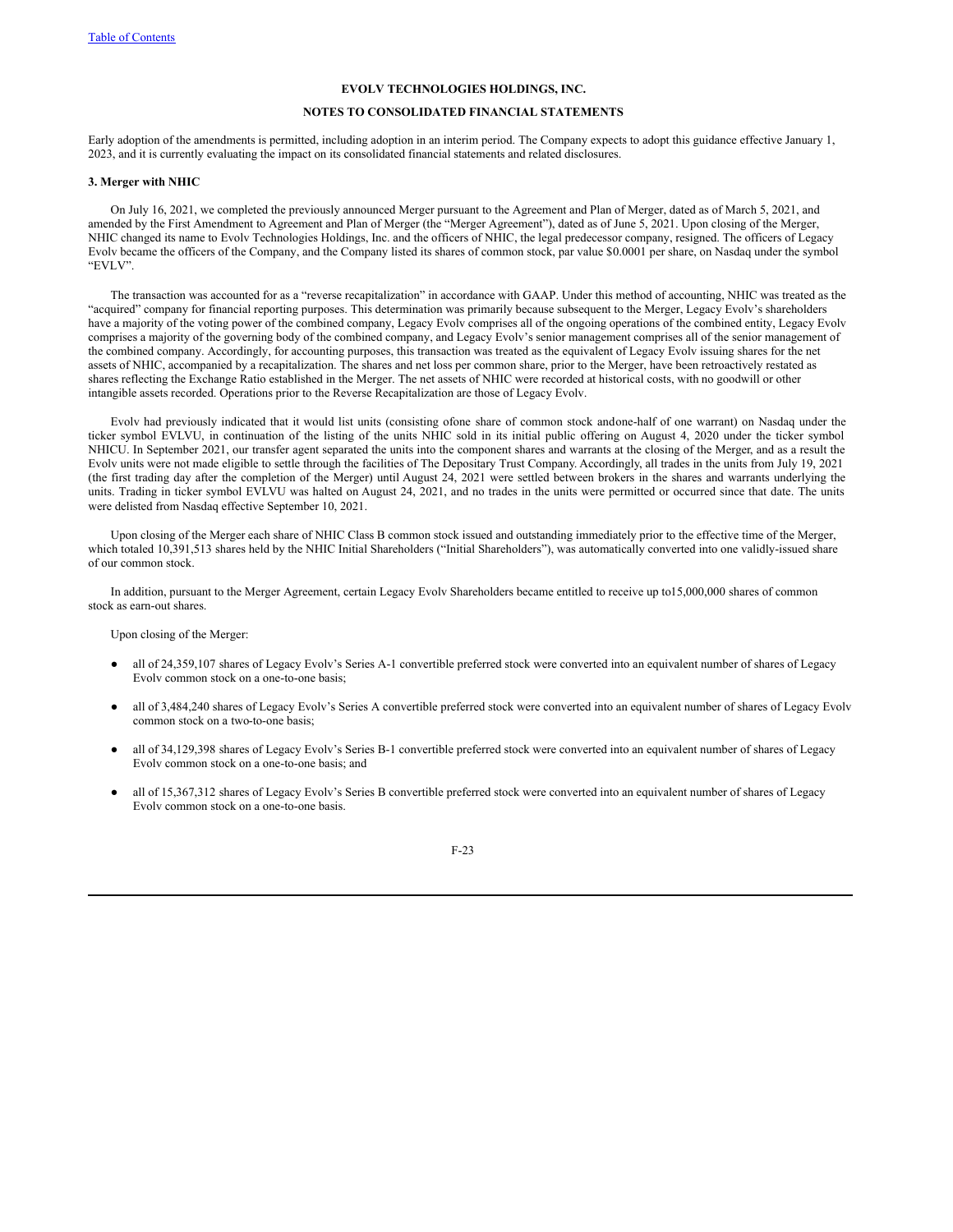# **NOTES TO CONSOLIDATED FINANCIAL STATEMENTS**

Early adoption of the amendments is permitted, including adoption in an interim period. The Company expects to adopt this guidance effective January 1, 2023, and it is currently evaluating the impact on its consolidated financial statements and related disclosures.

#### **3. Merger with NHIC**

On July 16, 2021, we completed the previously announced Merger pursuant to the Agreement and Plan of Merger, dated as of March 5, 2021, and amended by the First Amendment to Agreement and Plan of Merger (the "Merger Agreement"), dated as of June 5, 2021. Upon closing of the Merger, NHIC changed its name to Evolv Technologies Holdings, Inc. and the officers of NHIC, the legal predecessor company, resigned. The officers of Legacy Evolv became the officers of the Company, and the Company listed its shares of common stock, par value \$0.0001 per share, on Nasdaq under the symbol "EVLV".

The transaction was accounted for as a "reverse recapitalization" in accordance with GAAP. Under this method of accounting, NHIC was treated as the "acquired" company for financial reporting purposes. This determination was primarily because subsequent to the Merger, Legacy Evolv's shareholders have a majority of the voting power of the combined company, Legacy Evolv comprises all of the ongoing operations of the combined entity, Legacy Evolv comprises a majority of the governing body of the combined company, and Legacy Evoly's senior management comprises all of the senior management of the combined company. Accordingly, for accounting purposes, this transaction was treated as the equivalent of Legacy Evolv issuing shares for the net assets of NHIC, accompanied by a recapitalization. The shares and net loss per common share, prior to the Merger, have been retroactively restated as shares reflecting the Exchange Ratio established in the Merger. The net assets of NHIC were recorded at historical costs, with no goodwill or other intangible assets recorded. Operations prior to the Reverse Recapitalization are those of Legacy Evolv.

Evolv had previously indicated that it would list units (consisting ofone share of common stock andone-half of one warrant) on Nasdaq under the ticker symbol EVLVU, in continuation of the listing of the units NHIC sold in its initial public offering on August 4, 2020 under the ticker symbol NHICU. In September 2021, our transfer agent separated the units into the component shares and warrants at the closing of the Merger, and as a result the Evolv units were not made eligible to settle through the facilities of The Depositary Trust Company. Accordingly, all trades in the units from July 19, 2021 (the first trading day after the completion of the Merger) until August 24, 2021 were settled between brokers in the shares and warrants underlying the units. Trading in ticker symbol EVLVU was halted on August 24, 2021, and no trades in the units were permitted or occurred since that date. The units were delisted from Nasdaq effective September 10, 2021.

Upon closing of the Merger each share of NHIC Class B common stock issued and outstanding immediately prior to the effective time of the Merger, which totaled 10,391,513 shares held by the NHIC Initial Shareholders ("Initial Shareholders"), was automatically converted into one validly-issued share of our common stock.

In addition, pursuant to the Merger Agreement, certain Legacy Evolv Shareholders became entitled to receive up to15,000,000 shares of common stock as earn-out shares.

Upon closing of the Merger:

- all of 24,359,107 shares of Legacy Evolv's Series A-1 convertible preferred stock were converted into an equivalent number of shares of Legacy Evolv common stock on a one-to-one basis;
- all of 3,484,240 shares of Legacy Evolv's Series A convertible preferred stock were converted into an equivalent number of shares of Legacy Evolv common stock on a two-to-one basis;
- all of 34,129,398 shares of Legacy Evolv's Series B-1 convertible preferred stock were converted into an equivalent number of shares of Legacy Evolv common stock on a one-to-one basis; and
- all of 15,367,312 shares of Legacy Evolv's Series B convertible preferred stock were converted into an equivalent number of shares of Legacy Evolv common stock on a one-to-one basis.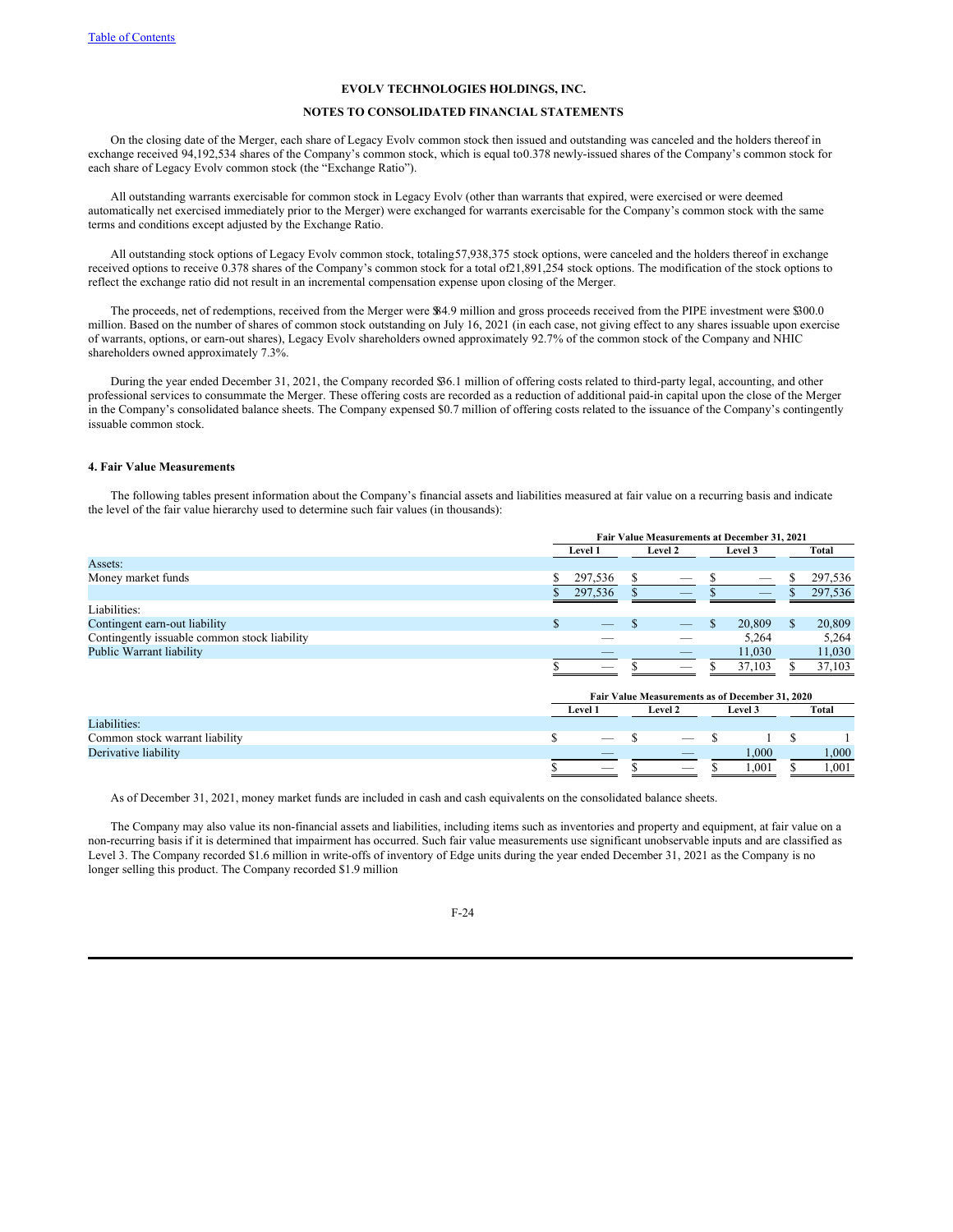# **NOTES TO CONSOLIDATED FINANCIAL STATEMENTS**

On the closing date of the Merger, each share of Legacy Evolv common stock then issued and outstanding was canceled and the holders thereof in exchange received 94,192,534 shares of the Company's common stock, which is equal to0.378 newly-issued shares of the Company's common stock for each share of Legacy Evolv common stock (the "Exchange Ratio").

All outstanding warrants exercisable for common stock in Legacy Evolv (other than warrants that expired, were exercised or were deemed automatically net exercised immediately prior to the Merger) were exchanged for warrants exercisable for the Company's common stock with the same terms and conditions except adjusted by the Exchange Ratio.

All outstanding stock options of Legacy Evolv common stock, totaling57,938,375 stock options, were canceled and the holders thereof in exchange received options to receive 0.378 shares of the Company's common stock for a total of21,891,254 stock options. The modification of the stock options to reflect the exchange ratio did not result in an incremental compensation expense upon closing of the Merger.

The proceeds, net of redemptions, received from the Merger were \$84.9 million and gross proceeds received from the PIPE investment were \$300.0 million. Based on the number of shares of common stock outstanding on July 16, 2021 (in each case, not giving effect to any shares issuable upon exercise of warrants, options, or earn-out shares), Legacy Evolv shareholders owned approximately 92.7% of the common stock of the Company and NHIC shareholders owned approximately 7.3%.

During the year ended December 31, 2021, the Company recorded \$36.1 million of offering costs related to third-party legal, accounting, and other professional services to consummate the Merger. These offering costs are recorded as a reduction of additional paid-in capital upon the close of the Merger in the Company's consolidated balance sheets. The Company expensed \$0.7 million of offering costs related to the issuance of the Company's contingently issuable common stock.

#### **4. Fair Value Measurements**

The following tables present information about the Company's financial assets and liabilities measured at fair value on a recurring basis and indicate the level of the fair value hierarchy used to determine such fair values (in thousands):

|                                              |                                                 | Fair Value Measurements at December 31, 2021 |   |         |     |         |               |         |
|----------------------------------------------|-------------------------------------------------|----------------------------------------------|---|---------|-----|---------|---------------|---------|
|                                              |                                                 | Level 1                                      |   | Level 2 |     | Level 3 |               | Total   |
| Assets:                                      |                                                 |                                              |   |         |     |         |               |         |
| Money market funds                           |                                                 | 297,536                                      | S |         |     |         | \$            | 297,536 |
|                                              |                                                 | 297,536                                      |   | _       |     |         |               | 297,536 |
| Liabilities:                                 |                                                 |                                              |   |         |     |         |               |         |
| Contingent earn-out liability                | S.                                              |                                              |   |         | \$. | 20,809  | <sup>\$</sup> | 20,809  |
| Contingently issuable common stock liability |                                                 |                                              |   |         |     | 5,264   |               | 5,264   |
| <b>Public Warrant liability</b>              |                                                 |                                              |   |         |     | 11,030  |               | 11,030  |
|                                              |                                                 |                                              |   |         |     | 37,103  |               | 37,103  |
|                                              |                                                 |                                              |   |         |     |         |               |         |
|                                              | Fair Value Measurements as of December 31, 2020 |                                              |   |         |     |         |               |         |
|                                              |                                                 | <b>Level 1</b>                               |   | Level 2 |     | Level 3 |               | Total   |
| Liabilities:                                 |                                                 |                                              |   |         |     |         |               |         |
| Common stock warrant liability               | \$                                              |                                              |   |         |     |         |               |         |
| Derivative liability                         |                                                 |                                              |   |         |     | 1,000   |               | 1,000   |
|                                              |                                                 | _                                            |   | _       |     | 1,001   |               | 1,001   |

As of December 31, 2021, money market funds are included in cash and cash equivalents on the consolidated balance sheets.

The Company may also value its non-financial assets and liabilities, including items such as inventories and property and equipment, at fair value on a non-recurring basis if it is determined that impairment has occurred. Such fair value measurements use significant unobservable inputs and are classified as Level 3. The Company recorded \$1.6 million in write-offs of inventory of Edge units during the year ended December 31, 2021 as the Company is no longer selling this product. The Company recorded \$1.9 million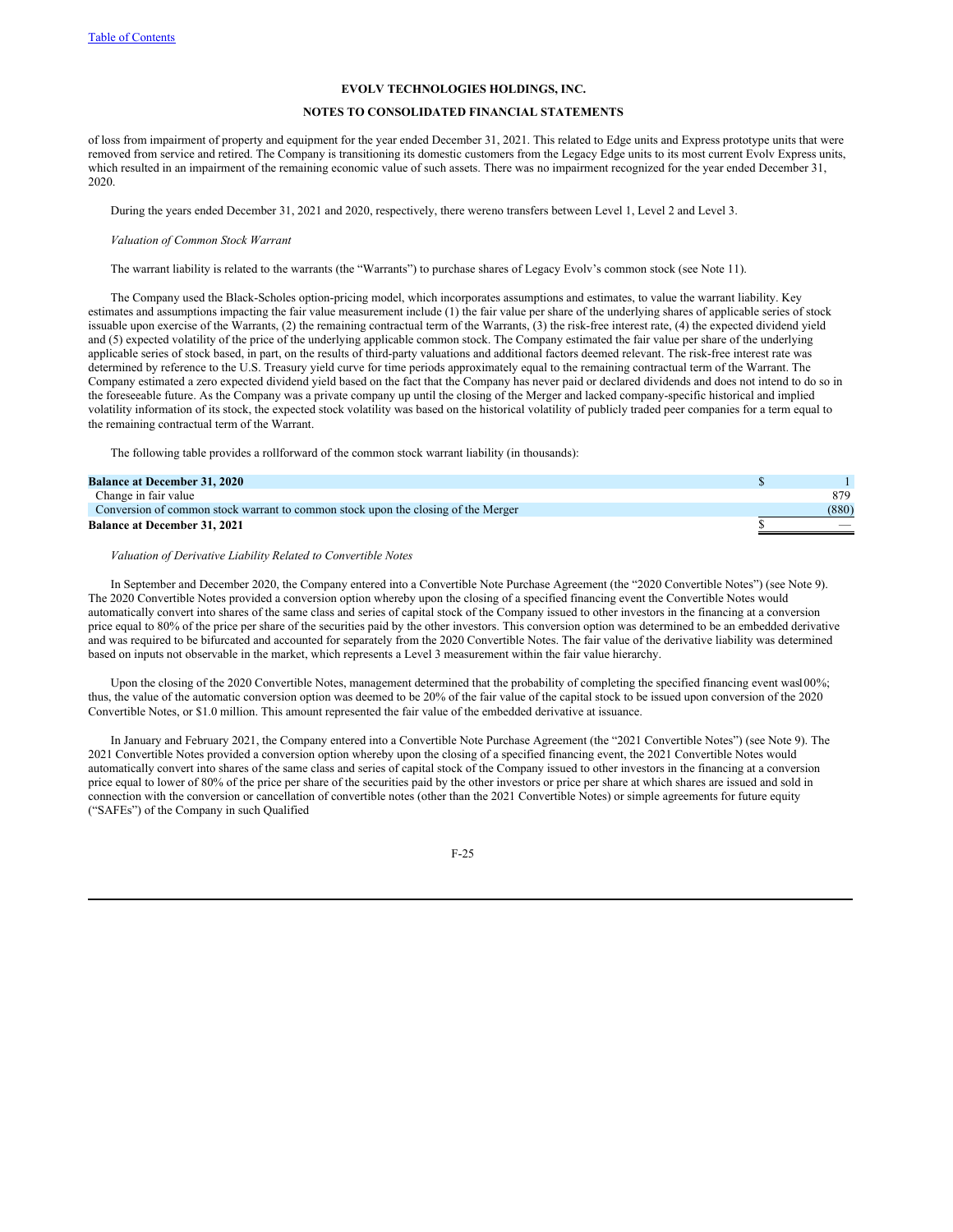# **NOTES TO CONSOLIDATED FINANCIAL STATEMENTS**

of loss from impairment of property and equipment for the year ended December 31, 2021. This related to Edge units and Express prototype units that were removed from service and retired. The Company is transitioning its domestic customers from the Legacy Edge units to its most current Evolv Express units, which resulted in an impairment of the remaining economic value of such assets. There was no impairment recognized for the year ended December 31, 2020.

During the years ended December 31, 2021 and 2020, respectively, there wereno transfers between Level 1, Level 2 and Level 3.

#### *Valuation of Common Stock Warrant*

The warrant liability is related to the warrants (the "Warrants") to purchase shares of Legacy Evolv's common stock (see Note 11).

The Company used the Black-Scholes option-pricing model, which incorporates assumptions and estimates, to value the warrant liability. Key estimates and assumptions impacting the fair value measurement include (1) the fair value per share of the underlying shares of applicable series of stock issuable upon exercise of the Warrants, (2) the remaining contractual term of the Warrants, (3) the risk-free interest rate, (4) the expected dividend yield and (5) expected volatility of the price of the underlying applicable common stock. The Company estimated the fair value per share of the underlying applicable series of stock based, in part, on the results of third-party valuations and additional factors deemed relevant. The risk-free interest rate was determined by reference to the U.S. Treasury yield curve for time periods approximately equal to the remaining contractual term of the Warrant. The Company estimated a zero expected dividend yield based on the fact that the Company has never paid or declared dividends and does not intend to do so in the foreseeable future. As the Company was a private company up until the closing of the Merger and lacked company-specific historical and implied volatility information of its stock, the expected stock volatility was based on the historical volatility of publicly traded peer companies for a term equal to the remaining contractual term of the Warrant.

The following table provides a rollforward of the common stock warrant liability (in thousands):

| <b>Balance at December 31, 2020</b>                                               |       |
|-----------------------------------------------------------------------------------|-------|
| Change in fair value                                                              | 879   |
| Conversion of common stock warrant to common stock upon the closing of the Merger | (880) |
| <b>Balance at December 31, 2021</b>                                               |       |

#### *Valuation of Derivative Liability Related to Convertible Notes*

In September and December 2020, the Company entered into a Convertible Note Purchase Agreement (the "2020 Convertible Notes") (see Note 9). The 2020 Convertible Notes provided a conversion option whereby upon the closing of a specified financing event the Convertible Notes would automatically convert into shares of the same class and series of capital stock of the Company issued to other investors in the financing at a conversion price equal to 80% of the price per share of the securities paid by the other investors. This conversion option was determined to be an embedded derivative and was required to be bifurcated and accounted for separately from the 2020 Convertible Notes. The fair value of the derivative liability was determined based on inputs not observable in the market, which represents a Level 3 measurement within the fair value hierarchy.

Upon the closing of the 2020 Convertible Notes, management determined that the probability of completing the specified financing event was100%; thus, the value of the automatic conversion option was deemed to be 20% of the fair value of the capital stock to be issued upon conversion of the 2020 Convertible Notes, or \$1.0 million. This amount represented the fair value of the embedded derivative at issuance.

In January and February 2021, the Company entered into a Convertible Note Purchase Agreement (the "2021 Convertible Notes") (see Note 9). The 2021 Convertible Notes provided a conversion option whereby upon the closing of a specified financing event, the 2021 Convertible Notes would automatically convert into shares of the same class and series of capital stock of the Company issued to other investors in the financing at a conversion price equal to lower of 80% of the price per share of the securities paid by the other investors or price per share at which shares are issued and sold in connection with the conversion or cancellation of convertible notes (other than the 2021 Convertible Notes) or simple agreements for future equity ("SAFEs") of the Company in such Qualified

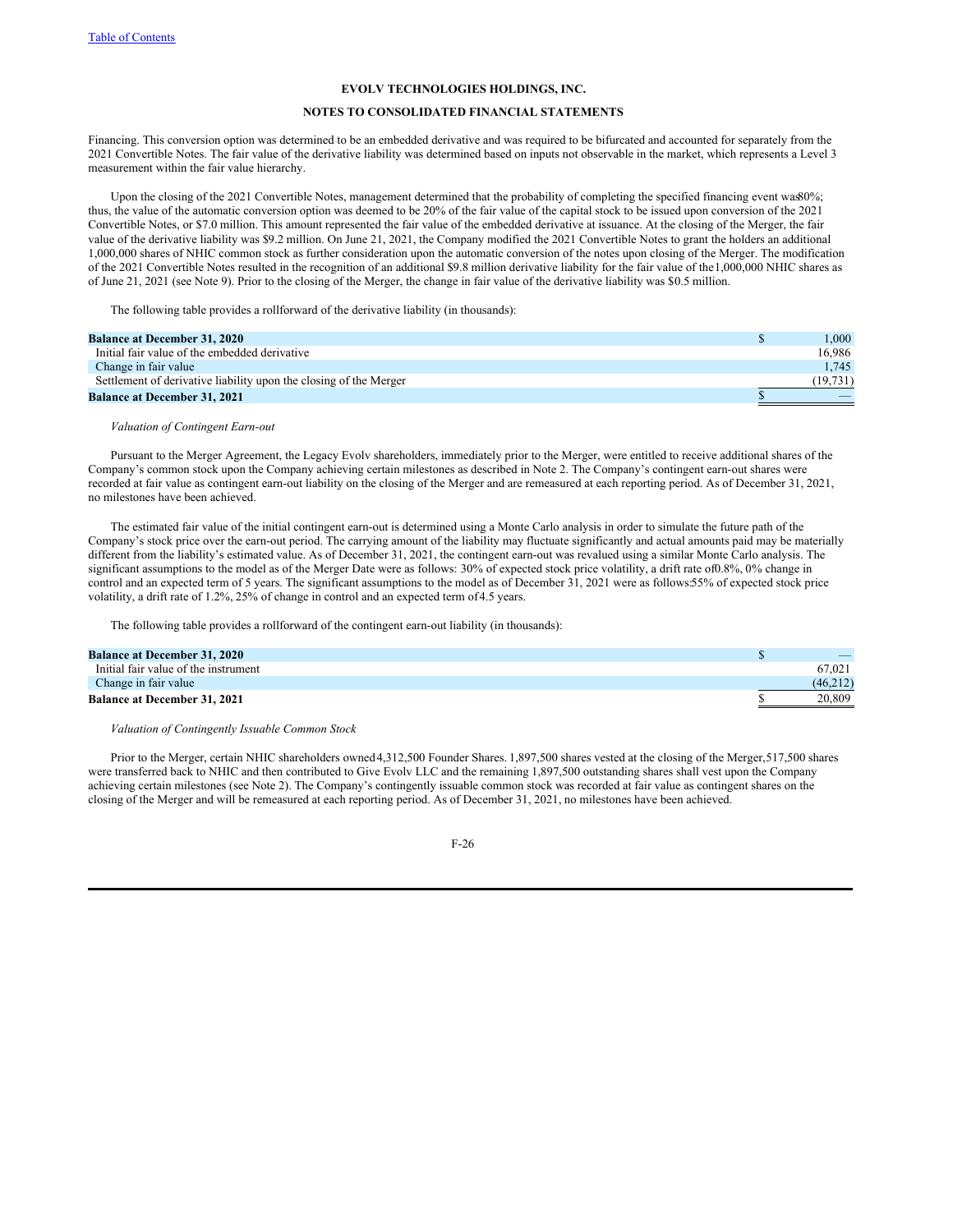# **NOTES TO CONSOLIDATED FINANCIAL STATEMENTS**

Financing. This conversion option was determined to be an embedded derivative and was required to be bifurcated and accounted for separately from the 2021 Convertible Notes. The fair value of the derivative liability was determined based on inputs not observable in the market, which represents a Level 3 measurement within the fair value hierarchy.

Upon the closing of the 2021 Convertible Notes, management determined that the probability of completing the specified financing event was 0%; thus, the value of the automatic conversion option was deemed to be 20% of the fair value of the capital stock to be issued upon conversion of the 2021 Convertible Notes, or \$7.0 million. This amount represented the fair value of the embedded derivative at issuance. At the closing of the Merger, the fair value of the derivative liability was \$9.2 million. On June 21, 2021, the Company modified the 2021 Convertible Notes to grant the holders an additional 1,000,000 shares of NHIC common stock as further consideration upon the automatic conversion of the notes upon closing of the Merger. The modification of the 2021 Convertible Notes resulted in the recognition of an additional \$9.8 million derivative liability for the fair value of the1,000,000 NHIC shares as of June 21, 2021 (see Note 9). Prior to the closing of the Merger, the change in fair value of the derivative liability was \$0.5 million.

The following table provides a rollforward of the derivative liability (in thousands):

| <b>Balance at December 31, 2020</b>                               | $1.000\,$ |
|-------------------------------------------------------------------|-----------|
| Initial fair value of the embedded derivative                     | 16.986    |
| Change in fair value                                              | 1.745     |
| Settlement of derivative liability upon the closing of the Merger | (19.731)  |
| <b>Balance at December 31, 2021</b>                               |           |

*Valuation of Contingent Earn-out*

Pursuant to the Merger Agreement, the Legacy Evolv shareholders, immediately prior to the Merger, were entitled to receive additional shares of the Company's common stock upon the Company achieving certain milestones as described in Note 2. The Company's contingent earn-out shares were recorded at fair value as contingent earn-out liability on the closing of the Merger and are remeasured at each reporting period. As of December 31, 2021, no milestones have been achieved.

The estimated fair value of the initial contingent earn-out is determined using a Monte Carlo analysis in order to simulate the future path of the Company's stock price over the earn-out period. The carrying amount of the liability may fluctuate significantly and actual amounts paid may be materially different from the liability's estimated value. As of December 31, 2021, the contingent earn-out was revalued using a similar Monte Carlo analysis. The significant assumptions to the model as of the Merger Date were as follows: 30% of expected stock price volatility, a drift rate of0.8%, 0% change in control and an expected term of 5 years. The significant assumptions to the model as of December 31, 2021 were as follows:55% of expected stock price volatility, a drift rate of 1.2%, 25% of change in control and an expected term of4.5 years.

The following table provides a rollforward of the contingent earn-out liability (in thousands):

| <b>Balance at December 31, 2020</b>  |          |
|--------------------------------------|----------|
| Initial fair value of the instrument | 67.021   |
| Change in fair value                 | (46.212) |
| <b>Balance at December 31, 2021</b>  | 20,809   |

*Valuation of Contingently Issuable Common Stock*

Prior to the Merger, certain NHIC shareholders owned4,312,500 Founder Shares. 1,897,500 shares vested at the closing of the Merger,517,500 shares were transferred back to NHIC and then contributed to Give Evolv LLC and the remaining 1,897,500 outstanding shares shall vest upon the Company achieving certain milestones (see Note 2). The Company's contingently issuable common stock was recorded at fair value as contingent shares on the closing of the Merger and will be remeasured at each reporting period. As of December 31, 2021, no milestones have been achieved.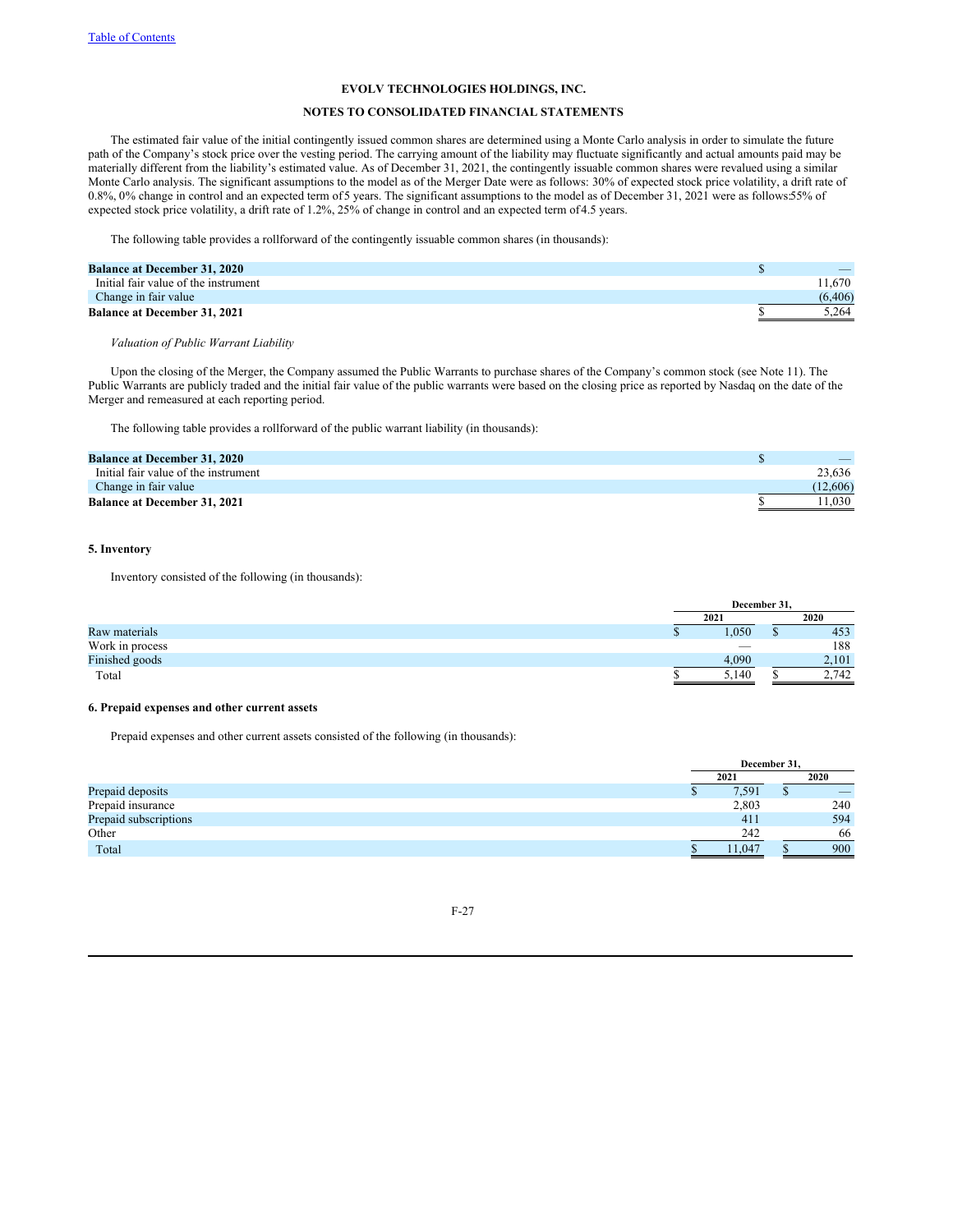# **NOTES TO CONSOLIDATED FINANCIAL STATEMENTS**

The estimated fair value of the initial contingently issued common shares are determined using a Monte Carlo analysis in order to simulate the future path of the Company's stock price over the vesting period. The carrying amount of the liability may fluctuate significantly and actual amounts paid may be materially different from the liability's estimated value. As of December 31, 2021, the contingently issuable common shares were revalued using a similar Monte Carlo analysis. The significant assumptions to the model as of the Merger Date were as follows: 30% of expected stock price volatility, a drift rate of 0.8%, 0% change in control and an expected term of 5 years. The significant assumptions to the model as of December 31, 2021 were as follows:55% of expected stock price volatility, a drift rate of 1.2%, 25% of change in control and an expected term of4.5 years.

The following table provides a rollforward of the contingently issuable common shares (in thousands):

| <b>Balance at December 31, 2020</b>  | $-$      |
|--------------------------------------|----------|
| Initial fair value of the instrument | 1.670    |
| Change in fair value                 | (6, 406) |
| <b>Balance at December 31, 2021</b>  | 5.264    |

# *Valuation of Public Warrant Liability*

Upon the closing of the Merger, the Company assumed the Public Warrants to purchase shares of the Company's common stock (see Note 11). The Public Warrants are publicly traded and the initial fair value of the public warrants were based on the closing price as reported by Nasdaq on the date of the Merger and remeasured at each reporting period.

The following table provides a rollforward of the public warrant liability (in thousands):

| <b>Balance at December 31, 2020</b>  |          |
|--------------------------------------|----------|
| Initial fair value of the instrument | 23.636   |
| Change in fair value                 | (12,606) |
| <b>Balance at December 31, 2021</b>  | 1.030    |

## **5. Inventory**

Inventory consisted of the following (in thousands):

|                 |  | December 31.             |       |  |  |
|-----------------|--|--------------------------|-------|--|--|
|                 |  | 2021                     | 2020  |  |  |
| Raw materials   |  | ,050                     | 453   |  |  |
| Work in process |  | $\overline{\phantom{a}}$ | 188   |  |  |
| Finished goods  |  | 4.090                    | 2,101 |  |  |
| Total           |  | 5.140                    | 2.742 |  |  |

# **6. Prepaid expenses and other current assets**

Prepaid expenses and other current assets consisted of the following (in thousands):

|                       | December 31, |       |    |     |
|-----------------------|--------------|-------|----|-----|
|                       | 2021         |       |    |     |
| Prepaid deposits      |              | 7,591 | ۰D |     |
| Prepaid insurance     |              | 2,803 |    | 240 |
| Prepaid subscriptions |              | 411   |    | 594 |
| Other                 |              | 242   |    | 66  |
| Total                 |              | 1.047 |    | 900 |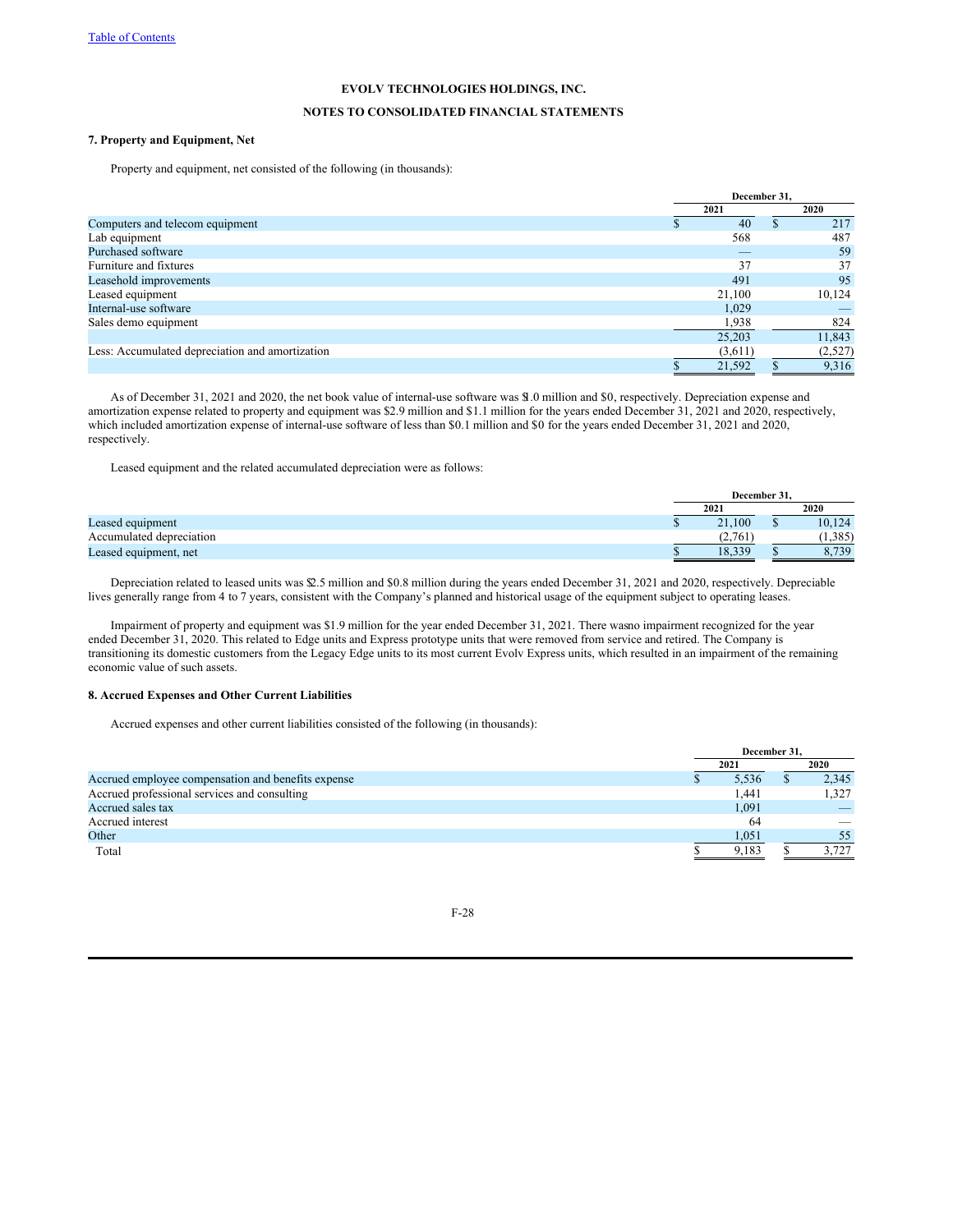# **NOTES TO CONSOLIDATED FINANCIAL STATEMENTS**

# **7. Property and Equipment, Net**

Property and equipment, net consisted of the following (in thousands):

|                                                 | December 31. |  |         |
|-------------------------------------------------|--------------|--|---------|
|                                                 | 2021         |  | 2020    |
| Computers and telecom equipment                 | 40           |  | 217     |
| Lab equipment                                   | 568          |  | 487     |
| Purchased software                              |              |  | 59      |
| Furniture and fixtures                          | 37           |  | 37      |
| Leasehold improvements                          | 491          |  | 95      |
| Leased equipment                                | 21,100       |  | 10,124  |
| Internal-use software                           | 1,029        |  |         |
| Sales demo equipment                            | 1,938        |  | 824     |
|                                                 | 25,203       |  | 11,843  |
| Less: Accumulated depreciation and amortization | (3,611)      |  | (2,527) |
|                                                 | 21,592       |  | 9,316   |

As of December 31, 2021 and 2020, the net book value of internal-use software was \$1.0 million and \$0, respectively. Depreciation expense and amortization expense related to property and equipment was \$2.9 million and \$1.1 million for the years ended December 31, 2021 and 2020, respectively, which included amortization expense of internal-use software of less than \$0.1 million and \$0 for the years ended December 31, 2021 and 2020, respectively.

Leased equipment and the related accumulated depreciation were as follows:

|                          | December 31. |        |
|--------------------------|--------------|--------|
|                          | 2021         | 2020   |
| Leased equipment         | 21.100       | 10,124 |
| Accumulated depreciation |              | 1.385  |
| Leased equipment, net    | Q220<br>10.3 | 730    |

Depreciation related to leased units was \$2.5 million and \$0.8 million during the years ended December 31, 2021 and 2020, respectively. Depreciable lives generally range from 4 to 7 years, consistent with the Company's planned and historical usage of the equipment subject to operating leases.

Impairment of property and equipment was \$1.9 million for the year ended December 31, 2021. There wasno impairment recognized for the year ended December 31, 2020. This related to Edge units and Express prototype units that were removed from service and retired. The Company is transitioning its domestic customers from the Legacy Edge units to its most current Evolv Express units, which resulted in an impairment of the remaining economic value of such assets.

## **8. Accrued Expenses and Other Current Liabilities**

Accrued expenses and other current liabilities consisted of the following (in thousands):

|                                                    | December 31. |       |  |       |
|----------------------------------------------------|--------------|-------|--|-------|
|                                                    |              | 2021  |  | 2020  |
| Accrued employee compensation and benefits expense |              | 5,536 |  | 2,345 |
| Accrued professional services and consulting       |              | 1,441 |  | 1,327 |
| Accrued sales tax                                  |              | 1,091 |  |       |
| Accrued interest                                   |              | -64   |  |       |
| Other                                              |              | 1,051 |  | 55    |
| Total                                              |              | 9.183 |  |       |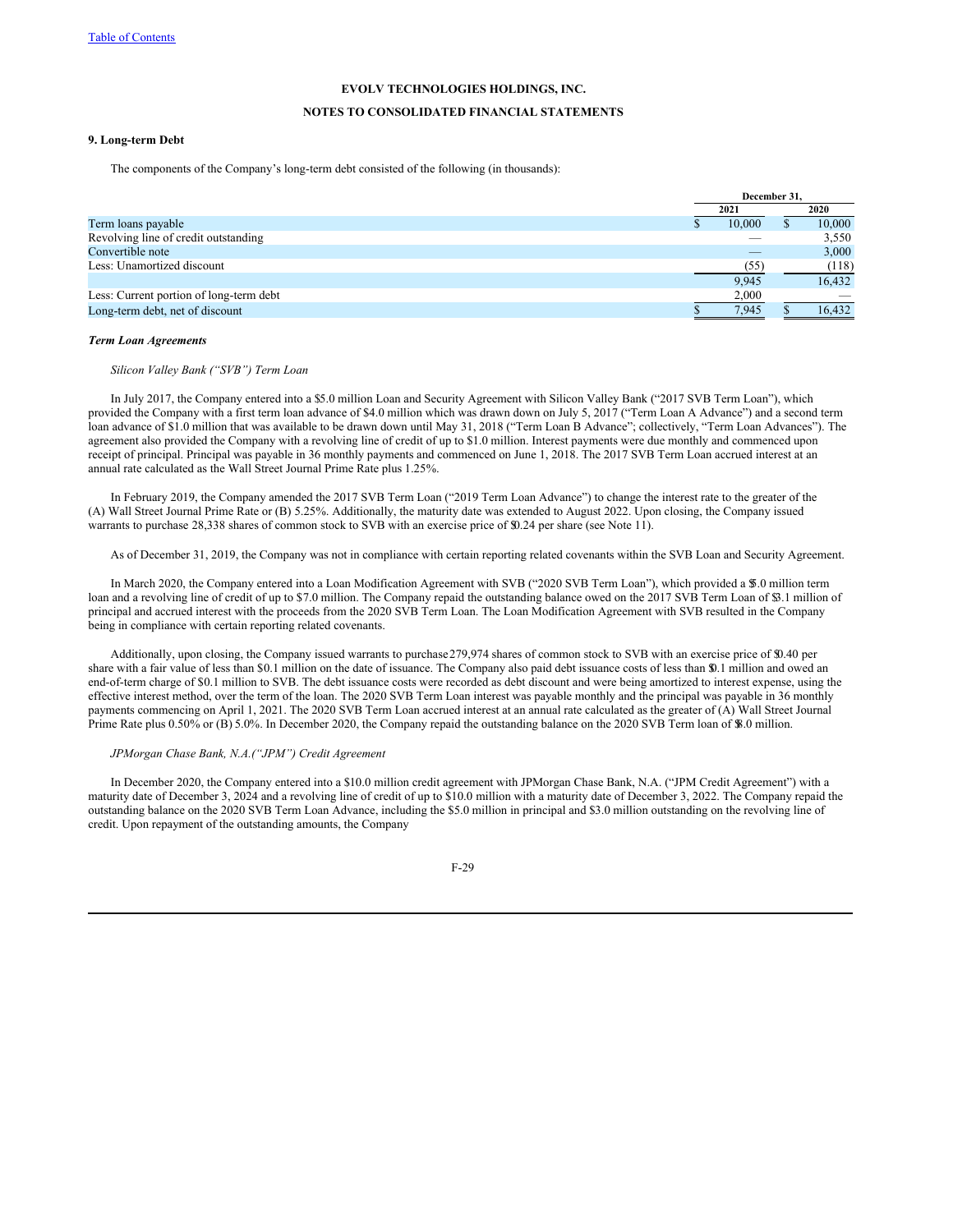## **NOTES TO CONSOLIDATED FINANCIAL STATEMENTS**

# **9. Long-term Debt**

The components of the Company's long-term debt consisted of the following (in thousands):

|                                         | December 31. |        |  |        |
|-----------------------------------------|--------------|--------|--|--------|
|                                         |              | 2021   |  | 2020   |
| Term loans payable                      |              | 10.000 |  | 10,000 |
| Revolving line of credit outstanding    |              |        |  | 3,550  |
| Convertible note                        |              |        |  | 3,000  |
| Less: Unamortized discount              |              | (55)   |  | (118)  |
|                                         |              | 9.945  |  | 16,432 |
| Less: Current portion of long-term debt |              | 2.000  |  |        |
| Long-term debt, net of discount         |              | 7.945  |  | 16.432 |

#### *Term Loan Agreements*

*Silicon Valley Bank ("SVB") Term Loan*

In July 2017, the Company entered into a \$5.0 million Loan and Security Agreement with Silicon Valley Bank ("2017 SVB Term Loan"), which provided the Company with a first term loan advance of \$4.0 million which was drawn down on July 5, 2017 ("Term Loan A Advance") and a second term loan advance of \$1.0 million that was available to be drawn down until May 31, 2018 ("Term Loan B Advance"; collectively, "Term Loan Advances"). The agreement also provided the Company with a revolving line of credit of up to \$1.0 million. Interest payments were due monthly and commenced upon receipt of principal. Principal was payable in 36 monthly payments and commenced on June 1, 2018. The 2017 SVB Term Loan accrued interest at an annual rate calculated as the Wall Street Journal Prime Rate plus 1.25%.

In February 2019, the Company amended the 2017 SVB Term Loan ("2019 Term Loan Advance") to change the interest rate to the greater of the (A) Wall Street Journal Prime Rate or (B) 5.25%. Additionally, the maturity date was extended to August 2022. Upon closing, the Company issued warrants to purchase 28,338 shares of common stock to SVB with an exercise price of \$0.24 per share (see Note 11).

As of December 31, 2019, the Company was not in compliance with certain reporting related covenants within the SVB Loan and Security Agreement.

In March 2020, the Company entered into a Loan Modification Agreement with SVB ("2020 SVB Term Loan"), which provided a \$5.0 million term loan and a revolving line of credit of up to \$7.0 million. The Company repaid the outstanding balance owed on the 2017 SVB Term Loan of \$3.1 million of principal and accrued interest with the proceeds from the 2020 SVB Term Loan. The Loan Modification Agreement with SVB resulted in the Company being in compliance with certain reporting related covenants.

Additionally, upon closing, the Company issued warrants to purchase279,974 shares of common stock to SVB with an exercise price of \$0.40 per share with a fair value of less than \$0.1 million on the date of issuance. The Company also paid debt issuance costs of less than \$0.1 million and owed an end-of-term charge of \$0.1 million to SVB. The debt issuance costs were recorded as debt discount and were being amortized to interest expense, using the effective interest method, over the term of the loan. The 2020 SVB Term Loan interest was payable monthly and the principal was payable in 36 monthly payments commencing on April 1, 2021. The 2020 SVB Term Loan accrued interest at an annual rate calculated as the greater of (A) Wall Street Journal Prime Rate plus 0.50% or (B) 5.0%. In December 2020, the Company repaid the outstanding balance on the 2020 SVB Term loan of \$8.0 million.

#### *JPMorgan Chase Bank, N.A.("JPM") Credit Agreement*

In December 2020, the Company entered into a \$10.0 million credit agreement with JPMorgan Chase Bank, N.A. ("JPM Credit Agreement") with a maturity date of December 3, 2024 and a revolving line of credit of up to \$10.0 million with a maturity date of December 3, 2022. The Company repaid the outstanding balance on the 2020 SVB Term Loan Advance, including the \$5.0 million in principal and \$3.0 million outstanding on the revolving line of credit. Upon repayment of the outstanding amounts, the Company

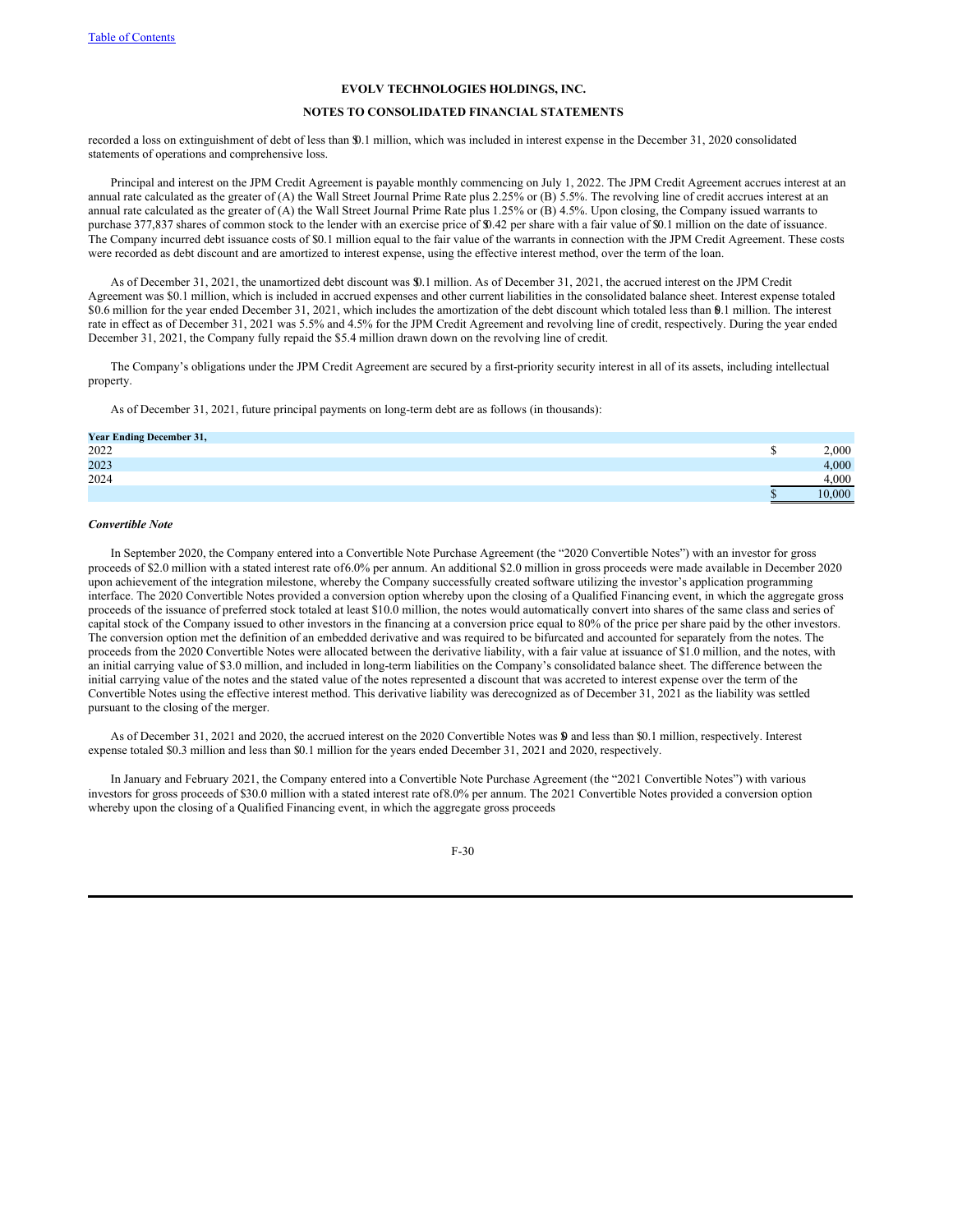## **NOTES TO CONSOLIDATED FINANCIAL STATEMENTS**

recorded a loss on extinguishment of debt of less than \$0.1 million, which was included in interest expense in the December 31, 2020 consolidated statements of operations and comprehensive loss.

Principal and interest on the JPM Credit Agreement is payable monthly commencing on July 1, 2022. The JPM Credit Agreement accrues interest at an annual rate calculated as the greater of (A) the Wall Street Journal Prime Rate plus 2.25% or (B) 5.5%. The revolving line of credit accrues interest at an annual rate calculated as the greater of (A) the Wall Street Journal Prime Rate plus 1.25% or (B) 4.5%. Upon closing, the Company issued warrants to purchase 377,837 shares of common stock to the lender with an exercise price of \$0.42 per share with a fair value of \$0.1 million on the date of issuance. The Company incurred debt issuance costs of \$0.1 million equal to the fair value of the warrants in connection with the JPM Credit Agreement. These costs were recorded as debt discount and are amortized to interest expense, using the effective interest method, over the term of the loan.

As of December 31, 2021, the unamortized debt discount was \$0.1 million. As of December 31, 2021, the accrued interest on the JPM Credit Agreement was \$0.1 million, which is included in accrued expenses and other current liabilities in the consolidated balance sheet. Interest expense totaled \$0.6 million for the year ended December 31, 2021, which includes the amortization of the debt discount which totaled less than \$0.1 million. The interest rate in effect as of December 31, 2021 was 5.5% and 4.5% for the JPM Credit Agreement and revolving line of credit, respectively. During the year ended December 31, 2021, the Company fully repaid the \$5.4 million drawn down on the revolving line of credit.

The Company's obligations under the JPM Credit Agreement are secured by a first-priority security interest in all of its assets, including intellectual property.

As of December 31, 2021, future principal payments on long-term debt are as follows (in thousands):

| <b>Year Ending December 31,</b> |       |
|---------------------------------|-------|
| 2022                            | 000.  |
| 2023                            | 4.000 |
| 2024                            | 4.000 |
|                                 | 0,000 |

#### *Convertible Note*

In September 2020, the Company entered into a Convertible Note Purchase Agreement (the "2020 Convertible Notes") with an investor for gross proceeds of \$2.0 million with a stated interest rate of6.0% per annum. An additional \$2.0 million in gross proceeds were made available in December 2020 upon achievement of the integration milestone, whereby the Company successfully created software utilizing the investor's application programming interface. The 2020 Convertible Notes provided a conversion option whereby upon the closing of a Qualified Financing event, in which the aggregate gross proceeds of the issuance of preferred stock totaled at least \$10.0 million, the notes would automatically convert into shares of the same class and series of capital stock of the Company issued to other investors in the financing at a conversion price equal to 80% of the price per share paid by the other investors. The conversion option met the definition of an embedded derivative and was required to be bifurcated and accounted for separately from the notes. The proceeds from the 2020 Convertible Notes were allocated between the derivative liability, with a fair value at issuance of \$1.0 million, and the notes, with an initial carrying value of \$3.0 million, and included in long-term liabilities on the Company's consolidated balance sheet. The difference between the initial carrying value of the notes and the stated value of the notes represented a discount that was accreted to interest expense over the term of the Convertible Notes using the effective interest method. This derivative liability was derecognized as of December 31, 2021 as the liability was settled pursuant to the closing of the merger.

As of December 31, 2021 and 2020, the accrued interest on the 2020 Convertible Notes was  $\mathbf{\$}$  and less than \$0.1 million, respectively. Interest expense totaled \$0.3 million and less than \$0.1 million for the years ended December 31, 2021 and 2020, respectively.

In January and February 2021, the Company entered into a Convertible Note Purchase Agreement (the "2021 Convertible Notes") with various investors for gross proceeds of \$30.0 million with a stated interest rate of8.0% per annum. The 2021 Convertible Notes provided a conversion option whereby upon the closing of a Qualified Financing event, in which the aggregate gross proceeds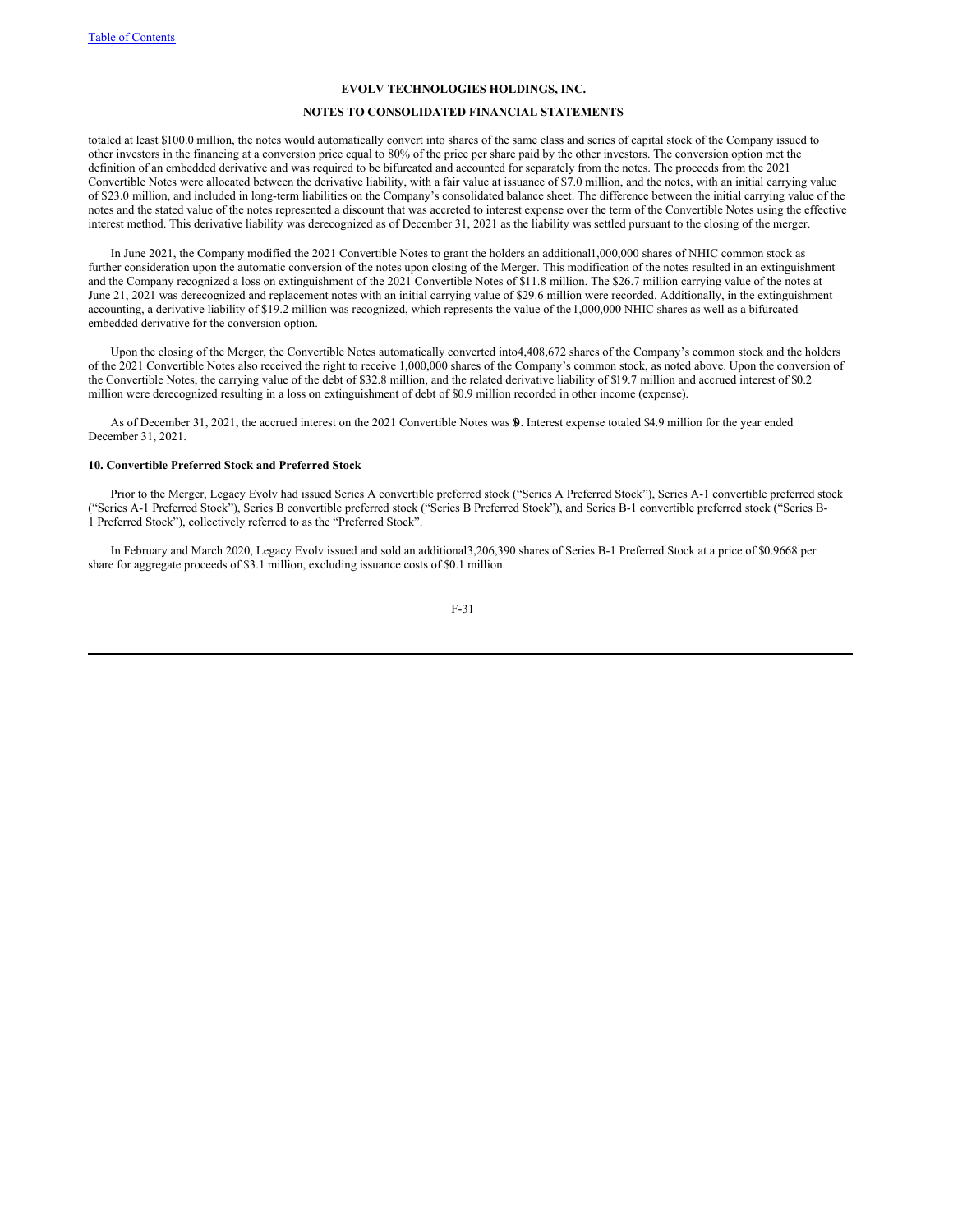#### **NOTES TO CONSOLIDATED FINANCIAL STATEMENTS**

totaled at least \$100.0 million, the notes would automatically convert into shares of the same class and series of capital stock of the Company issued to other investors in the financing at a conversion price equal to 80% of the price per share paid by the other investors. The conversion option met the definition of an embedded derivative and was required to be bifurcated and accounted for separately from the notes. The proceeds from the 2021 Convertible Notes were allocated between the derivative liability, with a fair value at issuance of \$7.0 million, and the notes, with an initial carrying value of \$23.0 million, and included in long-term liabilities on the Company's consolidated balance sheet. The difference between the initial carrying value of the notes and the stated value of the notes represented a discount that was accreted to interest expense over the term of the Convertible Notes using the effective interest method. This derivative liability was derecognized as of December 31, 2021 as the liability was settled pursuant to the closing of the merger.

In June 2021, the Company modified the 2021 Convertible Notes to grant the holders an additional1,000,000 shares of NHIC common stock as further consideration upon the automatic conversion of the notes upon closing of the Merger. This modification of the notes resulted in an extinguishment and the Company recognized a loss on extinguishment of the 2021 Convertible Notes of \$11.8 million. The \$26.7 million carrying value of the notes at June 21, 2021 was derecognized and replacement notes with an initial carrying value of \$29.6 million were recorded. Additionally, in the extinguishment accounting, a derivative liability of \$19.2 million was recognized, which represents the value of the 1,000,000 NHIC shares as well as a bifurcated embedded derivative for the conversion option.

Upon the closing of the Merger, the Convertible Notes automatically converted into4,408,672 shares of the Company's common stock and the holders of the 2021 Convertible Notes also received the right to receive 1,000,000 shares of the Company's common stock, as noted above. Upon the conversion of the Convertible Notes, the carrying value of the debt of \$32.8 million, and the related derivative liability of \$19.7 million and accrued interest of \$0.2 million were derecognized resulting in a loss on extinguishment of debt of \$0.9 million recorded in other income (expense).

As of December 31, 2021, the accrued interest on the 2021 Convertible Notes was \$0. Interest expense totaled \$4.9 million for the year ended December 31, 2021.

## **10. Convertible Preferred Stock and Preferred Stock**

Prior to the Merger, Legacy Evolv had issued Series A convertible preferred stock ("Series A Preferred Stock"), Series A-1 convertible preferred stock ("Series A-1 Preferred Stock"), Series B convertible preferred stock ("Series B Preferred Stock"), and Series B-1 convertible preferred stock ("Series B-1 Preferred Stock"), collectively referred to as the "Preferred Stock".

In February and March 2020, Legacy Evolv issued and sold an additional3,206,390 shares of Series B-1 Preferred Stock at a price of \$0.9668 per share for aggregate proceeds of \$3.1 million, excluding issuance costs of \$0.1 million.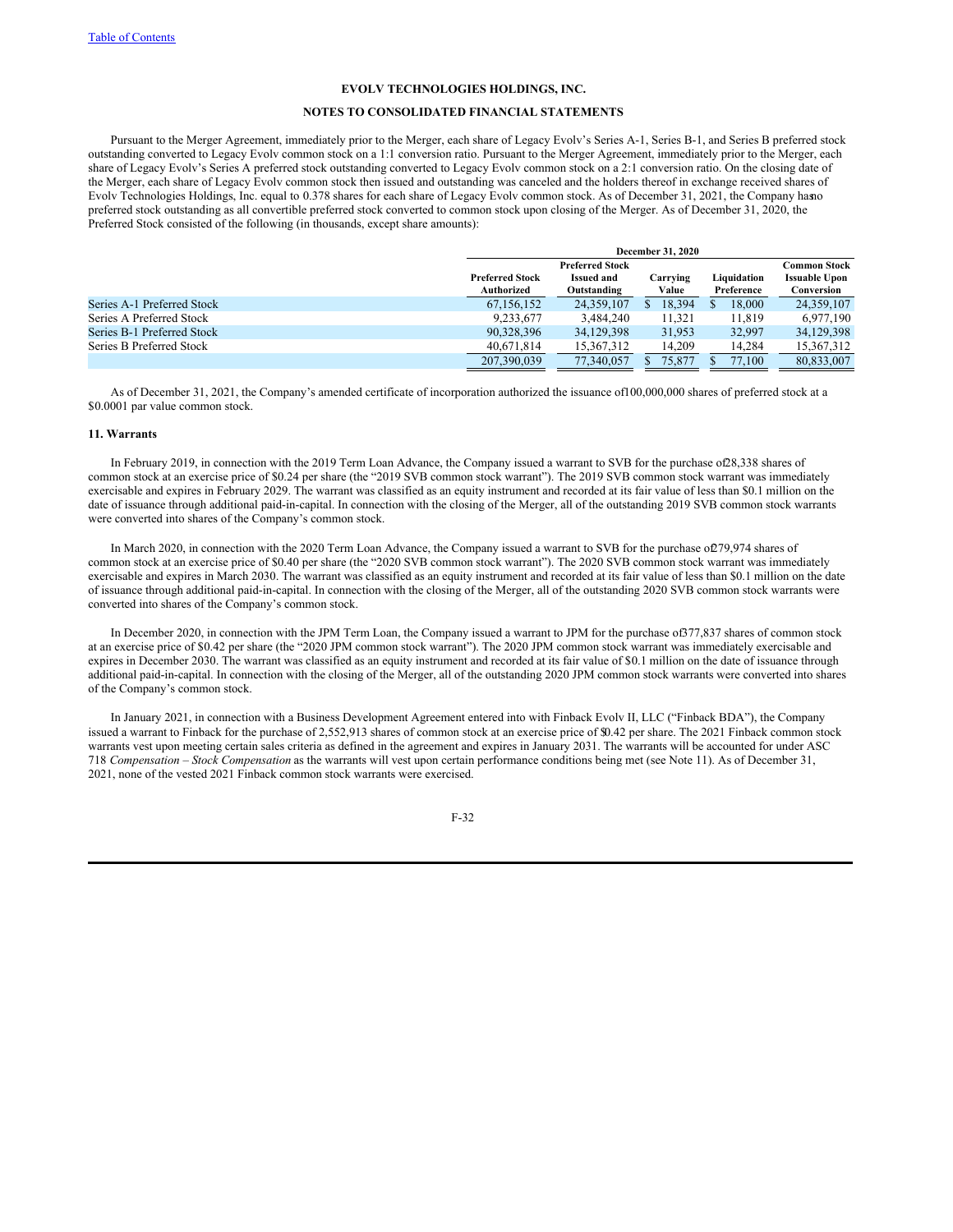## **NOTES TO CONSOLIDATED FINANCIAL STATEMENTS**

Pursuant to the Merger Agreement, immediately prior to the Merger, each share of Legacy Evolv's Series A-1, Series B-1, and Series B preferred stock outstanding converted to Legacy Evolv common stock on a 1:1 conversion ratio. Pursuant to the Merger Agreement, immediately prior to the Merger, each share of Legacy Evolv's Series A preferred stock outstanding converted to Legacy Evolv common stock on a 2:1 conversion ratio. On the closing date of the Merger, each share of Legacy Evolv common stock then issued and outstanding was canceled and the holders thereof in exchange received shares of Evolv Technologies Holdings, Inc. equal to 0.378 shares for each share of Legacy Evolv common stock. As of December 31, 2021, the Company hasno preferred stock outstanding as all convertible preferred stock converted to common stock upon closing of the Merger. As of December 31, 2020, the Preferred Stock consisted of the following (in thousands, except share amounts):

|                            |                                      | <b>December 31, 2020</b>                                   |                   |                           |                                                    |  |  |  |
|----------------------------|--------------------------------------|------------------------------------------------------------|-------------------|---------------------------|----------------------------------------------------|--|--|--|
|                            | <b>Preferred Stock</b><br>Authorized | <b>Preferred Stock</b><br><b>Issued and</b><br>Outstanding | Carrying<br>Value | Liquidation<br>Preference | Common Stock<br><b>Issuable Upon</b><br>Conversion |  |  |  |
| Series A-1 Preferred Stock | 67.156.152                           | 24.359.107                                                 | 18,394            | 18,000                    | 24,359,107                                         |  |  |  |
| Series A Preferred Stock   | 9.233.677                            | 3.484.240                                                  | 11.321            | 11,819                    | 6.977.190                                          |  |  |  |
| Series B-1 Preferred Stock | 90,328,396                           | 34,129,398                                                 | 31,953            | 32,997                    | 34,129,398                                         |  |  |  |
| Series B Preferred Stock   | 40.671.814                           | 15.367.312                                                 | 14.209            | 14.284                    | 15.367.312                                         |  |  |  |
|                            | 207,390,039                          | 77.340,057                                                 | 75.877            | 77.100                    | 80.833,007                                         |  |  |  |

As of December 31, 2021, the Company's amended certificate of incorporation authorized the issuance of100,000,000 shares of preferred stock at a \$0.0001 par value common stock.

## **11. Warrants**

In February 2019, in connection with the 2019 Term Loan Advance, the Company issued a warrant to SVB for the purchase of28,338 shares of common stock at an exercise price of \$0.24 per share (the "2019 SVB common stock warrant"). The 2019 SVB common stock warrant was immediately exercisable and expires in February 2029. The warrant was classified as an equity instrument and recorded at its fair value of less than \$0.1 million on the date of issuance through additional paid-in-capital. In connection with the closing of the Merger, all of the outstanding 2019 SVB common stock warrants were converted into shares of the Company's common stock.

In March 2020, in connection with the 2020 Term Loan Advance, the Company issued a warrant to SVB for the purchase of279,974 shares of common stock at an exercise price of \$0.40 per share (the "2020 SVB common stock warrant"). The 2020 SVB common stock warrant was immediately exercisable and expires in March 2030. The warrant was classified as an equity instrument and recorded at its fair value of less than \$0.1 million on the date of issuance through additional paid-in-capital. In connection with the closing of the Merger, all of the outstanding 2020 SVB common stock warrants were converted into shares of the Company's common stock.

In December 2020, in connection with the JPM Term Loan, the Company issued a warrant to JPM for the purchase of377,837 shares of common stock at an exercise price of \$0.42 per share (the "2020 JPM common stock warrant"). The 2020 JPM common stock warrant was immediately exercisable and expires in December 2030. The warrant was classified as an equity instrument and recorded at its fair value of \$0.1 million on the date of issuance through additional paid-in-capital. In connection with the closing of the Merger, all of the outstanding 2020 JPM common stock warrants were converted into shares of the Company's common stock.

In January 2021, in connection with a Business Development Agreement entered into with Finback Evolv II, LLC ("Finback BDA"), the Company issued a warrant to Finback for the purchase of 2,552,913 shares of common stock at an exercise price of \$0.42 per share. The 2021 Finback common stock warrants vest upon meeting certain sales criteria as defined in the agreement and expires in January 2031. The warrants will be accounted for under ASC 718 *Compensation – Stock Compensation* as the warrants will vest upon certain performance conditions being met (see Note 11). As of December 31, 2021, none of the vested 2021 Finback common stock warrants were exercised.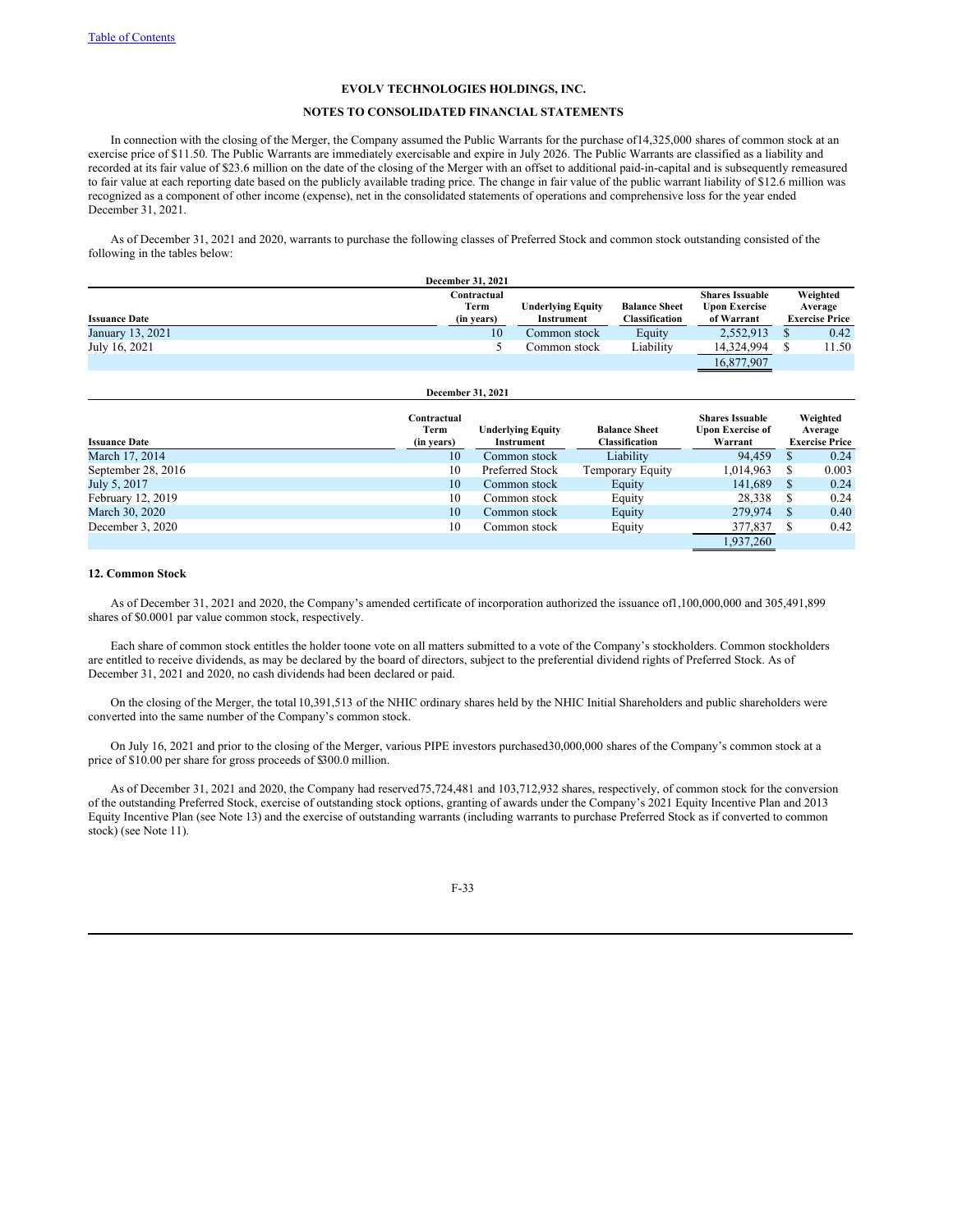#### **NOTES TO CONSOLIDATED FINANCIAL STATEMENTS**

In connection with the closing of the Merger, the Company assumed the Public Warrants for the purchase of14,325,000 shares of common stock at an exercise price of \$11.50. The Public Warrants are immediately exercisable and expire in July 2026. The Public Warrants are classified as a liability and recorded at its fair value of \$23.6 million on the date of the closing of the Merger with an offset to additional paid-in-capital and is subsequently remeasured to fair value at each reporting date based on the publicly available trading price. The change in fair value of the public warrant liability of \$12.6 million was recognized as a component of other income (expense), net in the consolidated statements of operations and comprehensive loss for the year ended December 31, 2021.

As of December 31, 2021 and 2020, warrants to purchase the following classes of Preferred Stock and common stock outstanding consisted of the following in the tables below:

|                      | <b>December 31, 2021</b> |                   |                       |                        |                       |
|----------------------|--------------------------|-------------------|-----------------------|------------------------|-----------------------|
|                      | Contractual              |                   |                       | <b>Shares Issuable</b> | Weighted              |
|                      | Term                     | Underlying Equity | <b>Balance Sheet</b>  | <b>Upon Exercise</b>   | Average               |
| <b>Issuance Date</b> | (in years)               | Instrument        | <b>Classification</b> | of Warrant             | <b>Exercise Price</b> |
| January 13, 2021     | 10                       | Common stock      | Equity                | 2,552,913              | 0.42                  |
| July 16, 2021        |                          | Common stock      | Liability             | 14,324,994             | 11.50                 |
|                      |                          |                   |                       | 16,877,907             |                       |

| December 31, 2021    |                                   |                                               |                                               |                                                              |   |                                              |  |
|----------------------|-----------------------------------|-----------------------------------------------|-----------------------------------------------|--------------------------------------------------------------|---|----------------------------------------------|--|
| <b>Issuance Date</b> | Contractual<br>Term<br>(in years) | <b>Underlying Equity</b><br><b>Instrument</b> | <b>Balance Sheet</b><br><b>Classification</b> | <b>Shares Issuable</b><br><b>Upon Exercise of</b><br>Warrant |   | Weighted<br>Average<br><b>Exercise Price</b> |  |
| March 17, 2014       | 10                                | Common stock                                  | Liability                                     | 94.459                                                       | S | 0.24                                         |  |
| September 28, 2016   | 10                                | Preferred Stock                               | Temporary Equity                              | 1,014,963                                                    |   | 0.003                                        |  |
| July 5, 2017         | 10                                | Common stock                                  | Equity                                        | 141.689                                                      | S | 0.24                                         |  |
| February 12, 2019    | 10                                | Common stock                                  | Equity                                        | 28,338                                                       | S | 0.24                                         |  |
| March 30, 2020       | 10                                | Common stock                                  | Equity                                        | 279,974                                                      | S | 0.40                                         |  |
| December 3, 2020     | 10                                | Common stock                                  | Equity                                        | 377,837                                                      | S | 0.42                                         |  |
|                      |                                   |                                               |                                               | 1,937,260                                                    |   |                                              |  |

## **12. Common Stock**

As of December 31, 2021 and 2020, the Company's amended certificate of incorporation authorized the issuance of1,100,000,000 and 305,491,899 shares of \$0.0001 par value common stock, respectively.

Each share of common stock entitles the holder toone vote on all matters submitted to a vote of the Company's stockholders. Common stockholders are entitled to receive dividends, as may be declared by the board of directors, subject to the preferential dividend rights of Preferred Stock. As of December 31, 2021 and 2020, no cash dividends had been declared or paid.

On the closing of the Merger, the total 10,391,513 of the NHIC ordinary shares held by the NHIC Initial Shareholders and public shareholders were converted into the same number of the Company's common stock.

On July 16, 2021 and prior to the closing of the Merger, various PIPE investors purchased30,000,000 shares of the Company's common stock at a price of \$10.00 per share for gross proceeds of \$300.0 million.

As of December 31, 2021 and 2020, the Company had reserved75,724,481 and 103,712,932 shares, respectively, of common stock for the conversion of the outstanding Preferred Stock, exercise of outstanding stock options, granting of awards under the Company's 2021 Equity Incentive Plan and 2013 Equity Incentive Plan (see Note 13) and the exercise of outstanding warrants (including warrants to purchase Preferred Stock as if converted to common stock) (see Note 11).

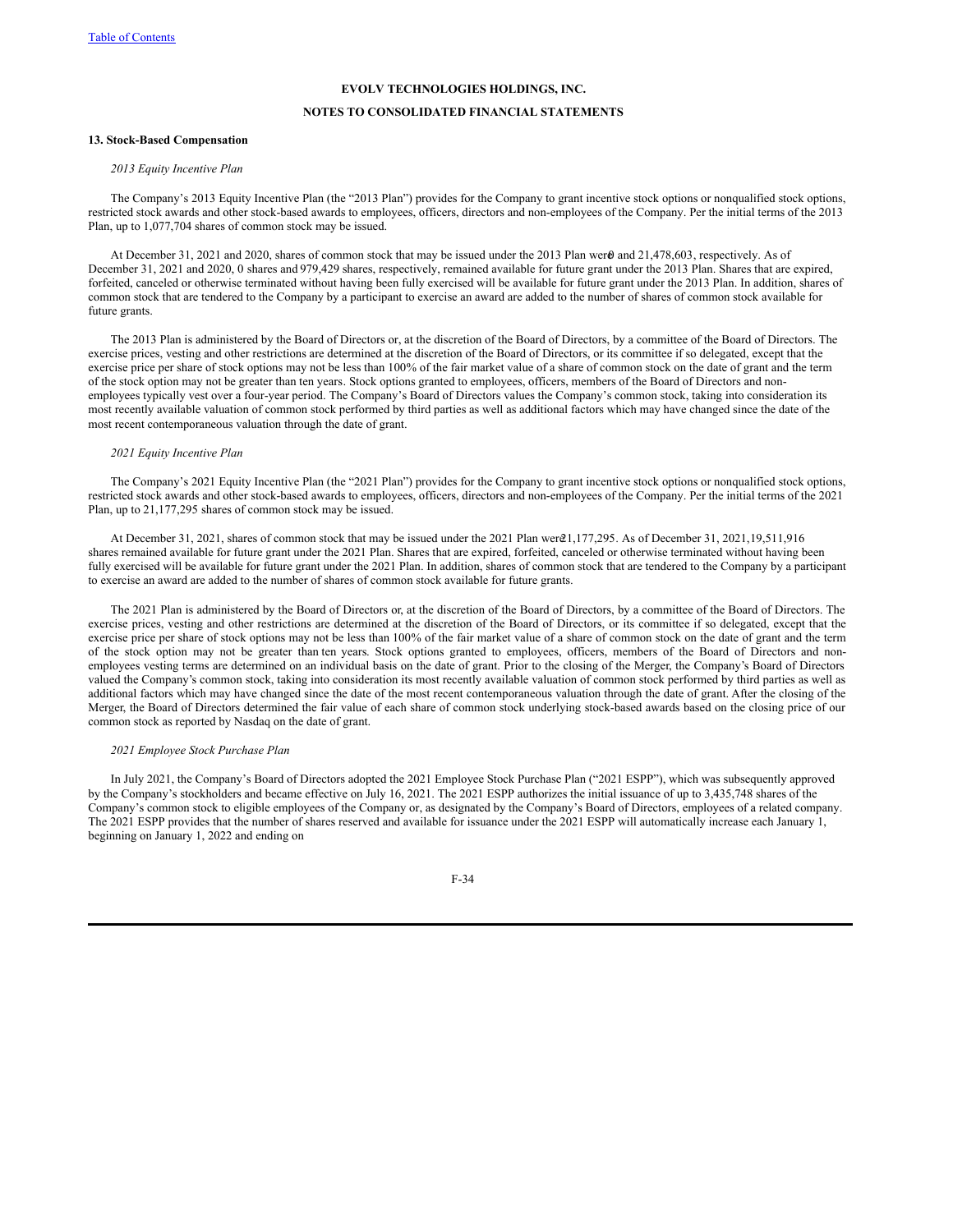## **NOTES TO CONSOLIDATED FINANCIAL STATEMENTS**

#### **13. Stock-Based Compensation**

## *2013 Equity Incentive Plan*

The Company's 2013 Equity Incentive Plan (the "2013 Plan") provides for the Company to grant incentive stock options or nonqualified stock options, restricted stock awards and other stock-based awards to employees, officers, directors and non-employees of the Company. Per the initial terms of the 2013 Plan, up to 1,077,704 shares of common stock may be issued.

At December 31, 2021 and 2020, shares of common stock that may be issued under the 2013 Plan wer $\theta$  and 21,478,603, respectively. As of December 31, 2021 and 2020, 0 shares and 979,429 shares, respectively, remained available for future grant under the 2013 Plan. Shares that are expired, forfeited, canceled or otherwise terminated without having been fully exercised will be available for future grant under the 2013 Plan. In addition, shares of common stock that are tendered to the Company by a participant to exercise an award are added to the number of shares of common stock available for future grants.

The 2013 Plan is administered by the Board of Directors or, at the discretion of the Board of Directors, by a committee of the Board of Directors. The exercise prices, vesting and other restrictions are determined at the discretion of the Board of Directors, or its committee if so delegated, except that the exercise price per share of stock options may not be less than 100% of the fair market value of a share of common stock on the date of grant and the term of the stock option may not be greater than ten years. Stock options granted to employees, officers, members of the Board of Directors and nonemployees typically vest over a four-year period. The Company's Board of Directors values the Company's common stock, taking into consideration its most recently available valuation of common stock performed by third parties as well as additional factors which may have changed since the date of the most recent contemporaneous valuation through the date of grant.

# *2021 Equity Incentive Plan*

The Company's 2021 Equity Incentive Plan (the "2021 Plan") provides for the Company to grant incentive stock options or nonqualified stock options, restricted stock awards and other stock-based awards to employees, officers, directors and non-employees of the Company. Per the initial terms of the 2021 Plan, up to 21,177,295 shares of common stock may be issued.

At December 31, 2021, shares of common stock that may be issued under the 2021 Plan were21,177,295. As of December 31, 2021,19,511,916 shares remained available for future grant under the 2021 Plan. Shares that are expired, forfeited, canceled or otherwise terminated without having been fully exercised will be available for future grant under the 2021 Plan. In addition, shares of common stock that are tendered to the Company by a participant to exercise an award are added to the number of shares of common stock available for future grants.

The 2021 Plan is administered by the Board of Directors or, at the discretion of the Board of Directors, by a committee of the Board of Directors. The exercise prices, vesting and other restrictions are determined at the discretion of the Board of Directors, or its committee if so delegated, except that the exercise price per share of stock options may not be less than 100% of the fair market value of a share of common stock on the date of grant and the term of the stock option may not be greater than ten years. Stock options granted to employees, officers, members of the Board of Directors and nonemployees vesting terms are determined on an individual basis on the date of grant. Prior to the closing of the Merger, the Company's Board of Directors valued the Company's common stock, taking into consideration its most recently available valuation of common stock performed by third parties as well as additional factors which may have changed since the date of the most recent contemporaneous valuation through the date of grant. After the closing of the Merger, the Board of Directors determined the fair value of each share of common stock underlying stock-based awards based on the closing price of our common stock as reported by Nasdaq on the date of grant.

## *2021 Employee Stock Purchase Plan*

In July 2021, the Company's Board of Directors adopted the 2021 Employee Stock Purchase Plan ("2021 ESPP"), which was subsequently approved by the Company's stockholders and became effective on July 16, 2021. The 2021 ESPP authorizes the initial issuance of up to 3,435,748 shares of the Company's common stock to eligible employees of the Company or, as designated by the Company's Board of Directors, employees of a related company. The 2021 ESPP provides that the number of shares reserved and available for issuance under the 2021 ESPP will automatically increase each January 1, beginning on January 1, 2022 and ending on

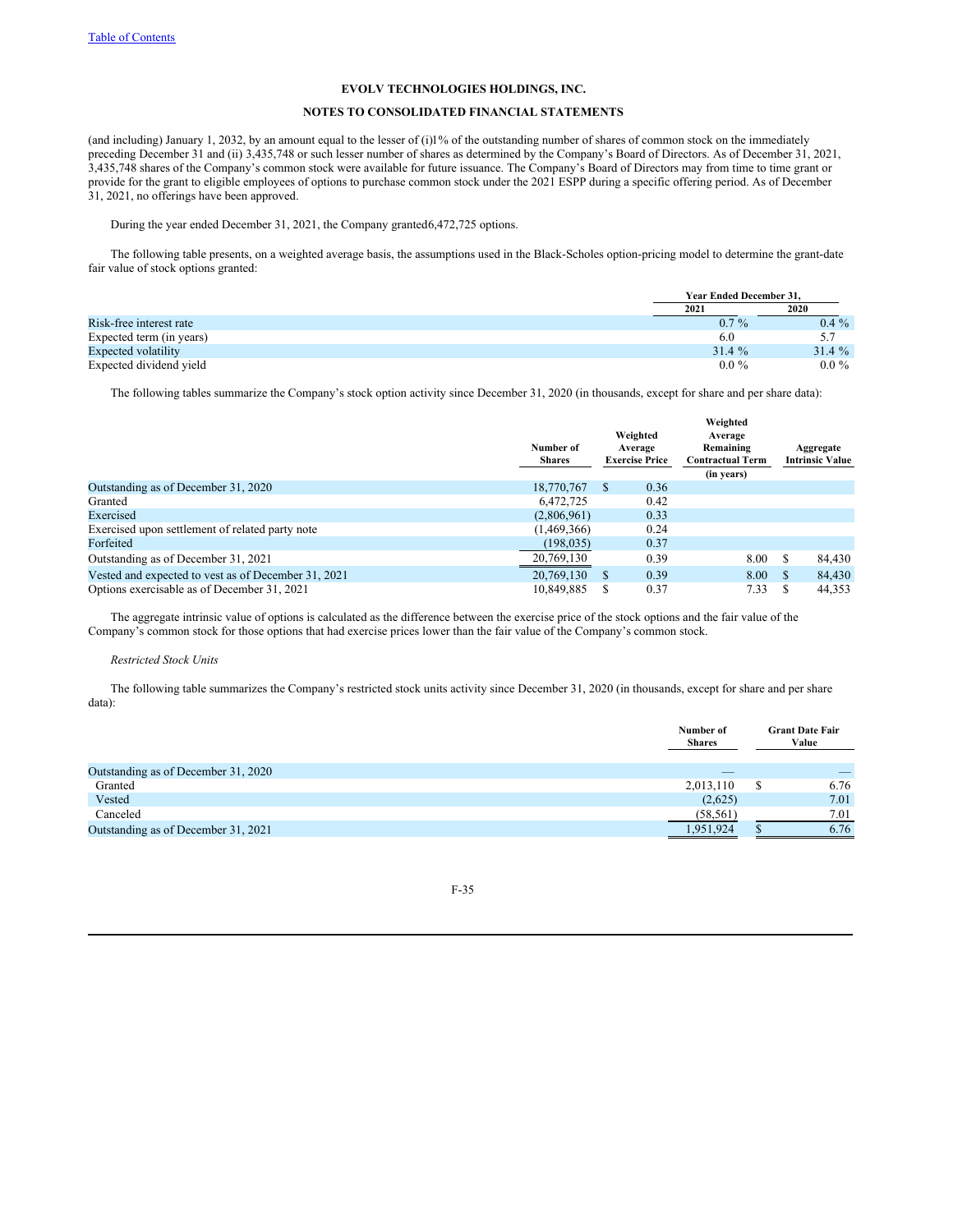# **NOTES TO CONSOLIDATED FINANCIAL STATEMENTS**

(and including) January 1, 2032, by an amount equal to the lesser of (i)1% of the outstanding number of shares of common stock on the immediately preceding December 31 and (ii) 3,435,748 or such lesser number of shares as determined by the Company's Board of Directors. As of December 31, 2021, 3,435,748 shares of the Company's common stock were available for future issuance. The Company's Board of Directors may from time to time grant or provide for the grant to eligible employees of options to purchase common stock under the 2021 ESPP during a specific offering period. As of December 31, 2021, no offerings have been approved.

During the year ended December 31, 2021, the Company granted6,472,725 options.

The following table presents, on a weighted average basis, the assumptions used in the Black-Scholes option-pricing model to determine the grant-date fair value of stock options granted:

|                          |         | <b>Year Ended December 31.</b> |
|--------------------------|---------|--------------------------------|
|                          | 2021    | 2020                           |
| Risk-free interest rate  | $0.7\%$ | $0.4\%$                        |
| Expected term (in years) | 6.0     |                                |
| Expected volatility      | 31.4%   | $31.4 \%$                      |
| Expected dividend yield  | $0.0\%$ | $0.0\%$                        |

The following tables summarize the Company's stock option activity since December 31, 2020 (in thousands, except for share and per share data):

|                                                     |                            |                                                                      |      | Weighted                |    |                                     |
|-----------------------------------------------------|----------------------------|----------------------------------------------------------------------|------|-------------------------|----|-------------------------------------|
|                                                     | Number of<br><b>Shares</b> | Weighted<br>Average<br>Remaining<br>Average<br><b>Exercise Price</b> |      | <b>Contractual Term</b> |    | Aggregate<br><b>Intrinsic Value</b> |
|                                                     |                            |                                                                      |      | (in years)              |    |                                     |
| Outstanding as of December 31, 2020                 | 18,770,767                 | <sup>S</sup>                                                         | 0.36 |                         |    |                                     |
| Granted                                             | 6.472.725                  |                                                                      | 0.42 |                         |    |                                     |
| Exercised                                           | (2,806,961)                |                                                                      | 0.33 |                         |    |                                     |
| Exercised upon settlement of related party note     | (1, 469, 366)              |                                                                      | 0.24 |                         |    |                                     |
| Forfeited                                           | (198, 035)                 |                                                                      | 0.37 |                         |    |                                     |
| Outstanding as of December 31, 2021                 | 20,769,130                 |                                                                      | 0.39 | 8.00                    | £. | 84,430                              |
| Vested and expected to vest as of December 31, 2021 | 20,769,130                 |                                                                      | 0.39 | 8.00                    |    | 84,430                              |
| Options exercisable as of December 31, 2021         | 10.849.885                 |                                                                      | 0.37 | 7.33                    |    | 44.353                              |

The aggregate intrinsic value of options is calculated as the difference between the exercise price of the stock options and the fair value of the Company's common stock for those options that had exercise prices lower than the fair value of the Company's common stock.

#### *Restricted Stock Units*

The following table summarizes the Company's restricted stock units activity since December 31, 2020 (in thousands, except for share and per share data):

|                                     | Number of<br><b>Shares</b> | <b>Grant Date Fair</b><br>Value |
|-------------------------------------|----------------------------|---------------------------------|
| Outstanding as of December 31, 2020 | $-$                        |                                 |
| Granted                             | 2,013,110                  | 6.76                            |
| Vested                              | (2,625)                    | 7.01                            |
| Canceled                            | (58, 561)                  | 7.01                            |
| Outstanding as of December 31, 2021 | 1,951,924                  | 6.76                            |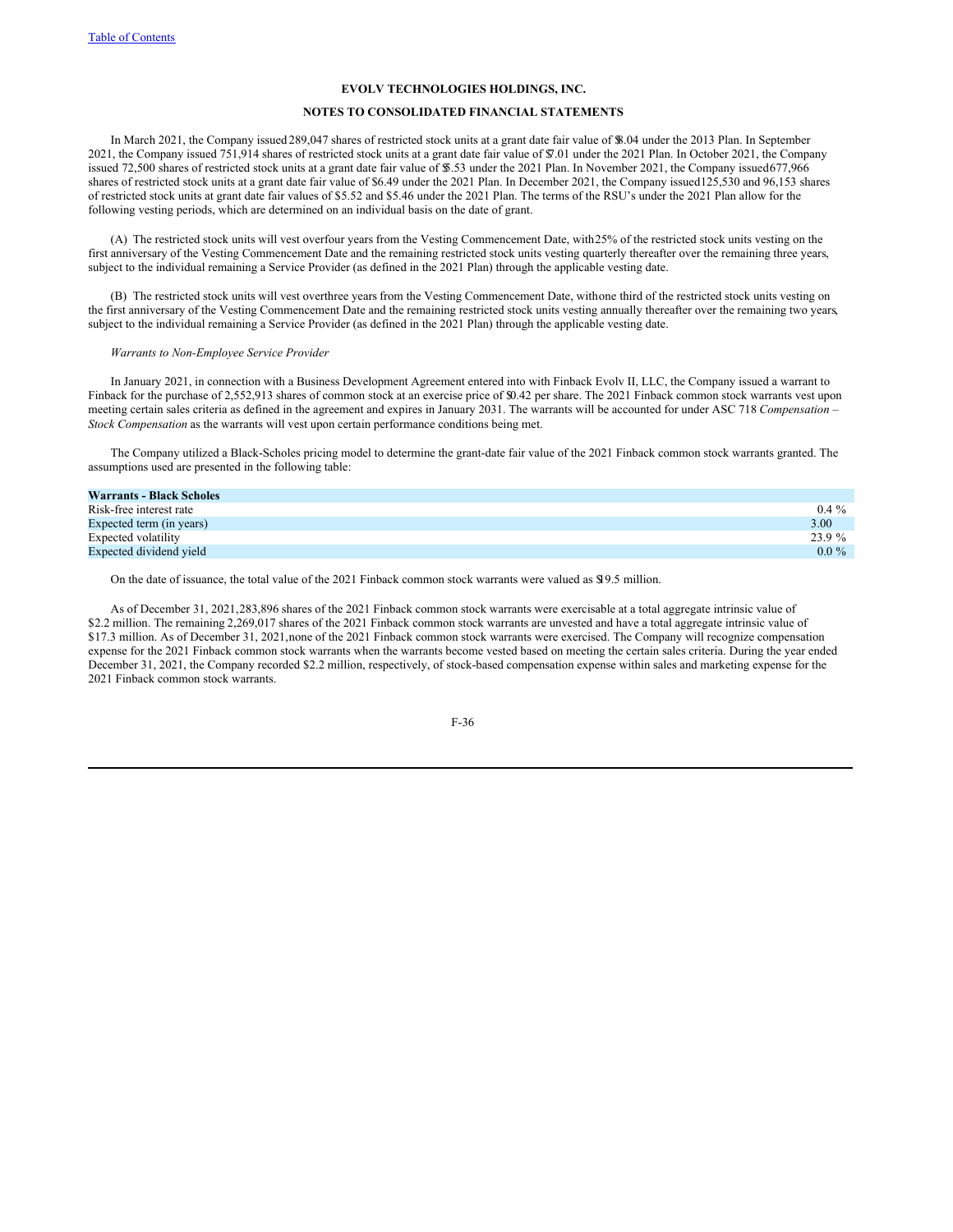## **NOTES TO CONSOLIDATED FINANCIAL STATEMENTS**

In March 2021, the Company issued 289,047 shares of restricted stock units at a grant date fair value of \$8.04 under the 2013 Plan. In September 2021, the Company issued 751,914 shares of restricted stock units at a grant date fair value of \$7.01 under the 2021 Plan. In October 2021, the Company issued 72,500 shares of restricted stock units at a grant date fair value of \$5.53 under the 2021 Plan. In November 2021, the Company issued677,966 shares of restricted stock units at a grant date fair value of \$6.49 under the 2021 Plan. In December 2021, the Company issued125,530 and 96,153 shares of restricted stock units at grant date fair values of \$5.52 and \$5.46 under the 2021 Plan. The terms of the RSU's under the 2021 Plan allow for the following vesting periods, which are determined on an individual basis on the date of grant.

(A) The restricted stock units will vest overfour years from the Vesting Commencement Date, with25% of the restricted stock units vesting on the first anniversary of the Vesting Commencement Date and the remaining restricted stock units vesting quarterly thereafter over the remaining three years, subject to the individual remaining a Service Provider (as defined in the 2021 Plan) through the applicable vesting date.

(B) The restricted stock units will vest overthree years from the Vesting Commencement Date, withone third of the restricted stock units vesting on the first anniversary of the Vesting Commencement Date and the remaining restricted stock units vesting annually thereafter over the remaining two years, subject to the individual remaining a Service Provider (as defined in the 2021 Plan) through the applicable vesting date.

#### *Warrants to Non-Employee Service Provider*

In January 2021, in connection with a Business Development Agreement entered into with Finback Evolv II, LLC, the Company issued a warrant to Finback for the purchase of 2,552,913 shares of common stock at an exercise price of \$0.42 per share. The 2021 Finback common stock warrants vest upon meeting certain sales criteria as defined in the agreement and expires in January 2031. The warrants will be accounted for under ASC 718 *Compensation – Stock Compensation* as the warrants will vest upon certain performance conditions being met.

The Company utilized a Black-Scholes pricing model to determine the grant-date fair value of the 2021 Finback common stock warrants granted. The assumptions used are presented in the following table:

| <b>Warrants - Black Scholes</b> |         |
|---------------------------------|---------|
| Risk-free interest rate         | $0.4\%$ |
| Expected term (in years)        | 3.00    |
| Expected volatility             | 23.9 %  |
| Expected dividend yield         | $0.0\%$ |

On the date of issuance, the total value of the 2021 Finback common stock warrants were valued as \$19.5 million.

As of December 31, 2021,283,896 shares of the 2021 Finback common stock warrants were exercisable at a total aggregate intrinsic value of \$2.2 million. The remaining 2,269,017 shares of the 2021 Finback common stock warrants are unvested and have a total aggregate intrinsic value of \$17.3 million. As of December 31, 2021,none of the 2021 Finback common stock warrants were exercised. The Company will recognize compensation expense for the 2021 Finback common stock warrants when the warrants become vested based on meeting the certain sales criteria. During the year ended December 31, 2021, the Company recorded \$2.2 million, respectively, of stock-based compensation expense within sales and marketing expense for the 2021 Finback common stock warrants.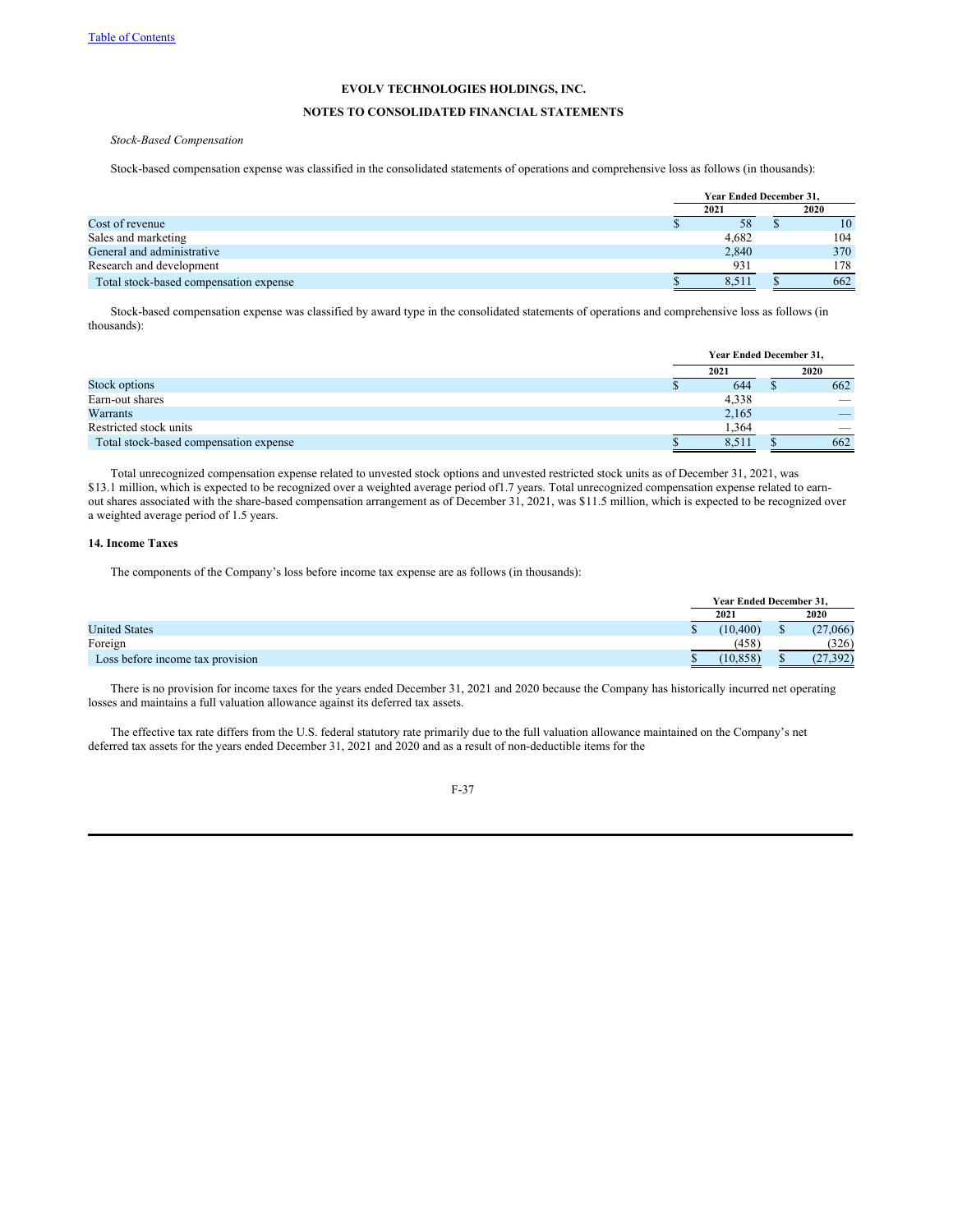# **NOTES TO CONSOLIDATED FINANCIAL STATEMENTS**

*Stock-Based Compensation*

Stock-based compensation expense was classified in the consolidated statements of operations and comprehensive loss as follows (in thousands):

|                                        | <b>Year Ended December 31.</b> |  |      |  |
|----------------------------------------|--------------------------------|--|------|--|
|                                        | 2021                           |  | 2020 |  |
| Cost of revenue                        | 58                             |  | 10   |  |
| Sales and marketing                    | 4,682                          |  | 104  |  |
| General and administrative             | 2,840                          |  | 370  |  |
| Research and development               | 931                            |  | 178  |  |
| Total stock-based compensation expense | 8.51                           |  | 662  |  |

Stock-based compensation expense was classified by award type in the consolidated statements of operations and comprehensive loss as follows (in thousands):

|                                        | Year Ended December 31, |       |  |                          |
|----------------------------------------|-------------------------|-------|--|--------------------------|
|                                        | 2021                    |       |  | 2020                     |
| Stock options                          |                         | 644   |  | 662                      |
| Earn-out shares                        |                         | 4,338 |  | $\overline{\phantom{a}}$ |
| Warrants                               |                         | 2,165 |  | _                        |
| Restricted stock units                 |                         | 1.364 |  | $\overline{\phantom{a}}$ |
| Total stock-based compensation expense |                         | 8.5   |  | 662                      |

Total unrecognized compensation expense related to unvested stock options and unvested restricted stock units as of December 31, 2021, was \$13.1 million, which is expected to be recognized over a weighted average period of1.7 years. Total unrecognized compensation expense related to earnout shares associated with the share-based compensation arrangement as of December 31, 2021, was \$11.5 million, which is expected to be recognized over a weighted average period of 1.5 years.

## **14. Income Taxes**

The components of the Company's loss before income tax expense are as follows (in thousands):

|                                  | Year Ended December 31, |   |           |
|----------------------------------|-------------------------|---|-----------|
|                                  | 2021                    |   | 2020      |
| <b>United States</b>             | (10.400)                | ω | (27,066)  |
| Foreign                          | (458)                   |   | (326)     |
| Loss before income tax provision | (10, 858)               |   | (27, 392) |

There is no provision for income taxes for the years ended December 31, 2021 and 2020 because the Company has historically incurred net operating losses and maintains a full valuation allowance against its deferred tax assets.

The effective tax rate differs from the U.S. federal statutory rate primarily due to the full valuation allowance maintained on the Company's net deferred tax assets for the years ended December 31, 2021 and 2020 and as a result of non-deductible items for the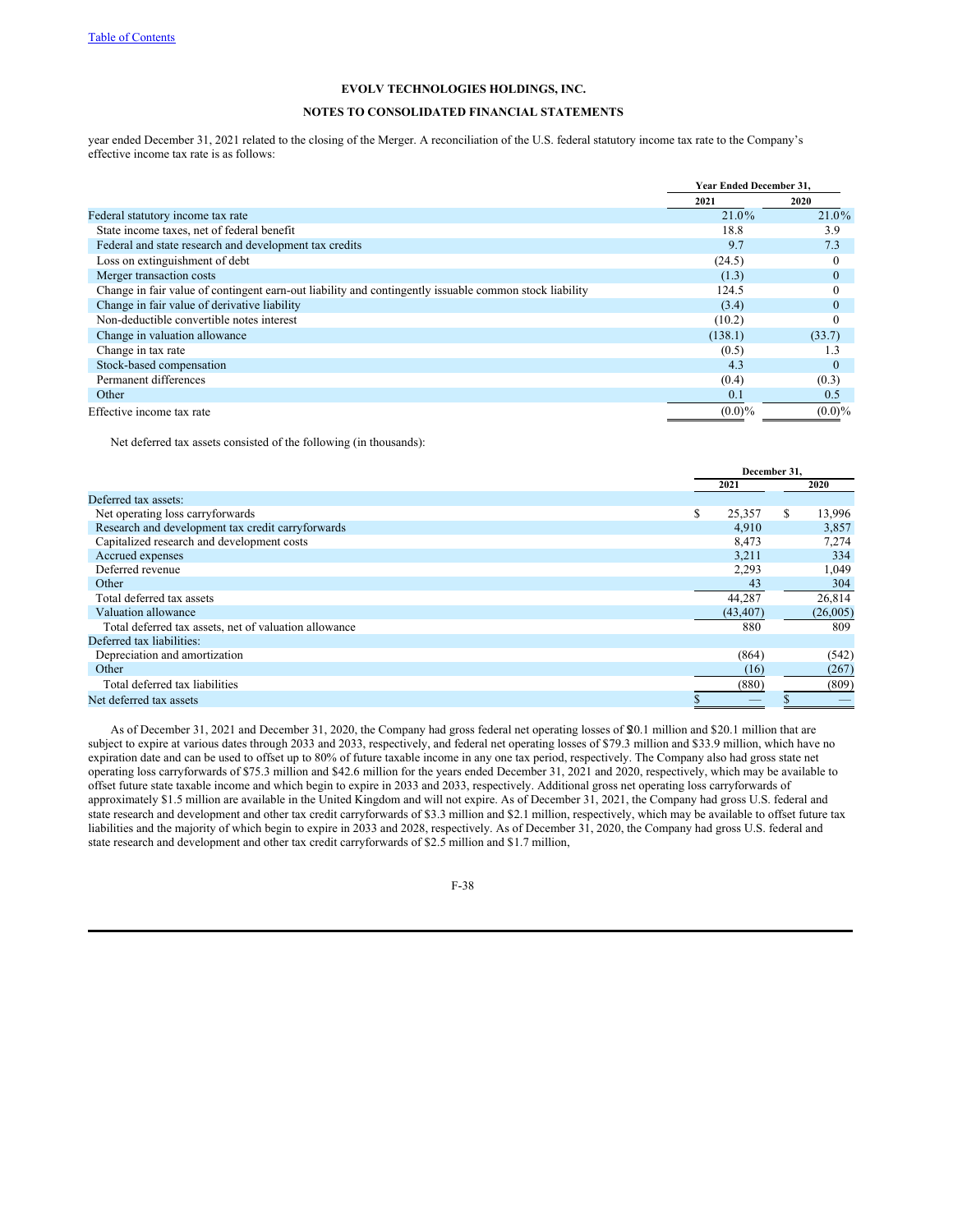# **NOTES TO CONSOLIDATED FINANCIAL STATEMENTS**

year ended December 31, 2021 related to the closing of the Merger. A reconciliation of the U.S. federal statutory income tax rate to the Company's effective income tax rate is as follows:

|                                                                                                        | <b>Year Ended December 31.</b> |              |
|--------------------------------------------------------------------------------------------------------|--------------------------------|--------------|
|                                                                                                        | 2021                           | 2020         |
| Federal statutory income tax rate                                                                      | 21.0%                          | 21.0%        |
| State income taxes, net of federal benefit                                                             | 18.8                           | 3.9          |
| Federal and state research and development tax credits                                                 | 9.7                            | 7.3          |
| Loss on extinguishment of debt                                                                         | (24.5)                         | $\theta$     |
| Merger transaction costs                                                                               | (1.3)                          | $\theta$     |
| Change in fair value of contingent earn-out liability and contingently issuable common stock liability | 124.5                          | $\Omega$     |
| Change in fair value of derivative liability                                                           | (3.4)                          | $\mathbf{0}$ |
| Non-deductible convertible notes interest                                                              | (10.2)                         |              |
| Change in valuation allowance                                                                          | (138.1)                        | (33.7)       |
| Change in tax rate                                                                                     | (0.5)                          | 1.3          |
| Stock-based compensation                                                                               | 4.3                            | $\Omega$     |
| Permanent differences                                                                                  | (0.4)                          | (0.3)        |
| Other                                                                                                  | 0.1                            | 0.5          |
| Effective income tax rate                                                                              | $(0.0)\%$                      | $(0.0)\%$    |

Net deferred tax assets consisted of the following (in thousands):

|                                                       |   | December 31. |    |          |
|-------------------------------------------------------|---|--------------|----|----------|
|                                                       |   | 2021         |    | 2020     |
| Deferred tax assets:                                  |   |              |    |          |
| Net operating loss carryforwards                      | S | 25,357       | S. | 13,996   |
| Research and development tax credit carryforwards     |   | 4,910        |    | 3,857    |
| Capitalized research and development costs            |   | 8,473        |    | 7,274    |
| Accrued expenses                                      |   | 3,211        |    | 334      |
| Deferred revenue                                      |   | 2,293        |    | 1,049    |
| Other                                                 |   | 43           |    | 304      |
| Total deferred tax assets                             |   | 44,287       |    | 26,814   |
| Valuation allowance                                   |   | (43, 407)    |    | (26,005) |
| Total deferred tax assets, net of valuation allowance |   | 880          |    | 809      |
| Deferred tax liabilities:                             |   |              |    |          |
| Depreciation and amortization                         |   | (864)        |    | (542)    |
| Other                                                 |   | (16)         |    | (267)    |
| Total deferred tax liabilities                        |   | (880)        |    | (809)    |
| Net deferred tax assets                               |   |              |    |          |

As of December 31, 2021 and December 31, 2020, the Company had gross federal net operating losses of \$20.1 million and \$20.1 million that are subject to expire at various dates through 2033 and 2033, respectively, and federal net operating losses of \$79.3 million and \$33.9 million, which have no expiration date and can be used to offset up to 80% of future taxable income in any one tax period, respectively. The Company also had gross state net operating loss carryforwards of \$75.3 million and \$42.6 million for the years ended December 31, 2021 and 2020, respectively, which may be available to offset future state taxable income and which begin to expire in 2033 and 2033, respectively. Additional gross net operating loss carryforwards of approximately \$1.5 million are available in the United Kingdom and will not expire. As of December 31, 2021, the Company had gross U.S. federal and state research and development and other tax credit carryforwards of \$3.3 million and \$2.1 million, respectively, which may be available to offset future tax liabilities and the majority of which begin to expire in 2033 and 2028, respectively. As of December 31, 2020, the Company had gross U.S. federal and state research and development and other tax credit carryforwards of \$2.5 million and \$1.7 million,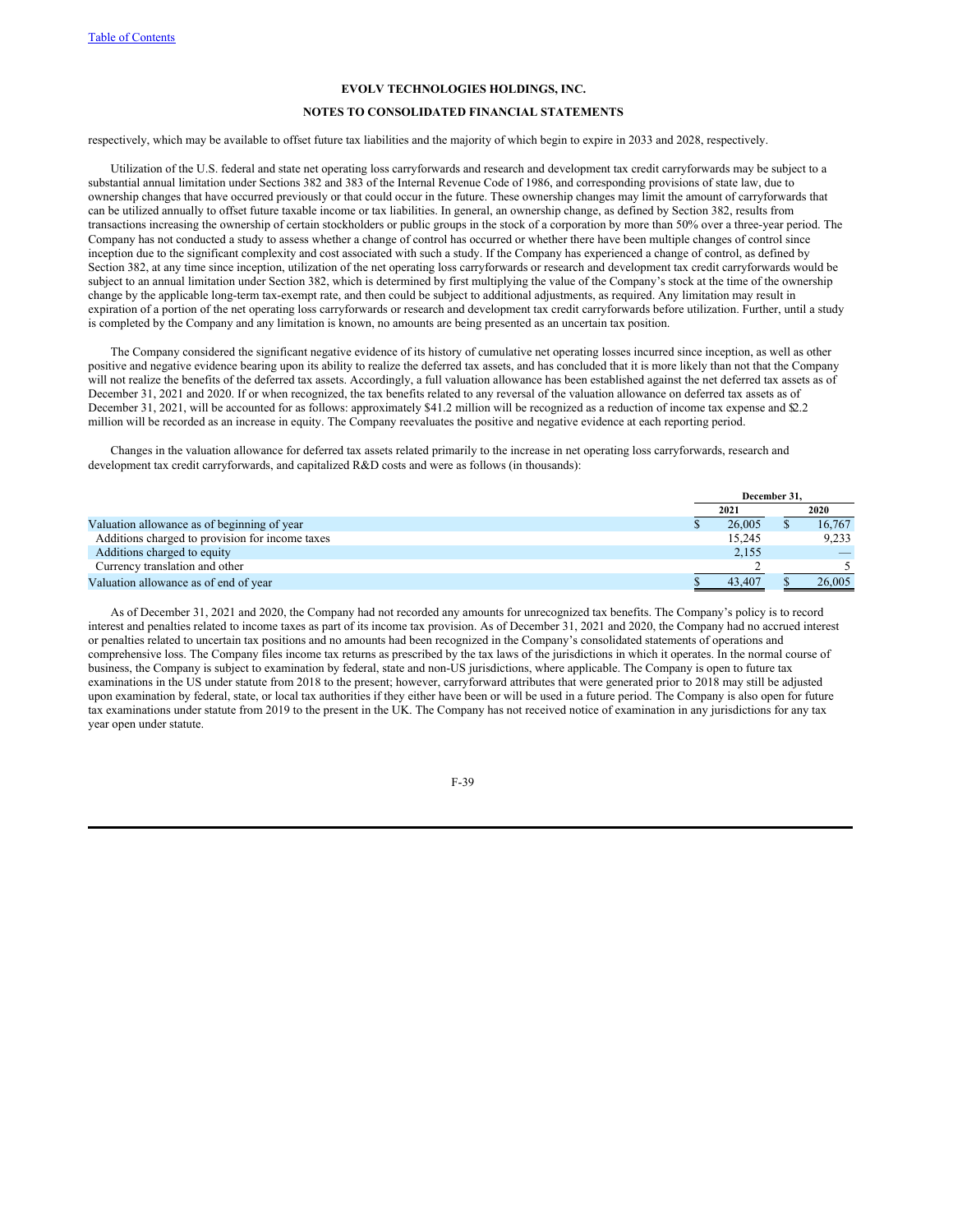## **NOTES TO CONSOLIDATED FINANCIAL STATEMENTS**

respectively, which may be available to offset future tax liabilities and the majority of which begin to expire in 2033 and 2028, respectively.

Utilization of the U.S. federal and state net operating loss carryforwards and research and development tax credit carryforwards may be subject to a substantial annual limitation under Sections 382 and 383 of the Internal Revenue Code of 1986, and corresponding provisions of state law, due to ownership changes that have occurred previously or that could occur in the future. These ownership changes may limit the amount of carryforwards that can be utilized annually to offset future taxable income or tax liabilities. In general, an ownership change, as defined by Section 382, results from transactions increasing the ownership of certain stockholders or public groups in the stock of a corporation by more than 50% over a three-year period. The Company has not conducted a study to assess whether a change of control has occurred or whether there have been multiple changes of control since inception due to the significant complexity and cost associated with such a study. If the Company has experienced a change of control, as defined by Section 382, at any time since inception, utilization of the net operating loss carryforwards or research and development tax credit carryforwards would be subject to an annual limitation under Section 382, which is determined by first multiplying the value of the Company's stock at the time of the ownership change by the applicable long-term tax-exempt rate, and then could be subject to additional adjustments, as required. Any limitation may result in expiration of a portion of the net operating loss carryforwards or research and development tax credit carryforwards before utilization. Further, until a study is completed by the Company and any limitation is known, no amounts are being presented as an uncertain tax position.

The Company considered the significant negative evidence of its history of cumulative net operating losses incurred since inception, as well as other positive and negative evidence bearing upon its ability to realize the deferred tax assets, and has concluded that it is more likely than not that the Company will not realize the benefits of the deferred tax assets. Accordingly, a full valuation allowance has been established against the net deferred tax assets as of December 31, 2021 and 2020. If or when recognized, the tax benefits related to any reversal of the valuation allowance on deferred tax assets as of December 31, 2021, will be accounted for as follows: approximately \$41.2 million will be recognized as a reduction of income tax expense and \$2.2 million will be recorded as an increase in equity. The Company reevaluates the positive and negative evidence at each reporting period.

Changes in the valuation allowance for deferred tax assets related primarily to the increase in net operating loss carryforwards, research and development tax credit carryforwards, and capitalized R&D costs and were as follows (in thousands):

|                                                 | December 31. |  |        |
|-------------------------------------------------|--------------|--|--------|
|                                                 | 2021         |  | 2020   |
| Valuation allowance as of beginning of year     | 26,005       |  | 16,767 |
| Additions charged to provision for income taxes | 15.245       |  | 9.233  |
| Additions charged to equity                     | 2,155        |  |        |
| Currency translation and other                  |              |  |        |
| Valuation allowance as of end of year           | 43,407       |  | 26,005 |

As of December 31, 2021 and 2020, the Company had not recorded any amounts for unrecognized tax benefits. The Company's policy is to record interest and penalties related to income taxes as part of its income tax provision. As of December 31, 2021 and 2020, the Company had no accrued interest or penalties related to uncertain tax positions and no amounts had been recognized in the Company's consolidated statements of operations and comprehensive loss. The Company files income tax returns as prescribed by the tax laws of the jurisdictions in which it operates. In the normal course of business, the Company is subject to examination by federal, state and non-US jurisdictions, where applicable. The Company is open to future tax examinations in the US under statute from 2018 to the present; however, carryforward attributes that were generated prior to 2018 may still be adjusted upon examination by federal, state, or local tax authorities if they either have been or will be used in a future period. The Company is also open for future tax examinations under statute from 2019 to the present in the UK. The Company has not received notice of examination in any jurisdictions for any tax year open under statute.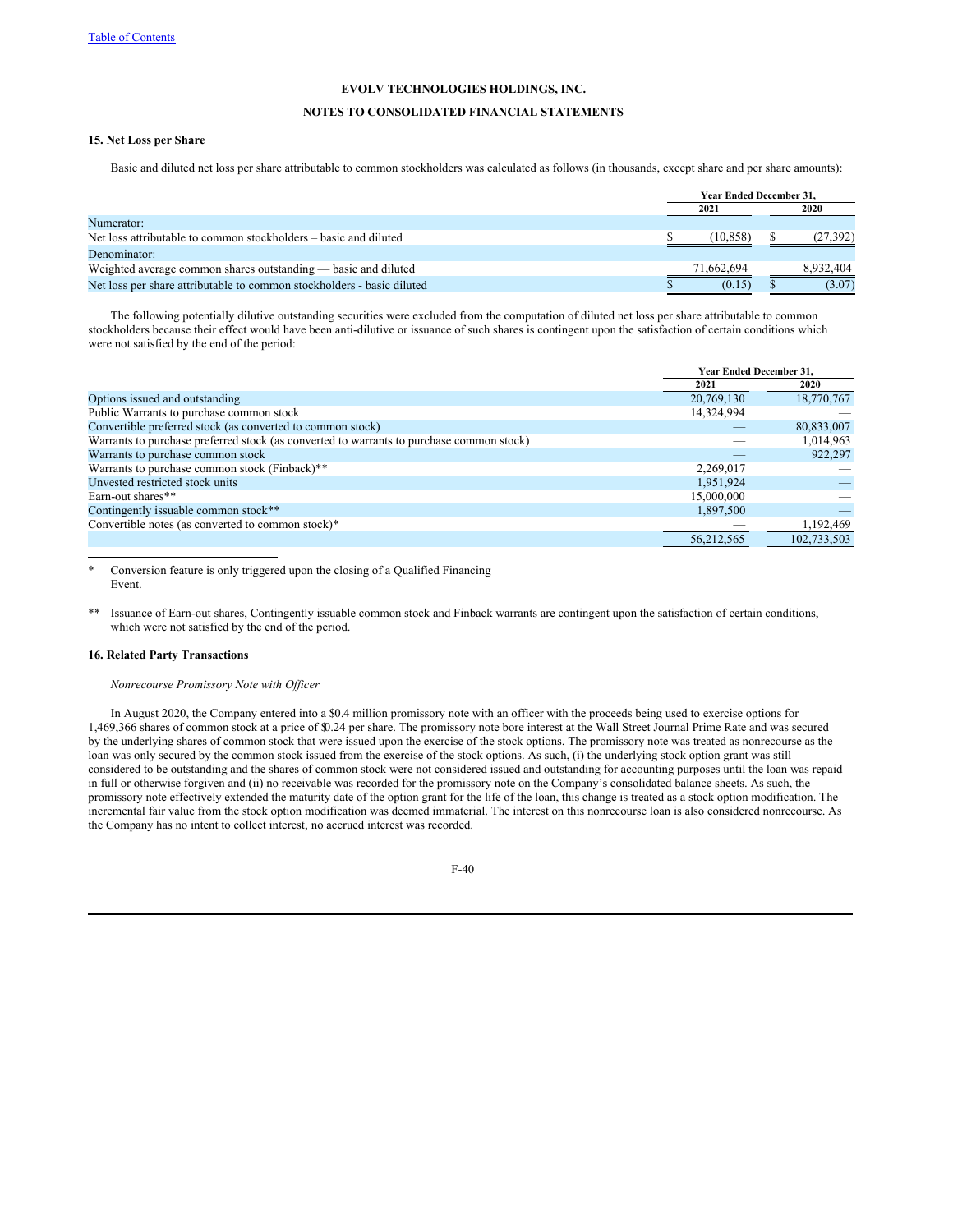#### **NOTES TO CONSOLIDATED FINANCIAL STATEMENTS**

# **15. Net Loss per Share**

Basic and diluted net loss per share attributable to common stockholders was calculated as follows (in thousands, except share and per share amounts):

|                                                                        | <b>Year Ended December 31.</b> |  |           |  |
|------------------------------------------------------------------------|--------------------------------|--|-----------|--|
|                                                                        | 2021                           |  | 2020      |  |
| Numerator:                                                             |                                |  |           |  |
| Net loss attributable to common stockholders – basic and diluted       | (10, 858)                      |  | (27, 392) |  |
| Denominator:                                                           |                                |  |           |  |
| Weighted average common shares outstanding — basic and diluted         | 71.662.694                     |  | 8.932.404 |  |
| Net loss per share attributable to common stockholders - basic diluted | (0.15)                         |  | (3.07)    |  |

The following potentially dilutive outstanding securities were excluded from the computation of diluted net loss per share attributable to common stockholders because their effect would have been anti-dilutive or issuance of such shares is contingent upon the satisfaction of certain conditions which were not satisfied by the end of the period:

|                                                                                          | Year Ended December 31, |             |
|------------------------------------------------------------------------------------------|-------------------------|-------------|
|                                                                                          | 2021                    | 2020        |
| Options issued and outstanding                                                           | 20,769,130              | 18,770,767  |
| Public Warrants to purchase common stock                                                 | 14,324,994              |             |
| Convertible preferred stock (as converted to common stock)                               |                         | 80,833,007  |
| Warrants to purchase preferred stock (as converted to warrants to purchase common stock) |                         | 1,014,963   |
| Warrants to purchase common stock                                                        |                         | 922,297     |
| Warrants to purchase common stock (Finback)**                                            | 2,269,017               |             |
| Unvested restricted stock units                                                          | 1,951,924               |             |
| Earn-out shares**                                                                        | 15,000,000              |             |
| Contingently issuable common stock**                                                     | 1,897,500               |             |
| Convertible notes (as converted to common stock)*                                        |                         | 1,192,469   |
|                                                                                          | 56.212.565              | 102,733,503 |

Conversion feature is only triggered upon the closing of a Qualified Financing Event.

Issuance of Earn-out shares, Contingently issuable common stock and Finback warrants are contingent upon the satisfaction of certain conditions, which were not satisfied by the end of the period.

#### **16. Related Party Transactions**

*Nonrecourse Promissory Note with Of icer*

In August 2020, the Company entered into a \$0.4 million promissory note with an officer with the proceeds being used to exercise options for 1,469,366 shares of common stock at a price of \$0.24 per share. The promissory note bore interest at the Wall Street Journal Prime Rate and was secured by the underlying shares of common stock that were issued upon the exercise of the stock options. The promissory note was treated as nonrecourse as the loan was only secured by the common stock issued from the exercise of the stock options. As such, (i) the underlying stock option grant was still considered to be outstanding and the shares of common stock were not considered issued and outstanding for accounting purposes until the loan was repaid in full or otherwise forgiven and (ii) no receivable was recorded for the promissory note on the Company's consolidated balance sheets. As such, the promissory note effectively extended the maturity date of the option grant for the life of the loan, this change is treated as a stock option modification. The incremental fair value from the stock option modification was deemed immaterial. The interest on this nonrecourse loan is also considered nonrecourse. As the Company has no intent to collect interest, no accrued interest was recorded.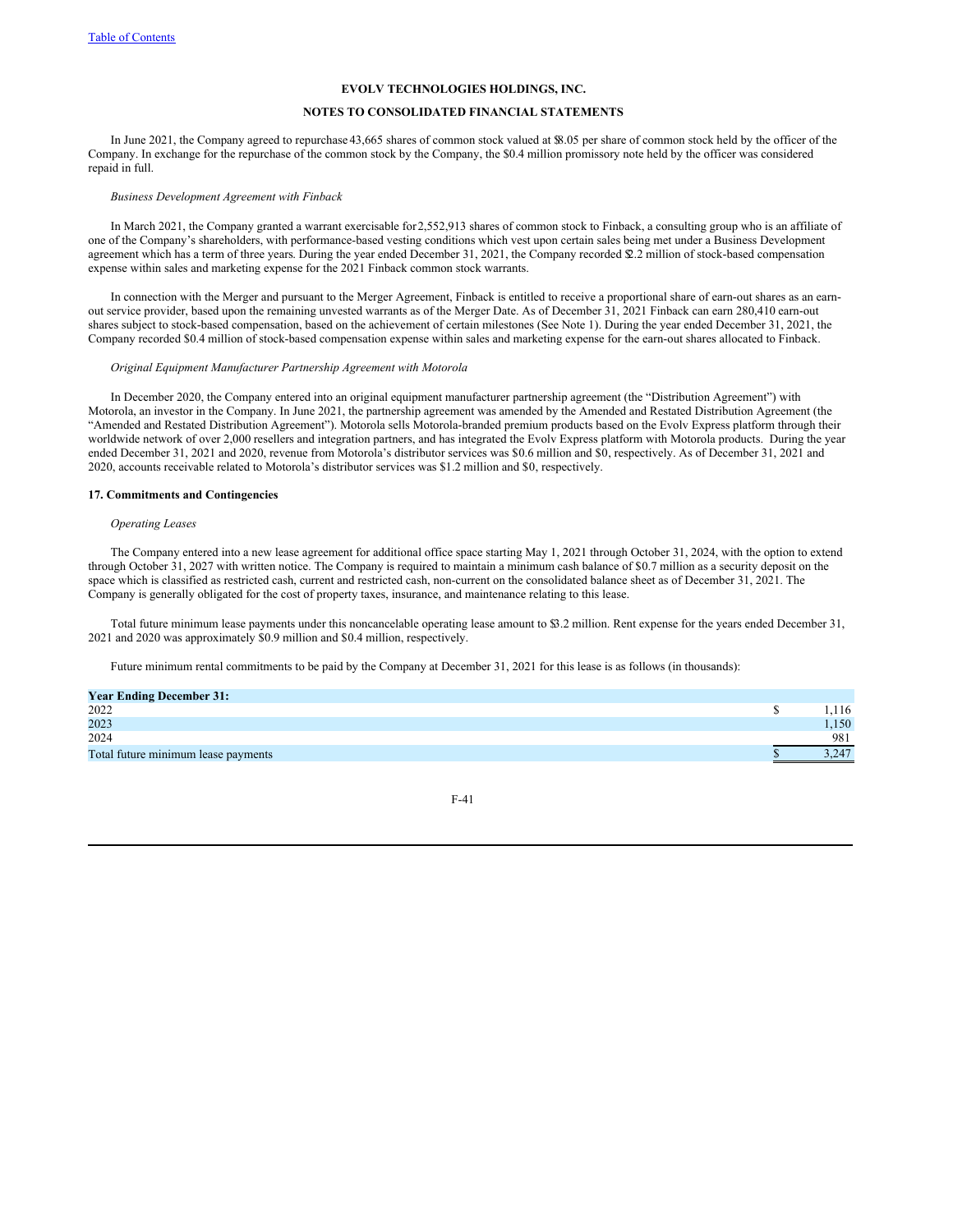## **NOTES TO CONSOLIDATED FINANCIAL STATEMENTS**

In June 2021, the Company agreed to repurchase 43,665 shares of common stock valued at \$8.05 per share of common stock held by the officer of the Company. In exchange for the repurchase of the common stock by the Company, the \$0.4 million promissory note held by the officer was considered repaid in full.

#### *Business Development Agreement with Finback*

In March 2021, the Company granted a warrant exercisable for2,552,913 shares of common stock to Finback, a consulting group who is an affiliate of one of the Company's shareholders, with performance-based vesting conditions which vest upon certain sales being met under a Business Development agreement which has a term of three years. During the year ended December 31, 2021, the Company recorded \$2.2 million of stock-based compensation expense within sales and marketing expense for the 2021 Finback common stock warrants.

In connection with the Merger and pursuant to the Merger Agreement, Finback is entitled to receive a proportional share of earn-out shares as an earnout service provider, based upon the remaining unvested warrants as of the Merger Date. As of December 31, 2021 Finback can earn 280,410 earn-out shares subject to stock-based compensation, based on the achievement of certain milestones (See Note 1). During the year ended December 31, 2021, the Company recorded \$0.4 million of stock-based compensation expense within sales and marketing expense for the earn-out shares allocated to Finback.

#### *Original Equipment Manufacturer Partnership Agreement with Motorola*

In December 2020, the Company entered into an original equipment manufacturer partnership agreement (the "Distribution Agreement") with Motorola, an investor in the Company. In June 2021, the partnership agreement was amended by the Amended and Restated Distribution Agreement (the "Amended and Restated Distribution Agreement"). Motorola sells Motorola-branded premium products based on the Evolv Express platform through their worldwide network of over 2,000 resellers and integration partners, and has integrated the Evolv Express platform with Motorola products. During the year ended December 31, 2021 and 2020, revenue from Motorola's distributor services was \$0.6 million and \$0, respectively. As of December 31, 2021 and 2020, accounts receivable related to Motorola's distributor services was \$1.2 million and \$0, respectively.

#### **17. Commitments and Contingencies**

#### *Operating Leases*

The Company entered into a new lease agreement for additional office space starting May 1, 2021 through October 31, 2024, with the option to extend through October 31, 2027 with written notice. The Company is required to maintain a minimum cash balance of \$0.7 million as a security deposit on the space which is classified as restricted cash, current and restricted cash, non-current on the consolidated balance sheet as of December 31, 2021. The Company is generally obligated for the cost of property taxes, insurance, and maintenance relating to this lease.

Total future minimum lease payments under this noncancelable operating lease amount to \$3.2 million. Rent expense for the years ended December 31, 2021 and 2020 was approximately \$0.9 million and \$0.4 million, respectively.

Future minimum rental commitments to be paid by the Company at December 31, 2021 for this lease is as follows (in thousands):

| <b>Year Ending December 31:</b>     |      |
|-------------------------------------|------|
| 2022                                | .116 |
| 2023                                | .150 |
| 2024                                | 981  |
| Total future minimum lease payments |      |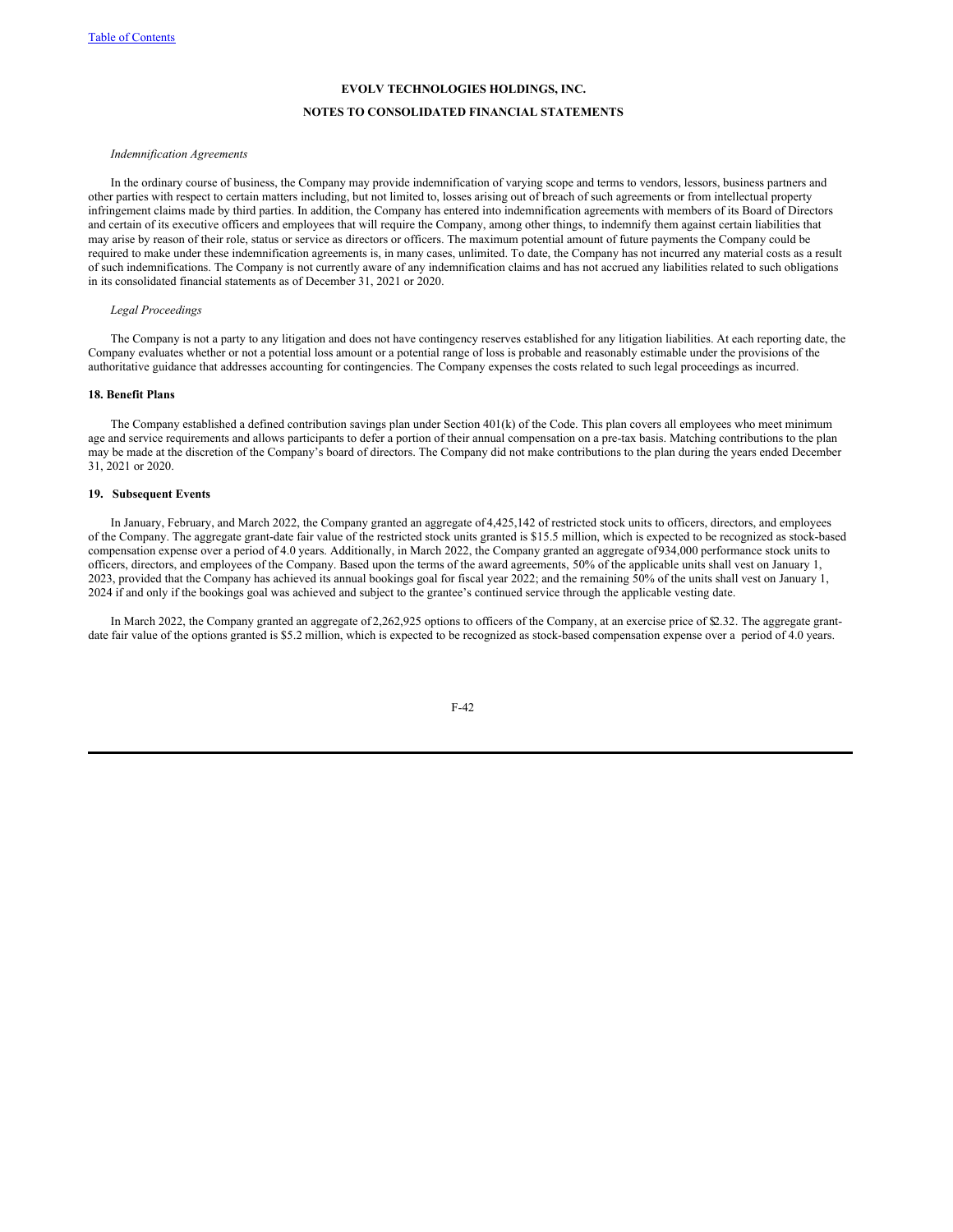## **NOTES TO CONSOLIDATED FINANCIAL STATEMENTS**

#### *Indemnification Agreements*

In the ordinary course of business, the Company may provide indemnification of varying scope and terms to vendors, lessors, business partners and other parties with respect to certain matters including, but not limited to, losses arising out of breach of such agreements or from intellectual property infringement claims made by third parties. In addition, the Company has entered into indemnification agreements with members of its Board of Directors and certain of its executive officers and employees that will require the Company, among other things, to indemnify them against certain liabilities that may arise by reason of their role, status or service as directors or officers. The maximum potential amount of future payments the Company could be required to make under these indemnification agreements is, in many cases, unlimited. To date, the Company has not incurred any material costs as a result of such indemnifications. The Company is not currently aware of any indemnification claims and has not accrued any liabilities related to such obligations in its consolidated financial statements as of December 31, 2021 or 2020.

#### *Legal Proceedings*

The Company is not a party to any litigation and does not have contingency reserves established for any litigation liabilities. At each reporting date, the Company evaluates whether or not a potential loss amount or a potential range of loss is probable and reasonably estimable under the provisions of the authoritative guidance that addresses accounting for contingencies. The Company expenses the costs related to such legal proceedings as incurred.

#### **18. Benefit Plans**

The Company established a defined contribution savings plan under Section 401(k) of the Code. This plan covers all employees who meet minimum age and service requirements and allows participants to defer a portion of their annual compensation on a pre-tax basis. Matching contributions to the plan may be made at the discretion of the Company's board of directors. The Company did not make contributions to the plan during the years ended December 31, 2021 or 2020.

## **19. Subsequent Events**

In January, February, and March 2022, the Company granted an aggregate of 4,425,142 of restricted stock units to officers, directors, and employees of the Company. The aggregate grant-date fair value of the restricted stock units granted is \$15.5 million, which is expected to be recognized as stock-based compensation expense over a period of 4.0 years. Additionally, in March 2022, the Company granted an aggregate of934,000 performance stock units to officers, directors, and employees of the Company. Based upon the terms of the award agreements, 50% of the applicable units shall vest on January 1, 2023, provided that the Company has achieved its annual bookings goal for fiscal year 2022; and the remaining 50% of the units shall vest on January 1, 2024 if and only if the bookings goal was achieved and subject to the grantee's continued service through the applicable vesting date.

In March 2022, the Company granted an aggregate of 2,262,925 options to officers of the Company, at an exercise price of \$2.32. The aggregate grantdate fair value of the options granted is \$5.2 million, which is expected to be recognized as stock-based compensation expense over a period of 4.0 years.

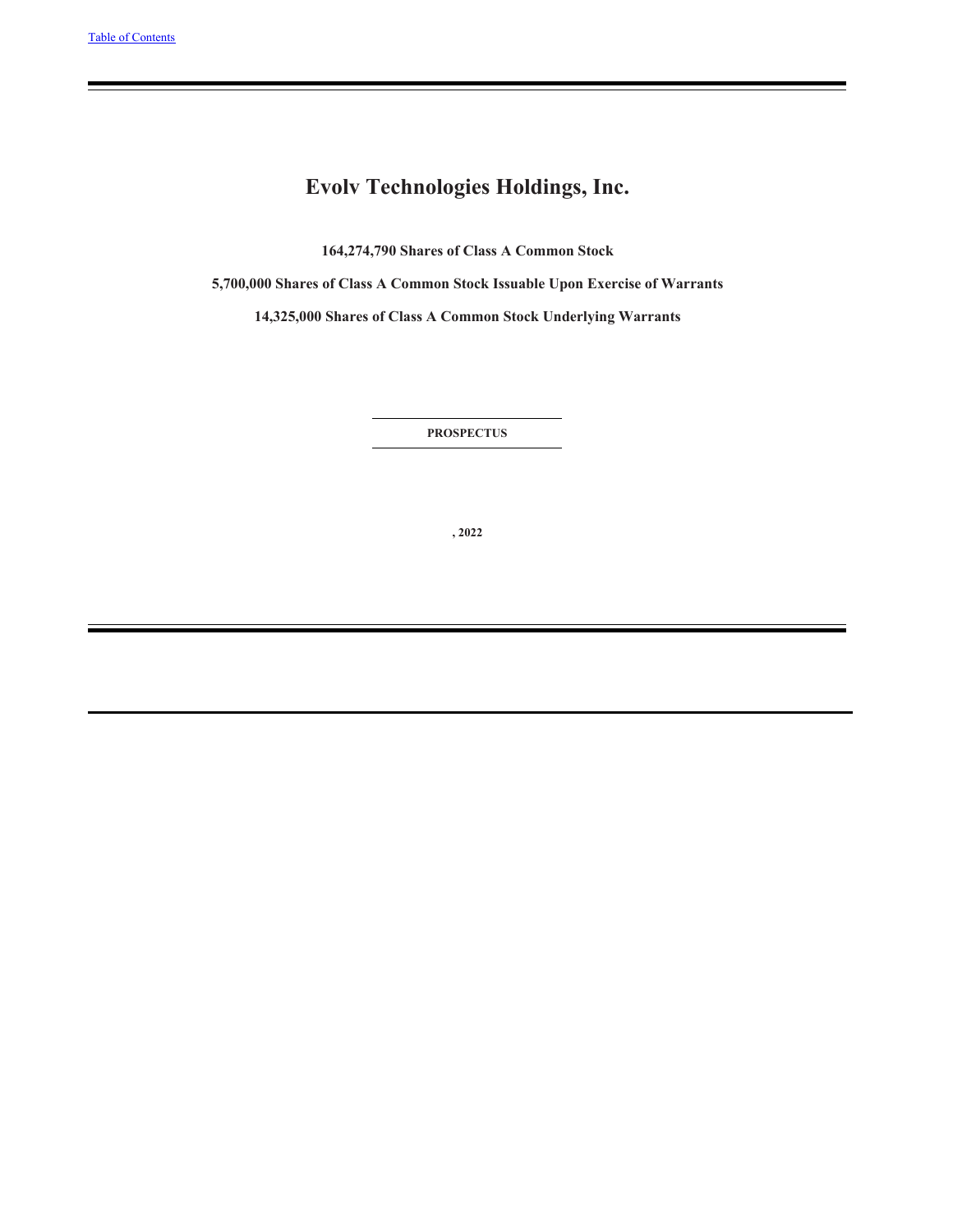# **Evolv Technologies Holdings, Inc.**

**164,274,790 Shares of Class A Common Stock**

**5,700,000 Shares of Class A Common Stock Issuable Upon Exercise of Warrants**

**14,325,000 Shares of Class A Common Stock Underlying Warrants**

**PROSPECTUS**

**, 2022**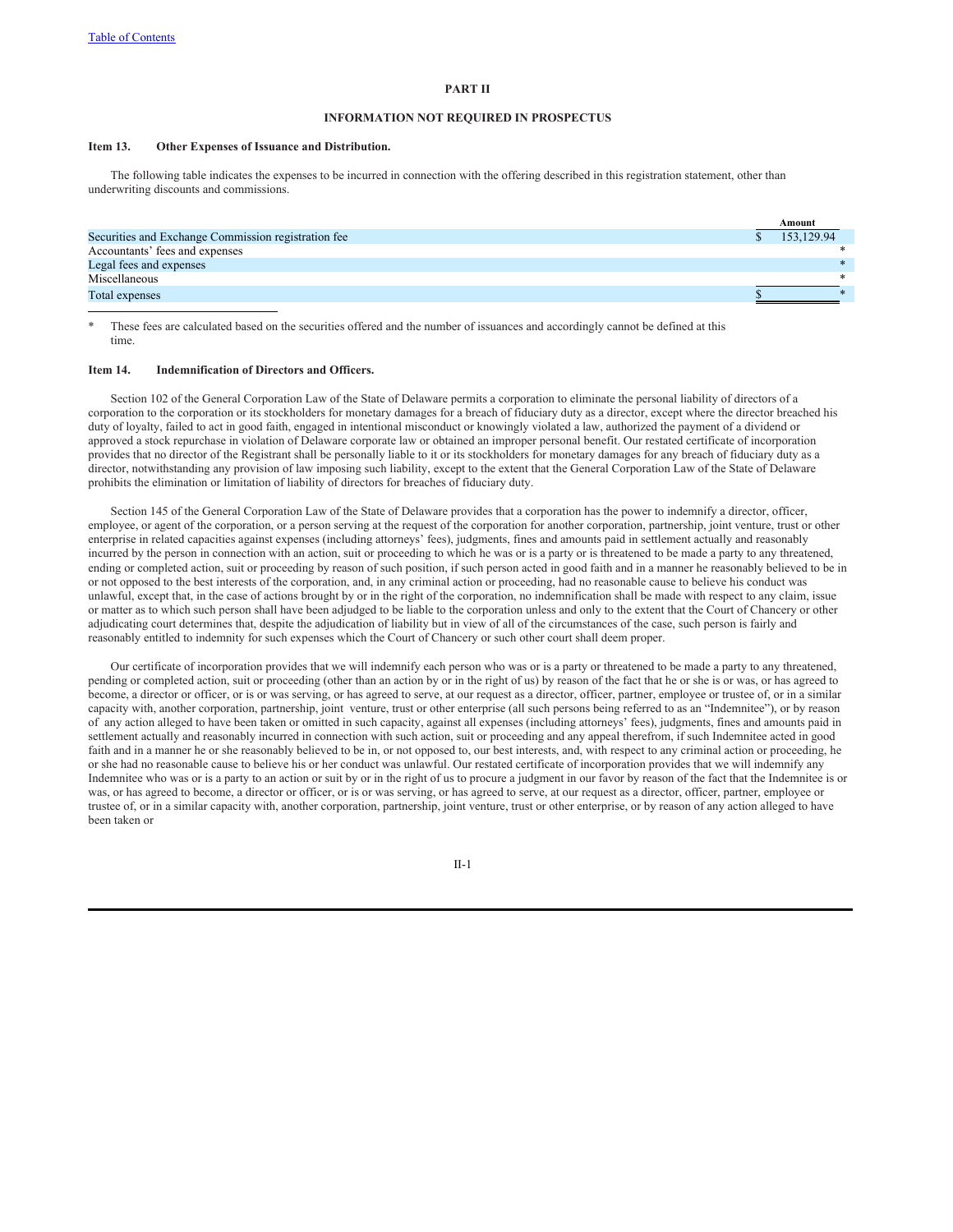#### **PART II**

#### **INFORMATION NOT REQUIRED IN PROSPECTUS**

#### **Item 13. Other Expenses of Issuance and Distribution.**

The following table indicates the expenses to be incurred in connection with the offering described in this registration statement, other than underwriting discounts and commissions.

|                                                     | Amount     |
|-----------------------------------------------------|------------|
| Securities and Exchange Commission registration fee | 153,129.94 |
| Accountants' fees and expenses                      |            |
| Legal fees and expenses                             |            |
| Miscellaneous                                       | $\ast$     |
| Total expenses                                      |            |
|                                                     |            |

These fees are calculated based on the securities offered and the number of issuances and accordingly cannot be defined at this time.

#### **Item 14. Indemnification of Directors and Officers.**

Section 102 of the General Corporation Law of the State of Delaware permits a corporation to eliminate the personal liability of directors of a corporation to the corporation or its stockholders for monetary damages for a breach of fiduciary duty as a director, except where the director breached his duty of loyalty, failed to act in good faith, engaged in intentional misconduct or knowingly violated a law, authorized the payment of a dividend or approved a stock repurchase in violation of Delaware corporate law or obtained an improper personal benefit. Our restated certificate of incorporation provides that no director of the Registrant shall be personally liable to it or its stockholders for monetary damages for any breach of fiduciary duty as a director, notwithstanding any provision of law imposing such liability, except to the extent that the General Corporation Law of the State of Delaware prohibits the elimination or limitation of liability of directors for breaches of fiduciary duty.

Section 145 of the General Corporation Law of the State of Delaware provides that a corporation has the power to indemnify a director, officer, employee, or agent of the corporation, or a person serving at the request of the corporation for another corporation, partnership, joint venture, trust or other enterprise in related capacities against expenses (including attorneys' fees), judgments, fines and amounts paid in settlement actually and reasonably incurred by the person in connection with an action, suit or proceeding to which he was or is a party or is threatened to be made a party to any threatened, ending or completed action, suit or proceeding by reason of such position, if such person acted in good faith and in a manner he reasonably believed to be in or not opposed to the best interests of the corporation, and, in any criminal action or proceeding, had no reasonable cause to believe his conduct was unlawful, except that, in the case of actions brought by or in the right of the corporation, no indemnification shall be made with respect to any claim, issue or matter as to which such person shall have been adjudged to be liable to the corporation unless and only to the extent that the Court of Chancery or other adjudicating court determines that, despite the adjudication of liability but in view of all of the circumstances of the case, such person is fairly and reasonably entitled to indemnity for such expenses which the Court of Chancery or such other court shall deem proper.

Our certificate of incorporation provides that we will indemnify each person who was or is a party or threatened to be made a party to any threatened, pending or completed action, suit or proceeding (other than an action by or in the right of us) by reason of the fact that he or she is or was, or has agreed to become, a director or officer, or is or was serving, or has agreed to serve, at our request as a director, officer, partner, employee or trustee of, or in a similar capacity with, another corporation, partnership, joint venture, trust or other enterprise (all such persons being referred to as an "Indemnitee"), or by reason of any action alleged to have been taken or omitted in such capacity, against all expenses (including attorneys' fees), judgments, fines and amounts paid in settlement actually and reasonably incurred in connection with such action, suit or proceeding and any appeal therefrom, if such Indemnitee acted in good faith and in a manner he or she reasonably believed to be in, or not opposed to, our best interests, and, with respect to any criminal action or proceeding, he or she had no reasonable cause to believe his or her conduct was unlawful. Our restated certificate of incorporation provides that we will indemnify any Indemnitee who was or is a party to an action or suit by or in the right of us to procure a judgment in our favor by reason of the fact that the Indemnitee is or was, or has agreed to become, a director or officer, or is or was serving, or has agreed to serve, at our request as a director, officer, partner, employee or trustee of, or in a similar capacity with, another corporation, partnership, joint venture, trust or other enterprise, or by reason of any action alleged to have been taken or

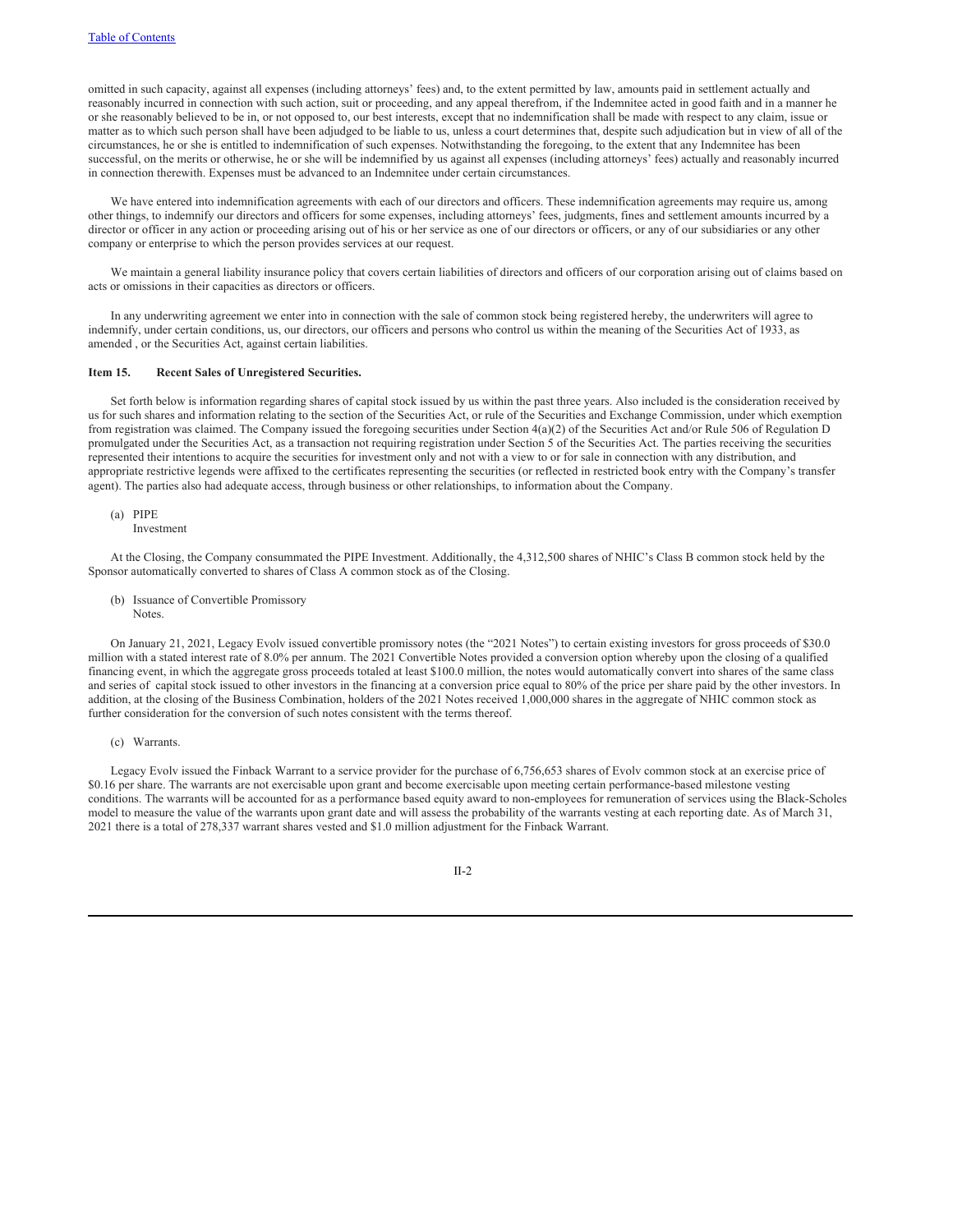omitted in such capacity, against all expenses (including attorneys' fees) and, to the extent permitted by law, amounts paid in settlement actually and reasonably incurred in connection with such action, suit or proceeding, and any appeal therefrom, if the Indemnitee acted in good faith and in a manner he or she reasonably believed to be in, or not opposed to, our best interests, except that no indemnification shall be made with respect to any claim, issue or matter as to which such person shall have been adjudged to be liable to us, unless a court determines that, despite such adjudication but in view of all of the circumstances, he or she is entitled to indemnification of such expenses. Notwithstanding the foregoing, to the extent that any Indemnitee has been successful, on the merits or otherwise, he or she will be indemnified by us against all expenses (including attorneys' fees) actually and reasonably incurred in connection therewith. Expenses must be advanced to an Indemnitee under certain circumstances.

We have entered into indemnification agreements with each of our directors and officers. These indemnification agreements may require us, among other things, to indemnify our directors and officers for some expenses, including attorneys' fees, judgments, fines and settlement amounts incurred by a director or officer in any action or proceeding arising out of his or her service as one of our directors or officers, or any of our subsidiaries or any other company or enterprise to which the person provides services at our request.

We maintain a general liability insurance policy that covers certain liabilities of directors and officers of our corporation arising out of claims based on acts or omissions in their capacities as directors or officers.

In any underwriting agreement we enter into in connection with the sale of common stock being registered hereby, the underwriters will agree to indemnify, under certain conditions, us, our directors, our officers and persons who control us within the meaning of the Securities Act of 1933, as amended , or the Securities Act, against certain liabilities.

#### **Item 15. Recent Sales of Unregistered Securities.**

Set forth below is information regarding shares of capital stock issued by us within the past three years. Also included is the consideration received by us for such shares and information relating to the section of the Securities Act, or rule of the Securities and Exchange Commission, under which exemption from registration was claimed. The Company issued the foregoing securities under Section 4(a)(2) of the Securities Act and/or Rule 506 of Regulation D promulgated under the Securities Act, as a transaction not requiring registration under Section 5 of the Securities Act. The parties receiving the securities represented their intentions to acquire the securities for investment only and not with a view to or for sale in connection with any distribution, and appropriate restrictive legends were affixed to the certificates representing the securities (or reflected in restricted book entry with the Company's transfer agent). The parties also had adequate access, through business or other relationships, to information about the Company.

(a) PIPE

Investment

At the Closing, the Company consummated the PIPE Investment. Additionally, the 4,312,500 shares of NHIC's Class B common stock held by the Sponsor automatically converted to shares of Class A common stock as of the Closing.

(b) Issuance of Convertible Promissory **Notes**.

On January 21, 2021, Legacy Evolv issued convertible promissory notes (the "2021 Notes") to certain existing investors for gross proceeds of \$30.0 million with a stated interest rate of 8.0% per annum. The 2021 Convertible Notes provided a conversion option whereby upon the closing of a qualified financing event, in which the aggregate gross proceeds totaled at least \$100.0 million, the notes would automatically convert into shares of the same class and series of capital stock issued to other investors in the financing at a conversion price equal to 80% of the price per share paid by the other investors. In addition, at the closing of the Business Combination, holders of the 2021 Notes received 1,000,000 shares in the aggregate of NHIC common stock as further consideration for the conversion of such notes consistent with the terms thereof.

(c) Warrants.

Legacy Evolv issued the Finback Warrant to a service provider for the purchase of 6,756,653 shares of Evolv common stock at an exercise price of \$0.16 per share. The warrants are not exercisable upon grant and become exercisable upon meeting certain performance-based milestone vesting conditions. The warrants will be accounted for as a performance based equity award to non-employees for remuneration of services using the Black-Scholes model to measure the value of the warrants upon grant date and will assess the probability of the warrants vesting at each reporting date. As of March 31, 2021 there is a total of 278,337 warrant shares vested and \$1.0 million adjustment for the Finback Warrant.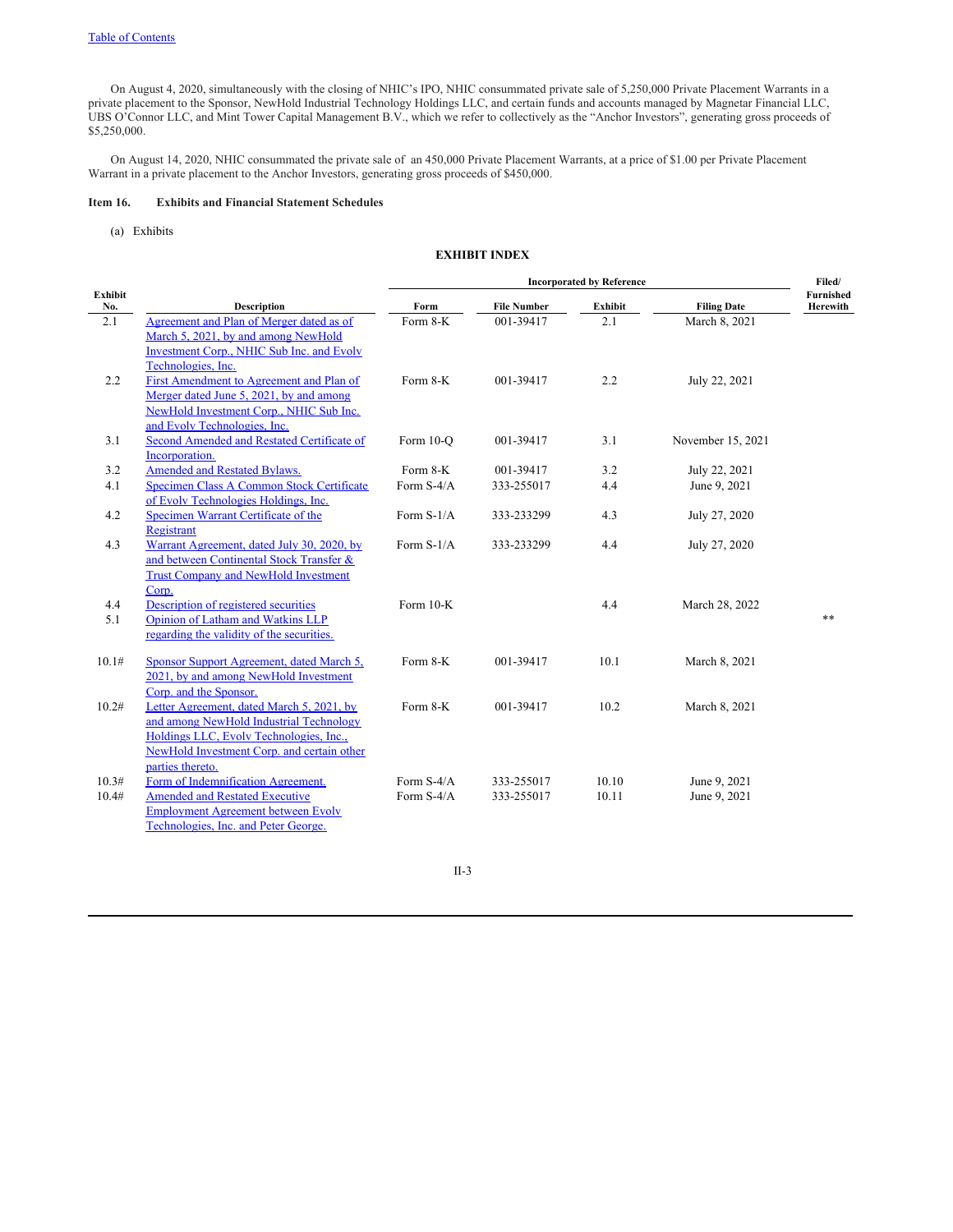On August 4, 2020, simultaneously with the closing of NHIC's IPO, NHIC consummated private sale of 5,250,000 Private Placement Warrants in a private placement to the Sponsor, NewHold Industrial Technology Holdings LLC, and certain funds and accounts managed by Magnetar Financial LLC, UBS O'Connor LLC, and Mint Tower Capital Management B.V., which we refer to collectively as the "Anchor Investors", generating gross proceeds of \$5,250,000.

On August 14, 2020, NHIC consummated the private sale of an 450,000 Private Placement Warrants, at a price of \$1.00 per Private Placement Warrant in a private placement to the Anchor Investors, generating gross proceeds of \$450,000.

# **Item 16. Exhibits and Financial Statement Schedules**

(a) Exhibits

## **EXHIBIT INDEX**

|                |                                             |              | <b>Incorporated by Reference</b> |                |                    | Filed/                |
|----------------|---------------------------------------------|--------------|----------------------------------|----------------|--------------------|-----------------------|
| Exhibit<br>No. | <b>Description</b>                          | Form         | <b>File Number</b>               | <b>Exhibit</b> | <b>Filing Date</b> | Furnished<br>Herewith |
| 2.1            | Agreement and Plan of Merger dated as of    | Form 8-K     | 001-39417                        | 2.1            | March 8, 2021      |                       |
|                | March 5, 2021, by and among NewHold         |              |                                  |                |                    |                       |
|                | Investment Corp., NHIC Sub Inc. and Evolv   |              |                                  |                |                    |                       |
|                | Technologies, Inc.                          |              |                                  |                |                    |                       |
| 2.2            | First Amendment to Agreement and Plan of    | Form 8-K     | 001-39417                        | 2.2            | July 22, 2021      |                       |
|                | Merger dated June 5, 2021, by and among     |              |                                  |                |                    |                       |
|                | NewHold Investment Corp., NHIC Sub Inc.     |              |                                  |                |                    |                       |
|                | and Evolv Technologies, Inc.                |              |                                  |                |                    |                       |
| 3.1            | Second Amended and Restated Certificate of  | Form 10-O    | 001-39417                        | 3.1            | November 15, 2021  |                       |
|                | Incorporation.                              |              |                                  |                |                    |                       |
| 3.2            | <b>Amended and Restated Bylaws.</b>         | Form 8-K     | 001-39417                        | 3.2            | July 22, 2021      |                       |
| 4.1            | Specimen Class A Common Stock Certificate   | Form S-4/A   | 333-255017                       | 4.4            | June 9, 2021       |                       |
|                | of Evoly Technologies Holdings, Inc.        |              |                                  |                |                    |                       |
| 4.2            | Specimen Warrant Certificate of the         | Form $S-1/A$ | 333-233299                       | 4.3            | July 27, 2020      |                       |
|                | Registrant                                  |              |                                  |                |                    |                       |
| 4.3            | Warrant Agreement, dated July 30, 2020, by  | Form $S-1/A$ | 333-233299                       | 4.4            | July 27, 2020      |                       |
|                | and between Continental Stock Transfer &    |              |                                  |                |                    |                       |
|                | <b>Trust Company and NewHold Investment</b> |              |                                  |                |                    |                       |
|                | Corp.                                       |              |                                  |                |                    |                       |
| 4.4            | Description of registered securities        | Form 10-K    |                                  | 4.4            | March 28, 2022     |                       |
| 5.1            | Opinion of Latham and Watkins LLP           |              |                                  |                |                    | **                    |
|                | regarding the validity of the securities.   |              |                                  |                |                    |                       |
| 10.1#          | Sponsor Support Agreement, dated March 5,   | Form 8-K     | 001-39417                        | 10.1           | March 8, 2021      |                       |
|                | 2021, by and among NewHold Investment       |              |                                  |                |                    |                       |
|                | Corp. and the Sponsor.                      |              |                                  |                |                    |                       |
| 10.2#          | Letter Agreement, dated March 5, 2021, by   | Form 8-K     | 001-39417                        | 10.2           | March 8, 2021      |                       |
|                | and among NewHold Industrial Technology     |              |                                  |                |                    |                       |
|                | Holdings LLC, Evolv Technologies, Inc.,     |              |                                  |                |                    |                       |
|                | NewHold Investment Corp. and certain other  |              |                                  |                |                    |                       |
|                | parties thereto.                            |              |                                  |                |                    |                       |
| 10.3#          | Form of Indemnification Agreement.          | Form S-4/A   | 333-255017                       | 10.10          | June 9, 2021       |                       |
| 10.4#          | <b>Amended and Restated Executive</b>       | Form S-4/A   | 333-255017                       | 10.11          | June 9, 2021       |                       |
|                | <b>Employment Agreement between Evolv</b>   |              |                                  |                |                    |                       |
|                | Technologies, Inc. and Peter George.        |              |                                  |                |                    |                       |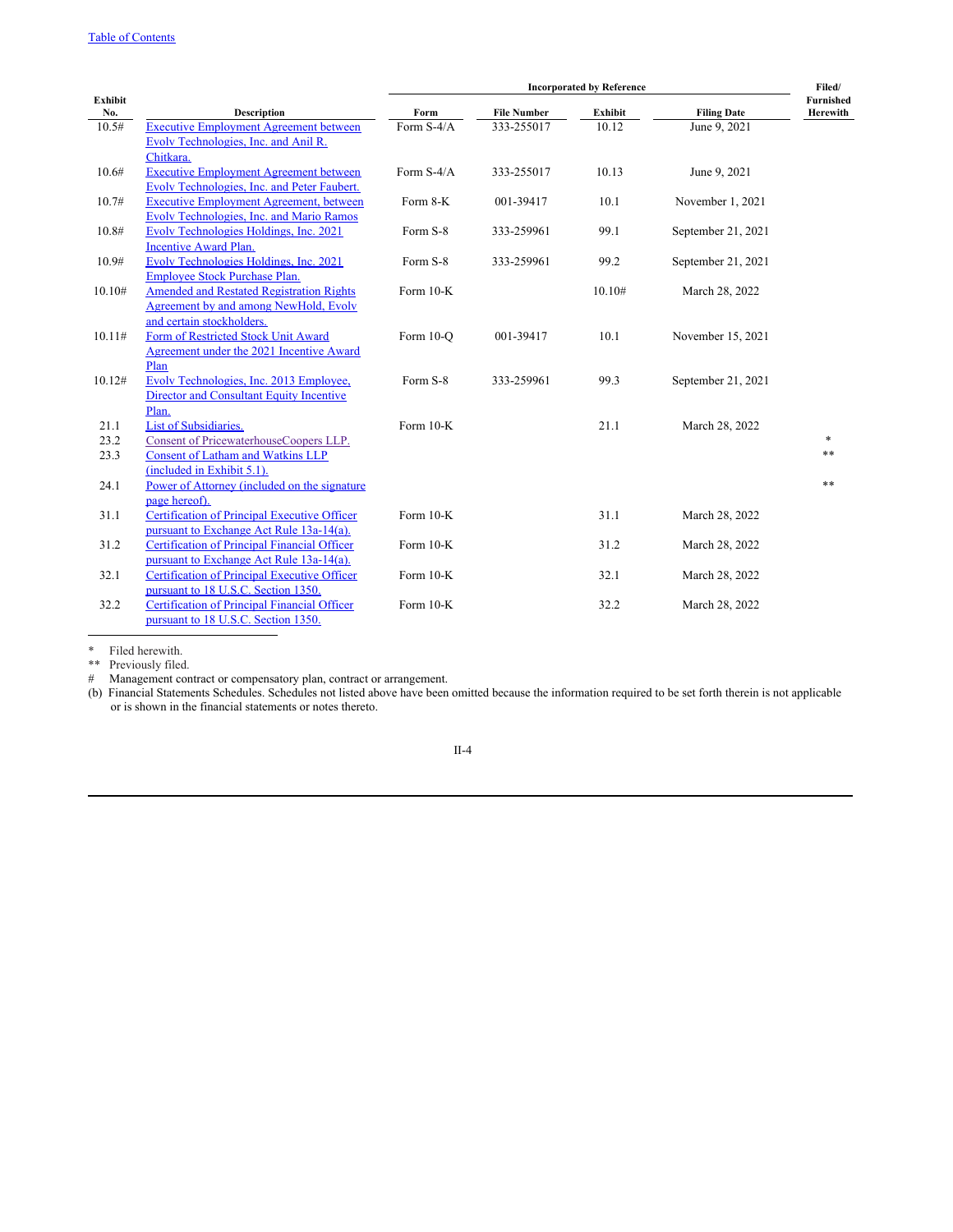# Table of [Contents](#page-0-0)

|         |                                                     | <b>Incorporated by Reference</b> |                    |         | Filed/             |           |
|---------|-----------------------------------------------------|----------------------------------|--------------------|---------|--------------------|-----------|
| Exhibit |                                                     |                                  |                    |         |                    | Furnished |
| No.     | <b>Description</b>                                  | Form                             | <b>File Number</b> | Exhibit | <b>Filing Date</b> | Herewith  |
| 10.5#   | <b>Executive Employment Agreement between</b>       | Form S-4/A                       | 333-255017         | 10.12   | June 9, 2021       |           |
|         | Evolv Technologies, Inc. and Anil R.                |                                  |                    |         |                    |           |
|         | Chitkara.                                           |                                  |                    |         |                    |           |
| 10.6#   | <b>Executive Employment Agreement between</b>       | Form S-4/A                       | 333-255017         | 10.13   | June 9, 2021       |           |
|         | Evolv Technologies, Inc. and Peter Faubert.         |                                  |                    |         |                    |           |
| 10.7#   | <b>Executive Employment Agreement, between</b>      | Form 8-K                         | 001-39417          | 10.1    | November 1, 2021   |           |
|         | Evolv Technologies, Inc. and Mario Ramos            |                                  |                    |         |                    |           |
| 10.8#   | Evolv Technologies Holdings, Inc. 2021              | Form S-8                         | 333-259961         | 99.1    | September 21, 2021 |           |
|         | <b>Incentive Award Plan.</b>                        |                                  |                    |         |                    |           |
| 10.9#   | Evolv Technologies Holdings, Inc. 2021              | Form S-8                         | 333-259961         | 99.2    | September 21, 2021 |           |
|         | Employee Stock Purchase Plan.                       |                                  |                    |         |                    |           |
| 10.10#  | <b>Amended and Restated Registration Rights</b>     | Form 10-K                        |                    | 10.10#  | March 28, 2022     |           |
|         | Agreement by and among NewHold, Evolv               |                                  |                    |         |                    |           |
|         | and certain stockholders.                           |                                  |                    |         |                    |           |
| 10.11#  | Form of Restricted Stock Unit Award                 | Form 10-O                        | 001-39417          | 10.1    | November 15, 2021  |           |
|         | Agreement under the 2021 Incentive Award            |                                  |                    |         |                    |           |
|         | Plan                                                |                                  |                    |         |                    |           |
| 10.12#  | Evolv Technologies, Inc. 2013 Employee,             | Form S-8                         | 333-259961         | 99.3    | September 21, 2021 |           |
|         | Director and Consultant Equity Incentive            |                                  |                    |         |                    |           |
|         | Plan.                                               |                                  |                    |         |                    |           |
| 21.1    | <b>List of Subsidiaries.</b>                        | Form 10-K                        |                    | 21.1    | March 28, 2022     |           |
| 23.2    | Consent of PricewaterhouseCoopers LLP.              |                                  |                    |         |                    | $\ast$    |
| 23.3    | <b>Consent of Latham and Watkins LLP</b>            |                                  |                    |         |                    | **        |
|         | (included in Exhibit 5.1).                          |                                  |                    |         |                    |           |
| 24.1    | Power of Attorney (included on the signature        |                                  |                    |         |                    | **        |
|         | page hereof).                                       |                                  |                    |         |                    |           |
| 31.1    | Certification of Principal Executive Officer        | Form 10-K                        |                    | 31.1    | March 28, 2022     |           |
|         | pursuant to Exchange Act Rule 13a-14(a).            |                                  |                    |         |                    |           |
| 31.2    | <b>Certification of Principal Financial Officer</b> | Form 10-K                        |                    | 31.2    | March 28, 2022     |           |
|         | pursuant to Exchange Act Rule 13a-14(a).            |                                  |                    |         |                    |           |
| 32.1    | Certification of Principal Executive Officer        | Form 10-K                        |                    | 32.1    | March 28, 2022     |           |
|         | pursuant to 18 U.S.C. Section 1350.                 |                                  |                    |         |                    |           |
| 32.2    | <b>Certification of Principal Financial Officer</b> | Form 10-K                        |                    | 32.2    | March 28, 2022     |           |
|         | pursuant to 18 U.S.C. Section 1350.                 |                                  |                    |         |                    |           |

\* Filed herewith.

\*\* Previously filed.

# Management contract or compensatory plan, contract or arrangement.

(b) Financial Statements Schedules. Schedules not listed above have been omitted because the information required to be set forth therein is not applicable or is shown in the financial statements or notes thereto.

## II-4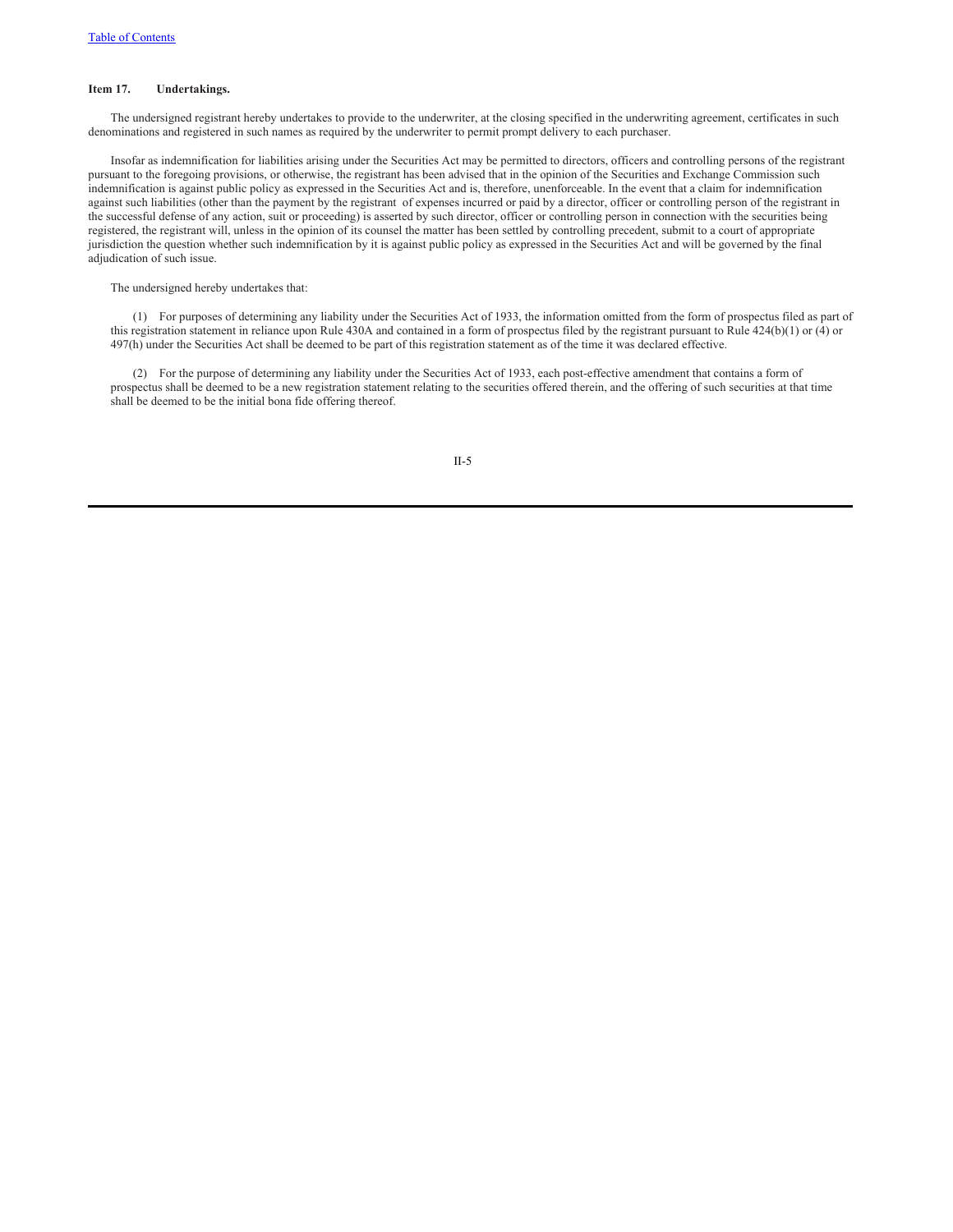#### **Item 17. Undertakings.**

The undersigned registrant hereby undertakes to provide to the underwriter, at the closing specified in the underwriting agreement, certificates in such denominations and registered in such names as required by the underwriter to permit prompt delivery to each purchaser.

Insofar as indemnification for liabilities arising under the Securities Act may be permitted to directors, officers and controlling persons of the registrant pursuant to the foregoing provisions, or otherwise, the registrant has been advised that in the opinion of the Securities and Exchange Commission such indemnification is against public policy as expressed in the Securities Act and is, therefore, unenforceable. In the event that a claim for indemnification against such liabilities (other than the payment by the registrant of expenses incurred or paid by a director, officer or controlling person of the registrant in the successful defense of any action, suit or proceeding) is asserted by such director, officer or controlling person in connection with the securities being registered, the registrant will, unless in the opinion of its counsel the matter has been settled by controlling precedent, submit to a court of appropriate jurisdiction the question whether such indemnification by it is against public policy as expressed in the Securities Act and will be governed by the final adjudication of such issue.

The undersigned hereby undertakes that:

(1) For purposes of determining any liability under the Securities Act of 1933, the information omitted from the form of prospectus filed as part of this registration statement in reliance upon Rule 430A and contained in a form of prospectus filed by the registrant pursuant to Rule 424(b)(1) or (4) or 497(h) under the Securities Act shall be deemed to be part of this registration statement as of the time it was declared effective.

(2) For the purpose of determining any liability under the Securities Act of 1933, each post-effective amendment that contains a form of prospectus shall be deemed to be a new registration statement relating to the securities offered therein, and the offering of such securities at that time shall be deemed to be the initial bona fide offering thereof.

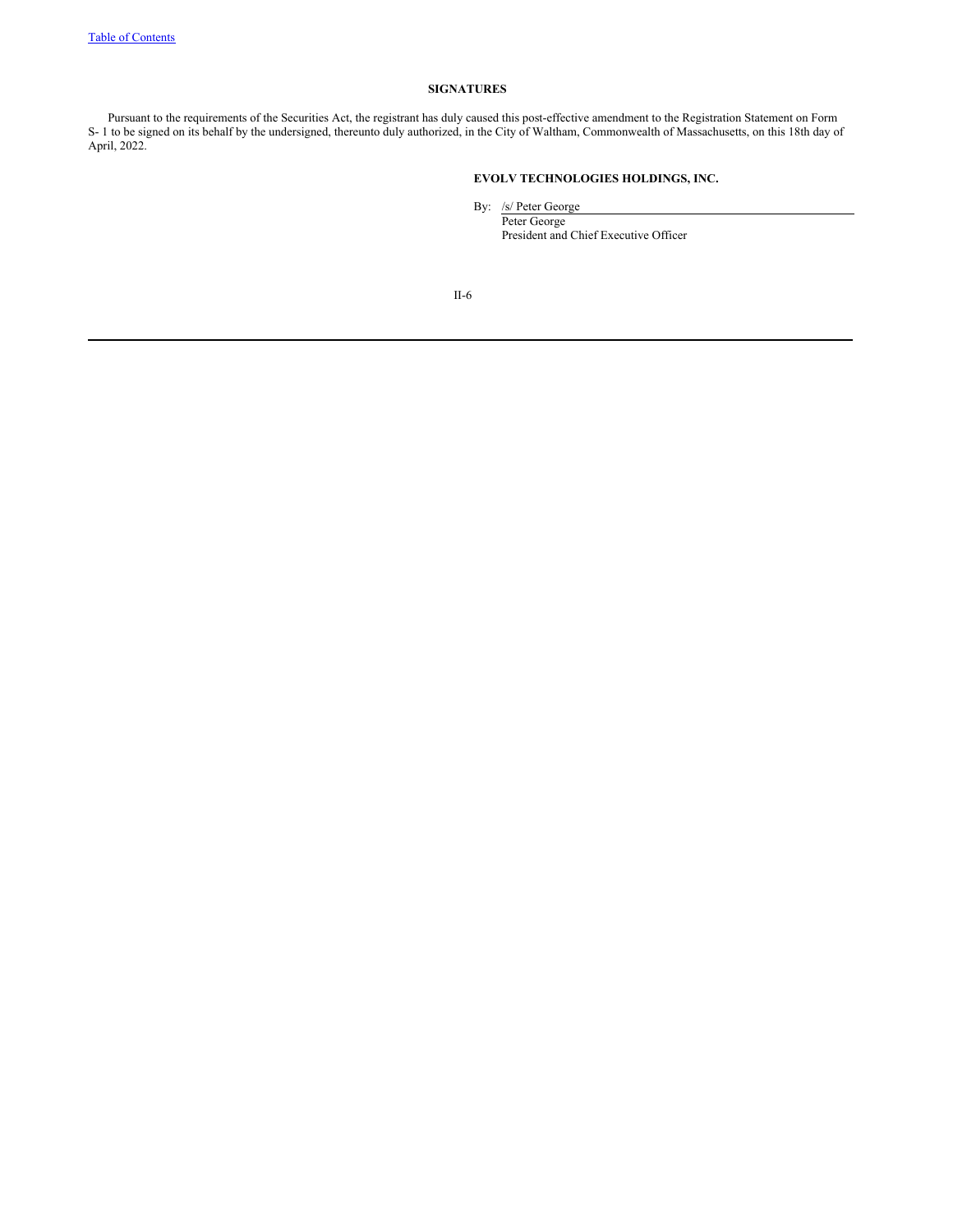## **SIGNATURES**

Pursuant to the requirements of the Securities Act, the registrant has duly caused this post-effective amendment to the Registration Statement on Form S- 1 to be signed on its behalf by the undersigned, thereunto duly authorized, in the City of Waltham, Commonwealth of Massachusetts, on this 18th day of April, 2022.

# **EVOLV TECHNOLOGIES HOLDINGS, INC.**

By: /s/ Peter George Peter George President and Chief Executive Officer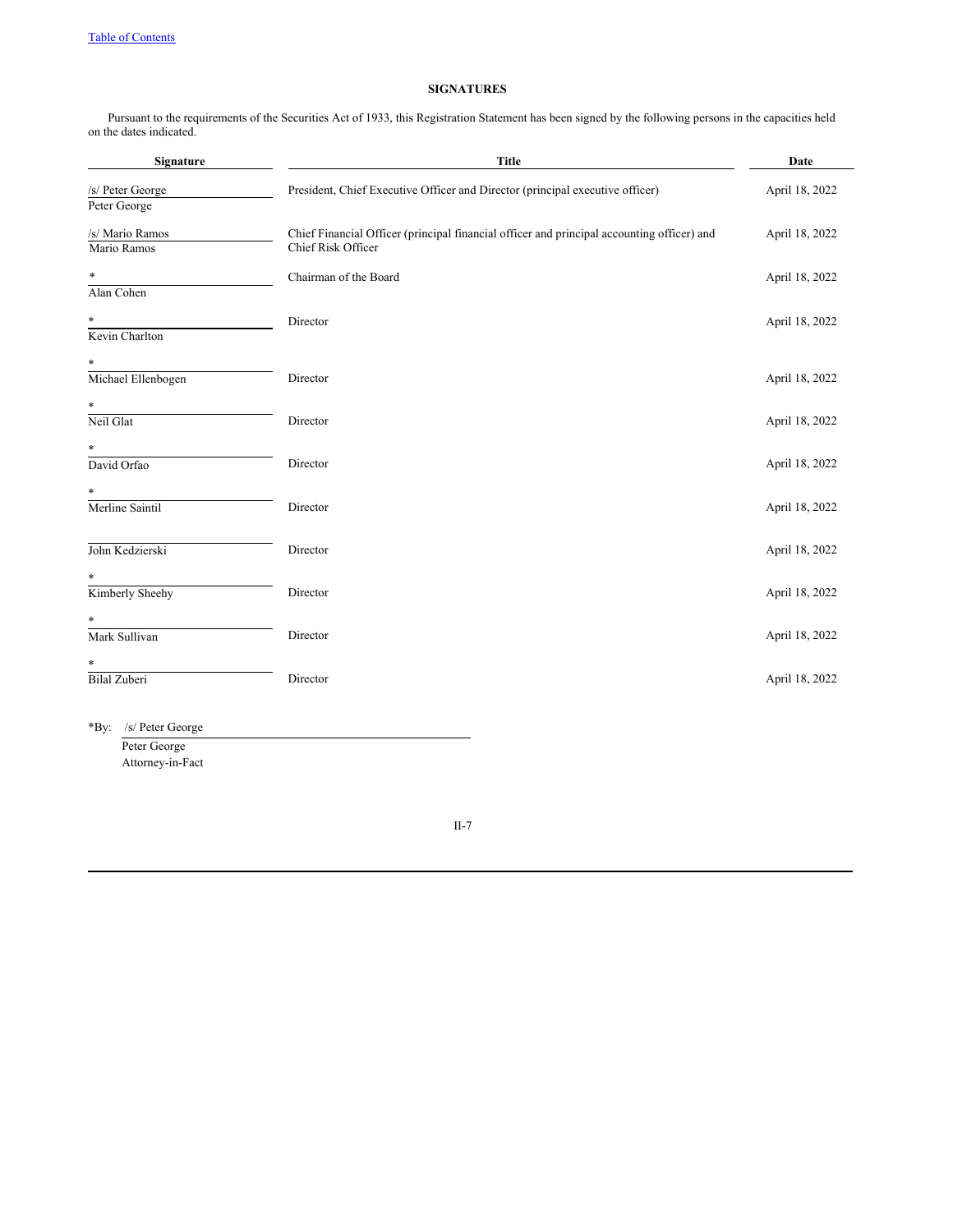# **SIGNATURES**

Pursuant to the requirements of the Securities Act of 1933, this Registration Statement has been signed by the following persons in the capacities held on the dates indicated.

| Signature                        | <b>Title</b>                                                                                                     | Date           |
|----------------------------------|------------------------------------------------------------------------------------------------------------------|----------------|
| /s/ Peter George<br>Peter George | President, Chief Executive Officer and Director (principal executive officer)                                    | April 18, 2022 |
| /s/ Mario Ramos<br>Mario Ramos   | Chief Financial Officer (principal financial officer and principal accounting officer) and<br>Chief Risk Officer | April 18, 2022 |
| $\ast$<br>Alan Cohen             | Chairman of the Board                                                                                            | April 18, 2022 |
| $\ast$<br>Kevin Charlton         | Director                                                                                                         | April 18, 2022 |
| $\ast$<br>Michael Ellenbogen     | Director                                                                                                         | April 18, 2022 |
| *<br>Neil Glat                   | Director                                                                                                         | April 18, 2022 |
| $\ast$<br>David Orfao            | Director                                                                                                         | April 18, 2022 |
| *<br>Merline Saintil             | Director                                                                                                         | April 18, 2022 |
| John Kedzierski                  | Director                                                                                                         | April 18, 2022 |
| $\ast$<br>Kimberly Sheehy        | Director                                                                                                         | April 18, 2022 |
| *<br>Mark Sullivan               | Director                                                                                                         | April 18, 2022 |
| *<br><b>Bilal Zuberi</b>         | Director                                                                                                         | April 18, 2022 |
| *By: /s/ Peter George            |                                                                                                                  |                |

Peter George Attorney-in-Fact

II-7